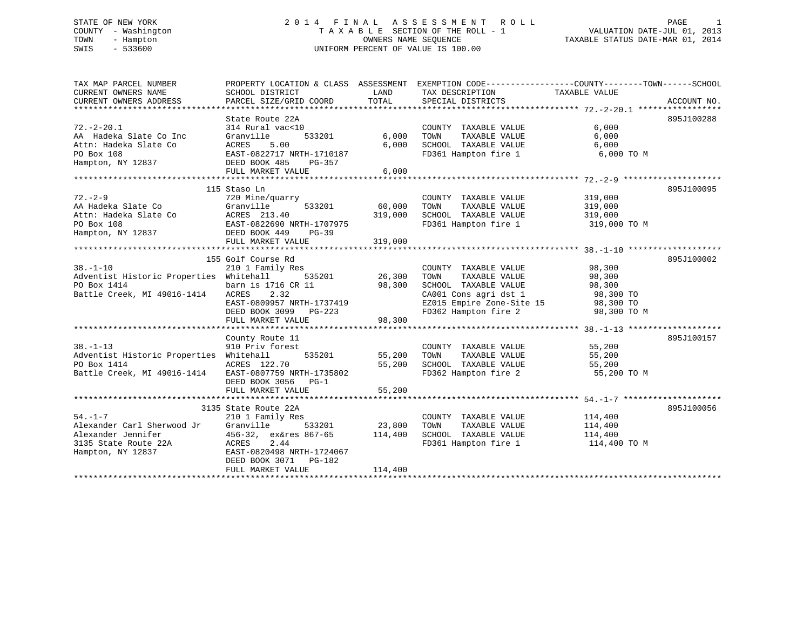# STATE OF NEW YORK 2 0 1 4 F I N A L A S S E S S M E N T R O L L PAGE 1 COUNTY - Washington T A X A B L E SECTION OF THE ROLL - 1 VALUATION DATE-JUL 01, 2013 TOWN - Hampton OWNERS NAME SEQUENCE TAXABLE STATUS DATE-MAR 01, 2014 SWIS - 533600 UNIFORM PERCENT OF VALUE IS 100.00

| TAX MAP PARCEL NUMBER                                                                                                                                      | PROPERTY LOCATION & CLASS ASSESSMENT EXEMPTION CODE---------------COUNTY-------TOWN-----SCHOOL |               |                                                          |                          |            |
|------------------------------------------------------------------------------------------------------------------------------------------------------------|------------------------------------------------------------------------------------------------|---------------|----------------------------------------------------------|--------------------------|------------|
| CURRENT OWNERS NAME                                                                                                                                        | SCHOOL DISTRICT                                                                                | LAND          | TAX DESCRIPTION                                          | TAXABLE VALUE            |            |
|                                                                                                                                                            |                                                                                                |               |                                                          |                          |            |
|                                                                                                                                                            |                                                                                                |               |                                                          |                          |            |
|                                                                                                                                                            | State Route 22A                                                                                |               |                                                          |                          | 895J100288 |
| $72. - 2 - 20.1$                                                                                                                                           | 314 Rural vac<10                                                                               |               | COUNTY TAXABLE VALUE                                     | 6,000                    |            |
| AA Hadeka Slate Co Inc                                                                                                                                     | 533201<br>Granville                                                                            | 6,000         | TOWN<br>TAXABLE VALUE                                    | 6,000                    |            |
| Attn: Hadeka Slate Co                                                                                                                                      |                                                                                                | 6,000         | SCHOOL TAXABLE VALUE                                     | 6,000                    |            |
| PO Box 108                                                                                                                                                 | ACRES 5.00<br>EAST-0822717 NRTH-1710187<br>DEED BOOK 485 PG-357                                |               | FD361 Hampton fire 1                                     | 6,000 TO M               |            |
| Hampton, NY 12837                                                                                                                                          |                                                                                                |               |                                                          |                          |            |
|                                                                                                                                                            | FULL MARKET VALUE                                                                              | 6,000         |                                                          |                          |            |
|                                                                                                                                                            | 115 Staso Ln                                                                                   |               |                                                          |                          | 895J100095 |
| $72. - 2 - 9$                                                                                                                                              | 720 Mine/quarry                                                                                |               | COUNTY TAXABLE VALUE 319,000                             |                          |            |
|                                                                                                                                                            | 533201                                                                                         | 60,000        |                                                          |                          |            |
|                                                                                                                                                            |                                                                                                | 319,000       |                                                          |                          |            |
|                                                                                                                                                            |                                                                                                |               | FD361 Hampton fire 1 319,000 TO M                        |                          |            |
| AA Hadeka Slate Co Granville 533201<br>Attn: Hadeka Slate Co ACRES 213.40<br>PO Box 108 EAST-0822690 NRTH-1707975<br>Hampton, NY 12837 DEED BOOK 449 PG-39 |                                                                                                |               |                                                          |                          |            |
|                                                                                                                                                            | FULL MARKET VALUE                                                                              | 319,000       |                                                          |                          |            |
|                                                                                                                                                            |                                                                                                |               |                                                          |                          |            |
|                                                                                                                                                            | 155 Golf Course Rd                                                                             |               |                                                          |                          | 895J100002 |
| $38. - 1 - 10$                                                                                                                                             | 210 1 Family Res                                                                               |               | COUNTY TAXABLE VALUE                                     | 98,300                   |            |
| Adventist Historic Properties Whitehall                                                                                                                    | 535201 26,300                                                                                  |               | TOWN<br>TAXABLE VALUE                                    | 98,300                   |            |
| PO Box 1414                                                                                                                                                | barn is 1716 CR 11                                                                             | 98,300        | SCHOOL TAXABLE VALUE                                     | 98,300<br>98,300         |            |
| Battle Creek, MI 49016-1414                                                                                                                                | ACRES 2.32                                                                                     |               | CA001 Cons agri dst 1                                    | $98,300$ TO              |            |
|                                                                                                                                                            | EAST-0809957 NRTH-1737419                                                                      |               |                                                          |                          |            |
|                                                                                                                                                            | DEED BOOK 3099 PG-223                                                                          |               | EZ015 Empire Zone-Site 15<br>FD362 Hampton fire 2        | 98,300 TO<br>98,300 TO M |            |
|                                                                                                                                                            | FULL MARKET VALUE                                                                              | 98,300        |                                                          |                          |            |
|                                                                                                                                                            |                                                                                                |               |                                                          |                          |            |
|                                                                                                                                                            | County Route 11                                                                                |               |                                                          |                          | 895J100157 |
| $38. - 1 - 13$                                                                                                                                             | 910 Priv forest                                                                                | 535201 55,200 | COUNTY TAXABLE VALUE 55,200<br>TOWN TAXABLE VALUE 55,200 |                          |            |
| Adventist Historic Properties Whitehall                                                                                                                    |                                                                                                |               | TOWN                                                     |                          |            |
| PO Box 1414                                                                                                                                                | ACRES 122.70                                                                                   | 55,200        | SCHOOL TAXABLE VALUE 55,200                              |                          |            |
| Battle Creek, MI 49016-1414 EAST-0807759 NRTH-1735802                                                                                                      |                                                                                                |               | FD362 Hampton fire 2                                     | 55,200 TO M              |            |
|                                                                                                                                                            | DEED BOOK 3056 PG-1                                                                            |               |                                                          |                          |            |
|                                                                                                                                                            | FULL MARKET VALUE                                                                              | 55,200        |                                                          |                          |            |
|                                                                                                                                                            |                                                                                                |               |                                                          |                          |            |
|                                                                                                                                                            | 3135 State Route 22A                                                                           |               |                                                          |                          | 895J100056 |
| $54. -1 - 7$                                                                                                                                               | 210 1 Family Res                                                                               |               | COUNTY TAXABLE VALUE                                     | 114,400                  |            |
| Alexander Carl Sherwood Jr                                                                                                                                 | Granville<br>456-32, ex&res 867-65 114,400                                                     | 533201 23,800 | TOWN<br>TAXABLE VALUE<br>SCHOOL TAXABLE VALUE 114,400    | 114,400                  |            |
| Alexander Jennifer                                                                                                                                         |                                                                                                |               |                                                          |                          |            |
| 3135 State Route 22A                                                                                                                                       | ACRES 2.44<br>EAST-0820498 NRTH-1724067                                                        |               | FD361 Hampton fire 1 114,400 TO M                        |                          |            |
| Hampton, NY 12837                                                                                                                                          | DEED BOOK 3071 PG-182                                                                          |               |                                                          |                          |            |
|                                                                                                                                                            | FULL MARKET VALUE                                                                              | 114,400       |                                                          |                          |            |
|                                                                                                                                                            |                                                                                                |               |                                                          |                          |            |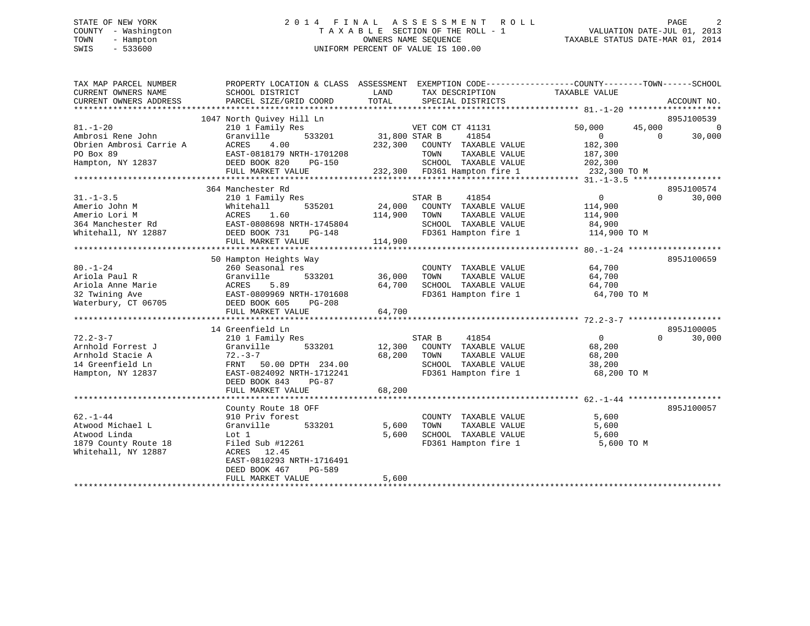# STATE OF NEW YORK 2 0 1 4 F I N A L A S S E S S M E N T R O L L PAGE 2 COUNTY - Washington T A X A B L E SECTION OF THE ROLL - 1 VALUATION DATE-JUL 01, 2013 TOWN - Hampton OWNERS NAME SEQUENCE TAXABLE STATUS DATE-MAR 01, 2014 SWIS - 533600 UNIFORM PERCENT OF VALUE IS 100.00

| TAX MAP PARCEL NUMBER<br>CURRENT OWNERS NAME<br>CURRENT OWNERS ADDRESS | PROPERTY LOCATION & CLASS ASSESSMENT EXEMPTION CODE----------------COUNTY-------TOWN-----SCHOOL<br>SCHOOL DISTRICT<br>PARCEL SIZE/GRID COORD | LAND<br>TOTAL            | TAX DESCRIPTION<br>SPECIAL DISTRICTS | TAXABLE VALUE                     | ACCOUNT NO.        |
|------------------------------------------------------------------------|----------------------------------------------------------------------------------------------------------------------------------------------|--------------------------|--------------------------------------|-----------------------------------|--------------------|
|                                                                        |                                                                                                                                              |                          |                                      |                                   |                    |
|                                                                        | 1047 North Quivey Hill Ln                                                                                                                    |                          |                                      |                                   | 895J100539         |
| $81. - 1 - 20$                                                         | з<br>533201<br>210 1 Family Res                                                                                                              |                          | VET COM CT 41131                     | 50,000                            | 45,000<br>$\Omega$ |
| Ambrosi Rene John                                                      | Granville                                                                                                                                    | VET CON<br>31,800 STAR B | 41854                                | $\overline{0}$                    | $\Omega$<br>30,000 |
| Obrien Ambrosi Carrie A                                                | ACRES<br>4.00                                                                                                                                |                          | 232,300 COUNTY TAXABLE VALUE         | 182,300                           |                    |
| PO Box 89                                                              | EAST-0818179 NRTH-1701208                                                                                                                    |                          | TOWN                                 | TAXABLE VALUE<br>187,300          |                    |
| Hampton, NY 12837                                                      | DEED BOOK 820<br>PG-150                                                                                                                      |                          |                                      | SCHOOL TAXABLE VALUE 202,300      |                    |
|                                                                        | FULL MARKET VALUE                                                                                                                            |                          | 232,300 FD361 Hampton fire 1         | 232,300 TO M                      |                    |
|                                                                        |                                                                                                                                              |                          |                                      |                                   |                    |
|                                                                        | 364 Manchester Rd                                                                                                                            |                          |                                      |                                   | 895J100574         |
| $31. - 1 - 3.5$                                                        | 210 1 Family Res                                                                                                                             |                          | STAR B<br>41854                      | $0 \qquad \qquad$                 | $\Omega$<br>30,000 |
| Amerio John M                                                          | 535201<br>Whitehall                                                                                                                          | 24,000                   | COUNTY TAXABLE VALUE                 | 114,900                           |                    |
| Amerio Lori M                                                          |                                                                                                                                              | 114,900                  | TOWN<br>TAXABLE VALUE                | 114,900                           |                    |
| 364 Manchester Rd                                                      |                                                                                                                                              |                          | SCHOOL TAXABLE VALUE                 | 84,900                            |                    |
| Whitehall, NY 12887                                                    | ACRES 1.00<br>EAST-0808698 NRTH-1745804<br>CAST-0808698 NRTH-1745804<br>DEED BOOK 731<br>PG-148                                              |                          |                                      | FD361 Hampton fire 1 114,900 TO M |                    |
|                                                                        | FULL MARKET VALUE                                                                                                                            | 114,900                  |                                      |                                   |                    |
|                                                                        |                                                                                                                                              |                          |                                      |                                   |                    |
|                                                                        | 50 Hampton Heights Way                                                                                                                       |                          |                                      |                                   | 895J100659         |
| $80. - 1 - 24$                                                         | 260 Seasonal res                                                                                                                             |                          | COUNTY TAXABLE VALUE                 | 64,700                            |                    |
| Ariola Paul R                                                          | 533201<br>Granville                                                                                                                          | 36,000                   | TOWN<br>TAXABLE VALUE                | 64,700                            |                    |
| Ariola Anne Marie                                                      |                                                                                                                                              | 64,700                   | SCHOOL TAXABLE VALUE                 | 64,700                            |                    |
| 32 Twining Ave                                                         | ACRES 5.89<br>EAST-0809969 NRTH-1701608                                                                                                      |                          | FD361 Hampton fire 1                 | 64,700 TO M                       |                    |
| Waterbury, CT 06705                                                    | DEED BOOK 605<br>PG-208                                                                                                                      |                          |                                      |                                   |                    |
|                                                                        | FULL MARKET VALUE                                                                                                                            | 64,700                   |                                      |                                   |                    |
|                                                                        |                                                                                                                                              |                          |                                      |                                   |                    |
|                                                                        | 14 Greenfield Ln                                                                                                                             |                          |                                      |                                   | 895J100005         |
| $72.2 - 3 - 7$                                                         | 210 1 Family Res                                                                                                                             |                          | STAR B<br>41854                      | $\overline{0}$                    | $\Omega$<br>30,000 |
| Arnhold Forrest J                                                      | 533201<br>Granville                                                                                                                          |                          | 12,300 COUNTY TAXABLE VALUE          | 68,200                            |                    |
| Arnhold Stacie A                                                       | $72 - 3 - 7$                                                                                                                                 | 68,200                   | TOWN<br>TAXABLE VALUE                | 68,200                            |                    |
| 14 Greenfield Ln                                                       | FRNT 50.00 DPTH 234.00                                                                                                                       |                          | SCHOOL TAXABLE VALUE                 | 38,200                            |                    |
| Hampton, NY 12837                                                      | EAST-0824092 NRTH-1712241                                                                                                                    |                          | FD361 Hampton fire 1                 | 68,200 TO M                       |                    |
|                                                                        | DEED BOOK 843<br>PG-87                                                                                                                       |                          |                                      |                                   |                    |
|                                                                        | FULL MARKET VALUE                                                                                                                            | 68,200                   |                                      |                                   |                    |
|                                                                        |                                                                                                                                              |                          |                                      |                                   |                    |
|                                                                        | County Route 18 OFF                                                                                                                          |                          |                                      |                                   | 895J100057         |
| $62 - 1 - 44$                                                          | 910 Priv forest                                                                                                                              |                          | COUNTY TAXABLE VALUE                 | 5,600                             |                    |
| Atwood Michael L                                                       | Granville<br>533201                                                                                                                          | 5,600                    | TOWN<br>TAXABLE VALUE                | 5,600                             |                    |
| Atwood Linda                                                           | Lot 1                                                                                                                                        | 5,600                    | SCHOOL TAXABLE VALUE                 | 5,600                             |                    |
| 1879 County Route 18                                                   | Filed Sub #12261                                                                                                                             |                          | FD361 Hampton fire 1                 | 5,600 TO M                        |                    |
| Whitehall, NY 12887                                                    | ACRES 12.45                                                                                                                                  |                          |                                      |                                   |                    |
|                                                                        | EAST-0810293 NRTH-1716491                                                                                                                    |                          |                                      |                                   |                    |
|                                                                        | DEED BOOK 467<br><b>PG-589</b>                                                                                                               |                          |                                      |                                   |                    |
|                                                                        | FULL MARKET VALUE                                                                                                                            | 5,600                    |                                      |                                   |                    |
|                                                                        |                                                                                                                                              |                          |                                      |                                   |                    |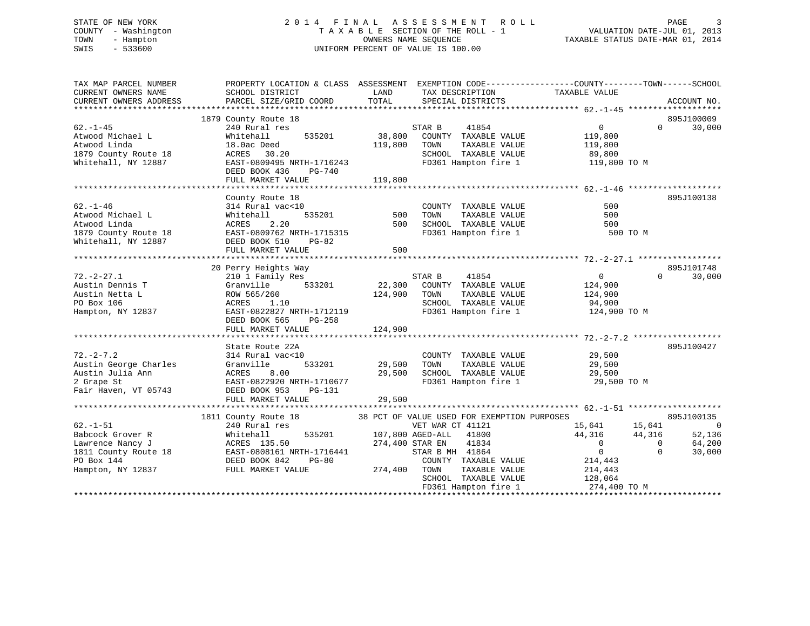# STATE OF NEW YORK 2 0 1 4 F I N A L A S S E S S M E N T R O L L PAGE 3 COUNTY - Washington T A X A B L E SECTION OF THE ROLL - 1 VALUATION DATE-JUL 01, 2013 TOWN - Hampton OWNERS NAME SEQUENCE TAXABLE STATUS DATE-MAR 01, 2014 SWIS - 533600 UNIFORM PERCENT OF VALUE IS 100.00

| TAX MAP PARCEL NUMBER<br>CURRENT OWNERS NAME<br>CURRENT OWNERS ADDRESS                                            | PROPERTY LOCATION & CLASS ASSESSMENT<br>SCHOOL DISTRICT<br>PARCEL SIZE/GRID COORD                                                                                            | LAND<br>TAX DESCRIPTION<br>TOTAL<br>SPECIAL DISTRICTS                                                                                                                                                                                                | EXEMPTION CODE-----------------COUNTY-------TOWN------SCHOOL<br>TAXABLE VALUE<br>ACCOUNT NO.                                                                                                                                    |
|-------------------------------------------------------------------------------------------------------------------|------------------------------------------------------------------------------------------------------------------------------------------------------------------------------|------------------------------------------------------------------------------------------------------------------------------------------------------------------------------------------------------------------------------------------------------|---------------------------------------------------------------------------------------------------------------------------------------------------------------------------------------------------------------------------------|
| $62. - 1 - 45$<br>Atwood Michael L<br>Atwood Linda<br>1879 County Route 18<br>Whitehall, NY 12887                 | 1879 County Route 18<br>240 Rural res<br>535201<br>Whitehall<br>18.0ac Deed<br>ACRES 30.20<br>EAST-0809495 NRTH-1716243<br>DEED BOOK 436<br>PG-740<br>FULL MARKET VALUE      | 41854<br>STAR B<br>38,800<br>COUNTY TAXABLE VALUE<br>119,800<br>TOWN<br>TAXABLE VALUE<br>SCHOOL TAXABLE VALUE<br>FD361 Hampton fire 1<br>119,800                                                                                                     | 895J100009<br>$0 \qquad \qquad$<br>30,000<br>$\Omega$<br>119,800<br>119,800<br>89,800<br>119,800 TO M                                                                                                                           |
| $62. - 1 - 46$<br>Atwood Michael L<br>Atwood Linda<br>1879 County Route 18<br>Whitehall, NY 12887                 | County Route 18<br>314 Rural vac<10<br>535201<br>Whitehall<br>2.20<br>ACRES<br>EAST-0809762 NRTH-1715315<br>DEED BOOK 510<br>PG-82<br>FULL MARKET VALUE                      | COUNTY TAXABLE VALUE<br>500<br>TOWN<br>TAXABLE VALUE<br>500<br>SCHOOL TAXABLE VALUE<br>FD361 Hampton fire 1<br>500                                                                                                                                   | 895J100138<br>500<br>500<br>500<br>500 TO M                                                                                                                                                                                     |
| $72. - 2 - 27.1$<br>Austin Dennis T<br>Austin Netta L<br>PO Box 106<br>Hampton, NY 12837                          | 20 Perry Heights Way<br>210 1 Family Res<br>Granville<br>533201<br>ROW 565/260<br>ACRES<br>1.10<br>EAST-0822827 NRTH-1712119<br>DEED BOOK 565<br>PG-258<br>FULL MARKET VALUE | STAR B<br>41854<br>22,300<br>COUNTY TAXABLE VALUE<br>124,900<br>TOWN<br>TAXABLE VALUE<br>SCHOOL TAXABLE VALUE<br>FD361 Hampton fire 1<br>124,900                                                                                                     | 895J101748<br>$\mathbf{0}$<br>$\Omega$<br>30,000<br>124,900<br>124,900<br>94,900<br>124,900 TO M                                                                                                                                |
| $72. - 2 - 7.2$<br>Austin George Charles<br>Austin Julia Ann<br>2 Grape St<br>Fair Haven, VT 05743                | State Route 22A<br>314 Rural vac<10<br>533201<br>Granville<br>ACRES<br>8.00<br>EAST-0822920 NRTH-1710677<br>DEED BOOK 953<br>PG-131<br>FULL MARKET VALUE                     | COUNTY TAXABLE VALUE<br>29,500<br>TOWN<br>TAXABLE VALUE<br>29,500<br>SCHOOL TAXABLE VALUE<br>FD361 Hampton fire 1<br>29,500                                                                                                                          | 895J100427<br>29,500<br>29,500<br>29,500<br>29,500 TO M                                                                                                                                                                         |
| $62. - 1 - 51$<br>Babcock Grover R<br>Lawrence Nancy J<br>1811 County Route 18<br>PO Box 144<br>Hampton, NY 12837 | 1811 County Route 18<br>240 Rural res<br>535201<br>Whitehall<br>ACRES 135.50<br>EAST-0808161 NRTH-1716441<br>DEED BOOK 842<br>PG-80<br>FULL MARKET VALUE                     | 38 PCT OF VALUE USED FOR EXEMPTION PURPOSES<br>VET WAR CT 41121<br>107,800 AGED-ALL 41800<br>274,400 STAR EN<br>41834<br>STAR B MH 41864<br>COUNTY TAXABLE VALUE<br>274,400<br>TOWN<br>TAXABLE VALUE<br>SCHOOL TAXABLE VALUE<br>FD361 Hampton fire 1 | 895J100135<br>15,641<br>15,641<br>$\overline{\phantom{0}}$<br>44,316<br>44,316<br>52,136<br>64,200<br>$\overline{0}$<br>$\overline{0}$<br>$\overline{0}$<br>$\Omega$<br>30,000<br>214,443<br>214,443<br>128,064<br>274,400 TO M |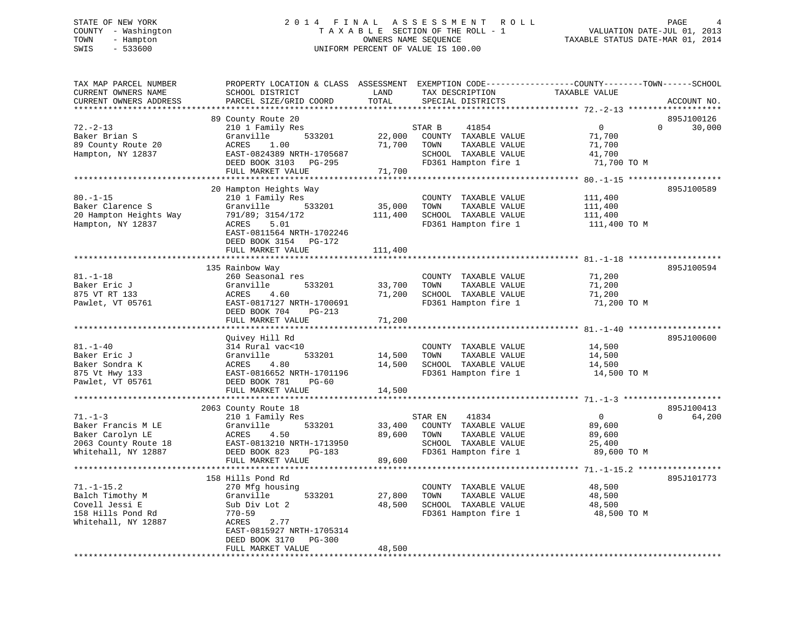# STATE OF NEW YORK 2 0 1 4 F I N A L A S S E S S M E N T R O L L PAGE 4 COUNTY - Washington T A X A B L E SECTION OF THE ROLL - 1 VALUATION DATE-JUL 01, 2013 TOWN - Hampton OWNERS NAME SEQUENCE TAXABLE STATUS DATE-MAR 01, 2014 SWIS - 533600 UNIFORM PERCENT OF VALUE IS 100.00

| TAX MAP PARCEL NUMBER<br>PROPERTY LOCATION & CLASS ASSESSMENT<br>EXEMPTION CODE-----------------COUNTY-------TOWN------SCHOOL<br>TAXABLE VALUE<br>CURRENT OWNERS NAME<br>SCHOOL DISTRICT<br>LAND<br>TAX DESCRIPTION |                                         |
|---------------------------------------------------------------------------------------------------------------------------------------------------------------------------------------------------------------------|-----------------------------------------|
| PARCEL SIZE/GRID COORD<br>TOTAL<br>CURRENT OWNERS ADDRESS<br>SPECIAL DISTRICTS                                                                                                                                      | ACCOUNT NO.                             |
| ******************<br>*******                                                                                                                                                                                       |                                         |
| 89 County Route 20                                                                                                                                                                                                  | 895J100126                              |
| $72. - 2 - 13$<br>210 1 Family Res<br>$\mathbf 0$<br>41854<br>STAR B                                                                                                                                                | $\Omega$<br>30,000                      |
| Baker Brian S<br>Granville<br>533201<br>22,000<br>COUNTY TAXABLE VALUE<br>71,700                                                                                                                                    |                                         |
| 89 County Route 20<br>ACRES<br>1.00<br>71,700<br>TOWN<br>TAXABLE VALUE<br>71,700                                                                                                                                    |                                         |
| Hampton, NY 12837<br>EAST-0824389 NRTH-1705687<br>SCHOOL TAXABLE VALUE<br>41,700                                                                                                                                    |                                         |
| DEED BOOK 3103<br>FD361 Hampton fire 1<br>71,700 TO M<br>PG-295                                                                                                                                                     |                                         |
| 71,700<br>FULL MARKET VALUE                                                                                                                                                                                         |                                         |
|                                                                                                                                                                                                                     |                                         |
| 20 Hampton Heights Way                                                                                                                                                                                              | 895J100589                              |
| $80. - 1 - 15$<br>210 1 Family Res<br>COUNTY TAXABLE VALUE<br>111,400                                                                                                                                               |                                         |
| Baker Clarence S<br>35,000<br>Granville<br>533201<br>TOWN<br>TAXABLE VALUE<br>111,400                                                                                                                               |                                         |
| 20 Hampton Heights Way<br>791/89; 3154/172<br>111,400<br>SCHOOL TAXABLE VALUE<br>111,400                                                                                                                            |                                         |
| Hampton, NY 12837<br>ACRES<br>5.01<br>FD361 Hampton fire 1<br>111,400 TO M                                                                                                                                          |                                         |
| EAST-0811564 NRTH-1702246                                                                                                                                                                                           |                                         |
| DEED BOOK 3154 PG-172                                                                                                                                                                                               |                                         |
| FULL MARKET VALUE<br>111,400                                                                                                                                                                                        |                                         |
|                                                                                                                                                                                                                     |                                         |
| 135 Rainbow Way                                                                                                                                                                                                     | 895J100594                              |
| $81. - 1 - 18$<br>260 Seasonal res<br>COUNTY TAXABLE VALUE<br>71,200                                                                                                                                                |                                         |
| Baker Eric J<br>Granville<br>533201<br>71,200<br>33,700<br>TOWN<br>TAXABLE VALUE                                                                                                                                    |                                         |
| 71,200<br>SCHOOL TAXABLE VALUE<br>875 VT RT 133<br>ACRES<br>4.60<br>71,200                                                                                                                                          |                                         |
| Pawlet, VT 05761<br>FD361 Hampton fire 1<br>71,200 TO M<br>EAST-0817127 NRTH-1700691                                                                                                                                |                                         |
| DEED BOOK 704<br>$PG-213$                                                                                                                                                                                           |                                         |
| FULL MARKET VALUE<br>71,200                                                                                                                                                                                         |                                         |
|                                                                                                                                                                                                                     |                                         |
| Ouivey Hill Rd                                                                                                                                                                                                      | 895J100600                              |
| $81. - 1 - 40$<br>314 Rural vac<10<br>14,500<br>COUNTY TAXABLE VALUE                                                                                                                                                |                                         |
| Baker Eric J<br>Granville<br>533201<br>14,500<br>TOWN<br>TAXABLE VALUE<br>14,500                                                                                                                                    |                                         |
| 14,500<br>Baker Sondra K<br>ACRES<br>4.80<br>SCHOOL TAXABLE VALUE<br>14,500                                                                                                                                         |                                         |
| 875 Vt Hwy 133<br>EAST-0816652 NRTH-1701196<br>FD361 Hampton fire 1<br>14,500 TO M                                                                                                                                  |                                         |
| Pawlet, VT 05761<br>DEED BOOK 781<br>$PG-60$                                                                                                                                                                        |                                         |
| FULL MARKET VALUE<br>14,500                                                                                                                                                                                         |                                         |
|                                                                                                                                                                                                                     |                                         |
| 2063 County Route 18                                                                                                                                                                                                | 895J100413                              |
| $71. - 1 - 3$<br>41834<br>$\overline{0}$<br>210 1 Family Res<br>STAR EN                                                                                                                                             | $\Omega$<br>64,200                      |
| Baker Francis M LE<br>COUNTY TAXABLE VALUE<br>89,600<br>Granville<br>533201<br>33,400                                                                                                                               |                                         |
| Baker Carolyn LE<br>89,600<br>ACRES<br>4.50<br>TOWN<br>TAXABLE VALUE<br>89,600                                                                                                                                      |                                         |
| 2063 County Route 18<br>EAST-0813210 NRTH-1713950<br>SCHOOL TAXABLE VALUE<br>25,400                                                                                                                                 |                                         |
| Whitehall, NY 12887<br>DEED BOOK 823<br>FD361 Hampton fire 1<br>89,600 TO M<br><b>PG-183</b>                                                                                                                        |                                         |
| 89,600<br>FULL MARKET VALUE                                                                                                                                                                                         |                                         |
| ********************                                                                                                                                                                                                | ********** 71.-1-15.2 ***************** |
| 158 Hills Pond Rd                                                                                                                                                                                                   | 895J101773                              |
| $71. - 1 - 15.2$<br>270 Mfg housing<br>48,500<br>COUNTY TAXABLE VALUE                                                                                                                                               |                                         |
| Balch Timothy M<br>Granville<br>533201<br>27,800<br>TOWN<br>TAXABLE VALUE<br>48,500                                                                                                                                 |                                         |
| Covell Jessi E<br>Sub Div Lot 2<br>48,500<br>SCHOOL TAXABLE VALUE<br>48,500                                                                                                                                         |                                         |
| 158 Hills Pond Rd<br>FD361 Hampton fire 1<br>48,500 TO M<br>770-59                                                                                                                                                  |                                         |
| Whitehall, NY 12887<br>ACRES<br>2.77                                                                                                                                                                                |                                         |
| EAST-0815927 NRTH-1705314                                                                                                                                                                                           |                                         |
| DEED BOOK 3170<br>$PG-300$                                                                                                                                                                                          |                                         |
| 48,500<br>FULL MARKET VALUE<br>* * * * * * * * * * * * * * * * * * * *                                                                                                                                              |                                         |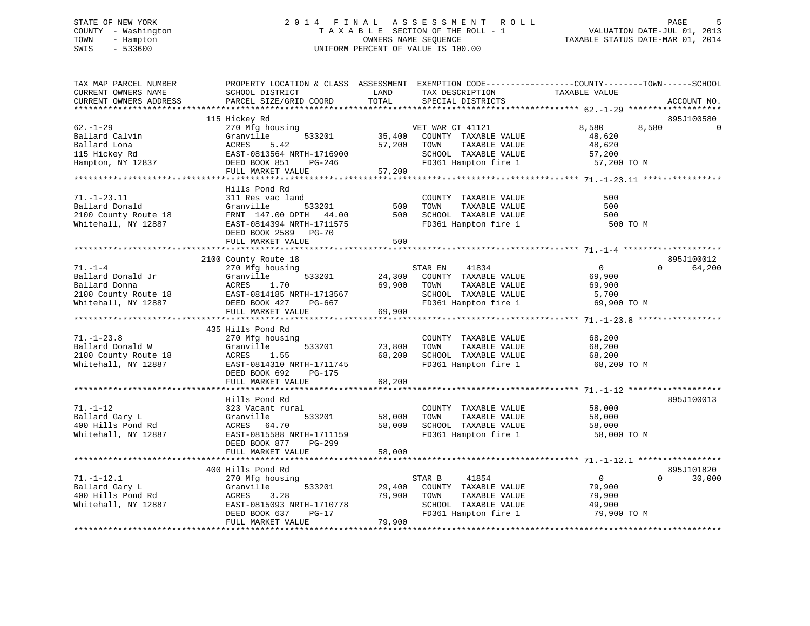# STATE OF NEW YORK 2 0 1 4 F I N A L A S S E S S M E N T R O L L PAGE 5 COUNTY - Washington T A X A B L E SECTION OF THE ROLL - 1 VALUATION DATE-JUL 01, 2013 TOWN - Hampton OWNERS NAME SEQUENCE TAXABLE STATUS DATE-MAR 01, 2014 SWIS - 533600 UNIFORM PERCENT OF VALUE IS 100.00

| TAX MAP PARCEL NUMBER<br>CURRENT OWNERS NAME | PROPERTY LOCATION & CLASS ASSESSMENT EXEMPTION CODE---------------COUNTY-------TOWN-----SCHOOL<br>SCHOOL DISTRICT | LAND             | TAX DESCRIPTION                               | TAXABLE VALUE         |                    |
|----------------------------------------------|-------------------------------------------------------------------------------------------------------------------|------------------|-----------------------------------------------|-----------------------|--------------------|
| CURRENT OWNERS ADDRESS                       | PARCEL SIZE/GRID COORD                                                                                            | TOTAL            | SPECIAL DISTRICTS                             |                       | ACCOUNT NO.        |
|                                              |                                                                                                                   |                  |                                               |                       |                    |
|                                              | 115 Hickey Rd                                                                                                     |                  |                                               |                       | 895J100580         |
| $62. - 1 - 29$                               | 270 Mfg housing                                                                                                   |                  | VET WAR CT 41121                              | 8,580                 | 8,580<br>$\Omega$  |
| Ballard Calvin<br>Ballard Lona               | Granville<br>533201<br>ACRES<br>5.42                                                                              | 35,400<br>57,200 | COUNTY TAXABLE VALUE<br>TAXABLE VALUE         | 48,620                |                    |
| 115 Hickey Rd                                | EAST-0813564 NRTH-1716900                                                                                         |                  | TOWN<br>SCHOOL TAXABLE VALUE                  | 48,620<br>57,200      |                    |
| Hampton, NY 12837                            | DEED BOOK 851<br>PG-246                                                                                           |                  | FD361 Hampton fire 1                          | 57,200 TO M           |                    |
|                                              | FULL MARKET VALUE                                                                                                 | 57,200           |                                               |                       |                    |
|                                              |                                                                                                                   |                  |                                               |                       |                    |
|                                              | Hills Pond Rd                                                                                                     |                  |                                               |                       |                    |
| $71. - 1 - 23.11$                            | 311 Res vac land                                                                                                  |                  | COUNTY TAXABLE VALUE                          | 500                   |                    |
| Ballard Donald                               | 533201<br>Granville                                                                                               | 500              | TAXABLE VALUE<br>TOWN                         | 500                   |                    |
| 2100 County Route 18                         | FRNT 147.00 DPTH 44.00                                                                                            | 500              | SCHOOL TAXABLE VALUE                          | 500                   |                    |
| Whitehall, NY 12887                          | EAST-0814394 NRTH-1711575                                                                                         |                  | FD361 Hampton fire 1                          | 500 TO M              |                    |
|                                              | DEED BOOK 2589 PG-70                                                                                              |                  |                                               |                       |                    |
|                                              | FULL MARKET VALUE                                                                                                 | 500              |                                               |                       |                    |
|                                              |                                                                                                                   |                  |                                               |                       |                    |
|                                              | 2100 County Route 18                                                                                              |                  |                                               |                       | 895J100012         |
| $71. - 1 - 4$                                | 270 Mfg housing                                                                                                   |                  | STAR EN<br>41834                              | $\overline{0}$        | $\Omega$<br>64,200 |
| Ballard Donald Jr                            | Granville<br>533201                                                                                               | 24,300           | COUNTY TAXABLE VALUE                          | 69,900                |                    |
| Ballard Donna                                | ACRES<br>1.70<br>EAST-0814185 NRTH-1713567                                                                        | 69,900           | TOWN<br>TAXABLE VALUE                         | 69,900                |                    |
| 2100 County Route 18                         |                                                                                                                   |                  | SCHOOL TAXABLE VALUE                          | 5,700                 |                    |
| Whitehall, NY 12887                          | DEED BOOK 427<br>PG-667                                                                                           |                  | FD361 Hampton fire 1                          | 69,900 TO M           |                    |
|                                              | FULL MARKET VALUE                                                                                                 | 69,900           |                                               |                       |                    |
|                                              | 435 Hills Pond Rd                                                                                                 |                  |                                               |                       |                    |
| $71. - 1 - 23.8$                             | 270 Mfg housing                                                                                                   |                  | COUNTY TAXABLE VALUE                          | 68,200                |                    |
| Ballard Donald W                             | Granville<br>533201                                                                                               | 23,800           | TOWN<br>TAXABLE VALUE                         | 68,200                |                    |
| 2100 County Route 18                         | ACRES<br>1.55                                                                                                     | 68,200           | SCHOOL TAXABLE VALUE                          | 68,200                |                    |
| Whitehall, NY 12887                          | EAST-0814310 NRTH-1711745                                                                                         |                  | FD361 Hampton fire 1                          | 68,200 TO M           |                    |
|                                              | DEED BOOK 692<br><b>PG-175</b>                                                                                    |                  |                                               |                       |                    |
|                                              | FULL MARKET VALUE                                                                                                 | 68,200           |                                               |                       |                    |
|                                              |                                                                                                                   |                  |                                               |                       |                    |
|                                              | Hills Pond Rd                                                                                                     |                  |                                               |                       | 895J100013         |
| $71. - 1 - 12$                               | 323 Vacant rural                                                                                                  |                  | COUNTY TAXABLE VALUE                          | 58,000                |                    |
| Ballard Gary L                               | Granville<br>533201                                                                                               | 58,000           | TOWN<br>TAXABLE VALUE                         | 58,000                |                    |
| 400 Hills Pond Rd                            | ACRES 64.70                                                                                                       | 58,000           | SCHOOL TAXABLE VALUE                          | 58,000                |                    |
| Whitehall, NY 12887                          | EAST-0815588 NRTH-1711159                                                                                         |                  | FD361 Hampton fire 1                          | 58,000 TO M           |                    |
|                                              | DEED BOOK 877<br>PG-299                                                                                           |                  |                                               |                       |                    |
|                                              | FULL MARKET VALUE                                                                                                 | 58,000           |                                               |                       |                    |
|                                              |                                                                                                                   |                  |                                               |                       |                    |
|                                              | 400 Hills Pond Rd                                                                                                 |                  |                                               |                       | 895J101820         |
| $71. - 1 - 12.1$                             | 270 Mfg housing                                                                                                   |                  | STAR B<br>41854                               | $\overline{0}$        | $\Omega$<br>30,000 |
| Ballard Gary L                               | 533201<br>Granville                                                                                               | 29,400           | COUNTY TAXABLE VALUE                          | 79,900                |                    |
| 400 Hills Pond Rd                            | 3.28<br>ACRES                                                                                                     | 79,900           | TAXABLE VALUE<br>TOWN<br>SCHOOL TAXABLE VALUE | 79,900                |                    |
| Whitehall, NY 12887                          | EAST-0815093 NRTH-1710778<br>DEED BOOK 637<br>PG-17                                                               |                  | FD361 Hampton fire 1                          | 49,900<br>79,900 TO M |                    |
|                                              | FULL MARKET VALUE                                                                                                 | 79,900           |                                               |                       |                    |
|                                              |                                                                                                                   |                  |                                               |                       |                    |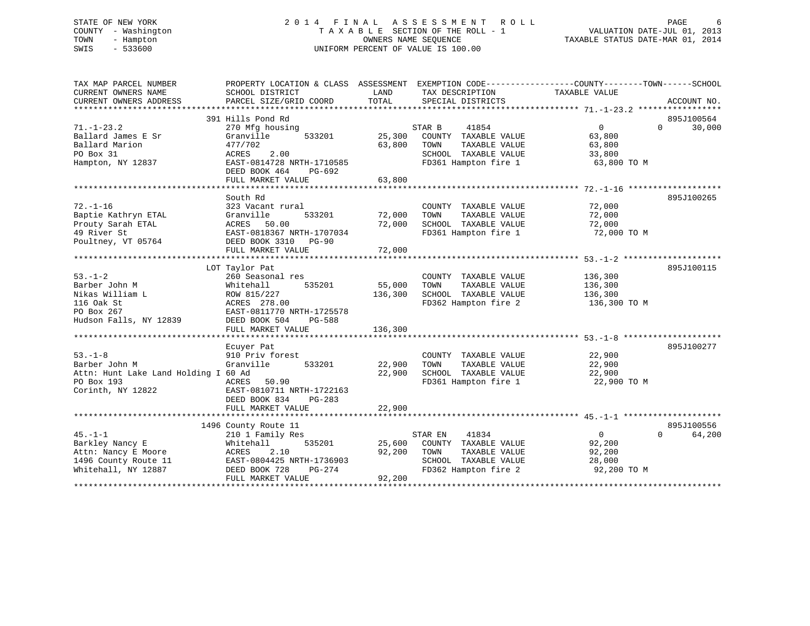# STATE OF NEW YORK 2 0 1 4 F I N A L A S S E S S M E N T R O L L PAGE 6 COUNTY - Washington T A X A B L E SECTION OF THE ROLL - 1 VALUATION DATE-JUL 01, 2013 TOWN - Hampton OWNERS NAME SEQUENCE TAXABLE STATUS DATE-MAR 01, 2014 SWIS - 533600 UNIFORM PERCENT OF VALUE IS 100.00

| TAX MAP PARCEL NUMBER<br>CURRENT OWNERS NAME<br>CURRENT OWNERS ADDRESS                                   | PROPERTY LOCATION & CLASS ASSESSMENT EXEMPTION CODE---------------COUNTY-------TOWN------SCHOOL<br>SCHOOL DISTRICT<br>PARCEL SIZE/GRID COORD                          | LAND<br>TOTAL                | TAX DESCRIPTION<br>SPECIAL DISTRICTS                                                                              | TAXABLE VALUE                                               | ACCOUNT NO.                      |
|----------------------------------------------------------------------------------------------------------|-----------------------------------------------------------------------------------------------------------------------------------------------------------------------|------------------------------|-------------------------------------------------------------------------------------------------------------------|-------------------------------------------------------------|----------------------------------|
| $71. - 1 - 23.2$<br>Ballard James E Sr<br>Ballard Marion<br>PO Box 31<br>Hampton, NY 12837               | 391 Hills Pond Rd<br>270 Mfg housing<br>Granville<br>533201<br>477/702<br>2.00<br>ACRES<br>EAST-0814728 NRTH-1710585<br>DEED BOOK 464<br>$PG-692$                     | 25,300<br>63,800             | STAR B<br>41854<br>COUNTY TAXABLE VALUE<br>TAXABLE VALUE<br>TOWN<br>SCHOOL TAXABLE VALUE<br>FD361 Hampton fire 1  | $\Omega$<br>63,800<br>63,800<br>33,800<br>63,800 TO M       | 895J100564<br>30,000<br>$\Omega$ |
|                                                                                                          | FULL MARKET VALUE                                                                                                                                                     | 63,800                       |                                                                                                                   |                                                             |                                  |
| $72. - 1 - 16$<br>Baptie Kathryn ETAL<br>Prouty Sarah ETAL<br>49 River St<br>Poultney, VT 05764          | South Rd<br>323 Vacant rural<br>533201<br>Granville<br>ACRES<br>50.00<br>EAST-0818367 NRTH-1707034<br>DEED BOOK 3310 PG-90<br>FULL MARKET VALUE                       | 72,000<br>72,000<br>72,000   | COUNTY TAXABLE VALUE<br>TAXABLE VALUE<br>TOWN<br>SCHOOL TAXABLE VALUE<br>FD361 Hampton fire 1                     | 72,000<br>72,000<br>72,000<br>72,000 TO M                   | 895J100265                       |
|                                                                                                          |                                                                                                                                                                       |                              |                                                                                                                   |                                                             |                                  |
| $53. - 1 - 2$<br>Barber John M<br>Nikas William L<br>116 Oak St<br>PO Box 267<br>Hudson Falls, NY 12839  | LOT Taylor Pat<br>260 Seasonal res<br>Whitehall<br>535201<br>ROW 815/227<br>ACRES 278.00<br>EAST-0811770 NRTH-1725578<br>DEED BOOK 504<br>PG-588<br>FULL MARKET VALUE | 55,000<br>136,300<br>136,300 | COUNTY TAXABLE VALUE<br>TOWN<br>TAXABLE VALUE<br>SCHOOL TAXABLE VALUE<br>FD362 Hampton fire 2                     | 136,300<br>136,300<br>136,300<br>136,300 TO M               | 895J100115                       |
|                                                                                                          | Ecuyer Pat                                                                                                                                                            |                              |                                                                                                                   |                                                             | 895J100277                       |
| $53 - 1 - 8$<br>Barber John M<br>Attn: Hunt Lake Land Holding I 60 Ad<br>PO Box 193<br>Corinth, NY 12822 | 910 Priv forest<br>Granville<br>533201<br>ACRES<br>50.90<br>EAST-0810711 NRTH-1722163<br>DEED BOOK 834<br>$PG-283$<br>FULL MARKET VALUE                               | 22,900<br>22,900<br>22,900   | COUNTY TAXABLE VALUE<br>TOWN<br>TAXABLE VALUE<br>SCHOOL TAXABLE VALUE<br>FD361 Hampton fire 1                     | 22,900<br>22,900<br>22,900<br>22,900 TO M                   |                                  |
|                                                                                                          |                                                                                                                                                                       |                              |                                                                                                                   |                                                             |                                  |
| $45. - 1 - 1$<br>Barkley Nancy E<br>Attn: Nancy E Moore<br>1496 County Route 11<br>Whitehall, NY 12887   | 1496 County Route 11<br>210 1 Family Res<br>Whitehall<br>535201<br>ACRES<br>2.10<br>EAST-0804425 NRTH-1736903<br>DEED BOOK 728<br>PG-274<br>FULL MARKET VALUE         | 25,600<br>92,200<br>92,200   | STAR EN<br>41834<br>COUNTY TAXABLE VALUE<br>TOWN<br>TAXABLE VALUE<br>SCHOOL TAXABLE VALUE<br>FD362 Hampton fire 2 | $\overline{0}$<br>92,200<br>92,200<br>28,000<br>92,200 TO M | 895J100556<br>$\Omega$<br>64,200 |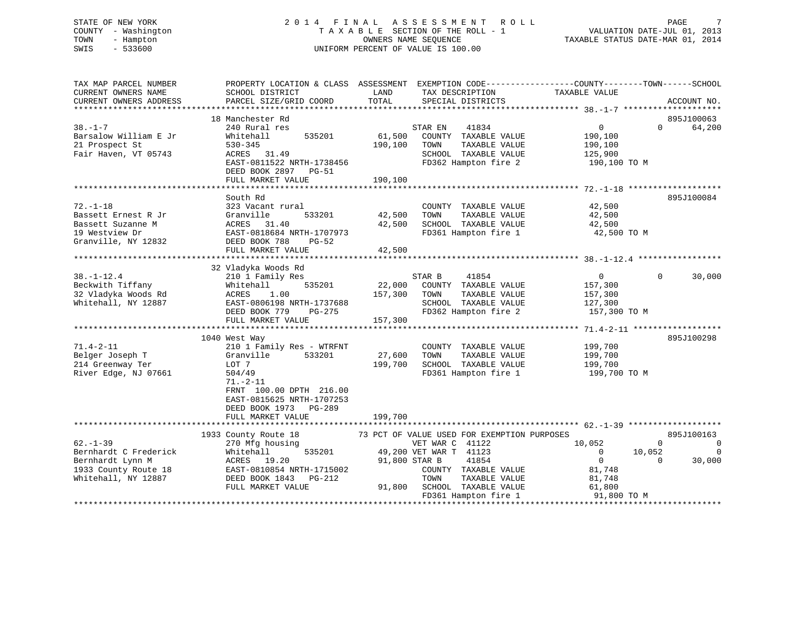# STATE OF NEW YORK 2 0 1 4 F I N A L A S S E S S M E N T R O L L PAGE 7 COUNTY - Washington T A X A B L E SECTION OF THE ROLL - 1 VALUATION DATE-JUL 01, 2013 TOWN - Hampton OWNERS NAME SEQUENCE TAXABLE STATUS DATE-MAR 01, 2014 SWIS - 533600 UNIFORM PERCENT OF VALUE IS 100.00

| TAX MAP PARCEL NUMBER<br>CURRENT OWNERS NAME<br>CURRENT OWNERS ADDRESS                                    | PROPERTY LOCATION & CLASS ASSESSMENT EXEMPTION CODE---------------COUNTY-------TOWN------SCHOOL<br>SCHOOL DISTRICT<br>PARCEL SIZE/GRID COORD                                                                 | LAND<br>TOTAL                          | TAX DESCRIPTION<br>SPECIAL DISTRICTS                                                                                                                                                                      | TAXABLE VALUE                                                                                   | ACCOUNT NO.                                                      |
|-----------------------------------------------------------------------------------------------------------|--------------------------------------------------------------------------------------------------------------------------------------------------------------------------------------------------------------|----------------------------------------|-----------------------------------------------------------------------------------------------------------------------------------------------------------------------------------------------------------|-------------------------------------------------------------------------------------------------|------------------------------------------------------------------|
| $38. - 1 - 7$<br>Barsalow William E Jr<br>21 Prospect St<br>Fair Haven, VT 05743                          | 18 Manchester Rd<br>240 Rural res<br>535201<br>Whitehall<br>$530 - 345$<br>ACRES 31.49<br>EAST-0811522 NRTH-1738456<br>DEED BOOK 2897 PG-51<br>FULL MARKET VALUE                                             | 61,500<br>190,100<br>190,100           | STAR EN<br>41834<br>COUNTY TAXABLE VALUE<br>TAXABLE VALUE<br>TOWN<br>SCHOOL TAXABLE VALUE<br>FD362 Hampton fire 2                                                                                         | $\overline{0}$<br>190,100<br>190,100<br>125,900<br>190,100 TO M                                 | 895J100063<br>64,200<br>$\Omega$                                 |
| $72. - 1 - 18$<br>Bassett Ernest R Jr<br>Bassett Suzanne M<br>19 Westview Dr<br>Granville, NY 12832       | South Rd<br>323 Vacant rural<br>Granville<br>533201<br>ACRES 31.40<br>EAST-0818684 NRTH-1707973<br>DEED BOOK 788<br>$PG-52$<br>FULL MARKET VALUE                                                             | 42,500<br>42,500<br>42,500             | COUNTY TAXABLE VALUE<br>TOWN<br>TAXABLE VALUE<br>SCHOOL TAXABLE VALUE<br>FD361 Hampton fire 1                                                                                                             | 42,500<br>42,500<br>42,500<br>42,500 TO M                                                       | 895J100084                                                       |
| $38. - 1 - 12.4$<br>Beckwith Tiffany<br>32 Vladyka Woods Rd<br>Whitehall, NY 12887                        | 32 Vladyka Woods Rd<br>210 1 Family Res<br>Whitehall<br>535201<br>1.00<br>ACRES<br>EAST-0806198 NRTH-1737688<br>DEED BOOK 779<br>PG-275<br>FULL MARKET VALUE                                                 | STAR B<br>22,000<br>157,300<br>157,300 | 41854<br>COUNTY TAXABLE VALUE<br>TAXABLE VALUE<br>TOWN<br>SCHOOL TAXABLE VALUE<br>FD362 Hampton fire 2                                                                                                    | $\overline{0}$<br>157,300<br>157,300<br>127,300<br>157,300 TO M                                 | $\Omega$<br>30,000                                               |
| $71.4 - 2 - 11$<br>Belger Joseph T<br>214 Greenway Ter<br>River Edge, NJ 07661                            | 1040 West Way<br>210 1 Family Res - WTRFNT<br>Granville<br>533201<br>LOT 7<br>504/49<br>$71. - 2 - 11$<br>FRNT 100.00 DPTH 216.00<br>EAST-0815625 NRTH-1707253<br>DEED BOOK 1973 PG-289<br>FULL MARKET VALUE | 27,600<br>199,700<br>199,700           | COUNTY TAXABLE VALUE<br>TOWN<br>TAXABLE VALUE<br>SCHOOL TAXABLE VALUE<br>FD361 Hampton fire 1                                                                                                             | 199,700<br>199,700<br>199,700<br>199,700 TO M                                                   | 895J100298                                                       |
| $62 - 1 - 39$<br>Bernhardt C Frederick<br>Bernhardt Lynn M<br>1933 County Route 18<br>Whitehall, NY 12887 | 1933 County Route 18<br>270 Mfg housing<br>Whitehall<br>535201<br>ACRES 19.20<br>EAST-0810854 NRTH-1715002<br>DEED BOOK 1843 PG-212<br>FULL MARKET VALUE                                                     | 91,800 STAR B                          | 73 PCT OF VALUE USED FOR EXEMPTION PURPOSES<br>VET WAR C 41122<br>49,200 VET WAR T 41123<br>41854<br>COUNTY TAXABLE VALUE<br>TOWN<br>TAXABLE VALUE<br>91,800 SCHOOL TAXABLE VALUE<br>FD361 Hampton fire 1 | 10,052<br>$\overline{0}$<br>10,052<br>$\mathbf{0}$<br>81,748<br>81,748<br>61,800<br>91,800 TO M | 895J100163<br>$\Omega$<br>$\mathbf 0$<br>0<br>30,000<br>$\Omega$ |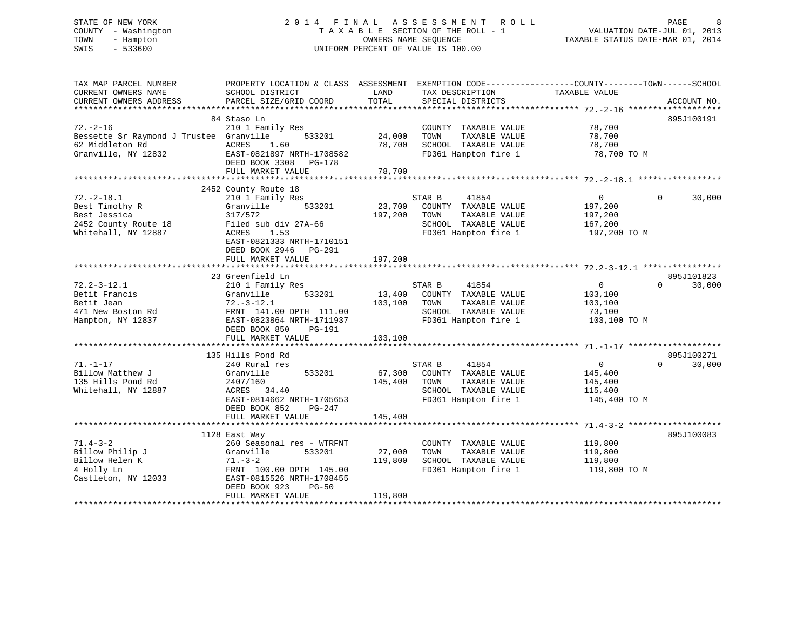# STATE OF NEW YORK 2 0 1 4 F I N A L A S S E S S M E N T R O L L PAGE 8 COUNTY - Washington T A X A B L E SECTION OF THE ROLL - 1 VALUATION DATE-JUL 01, 2013 TOWN - Hampton OWNERS NAME SEQUENCE TAXABLE STATUS DATE-MAR 01, 2014 SWIS - 533600 UNIFORM PERCENT OF VALUE IS 100.00

TAX MAP PARCEL NUMBER PROPERTY LOCATION & CLASS ASSESSMENT EXEMPTION CODE------------------COUNTY--------TOWN------SCHOOL CURRENT OWNERS NAME SCHOOL DISTRICT LAND TAX DESCRIPTION TAXABLE VALUE CURRENT OWNERS ADDRESS PARCEL SIZE/GRID COORD TOTAL SPECIAL DISTRICTS ACCOUNT NO. \*\*\*\*\*\*\*\*\*\*\*\*\*\*\*\*\*\*\*\*\*\*\*\*\*\*\*\*\*\*\*\*\*\*\*\*\*\*\*\*\*\*\*\*\*\*\*\*\*\*\*\*\*\*\*\*\*\*\*\*\*\*\*\*\*\*\*\*\*\*\*\*\*\*\*\*\*\*\*\*\*\*\*\*\*\*\*\*\*\*\*\*\*\*\*\*\*\*\*\*\*\*\* 72.-2-16 \*\*\*\*\*\*\*\*\*\*\*\*\*\*\*\*\*\*\* 84 Staso Ln 895J10019172.-2-16 210 1 Family Res COUNTY TAXABLE VALUE 78,700 Bessette Sr Raymond J Trustee Granville 533201 24,000 TOWN TAXABLE VALUE 78,700 62 Middleton Rd ACRES 1.60 78,700 SCHOOL TAXABLE VALUE 78,700 Granville, NY 12832 EAST-0821897 NRTH-1708582 FD361 Hampton fire 1 78,700 TO M DEED BOOK 3308 PG-178FULL MARKET VALUE 78,700 \*\*\*\*\*\*\*\*\*\*\*\*\*\*\*\*\*\*\*\*\*\*\*\*\*\*\*\*\*\*\*\*\*\*\*\*\*\*\*\*\*\*\*\*\*\*\*\*\*\*\*\*\*\*\*\*\*\*\*\*\*\*\*\*\*\*\*\*\*\*\*\*\*\*\*\*\*\*\*\*\*\*\*\*\*\*\*\*\*\*\*\*\*\*\*\*\*\*\*\*\*\*\* 72.-2-18.1 \*\*\*\*\*\*\*\*\*\*\*\*\*\*\*\*\* 2452 County Route 18 72.-2-18.1 210 1 Family Res STAR B 41854 0 0 30,000 Best Timothy R Granville 533201 23,700 COUNTY TAXABLE VALUE 197,200 Best Jessica 317/572 197,200 TOWN TAXABLE VALUE 197,200 2452 County Route 18 Filed sub div 27A-66 SCHOOL TAXABLE VALUE 167,200 Whitehall, NY 12887 ACRES 1.53 FD361 Hampton fire 1 197,200 TO M EAST-0821333 NRTH-1710151 DEED BOOK 2946 PG-291 FULL MARKET VALUE 197,200 \*\*\*\*\*\*\*\*\*\*\*\*\*\*\*\*\*\*\*\*\*\*\*\*\*\*\*\*\*\*\*\*\*\*\*\*\*\*\*\*\*\*\*\*\*\*\*\*\*\*\*\*\*\*\*\*\*\*\*\*\*\*\*\*\*\*\*\*\*\*\*\*\*\*\*\*\*\*\*\*\*\*\*\*\*\*\*\*\*\*\*\*\*\*\*\*\*\*\*\*\*\*\* 72.2-3-12.1 \*\*\*\*\*\*\*\*\*\*\*\*\*\*\*\* 23 Greenfield Ln 895J101823 $0 \t 30.000$ 72.2-3-12.1 210 1 Family Res STAR B 41854 0 0 30,000 Betit Francis Granville 533201 13,400 COUNTY TAXABLE VALUE 103,100 Betit Jean 72.-3-12.1 103,100 TOWN TAXABLE VALUE 103,100 471 New Boston Rd FRNT 141.00 DPTH 111.00 SCHOOL TAXABLE VALUE 73,100 Hampton, NY 12837 EAST-0823864 NRTH-1711937 FD361 Hampton fire 1 103,100 TO M DEED BOOK 850 PG-191 FULL MARKET VALUE 103,100 \*\*\*\*\*\*\*\*\*\*\*\*\*\*\*\*\*\*\*\*\*\*\*\*\*\*\*\*\*\*\*\*\*\*\*\*\*\*\*\*\*\*\*\*\*\*\*\*\*\*\*\*\*\*\*\*\*\*\*\*\*\*\*\*\*\*\*\*\*\*\*\*\*\*\*\*\*\*\*\*\*\*\*\*\*\*\*\*\*\*\*\*\*\*\*\*\*\*\*\*\*\*\* 71.-1-17 \*\*\*\*\*\*\*\*\*\*\*\*\*\*\*\*\*\*\* 135 Hills Pond Rd 895J100271 $0 \t 30,000$ 71.-1-17 240 Rural res STAR B 41854 0 0 30,000 Billow Matthew J Granville 533201 67,300 COUNTY TAXABLE VALUE 145,400 135 Hills Pond Rd 2407/160 145,400 TOWN TAXABLE VALUE 145,400 Whitehall, NY 12887 ACRES 34.40 SCHOOL TAXABLE VALUE 115,400 EAST-0814662 NRTH-1705653 FD361 Hampton fire 1 145,400 TO M DEED BOOK 852 PG-247FULL MARKET VALUE 145,400 \*\*\*\*\*\*\*\*\*\*\*\*\*\*\*\*\*\*\*\*\*\*\*\*\*\*\*\*\*\*\*\*\*\*\*\*\*\*\*\*\*\*\*\*\*\*\*\*\*\*\*\*\*\*\*\*\*\*\*\*\*\*\*\*\*\*\*\*\*\*\*\*\*\*\*\*\*\*\*\*\*\*\*\*\*\*\*\*\*\*\*\*\*\*\*\*\*\*\*\*\*\*\* 71.4-3-2 \*\*\*\*\*\*\*\*\*\*\*\*\*\*\*\*\*\*\* 1128 East Way 895J100083 71.4-3-2 260 Seasonal res - WTRFNT COUNTY TAXABLE VALUE 119,800 Billow Philip J Granville 533201 27,000 TOWN TAXABLE VALUE 119,800 Billow Helen K 71.-3-2 119,800 SCHOOL TAXABLE VALUE 119,800 4 Holly Ln FRNT 100.00 DPTH 145.00 FD361 Hampton fire 1 119,800 TO M Castleton, NY 12033 EAST-0815526 NRTH-1708455 DEED BOOK 923 PG-50FULL MARKET VALUE 119,800 \*\*\*\*\*\*\*\*\*\*\*\*\*\*\*\*\*\*\*\*\*\*\*\*\*\*\*\*\*\*\*\*\*\*\*\*\*\*\*\*\*\*\*\*\*\*\*\*\*\*\*\*\*\*\*\*\*\*\*\*\*\*\*\*\*\*\*\*\*\*\*\*\*\*\*\*\*\*\*\*\*\*\*\*\*\*\*\*\*\*\*\*\*\*\*\*\*\*\*\*\*\*\*\*\*\*\*\*\*\*\*\*\*\*\*\*\*\*\*\*\*\*\*\*\*\*\*\*\*\*\*\*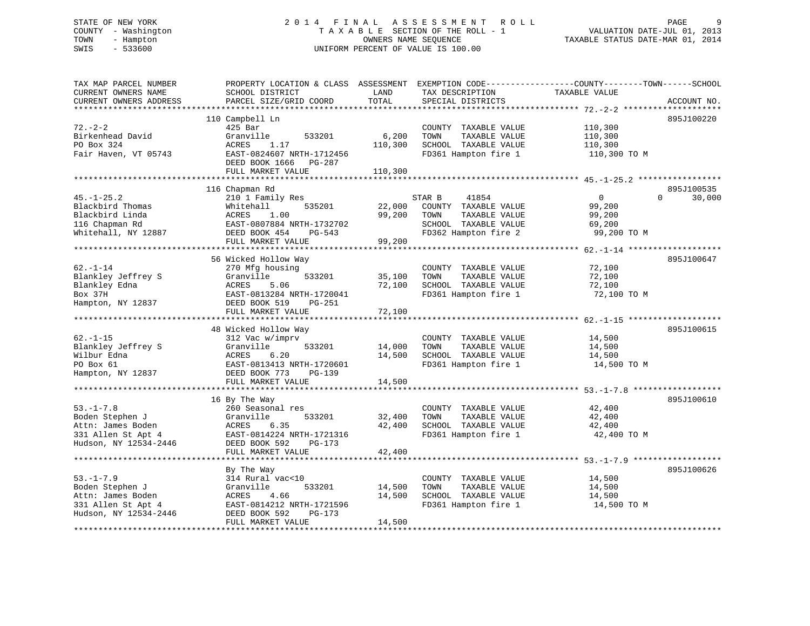# STATE OF NEW YORK 2 0 1 4 F I N A L A S S E S S M E N T R O L L PAGE 9 COUNTY - Washington T A X A B L E SECTION OF THE ROLL - 1 VALUATION DATE-JUL 01, 2013 TOWN - Hampton OWNERS NAME SEQUENCE TAXABLE STATUS DATE-MAR 01, 2014 SWIS - 533600 UNIFORM PERCENT OF VALUE IS 100.00

| TAX MAP PARCEL NUMBER<br>CURRENT OWNERS NAME<br>CURRENT OWNERS ADDRESS | PROPERTY LOCATION & CLASS ASSESSMENT<br>SCHOOL DISTRICT<br>PARCEL SIZE/GRID COORD | LAND<br>TOTAL                     | TAX DESCRIPTION<br>SPECIAL DISTRICTS          | EXEMPTION CODE-----------------COUNTY-------TOWN------SCHOOL<br>TAXABLE VALUE | ACCOUNT NO. |
|------------------------------------------------------------------------|-----------------------------------------------------------------------------------|-----------------------------------|-----------------------------------------------|-------------------------------------------------------------------------------|-------------|
|                                                                        |                                                                                   |                                   |                                               |                                                                               |             |
|                                                                        | 110 Campbell Ln                                                                   |                                   |                                               |                                                                               | 895J100220  |
| $72. - 2 - 2$                                                          | $425$ Bar                                                                         |                                   | COUNTY TAXABLE VALUE                          | 110,300                                                                       |             |
| Birkenhead David                                                       | Granville<br>533201                                                               | 6,200                             | TOWN<br>TAXABLE VALUE                         | 110,300                                                                       |             |
| PO Box 324                                                             | ACRES<br>1.17                                                                     | 110,300                           | SCHOOL TAXABLE VALUE                          | 110,300                                                                       |             |
| Fair Haven, VT 05743                                                   | EAST-0824607 NRTH-1712456                                                         |                                   | FD361 Hampton fire 1                          | 110,300 TO M                                                                  |             |
|                                                                        | DEED BOOK 1666<br>PG-287                                                          |                                   |                                               |                                                                               |             |
|                                                                        | FULL MARKET VALUE<br>**********************                                       | 110,300                           |                                               |                                                                               |             |
|                                                                        | 116 Chapman Rd                                                                    |                                   |                                               |                                                                               | 895J100535  |
| $45. - 1 - 25.2$                                                       | 210 1 Family Res                                                                  |                                   | STAR B<br>41854                               | $\Omega$<br>$\Omega$                                                          | 30,000      |
| Blackbird Thomas                                                       | 535201<br>Whitehall                                                               | 22,000                            | COUNTY TAXABLE VALUE                          | 99,200                                                                        |             |
| Blackbird Linda                                                        | 1.00<br>ACRES                                                                     | 99,200                            | TOWN<br>TAXABLE VALUE                         | 99,200                                                                        |             |
| 116 Chapman Rd                                                         | EAST-0807884 NRTH-1732702                                                         |                                   | SCHOOL TAXABLE VALUE                          | 69,200                                                                        |             |
| Whitehall, NY 12887                                                    | DEED BOOK 454<br>PG-543                                                           |                                   | FD362 Hampton fire 2                          | 99,200 TO M                                                                   |             |
|                                                                        | FULL MARKET VALUE                                                                 | 99,200                            |                                               |                                                                               |             |
|                                                                        |                                                                                   |                                   |                                               | ********** 62.-1-14 ****                                                      |             |
|                                                                        | 56 Wicked Hollow Way                                                              |                                   |                                               |                                                                               | 895J100647  |
| $62. - 1 - 14$                                                         | 270 Mfg housing                                                                   |                                   | COUNTY TAXABLE VALUE                          | 72,100                                                                        |             |
| Blankley Jeffrey S                                                     | Granville<br>533201                                                               | 35,100                            | TAXABLE VALUE<br>TOWN                         | 72,100                                                                        |             |
| Blankley Edna                                                          | ACRES<br>5.06                                                                     | 72,100                            | SCHOOL TAXABLE VALUE                          | 72,100                                                                        |             |
| Box 37H                                                                | EAST-0813284 NRTH-1720041                                                         |                                   | FD361 Hampton fire 1                          | 72,100 TO M                                                                   |             |
| Hampton, NY 12837                                                      | DEED BOOK 519<br><b>PG-251</b>                                                    |                                   |                                               |                                                                               |             |
|                                                                        | FULL MARKET VALUE<br>* * * * * * * * * * * * * * * * * * * *                      | 72,100<br>* * * * * * * * * * * * | ******************************                |                                                                               |             |
|                                                                        |                                                                                   |                                   |                                               | $62. -1 - 15$ *******************                                             |             |
|                                                                        | 48 Wicked Hollow Way                                                              |                                   |                                               |                                                                               | 895J100615  |
| $62. - 1 - 15$<br>Blankley Jeffrey S                                   | 312 Vac w/imprv<br>Granville<br>533201                                            | 14,000                            | COUNTY TAXABLE VALUE<br>TOWN<br>TAXABLE VALUE | 14,500<br>14,500                                                              |             |
| Wilbur Edna                                                            | ACRES<br>6.20                                                                     | 14,500                            | SCHOOL TAXABLE VALUE                          | 14,500                                                                        |             |
| PO Box 61                                                              | EAST-0813413 NRTH-1720601                                                         |                                   | FD361 Hampton fire 1                          | 14,500 TO M                                                                   |             |
| Hampton, NY 12837                                                      | DEED BOOK 773<br>$PG-139$                                                         |                                   |                                               |                                                                               |             |
|                                                                        | FULL MARKET VALUE                                                                 | 14,500                            |                                               |                                                                               |             |
|                                                                        |                                                                                   |                                   |                                               | ************************ 53.-1-7.8 *******************                        |             |
|                                                                        | 16 By The Way                                                                     |                                   |                                               |                                                                               | 895J100610  |
| $53. - 1 - 7.8$                                                        | 260 Seasonal res                                                                  |                                   | COUNTY TAXABLE VALUE                          | 42,400                                                                        |             |
| Boden Stephen J                                                        | Granville<br>533201                                                               | 32,400                            | TOWN<br>TAXABLE VALUE                         | 42,400                                                                        |             |
| Attn: James Boden                                                      | ACRES<br>6.35                                                                     | 42,400                            | SCHOOL TAXABLE VALUE                          | 42,400                                                                        |             |
| 331 Allen St Apt 4                                                     | EAST-0814224 NRTH-1721316                                                         |                                   | FD361 Hampton fire 1                          | 42,400 TO M                                                                   |             |
| Hudson, NY 12534-2446                                                  | DEED BOOK 592<br>PG-173                                                           |                                   |                                               |                                                                               |             |
|                                                                        | FULL MARKET VALUE                                                                 | 42,400                            |                                               |                                                                               |             |
|                                                                        |                                                                                   | **********                        |                                               | ******************************** 53.-1-7.9 ******************                 |             |
|                                                                        | By The Way                                                                        |                                   |                                               |                                                                               | 895J100626  |
| $53. - 1 - 7.9$                                                        | 314 Rural vac<10                                                                  |                                   | COUNTY TAXABLE VALUE                          | 14,500                                                                        |             |
| Boden Stephen J                                                        | Granville<br>533201                                                               | 14,500                            | TOWN<br>TAXABLE VALUE                         | 14,500                                                                        |             |
| Attn: James Boden                                                      | ACRES<br>4.66                                                                     | 14,500                            | SCHOOL TAXABLE VALUE                          | 14,500                                                                        |             |
| 331 Allen St Apt 4<br>Hudson, NY 12534-2446                            | EAST-0814212 NRTH-1721596<br>DEED BOOK 592<br>PG-173                              |                                   | FD361 Hampton fire 1                          | 14,500 TO M                                                                   |             |
|                                                                        | FULL MARKET VALUE                                                                 | 14,500                            |                                               |                                                                               |             |
|                                                                        |                                                                                   |                                   |                                               |                                                                               |             |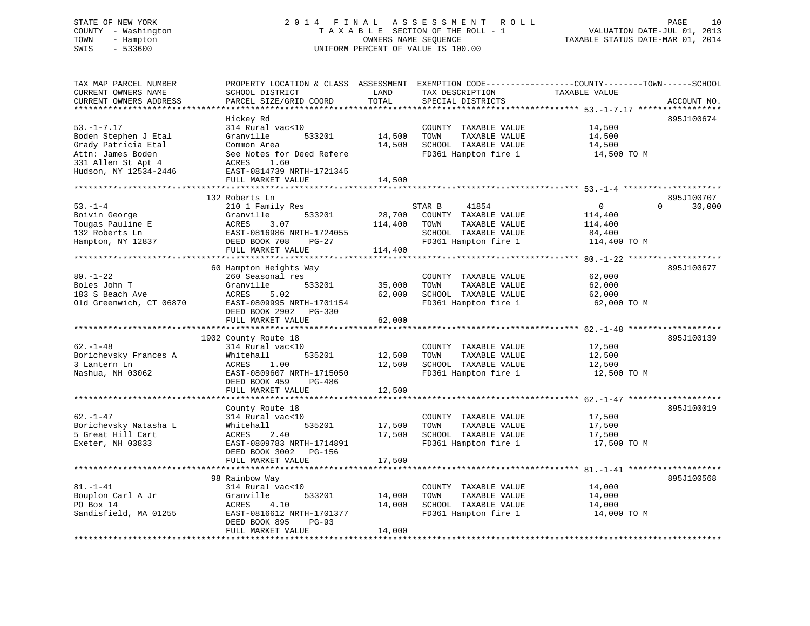# STATE OF NEW YORK 2 0 1 4 F I N A L A S S E S S M E N T R O L L PAGE 10 COUNTY - Washington T A X A B L E SECTION OF THE ROLL - 1 VALUATION DATE-JUL 01, 2013 TOWN - Hampton OWNERS NAME SEQUENCE TAXABLE STATUS DATE-MAR 01, 2014 SWIS - 533600 UNIFORM PERCENT OF VALUE IS 100.00

| TAX MAP PARCEL NUMBER<br>CURRENT OWNERS NAME<br>CURRENT OWNERS ADDRESS<br>********************                                      | PROPERTY LOCATION & CLASS ASSESSMENT<br>SCHOOL DISTRICT<br>PARCEL SIZE/GRID COORD                                                                                                          | LAND<br>TOTAL<br>*********                | TAX DESCRIPTION<br>SPECIAL DISTRICTS                                                                             | EXEMPTION CODE-----------------COUNTY-------TOWN------SCHOOL<br>TAXABLE VALUE<br>************************************ 53.-1-7.17 ********** | ACCOUNT NO.                      |
|-------------------------------------------------------------------------------------------------------------------------------------|--------------------------------------------------------------------------------------------------------------------------------------------------------------------------------------------|-------------------------------------------|------------------------------------------------------------------------------------------------------------------|---------------------------------------------------------------------------------------------------------------------------------------------|----------------------------------|
| $53. - 1 - 7.17$<br>Boden Stephen J Etal<br>Grady Patricia Etal<br>Attn: James Boden<br>331 Allen St Apt 4<br>Hudson, NY 12534-2446 | Hickey Rd<br>314 Rural vac<10<br>Granville<br>533201<br>Common Area<br>See Notes for Deed Refere<br>ACRES<br>1.60<br>EAST-0814739 NRTH-1721345<br>FULL MARKET VALUE                        | 14,500<br>14,500<br>14,500                | COUNTY TAXABLE VALUE<br>TAXABLE VALUE<br>TOWN<br>SCHOOL TAXABLE VALUE<br>FD361 Hampton fire 1                    | 14,500<br>14,500<br>14,500<br>14,500 TO M                                                                                                   | 895J100674                       |
| *********************<br>$53. - 1 - 4$<br>Boivin George<br>Tougas Pauline E<br>132 Roberts Ln<br>Hampton, NY 12837                  | 132 Roberts Ln<br>210 1 Family Res<br>533201<br>Granville<br>3.07<br>ACRES<br>EAST-0816986 NRTH-1724055<br>DEED BOOK 708<br>PG-27<br>FULL MARKET VALUE                                     | 28,700<br>114,400<br>114,400              | STAR B<br>41854<br>COUNTY TAXABLE VALUE<br>TOWN<br>TAXABLE VALUE<br>SCHOOL TAXABLE VALUE<br>FD361 Hampton fire 1 | $\overline{0}$<br>114,400<br>114,400<br>84,400<br>114,400 TO M                                                                              | 895J100707<br>$\Omega$<br>30,000 |
| $80. - 1 - 22$<br>Boles John T<br>183 S Beach Ave<br>Old Greenwich, CT 06870                                                        | 60 Hampton Heights Way<br>260 Seasonal res<br>Granville<br>533201<br>ACRES<br>5.02<br>EAST-0809995 NRTH-1701154<br>DEED BOOK 2902<br>PG-330<br>FULL MARKET VALUE                           | 35,000<br>62,000<br>62,000                | COUNTY TAXABLE VALUE<br>TOWN<br>TAXABLE VALUE<br>SCHOOL TAXABLE VALUE<br>FD361 Hampton fire 1                    | 62,000<br>62,000<br>62,000<br>62,000 TO M                                                                                                   | 895J100677                       |
| $62. - 1 - 48$<br>Borichevsky Frances A<br>3 Lantern Ln<br>Nashua, NH 03062                                                         | 1902 County Route 18<br>314 Rural vac<10<br>Whitehall<br>535201<br>1.00<br>ACRES<br>EAST-0809607 NRTH-1715050<br>DEED BOOK 459<br>PG-486<br>FULL MARKET VALUE                              | 12,500<br>12,500<br>12,500                | COUNTY TAXABLE VALUE<br>TAXABLE VALUE<br>TOWN<br>SCHOOL TAXABLE VALUE<br>FD361 Hampton fire 1                    | 12,500<br>12,500<br>12,500<br>12,500 TO M                                                                                                   | 895J100139                       |
| $62. - 1 - 47$<br>Borichevsky Natasha L<br>5 Great Hill Cart<br>Exeter, NH 03833                                                    | *****************************<br>County Route 18<br>314 Rural vac<10<br>535201<br>Whitehall<br>2.40<br>ACRES<br>EAST-0809783 NRTH-1714891<br>DEED BOOK 3002<br>PG-156<br>FULL MARKET VALUE | 17,500<br>17,500<br>17,500                | COUNTY TAXABLE VALUE<br>TOWN<br>TAXABLE VALUE<br>SCHOOL TAXABLE VALUE<br>FD361 Hampton fire 1                    | 17,500<br>17,500<br>17,500<br>17,500 TO M                                                                                                   | 895J100019                       |
| $81. - 1 - 41$<br>Bouplon Carl A Jr<br>PO Box 14<br>Sandisfield, MA 01255                                                           | ***********************<br>98 Rainbow Way<br>314 Rural vac<10<br>533201<br>Granville<br><b>ACRES</b><br>4.10<br>EAST-0816612 NRTH-1701377<br>DEED BOOK 895<br>$PG-93$<br>FULL MARKET VALUE | ***********<br>14,000<br>14,000<br>14,000 | COUNTY TAXABLE VALUE<br>TOWN<br>TAXABLE VALUE<br>SCHOOL TAXABLE VALUE<br>FD361 Hampton fire 1                    | 14,000<br>14,000<br>14,000<br>14,000 TO M                                                                                                   | 895J100568                       |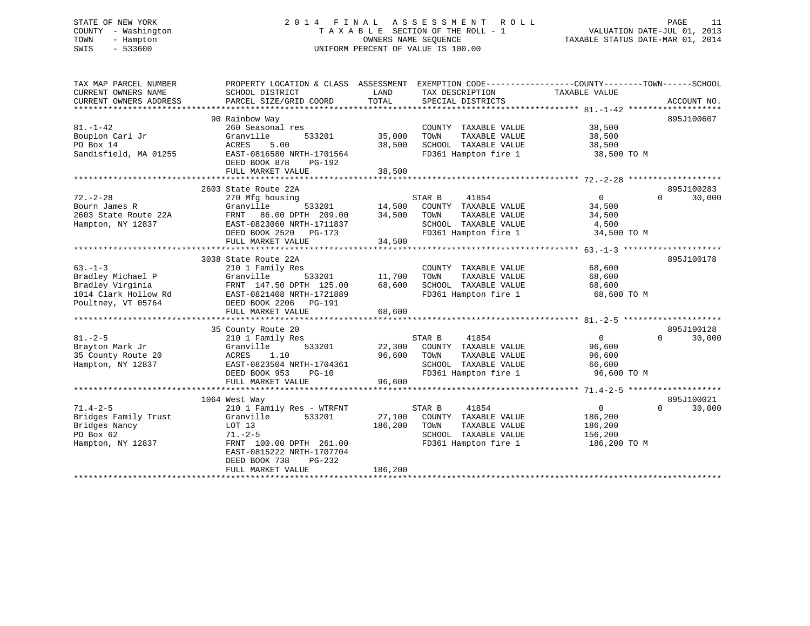# STATE OF NEW YORK 2 0 1 4 F I N A L A S S E S S M E N T R O L L PAGE 11 COUNTY - Washington T A X A B L E SECTION OF THE ROLL - 1 VALUATION DATE-JUL 01, 2013 TOWN - Hampton OWNERS NAME SEQUENCE TAXABLE STATUS DATE-MAR 01, 2014 SWIS - 533600 UNIFORM PERCENT OF VALUE IS 100.00

| TAX MAP PARCEL NUMBER  | PROPERTY LOCATION & CLASS ASSESSMENT |         | EXEMPTION CODE-----------------COUNTY-------TOWN------SCHOOL |                |                    |
|------------------------|--------------------------------------|---------|--------------------------------------------------------------|----------------|--------------------|
| CURRENT OWNERS NAME    | SCHOOL DISTRICT                      | LAND    | TAX DESCRIPTION                                              | TAXABLE VALUE  |                    |
| CURRENT OWNERS ADDRESS | PARCEL SIZE/GRID COORD               | TOTAL   | SPECIAL DISTRICTS                                            |                | ACCOUNT NO.        |
|                        |                                      |         |                                                              |                |                    |
|                        | 90 Rainbow Way                       |         |                                                              |                | 895J100607         |
| $81. - 1 - 42$         | 260 Seasonal res                     |         | COUNTY TAXABLE VALUE                                         | 38,500         |                    |
| Bouplon Carl Jr        | Granville<br>533201                  | 35,000  | TOWN<br>TAXABLE VALUE                                        | 38,500         |                    |
| PO Box 14              | ACRES<br>5.00                        | 38,500  | SCHOOL TAXABLE VALUE                                         | 38,500         |                    |
| Sandisfield, MA 01255  | EAST-0816580 NRTH-1701564            |         | FD361 Hampton fire 1                                         | 38,500 TO M    |                    |
|                        | DEED BOOK 878<br>PG-192              |         |                                                              |                |                    |
|                        | FULL MARKET VALUE                    | 38,500  |                                                              |                |                    |
|                        |                                      |         |                                                              |                |                    |
|                        | 2603 State Route 22A                 |         |                                                              |                | 895J100283         |
| $72. - 2 - 28$         | 270 Mfg housing                      |         | STAR B<br>41854                                              | 0              | $\Omega$<br>30,000 |
| Bourn James R          | 533201<br>Granville                  | 14,500  | COUNTY TAXABLE VALUE                                         | 34,500         |                    |
| 2603 State Route 22A   | 86.00 DPTH 209.00<br>FRNT            | 34,500  | TOWN<br>TAXABLE VALUE                                        | 34,500         |                    |
| Hampton, NY 12837      | EAST-0823060 NRTH-1711837            |         | SCHOOL TAXABLE VALUE                                         | 4,500          |                    |
|                        | DEED BOOK 2520 PG-173                |         | FD361 Hampton fire 1                                         | 34,500 TO M    |                    |
|                        | FULL MARKET VALUE                    | 34,500  |                                                              |                |                    |
|                        |                                      |         |                                                              |                |                    |
|                        | 3038 State Route 22A                 |         |                                                              |                | 895J100178         |
| $63. -1 - 3$           | 210 1 Family Res                     |         | COUNTY TAXABLE VALUE                                         | 68,600         |                    |
| Bradley Michael P      | 533201<br>Granville                  | 11,700  | TAXABLE VALUE<br>TOWN                                        | 68,600         |                    |
| Bradley Virginia       | FRNT 147.50 DPTH 125.00              | 68,600  | SCHOOL TAXABLE VALUE                                         | 68,600         |                    |
| 1014 Clark Hollow Rd   | EAST-0821408 NRTH-1721889            |         | FD361 Hampton fire 1                                         | 68,600 TO M    |                    |
| Poultney, VT 05764     | DEED BOOK 2206 PG-191                |         |                                                              |                |                    |
|                        | FULL MARKET VALUE                    | 68,600  |                                                              |                |                    |
|                        |                                      |         |                                                              |                |                    |
|                        | 35 County Route 20                   |         |                                                              |                | 895J100128         |
| $81 - 2 - 5$           | 210 1 Family Res                     |         | STAR B<br>41854                                              | $\overline{0}$ | $\Omega$<br>30,000 |
| Brayton Mark Jr        | Granville<br>533201                  |         | 22,300 COUNTY TAXABLE VALUE                                  | 96,600         |                    |
| 35 County Route 20     | 1.10<br>ACRES                        | 96,600  | TOWN<br>TAXABLE VALUE                                        | 96,600         |                    |
| Hampton, NY 12837      | EAST-0823504 NRTH-1704361            |         | SCHOOL TAXABLE VALUE                                         | 66,600         |                    |
|                        | DEED BOOK 953<br>$PG-10$             |         | FD361 Hampton fire 1                                         | 96,600 TO M    |                    |
|                        | FULL MARKET VALUE                    | 96,600  |                                                              |                |                    |
|                        |                                      |         |                                                              |                |                    |
|                        | 1064 West Way                        |         |                                                              |                | 895J100021         |
| $71.4 - 2 - 5$         |                                      |         | 41854                                                        | $\overline{0}$ | $\Omega$<br>30,000 |
|                        | 210 1 Family Res - WTRFNT            |         | STAR B                                                       |                |                    |
| Bridges Family Trust   | Granville<br>533201                  | 27,100  | COUNTY TAXABLE VALUE                                         | 186,200        |                    |
| Bridges Nancy          | LOT 13                               | 186,200 | TOWN<br>TAXABLE VALUE                                        | 186,200        |                    |
| PO Box 62              | $71. - 2 - 5$                        |         | SCHOOL TAXABLE VALUE                                         | 156,200        |                    |
| Hampton, NY 12837      | FRNT 100.00 DPTH 261.00              |         | FD361 Hampton fire 1                                         | 186,200 то м   |                    |
|                        | EAST-0815222 NRTH-1707704            |         |                                                              |                |                    |
|                        | DEED BOOK 738<br>$PG-232$            |         |                                                              |                |                    |
|                        | FULL MARKET VALUE                    | 186,200 |                                                              |                |                    |
|                        |                                      |         |                                                              |                |                    |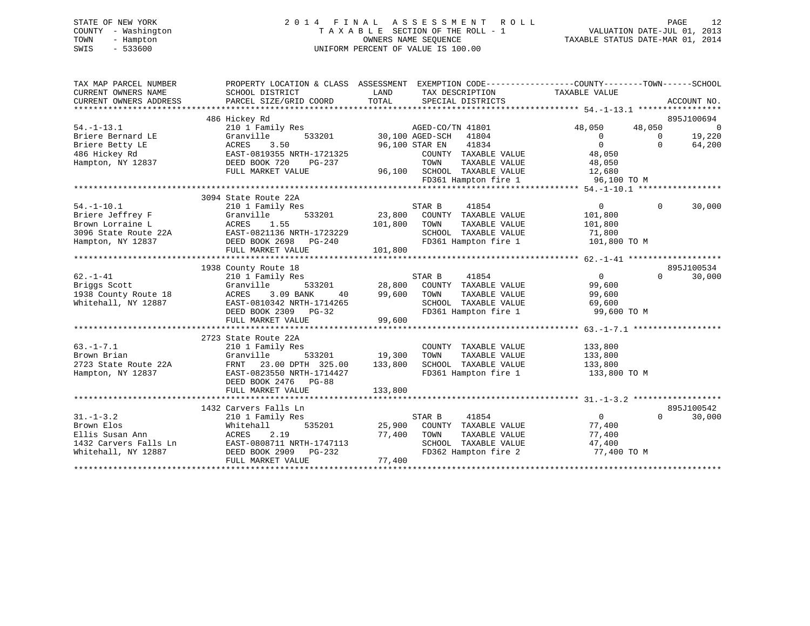# STATE OF NEW YORK 2 0 1 4 F I N A L A S S E S S M E N T R O L L PAGE 12 COUNTY - Washington T A X A B L E SECTION OF THE ROLL - 1 VALUATION DATE-JUL 01, 2013 TOWN - Hampton OWNERS NAME SEQUENCE TAXABLE STATUS DATE-MAR 01, 2014 SWIS - 533600 UNIFORM PERCENT OF VALUE IS 100.00

| TAX MAP PARCEL NUMBER<br>CURRENT OWNERS NAME<br>CURRENT OWNERS ADDRESS | PROPERTY LOCATION & CLASS ASSESSMENT<br>SCHOOL DISTRICT<br>PARCEL SIZE/GRID COORD | LAND<br>TOTAL | EXEMPTION CODE----------------COUNTY-------TOWN------SCHOOL<br>TAX DESCRIPTION<br>SPECIAL DISTRICTS | TAXABLE VALUE    | ACCOUNT NO.                  |
|------------------------------------------------------------------------|-----------------------------------------------------------------------------------|---------------|-----------------------------------------------------------------------------------------------------|------------------|------------------------------|
| $54. - 1 - 13.1$                                                       | 486 Hickey Rd<br>210 1 Family Res                                                 |               | AGED-CO/TN 41801                                                                                    | 48,050<br>48,050 | 895J100694<br>$\overline{0}$ |
| Briere Bernard LE                                                      | 533201<br>Granville                                                               |               | 30,100 AGED-SCH 41804                                                                               | $\overline{0}$   | 19,220<br>$\Omega$           |
| Briere Betty LE                                                        | 3.50<br>ACRES                                                                     |               | 41834<br>96,100 STAR EN                                                                             | $\overline{0}$   | $\Omega$<br>64,200           |
| 486 Hickey Rd                                                          | EAST-0819355 NRTH-1721325                                                         |               | COUNTY TAXABLE VALUE                                                                                | 48,050           |                              |
| Hampton, NY 12837                                                      | DEED BOOK 720<br>PG-237                                                           |               | TOWN<br>TAXABLE VALUE                                                                               | 48,050           |                              |
|                                                                        | FULL MARKET VALUE                                                                 |               | 96,100 SCHOOL TAXABLE VALUE                                                                         | 12,680           |                              |
|                                                                        |                                                                                   |               | FD361 Hampton fire 1                                                                                | 96,100 TO M      |                              |
|                                                                        |                                                                                   |               |                                                                                                     |                  |                              |
|                                                                        | 3094 State Route 22A                                                              |               |                                                                                                     |                  |                              |
| $54. - 1 - 10.1$                                                       | 210 1 Family Res                                                                  |               | 41854<br>STAR B                                                                                     | $\overline{0}$   | 30,000<br>0                  |
| Briere Jeffrey F                                                       | Granville<br>533201                                                               |               | 23,800 COUNTY TAXABLE VALUE                                                                         | 101,800          |                              |
| Brown Lorraine L                                                       | ACRES<br>1.55                                                                     | 101,800       | TOWN<br>TAXABLE VALUE                                                                               | 101,800          |                              |
| 3096 State Route 22A                                                   | EAST-0821136 NRTH-1723229                                                         |               | SCHOOL TAXABLE VALUE                                                                                | 71,800           |                              |
| Hampton, NY 12837                                                      | DEED BOOK 2698 PG-240                                                             |               | FD361 Hampton fire 1                                                                                | 101,800 TO M     |                              |
|                                                                        | FULL MARKET VALUE                                                                 | 101,800       |                                                                                                     |                  |                              |
|                                                                        |                                                                                   |               |                                                                                                     |                  | 895J100534                   |
| $62. -1 - 41$                                                          | 1938 County Route 18<br>210 1 Family Res                                          |               | 41854<br>STAR B                                                                                     | $\overline{0}$   | $\Omega$<br>30,000           |
| Briggs Scott                                                           | 533201<br>Granville                                                               | 28,800        | COUNTY TAXABLE VALUE                                                                                | 99,600           |                              |
| 1938 County Route 18                                                   | 3.09 BANK<br>ACRES<br>40                                                          | 99,600        | TOWN<br>TAXABLE VALUE                                                                               | 99,600           |                              |
| Whitehall, NY 12887                                                    | EAST-0810342 NRTH-1714265                                                         |               | SCHOOL TAXABLE VALUE                                                                                | 69,600           |                              |
|                                                                        | DEED BOOK 2309 PG-32                                                              |               | FD361 Hampton fire 1                                                                                | 99,600 TO M      |                              |
|                                                                        | FULL MARKET VALUE                                                                 | 99,600        |                                                                                                     |                  |                              |
|                                                                        |                                                                                   |               |                                                                                                     |                  |                              |
|                                                                        | 2723 State Route 22A                                                              |               |                                                                                                     |                  |                              |
| $63. -1 - 7.1$                                                         | 210 1 Family Res                                                                  |               | COUNTY TAXABLE VALUE                                                                                | 133,800          |                              |
| Brown Brian                                                            | Granville<br>533201                                                               | 19,300        | TOWN<br>TAXABLE VALUE                                                                               | 133,800          |                              |
| 2723 State Route 22A                                                   | FRNT<br>23.00 DPTH 325.00                                                         | 133,800       | SCHOOL TAXABLE VALUE                                                                                | 133,800          |                              |
| Hampton, NY 12837                                                      | EAST-0823550 NRTH-1714427                                                         |               | FD361 Hampton fire 1                                                                                | 133,800 TO M     |                              |
|                                                                        | DEED BOOK 2476 PG-88                                                              |               |                                                                                                     |                  |                              |
|                                                                        | FULL MARKET VALUE                                                                 | 133,800       |                                                                                                     |                  |                              |
|                                                                        |                                                                                   |               |                                                                                                     |                  | 895J100542                   |
| $31. - 1 - 3.2$                                                        | 1432 Carvers Falls Ln<br>210 1 Family Res                                         |               | STAR B<br>41854                                                                                     | $\overline{0}$   | $\Omega$<br>30,000           |
| Brown Elos                                                             | 535201<br>Whitehall                                                               | 25,900        | COUNTY TAXABLE VALUE                                                                                | 77,400           |                              |
| Ellis Susan Ann                                                        | ACRES<br>2.19                                                                     | 77,400        | TOWN<br>TAXABLE VALUE                                                                               | 77,400           |                              |
| 1432 Carvers Falls Ln                                                  | EAST-0808711 NRTH-1747113                                                         |               | SCHOOL TAXABLE VALUE                                                                                | 47,400           |                              |
| Whitehall, NY 12887                                                    | DEED BOOK 2909 PG-232                                                             |               | FD362 Hampton fire 2                                                                                | 77,400 TO M      |                              |
|                                                                        | FULL MARKET VALUE                                                                 | 77,400        |                                                                                                     |                  |                              |
|                                                                        |                                                                                   |               |                                                                                                     |                  |                              |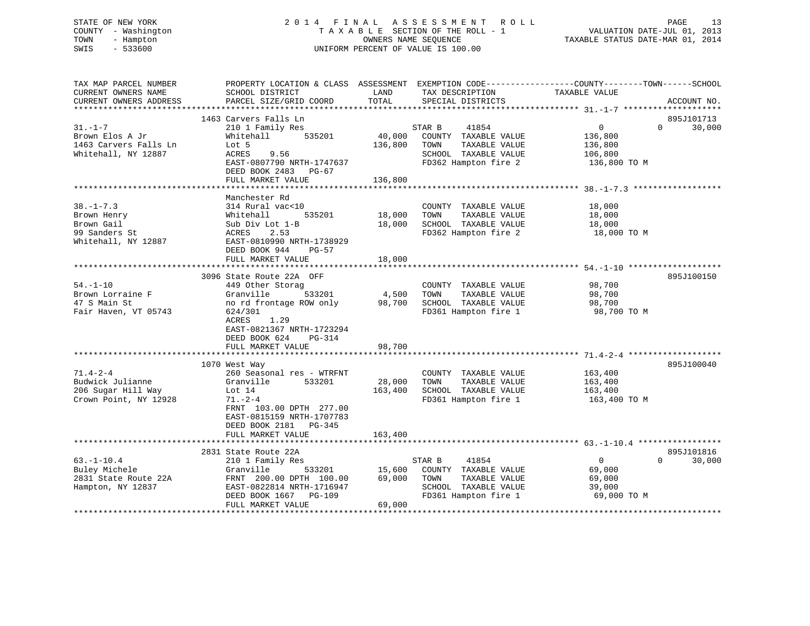# STATE OF NEW YORK 2 0 1 4 F I N A L A S S E S S M E N T R O L L PAGE 13 COUNTY - Washington T A X A B L E SECTION OF THE ROLL - 1 VALUATION DATE-JUL 01, 2013 TOWN - Hampton OWNERS NAME SEQUENCE TAXABLE STATUS DATE-MAR 01, 2014 SWIS - 533600 UNIFORM PERCENT OF VALUE IS 100.00

| TAX MAP PARCEL NUMBER<br>CURRENT OWNERS NAME<br>CURRENT OWNERS ADDRESS               | PROPERTY LOCATION & CLASS ASSESSMENT<br>SCHOOL DISTRICT<br>PARCEL SIZE/GRID COORD                                                                                                                         | LAND<br>TOTAL                | EXEMPTION CODE-----------------COUNTY-------TOWN------SCHOOL<br>TAX DESCRIPTION<br>SPECIAL DISTRICTS             | TAXABLE VALUE                                                   | ACCOUNT NO.                      |
|--------------------------------------------------------------------------------------|-----------------------------------------------------------------------------------------------------------------------------------------------------------------------------------------------------------|------------------------------|------------------------------------------------------------------------------------------------------------------|-----------------------------------------------------------------|----------------------------------|
| $31. - 1 - 7$<br>Brown Elos A Jr<br>1463 Carvers Falls Ln<br>Whitehall, NY 12887     | 1463 Carvers Falls Ln<br>210 1 Family Res<br>Whitehall<br>535201<br>Lot 5<br>9.56<br>ACRES<br>EAST-0807790 NRTH-1747637<br>DEED BOOK 2483 PG-67<br>FULL MARKET VALUE                                      | 40,000<br>136,800<br>136,800 | 41854<br>STAR B<br>COUNTY TAXABLE VALUE<br>TOWN<br>TAXABLE VALUE<br>SCHOOL TAXABLE VALUE<br>FD362 Hampton fire 2 | $\overline{0}$<br>136,800<br>136,800<br>106,800<br>136,800 ТО М | 895J101713<br>$\Omega$<br>30,000 |
| $38. - 1 - 7.3$<br>Brown Henry<br>Brown Gail<br>99 Sanders St<br>Whitehall, NY 12887 | Manchester Rd<br>314 Rural vac<10<br>535201<br>Whitehall<br>Sub Div Lot 1-B<br>2.53<br>ACRES<br>EAST-0810990 NRTH-1738929<br>PG-57<br>DEED BOOK 944<br>FULL MARKET VALUE                                  | 18,000<br>18,000<br>18,000   | COUNTY TAXABLE VALUE<br>TOWN<br>TAXABLE VALUE<br>SCHOOL TAXABLE VALUE<br>FD362 Hampton fire 2                    | 18,000<br>18,000<br>18,000<br>18,000 TO M                       |                                  |
| $54. - 1 - 10$<br>Brown Lorraine F<br>47 S Main St<br>Fair Haven, VT 05743           | 3096 State Route 22A OFF<br>449 Other Storag<br>533201<br>Granville<br>no rd frontage ROW only<br>624/301<br>1.29<br>ACRES<br>EAST-0821367 NRTH-1723294<br>DEED BOOK 624<br>$PG-314$<br>FULL MARKET VALUE | 4,500<br>98,700<br>98,700    | COUNTY TAXABLE VALUE<br>TAXABLE VALUE<br>TOWN<br>SCHOOL TAXABLE VALUE<br>FD361 Hampton fire 1                    | 98,700<br>98,700<br>98,700<br>98,700 TO M                       | 895J100150                       |
| $71.4 - 2 - 4$<br>Budwick Julianne<br>206 Sugar Hill Way<br>Crown Point, NY 12928    | 1070 West Way<br>260 Seasonal res - WTRFNT<br>533201<br>Granville<br>Lot 14<br>$71. - 2 - 4$<br>FRNT 103.00 DPTH 277.00<br>EAST-0815159 NRTH-1707783<br>DEED BOOK 2181    PG-345<br>FULL MARKET VALUE     | 28,000<br>163,400<br>163,400 | COUNTY TAXABLE VALUE<br>TAXABLE VALUE<br>TOWN<br>SCHOOL TAXABLE VALUE<br>FD361 Hampton fire 1                    | 163,400<br>163,400<br>163,400<br>163,400 TO M                   | 895J100040                       |
| $63. - 1 - 10.4$<br>Buley Michele<br>2831 State Route 22A<br>Hampton, NY 12837       | 2831 State Route 22A<br>210 1 Family Res<br>Granville<br>533201<br>FRNT 200.00 DPTH 100.00<br>EAST-0822814 NRTH-1716947<br>DEED BOOK 1667<br>PG-109<br>FULL MARKET VALUE                                  | 15,600<br>69,000<br>69,000   | 41854<br>STAR B<br>COUNTY TAXABLE VALUE<br>TOWN<br>TAXABLE VALUE<br>SCHOOL TAXABLE VALUE<br>FD361 Hampton fire 1 | $\overline{0}$<br>69,000<br>69,000<br>39,000<br>69,000 TO M     | 895J101816<br>$\Omega$<br>30,000 |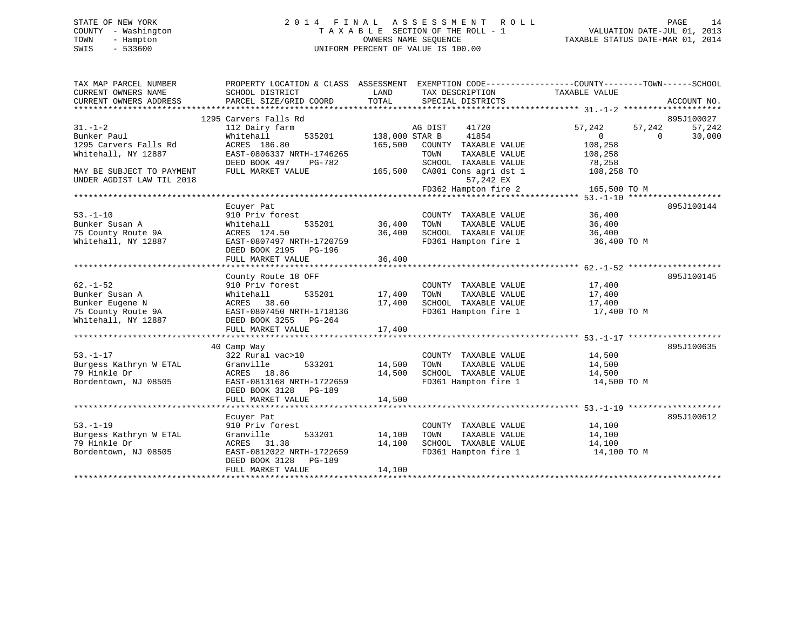# STATE OF NEW YORK 2 0 1 4 F I N A L A S S E S S M E N T R O L L PAGE 14 COUNTY - Washington T A X A B L E SECTION OF THE ROLL - 1 VALUATION DATE-JUL 01, 2013 TOWN - Hampton OWNERS NAME SEQUENCE TAXABLE STATUS DATE-MAR 01, 2014 SWIS - 533600 UNIFORM PERCENT OF VALUE IS 100.00

| TAX MAP PARCEL NUMBER<br>CURRENT OWNERS NAME<br>CURRENT OWNERS ADDRESS | PROPERTY LOCATION & CLASS ASSESSMENT EXEMPTION CODE---------------COUNTY-------TOWN------SCHOOL<br>SCHOOL DISTRICT<br>PARCEL SIZE/GRID COORD | LAND<br>TOTAL                    | TAX DESCRIPTION TAXABLE VALUE<br>SPECIAL DISTRICTS                                |                           |          | ACCOUNT NO.          |
|------------------------------------------------------------------------|----------------------------------------------------------------------------------------------------------------------------------------------|----------------------------------|-----------------------------------------------------------------------------------|---------------------------|----------|----------------------|
| $31. - 1 - 2$                                                          | 1295 Carvers Falls Rd<br>112 Dairy farm                                                                                                      |                                  | AG DIST<br>41720                                                                  | 57,242                    | 57,242   | 895J100027<br>57,242 |
| Bunker Paul<br>1295 Carvers Falls Rd                                   | Whitehall<br>ACRES 186.80                                                                                                                    | 535201 138,000 STAR B<br>165,500 | 41854<br>COUNTY TAXABLE VALUE                                                     | $\overline{0}$<br>108,258 | $\Omega$ | 30,000               |
| Whitehall, NY 12887                                                    | EAST-0806337 NRTH-1746265<br>DEED BOOK 497 PG-782                                                                                            |                                  | TOWN<br>TAXABLE VALUE<br>SCHOOL TAXABLE VALUE                                     | 108,258<br>78,258         |          |                      |
| MAY BE SUBJECT TO PAYMENT<br>UNDER AGDIST LAW TIL 2018                 | FULL MARKET VALUE                                                                                                                            |                                  | 165,500 CA001 Cons agri dst 1<br>57,242 EX<br>$FD362$ Hampton fire 2 165,500 TO M | 108,258 TO                |          |                      |
|                                                                        |                                                                                                                                              |                                  |                                                                                   |                           |          |                      |
|                                                                        | Ecuyer Pat                                                                                                                                   |                                  |                                                                                   |                           |          | 895J100144           |
| $53. - 1 - 10$                                                         | 910 Priv forest                                                                                                                              |                                  | COUNTY TAXABLE VALUE                                                              | 36,400                    |          |                      |
| Bunker Susan A                                                         | Whitehall                                                                                                                                    | 535201 36,400                    | TOWN<br>TAXABLE VALUE                                                             | 36,400                    |          |                      |
| 75 County Route 9A<br>Whitehall, NY 12887                              | ACRES 124.50<br>EAST-0807497 NRTH-1720759                                                                                                    | 36,400                           | SCHOOL TAXABLE VALUE<br>FD361 Hampton fire 1                                      | 36,400<br>36,400 TO M     |          |                      |
|                                                                        | DEED BOOK 2195 PG-196<br>FULL MARKET VALUE                                                                                                   | 36,400                           |                                                                                   |                           |          |                      |
|                                                                        |                                                                                                                                              |                                  |                                                                                   |                           |          |                      |
|                                                                        | County Route 18 OFF                                                                                                                          |                                  |                                                                                   |                           |          | 895J100145           |
| $62. - 1 - 52$                                                         | 910 Priv forest                                                                                                                              |                                  | COUNTY TAXABLE VALUE                                                              | 17,400                    |          |                      |
| Bunker Susan A                                                         | 535201<br>Whitehall                                                                                                                          | 17,400                           | TOWN<br>TAXABLE VALUE                                                             | 17,400                    |          |                      |
| Bunker Eugene N<br>75 County Route 9A EAST-0807450 NRTH-1718136        | ACRES 38.60                                                                                                                                  |                                  | 17,400 SCHOOL TAXABLE VALUE<br>FD361 Hampton fire 1                               | 17,400<br>17,400 TO M     |          |                      |
| Whitehall, NY 12887                                                    | DEED BOOK 3255 PG-264                                                                                                                        |                                  |                                                                                   |                           |          |                      |
|                                                                        |                                                                                                                                              |                                  |                                                                                   |                           |          |                      |
|                                                                        | 40 Camp Way                                                                                                                                  |                                  |                                                                                   |                           |          | 895J100635           |
| $53. - 1 - 17$                                                         | 322 Rural vac>10                                                                                                                             |                                  | COUNTY TAXABLE VALUE                                                              | 14,500                    |          |                      |
| Burgess Kathryn W ETAL                                                 | Granville                                                                                                                                    | 533201 14,500                    | TOWN<br>TAXABLE VALUE                                                             | 14,500                    |          |                      |
| 79 Hinkle Dr                                                           | ACRES 18.86                                                                                                                                  | 14,500                           | SCHOOL TAXABLE VALUE                                                              | 14,500                    |          |                      |
| Bordentown, NJ 08505                                                   | EAST-0813168 NRTH-1722659<br>DEED BOOK 3128 PG-189<br>FULL MARKET VALUE                                                                      | 14,500                           | FD361 Hampton fire 1 14,500 TO M                                                  |                           |          |                      |
|                                                                        |                                                                                                                                              |                                  |                                                                                   |                           |          |                      |
|                                                                        | Ecuyer Pat                                                                                                                                   |                                  |                                                                                   |                           |          | 895J100612           |
| $53. - 1 - 19$                                                         | 910 Priv forest                                                                                                                              |                                  | COUNTY TAXABLE VALUE                                                              | 14,100                    |          |                      |
| Burgess Kathryn W ETAL                                                 | 533201<br>Granville                                                                                                                          | 14,100                           | TOWN<br>TAXABLE VALUE                                                             | 14,100                    |          |                      |
| 79 Hinkle Dr                                                           | ACRES 31.38                                                                                                                                  | 14,100                           | SCHOOL TAXABLE VALUE                                                              | 14,100                    |          |                      |
| Bordentown, NJ 08505                                                   | EAST-0812022 NRTH-1722659<br>DEED BOOK 3128 PG-189<br>FULL MARKET VALUE                                                                      | 14,100                           | FD361 Hampton fire 1                                                              | 14,100 TO M               |          |                      |
|                                                                        |                                                                                                                                              |                                  |                                                                                   |                           |          |                      |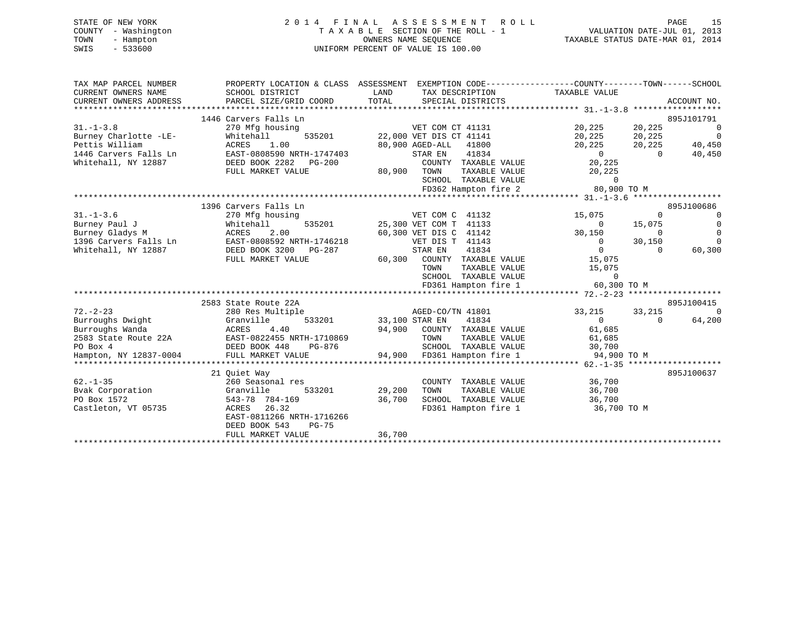| STATE OF NEW YORK   |  | 2014 FINAL ASSESSMENT ROLL         |                                  | PAGE                        | 15 |
|---------------------|--|------------------------------------|----------------------------------|-----------------------------|----|
| COUNTY - Washington |  | TAXABLE SECTION OF THE ROLL - 1    |                                  | VALUATION DATE-JUL 01, 2013 |    |
| TOWN<br>- Hampton   |  | OWNERS NAME SEOUENCE               | TAXABLE STATUS DATE-MAR 01, 2014 |                             |    |
| $-533600$<br>SWIS   |  | UNIFORM PERCENT OF VALUE IS 100.00 |                                  |                             |    |
|                     |  |                                    |                                  |                             |    |

| TAX MAP PARCEL NUMBER                               |                                                 | PROPERTY LOCATION & CLASS ASSESSMENT EXEMPTION CODE----------------COUNTY-------TOWN------SCHOOL |                                                                                                                                                                                                                                                                                                                                    |                 |
|-----------------------------------------------------|-------------------------------------------------|--------------------------------------------------------------------------------------------------|------------------------------------------------------------------------------------------------------------------------------------------------------------------------------------------------------------------------------------------------------------------------------------------------------------------------------------|-----------------|
| CURRENT OWNERS NAME                                 | SCHOOL DISTRICT                                 | LAND<br>TAX DESCRIPTION TAXABLE VALUE                                                            |                                                                                                                                                                                                                                                                                                                                    |                 |
| CURRENT OWNERS ADDRESS                              | PARCEL SIZE/GRID COORD                          | TOTAL SPECIAL DISTRICTS                                                                          |                                                                                                                                                                                                                                                                                                                                    | ACCOUNT NO.     |
|                                                     |                                                 |                                                                                                  |                                                                                                                                                                                                                                                                                                                                    |                 |
|                                                     | 1446 Carvers Falls Ln                           |                                                                                                  |                                                                                                                                                                                                                                                                                                                                    | 895J101791      |
| $31. - 1 - 3.8$                                     | 270 Mfg housing                                 | VET COM CT 41131                                                                                 | 20, 225 20, 225                                                                                                                                                                                                                                                                                                                    | $\sim$ 0        |
| Burney Charlotte -LE-                               | Whitehall                                       | 535201 22,000 VET DIS CT 41141                                                                   | 20,225 20,225 0                                                                                                                                                                                                                                                                                                                    |                 |
| Pettis William                                      | ACRES<br>1.00                                   | 80,900 AGED-ALL<br>41800                                                                         | 20,225                                                                                                                                                                                                                                                                                                                             | 20, 225 40, 450 |
| 1446 Carvers Falls Ln                               | EAST-0808590 NRTH-1747403                       | STAR EN<br>41834                                                                                 | $\begin{smallmatrix}&&0\0&225\end{smallmatrix}$<br>$\overline{0}$                                                                                                                                                                                                                                                                  | 40,450          |
| Whitehall, NY 12887                                 | DEED BOOK 2282    PG-200                        | COUNTY TAXABLE VALUE                                                                             |                                                                                                                                                                                                                                                                                                                                    |                 |
|                                                     | FULL MARKET VALUE                               | 80,900 TOWN<br>TAXABLE VALUE                                                                     | 20,225                                                                                                                                                                                                                                                                                                                             |                 |
|                                                     |                                                 | SCHOOL TAXABLE VALUE                                                                             | $\Omega$                                                                                                                                                                                                                                                                                                                           |                 |
|                                                     |                                                 | FD362 Hampton fire 2 80,900 TO M                                                                 |                                                                                                                                                                                                                                                                                                                                    |                 |
|                                                     |                                                 |                                                                                                  |                                                                                                                                                                                                                                                                                                                                    |                 |
|                                                     | 1396 Carvers Falls Ln                           |                                                                                                  |                                                                                                                                                                                                                                                                                                                                    | 895J100686      |
| $31. - 1 - 3.6$                                     | 270 Mfg housing                                 | VET COM C 41132                                                                                  | 15,075<br>$\Omega$                                                                                                                                                                                                                                                                                                                 | $\overline{0}$  |
| Burney Paul J                                       | Whitehall                                       | 535201 25,300 VET COM T 41133                                                                    | 15,075<br>$\sim$ 0                                                                                                                                                                                                                                                                                                                 | $\overline{0}$  |
| Burney Gladys M                                     | ACRES<br>2.00                                   | 60,300 VET DIS C 41142                                                                           | 30,150<br>$\overline{0}$                                                                                                                                                                                                                                                                                                           | $\Omega$        |
|                                                     | 1396 Carvers Falls Ln EAST-0808592 NRTH-1746218 | VET DIS T 41143                                                                                  | 30,150<br>$\overline{0}$                                                                                                                                                                                                                                                                                                           | $\overline{0}$  |
| Whitehall, NY 12887                                 | DEED BOOK 3200 PG-287                           | STAR EN<br>41834                                                                                 | $\overline{0}$<br>$\overline{0}$                                                                                                                                                                                                                                                                                                   | 60,300          |
|                                                     | FULL MARKET VALUE                               | 60,300 COUNTY TAXABLE VALUE                                                                      | 15,075                                                                                                                                                                                                                                                                                                                             |                 |
|                                                     |                                                 | TAXABLE VALUE<br>TOWN                                                                            | 15,075                                                                                                                                                                                                                                                                                                                             |                 |
|                                                     |                                                 | SCHOOL TAXABLE VALUE                                                                             | $\overline{a}$ and $\overline{a}$ and $\overline{a}$ and $\overline{a}$ and $\overline{a}$ and $\overline{a}$ and $\overline{a}$ and $\overline{a}$ and $\overline{a}$ and $\overline{a}$ and $\overline{a}$ and $\overline{a}$ and $\overline{a}$ and $\overline{a}$ and $\overline{a}$ and $\overline{a}$ and $\overline{a}$ and |                 |
|                                                     |                                                 | FD361 Hampton fire 1                                                                             | 60,300 TO M                                                                                                                                                                                                                                                                                                                        |                 |
|                                                     | 2583 State Route 22A                            |                                                                                                  |                                                                                                                                                                                                                                                                                                                                    | 895J100415      |
| $72. - 2 - 23$                                      | 280 Res Multiple                                | AGED-CO/TN 41801                                                                                 | 33, 215 33, 215                                                                                                                                                                                                                                                                                                                    | $\overline{0}$  |
| Burroughs Dwight                                    | Granville                                       | 41834<br>533201 33,100 STAR EN                                                                   | $\overline{0}$<br>$\Omega$                                                                                                                                                                                                                                                                                                         | 64,200          |
| Burroughs Wanda                                     | ACRES<br>4.40                                   | 94,900 COUNTY TAXABLE VALUE                                                                      | 61,685                                                                                                                                                                                                                                                                                                                             |                 |
| Burroughs Wanda<br>2583 State Route 22A<br>PO Box 4 | EAST-0822455 NRTH-1710869                       | TAXABLE VALUE<br>TOWN                                                                            | 61,685                                                                                                                                                                                                                                                                                                                             |                 |
| PO Box 4                                            | DEED BOOK 448<br>PG-876                         | SCHOOL TAXABLE VALUE                                                                             | 30,700                                                                                                                                                                                                                                                                                                                             |                 |
| Hampton, NY 12837-0004                              | FULL MARKET VALUE                               | 94,900 FD361 Hampton fire 1                                                                      | 94,900 TO M                                                                                                                                                                                                                                                                                                                        |                 |
|                                                     |                                                 |                                                                                                  |                                                                                                                                                                                                                                                                                                                                    |                 |
|                                                     | 21 Ouiet Way                                    |                                                                                                  |                                                                                                                                                                                                                                                                                                                                    | 895J100637      |
| $62. - 1 - 35$                                      | 260 Seasonal res                                | COUNTY TAXABLE VALUE                                                                             | 36,700                                                                                                                                                                                                                                                                                                                             |                 |
| Bvak Corporation                                    | 533201<br>Granville                             | TAXABLE VALUE<br>29,200<br>TOWN                                                                  | 36,700                                                                                                                                                                                                                                                                                                                             |                 |
| PO Box 1572                                         | 543-78 784-169                                  | 36,700<br>SCHOOL TAXABLE VALUE                                                                   | 36,700                                                                                                                                                                                                                                                                                                                             |                 |
| Castleton, VT 05735                                 | 26.32<br>ACRES                                  | FD361 Hampton fire 1 36,700 TO M                                                                 |                                                                                                                                                                                                                                                                                                                                    |                 |
|                                                     | EAST-0811266 NRTH-1716266                       |                                                                                                  |                                                                                                                                                                                                                                                                                                                                    |                 |
|                                                     | DEED BOOK 543<br>$PG-75$                        |                                                                                                  |                                                                                                                                                                                                                                                                                                                                    |                 |
|                                                     | FULL MARKET VALUE                               | 36,700                                                                                           |                                                                                                                                                                                                                                                                                                                                    |                 |
|                                                     |                                                 |                                                                                                  |                                                                                                                                                                                                                                                                                                                                    |                 |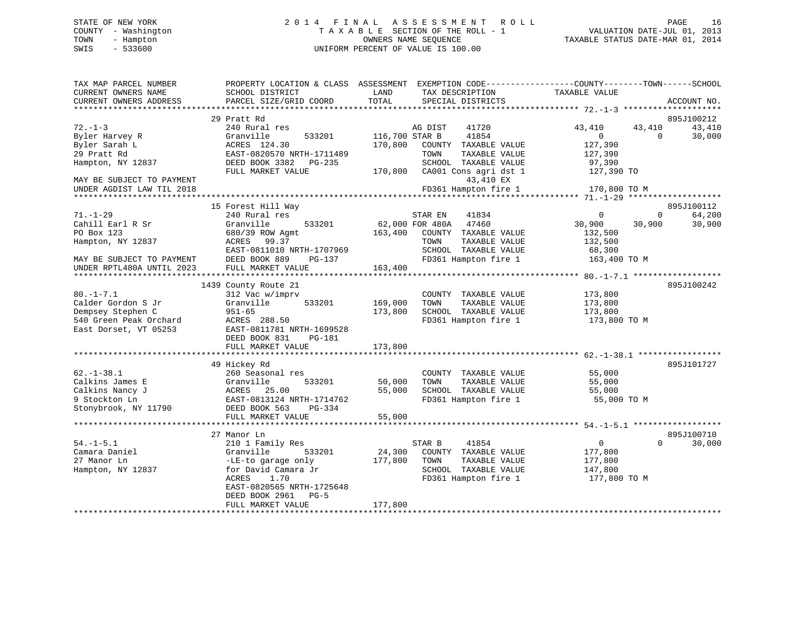# STATE OF NEW YORK 2 0 1 4 F I N A L A S S E S S M E N T R O L L PAGE 16 COUNTY - Washington T A X A B L E SECTION OF THE ROLL - 1 VALUATION DATE-JUL 01, 2013 TOWN - Hampton OWNERS NAME SEQUENCE TAXABLE STATUS DATE-MAR 01, 2014 SWIS - 533600 UNIFORM PERCENT OF VALUE IS 100.00

| TOTAL<br>PARCEL SIZE/GRID COORD<br>SPECIAL DISTRICTS<br>ACCOUNT NO.<br>*******************<br>******<br>29 Pratt Rd<br>895J100212<br>$72. - 1 - 3$<br>240 Rural res<br>41720<br>43,410<br>43,410<br>43,410<br>AG DIST<br>Byler Harvey R<br>Granville<br>533201<br>116,700 STAR B<br>41854<br>$\Omega$<br>30,000<br>$\overline{0}$<br>127,390<br>ACRES 124.30<br>170,800<br>COUNTY TAXABLE VALUE<br>EAST-0820570 NRTH-1711489<br>TOWN<br>TAXABLE VALUE<br>127,390<br>SCHOOL TAXABLE VALUE<br>DEED BOOK 3382<br>PG-235<br>97,390<br>CA001 Cons agri dst 1<br>FULL MARKET VALUE<br>170,800<br>127,390 TO<br>43,410 EX<br>FD361 Hampton fire 1<br>170,800 TO M<br>UNDER AGDIST LAW TIL 2018<br>15 Forest Hill Way<br>895J100112<br>$71. - 1 - 29$<br>240 Rural res<br>64,200<br>STAR EN<br>41834<br>$\Omega$<br>$\mathbf 0$<br>Granville<br>62,000 FOR 480A<br>47460<br>30,900<br>30,900<br>30,900<br>Cahill Earl R Sr<br>533201<br>PO Box 123<br>163,400<br>680/39 ROW Agmt<br>COUNTY TAXABLE VALUE<br>132,500<br>Hampton, NY 12837<br>ACRES<br>99.37<br>TOWN<br>TAXABLE VALUE<br>132,500<br>EAST-0811010 NRTH-1707969<br>SCHOOL TAXABLE VALUE<br>68,300<br>DEED BOOK 889<br>FD361 Hampton fire 1<br>$PG-137$<br>163,400 TO M<br>MAY BE SUBJECT TO PAYMENT<br>163,400<br>UNDER RPTL480A UNTIL 2023<br>FULL MARKET VALUE<br>1439 County Route 21<br>895J100242<br>312 Vac w/imprv<br>COUNTY TAXABLE VALUE<br>173,800<br>Granville<br>533201<br>169,000<br>TAXABLE VALUE<br>TOWN<br>173,800<br>SCHOOL TAXABLE VALUE<br>173,800<br>$951 - 65$<br>173,800<br>ACRES 288.50<br>FD361 Hampton fire 1<br>173,800 TO M<br>EAST-0811781 NRTH-1699528<br>DEED BOOK 831<br><b>PG-181</b><br>FULL MARKET VALUE<br>173,800<br>*************************<br>49 Hickey Rd<br>895J101727<br>$62. - 1 - 38.1$<br>55,000<br>260 Seasonal res<br>COUNTY TAXABLE VALUE<br>Calkins James E<br>533201<br>50,000<br>TOWN<br>TAXABLE VALUE<br>Granville<br>55,000<br>Calkins Nancy J<br>25.00<br>55,000<br>SCHOOL TAXABLE VALUE<br>ACRES<br>55,000<br>9 Stockton Ln<br>EAST-0813124 NRTH-1714762<br>FD361 Hampton fire 1<br>55,000 TO M<br>Stonybrook, NY 11790<br>DEED BOOK 563<br>PG-334<br>55,000<br>FULL MARKET VALUE<br>*****************************<br>895J100710<br>27 Manor Ln<br>210 1 Family Res<br>STAR B<br>41854<br>$\overline{0}$<br>$\Omega$<br>30,000<br>Granville<br>533201<br>24,300<br>COUNTY TAXABLE VALUE<br>177,800<br>177,800<br>TAXABLE VALUE<br>177,800<br>-LE-to garage only<br>TOWN<br>Hampton, NY 12837<br>for David Camara Jr<br>SCHOOL TAXABLE VALUE<br>147,800<br>ACRES<br>1.70<br>FD361 Hampton fire 1<br>177,800 TO M<br>EAST-0820565 NRTH-1725648<br>DEED BOOK 2961<br>$PG-5$<br>177,800<br>FULL MARKET VALUE | TAX MAP PARCEL NUMBER<br>CURRENT OWNERS NAME | PROPERTY LOCATION & CLASS ASSESSMENT<br>SCHOOL DISTRICT | LAND<br>TAX DESCRIPTION | EXEMPTION CODE----------------COUNTY-------TOWN------SCHOOL<br>TAXABLE VALUE |
|----------------------------------------------------------------------------------------------------------------------------------------------------------------------------------------------------------------------------------------------------------------------------------------------------------------------------------------------------------------------------------------------------------------------------------------------------------------------------------------------------------------------------------------------------------------------------------------------------------------------------------------------------------------------------------------------------------------------------------------------------------------------------------------------------------------------------------------------------------------------------------------------------------------------------------------------------------------------------------------------------------------------------------------------------------------------------------------------------------------------------------------------------------------------------------------------------------------------------------------------------------------------------------------------------------------------------------------------------------------------------------------------------------------------------------------------------------------------------------------------------------------------------------------------------------------------------------------------------------------------------------------------------------------------------------------------------------------------------------------------------------------------------------------------------------------------------------------------------------------------------------------------------------------------------------------------------------------------------------------------------------------------------------------------------------------------------------------------------------------------------------------------------------------------------------------------------------------------------------------------------------------------------------------------------------------------------------------------------------------------------------------------------------------------------------------------------------------------------------------------------------------------------------------------------------------------------------------------------------------------------------------------------------------------------------------------------------------------|----------------------------------------------|---------------------------------------------------------|-------------------------|------------------------------------------------------------------------------|
|                                                                                                                                                                                                                                                                                                                                                                                                                                                                                                                                                                                                                                                                                                                                                                                                                                                                                                                                                                                                                                                                                                                                                                                                                                                                                                                                                                                                                                                                                                                                                                                                                                                                                                                                                                                                                                                                                                                                                                                                                                                                                                                                                                                                                                                                                                                                                                                                                                                                                                                                                                                                                                                                                                                      | CURRENT OWNERS ADDRESS                       |                                                         |                         |                                                                              |
|                                                                                                                                                                                                                                                                                                                                                                                                                                                                                                                                                                                                                                                                                                                                                                                                                                                                                                                                                                                                                                                                                                                                                                                                                                                                                                                                                                                                                                                                                                                                                                                                                                                                                                                                                                                                                                                                                                                                                                                                                                                                                                                                                                                                                                                                                                                                                                                                                                                                                                                                                                                                                                                                                                                      |                                              |                                                         |                         |                                                                              |
|                                                                                                                                                                                                                                                                                                                                                                                                                                                                                                                                                                                                                                                                                                                                                                                                                                                                                                                                                                                                                                                                                                                                                                                                                                                                                                                                                                                                                                                                                                                                                                                                                                                                                                                                                                                                                                                                                                                                                                                                                                                                                                                                                                                                                                                                                                                                                                                                                                                                                                                                                                                                                                                                                                                      |                                              |                                                         |                         |                                                                              |
|                                                                                                                                                                                                                                                                                                                                                                                                                                                                                                                                                                                                                                                                                                                                                                                                                                                                                                                                                                                                                                                                                                                                                                                                                                                                                                                                                                                                                                                                                                                                                                                                                                                                                                                                                                                                                                                                                                                                                                                                                                                                                                                                                                                                                                                                                                                                                                                                                                                                                                                                                                                                                                                                                                                      |                                              |                                                         |                         |                                                                              |
|                                                                                                                                                                                                                                                                                                                                                                                                                                                                                                                                                                                                                                                                                                                                                                                                                                                                                                                                                                                                                                                                                                                                                                                                                                                                                                                                                                                                                                                                                                                                                                                                                                                                                                                                                                                                                                                                                                                                                                                                                                                                                                                                                                                                                                                                                                                                                                                                                                                                                                                                                                                                                                                                                                                      | Byler Sarah L                                |                                                         |                         |                                                                              |
|                                                                                                                                                                                                                                                                                                                                                                                                                                                                                                                                                                                                                                                                                                                                                                                                                                                                                                                                                                                                                                                                                                                                                                                                                                                                                                                                                                                                                                                                                                                                                                                                                                                                                                                                                                                                                                                                                                                                                                                                                                                                                                                                                                                                                                                                                                                                                                                                                                                                                                                                                                                                                                                                                                                      | 29 Pratt Rd                                  |                                                         |                         |                                                                              |
|                                                                                                                                                                                                                                                                                                                                                                                                                                                                                                                                                                                                                                                                                                                                                                                                                                                                                                                                                                                                                                                                                                                                                                                                                                                                                                                                                                                                                                                                                                                                                                                                                                                                                                                                                                                                                                                                                                                                                                                                                                                                                                                                                                                                                                                                                                                                                                                                                                                                                                                                                                                                                                                                                                                      | Hampton, NY 12837                            |                                                         |                         |                                                                              |
|                                                                                                                                                                                                                                                                                                                                                                                                                                                                                                                                                                                                                                                                                                                                                                                                                                                                                                                                                                                                                                                                                                                                                                                                                                                                                                                                                                                                                                                                                                                                                                                                                                                                                                                                                                                                                                                                                                                                                                                                                                                                                                                                                                                                                                                                                                                                                                                                                                                                                                                                                                                                                                                                                                                      |                                              |                                                         |                         |                                                                              |
|                                                                                                                                                                                                                                                                                                                                                                                                                                                                                                                                                                                                                                                                                                                                                                                                                                                                                                                                                                                                                                                                                                                                                                                                                                                                                                                                                                                                                                                                                                                                                                                                                                                                                                                                                                                                                                                                                                                                                                                                                                                                                                                                                                                                                                                                                                                                                                                                                                                                                                                                                                                                                                                                                                                      | MAY BE SUBJECT TO PAYMENT                    |                                                         |                         |                                                                              |
|                                                                                                                                                                                                                                                                                                                                                                                                                                                                                                                                                                                                                                                                                                                                                                                                                                                                                                                                                                                                                                                                                                                                                                                                                                                                                                                                                                                                                                                                                                                                                                                                                                                                                                                                                                                                                                                                                                                                                                                                                                                                                                                                                                                                                                                                                                                                                                                                                                                                                                                                                                                                                                                                                                                      |                                              |                                                         |                         |                                                                              |
|                                                                                                                                                                                                                                                                                                                                                                                                                                                                                                                                                                                                                                                                                                                                                                                                                                                                                                                                                                                                                                                                                                                                                                                                                                                                                                                                                                                                                                                                                                                                                                                                                                                                                                                                                                                                                                                                                                                                                                                                                                                                                                                                                                                                                                                                                                                                                                                                                                                                                                                                                                                                                                                                                                                      |                                              |                                                         |                         |                                                                              |
|                                                                                                                                                                                                                                                                                                                                                                                                                                                                                                                                                                                                                                                                                                                                                                                                                                                                                                                                                                                                                                                                                                                                                                                                                                                                                                                                                                                                                                                                                                                                                                                                                                                                                                                                                                                                                                                                                                                                                                                                                                                                                                                                                                                                                                                                                                                                                                                                                                                                                                                                                                                                                                                                                                                      |                                              |                                                         |                         |                                                                              |
|                                                                                                                                                                                                                                                                                                                                                                                                                                                                                                                                                                                                                                                                                                                                                                                                                                                                                                                                                                                                                                                                                                                                                                                                                                                                                                                                                                                                                                                                                                                                                                                                                                                                                                                                                                                                                                                                                                                                                                                                                                                                                                                                                                                                                                                                                                                                                                                                                                                                                                                                                                                                                                                                                                                      |                                              |                                                         |                         |                                                                              |
|                                                                                                                                                                                                                                                                                                                                                                                                                                                                                                                                                                                                                                                                                                                                                                                                                                                                                                                                                                                                                                                                                                                                                                                                                                                                                                                                                                                                                                                                                                                                                                                                                                                                                                                                                                                                                                                                                                                                                                                                                                                                                                                                                                                                                                                                                                                                                                                                                                                                                                                                                                                                                                                                                                                      |                                              |                                                         |                         |                                                                              |
|                                                                                                                                                                                                                                                                                                                                                                                                                                                                                                                                                                                                                                                                                                                                                                                                                                                                                                                                                                                                                                                                                                                                                                                                                                                                                                                                                                                                                                                                                                                                                                                                                                                                                                                                                                                                                                                                                                                                                                                                                                                                                                                                                                                                                                                                                                                                                                                                                                                                                                                                                                                                                                                                                                                      |                                              |                                                         |                         |                                                                              |
|                                                                                                                                                                                                                                                                                                                                                                                                                                                                                                                                                                                                                                                                                                                                                                                                                                                                                                                                                                                                                                                                                                                                                                                                                                                                                                                                                                                                                                                                                                                                                                                                                                                                                                                                                                                                                                                                                                                                                                                                                                                                                                                                                                                                                                                                                                                                                                                                                                                                                                                                                                                                                                                                                                                      |                                              |                                                         |                         |                                                                              |
|                                                                                                                                                                                                                                                                                                                                                                                                                                                                                                                                                                                                                                                                                                                                                                                                                                                                                                                                                                                                                                                                                                                                                                                                                                                                                                                                                                                                                                                                                                                                                                                                                                                                                                                                                                                                                                                                                                                                                                                                                                                                                                                                                                                                                                                                                                                                                                                                                                                                                                                                                                                                                                                                                                                      |                                              |                                                         |                         |                                                                              |
|                                                                                                                                                                                                                                                                                                                                                                                                                                                                                                                                                                                                                                                                                                                                                                                                                                                                                                                                                                                                                                                                                                                                                                                                                                                                                                                                                                                                                                                                                                                                                                                                                                                                                                                                                                                                                                                                                                                                                                                                                                                                                                                                                                                                                                                                                                                                                                                                                                                                                                                                                                                                                                                                                                                      |                                              |                                                         |                         |                                                                              |
|                                                                                                                                                                                                                                                                                                                                                                                                                                                                                                                                                                                                                                                                                                                                                                                                                                                                                                                                                                                                                                                                                                                                                                                                                                                                                                                                                                                                                                                                                                                                                                                                                                                                                                                                                                                                                                                                                                                                                                                                                                                                                                                                                                                                                                                                                                                                                                                                                                                                                                                                                                                                                                                                                                                      |                                              |                                                         |                         |                                                                              |
|                                                                                                                                                                                                                                                                                                                                                                                                                                                                                                                                                                                                                                                                                                                                                                                                                                                                                                                                                                                                                                                                                                                                                                                                                                                                                                                                                                                                                                                                                                                                                                                                                                                                                                                                                                                                                                                                                                                                                                                                                                                                                                                                                                                                                                                                                                                                                                                                                                                                                                                                                                                                                                                                                                                      |                                              |                                                         |                         |                                                                              |
|                                                                                                                                                                                                                                                                                                                                                                                                                                                                                                                                                                                                                                                                                                                                                                                                                                                                                                                                                                                                                                                                                                                                                                                                                                                                                                                                                                                                                                                                                                                                                                                                                                                                                                                                                                                                                                                                                                                                                                                                                                                                                                                                                                                                                                                                                                                                                                                                                                                                                                                                                                                                                                                                                                                      | $80. -1 - 7.1$                               |                                                         |                         |                                                                              |
|                                                                                                                                                                                                                                                                                                                                                                                                                                                                                                                                                                                                                                                                                                                                                                                                                                                                                                                                                                                                                                                                                                                                                                                                                                                                                                                                                                                                                                                                                                                                                                                                                                                                                                                                                                                                                                                                                                                                                                                                                                                                                                                                                                                                                                                                                                                                                                                                                                                                                                                                                                                                                                                                                                                      | Calder Gordon S Jr                           |                                                         |                         |                                                                              |
|                                                                                                                                                                                                                                                                                                                                                                                                                                                                                                                                                                                                                                                                                                                                                                                                                                                                                                                                                                                                                                                                                                                                                                                                                                                                                                                                                                                                                                                                                                                                                                                                                                                                                                                                                                                                                                                                                                                                                                                                                                                                                                                                                                                                                                                                                                                                                                                                                                                                                                                                                                                                                                                                                                                      | Dempsey Stephen C                            |                                                         |                         |                                                                              |
|                                                                                                                                                                                                                                                                                                                                                                                                                                                                                                                                                                                                                                                                                                                                                                                                                                                                                                                                                                                                                                                                                                                                                                                                                                                                                                                                                                                                                                                                                                                                                                                                                                                                                                                                                                                                                                                                                                                                                                                                                                                                                                                                                                                                                                                                                                                                                                                                                                                                                                                                                                                                                                                                                                                      | 540 Green Peak Orchard                       |                                                         |                         |                                                                              |
|                                                                                                                                                                                                                                                                                                                                                                                                                                                                                                                                                                                                                                                                                                                                                                                                                                                                                                                                                                                                                                                                                                                                                                                                                                                                                                                                                                                                                                                                                                                                                                                                                                                                                                                                                                                                                                                                                                                                                                                                                                                                                                                                                                                                                                                                                                                                                                                                                                                                                                                                                                                                                                                                                                                      | East Dorset, VT 05253                        |                                                         |                         |                                                                              |
|                                                                                                                                                                                                                                                                                                                                                                                                                                                                                                                                                                                                                                                                                                                                                                                                                                                                                                                                                                                                                                                                                                                                                                                                                                                                                                                                                                                                                                                                                                                                                                                                                                                                                                                                                                                                                                                                                                                                                                                                                                                                                                                                                                                                                                                                                                                                                                                                                                                                                                                                                                                                                                                                                                                      |                                              |                                                         |                         |                                                                              |
|                                                                                                                                                                                                                                                                                                                                                                                                                                                                                                                                                                                                                                                                                                                                                                                                                                                                                                                                                                                                                                                                                                                                                                                                                                                                                                                                                                                                                                                                                                                                                                                                                                                                                                                                                                                                                                                                                                                                                                                                                                                                                                                                                                                                                                                                                                                                                                                                                                                                                                                                                                                                                                                                                                                      |                                              |                                                         |                         |                                                                              |
|                                                                                                                                                                                                                                                                                                                                                                                                                                                                                                                                                                                                                                                                                                                                                                                                                                                                                                                                                                                                                                                                                                                                                                                                                                                                                                                                                                                                                                                                                                                                                                                                                                                                                                                                                                                                                                                                                                                                                                                                                                                                                                                                                                                                                                                                                                                                                                                                                                                                                                                                                                                                                                                                                                                      |                                              |                                                         |                         |                                                                              |
|                                                                                                                                                                                                                                                                                                                                                                                                                                                                                                                                                                                                                                                                                                                                                                                                                                                                                                                                                                                                                                                                                                                                                                                                                                                                                                                                                                                                                                                                                                                                                                                                                                                                                                                                                                                                                                                                                                                                                                                                                                                                                                                                                                                                                                                                                                                                                                                                                                                                                                                                                                                                                                                                                                                      |                                              |                                                         |                         |                                                                              |
|                                                                                                                                                                                                                                                                                                                                                                                                                                                                                                                                                                                                                                                                                                                                                                                                                                                                                                                                                                                                                                                                                                                                                                                                                                                                                                                                                                                                                                                                                                                                                                                                                                                                                                                                                                                                                                                                                                                                                                                                                                                                                                                                                                                                                                                                                                                                                                                                                                                                                                                                                                                                                                                                                                                      |                                              |                                                         |                         |                                                                              |
|                                                                                                                                                                                                                                                                                                                                                                                                                                                                                                                                                                                                                                                                                                                                                                                                                                                                                                                                                                                                                                                                                                                                                                                                                                                                                                                                                                                                                                                                                                                                                                                                                                                                                                                                                                                                                                                                                                                                                                                                                                                                                                                                                                                                                                                                                                                                                                                                                                                                                                                                                                                                                                                                                                                      |                                              |                                                         |                         |                                                                              |
|                                                                                                                                                                                                                                                                                                                                                                                                                                                                                                                                                                                                                                                                                                                                                                                                                                                                                                                                                                                                                                                                                                                                                                                                                                                                                                                                                                                                                                                                                                                                                                                                                                                                                                                                                                                                                                                                                                                                                                                                                                                                                                                                                                                                                                                                                                                                                                                                                                                                                                                                                                                                                                                                                                                      |                                              |                                                         |                         |                                                                              |
|                                                                                                                                                                                                                                                                                                                                                                                                                                                                                                                                                                                                                                                                                                                                                                                                                                                                                                                                                                                                                                                                                                                                                                                                                                                                                                                                                                                                                                                                                                                                                                                                                                                                                                                                                                                                                                                                                                                                                                                                                                                                                                                                                                                                                                                                                                                                                                                                                                                                                                                                                                                                                                                                                                                      |                                              |                                                         |                         |                                                                              |
|                                                                                                                                                                                                                                                                                                                                                                                                                                                                                                                                                                                                                                                                                                                                                                                                                                                                                                                                                                                                                                                                                                                                                                                                                                                                                                                                                                                                                                                                                                                                                                                                                                                                                                                                                                                                                                                                                                                                                                                                                                                                                                                                                                                                                                                                                                                                                                                                                                                                                                                                                                                                                                                                                                                      |                                              |                                                         |                         |                                                                              |
|                                                                                                                                                                                                                                                                                                                                                                                                                                                                                                                                                                                                                                                                                                                                                                                                                                                                                                                                                                                                                                                                                                                                                                                                                                                                                                                                                                                                                                                                                                                                                                                                                                                                                                                                                                                                                                                                                                                                                                                                                                                                                                                                                                                                                                                                                                                                                                                                                                                                                                                                                                                                                                                                                                                      |                                              |                                                         |                         |                                                                              |
|                                                                                                                                                                                                                                                                                                                                                                                                                                                                                                                                                                                                                                                                                                                                                                                                                                                                                                                                                                                                                                                                                                                                                                                                                                                                                                                                                                                                                                                                                                                                                                                                                                                                                                                                                                                                                                                                                                                                                                                                                                                                                                                                                                                                                                                                                                                                                                                                                                                                                                                                                                                                                                                                                                                      |                                              |                                                         |                         |                                                                              |
|                                                                                                                                                                                                                                                                                                                                                                                                                                                                                                                                                                                                                                                                                                                                                                                                                                                                                                                                                                                                                                                                                                                                                                                                                                                                                                                                                                                                                                                                                                                                                                                                                                                                                                                                                                                                                                                                                                                                                                                                                                                                                                                                                                                                                                                                                                                                                                                                                                                                                                                                                                                                                                                                                                                      | $54. - 1 - 5.1$                              |                                                         |                         |                                                                              |
|                                                                                                                                                                                                                                                                                                                                                                                                                                                                                                                                                                                                                                                                                                                                                                                                                                                                                                                                                                                                                                                                                                                                                                                                                                                                                                                                                                                                                                                                                                                                                                                                                                                                                                                                                                                                                                                                                                                                                                                                                                                                                                                                                                                                                                                                                                                                                                                                                                                                                                                                                                                                                                                                                                                      | Camara Daniel                                |                                                         |                         |                                                                              |
|                                                                                                                                                                                                                                                                                                                                                                                                                                                                                                                                                                                                                                                                                                                                                                                                                                                                                                                                                                                                                                                                                                                                                                                                                                                                                                                                                                                                                                                                                                                                                                                                                                                                                                                                                                                                                                                                                                                                                                                                                                                                                                                                                                                                                                                                                                                                                                                                                                                                                                                                                                                                                                                                                                                      | 27 Manor Ln                                  |                                                         |                         |                                                                              |
|                                                                                                                                                                                                                                                                                                                                                                                                                                                                                                                                                                                                                                                                                                                                                                                                                                                                                                                                                                                                                                                                                                                                                                                                                                                                                                                                                                                                                                                                                                                                                                                                                                                                                                                                                                                                                                                                                                                                                                                                                                                                                                                                                                                                                                                                                                                                                                                                                                                                                                                                                                                                                                                                                                                      |                                              |                                                         |                         |                                                                              |
|                                                                                                                                                                                                                                                                                                                                                                                                                                                                                                                                                                                                                                                                                                                                                                                                                                                                                                                                                                                                                                                                                                                                                                                                                                                                                                                                                                                                                                                                                                                                                                                                                                                                                                                                                                                                                                                                                                                                                                                                                                                                                                                                                                                                                                                                                                                                                                                                                                                                                                                                                                                                                                                                                                                      |                                              |                                                         |                         |                                                                              |
|                                                                                                                                                                                                                                                                                                                                                                                                                                                                                                                                                                                                                                                                                                                                                                                                                                                                                                                                                                                                                                                                                                                                                                                                                                                                                                                                                                                                                                                                                                                                                                                                                                                                                                                                                                                                                                                                                                                                                                                                                                                                                                                                                                                                                                                                                                                                                                                                                                                                                                                                                                                                                                                                                                                      |                                              |                                                         |                         |                                                                              |
|                                                                                                                                                                                                                                                                                                                                                                                                                                                                                                                                                                                                                                                                                                                                                                                                                                                                                                                                                                                                                                                                                                                                                                                                                                                                                                                                                                                                                                                                                                                                                                                                                                                                                                                                                                                                                                                                                                                                                                                                                                                                                                                                                                                                                                                                                                                                                                                                                                                                                                                                                                                                                                                                                                                      |                                              |                                                         |                         |                                                                              |
|                                                                                                                                                                                                                                                                                                                                                                                                                                                                                                                                                                                                                                                                                                                                                                                                                                                                                                                                                                                                                                                                                                                                                                                                                                                                                                                                                                                                                                                                                                                                                                                                                                                                                                                                                                                                                                                                                                                                                                                                                                                                                                                                                                                                                                                                                                                                                                                                                                                                                                                                                                                                                                                                                                                      |                                              |                                                         |                         |                                                                              |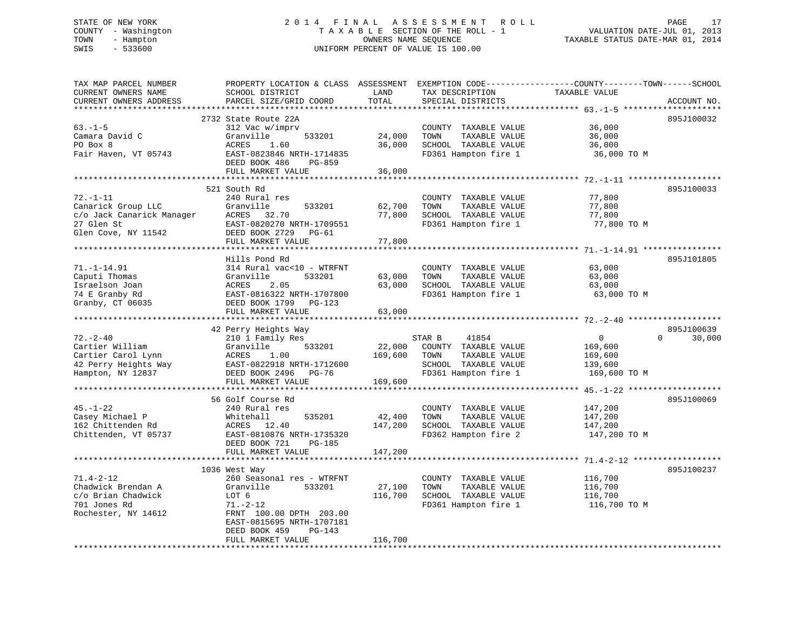### STATE OF NEW YORK 2 0 1 4 F I N A L A S S E S S M E N T R O L L PAGE 17COUNTY - Washington  $T A X A B L E$  SECTION OF THE ROLL - 1<br>TOWN - Hampton DWNERS NAME SEQUENCE TOWN - Hampton OWNERS NAME SEQUENCE TAXABLE STATUS DATE-MAR 01, 2014 SWIS - 533600 UNIFORM PERCENT OF VALUE IS 100.00

| TAX MAP PARCEL NUMBER<br>CURRENT OWNERS NAME<br>CURRENT OWNERS ADDRESS                                 | PROPERTY LOCATION & CLASS ASSESSMENT<br>SCHOOL DISTRICT<br>PARCEL SIZE/GRID COORD                                                                                                                    | LAND<br>TOTAL                | TAX DESCRIPTION<br>SPECIAL DISTRICTS                                                          | EXEMPTION CODE-----------------COUNTY-------TOWN------SCHOOL<br>TAXABLE VALUE | ACCOUNT NO.        |
|--------------------------------------------------------------------------------------------------------|------------------------------------------------------------------------------------------------------------------------------------------------------------------------------------------------------|------------------------------|-----------------------------------------------------------------------------------------------|-------------------------------------------------------------------------------|--------------------|
| **********************<br>$63. -1 - 5$<br>Camara David C<br>PO Box 8<br>Fair Haven, VT 05743           | *****************************<br>2732 State Route 22A<br>312 Vac w/imprv<br>Granville<br>533201<br>ACRES<br>1.60<br>EAST-0823846 NRTH-1714835<br>DEED BOOK 486<br>PG-859<br>FULL MARKET VALUE        | 24,000<br>36,000<br>36,000   | COUNTY TAXABLE VALUE<br>TAXABLE VALUE<br>TOWN<br>SCHOOL TAXABLE VALUE<br>FD361 Hampton fire 1 | 36,000<br>36,000<br>36,000<br>36,000 TO M                                     | 895J100032         |
|                                                                                                        | **********************                                                                                                                                                                               |                              |                                                                                               | ************************ 72.-1-11                                             |                    |
| $72. - 1 - 11$<br>Canarick Group LLC<br>c/o Jack Canarick Manager<br>27 Glen St<br>Glen Cove, NY 11542 | 521 South Rd<br>240 Rural res<br>Granville<br>533201<br>ACRES 32.70<br>EAST-0820270 NRTH-1709551<br>DEED BOOK 2729<br><b>PG-61</b><br>FULL MARKET VALUE                                              | 62,700<br>77,800<br>77,800   | COUNTY TAXABLE VALUE<br>TAXABLE VALUE<br>TOWN<br>SCHOOL TAXABLE VALUE<br>FD361 Hampton fire 1 | 77,800<br>77,800<br>77,800<br>77,800 TO M                                     | 895J100033         |
|                                                                                                        |                                                                                                                                                                                                      |                              |                                                                                               |                                                                               |                    |
| $71. - 1 - 14.91$<br>Caputi Thomas<br>Israelson Joan<br>74 E Granby Rd<br>Granby, CT 06035             | Hills Pond Rd<br>314 Rural vac<10 - WTRFNT<br>Granville<br>533201<br>ACRES<br>2.05<br>EAST-0816322 NRTH-1707800<br>DEED BOOK 1799 PG-123                                                             | 63,000<br>63,000             | COUNTY TAXABLE VALUE<br>TOWN<br>TAXABLE VALUE<br>SCHOOL TAXABLE VALUE<br>FD361 Hampton fire 1 | 63,000<br>63,000<br>63,000<br>63,000 TO M                                     | 895J101805         |
|                                                                                                        | FULL MARKET VALUE                                                                                                                                                                                    | 63,000                       |                                                                                               |                                                                               |                    |
|                                                                                                        | 42 Perry Heights Way                                                                                                                                                                                 |                              |                                                                                               |                                                                               | 895J100639         |
| $72. - 2 - 40$<br>Cartier William                                                                      | 210 1 Family Res<br>Granville<br>533201                                                                                                                                                              | 22,000                       | STAR B<br>41854<br>COUNTY TAXABLE VALUE                                                       | $\overline{0}$<br>169,600                                                     | $\Omega$<br>30,000 |
| Cartier Carol Lynn<br>42 Perry Heights Way<br>Hampton, NY 12837                                        | 1.00<br>ACRES<br>EAST-0822918 NRTH-1712600<br>DEED BOOK 2496 PG-76<br>FULL MARKET VALUE                                                                                                              | 169,600<br>169,600           | TAXABLE VALUE<br>TOWN<br>SCHOOL TAXABLE VALUE<br>FD361 Hampton fire 1                         | 169,600<br>139,600<br>169,600 TO M                                            |                    |
| $45. - 1 - 22$<br>Casey Michael P<br>162 Chittenden Rd<br>Chittenden, VT 05737                         | *****************************<br>56 Golf Course Rd<br>240 Rural res<br>Whitehall<br>535201<br>ACRES 12.40<br>EAST-0810876 NRTH-1735320<br>DEED BOOK 721<br>PG-185<br>FULL MARKET VALUE               | 42,400<br>147,200<br>147,200 | COUNTY TAXABLE VALUE<br>TOWN<br>TAXABLE VALUE<br>SCHOOL TAXABLE VALUE<br>FD362 Hampton fire 2 | 147,200<br>147,200<br>147,200<br>147,200 TO M                                 | 895J100069         |
|                                                                                                        |                                                                                                                                                                                                      |                              |                                                                                               |                                                                               |                    |
| $71.4 - 2 - 12$<br>Chadwick Brendan A<br>c/o Brian Chadwick<br>701 Jones Rd<br>Rochester, NY 14612     | 1036 West Way<br>260 Seasonal res - WTRFNT<br>Granville<br>533201<br>LOT 6<br>$71. - 2 - 12$<br>FRNT 100.00 DPTH 203.00<br>EAST-0815695 NRTH-1707181<br>DEED BOOK 459<br>PG-143<br>FULL MARKET VALUE | 27,100<br>116,700<br>116,700 | COUNTY TAXABLE VALUE<br>TAXABLE VALUE<br>TOWN<br>SCHOOL TAXABLE VALUE<br>FD361 Hampton fire 1 | 116,700<br>116,700<br>116,700<br>116,700 TO M                                 | 895J100237         |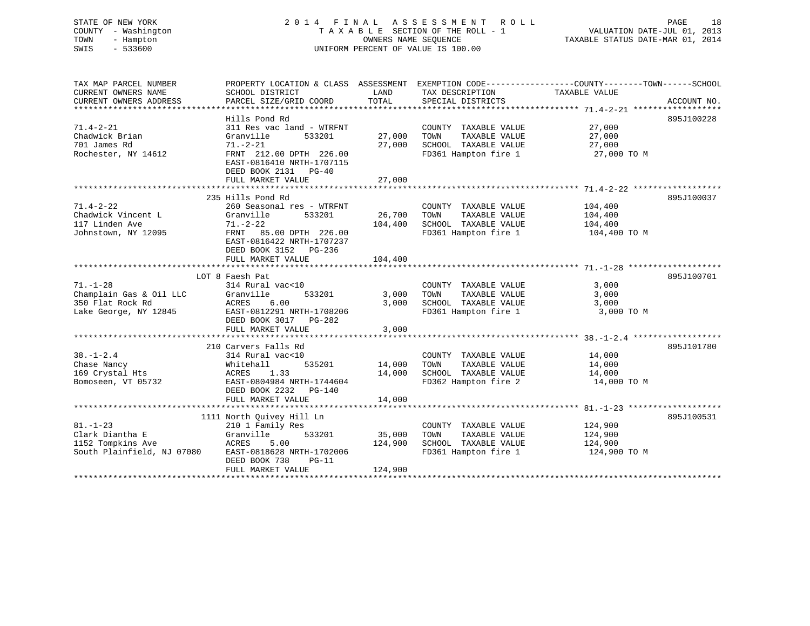### STATE OF NEW YORK 2 0 1 4 F I N A L A S S E S S M E N T R O L L PAGE 18COUNTY - Washington  $T A X A B L E$  SECTION OF THE ROLL - 1<br>TOWN - Hampton DWNERS NAME SEQUENCE TOWN - Hampton OWNERS NAME SEQUENCE TAXABLE STATUS DATE-MAR 01, 2014 SWIS - 533600 UNIFORM PERCENT OF VALUE IS 100.00

VALUATION DATE-JUL 01, 2013

| TAX MAP PARCEL NUMBER      | PROPERTY LOCATION & CLASS ASSESSMENT                 |                  |                                              |               |             |
|----------------------------|------------------------------------------------------|------------------|----------------------------------------------|---------------|-------------|
| CURRENT OWNERS NAME        | SCHOOL DISTRICT                                      | LAND             | TAX DESCRIPTION                              | TAXABLE VALUE |             |
| CURRENT OWNERS ADDRESS     | PARCEL SIZE/GRID COORD                               | TOTAL            | SPECIAL DISTRICTS                            |               | ACCOUNT NO. |
|                            |                                                      |                  |                                              |               |             |
| $71.4 - 2 - 21$            | Hills Pond Rd<br>311 Res vac land - WTRFNT           |                  |                                              |               | 895J100228  |
|                            |                                                      |                  | COUNTY TAXABLE VALUE                         | 27,000        |             |
| Chadwick Brian             | Granville<br>533201<br>$71. - 2 - 21$                | 27,000<br>27,000 | TOWN<br>TAXABLE VALUE                        | 27,000        |             |
| 701 James Rd               |                                                      |                  | SCHOOL TAXABLE VALUE<br>FD361 Hampton fire 1 | 27,000        |             |
| Rochester, NY 14612        | FRNT 212.00 DPTH 226.00<br>EAST-0816410 NRTH-1707115 |                  |                                              | 27,000 TO M   |             |
|                            | DEED BOOK 2131<br>$PG-40$                            |                  |                                              |               |             |
|                            | FULL MARKET VALUE                                    | 27,000           |                                              |               |             |
|                            |                                                      |                  |                                              |               |             |
|                            | 235 Hills Pond Rd                                    |                  |                                              |               | 895J100037  |
| $71.4 - 2 - 22$            | 260 Seasonal res - WTRFNT                            |                  | COUNTY TAXABLE VALUE                         | 104,400       |             |
| Chadwick Vincent L         | Granville<br>533201                                  | 26,700           | TOWN<br>TAXABLE VALUE                        | 104,400       |             |
| 117 Linden Ave             | $71. - 2 - 22$                                       | 104,400          | SCHOOL TAXABLE VALUE                         | 104,400       |             |
| Johnstown, NY 12095        | 85.00 DPTH 226.00<br>FRNT                            |                  | FD361 Hampton fire 1                         | 104,400 TO M  |             |
|                            | EAST-0816422 NRTH-1707237                            |                  |                                              |               |             |
|                            | DEED BOOK 3152 PG-236                                |                  |                                              |               |             |
|                            | FULL MARKET VALUE                                    | 104,400          |                                              |               |             |
|                            |                                                      |                  |                                              |               |             |
|                            | LOT 8 Faesh Pat                                      |                  |                                              |               | 895J100701  |
| $71. - 1 - 28$             | 314 Rural vac<10                                     |                  | COUNTY TAXABLE VALUE                         | 3,000         |             |
| Champlain Gas & Oil LLC    | Granville<br>533201                                  | 3,000            | TOWN<br>TAXABLE VALUE                        | 3,000         |             |
| 350 Flat Rock Rd           | 6.00<br>ACRES                                        | 3,000            | SCHOOL TAXABLE VALUE                         | 3,000         |             |
| Lake George, NY 12845      | EAST-0812291 NRTH-1708206                            |                  | FD361 Hampton fire 1                         | 3,000 TO M    |             |
|                            | DEED BOOK 3017 PG-282                                |                  |                                              |               |             |
|                            | FULL MARKET VALUE                                    | 3,000            |                                              |               |             |
|                            |                                                      |                  |                                              |               |             |
|                            | 210 Carvers Falls Rd                                 |                  |                                              |               | 895J101780  |
| $38. - 1 - 2.4$            | 314 Rural vac<10                                     |                  | COUNTY TAXABLE VALUE                         | 14,000        |             |
| Chase Nancy                | Whitehall<br>535201                                  | 14,000           | TAXABLE VALUE<br>TOWN                        | 14,000        |             |
| 169 Crystal Hts            | 1.33<br>ACRES                                        | 14,000           | SCHOOL TAXABLE VALUE                         | 14,000        |             |
| Bomoseen, VT 05732         | EAST-0804984 NRTH-1744604                            |                  | FD362 Hampton fire 2                         | 14,000 TO M   |             |
|                            | DEED BOOK 2232 PG-140                                |                  |                                              |               |             |
|                            | FULL MARKET VALUE                                    | 14,000           |                                              |               |             |
|                            |                                                      |                  |                                              |               |             |
|                            | 1111 North Quivey Hill Ln                            |                  |                                              |               | 895J100531  |
| $81. - 1 - 23$             | 210 1 Family Res                                     |                  | COUNTY TAXABLE VALUE                         | 124,900       |             |
| Clark Diantha E            | 533201<br>Granville                                  | 35,000           | TOWN<br>TAXABLE VALUE                        | 124,900       |             |
| 1152 Tompkins Ave          | ACRES<br>5.00                                        | 124,900          | SCHOOL TAXABLE VALUE                         | 124,900       |             |
| South Plainfield, NJ 07080 | EAST-0818628 NRTH-1702006                            |                  | FD361 Hampton fire 1                         | 124,900 TO M  |             |
|                            | DEED BOOK 738<br>$PG-11$                             |                  |                                              |               |             |
|                            | FULL MARKET VALUE                                    | 124,900          |                                              |               |             |
|                            |                                                      |                  |                                              |               |             |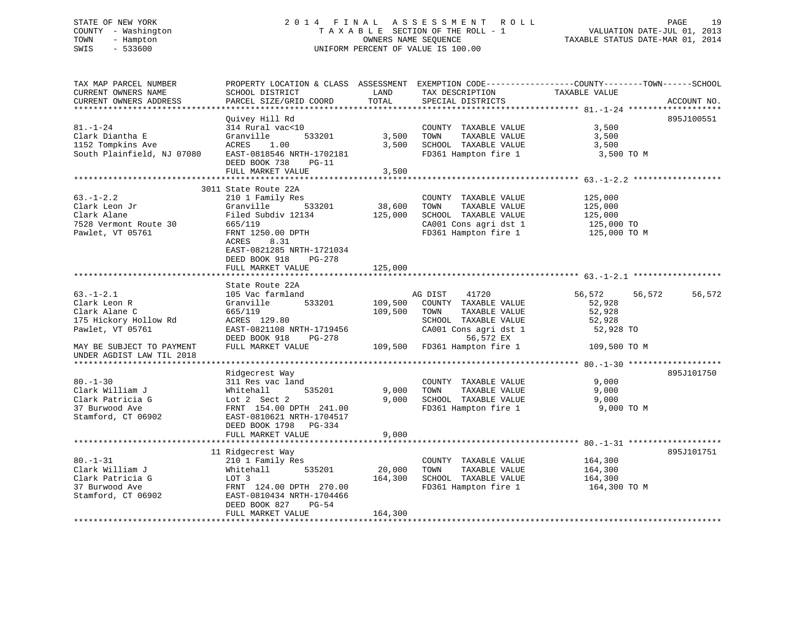# STATE OF NEW YORK 2 0 1 4 F I N A L A S S E S S M E N T R O L L PAGE 19 COUNTY - Washington T A X A B L E SECTION OF THE ROLL - 1 VALUATION DATE-JUL 01, 2013 TOWN - Hampton OWNERS NAME SEQUENCE TAXABLE STATUS DATE-MAR 01, 2014 SWIS - 533600 UNIFORM PERCENT OF VALUE IS 100.00

| TAX MAP PARCEL NUMBER<br>CURRENT OWNERS NAME<br>CURRENT OWNERS ADDRESS                        | PROPERTY LOCATION & CLASS ASSESSMENT<br>SCHOOL DISTRICT<br>PARCEL SIZE/GRID COORD                                                                              | LAND<br>TOTAL         | TAX DESCRIPTION<br>SPECIAL DISTRICTS                                                                                            | EXEMPTION CODE-----------------COUNTY-------TOWN------SCHOOL<br>TAXABLE VALUE<br>ACCOUNT NO. |
|-----------------------------------------------------------------------------------------------|----------------------------------------------------------------------------------------------------------------------------------------------------------------|-----------------------|---------------------------------------------------------------------------------------------------------------------------------|----------------------------------------------------------------------------------------------|
|                                                                                               |                                                                                                                                                                |                       |                                                                                                                                 |                                                                                              |
| $81. - 1 - 24$<br>Clark Diantha E<br>1152 Tompkins Ave<br>South Plainfield, NJ 07080          | Quivey Hill Rd<br>314 Rural vac<10<br>Granville<br>533201<br>ACRES<br>1.00<br>EAST-0818546 NRTH-1702181<br>DEED BOOK 738<br>$PG-11$                            | 3,500<br>3,500        | COUNTY TAXABLE VALUE<br>TOWN<br>TAXABLE VALUE<br>SCHOOL TAXABLE VALUE<br>FD361 Hampton fire 1                                   | 895J100551<br>3,500<br>3,500<br>3,500<br>3,500 TO M                                          |
|                                                                                               | FULL MARKET VALUE                                                                                                                                              | 3,500                 |                                                                                                                                 |                                                                                              |
|                                                                                               |                                                                                                                                                                |                       |                                                                                                                                 |                                                                                              |
| $63. - 1 - 2.2$<br>Clark Leon Jr<br>Clark Alane<br>7528 Vermont Route 30<br>Pawlet, VT 05761  | 3011 State Route 22A<br>210 1 Family Res<br>533201<br>Granville<br>Filed Subdiv 12134<br>665/119<br>FRNT 1250.00 DPTH<br>ACRES<br>8.31                         | 38,600<br>125,000     | COUNTY TAXABLE VALUE<br>TAXABLE VALUE<br>TOWN<br>SCHOOL TAXABLE VALUE<br>CA001 Cons agri dst 1<br>FD361 Hampton fire 1          | 125,000<br>125,000<br>125,000<br>125,000 TO<br>125,000 TO M                                  |
|                                                                                               | EAST-0821285 NRTH-1721034<br>DEED BOOK 918<br>PG-278<br>FULL MARKET VALUE                                                                                      | 125,000<br>********** |                                                                                                                                 |                                                                                              |
|                                                                                               | State Route 22A                                                                                                                                                |                       |                                                                                                                                 |                                                                                              |
| $63. - 1 - 2.1$<br>Clark Leon R<br>Clark Alane C<br>175 Hickory Hollow Rd<br>Pawlet, VT 05761 | 105 Vac farmland<br>Granville<br>533201<br>665/119<br>ACRES 129.80<br>EAST-0821108 NRTH-1719456<br>DEED BOOK 918<br>PG-278                                     | 109,500<br>109,500    | 41720<br>AG DIST<br>COUNTY TAXABLE VALUE<br>TAXABLE VALUE<br>TOWN<br>SCHOOL TAXABLE VALUE<br>CA001 Cons agri dst 1<br>56,572 EX | 56,572<br>56,572<br>56,572<br>52,928<br>52,928<br>52,928<br>52,928 TO                        |
| MAY BE SUBJECT TO PAYMENT<br>UNDER AGDIST LAW TIL 2018                                        | FULL MARKET VALUE                                                                                                                                              | 109,500               | FD361 Hampton fire 1                                                                                                            | 109,500 TO M                                                                                 |
|                                                                                               |                                                                                                                                                                |                       |                                                                                                                                 |                                                                                              |
| $80. - 1 - 30$<br>Clark William J<br>Clark Patricia G<br>37 Burwood Ave<br>Stamford, CT 06902 | Ridgecrest Way<br>311 Res vac land<br>535201<br>Whitehall<br>Lot 2 Sect 2<br>FRNT 154.00 DPTH 241.00<br>EAST-0810621 NRTH-1704517                              | 9,000<br>9,000        | COUNTY TAXABLE VALUE<br>TOWN<br>TAXABLE VALUE<br>SCHOOL TAXABLE VALUE<br>FD361 Hampton fire 1                                   | 895J101750<br>9,000<br>9,000<br>9,000<br>9,000 TO M                                          |
|                                                                                               | DEED BOOK 1798<br>PG-334<br>FULL MARKET VALUE                                                                                                                  | 9,000                 |                                                                                                                                 |                                                                                              |
|                                                                                               |                                                                                                                                                                |                       |                                                                                                                                 |                                                                                              |
| $80. - 1 - 31$<br>Clark William J<br>Clark Patricia G<br>37 Burwood Ave<br>Stamford, CT 06902 | 11 Ridgecrest Way<br>210 1 Family Res<br>Whitehall<br>535201<br>LOT 3<br>FRNT 124.00 DPTH 270.00<br>EAST-0810434 NRTH-1704466<br>DEED BOOK 827<br><b>PG-54</b> | 20,000<br>164,300     | COUNTY TAXABLE VALUE<br>TOWN<br>TAXABLE VALUE<br>SCHOOL TAXABLE VALUE<br>FD361 Hampton fire 1                                   | 895J101751<br>164,300<br>164,300<br>164,300<br>164,300 TO M                                  |
|                                                                                               | FULL MARKET VALUE                                                                                                                                              | 164,300               |                                                                                                                                 |                                                                                              |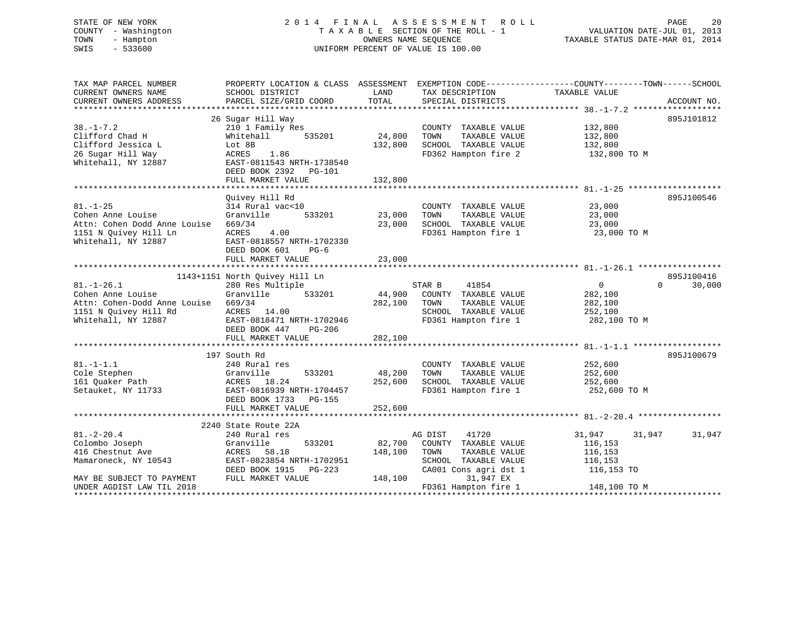# STATE OF NEW YORK 2 0 1 4 F I N A L A S S E S S M E N T R O L L PAGE 20 COUNTY - Washington T A X A B L E SECTION OF THE ROLL - 1 VALUATION DATE-JUL 01, 2013 TOWN - Hampton OWNERS NAME SEQUENCE TAXABLE STATUS DATE-MAR 01, 2014 SWIS - 533600 UNIFORM PERCENT OF VALUE IS 100.00

| TAX MAP PARCEL NUMBER<br>CURRENT OWNERS NAME                                                                          | PROPERTY LOCATION & CLASS ASSESSMENT EXEMPTION CODE---------------COUNTY-------TOWN-----SCHOOL<br>SCHOOL DISTRICT                                                  | LAND                         | TAX DESCRIPTION                                                                                                    | TAXABLE VALUE                                                      |                                  |
|-----------------------------------------------------------------------------------------------------------------------|--------------------------------------------------------------------------------------------------------------------------------------------------------------------|------------------------------|--------------------------------------------------------------------------------------------------------------------|--------------------------------------------------------------------|----------------------------------|
| CURRENT OWNERS ADDRESS                                                                                                | PARCEL SIZE/GRID COORD                                                                                                                                             | TOTAL                        | SPECIAL DISTRICTS                                                                                                  |                                                                    | ACCOUNT NO.                      |
|                                                                                                                       |                                                                                                                                                                    |                              |                                                                                                                    |                                                                    |                                  |
| $38. - 1 - 7.2$<br>Clifford Chad H<br>Clifford Jessica L<br>26 Sugar Hill Way<br>Whitehall, NY 12887                  | 26 Sugar Hill Way<br>210 1 Family Res<br>Whitehall<br>535201<br>Lot 8B<br>1.86<br>ACRES<br>EAST-0811543 NRTH-1738540<br>DEED BOOK 2392 PG-101<br>FULL MARKET VALUE | 24,800<br>132,800<br>132,800 | COUNTY TAXABLE VALUE<br>TOWN<br>TAXABLE VALUE<br>SCHOOL TAXABLE VALUE<br>FD362 Hampton fire 2                      | 132,800<br>132,800<br>132,800<br>132,800 TO M                      | 895J101812                       |
|                                                                                                                       |                                                                                                                                                                    |                              |                                                                                                                    |                                                                    |                                  |
| $81. - 1 - 25$<br>Cohen Anne Louise<br>Attn: Cohen Dodd Anne Louise<br>1151 N Quivey Hill Ln<br>Whitehall, NY 12887   | Quivey Hill Rd<br>314 Rural vac<10<br>533201<br>Granville<br>669/34<br>ACRES<br>4.00<br>EAST-0818557 NRTH-1702330<br>DEED BOOK 601<br>$PG-6$                       | 23,000<br>23,000             | COUNTY TAXABLE VALUE<br>TOWN<br>TAXABLE VALUE<br>SCHOOL TAXABLE VALUE<br>FD361 Hampton fire 1                      | 23,000<br>23,000<br>23,000<br>23,000 TO M                          | 895J100546                       |
|                                                                                                                       | FULL MARKET VALUE                                                                                                                                                  | 23,000                       |                                                                                                                    |                                                                    |                                  |
|                                                                                                                       |                                                                                                                                                                    |                              |                                                                                                                    |                                                                    |                                  |
| $81. - 1 - 26.1$<br>Cohen Anne Louise<br>Attn: Cohen-Dodd Anne Louise<br>1151 N Quivey Hill Rd<br>Whitehall, NY 12887 | 1143+1151 North Quivey Hill Ln<br>280 Res Multiple<br>533201<br>Granville<br>669/34<br>ACRES 14.00<br>EAST-0818471 NRTH-1702946<br>DEED BOOK 447<br>PG-206         | 282,100 TOWN                 | STAR B<br>41854<br>44,900 COUNTY TAXABLE VALUE<br>TAXABLE VALUE<br>SCHOOL TAXABLE VALUE<br>FD361 Hampton fire 1    | $0 \qquad \qquad$<br>282,100<br>282,100<br>252,100<br>282,100 TO M | 895J100416<br>$\Omega$<br>30,000 |
|                                                                                                                       | FULL MARKET VALUE                                                                                                                                                  | 282,100                      |                                                                                                                    |                                                                    |                                  |
| $81. - 1 - 1.1$<br>Cole Stephen<br>161 Quaker Path<br>Setauket, NY 11733                                              | 197 South Rd<br>240 Rural res<br>Granville<br>533201<br>ACRES 18.24<br>EAST-0816939 NRTH-1704457<br>DEED BOOK 1733 PG-155                                          | 48,200<br>252,600            | COUNTY TAXABLE VALUE<br>TAXABLE VALUE<br>TOWN<br>SCHOOL TAXABLE VALUE<br>FD361 Hampton fire 1                      | 252,600<br>252,600<br>252,600<br>252,600 TO M                      | 895J100679                       |
|                                                                                                                       | FULL MARKET VALUE                                                                                                                                                  | 252,600                      |                                                                                                                    |                                                                    |                                  |
|                                                                                                                       |                                                                                                                                                                    |                              |                                                                                                                    |                                                                    |                                  |
| $81. - 2 - 20.4$<br>Colombo Joseph<br>416 Chestnut Ave<br>Mamaroneck, NY 10543                                        | 2240 State Route 22A<br>240 Rural res<br>533201<br>Granville<br>ACRES 58.18<br>EAST-0823854 NRTH-1702951<br>DEED BOOK 1915 PG-223                                  | 82,700<br>148,100            | AG DIST<br>41720<br>COUNTY TAXABLE VALUE<br>TOWN<br>TAXABLE VALUE<br>SCHOOL TAXABLE VALUE<br>CA001 Cons agri dst 1 | 31,947<br>116,153<br>116,153<br>116,153<br>116,153 TO              | 31,947<br>31,947                 |
| MAY BE SUBJECT TO PAYMENT<br>UNDER AGDIST LAW TIL 2018                                                                | FULL MARKET VALUE                                                                                                                                                  | 148,100                      | 31,947 EX<br>FD361 Hampton fire 1 148,100 TO M                                                                     |                                                                    |                                  |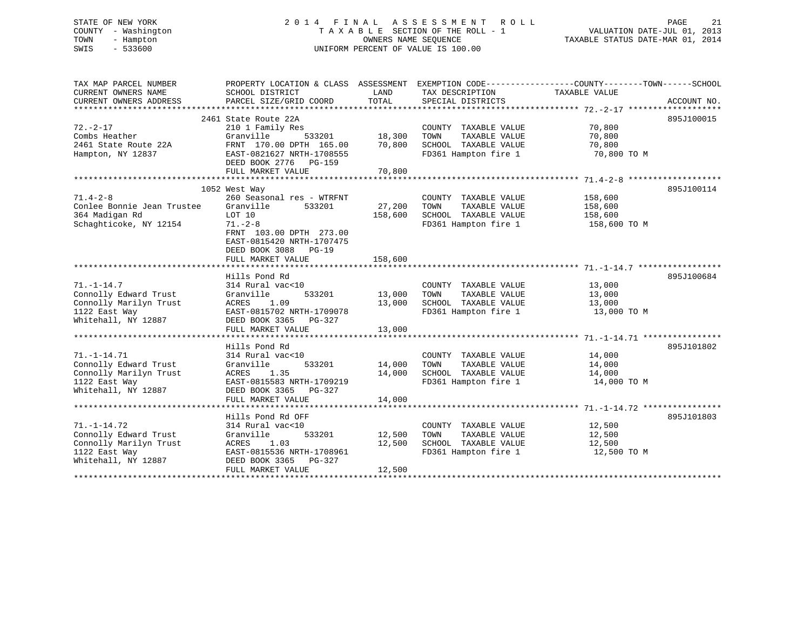# STATE OF NEW YORK 2 0 1 4 F I N A L A S S E S S M E N T R O L L PAGE 21 COUNTY - Washington T A X A B L E SECTION OF THE ROLL - 1 VALUATION DATE-JUL 01, 2013 TOWN - Hampton OWNERS NAME SEQUENCE TAXABLE STATUS DATE-MAR 01, 2014 SWIS - 533600 UNIFORM PERCENT OF VALUE IS 100.00

| TAX MAP PARCEL NUMBER      | PROPERTY LOCATION & CLASS ASSESSMENT EXEMPTION CODE----------------COUNTY-------TOWN------SCHOOL |         |                                   |               |             |
|----------------------------|--------------------------------------------------------------------------------------------------|---------|-----------------------------------|---------------|-------------|
| CURRENT OWNERS NAME        | SCHOOL DISTRICT                                                                                  | LAND    | TAX DESCRIPTION                   | TAXABLE VALUE |             |
| CURRENT OWNERS ADDRESS     | PARCEL SIZE/GRID COORD                                                                           | TOTAL   | SPECIAL DISTRICTS                 |               | ACCOUNT NO. |
|                            | 2461 State Route 22A                                                                             |         |                                   |               | 895J100015  |
| $72. - 2 - 17$             | 210 1 Family Res                                                                                 |         | COUNTY TAXABLE VALUE              | 70,800        |             |
| Combs Heather              | 533201<br>Granville                                                                              | 18,300  | TOWN<br>TAXABLE VALUE             | 70,800        |             |
| 2461 State Route 22A       | FRNT 170.00 DPTH 165.00                                                                          | 70,800  | SCHOOL TAXABLE VALUE              | 70,800        |             |
| Hampton, NY 12837          | EAST-0821627 NRTH-1708555                                                                        |         | FD361 Hampton fire 1              | 70,800 TO M   |             |
|                            | DEED BOOK 2776 PG-159                                                                            |         |                                   |               |             |
|                            | FULL MARKET VALUE                                                                                | 70,800  |                                   |               |             |
|                            |                                                                                                  |         |                                   |               |             |
|                            | 1052 West Way                                                                                    |         |                                   |               | 895J100114  |
| $71.4 - 2 - 8$             | 260 Seasonal res - WTRFNT                                                                        |         | COUNTY TAXABLE VALUE              | 158,600       |             |
| Conlee Bonnie Jean Trustee | Granville<br>533201                                                                              | 27,200  | TOWN<br>TAXABLE VALUE             | 158,600       |             |
| 364 Madigan Rd             | LOT 10                                                                                           | 158,600 | SCHOOL TAXABLE VALUE 158,600      |               |             |
| Schaghticoke, NY 12154     | $71. - 2 - 8$                                                                                    |         | FD361 Hampton fire 1 158,600 TO M |               |             |
|                            | FRNT 103.00 DPTH 273.00                                                                          |         |                                   |               |             |
|                            | EAST-0815420 NRTH-1707475                                                                        |         |                                   |               |             |
|                            | DEED BOOK 3088 PG-19                                                                             |         |                                   |               |             |
|                            | FULL MARKET VALUE                                                                                | 158,600 |                                   |               |             |
|                            |                                                                                                  |         |                                   |               |             |
|                            | Hills Pond Rd                                                                                    |         |                                   |               | 895J100684  |
| $71. - 1 - 14.7$           | 314 Rural vac<10                                                                                 |         | COUNTY TAXABLE VALUE              | 13,000        |             |
| Connolly Edward Trust      | 533201<br>Granville                                                                              | 13,000  | TOWN<br>TAXABLE VALUE             | 13,000        |             |
| Connolly Marilyn Trust     | ACRES<br>1.09                                                                                    | 13,000  | SCHOOL TAXABLE VALUE              | 13,000        |             |
| 1122 East Way              | EAST-0815702 NRTH-1709078                                                                        |         | FD361 Hampton fire 1              | 13,000 TO M   |             |
| Whitehall, NY 12887        | DEED BOOK 3365 PG-327                                                                            |         |                                   |               |             |
|                            | FULL MARKET VALUE                                                                                | 13,000  |                                   |               |             |
|                            |                                                                                                  |         |                                   |               |             |
|                            | Hills Pond Rd                                                                                    |         |                                   |               | 895J101802  |
| $71. - 1 - 14.71$          | 314 Rural vac<10                                                                                 |         | COUNTY TAXABLE VALUE              | 14,000        |             |
| Connolly Edward Trust      | 533201<br>Granville                                                                              | 14,000  | TAXABLE VALUE<br>TOWN             | 14,000        |             |
| Connolly Marilyn Trust     | ACRES<br>1.35                                                                                    | 14,000  | SCHOOL TAXABLE VALUE              | 14,000        |             |
| 1122 East Way              | EAST-0815583 NRTH-1709219                                                                        |         | FD361 Hampton fire 1              | 14,000 TO M   |             |
| Whitehall, NY 12887        | DEED BOOK 3365 PG-327                                                                            |         |                                   |               |             |
|                            | FULL MARKET VALUE                                                                                | 14,000  |                                   |               |             |
|                            |                                                                                                  |         |                                   |               |             |
|                            | Hills Pond Rd OFF                                                                                |         |                                   |               | 895J101803  |
| $71. - 1 - 14.72$          | 314 Rural vac<10                                                                                 |         | COUNTY TAXABLE VALUE              | 12,500        |             |
| Connolly Edward Trust      | Granville<br>533201                                                                              | 12,500  | TAXABLE VALUE<br>TOWN             | 12,500        |             |
| Connolly Marilyn Trust     | ACRES 1.03                                                                                       | 12,500  | SCHOOL TAXABLE VALUE              | 12,500        |             |
| 1122 East Way              | EAST-0815536 NRTH-1708961                                                                        |         | FD361 Hampton fire 1              | 12,500 TO M   |             |
| Whitehall, NY 12887        | DEED BOOK 3365 PG-327                                                                            |         |                                   |               |             |
|                            | FULL MARKET VALUE                                                                                | 12,500  |                                   |               |             |
|                            |                                                                                                  |         |                                   |               |             |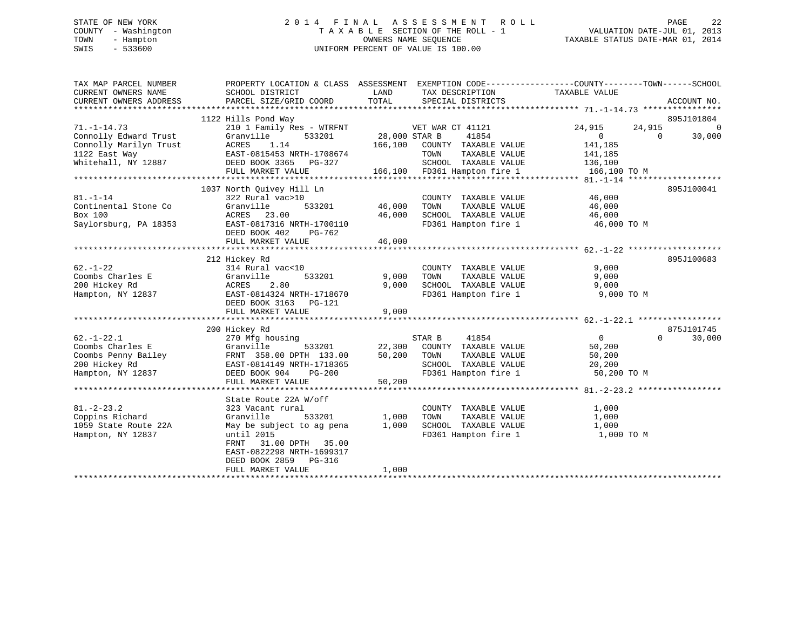# STATE OF NEW YORK 2 0 1 4 F I N A L A S S E S S M E N T R O L L PAGE 22 COUNTY - Washington T A X A B L E SECTION OF THE ROLL - 1 VALUATION DATE-JUL 01, 2013 TOWN - Hampton OWNERS NAME SEQUENCE TAXABLE STATUS DATE-MAR 01, 2014 SWIS - 533600 UNIFORM PERCENT OF VALUE IS 100.00

| TAX MAP PARCEL NUMBER<br>CURRENT OWNERS NAME<br>CURRENT OWNERS ADDRESS                            | PROPERTY LOCATION & CLASS ASSESSMENT EXEMPTION CODE----------------COUNTY-------TOWN-----SCHOOL<br>SCHOOL DISTRICT<br>PARCEL SIZE/GRID COORD                      | LAND<br>TOTAL            | TAX DESCRIPTION<br>SPECIAL DISTRICTS                                                                                    | TAXABLE VALUE                                               | ACCOUNT NO.                      |
|---------------------------------------------------------------------------------------------------|-------------------------------------------------------------------------------------------------------------------------------------------------------------------|--------------------------|-------------------------------------------------------------------------------------------------------------------------|-------------------------------------------------------------|----------------------------------|
| $71. - 1 - 14.73$                                                                                 | 1122 Hills Pond Way<br>210 1 Family Res - WTRFNT                                                                                                                  |                          | VET WAR CT 41121                                                                                                        | 24,915<br>24,915                                            | 895J101804<br>$\Omega$           |
| Connolly Edward Trust<br>Connolly Marilyn Trust<br>1122 East Way                                  | Granville<br>533201<br>1.14<br>ACRES<br>EAST-0815453 NRTH-1708674                                                                                                 | 28,000 STAR B<br>166,100 | 41854<br>COUNTY TAXABLE VALUE<br>TAXABLE VALUE<br>TOWN                                                                  | $\overline{0}$<br>141,185<br>141,185                        | 30,000<br>$\Omega$               |
| Whitehall, NY 12887                                                                               | DEED BOOK 3365 PG-327<br>FULL MARKET VALUE                                                                                                                        |                          | SCHOOL TAXABLE VALUE<br>166,100 FD361 Hampton fire 1                                                                    | 136,100<br>166,100 TO M                                     |                                  |
| $81. - 1 - 14$<br>Continental Stone Co<br>Box 100<br>Saylorsburg, PA 18353                        | 1037 North Quivey Hill Ln<br>322 Rural vac>10<br>533201<br>Granville<br>ACRES 23.00<br>EAST-0817316 NRTH-1700110                                                  | 46,000<br>46,000         | COUNTY TAXABLE VALUE<br>TOWN       TAXABLE  VALUE<br>SCHOOL    TAXABLE  VALUE<br>FD361 Hampton fire 1 46,000 TO M       | 46,000<br>46,000<br>46,000                                  | 895J100041                       |
|                                                                                                   | DEED BOOK 402<br>PG-762<br>FULL MARKET VALUE                                                                                                                      | 46,000                   |                                                                                                                         |                                                             |                                  |
| $62. - 1 - 22$<br>Coombs Charles E<br>200 Hickey Rd<br>Hampton, NY 12837                          | 212 Hickey Rd<br>314 Rural vac<10<br>Granville<br>533201<br>ACRES<br>2.80<br>EAST-0814324 NRTH-1718670<br>DEED BOOK 3163 PG-121<br>FULL MARKET VALUE              | 9,000<br>9,000<br>9,000  | COUNTY TAXABLE VALUE<br>TOWN      TAXABLE VALUE<br>SCHOOL   TAXABLE VALUE<br>FD361 Hampton fire 1 9,000 TO M            | 9,000<br>9,000<br>9,000                                     | 895J100683                       |
| $62. - 1 - 22.1$<br>Coombs Charles E<br>Coombs Penny Bailey<br>200 Hickey Rd<br>Hampton, NY 12837 | 200 Hickey Rd<br>270 Mfg housing<br>533201<br>Granville<br>FRNT 358.00 DPTH 133.00<br>EAST-0814149 NRTH-1718365<br>DEED BOOK 904<br>$PG-200$<br>FULL MARKET VALUE | 50,200<br>50,200         | STAR B<br>41854<br>22,300 COUNTY TAXABLE VALUE<br>TOWN<br>TAXABLE VALUE<br>SCHOOL TAXABLE VALUE<br>FD361 Hampton fire 1 | $\overline{0}$<br>50,200<br>50,200<br>20,200<br>50,200 TO M | 875J101745<br>$\Omega$<br>30,000 |
| $81. - 2 - 23.2$                                                                                  | State Route 22A W/off<br>323 Vacant rural                                                                                                                         |                          | COUNTY TAXABLE VALUE                                                                                                    | 1,000                                                       |                                  |
| Coppins Richard<br>1059 State Route 22A<br>Hampton, NY 12837                                      | Granville<br>533201<br>May be subject to ag pena<br>until 2015<br>FRNT 31.00 DPTH 35.00<br>EAST-0822298 NRTH-1699317<br>DEED BOOK 2859 PG-316                     | 1,000<br>1,000           | TAXABLE VALUE<br>TOWN<br>SCHOOL TAXABLE VALUE<br>FD361 Hampton fire 1                                                   | 1,000<br>1,000<br>1,000 TO M                                |                                  |
|                                                                                                   | FULL MARKET VALUE                                                                                                                                                 | 1,000                    |                                                                                                                         |                                                             |                                  |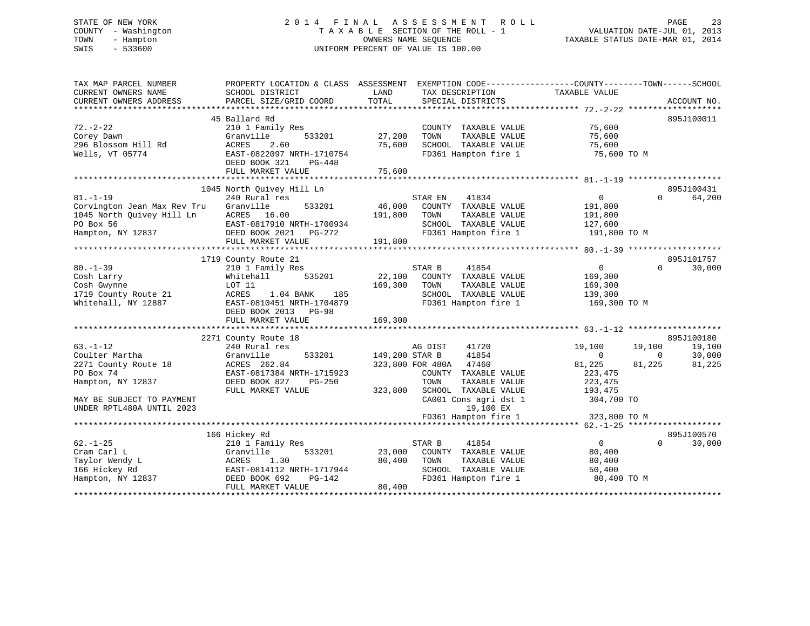# STATE OF NEW YORK 2 0 1 4 F I N A L A S S E S S M E N T R O L L PAGE 23 COUNTY - Washington T A X A B L E SECTION OF THE ROLL - 1 VALUATION DATE-JUL 01, 2013 TOWN - Hampton OWNERS NAME SEQUENCE TAXABLE STATUS DATE-MAR 01, 2014 SWIS - 533600 UNIFORM PERCENT OF VALUE IS 100.00

| TAX MAP PARCEL NUMBER       | PROPERTY LOCATION & CLASS ASSESSMENT |                | EXEMPTION CODE-----------------COUNTY-------TOWN------SCHOOL |                |                          |
|-----------------------------|--------------------------------------|----------------|--------------------------------------------------------------|----------------|--------------------------|
| CURRENT OWNERS NAME         | SCHOOL DISTRICT                      | LAND           | TAX DESCRIPTION                                              | TAXABLE VALUE  |                          |
| CURRENT OWNERS ADDRESS      | PARCEL SIZE/GRID COORD               | TOTAL          | SPECIAL DISTRICTS                                            |                | ACCOUNT NO.              |
|                             |                                      |                |                                                              |                |                          |
|                             | 45 Ballard Rd                        |                |                                                              |                | 895J100011               |
| $72. - 2 - 22$              | 210 1 Family Res                     |                | COUNTY TAXABLE VALUE                                         | 75,600         |                          |
| Corey Dawn                  | Granville<br>533201                  | 27,200         | TAXABLE VALUE<br>TOWN                                        | 75,600         |                          |
| 296 Blossom Hill Rd         | 2.60<br>ACRES                        | 75,600         | SCHOOL TAXABLE VALUE                                         | 75,600         |                          |
| Wells, VT 05774             | EAST-0822097 NRTH-1710754            |                | FD361 Hampton fire 1                                         | 75,600 TO M    |                          |
|                             | DEED BOOK 321<br>PG-448              |                |                                                              |                |                          |
|                             | FULL MARKET VALUE                    | 75,600         |                                                              |                |                          |
|                             | 1045 North Quivey Hill Ln            |                |                                                              |                | 895J100431               |
| $81. - 1 - 19$              | 240 Rural res                        |                | STAR EN<br>41834                                             | $\mathbf{0}$   | 64,200<br>$\Omega$       |
| Corvington Jean Max Rev Tru | Granville<br>533201                  | 46,000         | COUNTY TAXABLE VALUE                                         | 191,800        |                          |
| 1045 North Quivey Hill Ln   | ACRES 16.00                          | 191,800        | TOWN<br>TAXABLE VALUE                                        | 191,800        |                          |
| PO Box 56                   | EAST-0817910 NRTH-1700934            |                | SCHOOL TAXABLE VALUE                                         | 127,600        |                          |
| Hampton, NY 12837           | DEED BOOK 2021 PG-272                |                | FD361 Hampton fire 1                                         | 191,800 TO M   |                          |
|                             | FULL MARKET VALUE                    | 191,800        |                                                              |                |                          |
|                             |                                      |                |                                                              |                |                          |
|                             | 1719 County Route 21                 |                |                                                              |                | 895J101757               |
| $80. - 1 - 39$              | 210 1 Family Res                     |                | STAR B<br>41854                                              | $\overline{0}$ | $\Omega$<br>30,000       |
| Cosh Larry                  | 535201<br>Whitehall                  | 22,100         | COUNTY TAXABLE VALUE                                         | 169,300        |                          |
| Cosh Gwynne                 | LOT 11                               | 169,300        | TAXABLE VALUE<br>TOWN                                        | 169,300        |                          |
| 1719 County Route 21        | ACRES<br>1.04 BANK<br>185            |                | SCHOOL TAXABLE VALUE                                         | 139,300        |                          |
| Whitehall, NY 12887         | EAST-0810451 NRTH-1704879            |                | FD361 Hampton fire 1                                         | 169,300 TO M   |                          |
|                             | DEED BOOK 2013 PG-98                 |                |                                                              |                |                          |
|                             | FULL MARKET VALUE                    | 169,300        |                                                              |                |                          |
|                             |                                      |                |                                                              |                |                          |
|                             | 2271 County Route 18                 |                |                                                              |                | 895J100180               |
| $63. - 1 - 12$              | 240 Rural res                        |                | 41720<br>AG DIST                                             | 19,100         | 19,100<br>19,100         |
| Coulter Martha              | Granville<br>533201                  | 149,200 STAR B | 41854                                                        | $\overline{0}$ | 30,000<br>$\overline{0}$ |
| 2271 County Route 18        | ACRES 262.84                         |                | 323,800 FOR 480A<br>47460                                    | 81,225         | 81,225<br>81,225         |
| PO Box 74                   | EAST-0817384 NRTH-1715923            |                | COUNTY TAXABLE VALUE                                         | 223,475        |                          |
| Hampton, NY 12837           | DEED BOOK 827<br>PG-250              |                | TOWN<br>TAXABLE VALUE                                        | 223,475        |                          |
|                             | FULL MARKET VALUE                    | 323,800        | SCHOOL TAXABLE VALUE                                         | 193,475        |                          |
| MAY BE SUBJECT TO PAYMENT   |                                      |                | CA001 Cons agri dst 1                                        | 304,700 TO     |                          |
| UNDER RPTL480A UNTIL 2023   |                                      |                | 19,100 EX                                                    |                |                          |
|                             |                                      |                | FD361 Hampton fire 1                                         | 323,800 TO M   |                          |
|                             |                                      |                |                                                              |                |                          |
|                             | 166 Hickey Rd                        |                |                                                              |                | 895J100570               |
| $62. - 1 - 25$              | 210 1 Family Res                     |                | 41854<br>STAR B                                              | $\mathbf{0}$   | $\Omega$<br>30,000       |
| Cram Carl L                 | Granville<br>533201                  | 23,000         | COUNTY TAXABLE VALUE                                         | 80,400         |                          |
| Taylor Wendy L              | 1.30<br>ACRES                        | 80,400         | TOWN<br>TAXABLE VALUE                                        | 80,400         |                          |
| 166 Hickey Rd               | EAST-0814112 NRTH-1717944            |                | SCHOOL TAXABLE VALUE                                         | 50,400         |                          |
| Hampton, NY 12837           | DEED BOOK 692<br>$PG-142$            |                | FD361 Hampton fire 1                                         | 80,400 TO M    |                          |
|                             | FULL MARKET VALUE                    | 80,400         |                                                              |                |                          |
|                             |                                      |                |                                                              |                |                          |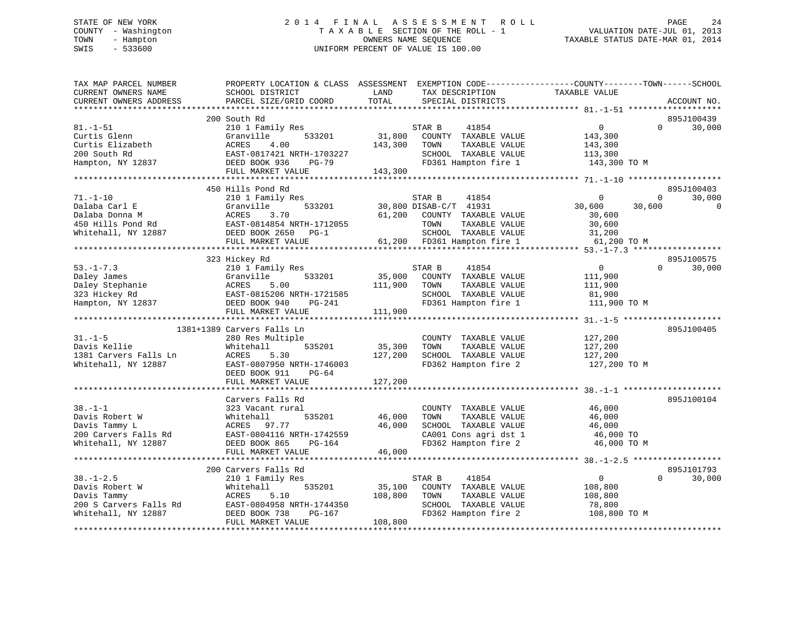# STATE OF NEW YORK 2 0 1 4 F I N A L A S S E S S M E N T R O L L PAGE 24 COUNTY - Washington T A X A B L E SECTION OF THE ROLL - 1 VALUATION DATE-JUL 01, 2013 TOWN - Hampton OWNERS NAME SEQUENCE TAXABLE STATUS DATE-MAR 01, 2014 SWIS - 533600 UNIFORM PERCENT OF VALUE IS 100.00

| LAND<br>TAXABLE VALUE<br>CURRENT OWNERS NAME<br>SCHOOL DISTRICT<br>TAX DESCRIPTION<br>TOTAL<br>CURRENT OWNERS ADDRESS<br>PARCEL SIZE/GRID COORD<br>SPECIAL DISTRICTS | ACCOUNT NO. |
|----------------------------------------------------------------------------------------------------------------------------------------------------------------------|-------------|
|                                                                                                                                                                      |             |
| 200 South Rd                                                                                                                                                         | 895J100439  |
| $81. - 1 - 51$<br>$\mathsf{O}$<br>$\Omega$<br>210 1 Family Res<br>STAR B<br>41854                                                                                    | 30,000      |
| 31,800<br>COUNTY TAXABLE VALUE<br>Curtis Glenn<br>Granville<br>533201<br>143,300                                                                                     |             |
| Curtis Elizabeth<br>ACRES<br>4.00<br>143,300<br>TAXABLE VALUE<br>TOWN<br>143,300                                                                                     |             |
| EAST-0817421 NRTH-1703227<br>SCHOOL TAXABLE VALUE<br>200 South Rd<br>113,300                                                                                         |             |
| DEED BOOK 936<br>FD361 Hampton fire 1<br>143,300 TO M<br>Hampton, NY 12837<br>PG-79                                                                                  |             |
| FULL MARKET VALUE<br>143,300                                                                                                                                         |             |
|                                                                                                                                                                      |             |
| 450 Hills Pond Rd<br>$\Omega$<br>$\Omega$                                                                                                                            | 895J100403  |
| $71. - 1 - 10$<br>210 1 Family Res<br>41854<br>STAR B                                                                                                                | 30,000      |
| Granville<br>533201<br>30,800 DISAB-C/T 41931<br>Dalaba Carl E<br>30,600<br>30,600                                                                                   | $\mathbf 0$ |
| Dalaba Donna M<br>ACRES<br>3.70<br>61,200<br>COUNTY TAXABLE VALUE<br>30,600                                                                                          |             |
| EAST-0814854 NRTH-1712055<br>450 Hills Pond Rd<br>TOWN<br>TAXABLE VALUE<br>30,600                                                                                    |             |
| SCHOOL TAXABLE VALUE<br>Whitehall, NY 12887<br>DEED BOOK 2650 PG-1<br>31,200                                                                                         |             |
| 61,200 FD361 Hampton fire 1<br>FULL MARKET VALUE<br>61,200 TO M                                                                                                      |             |
|                                                                                                                                                                      |             |
| 323 Hickey Rd                                                                                                                                                        | 895J100575  |
| 210 1 Family Res<br>$\overline{0}$<br>$53. - 1 - 7.3$<br>STAR B<br>41854<br>$\Omega$                                                                                 | 30,000      |
| Daley James<br>Granville<br>533201<br>35,000<br>COUNTY TAXABLE VALUE<br>111,900                                                                                      |             |
| 5.00<br>Daley Stephanie<br>ACRES<br>111,900<br>TOWN<br>TAXABLE VALUE<br>111,900                                                                                      |             |
| 323 Hickey Rd<br>EAST-0815206 NRTH-1721585<br>SCHOOL TAXABLE VALUE<br>81,900                                                                                         |             |
| FD361 Hampton fire 1<br>Hampton, NY 12837<br>DEED BOOK 940<br>PG-241<br>111,900 TO M                                                                                 |             |
| 111,900<br>FULL MARKET VALUE                                                                                                                                         |             |
|                                                                                                                                                                      |             |
| 1381+1389 Carvers Falls Ln                                                                                                                                           | 895J100405  |
| $31. - 1 - 5$<br>280 Res Multiple<br>COUNTY TAXABLE VALUE<br>127,200                                                                                                 |             |
| Davis Kellie<br>Whitehall<br>535201<br>35,300<br>TOWN<br>TAXABLE VALUE<br>127,200                                                                                    |             |
| 1381 Carvers Falls Ln<br>SCHOOL TAXABLE VALUE<br>ACRES<br>5.30<br>127,200<br>127,200                                                                                 |             |
| Whitehall, NY 12887<br>EAST-0807950 NRTH-1746003<br>FD362 Hampton fire 2<br>127,200 TO M                                                                             |             |
| DEED BOOK 911<br>PG-64                                                                                                                                               |             |
| 127,200<br>FULL MARKET VALUE                                                                                                                                         |             |
|                                                                                                                                                                      |             |
| Carvers Falls Rd                                                                                                                                                     | 895J100104  |
| $38. - 1 - 1$<br>323 Vacant rural<br>COUNTY TAXABLE VALUE<br>46,000                                                                                                  |             |
| Davis Robert W<br>535201<br>46,000<br>TAXABLE VALUE<br>Whitehall<br>TOWN<br>46,000                                                                                   |             |
| Davis Tammy L<br>SCHOOL TAXABLE VALUE<br>ACRES<br>97.77<br>46,000<br>46,000                                                                                          |             |
| 200 Carvers Falls Rd<br>EAST-0804116 NRTH-1742559<br>CA001 Cons agri dst 1<br>46,000 TO                                                                              |             |
| FD362 Hampton fire 2<br>Whitehall, NY 12887<br>DEED BOOK 865<br>46,000 TO M<br>PG-164                                                                                |             |
| FULL MARKET VALUE<br>46,000                                                                                                                                          |             |
| *******************************                                                                                                                                      |             |
| 200 Carvers Falls Rd                                                                                                                                                 | 895J101793  |
| $38. - 1 - 2.5$<br>$\overline{0}$<br>210 1 Family Res<br>STAR B<br>41854<br>$\Omega$                                                                                 | 30,000      |
| 535201<br>35,100<br>Davis Robert W<br>Whitehall<br>COUNTY TAXABLE VALUE<br>108,800                                                                                   |             |
| 108,800<br>Davis Tammy<br>ACRES<br>5.10<br>TOWN<br>TAXABLE VALUE<br>108,800                                                                                          |             |
| 200 S Carvers Falls Rd<br>EAST-0804958 NRTH-1744350<br>SCHOOL TAXABLE VALUE<br>78,800                                                                                |             |
| Whitehall, NY 12887<br>FD362 Hampton fire 2<br>DEED BOOK 738<br>PG-167<br>108,800 TO M                                                                               |             |
| FULL MARKET VALUE<br>108,800                                                                                                                                         |             |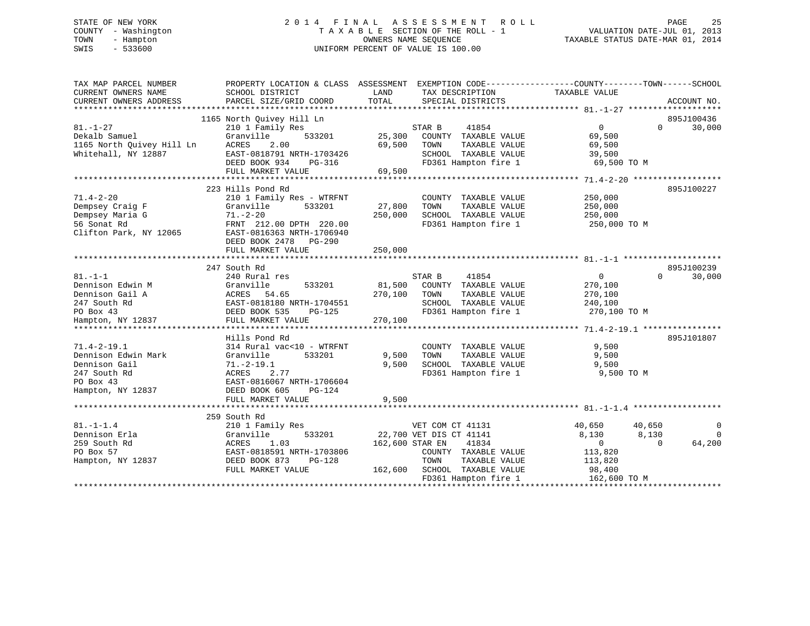# STATE OF NEW YORK 2 0 1 4 F I N A L A S S E S S M E N T R O L L PAGE 25 COUNTY - Washington T A X A B L E SECTION OF THE ROLL - 1 VALUATION DATE-JUL 01, 2013 TOWN - Hampton OWNERS NAME SEQUENCE TAXABLE STATUS DATE-MAR 01, 2014 SWIS - 533600 UNIFORM PERCENT OF VALUE IS 100.00

| TAX MAP PARCEL NUMBER                                               | PROPERTY LOCATION & CLASS ASSESSMENT EXEMPTION CODE----------------COUNTY-------TOWN------SCHOOL |                 |                                               |                   |                                      |
|---------------------------------------------------------------------|--------------------------------------------------------------------------------------------------|-----------------|-----------------------------------------------|-------------------|--------------------------------------|
| CURRENT OWNERS NAME                                                 | SCHOOL DISTRICT                                                                                  | LAND            | TAX DESCRIPTION                               | TAXABLE VALUE     |                                      |
| CURRENT OWNERS ADDRESS                                              | PARCEL SIZE/GRID COORD                                                                           | TOTAL           | SPECIAL DISTRICTS                             |                   | ACCOUNT NO.                          |
|                                                                     |                                                                                                  |                 |                                               |                   |                                      |
|                                                                     | 1165 North Ouivey Hill Ln                                                                        |                 |                                               |                   | 895J100436                           |
| $81. - 1 - 27$                                                      | 210 1 Family Res                                                                                 |                 | STAR B<br>41854                               | $0 \qquad \qquad$ | $\Omega$<br>30,000                   |
| Dekalb Samuel                                                       | Granville<br>533201                                                                              | 25,300          | COUNTY TAXABLE VALUE                          | 69,500            |                                      |
| Dekalb Samuer<br>1165 North Quivey Hill Ln<br>1165 North Carrierory | ACRES<br>2.00                                                                                    | 69,500          | TOWN<br>TAXABLE VALUE                         | 69,500            |                                      |
| Whitehall, NY 12887                                                 | EAST-0818791 NRTH-1703426                                                                        |                 | SCHOOL TAXABLE VALUE                          | 39,500            |                                      |
|                                                                     | DEED BOOK 934<br>PG-316                                                                          |                 | FD361 Hampton fire 1 69,500 TO M              |                   |                                      |
|                                                                     | FULL MARKET VALUE                                                                                | 69,500          |                                               |                   |                                      |
|                                                                     |                                                                                                  |                 |                                               |                   |                                      |
|                                                                     | 223 Hills Pond Rd                                                                                |                 |                                               |                   | 895J100227                           |
| $71.4 - 2 - 20$                                                     | 210 1 Family Res - WTRFNT                                                                        |                 | COUNTY TAXABLE VALUE                          | 250,000           |                                      |
| Dempsey Craig F                                                     | 533201<br>Granville                                                                              | 27,800          | TOWN<br>TAXABLE VALUE                         | 250,000           |                                      |
| Dempsey Maria G                                                     | $71. - 2 - 20$                                                                                   | 250,000         | SCHOOL TAXABLE VALUE                          | 250,000           |                                      |
| 56 Sonat Rd                                                         | FRNT 212.00 DPTH 220.00                                                                          |                 | FD361 Hampton fire 1                          | 250,000 TO M      |                                      |
| Clifton Park, NY 12065                                              | EAST-0816363 NRTH-1706940                                                                        |                 |                                               |                   |                                      |
|                                                                     | DEED BOOK 2478 PG-290                                                                            |                 |                                               |                   |                                      |
|                                                                     | FULL MARKET VALUE                                                                                | 250,000         |                                               |                   |                                      |
|                                                                     |                                                                                                  |                 |                                               |                   |                                      |
|                                                                     | 247 South Rd                                                                                     |                 |                                               |                   | 895J100239                           |
| $81. -1 -1$                                                         | 240 Rural res                                                                                    |                 | 41854<br>STAR B                               | 0                 | 30,000<br>$\Omega$                   |
| Dennison Edwin M                                                    | Granville<br>533201                                                                              | 81,500          | COUNTY TAXABLE VALUE                          | 270,100           |                                      |
| Dennison Gail A                                                     | STANDITE<br>ACRES 54.65<br>EAST-0818180 DEED BOOK 535                                            | 270,100         | TOWN<br>TAXABLE VALUE                         | 270,100           |                                      |
| 247 South Rd                                                        | EAST-0818180 NRTH-1704551                                                                        |                 | SCHOOL TAXABLE VALUE                          | 240,100           |                                      |
| PO Box 43                                                           | DEED BOOK 535<br>PG-125                                                                          |                 | FD361 Hampton fire 1                          | 270,100 TO M      |                                      |
| Hampton, NY 12837                                                   | FULL MARKET VALUE                                                                                | 270,100         |                                               |                   |                                      |
|                                                                     |                                                                                                  |                 |                                               |                   |                                      |
|                                                                     | Hills Pond Rd                                                                                    |                 |                                               |                   | 895J101807                           |
| $71.4 - 2 - 19.1$                                                   | 314 Rural vac<10 - WTRFNT                                                                        |                 | COUNTY TAXABLE VALUE                          | 9,500             |                                      |
| Dennison Edwin Mark                                                 | 533201                                                                                           | 9,500           |                                               |                   |                                      |
| Dennison Gail                                                       | Granville<br>$71.-2-19.1$                                                                        | 9,500           | TAXABLE VALUE<br>TOWN<br>SCHOOL TAXABLE VALUE | 9,500<br>9,500    |                                      |
|                                                                     | <b>ACRES</b><br>2.77                                                                             |                 |                                               |                   |                                      |
| 247 South Rd                                                        |                                                                                                  |                 | FD361 Hampton fire 1                          | 9,500 TO M        |                                      |
| PO Box 43                                                           | EAST-0816067 NRTH-1706604                                                                        |                 |                                               |                   |                                      |
| Hampton, NY 12837                                                   | DEED BOOK 605<br><b>PG-124</b>                                                                   |                 |                                               |                   |                                      |
|                                                                     | FULL MARKET VALUE                                                                                | 9,500           |                                               |                   |                                      |
|                                                                     |                                                                                                  |                 |                                               |                   |                                      |
|                                                                     | 259 South Rd                                                                                     |                 |                                               |                   |                                      |
| $81 - 1 - 1.4$                                                      | 210 1 Family Res                                                                                 |                 | VET COM CT 41131                              | 40,650            | 40,650<br>$\overline{0}$<br>$\Omega$ |
| Dennison Erla                                                       | 533201<br>Granville                                                                              |                 | 22,700 VET DIS CT 41141                       | 8,130             | 8,130<br>$\Omega$                    |
| 259 South Rd                                                        | 1.03<br>ACRES                                                                                    | 162,600 STAR EN | 41834                                         | $\overline{0}$    | 64,200                               |
| PO Box 57                                                           | EAST-0818591 NRTH-1703806                                                                        |                 | COUNTY TAXABLE VALUE                          | 113,820           |                                      |
| Hampton, NY 12837                                                   | DEED BOOK 873<br>PG-128                                                                          |                 | TOWN<br>TAXABLE VALUE                         | 113,820           |                                      |
|                                                                     | FULL MARKET VALUE                                                                                | 162,600         | SCHOOL TAXABLE VALUE                          | 98,400            |                                      |
|                                                                     |                                                                                                  |                 | FD361 Hampton fire 1                          | 162,600 TO M      |                                      |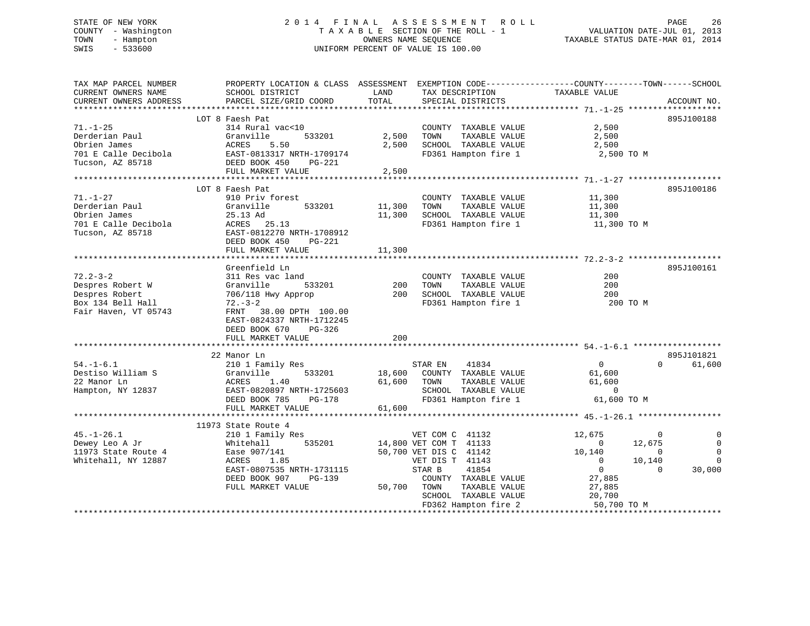# STATE OF NEW YORK 2 0 1 4 F I N A L A S S E S S M E N T R O L L PAGE 26 COUNTY - Washington T A X A B L E SECTION OF THE ROLL - 1 VALUATION DATE-JUL 01, 2013 TOWN - Hampton OWNERS NAME SEQUENCE TAXABLE STATUS DATE-MAR 01, 2014 SWIS - 533600 UNIFORM PERCENT OF VALUE IS 100.00

| TAX MAP PARCEL NUMBER  | PROPERTY LOCATION & CLASS ASSESSMENT EXEMPTION CODE----------------COUNTY-------TOWN------SCHOOL |             |                             |                  |                               |
|------------------------|--------------------------------------------------------------------------------------------------|-------------|-----------------------------|------------------|-------------------------------|
| CURRENT OWNERS NAME    | SCHOOL DISTRICT                                                                                  | LAND        | TAX DESCRIPTION             | TAXABLE VALUE    |                               |
| CURRENT OWNERS ADDRESS | PARCEL SIZE/GRID COORD                                                                           | TOTAL       | SPECIAL DISTRICTS           |                  | ACCOUNT NO.                   |
|                        |                                                                                                  |             |                             |                  |                               |
|                        | LOT 8 Faesh Pat                                                                                  |             |                             |                  | 895J100188                    |
| $71. - 1 - 25$         | 314 Rural vac<10                                                                                 |             | COUNTY TAXABLE VALUE        | 2,500            |                               |
| Derderian Paul         | Granville<br>533201                                                                              | 2,500       | TOWN<br>TAXABLE VALUE       | 2,500            |                               |
| Obrien James           | ETANVITTE<br>ACRES 5.50<br>EAST-0813317 NRTH-1709174                                             | 2,500       | SCHOOL TAXABLE VALUE        | 2,500            |                               |
| 701 E Calle Decibola   |                                                                                                  |             | FD361 Hampton fire 1        | 2,500 TO M       |                               |
| Tucson, AZ 85718       | DEED BOOK 450<br>$PG-221$                                                                        |             |                             |                  |                               |
|                        | FULL MARKET VALUE                                                                                | 2,500       |                             |                  |                               |
|                        |                                                                                                  |             |                             |                  |                               |
|                        | LOT 8 Faesh Pat                                                                                  |             |                             |                  | 895J100186                    |
| $71. - 1 - 27$         | 910 Priv forest                                                                                  |             | COUNTY TAXABLE VALUE        | 11,300           |                               |
| Derderian Paul         | Granville<br>533201                                                                              | 11,300      | TOWN<br>TAXABLE VALUE       | 11,300           |                               |
| Obrien James           | 25.13 Ad                                                                                         | 11,300      | SCHOOL TAXABLE VALUE        | 11,300           |                               |
| 701 E Calle Decibola   | ACRES 25.13                                                                                      |             | FD361 Hampton fire 1        | 11,300 TO M      |                               |
| Tucson, AZ 85718       | EAST-0812270 NRTH-1708912                                                                        |             |                             |                  |                               |
|                        | DEED BOOK 450<br>PG-221                                                                          |             |                             |                  |                               |
|                        | FULL MARKET VALUE                                                                                | 11,300      |                             |                  |                               |
|                        |                                                                                                  |             |                             |                  |                               |
|                        | Greenfield Ln                                                                                    |             |                             |                  | 895J100161                    |
| $72.2 - 3 - 2$         | 311 Res vac land                                                                                 |             | COUNTY TAXABLE VALUE        | 200              |                               |
| Despres Robert W       | Granville<br>533201                                                                              | 200         | TOWN<br>TAXABLE VALUE       | 200              |                               |
| Despres Robert         | 706/118 Hwy Approp                                                                               | 200         | SCHOOL TAXABLE VALUE        | 200              |                               |
| Box 134 Bell Hall      | $72. - 3 - 2$                                                                                    |             | FD361 Hampton fire 1        | 200 TO M         |                               |
| Fair Haven, VT 05743   | FRNT 38.00 DPTH 100.00                                                                           |             |                             |                  |                               |
|                        | EAST-0824337 NRTH-1712245                                                                        |             |                             |                  |                               |
|                        | DEED BOOK 670<br>PG-326                                                                          |             |                             |                  |                               |
|                        | FULL MARKET VALUE                                                                                | 200         |                             |                  |                               |
|                        |                                                                                                  |             |                             |                  |                               |
|                        | 22 Manor Ln                                                                                      |             |                             |                  | 895J101821                    |
| $54. - 1 - 6.1$        | 210 1 Family Res                                                                                 |             | STAR EN 41834               | $\overline{0}$   | $\Omega$<br>61,600            |
| Destiso William S      | 533201<br>Granville                                                                              |             | 18,600 COUNTY TAXABLE VALUE |                  |                               |
|                        |                                                                                                  | 61,600      | TOWN                        | 61,600<br>61,600 |                               |
| 22 Manor Ln            | 1.40<br>ACRES                                                                                    |             | TAXABLE VALUE               |                  |                               |
| Hampton, NY 12837      | EAST-0820897 NRTH-1725603                                                                        |             | SCHOOL TAXABLE VALUE        | $\sim$ 0         |                               |
|                        | DEED BOOK 785<br>PG-178                                                                          |             | FD361 Hampton fire 1        | 61,600 TO M      |                               |
|                        | FULL MARKET VALUE                                                                                | 61,600      |                             |                  |                               |
|                        |                                                                                                  |             |                             |                  |                               |
|                        | 11973 State Route 4                                                                              |             |                             |                  |                               |
| $45. - 1 - 26.1$       | 210 1 Family Res                                                                                 |             | VET COM C 41132             | 12,675           | $\sim$ 0<br>0                 |
| Dewey Leo A Jr         | 535201<br>Whitehall                                                                              |             | 14,800 VET COM T 41133      | $\sim$ 0         | 12,675<br>$\overline{0}$      |
| 11973 State Route 4    | Ease 907/141                                                                                     |             | 50,700 VET DIS C 41142      | 10,140           | $\mathbf 0$<br>$\overline{0}$ |
| Whitehall, NY 12887    | ACRES 1.85                                                                                       |             | VET DIS T 41143             | $\overline{0}$   | 10,140<br>$\Omega$            |
|                        | EAST-0807535 NRTH-1731115                                                                        |             | 41854<br>STAR B             | $\overline{0}$   | $\Omega$<br>30,000            |
|                        | DEED BOOK 907<br>PG-139                                                                          |             | COUNTY TAXABLE VALUE        | 27,885           |                               |
|                        | FULL MARKET VALUE                                                                                | 50,700 TOWN | TAXABLE VALUE               | 27,885           |                               |
|                        |                                                                                                  |             | SCHOOL TAXABLE VALUE        | 20,700           |                               |
|                        |                                                                                                  |             |                             |                  |                               |
|                        |                                                                                                  |             |                             |                  |                               |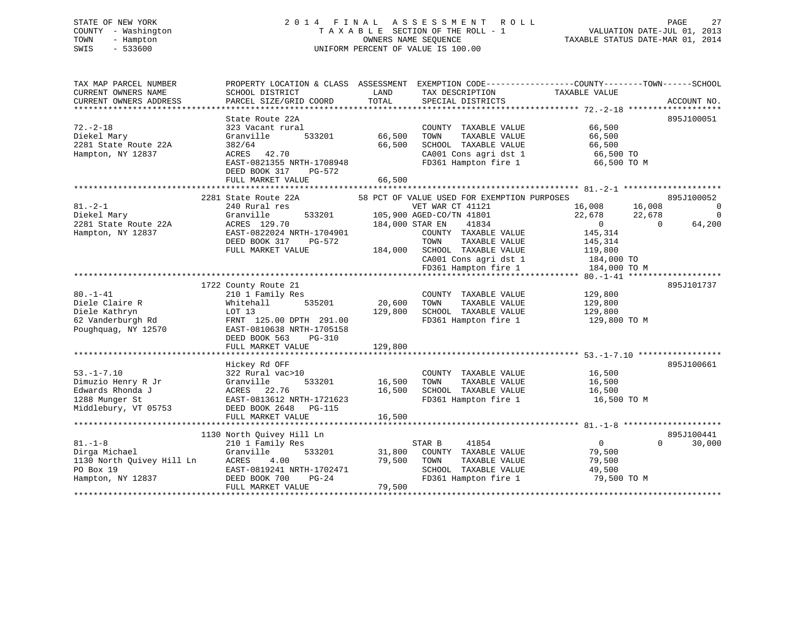# STATE OF NEW YORK 2 0 1 4 F I N A L A S S E S S M E N T R O L L PAGE 27 COUNTY - Washington T A X A B L E SECTION OF THE ROLL - 1 VALUATION DATE-JUL 01, 2013 TOWN - Hampton OWNERS NAME SEQUENCE TAXABLE STATUS DATE-MAR 01, 2014 SWIS - 533600 UNIFORM PERCENT OF VALUE IS 100.00

| TAX MAP PARCEL NUMBER<br>CURRENT OWNERS NAME<br>CURRENT OWNERS ADDRESS                               | PROPERTY LOCATION & CLASS ASSESSMENT EXEMPTION CODE----------------COUNTY-------TOWN------SCHOOL<br>SCHOOL DISTRICT<br>PARCEL SIZE/GRID COORD                       | LAND<br>TOTAL              | TAX DESCRIPTION<br>SPECIAL DISTRICTS                                                                                                                                                                                                              | TAXABLE VALUE                                                                                     | ACCOUNT NO.                                                                        |
|------------------------------------------------------------------------------------------------------|---------------------------------------------------------------------------------------------------------------------------------------------------------------------|----------------------------|---------------------------------------------------------------------------------------------------------------------------------------------------------------------------------------------------------------------------------------------------|---------------------------------------------------------------------------------------------------|------------------------------------------------------------------------------------|
| $72. - 2 - 18$<br>Diekel Mary<br>2281 State Route 22A<br>Hampton, NY 12837                           | State Route 22A<br>323 Vacant rural<br>Granville<br>533201<br>382/64<br>ACRES 42.70<br>EAST-0821355 NRTH-1708948<br>DEED BOOK 317<br>PG-572<br>FULL MARKET VALUE    | 66,500<br>66,500<br>66,500 | COUNTY TAXABLE VALUE<br>TOWN<br>TAXABLE VALUE<br>SCHOOL TAXABLE VALUE<br>CA001 Cons agri dst 1<br>FD361 Hampton fire 1                                                                                                                            | 66,500<br>66,500<br>66,500<br>66,500 TO<br>66,500 TO M                                            | 895J100051                                                                         |
|                                                                                                      |                                                                                                                                                                     |                            |                                                                                                                                                                                                                                                   |                                                                                                   |                                                                                    |
| $81. - 2 - 1$<br>Diekel Mary<br>2281 State Route 22A<br>Hampton, NY 12837                            | 2281 State Route 22A<br>240 Rural res<br>Granville<br>533201<br>ACRES 129.70<br>EAST-0822024 NRTH-1704901<br>DEED BOOK 317<br>PG-572<br>FULL MARKET VALUE           | 184,000                    | 58 PCT OF VALUE USED FOR EXEMPTION PURPOSES<br>VET WAR CT 41121<br>105,900 AGED-CO/TN 41801<br>184,000 STAR EN<br>41834<br>COUNTY TAXABLE VALUE<br>TOWN<br>TAXABLE VALUE<br>SCHOOL TAXABLE VALUE<br>CA001 Cons agri dst 1<br>FD361 Hampton fire 1 | 16,008<br>22,678<br>$\overline{0}$<br>145,314<br>145,314<br>119,800<br>184,000 TO<br>184,000 TO M | 895J100052<br>16,008<br>$\mathbf 0$<br>22,678<br>$\mathbf 0$<br>64,200<br>$\Omega$ |
|                                                                                                      |                                                                                                                                                                     |                            |                                                                                                                                                                                                                                                   |                                                                                                   |                                                                                    |
| $80. -1 - 41$<br>Diele Claire R<br>Diele Kathryn<br>62 Vanderburgh Rd<br>Poughquag, NY 12570         | 1722 County Route 21<br>210 1 Family Res<br>535201<br>Whitehall<br>LOT 13<br>FRNT 125.00 DPTH 291.00<br>EAST-0810638 NRTH-1705158<br>DEED BOOK 563<br>$PG-310$      | 20,600<br>129,800          | COUNTY TAXABLE VALUE<br>TOWN<br>TAXABLE VALUE<br>SCHOOL TAXABLE VALUE<br>FD361 Hampton fire 1                                                                                                                                                     | 129,800<br>129,800<br>129,800<br>129,800 TO M                                                     | 895J101737                                                                         |
|                                                                                                      | FULL MARKET VALUE                                                                                                                                                   | 129,800                    |                                                                                                                                                                                                                                                   |                                                                                                   |                                                                                    |
| $53. - 1 - 7.10$<br>Dimuzio Henry R Jr<br>Edwards Rhonda J<br>1288 Munger St<br>Middlebury, VT 05753 | Hickey Rd OFF<br>322 Rural vac>10<br>533201<br>Granville<br>ACRES 22.76<br>EAST-0813612 NRTH-1721623<br>DEED BOOK 2648 PG-115<br>FULL MARKET VALUE                  | 16,500<br>16,500<br>16,500 | COUNTY TAXABLE VALUE<br>TOWN<br>TAXABLE VALUE<br>SCHOOL TAXABLE VALUE<br>FD361 Hampton fire 1                                                                                                                                                     | 16,500<br>16,500<br>16,500<br>16,500 TO M                                                         | 895J100661                                                                         |
|                                                                                                      |                                                                                                                                                                     |                            |                                                                                                                                                                                                                                                   |                                                                                                   |                                                                                    |
| $81. - 1 - 8$<br>Dirga Michael<br>1130 North Ouivey Hill Ln<br>PO Box 19<br>Hampton, NY 12837        | 1130 North Ouivey Hill Ln<br>210 1 Family Res<br>Granville<br>533201<br>ACRES<br>4.00<br>EAST-0819241 NRTH-1702471<br>$PG-24$<br>DEED BOOK 700<br>FULL MARKET VALUE | 31,800<br>79,500<br>79,500 | STAR B<br>41854<br>COUNTY TAXABLE VALUE<br>TOWN<br>TAXABLE VALUE<br>SCHOOL TAXABLE VALUE<br>FD361 Hampton fire 1                                                                                                                                  | $\mathbf{0}$<br>79,500<br>79,500<br>49,500<br>79,500 TO M                                         | 895J100441<br>0<br>30,000                                                          |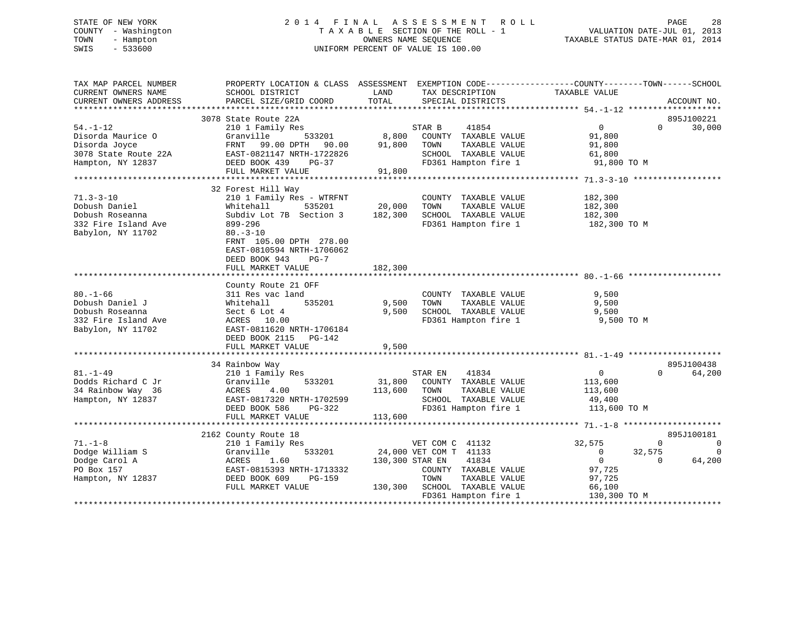# STATE OF NEW YORK 2 0 1 4 F I N A L A S S E S S M E N T R O L L PAGE 28 COUNTY - Washington T A X A B L E SECTION OF THE ROLL - 1 VALUATION DATE-JUL 01, 2013 TOWN - Hampton OWNERS NAME SEQUENCE TAXABLE STATUS DATE-MAR 01, 2014 SWIS - 533600 UNIFORM PERCENT OF VALUE IS 100.00

| TAX MAP PARCEL NUMBER<br>CURRENT OWNERS NAME<br>CURRENT OWNERS ADDRESS                            | SCHOOL DISTRICT<br>PARCEL SIZE/GRID COORD                                                                                                                                                                       | LAND<br>TAX DESCRIPTION<br>TOTAL<br>SPECIAL DISTRICTS                                                                                                  | PROPERTY LOCATION & CLASS ASSESSMENT EXEMPTION CODE---------------COUNTY-------TOWN-----SCHOOL<br>TAXABLE VALUE<br>ACCOUNT NO.             |
|---------------------------------------------------------------------------------------------------|-----------------------------------------------------------------------------------------------------------------------------------------------------------------------------------------------------------------|--------------------------------------------------------------------------------------------------------------------------------------------------------|--------------------------------------------------------------------------------------------------------------------------------------------|
|                                                                                                   |                                                                                                                                                                                                                 |                                                                                                                                                        |                                                                                                                                            |
| $54. - 1 - 12$<br>Disorda Maurice O<br>Disorda Joyce<br>3078 State Route 22A<br>Hampton, NY 12837 | 3078 State Route 22A<br>210 1 Family Res<br>Granville<br>533201<br>FRNT<br>99.00 DPTH 90.00<br>EAST-0821147 NRTH-1722826<br>DEED BOOK 439<br>$PG-37$<br>FULL MARKET VALUE                                       | 41854<br>STAR B<br>8,800<br>COUNTY TAXABLE VALUE<br>91,800<br>TOWN<br>TAXABLE VALUE<br>SCHOOL TAXABLE VALUE<br>FD361 Hampton fire 1<br>91,800          | 895J100221<br>$\overline{0}$<br>30,000<br>$\Omega$<br>91,800<br>91,800<br>61,800<br>91,800 TO M                                            |
|                                                                                                   |                                                                                                                                                                                                                 |                                                                                                                                                        |                                                                                                                                            |
| $71.3 - 3 - 10$<br>Dobush Daniel<br>Dobush Roseanna<br>332 Fire Island Ave<br>Babylon, NY 11702   | 32 Forest Hill Way<br>210 1 Family Res - WTRFNT<br>Whitehall<br>535201<br>Subdiv Lot 7B Section 3<br>899-296<br>$80. - 3 - 10$<br>FRNT 105.00 DPTH 278.00<br>EAST-0810594 NRTH-1706062<br>DEED BOOK 943<br>PG-7 | COUNTY TAXABLE VALUE<br>20,000<br>TAXABLE VALUE<br>TOWN<br>182,300<br>SCHOOL TAXABLE VALUE<br>FD361 Hampton fire 1                                     | 182,300<br>182,300<br>182,300<br>182,300 TO M                                                                                              |
|                                                                                                   | FULL MARKET VALUE                                                                                                                                                                                               | 182,300                                                                                                                                                |                                                                                                                                            |
|                                                                                                   |                                                                                                                                                                                                                 |                                                                                                                                                        |                                                                                                                                            |
| $80. - 1 - 66$<br>Dobush Daniel J<br>Dobush Roseanna<br>332 Fire Island Ave<br>Babylon, NY 11702  | County Route 21 OFF<br>311 Res vac land<br>535201<br>Whitehall<br>Sect 6 Lot 4<br>ACRES 10.00<br>EAST-0811620 NRTH-1706184<br>DEED BOOK 2115 PG-142<br>FULL MARKET VALUE                                        | COUNTY TAXABLE VALUE<br>9,500<br>TOWN<br>TAXABLE VALUE<br>9,500<br>SCHOOL TAXABLE VALUE<br>FD361 Hampton fire 1<br>9,500                               | 9,500<br>9,500<br>9,500<br>9,500 TO M                                                                                                      |
|                                                                                                   |                                                                                                                                                                                                                 |                                                                                                                                                        | 895J100438                                                                                                                                 |
| $81. - 1 - 49$<br>Dodds Richard C Jr<br>34 Rainbow Way 36<br>Hampton, NY 12837                    | 34 Rainbow Way<br>210 1 Family Res<br>533201<br>Granville<br>4.00<br>ACRES<br>EAST-0817320 NRTH-1702599<br>DEED BOOK 586<br>PG-322<br>FULL MARKET VALUE                                                         | 41834<br>STAR EN<br>31,800<br>COUNTY TAXABLE VALUE<br>113,600<br>TOWN<br>TAXABLE VALUE<br>SCHOOL TAXABLE VALUE<br>FD361 Hampton fire 1                 | $\overline{0}$<br>$\Omega$<br>64,200<br>113,600<br>113,600<br>49,400<br>113,600 TO M                                                       |
|                                                                                                   |                                                                                                                                                                                                                 | 113,600                                                                                                                                                |                                                                                                                                            |
| $71. - 1 - 8$<br>Dodge William S<br>Dodge Carol A<br>PO Box 157<br>Hampton, NY 12837              | 2162 County Route 18<br>210 1 Family Res<br>533201<br>Granville<br>1.60<br>ACRES<br>EAST-0815393 NRTH-1713332<br>DEED BOOK 609<br>PG-159<br>FULL MARKET VALUE                                                   | VET COM C 41132<br>24,000 VET COM T 41133<br>130,300 STAR EN<br>41834<br>COUNTY TAXABLE VALUE<br>TOWN<br>TAXABLE VALUE<br>130,300 SCHOOL TAXABLE VALUE | 895J100181<br>32,575<br>$\mathbf{0}$<br>0<br>32,575<br>$\Omega$<br>0<br>$\overline{0}$<br>$\Omega$<br>64,200<br>97,725<br>97,725<br>66,100 |
|                                                                                                   |                                                                                                                                                                                                                 | FD361 Hampton fire 1                                                                                                                                   | 130,300 TO M                                                                                                                               |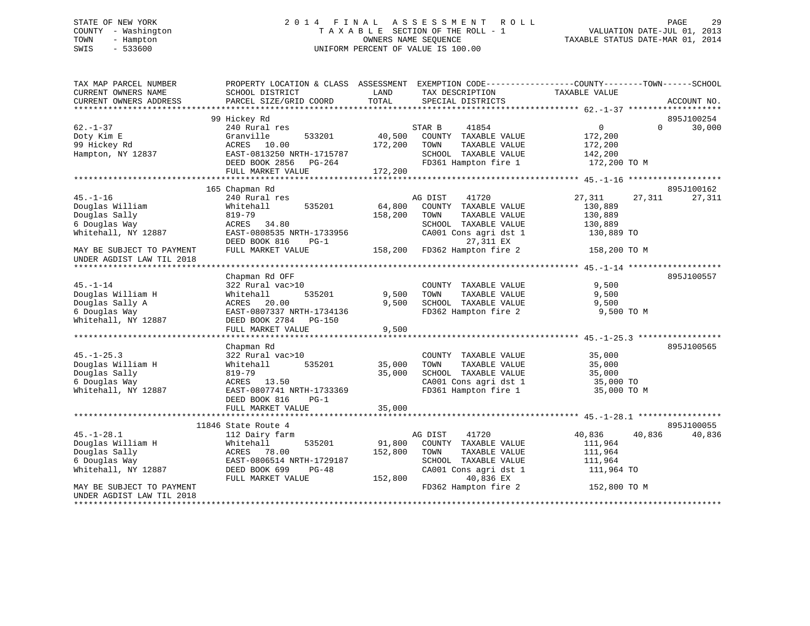### STATE OF NEW YORK 2014 FINAL ASSESSMENT ROLL PAGE 29 COUNTY - Washington T A X A B L E SECTION OF THE ROLL - 1 TOWN - Hampton OWNERS NAME SEQUENCE TAXABLE STATUS DATE-MAR 01, 2014 SWIS - 533600 UNIFORM PERCENT OF VALUE IS 100.00

| PARCEL SIZE/GRID COORD<br>99 Hickey Rd<br>895J100254<br>$62. - 1 - 37$<br>$\overline{0}$<br>240 Rural res<br>41854<br>$\Omega$<br>30,000<br>STAR B<br>533201<br>40,500<br>COUNTY TAXABLE VALUE<br>172,200<br>Doty Kim E<br>Granville<br>99 Hickey Rd<br>ACRES 10.00<br>172,200<br>TAXABLE VALUE<br>TOWN<br>172,200<br>Hampton, NY 12837<br>EAST-0813250 NRTH-1715787<br>SCHOOL TAXABLE VALUE<br>142,200<br>DEED BOOK 2856 PG-264<br>FD361 Hampton fire 1<br>172,200 TO M<br>172,200<br>FULL MARKET VALUE<br>895J100162<br>165 Chapman Rd<br>$45. - 1 - 16$<br>240 Rural res<br>AG DIST<br>41720<br>27,311<br>27,311<br>27,311<br>Douglas William<br>535201<br>64,800<br>COUNTY TAXABLE VALUE<br>130,889<br>Whitehall<br>Douglas Sally<br>158,200<br>TAXABLE VALUE<br>130,889<br>819-79<br>TOWN<br>6 Douglas Way<br>ACRES 34.80<br>SCHOOL TAXABLE VALUE<br>130,889<br>Whitehall, NY 12887<br>EAST-0808535 NRTH-1733956<br>CA001 Cons agri dst 1<br>130,889 TO<br>27,311 EX<br>DEED BOOK 816<br>$PG-1$<br>158,200 FD362 Hampton fire 2<br>FULL MARKET VALUE<br>MAY BE SUBJECT TO PAYMENT<br>158,200 TO M<br>UNDER AGDIST LAW TIL 2018<br>Chapman Rd OFF<br>895J100557<br>9,500<br>$45. - 1 - 14$<br>322 Rural vac>10<br>COUNTY TAXABLE VALUE<br>Douglas William H<br>9,500<br>TAXABLE VALUE<br>9,500<br>Whitehall<br>535201<br>TOWN<br>Douglas Sally A<br>ACRES 20.00<br>9,500<br>SCHOOL TAXABLE VALUE<br>9,500<br>EAST-0807337 NRTH-1734136<br>FD362 Hampton fire 2<br>9,500 TO M<br>6 Douglas Way<br>Whitehall, NY 12887<br>DEED BOOK 2784<br><b>PG-150</b><br>FULL MARKET VALUE<br>9,500<br>895J100565<br>Chapman Rd<br>$45. - 1 - 25.3$<br>322 Rural vac>10<br>COUNTY TAXABLE VALUE<br>35,000<br>Douglas William H<br>535201<br>35,000<br>Whitehall<br>TOWN<br>TAXABLE VALUE<br>35,000<br>Douglas Sally<br>819-79<br>35,000<br>SCHOOL TAXABLE VALUE<br>35,000<br>CA001 Cons agri dst 1<br>6 Douglas Way<br>ACRES 13.50<br>35,000 TO |
|---------------------------------------------------------------------------------------------------------------------------------------------------------------------------------------------------------------------------------------------------------------------------------------------------------------------------------------------------------------------------------------------------------------------------------------------------------------------------------------------------------------------------------------------------------------------------------------------------------------------------------------------------------------------------------------------------------------------------------------------------------------------------------------------------------------------------------------------------------------------------------------------------------------------------------------------------------------------------------------------------------------------------------------------------------------------------------------------------------------------------------------------------------------------------------------------------------------------------------------------------------------------------------------------------------------------------------------------------------------------------------------------------------------------------------------------------------------------------------------------------------------------------------------------------------------------------------------------------------------------------------------------------------------------------------------------------------------------------------------------------------------------------------------------------------------------------------------------------------------------------------------------------------------------------------------|
|                                                                                                                                                                                                                                                                                                                                                                                                                                                                                                                                                                                                                                                                                                                                                                                                                                                                                                                                                                                                                                                                                                                                                                                                                                                                                                                                                                                                                                                                                                                                                                                                                                                                                                                                                                                                                                                                                                                                       |
|                                                                                                                                                                                                                                                                                                                                                                                                                                                                                                                                                                                                                                                                                                                                                                                                                                                                                                                                                                                                                                                                                                                                                                                                                                                                                                                                                                                                                                                                                                                                                                                                                                                                                                                                                                                                                                                                                                                                       |
|                                                                                                                                                                                                                                                                                                                                                                                                                                                                                                                                                                                                                                                                                                                                                                                                                                                                                                                                                                                                                                                                                                                                                                                                                                                                                                                                                                                                                                                                                                                                                                                                                                                                                                                                                                                                                                                                                                                                       |
|                                                                                                                                                                                                                                                                                                                                                                                                                                                                                                                                                                                                                                                                                                                                                                                                                                                                                                                                                                                                                                                                                                                                                                                                                                                                                                                                                                                                                                                                                                                                                                                                                                                                                                                                                                                                                                                                                                                                       |
|                                                                                                                                                                                                                                                                                                                                                                                                                                                                                                                                                                                                                                                                                                                                                                                                                                                                                                                                                                                                                                                                                                                                                                                                                                                                                                                                                                                                                                                                                                                                                                                                                                                                                                                                                                                                                                                                                                                                       |
|                                                                                                                                                                                                                                                                                                                                                                                                                                                                                                                                                                                                                                                                                                                                                                                                                                                                                                                                                                                                                                                                                                                                                                                                                                                                                                                                                                                                                                                                                                                                                                                                                                                                                                                                                                                                                                                                                                                                       |
|                                                                                                                                                                                                                                                                                                                                                                                                                                                                                                                                                                                                                                                                                                                                                                                                                                                                                                                                                                                                                                                                                                                                                                                                                                                                                                                                                                                                                                                                                                                                                                                                                                                                                                                                                                                                                                                                                                                                       |
|                                                                                                                                                                                                                                                                                                                                                                                                                                                                                                                                                                                                                                                                                                                                                                                                                                                                                                                                                                                                                                                                                                                                                                                                                                                                                                                                                                                                                                                                                                                                                                                                                                                                                                                                                                                                                                                                                                                                       |
|                                                                                                                                                                                                                                                                                                                                                                                                                                                                                                                                                                                                                                                                                                                                                                                                                                                                                                                                                                                                                                                                                                                                                                                                                                                                                                                                                                                                                                                                                                                                                                                                                                                                                                                                                                                                                                                                                                                                       |
|                                                                                                                                                                                                                                                                                                                                                                                                                                                                                                                                                                                                                                                                                                                                                                                                                                                                                                                                                                                                                                                                                                                                                                                                                                                                                                                                                                                                                                                                                                                                                                                                                                                                                                                                                                                                                                                                                                                                       |
|                                                                                                                                                                                                                                                                                                                                                                                                                                                                                                                                                                                                                                                                                                                                                                                                                                                                                                                                                                                                                                                                                                                                                                                                                                                                                                                                                                                                                                                                                                                                                                                                                                                                                                                                                                                                                                                                                                                                       |
|                                                                                                                                                                                                                                                                                                                                                                                                                                                                                                                                                                                                                                                                                                                                                                                                                                                                                                                                                                                                                                                                                                                                                                                                                                                                                                                                                                                                                                                                                                                                                                                                                                                                                                                                                                                                                                                                                                                                       |
|                                                                                                                                                                                                                                                                                                                                                                                                                                                                                                                                                                                                                                                                                                                                                                                                                                                                                                                                                                                                                                                                                                                                                                                                                                                                                                                                                                                                                                                                                                                                                                                                                                                                                                                                                                                                                                                                                                                                       |
|                                                                                                                                                                                                                                                                                                                                                                                                                                                                                                                                                                                                                                                                                                                                                                                                                                                                                                                                                                                                                                                                                                                                                                                                                                                                                                                                                                                                                                                                                                                                                                                                                                                                                                                                                                                                                                                                                                                                       |
|                                                                                                                                                                                                                                                                                                                                                                                                                                                                                                                                                                                                                                                                                                                                                                                                                                                                                                                                                                                                                                                                                                                                                                                                                                                                                                                                                                                                                                                                                                                                                                                                                                                                                                                                                                                                                                                                                                                                       |
|                                                                                                                                                                                                                                                                                                                                                                                                                                                                                                                                                                                                                                                                                                                                                                                                                                                                                                                                                                                                                                                                                                                                                                                                                                                                                                                                                                                                                                                                                                                                                                                                                                                                                                                                                                                                                                                                                                                                       |
|                                                                                                                                                                                                                                                                                                                                                                                                                                                                                                                                                                                                                                                                                                                                                                                                                                                                                                                                                                                                                                                                                                                                                                                                                                                                                                                                                                                                                                                                                                                                                                                                                                                                                                                                                                                                                                                                                                                                       |
|                                                                                                                                                                                                                                                                                                                                                                                                                                                                                                                                                                                                                                                                                                                                                                                                                                                                                                                                                                                                                                                                                                                                                                                                                                                                                                                                                                                                                                                                                                                                                                                                                                                                                                                                                                                                                                                                                                                                       |
|                                                                                                                                                                                                                                                                                                                                                                                                                                                                                                                                                                                                                                                                                                                                                                                                                                                                                                                                                                                                                                                                                                                                                                                                                                                                                                                                                                                                                                                                                                                                                                                                                                                                                                                                                                                                                                                                                                                                       |
|                                                                                                                                                                                                                                                                                                                                                                                                                                                                                                                                                                                                                                                                                                                                                                                                                                                                                                                                                                                                                                                                                                                                                                                                                                                                                                                                                                                                                                                                                                                                                                                                                                                                                                                                                                                                                                                                                                                                       |
|                                                                                                                                                                                                                                                                                                                                                                                                                                                                                                                                                                                                                                                                                                                                                                                                                                                                                                                                                                                                                                                                                                                                                                                                                                                                                                                                                                                                                                                                                                                                                                                                                                                                                                                                                                                                                                                                                                                                       |
|                                                                                                                                                                                                                                                                                                                                                                                                                                                                                                                                                                                                                                                                                                                                                                                                                                                                                                                                                                                                                                                                                                                                                                                                                                                                                                                                                                                                                                                                                                                                                                                                                                                                                                                                                                                                                                                                                                                                       |
|                                                                                                                                                                                                                                                                                                                                                                                                                                                                                                                                                                                                                                                                                                                                                                                                                                                                                                                                                                                                                                                                                                                                                                                                                                                                                                                                                                                                                                                                                                                                                                                                                                                                                                                                                                                                                                                                                                                                       |
|                                                                                                                                                                                                                                                                                                                                                                                                                                                                                                                                                                                                                                                                                                                                                                                                                                                                                                                                                                                                                                                                                                                                                                                                                                                                                                                                                                                                                                                                                                                                                                                                                                                                                                                                                                                                                                                                                                                                       |
|                                                                                                                                                                                                                                                                                                                                                                                                                                                                                                                                                                                                                                                                                                                                                                                                                                                                                                                                                                                                                                                                                                                                                                                                                                                                                                                                                                                                                                                                                                                                                                                                                                                                                                                                                                                                                                                                                                                                       |
|                                                                                                                                                                                                                                                                                                                                                                                                                                                                                                                                                                                                                                                                                                                                                                                                                                                                                                                                                                                                                                                                                                                                                                                                                                                                                                                                                                                                                                                                                                                                                                                                                                                                                                                                                                                                                                                                                                                                       |
|                                                                                                                                                                                                                                                                                                                                                                                                                                                                                                                                                                                                                                                                                                                                                                                                                                                                                                                                                                                                                                                                                                                                                                                                                                                                                                                                                                                                                                                                                                                                                                                                                                                                                                                                                                                                                                                                                                                                       |
|                                                                                                                                                                                                                                                                                                                                                                                                                                                                                                                                                                                                                                                                                                                                                                                                                                                                                                                                                                                                                                                                                                                                                                                                                                                                                                                                                                                                                                                                                                                                                                                                                                                                                                                                                                                                                                                                                                                                       |
|                                                                                                                                                                                                                                                                                                                                                                                                                                                                                                                                                                                                                                                                                                                                                                                                                                                                                                                                                                                                                                                                                                                                                                                                                                                                                                                                                                                                                                                                                                                                                                                                                                                                                                                                                                                                                                                                                                                                       |
| Whitehall, NY 12887<br>EAST-0807741 NRTH-1733369<br>FD361 Hampton fire 1<br>35,000 TO M                                                                                                                                                                                                                                                                                                                                                                                                                                                                                                                                                                                                                                                                                                                                                                                                                                                                                                                                                                                                                                                                                                                                                                                                                                                                                                                                                                                                                                                                                                                                                                                                                                                                                                                                                                                                                                               |
| DEED BOOK 816<br>$PG-1$                                                                                                                                                                                                                                                                                                                                                                                                                                                                                                                                                                                                                                                                                                                                                                                                                                                                                                                                                                                                                                                                                                                                                                                                                                                                                                                                                                                                                                                                                                                                                                                                                                                                                                                                                                                                                                                                                                               |
| 35,000<br>FULL MARKET VALUE                                                                                                                                                                                                                                                                                                                                                                                                                                                                                                                                                                                                                                                                                                                                                                                                                                                                                                                                                                                                                                                                                                                                                                                                                                                                                                                                                                                                                                                                                                                                                                                                                                                                                                                                                                                                                                                                                                           |
|                                                                                                                                                                                                                                                                                                                                                                                                                                                                                                                                                                                                                                                                                                                                                                                                                                                                                                                                                                                                                                                                                                                                                                                                                                                                                                                                                                                                                                                                                                                                                                                                                                                                                                                                                                                                                                                                                                                                       |
| 895J100055<br>11846 State Route 4                                                                                                                                                                                                                                                                                                                                                                                                                                                                                                                                                                                                                                                                                                                                                                                                                                                                                                                                                                                                                                                                                                                                                                                                                                                                                                                                                                                                                                                                                                                                                                                                                                                                                                                                                                                                                                                                                                     |
| $45. - 1 - 28.1$<br>41720<br>40,836<br>40,836<br>112 Dairy farm<br>AG DIST<br>40,836                                                                                                                                                                                                                                                                                                                                                                                                                                                                                                                                                                                                                                                                                                                                                                                                                                                                                                                                                                                                                                                                                                                                                                                                                                                                                                                                                                                                                                                                                                                                                                                                                                                                                                                                                                                                                                                  |
| Douglas William H<br>Whitehall<br>535201<br>91,800<br>COUNTY TAXABLE VALUE<br>111,964                                                                                                                                                                                                                                                                                                                                                                                                                                                                                                                                                                                                                                                                                                                                                                                                                                                                                                                                                                                                                                                                                                                                                                                                                                                                                                                                                                                                                                                                                                                                                                                                                                                                                                                                                                                                                                                 |
| Douglas Sally<br>ACRES 78.00<br>152,800<br>TAXABLE VALUE<br>TOWN<br>111,964                                                                                                                                                                                                                                                                                                                                                                                                                                                                                                                                                                                                                                                                                                                                                                                                                                                                                                                                                                                                                                                                                                                                                                                                                                                                                                                                                                                                                                                                                                                                                                                                                                                                                                                                                                                                                                                           |
| 6 Douglas Way<br>EAST-0806514 NRTH-1729187<br>SCHOOL TAXABLE VALUE<br>111,964                                                                                                                                                                                                                                                                                                                                                                                                                                                                                                                                                                                                                                                                                                                                                                                                                                                                                                                                                                                                                                                                                                                                                                                                                                                                                                                                                                                                                                                                                                                                                                                                                                                                                                                                                                                                                                                         |
| Whitehall, NY 12887<br>CA001 Cons agri dst 1<br>DEED BOOK 699<br>$PG-48$<br>111,964 TO                                                                                                                                                                                                                                                                                                                                                                                                                                                                                                                                                                                                                                                                                                                                                                                                                                                                                                                                                                                                                                                                                                                                                                                                                                                                                                                                                                                                                                                                                                                                                                                                                                                                                                                                                                                                                                                |
| 40,836 EX<br>FULL MARKET VALUE<br>152,800                                                                                                                                                                                                                                                                                                                                                                                                                                                                                                                                                                                                                                                                                                                                                                                                                                                                                                                                                                                                                                                                                                                                                                                                                                                                                                                                                                                                                                                                                                                                                                                                                                                                                                                                                                                                                                                                                             |
| FD362 Hampton fire 2<br>MAY BE SUBJECT TO PAYMENT<br>152,800 TO M                                                                                                                                                                                                                                                                                                                                                                                                                                                                                                                                                                                                                                                                                                                                                                                                                                                                                                                                                                                                                                                                                                                                                                                                                                                                                                                                                                                                                                                                                                                                                                                                                                                                                                                                                                                                                                                                     |
| UNDER AGDIST LAW TIL 2018<br>**********************                                                                                                                                                                                                                                                                                                                                                                                                                                                                                                                                                                                                                                                                                                                                                                                                                                                                                                                                                                                                                                                                                                                                                                                                                                                                                                                                                                                                                                                                                                                                                                                                                                                                                                                                                                                                                                                                                   |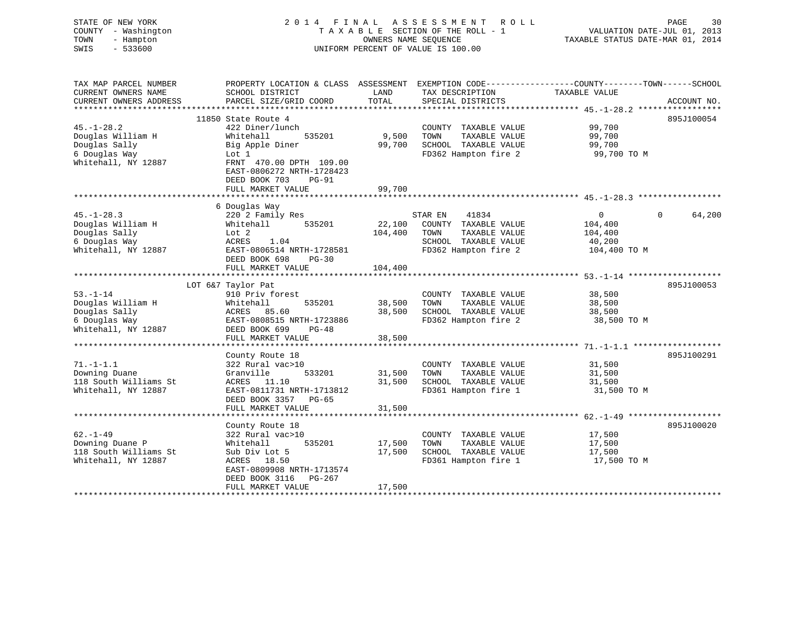| STATE OF NEW YORK<br>COUNTY - Washington<br>TOWN<br>- Hampton<br>SWIS<br>$-533600$ | 2014 FINAL                                                                       | OWNERS NAME SEOUENCE | A S S E S S M E N T<br>R O L L<br>TAXABLE SECTION OF THE ROLL - 1<br>UNIFORM PERCENT OF VALUE IS 100.00 | PAGE<br>30<br>VALUATION DATE-JUL 01, 2013<br>TAXABLE STATUS DATE-MAR 01, 2014                    |
|------------------------------------------------------------------------------------|----------------------------------------------------------------------------------|----------------------|---------------------------------------------------------------------------------------------------------|--------------------------------------------------------------------------------------------------|
| TAX MAP PARCEL NUMBER                                                              |                                                                                  |                      |                                                                                                         | PROPERTY LOCATION & CLASS ASSESSMENT EXEMPTION CODE----------------COUNTY-------TOWN------SCHOOL |
| CURRENT OWNERS NAME                                                                | SCHOOL DISTRICT                                                                  | LAND                 | TAX DESCRIPTION                                                                                         | TAXABLE VALUE                                                                                    |
| CURRENT OWNERS ADDRESS<br>***************                                          | PARCEL SIZE/GRID COORD                                                           | TOTAL                | SPECIAL DISTRICTS                                                                                       | ACCOUNT NO.                                                                                      |
|                                                                                    | 11850 State Route 4                                                              |                      |                                                                                                         | 895J100054                                                                                       |
| $45. - 1 - 28.2$                                                                   | 422 Diner/lunch                                                                  |                      | COUNTY TAXABLE VALUE                                                                                    | 99,700                                                                                           |
| Douglas William H                                                                  | Whitehall<br>535201                                                              | 9,500                | TOWN<br>TAXABLE VALUE                                                                                   | 99,700                                                                                           |
| Douglas Sally                                                                      | Big Apple Diner                                                                  | 99,700               | SCHOOL TAXABLE VALUE                                                                                    | 99,700                                                                                           |
| 6 Douglas Way                                                                      | Lot 1                                                                            |                      | FD362 Hampton fire 2                                                                                    | 99,700 TO M                                                                                      |
| Whitehall, NY 12887                                                                | FRNT 470.00 DPTH 109.00<br>EAST-0806272 NRTH-1728423<br>DEED BOOK 703<br>$PG-91$ |                      |                                                                                                         |                                                                                                  |
|                                                                                    | FULL MARKET VALUE                                                                | 99,700               |                                                                                                         |                                                                                                  |
|                                                                                    | *******************                                                              |                      |                                                                                                         |                                                                                                  |
|                                                                                    | 6 Douglas Way                                                                    |                      |                                                                                                         |                                                                                                  |
| $45. - 1 - 28.3$                                                                   | 220 2 Family Res                                                                 |                      | STAR EN<br>41834                                                                                        | $\mathbf 0$<br>$\Omega$<br>64,200                                                                |
| Douglas William H<br>Douglas Sally                                                 | 535201<br>Whitehall                                                              | 22,100               | COUNTY TAXABLE VALUE<br>TOWN                                                                            | 104,400                                                                                          |
| 6 Douglas Way                                                                      | Lot 2<br>ACRES<br>1.04                                                           | 104,400              | TAXABLE VALUE<br>SCHOOL TAXABLE VALUE                                                                   | 104,400                                                                                          |
| Whitehall, NY 12887                                                                | EAST-0806514 NRTH-1728581                                                        |                      | FD362 Hampton fire 2                                                                                    | 40,200<br>104,400 TO M                                                                           |
|                                                                                    | DEED BOOK 698<br>PG-30                                                           |                      |                                                                                                         |                                                                                                  |
|                                                                                    | FULL MARKET VALUE                                                                | 104,400              |                                                                                                         |                                                                                                  |
|                                                                                    |                                                                                  |                      |                                                                                                         |                                                                                                  |
|                                                                                    | LOT 6&7 Taylor Pat                                                               |                      |                                                                                                         | 895J100053                                                                                       |
| $53. - 1 - 14$                                                                     | 910 Priv forest                                                                  |                      | COUNTY TAXABLE VALUE                                                                                    | 38,500                                                                                           |
| Douglas William H                                                                  | 535201<br>Whitehall                                                              | 38,500               | TAXABLE VALUE<br>TOWN                                                                                   | 38,500                                                                                           |
| Douglas Sally                                                                      | 85.60<br>ACRES                                                                   | 38,500               | SCHOOL TAXABLE VALUE                                                                                    | 38,500                                                                                           |
| 6 Douglas Way                                                                      | EAST-0808515 NRTH-1723886                                                        |                      | FD362 Hampton fire 2                                                                                    | 38,500 TO M                                                                                      |
| Whitehall, NY 12887                                                                | DEED BOOK 699<br>$PG-48$                                                         |                      |                                                                                                         |                                                                                                  |
|                                                                                    | FULL MARKET VALUE<br>******************************                              | 38,500               |                                                                                                         |                                                                                                  |
|                                                                                    | County Route 18                                                                  |                      |                                                                                                         | 895J100291                                                                                       |
| $71. - 1 - 1.1$                                                                    | 322 Rural vac>10                                                                 |                      | COUNTY TAXABLE VALUE                                                                                    | 31,500                                                                                           |
| Downing Duane                                                                      | Granville<br>533201                                                              | 31,500               | TOWN<br>TAXABLE VALUE                                                                                   | 31,500                                                                                           |
| 118 South Williams St                                                              | ACRES 11.10                                                                      | 31,500               | SCHOOL TAXABLE VALUE                                                                                    | 31,500                                                                                           |
| Whitehall, NY 12887                                                                | EAST-0811731 NRTH-1713812                                                        |                      | FD361 Hampton fire 1                                                                                    | 31,500 TO M                                                                                      |
|                                                                                    | DEED BOOK 3357<br>PG-65                                                          |                      |                                                                                                         |                                                                                                  |
|                                                                                    | FULL MARKET VALUE                                                                | 31,500               |                                                                                                         |                                                                                                  |
|                                                                                    |                                                                                  |                      |                                                                                                         |                                                                                                  |
|                                                                                    | County Route 18                                                                  |                      |                                                                                                         | 895J100020                                                                                       |
| $62. - 1 - 49$                                                                     | 322 Rural vac>10                                                                 |                      | COUNTY TAXABLE VALUE                                                                                    | 17,500                                                                                           |
| Downing Duane P                                                                    | 535201<br>Whitehall                                                              | 17,500               | TAXABLE VALUE<br>TOWN                                                                                   | 17,500                                                                                           |
| 118 South Williams St                                                              | Sub Div Lot 5                                                                    | 17,500               | SCHOOL TAXABLE VALUE                                                                                    | 17,500                                                                                           |
| Whitehall, NY 12887                                                                | ACRES 18.50                                                                      |                      | FD361 Hampton fire 1                                                                                    | 17,500 TO M                                                                                      |
|                                                                                    | EAST-0809908 NRTH-1713574                                                        |                      |                                                                                                         |                                                                                                  |
|                                                                                    | DEED BOOK 3116<br>PG-267<br>FULL MARKET VALUE                                    | 17,500               |                                                                                                         |                                                                                                  |
|                                                                                    |                                                                                  | *******              |                                                                                                         |                                                                                                  |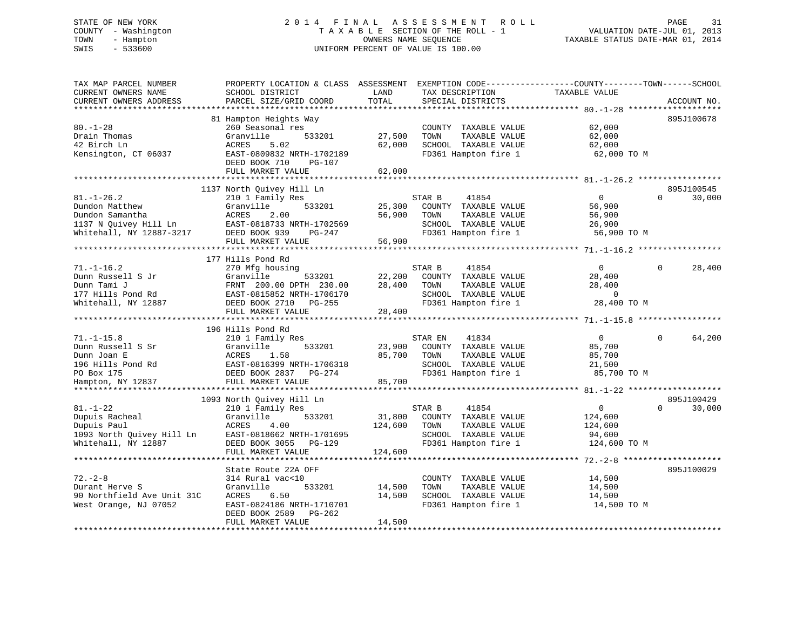# STATE OF NEW YORK 2 0 1 4 F I N A L A S S E S S M E N T R O L L PAGE 31 COUNTY - Washington T A X A B L E SECTION OF THE ROLL - 1 VALUATION DATE-JUL 01, 2013 TOWN - Hampton OWNERS NAME SEQUENCE TAXABLE STATUS DATE-MAR 01, 2014 SWIS - 533600 UNIFORM PERCENT OF VALUE IS 100.00

| PARCEL SIZE/GRID COORD<br>TOTAL<br>SPECIAL DISTRICTS<br>ACCOUNT NO.<br>**************************<br>81 Hampton Heights Way<br>895J100678<br>62,000<br>260 Seasonal res<br>COUNTY TAXABLE VALUE<br>27,500<br>Granville<br>533201<br>TOWN<br>TAXABLE VALUE<br>62,000<br>62,000<br>ACRES<br>5.02<br>SCHOOL TAXABLE VALUE<br>62,000<br>EAST-0809832 NRTH-1702189<br>FD361 Hampton fire 1<br>62,000 TO M<br>DEED BOOK 710<br>PG-107<br>FULL MARKET VALUE<br>62,000<br>1137 North Quivey Hill Ln<br>895J100545<br>$81. - 1 - 26.2$<br>210 1 Family Res<br>$\overline{0}$<br>$\Omega$<br>30,000<br>STAR B<br>41854<br>533201<br>25,300<br>Dundon Matthew<br>Granville<br>COUNTY TAXABLE VALUE<br>56,900<br>2.00<br>56,900<br>Dundon Samantha<br>ACRES<br>TOWN<br>TAXABLE VALUE<br>56,900<br>1137 N Quivey Hill $\text{Ln}$<br>SCHOOL TAXABLE VALUE<br>EAST-0818733 NRTH-1702569<br>26,900<br>Whitehall, NY 12887-3217<br>DEED BOOK 939<br>FD361 Hampton fire 1<br>56,900 TO M<br>PG-247<br>FULL MARKET VALUE<br>56,900<br>177 Hills Pond Rd<br>28,400<br>$71. - 1 - 16.2$<br>270 Mfg housing<br>STAR B<br>41854<br>$\overline{0}$<br>$\Omega$<br>Dunn Russell S Jr<br>Granville<br>533201<br>22,200<br>COUNTY TAXABLE VALUE<br>28,400<br>Dunn Tami J<br>FRNT 200.00 DPTH 230.00<br>28,400<br>TOWN<br>TAXABLE VALUE<br>28,400<br>177 Hills Pond Rd<br>EAST-0815852 NRTH-1706170<br>SCHOOL TAXABLE VALUE<br>$\overline{0}$<br>FD361 Hampton fire 1<br>28,400 TO M<br>Whitehall, NY 12887<br>DEED BOOK 2710 PG-255<br>FULL MARKET VALUE<br>28,400<br>196 Hills Pond Rd<br>64,200<br>41834<br>$\mathbf{0}$<br>$\Omega$<br>$71. - 1 - 15.8$<br>210 1 Family Res<br>STAR EN<br>533201<br>23,900<br>COUNTY TAXABLE VALUE<br>85,700<br>Dunn Russell S Sr<br>Granville<br>Dunn Joan E<br>ACRES<br>1.58<br>85,700<br>TOWN<br>TAXABLE VALUE<br>85,700<br>196 Hills Pond Rd<br>EAST-0816399 NRTH-1706318<br>SCHOOL TAXABLE VALUE<br>21,500<br>PO Box 175<br>DEED BOOK 2837<br>FD361 Hampton fire 1<br>85,700 TO M<br>PG-274<br>85,700<br>Hampton, NY 12837<br>FULL MARKET VALUE<br>895J100429<br>1093 North Quivey Hill Ln<br>$81. - 1 - 22$<br>STAR B<br>41854<br>$\overline{0}$<br>$\Omega$<br>30,000<br>210 1 Family Res<br>Dupuis Racheal<br>Granville<br>533201<br>31,800<br>COUNTY TAXABLE VALUE<br>124,600<br>Dupuis Paul<br>124,600<br>TAXABLE VALUE<br>ACRES<br>4.00<br>TOWN<br>124,600<br>1093 North Quivey Hill Ln<br>SCHOOL TAXABLE VALUE<br>EAST-0818662 NRTH-1701695<br>94,600<br>Whitehall, NY 12887<br>DEED BOOK 3055 PG-129<br>FD361 Hampton fire 1<br>124,600 TO M<br>FULL MARKET VALUE<br>124,600<br>895J100029<br>State Route 22A OFF<br>$72. - 2 - 8$<br>14,500<br>314 Rural vac<10<br>COUNTY TAXABLE VALUE<br>Durant Herve S<br>Granville<br>533201<br>14,500<br>TOWN<br>TAXABLE VALUE<br>14,500<br>90 Northfield Ave Unit 31C<br>ACRES<br>6.50<br>14,500<br>SCHOOL TAXABLE VALUE<br>14,500<br>FD361 Hampton fire 1<br>West Orange, NJ 07052<br>EAST-0824186 NRTH-1710701<br>14,500 TO M<br>DEED BOOK 2589<br>PG-262<br>14,500<br>FULL MARKET VALUE | TAX MAP PARCEL NUMBER<br>CURRENT OWNERS NAME | PROPERTY LOCATION & CLASS ASSESSMENT<br>SCHOOL DISTRICT | LAND | TAX DESCRIPTION | EXEMPTION CODE-----------------COUNTY-------TOWN------SCHOOL<br>TAXABLE VALUE |  |
|---------------------------------------------------------------------------------------------------------------------------------------------------------------------------------------------------------------------------------------------------------------------------------------------------------------------------------------------------------------------------------------------------------------------------------------------------------------------------------------------------------------------------------------------------------------------------------------------------------------------------------------------------------------------------------------------------------------------------------------------------------------------------------------------------------------------------------------------------------------------------------------------------------------------------------------------------------------------------------------------------------------------------------------------------------------------------------------------------------------------------------------------------------------------------------------------------------------------------------------------------------------------------------------------------------------------------------------------------------------------------------------------------------------------------------------------------------------------------------------------------------------------------------------------------------------------------------------------------------------------------------------------------------------------------------------------------------------------------------------------------------------------------------------------------------------------------------------------------------------------------------------------------------------------------------------------------------------------------------------------------------------------------------------------------------------------------------------------------------------------------------------------------------------------------------------------------------------------------------------------------------------------------------------------------------------------------------------------------------------------------------------------------------------------------------------------------------------------------------------------------------------------------------------------------------------------------------------------------------------------------------------------------------------------------------------------------------------------------------------------------------------------------------------------------------------------------------------------------------------------------------------------------------------------------------------------------------------------------------------------------------------------------------------------------------|----------------------------------------------|---------------------------------------------------------|------|-----------------|-------------------------------------------------------------------------------|--|
|                                                                                                                                                                                                                                                                                                                                                                                                                                                                                                                                                                                                                                                                                                                                                                                                                                                                                                                                                                                                                                                                                                                                                                                                                                                                                                                                                                                                                                                                                                                                                                                                                                                                                                                                                                                                                                                                                                                                                                                                                                                                                                                                                                                                                                                                                                                                                                                                                                                                                                                                                                                                                                                                                                                                                                                                                                                                                                                                                                                                                                                         | CURRENT OWNERS ADDRESS                       |                                                         |      |                 |                                                                               |  |
|                                                                                                                                                                                                                                                                                                                                                                                                                                                                                                                                                                                                                                                                                                                                                                                                                                                                                                                                                                                                                                                                                                                                                                                                                                                                                                                                                                                                                                                                                                                                                                                                                                                                                                                                                                                                                                                                                                                                                                                                                                                                                                                                                                                                                                                                                                                                                                                                                                                                                                                                                                                                                                                                                                                                                                                                                                                                                                                                                                                                                                                         | ******************                           |                                                         |      |                 |                                                                               |  |
|                                                                                                                                                                                                                                                                                                                                                                                                                                                                                                                                                                                                                                                                                                                                                                                                                                                                                                                                                                                                                                                                                                                                                                                                                                                                                                                                                                                                                                                                                                                                                                                                                                                                                                                                                                                                                                                                                                                                                                                                                                                                                                                                                                                                                                                                                                                                                                                                                                                                                                                                                                                                                                                                                                                                                                                                                                                                                                                                                                                                                                                         |                                              |                                                         |      |                 |                                                                               |  |
|                                                                                                                                                                                                                                                                                                                                                                                                                                                                                                                                                                                                                                                                                                                                                                                                                                                                                                                                                                                                                                                                                                                                                                                                                                                                                                                                                                                                                                                                                                                                                                                                                                                                                                                                                                                                                                                                                                                                                                                                                                                                                                                                                                                                                                                                                                                                                                                                                                                                                                                                                                                                                                                                                                                                                                                                                                                                                                                                                                                                                                                         | $80. - 1 - 28$                               |                                                         |      |                 |                                                                               |  |
|                                                                                                                                                                                                                                                                                                                                                                                                                                                                                                                                                                                                                                                                                                                                                                                                                                                                                                                                                                                                                                                                                                                                                                                                                                                                                                                                                                                                                                                                                                                                                                                                                                                                                                                                                                                                                                                                                                                                                                                                                                                                                                                                                                                                                                                                                                                                                                                                                                                                                                                                                                                                                                                                                                                                                                                                                                                                                                                                                                                                                                                         | Drain Thomas                                 |                                                         |      |                 |                                                                               |  |
|                                                                                                                                                                                                                                                                                                                                                                                                                                                                                                                                                                                                                                                                                                                                                                                                                                                                                                                                                                                                                                                                                                                                                                                                                                                                                                                                                                                                                                                                                                                                                                                                                                                                                                                                                                                                                                                                                                                                                                                                                                                                                                                                                                                                                                                                                                                                                                                                                                                                                                                                                                                                                                                                                                                                                                                                                                                                                                                                                                                                                                                         | 42 Birch Ln                                  |                                                         |      |                 |                                                                               |  |
|                                                                                                                                                                                                                                                                                                                                                                                                                                                                                                                                                                                                                                                                                                                                                                                                                                                                                                                                                                                                                                                                                                                                                                                                                                                                                                                                                                                                                                                                                                                                                                                                                                                                                                                                                                                                                                                                                                                                                                                                                                                                                                                                                                                                                                                                                                                                                                                                                                                                                                                                                                                                                                                                                                                                                                                                                                                                                                                                                                                                                                                         | Kensington, CT 06037                         |                                                         |      |                 |                                                                               |  |
|                                                                                                                                                                                                                                                                                                                                                                                                                                                                                                                                                                                                                                                                                                                                                                                                                                                                                                                                                                                                                                                                                                                                                                                                                                                                                                                                                                                                                                                                                                                                                                                                                                                                                                                                                                                                                                                                                                                                                                                                                                                                                                                                                                                                                                                                                                                                                                                                                                                                                                                                                                                                                                                                                                                                                                                                                                                                                                                                                                                                                                                         |                                              |                                                         |      |                 |                                                                               |  |
|                                                                                                                                                                                                                                                                                                                                                                                                                                                                                                                                                                                                                                                                                                                                                                                                                                                                                                                                                                                                                                                                                                                                                                                                                                                                                                                                                                                                                                                                                                                                                                                                                                                                                                                                                                                                                                                                                                                                                                                                                                                                                                                                                                                                                                                                                                                                                                                                                                                                                                                                                                                                                                                                                                                                                                                                                                                                                                                                                                                                                                                         |                                              |                                                         |      |                 |                                                                               |  |
|                                                                                                                                                                                                                                                                                                                                                                                                                                                                                                                                                                                                                                                                                                                                                                                                                                                                                                                                                                                                                                                                                                                                                                                                                                                                                                                                                                                                                                                                                                                                                                                                                                                                                                                                                                                                                                                                                                                                                                                                                                                                                                                                                                                                                                                                                                                                                                                                                                                                                                                                                                                                                                                                                                                                                                                                                                                                                                                                                                                                                                                         |                                              |                                                         |      |                 |                                                                               |  |
|                                                                                                                                                                                                                                                                                                                                                                                                                                                                                                                                                                                                                                                                                                                                                                                                                                                                                                                                                                                                                                                                                                                                                                                                                                                                                                                                                                                                                                                                                                                                                                                                                                                                                                                                                                                                                                                                                                                                                                                                                                                                                                                                                                                                                                                                                                                                                                                                                                                                                                                                                                                                                                                                                                                                                                                                                                                                                                                                                                                                                                                         |                                              |                                                         |      |                 |                                                                               |  |
|                                                                                                                                                                                                                                                                                                                                                                                                                                                                                                                                                                                                                                                                                                                                                                                                                                                                                                                                                                                                                                                                                                                                                                                                                                                                                                                                                                                                                                                                                                                                                                                                                                                                                                                                                                                                                                                                                                                                                                                                                                                                                                                                                                                                                                                                                                                                                                                                                                                                                                                                                                                                                                                                                                                                                                                                                                                                                                                                                                                                                                                         |                                              |                                                         |      |                 |                                                                               |  |
|                                                                                                                                                                                                                                                                                                                                                                                                                                                                                                                                                                                                                                                                                                                                                                                                                                                                                                                                                                                                                                                                                                                                                                                                                                                                                                                                                                                                                                                                                                                                                                                                                                                                                                                                                                                                                                                                                                                                                                                                                                                                                                                                                                                                                                                                                                                                                                                                                                                                                                                                                                                                                                                                                                                                                                                                                                                                                                                                                                                                                                                         |                                              |                                                         |      |                 |                                                                               |  |
|                                                                                                                                                                                                                                                                                                                                                                                                                                                                                                                                                                                                                                                                                                                                                                                                                                                                                                                                                                                                                                                                                                                                                                                                                                                                                                                                                                                                                                                                                                                                                                                                                                                                                                                                                                                                                                                                                                                                                                                                                                                                                                                                                                                                                                                                                                                                                                                                                                                                                                                                                                                                                                                                                                                                                                                                                                                                                                                                                                                                                                                         |                                              |                                                         |      |                 |                                                                               |  |
|                                                                                                                                                                                                                                                                                                                                                                                                                                                                                                                                                                                                                                                                                                                                                                                                                                                                                                                                                                                                                                                                                                                                                                                                                                                                                                                                                                                                                                                                                                                                                                                                                                                                                                                                                                                                                                                                                                                                                                                                                                                                                                                                                                                                                                                                                                                                                                                                                                                                                                                                                                                                                                                                                                                                                                                                                                                                                                                                                                                                                                                         |                                              |                                                         |      |                 |                                                                               |  |
|                                                                                                                                                                                                                                                                                                                                                                                                                                                                                                                                                                                                                                                                                                                                                                                                                                                                                                                                                                                                                                                                                                                                                                                                                                                                                                                                                                                                                                                                                                                                                                                                                                                                                                                                                                                                                                                                                                                                                                                                                                                                                                                                                                                                                                                                                                                                                                                                                                                                                                                                                                                                                                                                                                                                                                                                                                                                                                                                                                                                                                                         |                                              |                                                         |      |                 |                                                                               |  |
|                                                                                                                                                                                                                                                                                                                                                                                                                                                                                                                                                                                                                                                                                                                                                                                                                                                                                                                                                                                                                                                                                                                                                                                                                                                                                                                                                                                                                                                                                                                                                                                                                                                                                                                                                                                                                                                                                                                                                                                                                                                                                                                                                                                                                                                                                                                                                                                                                                                                                                                                                                                                                                                                                                                                                                                                                                                                                                                                                                                                                                                         |                                              |                                                         |      |                 |                                                                               |  |
|                                                                                                                                                                                                                                                                                                                                                                                                                                                                                                                                                                                                                                                                                                                                                                                                                                                                                                                                                                                                                                                                                                                                                                                                                                                                                                                                                                                                                                                                                                                                                                                                                                                                                                                                                                                                                                                                                                                                                                                                                                                                                                                                                                                                                                                                                                                                                                                                                                                                                                                                                                                                                                                                                                                                                                                                                                                                                                                                                                                                                                                         |                                              |                                                         |      |                 |                                                                               |  |
|                                                                                                                                                                                                                                                                                                                                                                                                                                                                                                                                                                                                                                                                                                                                                                                                                                                                                                                                                                                                                                                                                                                                                                                                                                                                                                                                                                                                                                                                                                                                                                                                                                                                                                                                                                                                                                                                                                                                                                                                                                                                                                                                                                                                                                                                                                                                                                                                                                                                                                                                                                                                                                                                                                                                                                                                                                                                                                                                                                                                                                                         |                                              |                                                         |      |                 |                                                                               |  |
|                                                                                                                                                                                                                                                                                                                                                                                                                                                                                                                                                                                                                                                                                                                                                                                                                                                                                                                                                                                                                                                                                                                                                                                                                                                                                                                                                                                                                                                                                                                                                                                                                                                                                                                                                                                                                                                                                                                                                                                                                                                                                                                                                                                                                                                                                                                                                                                                                                                                                                                                                                                                                                                                                                                                                                                                                                                                                                                                                                                                                                                         |                                              |                                                         |      |                 |                                                                               |  |
|                                                                                                                                                                                                                                                                                                                                                                                                                                                                                                                                                                                                                                                                                                                                                                                                                                                                                                                                                                                                                                                                                                                                                                                                                                                                                                                                                                                                                                                                                                                                                                                                                                                                                                                                                                                                                                                                                                                                                                                                                                                                                                                                                                                                                                                                                                                                                                                                                                                                                                                                                                                                                                                                                                                                                                                                                                                                                                                                                                                                                                                         |                                              |                                                         |      |                 |                                                                               |  |
|                                                                                                                                                                                                                                                                                                                                                                                                                                                                                                                                                                                                                                                                                                                                                                                                                                                                                                                                                                                                                                                                                                                                                                                                                                                                                                                                                                                                                                                                                                                                                                                                                                                                                                                                                                                                                                                                                                                                                                                                                                                                                                                                                                                                                                                                                                                                                                                                                                                                                                                                                                                                                                                                                                                                                                                                                                                                                                                                                                                                                                                         |                                              |                                                         |      |                 |                                                                               |  |
|                                                                                                                                                                                                                                                                                                                                                                                                                                                                                                                                                                                                                                                                                                                                                                                                                                                                                                                                                                                                                                                                                                                                                                                                                                                                                                                                                                                                                                                                                                                                                                                                                                                                                                                                                                                                                                                                                                                                                                                                                                                                                                                                                                                                                                                                                                                                                                                                                                                                                                                                                                                                                                                                                                                                                                                                                                                                                                                                                                                                                                                         |                                              |                                                         |      |                 |                                                                               |  |
|                                                                                                                                                                                                                                                                                                                                                                                                                                                                                                                                                                                                                                                                                                                                                                                                                                                                                                                                                                                                                                                                                                                                                                                                                                                                                                                                                                                                                                                                                                                                                                                                                                                                                                                                                                                                                                                                                                                                                                                                                                                                                                                                                                                                                                                                                                                                                                                                                                                                                                                                                                                                                                                                                                                                                                                                                                                                                                                                                                                                                                                         |                                              |                                                         |      |                 |                                                                               |  |
|                                                                                                                                                                                                                                                                                                                                                                                                                                                                                                                                                                                                                                                                                                                                                                                                                                                                                                                                                                                                                                                                                                                                                                                                                                                                                                                                                                                                                                                                                                                                                                                                                                                                                                                                                                                                                                                                                                                                                                                                                                                                                                                                                                                                                                                                                                                                                                                                                                                                                                                                                                                                                                                                                                                                                                                                                                                                                                                                                                                                                                                         |                                              |                                                         |      |                 |                                                                               |  |
|                                                                                                                                                                                                                                                                                                                                                                                                                                                                                                                                                                                                                                                                                                                                                                                                                                                                                                                                                                                                                                                                                                                                                                                                                                                                                                                                                                                                                                                                                                                                                                                                                                                                                                                                                                                                                                                                                                                                                                                                                                                                                                                                                                                                                                                                                                                                                                                                                                                                                                                                                                                                                                                                                                                                                                                                                                                                                                                                                                                                                                                         |                                              |                                                         |      |                 |                                                                               |  |
|                                                                                                                                                                                                                                                                                                                                                                                                                                                                                                                                                                                                                                                                                                                                                                                                                                                                                                                                                                                                                                                                                                                                                                                                                                                                                                                                                                                                                                                                                                                                                                                                                                                                                                                                                                                                                                                                                                                                                                                                                                                                                                                                                                                                                                                                                                                                                                                                                                                                                                                                                                                                                                                                                                                                                                                                                                                                                                                                                                                                                                                         |                                              |                                                         |      |                 |                                                                               |  |
|                                                                                                                                                                                                                                                                                                                                                                                                                                                                                                                                                                                                                                                                                                                                                                                                                                                                                                                                                                                                                                                                                                                                                                                                                                                                                                                                                                                                                                                                                                                                                                                                                                                                                                                                                                                                                                                                                                                                                                                                                                                                                                                                                                                                                                                                                                                                                                                                                                                                                                                                                                                                                                                                                                                                                                                                                                                                                                                                                                                                                                                         |                                              |                                                         |      |                 |                                                                               |  |
|                                                                                                                                                                                                                                                                                                                                                                                                                                                                                                                                                                                                                                                                                                                                                                                                                                                                                                                                                                                                                                                                                                                                                                                                                                                                                                                                                                                                                                                                                                                                                                                                                                                                                                                                                                                                                                                                                                                                                                                                                                                                                                                                                                                                                                                                                                                                                                                                                                                                                                                                                                                                                                                                                                                                                                                                                                                                                                                                                                                                                                                         |                                              |                                                         |      |                 |                                                                               |  |
|                                                                                                                                                                                                                                                                                                                                                                                                                                                                                                                                                                                                                                                                                                                                                                                                                                                                                                                                                                                                                                                                                                                                                                                                                                                                                                                                                                                                                                                                                                                                                                                                                                                                                                                                                                                                                                                                                                                                                                                                                                                                                                                                                                                                                                                                                                                                                                                                                                                                                                                                                                                                                                                                                                                                                                                                                                                                                                                                                                                                                                                         |                                              |                                                         |      |                 |                                                                               |  |
|                                                                                                                                                                                                                                                                                                                                                                                                                                                                                                                                                                                                                                                                                                                                                                                                                                                                                                                                                                                                                                                                                                                                                                                                                                                                                                                                                                                                                                                                                                                                                                                                                                                                                                                                                                                                                                                                                                                                                                                                                                                                                                                                                                                                                                                                                                                                                                                                                                                                                                                                                                                                                                                                                                                                                                                                                                                                                                                                                                                                                                                         |                                              |                                                         |      |                 |                                                                               |  |
|                                                                                                                                                                                                                                                                                                                                                                                                                                                                                                                                                                                                                                                                                                                                                                                                                                                                                                                                                                                                                                                                                                                                                                                                                                                                                                                                                                                                                                                                                                                                                                                                                                                                                                                                                                                                                                                                                                                                                                                                                                                                                                                                                                                                                                                                                                                                                                                                                                                                                                                                                                                                                                                                                                                                                                                                                                                                                                                                                                                                                                                         |                                              |                                                         |      |                 |                                                                               |  |
|                                                                                                                                                                                                                                                                                                                                                                                                                                                                                                                                                                                                                                                                                                                                                                                                                                                                                                                                                                                                                                                                                                                                                                                                                                                                                                                                                                                                                                                                                                                                                                                                                                                                                                                                                                                                                                                                                                                                                                                                                                                                                                                                                                                                                                                                                                                                                                                                                                                                                                                                                                                                                                                                                                                                                                                                                                                                                                                                                                                                                                                         |                                              |                                                         |      |                 |                                                                               |  |
|                                                                                                                                                                                                                                                                                                                                                                                                                                                                                                                                                                                                                                                                                                                                                                                                                                                                                                                                                                                                                                                                                                                                                                                                                                                                                                                                                                                                                                                                                                                                                                                                                                                                                                                                                                                                                                                                                                                                                                                                                                                                                                                                                                                                                                                                                                                                                                                                                                                                                                                                                                                                                                                                                                                                                                                                                                                                                                                                                                                                                                                         |                                              |                                                         |      |                 |                                                                               |  |
|                                                                                                                                                                                                                                                                                                                                                                                                                                                                                                                                                                                                                                                                                                                                                                                                                                                                                                                                                                                                                                                                                                                                                                                                                                                                                                                                                                                                                                                                                                                                                                                                                                                                                                                                                                                                                                                                                                                                                                                                                                                                                                                                                                                                                                                                                                                                                                                                                                                                                                                                                                                                                                                                                                                                                                                                                                                                                                                                                                                                                                                         |                                              |                                                         |      |                 |                                                                               |  |
|                                                                                                                                                                                                                                                                                                                                                                                                                                                                                                                                                                                                                                                                                                                                                                                                                                                                                                                                                                                                                                                                                                                                                                                                                                                                                                                                                                                                                                                                                                                                                                                                                                                                                                                                                                                                                                                                                                                                                                                                                                                                                                                                                                                                                                                                                                                                                                                                                                                                                                                                                                                                                                                                                                                                                                                                                                                                                                                                                                                                                                                         |                                              |                                                         |      |                 |                                                                               |  |
|                                                                                                                                                                                                                                                                                                                                                                                                                                                                                                                                                                                                                                                                                                                                                                                                                                                                                                                                                                                                                                                                                                                                                                                                                                                                                                                                                                                                                                                                                                                                                                                                                                                                                                                                                                                                                                                                                                                                                                                                                                                                                                                                                                                                                                                                                                                                                                                                                                                                                                                                                                                                                                                                                                                                                                                                                                                                                                                                                                                                                                                         |                                              |                                                         |      |                 |                                                                               |  |
|                                                                                                                                                                                                                                                                                                                                                                                                                                                                                                                                                                                                                                                                                                                                                                                                                                                                                                                                                                                                                                                                                                                                                                                                                                                                                                                                                                                                                                                                                                                                                                                                                                                                                                                                                                                                                                                                                                                                                                                                                                                                                                                                                                                                                                                                                                                                                                                                                                                                                                                                                                                                                                                                                                                                                                                                                                                                                                                                                                                                                                                         |                                              |                                                         |      |                 |                                                                               |  |
|                                                                                                                                                                                                                                                                                                                                                                                                                                                                                                                                                                                                                                                                                                                                                                                                                                                                                                                                                                                                                                                                                                                                                                                                                                                                                                                                                                                                                                                                                                                                                                                                                                                                                                                                                                                                                                                                                                                                                                                                                                                                                                                                                                                                                                                                                                                                                                                                                                                                                                                                                                                                                                                                                                                                                                                                                                                                                                                                                                                                                                                         |                                              |                                                         |      |                 |                                                                               |  |
|                                                                                                                                                                                                                                                                                                                                                                                                                                                                                                                                                                                                                                                                                                                                                                                                                                                                                                                                                                                                                                                                                                                                                                                                                                                                                                                                                                                                                                                                                                                                                                                                                                                                                                                                                                                                                                                                                                                                                                                                                                                                                                                                                                                                                                                                                                                                                                                                                                                                                                                                                                                                                                                                                                                                                                                                                                                                                                                                                                                                                                                         |                                              |                                                         |      |                 |                                                                               |  |
|                                                                                                                                                                                                                                                                                                                                                                                                                                                                                                                                                                                                                                                                                                                                                                                                                                                                                                                                                                                                                                                                                                                                                                                                                                                                                                                                                                                                                                                                                                                                                                                                                                                                                                                                                                                                                                                                                                                                                                                                                                                                                                                                                                                                                                                                                                                                                                                                                                                                                                                                                                                                                                                                                                                                                                                                                                                                                                                                                                                                                                                         |                                              |                                                         |      |                 |                                                                               |  |
|                                                                                                                                                                                                                                                                                                                                                                                                                                                                                                                                                                                                                                                                                                                                                                                                                                                                                                                                                                                                                                                                                                                                                                                                                                                                                                                                                                                                                                                                                                                                                                                                                                                                                                                                                                                                                                                                                                                                                                                                                                                                                                                                                                                                                                                                                                                                                                                                                                                                                                                                                                                                                                                                                                                                                                                                                                                                                                                                                                                                                                                         |                                              |                                                         |      |                 |                                                                               |  |
|                                                                                                                                                                                                                                                                                                                                                                                                                                                                                                                                                                                                                                                                                                                                                                                                                                                                                                                                                                                                                                                                                                                                                                                                                                                                                                                                                                                                                                                                                                                                                                                                                                                                                                                                                                                                                                                                                                                                                                                                                                                                                                                                                                                                                                                                                                                                                                                                                                                                                                                                                                                                                                                                                                                                                                                                                                                                                                                                                                                                                                                         |                                              |                                                         |      |                 |                                                                               |  |
|                                                                                                                                                                                                                                                                                                                                                                                                                                                                                                                                                                                                                                                                                                                                                                                                                                                                                                                                                                                                                                                                                                                                                                                                                                                                                                                                                                                                                                                                                                                                                                                                                                                                                                                                                                                                                                                                                                                                                                                                                                                                                                                                                                                                                                                                                                                                                                                                                                                                                                                                                                                                                                                                                                                                                                                                                                                                                                                                                                                                                                                         |                                              |                                                         |      |                 |                                                                               |  |
|                                                                                                                                                                                                                                                                                                                                                                                                                                                                                                                                                                                                                                                                                                                                                                                                                                                                                                                                                                                                                                                                                                                                                                                                                                                                                                                                                                                                                                                                                                                                                                                                                                                                                                                                                                                                                                                                                                                                                                                                                                                                                                                                                                                                                                                                                                                                                                                                                                                                                                                                                                                                                                                                                                                                                                                                                                                                                                                                                                                                                                                         |                                              |                                                         |      |                 |                                                                               |  |
|                                                                                                                                                                                                                                                                                                                                                                                                                                                                                                                                                                                                                                                                                                                                                                                                                                                                                                                                                                                                                                                                                                                                                                                                                                                                                                                                                                                                                                                                                                                                                                                                                                                                                                                                                                                                                                                                                                                                                                                                                                                                                                                                                                                                                                                                                                                                                                                                                                                                                                                                                                                                                                                                                                                                                                                                                                                                                                                                                                                                                                                         |                                              |                                                         |      |                 |                                                                               |  |
|                                                                                                                                                                                                                                                                                                                                                                                                                                                                                                                                                                                                                                                                                                                                                                                                                                                                                                                                                                                                                                                                                                                                                                                                                                                                                                                                                                                                                                                                                                                                                                                                                                                                                                                                                                                                                                                                                                                                                                                                                                                                                                                                                                                                                                                                                                                                                                                                                                                                                                                                                                                                                                                                                                                                                                                                                                                                                                                                                                                                                                                         |                                              |                                                         |      |                 |                                                                               |  |
|                                                                                                                                                                                                                                                                                                                                                                                                                                                                                                                                                                                                                                                                                                                                                                                                                                                                                                                                                                                                                                                                                                                                                                                                                                                                                                                                                                                                                                                                                                                                                                                                                                                                                                                                                                                                                                                                                                                                                                                                                                                                                                                                                                                                                                                                                                                                                                                                                                                                                                                                                                                                                                                                                                                                                                                                                                                                                                                                                                                                                                                         |                                              |                                                         |      |                 |                                                                               |  |
|                                                                                                                                                                                                                                                                                                                                                                                                                                                                                                                                                                                                                                                                                                                                                                                                                                                                                                                                                                                                                                                                                                                                                                                                                                                                                                                                                                                                                                                                                                                                                                                                                                                                                                                                                                                                                                                                                                                                                                                                                                                                                                                                                                                                                                                                                                                                                                                                                                                                                                                                                                                                                                                                                                                                                                                                                                                                                                                                                                                                                                                         |                                              |                                                         |      |                 |                                                                               |  |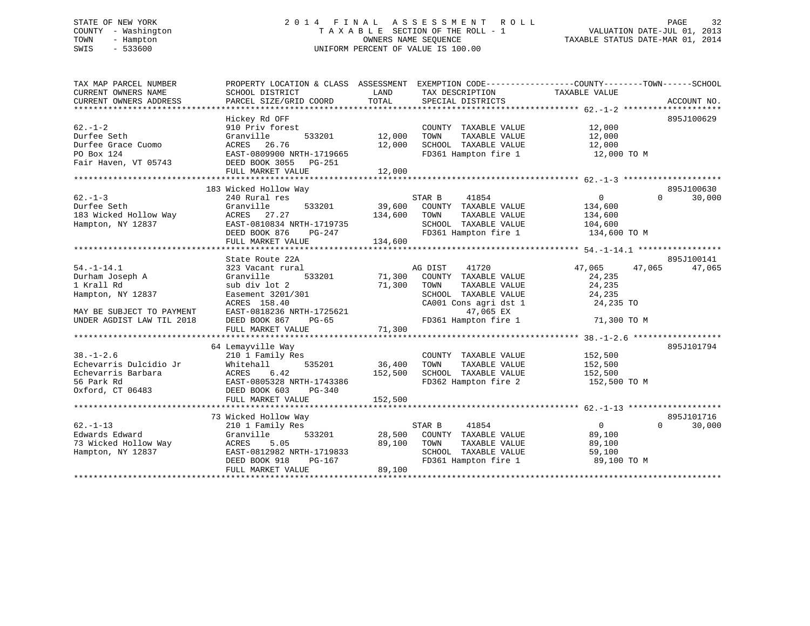# STATE OF NEW YORK 2 0 1 4 F I N A L A S S E S S M E N T R O L L PAGE 32 COUNTY - Washington T A X A B L E SECTION OF THE ROLL - 1 VALUATION DATE-JUL 01, 2013 TOWN - Hampton OWNERS NAME SEQUENCE TAXABLE STATUS DATE-MAR 01, 2014 SWIS - 533600 UNIFORM PERCENT OF VALUE IS 100.00

| TAX MAP PARCEL NUMBER<br>CURRENT OWNERS NAME<br>CURRENT OWNERS ADDRESS                                                           | PROPERTY LOCATION & CLASS ASSESSMENT EXEMPTION CODE---------------COUNTY-------TOWN-----SCHOOL<br>SCHOOL DISTRICT<br>PARCEL SIZE/GRID COORD                | LAND<br>TOTAL            | TAX DESCRIPTION<br>SPECIAL DISTRICTS                                                                                                                     | TAXABLE VALUE                                                    | ACCOUNT NO.                      |
|----------------------------------------------------------------------------------------------------------------------------------|------------------------------------------------------------------------------------------------------------------------------------------------------------|--------------------------|----------------------------------------------------------------------------------------------------------------------------------------------------------|------------------------------------------------------------------|----------------------------------|
| $62. - 1 - 2$<br>Durfee Seth<br>Durfee Grace Cuomo<br>PO Box 124<br>Fair Haven, VT 05743                                         | Hickey Rd OFF<br>910 Priv forest<br>533201<br>Granville<br>ACRES 26.76<br>EAST-0809900 NRTH-1719665<br>DEED BOOK 3055 PG-251                               | 12,000<br>12,000         | COUNTY TAXABLE VALUE<br>TOWN<br>TAXABLE VALUE<br>SCHOOL TAXABLE VALUE<br>FD361 Hampton fire 1 12,000 TO M                                                | 12,000<br>12,000<br>12,000                                       | 895J100629                       |
|                                                                                                                                  | FULL MARKET VALUE                                                                                                                                          | 12,000                   |                                                                                                                                                          |                                                                  |                                  |
|                                                                                                                                  |                                                                                                                                                            |                          |                                                                                                                                                          |                                                                  |                                  |
| $62 - 1 - 3$<br>Durfee Seth<br>183 Wicked Hollow Way<br>Hampton, NY 12837                                                        | 183 Wicked Hollow Way<br>240 Rural res<br>Granville<br>533201<br>ACRES 27.27<br>EAST-0810834 NRTH-1719735<br>DEED BOOK 876<br>PG-247<br>FULL MARKET VALUE  | 134,600<br>134,600       | STAR B<br>41854<br>39,600 COUNTY TAXABLE VALUE<br>TOWN<br>TAXABLE VALUE<br>SCHOOL TAXABLE VALUE 104,600<br>FD361 Hampton fire 1                          | $\overline{0}$<br>134,600<br>134,600<br>134,600 TO M             | 895J100630<br>$\Omega$<br>30,000 |
|                                                                                                                                  | State Route 22A                                                                                                                                            |                          |                                                                                                                                                          |                                                                  | 895J100141                       |
| $54. - 1 - 14.1$<br>Durham Joseph A<br>1 Krall Rd<br>Hampton, NY 12837<br>MAY BE SUBJECT TO PAYMENT<br>UNDER AGDIST LAW TIL 2018 | 323 Vacant rural<br>Granville<br>533201<br>sub div lot 2<br>Easement 3201/301<br>ACRES 158.40<br>EAST-0818236 NRTH-1725621<br>DEED BOOK 867<br>PG-65       | 71,300<br>71,300         | AG DIST<br>41720<br>COUNTY TAXABLE VALUE<br>TOWN<br>TAXABLE VALUE<br>SCHOOL TAXABLE VALUE<br>CA001 Cons agri dst 1<br>47,065 EX<br>FD361 Hampton fire 1  | 47,065<br>24,235<br>24,235<br>24,235<br>24,235 TO<br>71,300 TO M | 47,065<br>47,065                 |
|                                                                                                                                  |                                                                                                                                                            |                          |                                                                                                                                                          |                                                                  |                                  |
| $38. - 1 - 2.6$<br>Echevarris Dulcidio Jr<br>Echevarris Barbara<br>56 Park Rd<br>Oxford, CT 06483                                | 64 Lemayville Way<br>210 1 Family Res<br>Whitehall<br>ACRES<br>6.42<br>EAST-0805328 NRTH-1743386<br>DEED BOOK 603<br>$PG-340$                              | 535201 36,400<br>152,500 | COUNTY TAXABLE VALUE<br>TOWN<br>TAXABLE VALUE<br>SCHOOL TAXABLE VALUE<br>FD362 Hampton fire 2                                                            | 152,500<br>152,500<br>152,500<br>152,500 TO M                    | 895J101794                       |
|                                                                                                                                  | FULL MARKET VALUE                                                                                                                                          | 152,500                  |                                                                                                                                                          |                                                                  |                                  |
| $62 - 1 - 13$<br>Edwards Edward<br>73 Wicked Hollow Way<br>Hampton, NY 12837                                                     | 73 Wicked Hollow Way<br>210 1 Family Res<br>533201<br>Granville<br>ACRES 5.05<br>EAST-0812982 NRTH-1719833<br>DEED BOOK 918<br>PG-167<br>FULL MARKET VALUE | 89,100<br>89,100         | STAR B<br>41854<br>28,500 COUNTY TAXABLE VALUE<br>TOWN<br>TAXABLE VALUE<br>TOWN       TAXABLE  VALUE<br>SCHOOL    TAXABLE  VALUE<br>FD361 Hampton fire 1 | $\overline{0}$<br>89,100<br>89,100<br>59,100<br>89,100 TO M      | 895J101716<br>$\Omega$<br>30,000 |
|                                                                                                                                  |                                                                                                                                                            |                          |                                                                                                                                                          |                                                                  |                                  |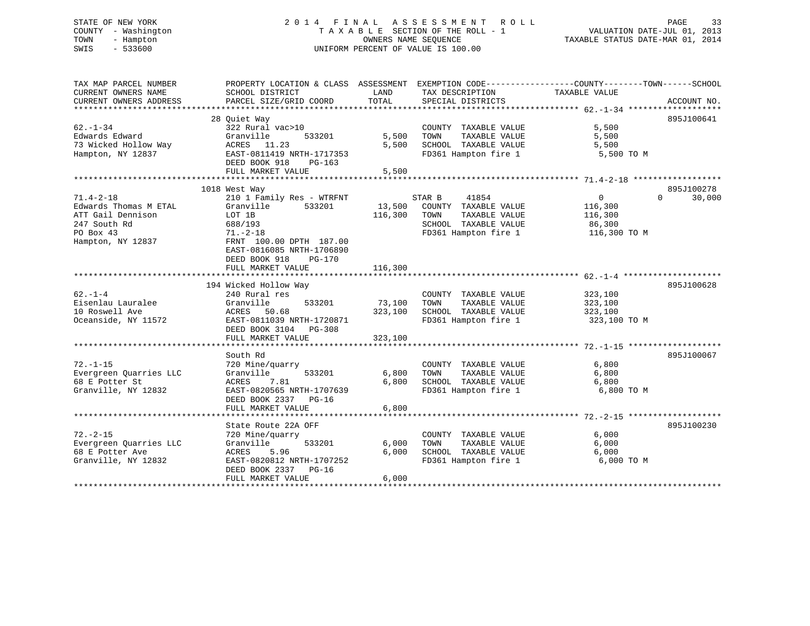# STATE OF NEW YORK 2 0 1 4 F I N A L A S S E S S M E N T R O L L PAGE 33 COUNTY - Washington T A X A B L E SECTION OF THE ROLL - 1 VALUATION DATE-JUL 01, 2013 TOWN - Hampton OWNERS NAME SEQUENCE TAXABLE STATUS DATE-MAR 01, 2014 SWIS - 533600 UNIFORM PERCENT OF VALUE IS 100.00

| TAX MAP PARCEL NUMBER<br>CURRENT OWNERS NAME                                       | PROPERTY LOCATION & CLASS ASSESSMENT<br>SCHOOL DISTRICT                                                                                | LAND<br>TOTAL           | EXEMPTION CODE-----------------COUNTY-------TOWN------SCHOOL<br>TAX DESCRIPTION                            | TAXABLE VALUE                         |                    |
|------------------------------------------------------------------------------------|----------------------------------------------------------------------------------------------------------------------------------------|-------------------------|------------------------------------------------------------------------------------------------------------|---------------------------------------|--------------------|
| CURRENT OWNERS ADDRESS                                                             | PARCEL SIZE/GRID COORD                                                                                                                 |                         | SPECIAL DISTRICTS                                                                                          |                                       | ACCOUNT NO.        |
|                                                                                    | 28 Ouiet Way                                                                                                                           |                         |                                                                                                            |                                       | 895J100641         |
| $62 - 1 - 34$<br>Edwards Edward<br>73 Wicked Hollow Way<br>Hampton, NY 12837       | 322 Rural vac>10<br>Granville<br>533201<br>ACRES 11.23<br>EAST-0811419 NRTH-1717353                                                    | 5,500<br>5,500          | COUNTY TAXABLE VALUE<br>TAXABLE VALUE<br>TOWN<br>SCHOOL TAXABLE VALUE<br>FD361 Hampton fire 1              | 5,500<br>5,500<br>5,500<br>5,500 TO M |                    |
|                                                                                    | DEED BOOK 918<br>PG-163<br>FULL MARKET VALUE                                                                                           | 5,500                   |                                                                                                            |                                       |                    |
|                                                                                    |                                                                                                                                        |                         |                                                                                                            |                                       |                    |
|                                                                                    | 1018 West Way                                                                                                                          |                         |                                                                                                            |                                       | 895J100278         |
| $71.4 - 2 - 18$                                                                    | 210 1 Family Res - WTRFNT                                                                                                              |                         | 41854<br>STAR B                                                                                            | $\overline{0}$                        | $\Omega$<br>30,000 |
| Edwards Thomas M ETAL<br>ATT Gail Dennison<br>247 South Rd<br>PO Box 43            | Granville<br>533201<br>LOT 1B<br>688/193<br>$71. - 2 - 18$                                                                             | 13,500<br>116,300       | COUNTY TAXABLE VALUE<br>TAXABLE VALUE<br>TOWN<br>SCHOOL TAXABLE VALUE<br>FD361 Hampton fire 1 116,300 TO M | 116,300<br>116,300<br>86,300          |                    |
| Hampton, NY 12837                                                                  | FRNT 100.00 DPTH 187.00<br>EAST-0816085 NRTH-1706890<br>DEED BOOK 918<br><b>PG-170</b><br>FULL MARKET VALUE                            | 116,300                 |                                                                                                            |                                       |                    |
|                                                                                    |                                                                                                                                        |                         |                                                                                                            |                                       |                    |
|                                                                                    | 194 Wicked Hollow Way                                                                                                                  |                         |                                                                                                            |                                       | 895J100628         |
| $62 - 1 - 4$                                                                       | 240 Rural res                                                                                                                          |                         | COUNTY TAXABLE VALUE                                                                                       | 323,100                               |                    |
| Eisenlau Lauralee                                                                  | Granville<br>533201                                                                                                                    | 73,100                  | TAXABLE VALUE<br>TOWN                                                                                      | 323,100                               |                    |
| 10 Roswell Ave                                                                     | ACRES<br>50.68                                                                                                                         | 323,100                 | SCHOOL TAXABLE VALUE                                                                                       | 323,100                               |                    |
| Oceanside, NY 11572                                                                | EAST-0811039 NRTH-1720871<br>DEED BOOK 3104 PG-308<br>FULL MARKET VALUE                                                                | 323,100                 | FD361 Hampton fire 1                                                                                       | 323,100 TO M                          |                    |
|                                                                                    |                                                                                                                                        |                         |                                                                                                            |                                       |                    |
|                                                                                    | South Rd                                                                                                                               |                         |                                                                                                            |                                       | 895J100067         |
| $72. - 1 - 15$<br>Evergreen Quarries LLC<br>68 E Potter St<br>Granville, NY 12832  | 720 Mine/quarry<br>Granville<br>533201<br>ACRES<br>7.81<br>EAST-0820565 NRTH-1707639<br>DEED BOOK 2337<br>$PG-16$<br>FULL MARKET VALUE | 6,800<br>6,800<br>6,800 | COUNTY TAXABLE VALUE<br>TAXABLE VALUE<br>TOWN<br>SCHOOL TAXABLE VALUE<br>FD361 Hampton fire 1              | 6,800<br>6,800<br>6,800<br>6,800 TO M |                    |
|                                                                                    |                                                                                                                                        |                         |                                                                                                            |                                       |                    |
|                                                                                    | State Route 22A OFF                                                                                                                    |                         |                                                                                                            |                                       | 895J100230         |
| $72. - 2 - 15$<br>Evergreen Quarries LLC<br>68 E Potter Ave<br>Granville, NY 12832 | 720 Mine/quarry<br>533201<br>Granville<br>ACRES 5.96<br>EAST-0820812 NRTH-1707252<br>DEED BOOK 2337 PG-16<br>FULL MARKET VALUE         | 6,000<br>6,000<br>6,000 | COUNTY TAXABLE VALUE<br>TAXABLE VALUE<br>TOWN<br>SCHOOL TAXABLE VALUE<br>FD361 Hampton fire 1              | 6,000<br>6,000<br>6,000<br>6,000 TO M |                    |
|                                                                                    |                                                                                                                                        |                         |                                                                                                            |                                       |                    |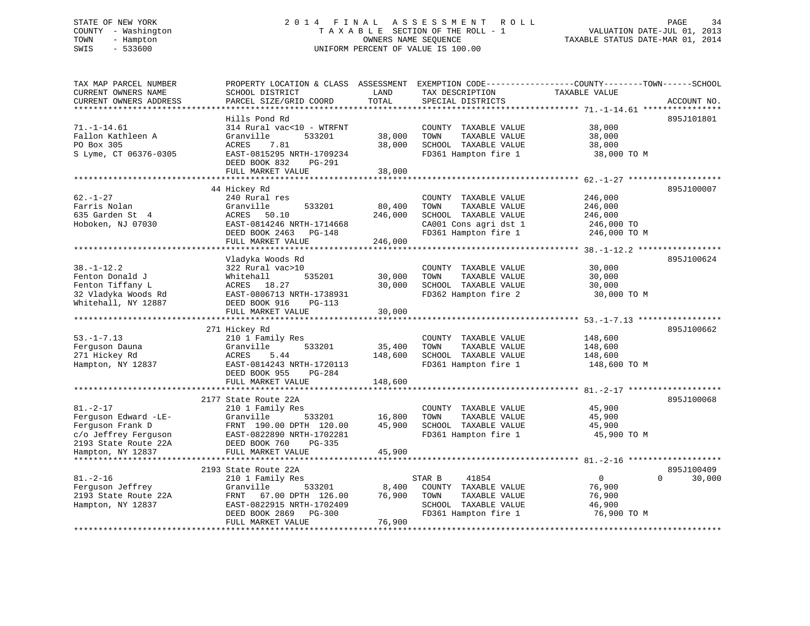# STATE OF NEW YORK 2 0 1 4 F I N A L A S S E S S M E N T R O L L PAGE 34 COUNTY - Washington T A X A B L E SECTION OF THE ROLL - 1 VALUATION DATE-JUL 01, 2013 TOWN - Hampton OWNERS NAME SEQUENCE TAXABLE STATUS DATE-MAR 01, 2014 SWIS - 533600 UNIFORM PERCENT OF VALUE IS 100.00

| TAX MAP PARCEL NUMBER<br>CURRENT OWNERS NAME<br>CURRENT OWNERS ADDRESS                                                          | PROPERTY LOCATION & CLASS ASSESSMENT<br>SCHOOL DISTRICT<br>PARCEL SIZE/GRID COORD                                                                                       | LAND<br>TOTAL                | EXEMPTION CODE-----------------COUNTY-------TOWN------SCHOOL<br>TAX DESCRIPTION<br>SPECIAL DISTRICTS                   | TAXABLE VALUE                                               | ACCOUNT NO.        |
|---------------------------------------------------------------------------------------------------------------------------------|-------------------------------------------------------------------------------------------------------------------------------------------------------------------------|------------------------------|------------------------------------------------------------------------------------------------------------------------|-------------------------------------------------------------|--------------------|
|                                                                                                                                 |                                                                                                                                                                         |                              |                                                                                                                        |                                                             |                    |
| $71. - 1 - 14.61$<br>Fallon Kathleen A<br>PO Box 305<br>S Lyme, CT 06376-0305                                                   | Hills Pond Rd<br>314 Rural vac<10 - WTRFNT<br>Granville<br>533201<br><b>ACRES</b><br>7.81<br>EAST-0815295 NRTH-1709234<br>DEED BOOK 832<br>$PG-291$                     | 38,000<br>38,000             | COUNTY TAXABLE VALUE<br>TOWN<br>TAXABLE VALUE<br>SCHOOL TAXABLE VALUE<br>FD361 Hampton fire 1                          | 38,000<br>38,000<br>38,000<br>38,000 TO M                   | 895J101801         |
|                                                                                                                                 | FULL MARKET VALUE                                                                                                                                                       | 38,000                       |                                                                                                                        |                                                             |                    |
|                                                                                                                                 |                                                                                                                                                                         |                              |                                                                                                                        |                                                             |                    |
| $62. - 1 - 27$<br>Farris Nolan<br>635 Garden St 4<br>Hoboken, NJ 07030                                                          | 44 Hickey Rd<br>240 Rural res<br>Granville<br>533201<br>50.10<br>ACRES<br>EAST-0814246 NRTH-1714668<br>DEED BOOK 2463 PG-148<br>FULL MARKET VALUE                       | 80,400<br>246,000<br>246,000 | COUNTY TAXABLE VALUE<br>TOWN<br>TAXABLE VALUE<br>SCHOOL TAXABLE VALUE<br>CA001 Cons agri dst 1<br>FD361 Hampton fire 1 | 246,000<br>246,000<br>246,000<br>246,000 TO<br>246,000 TO M | 895J100007         |
|                                                                                                                                 |                                                                                                                                                                         |                              |                                                                                                                        |                                                             |                    |
| $38. - 1 - 12.2$<br>Fenton Donald J<br>Fenton Tiffany L<br>32 Vladyka Woods Rd<br>Whitehall, NY 12887                           | Vladyka Woods Rd<br>322 Rural vac>10<br>Whitehall<br>535201<br>ACRES 18.27<br>EAST-0806713 NRTH-1738931<br>DEED BOOK 916<br>$PG-113$<br>FULL MARKET VALUE               | 30,000<br>30,000<br>30,000   | COUNTY TAXABLE VALUE<br>TOWN<br>TAXABLE VALUE<br>SCHOOL TAXABLE VALUE<br>FD362 Hampton fire 2                          | 30,000<br>30,000<br>30,000<br>30,000 TO M                   | 895J100624         |
|                                                                                                                                 |                                                                                                                                                                         |                              |                                                                                                                        |                                                             |                    |
| $53. - 1 - 7.13$<br>Ferquson Dauna<br>271 Hickey Rd<br>Hampton, NY 12837                                                        | 271 Hickey Rd<br>210 1 Family Res<br>Granville<br>533201<br>5.44<br>ACRES<br>EAST-0814243 NRTH-1720113<br>DEED BOOK 955<br>$PG-284$<br>FULL MARKET VALUE                | 35,400<br>148,600<br>148,600 | COUNTY TAXABLE VALUE<br>TOWN<br>TAXABLE VALUE<br>SCHOOL TAXABLE VALUE<br>FD361 Hampton fire 1                          | 148,600<br>148,600<br>148,600<br>148,600 TO M               | 895J100662         |
|                                                                                                                                 |                                                                                                                                                                         |                              |                                                                                                                        |                                                             |                    |
| $81. - 2 - 17$<br>Ferguson Edward -LE-<br>Ferquson Frank D<br>c/o Jeffrey Ferguson<br>2193 State Route 22A<br>Hampton, NY 12837 | 2177 State Route 22A<br>210 1 Family Res<br>Granville<br>533201<br>FRNT 190.00 DPTH 120.00<br>EAST-0822890 NRTH-1702281<br>DEED BOOK 760<br>PG-335<br>FULL MARKET VALUE | 16,800<br>45,900<br>45,900   | COUNTY TAXABLE VALUE<br>TOWN<br>TAXABLE VALUE<br>SCHOOL TAXABLE VALUE<br>FD361 Hampton fire 1                          | 45,900<br>45,900<br>45,900<br>45,900 TO M                   | 895J100068         |
|                                                                                                                                 | 2193 State Route 22A                                                                                                                                                    |                              |                                                                                                                        |                                                             | 895J100409         |
| $81. - 2 - 16$<br>Ferguson Jeffrey<br>2193 State Route 22A<br>Hampton, NY 12837                                                 | 210 1 Family Res<br>Granville<br>533201<br>FRNT<br>67.00 DPTH 126.00<br>EAST-0822915 NRTH-1702409<br>DEED BOOK 2869<br>PG-300<br>FULL MARKET VALUE                      | 8,400<br>76,900<br>76,900    | 41854<br>STAR B<br>COUNTY TAXABLE VALUE<br>TOWN<br>TAXABLE VALUE<br>SCHOOL TAXABLE VALUE<br>FD361 Hampton fire 1       | $\mathbf 0$<br>76,900<br>76,900<br>46,900<br>76,900 TO M    | $\Omega$<br>30,000 |
|                                                                                                                                 |                                                                                                                                                                         |                              |                                                                                                                        |                                                             |                    |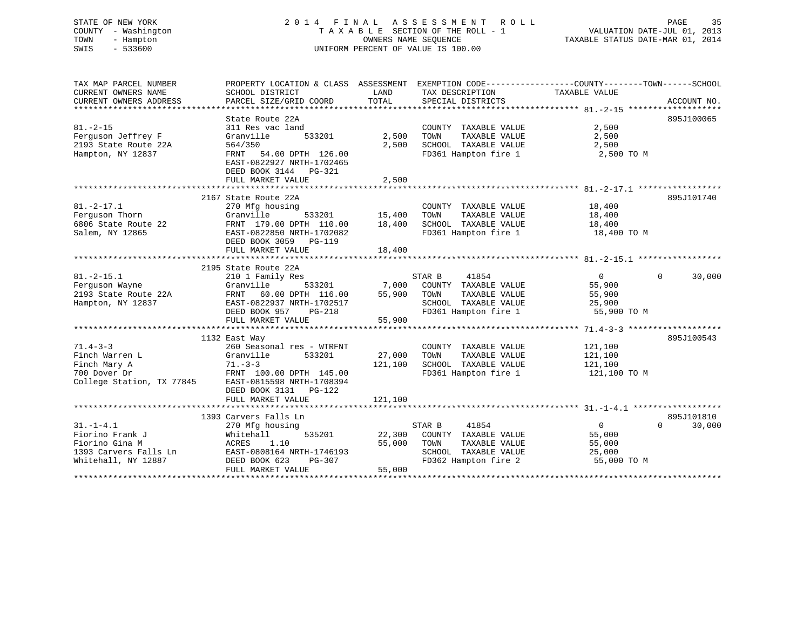# STATE OF NEW YORK 2 0 1 4 F I N A L A S S E S S M E N T R O L L PAGE 35 COUNTY - Washington T A X A B L E SECTION OF THE ROLL - 1 VALUATION DATE-JUL 01, 2013 TOWN - Hampton OWNERS NAME SEQUENCE TAXABLE STATUS DATE-MAR 01, 2014 SWIS - 533600 UNIFORM PERCENT OF VALUE IS 100.00

| TAX MAP PARCEL NUMBER     | PROPERTY LOCATION & CLASS ASSESSMENT EXEMPTION CODE---------------COUNTY-------TOWN------SCHOOL |         |                       |                |                    |
|---------------------------|-------------------------------------------------------------------------------------------------|---------|-----------------------|----------------|--------------------|
| CURRENT OWNERS NAME       | SCHOOL DISTRICT                                                                                 | LAND    | TAX DESCRIPTION       | TAXABLE VALUE  |                    |
| CURRENT OWNERS ADDRESS    | PARCEL SIZE/GRID COORD                                                                          | TOTAL   | SPECIAL DISTRICTS     |                | ACCOUNT NO.        |
|                           |                                                                                                 |         |                       |                |                    |
|                           | State Route 22A                                                                                 |         |                       |                | 895J100065         |
| $81. - 2 - 15$            | 311 Res vac land                                                                                |         | COUNTY TAXABLE VALUE  | 2,500          |                    |
| Ferquson Jeffrey F        | Granville<br>533201                                                                             | 2,500   | TOWN<br>TAXABLE VALUE | 2,500          |                    |
| 2193 State Route 22A      | 564/350                                                                                         | 2,500   | SCHOOL TAXABLE VALUE  | 2,500          |                    |
| Hampton, NY 12837         | FRNT 54.00 DPTH 126.00                                                                          |         | FD361 Hampton fire 1  | 2,500 TO M     |                    |
|                           | EAST-0822927 NRTH-1702465                                                                       |         |                       |                |                    |
|                           | DEED BOOK 3144 PG-321                                                                           |         |                       |                |                    |
|                           | FULL MARKET VALUE                                                                               | 2,500   |                       |                |                    |
|                           |                                                                                                 |         |                       |                |                    |
|                           | 2167 State Route 22A                                                                            |         |                       |                | 895J101740         |
| $81. -2 - 17.1$           | 270 Mfg housing                                                                                 |         | COUNTY TAXABLE VALUE  | 18,400         |                    |
| Ferguson Thorn            | 533201<br>Granville                                                                             | 15,400  | TOWN<br>TAXABLE VALUE | 18,400         |                    |
| 6806 State Route 22       | FRNT 179.00 DPTH 110.00                                                                         | 18,400  | SCHOOL TAXABLE VALUE  | 18,400         |                    |
| Salem, NY 12865           | EAST-0822850 NRTH-1702082                                                                       |         | FD361 Hampton fire 1  | 18,400 TO M    |                    |
|                           | DEED BOOK 3059<br>PG-119                                                                        |         |                       |                |                    |
|                           | FULL MARKET VALUE                                                                               | 18,400  |                       |                |                    |
|                           |                                                                                                 |         |                       |                |                    |
|                           | 2195 State Route 22A                                                                            |         |                       |                |                    |
| $81. -2 - 15.1$           | 210 1 Family Res                                                                                |         | 41854<br>STAR B       | $\overline{0}$ | $\Omega$<br>30,000 |
| Ferquson Wayne            | Granville<br>533201                                                                             | 7,000   | COUNTY TAXABLE VALUE  | 55,900         |                    |
| 2193 State Route 22A      | FRNT 60.00 DPTH 116.00                                                                          | 55,900  | TOWN<br>TAXABLE VALUE | 55,900         |                    |
| Hampton, NY 12837         | EAST-0822937 NRTH-1702517                                                                       |         | SCHOOL TAXABLE VALUE  | 25,900         |                    |
|                           | DEED BOOK 957<br>$PG-218$                                                                       |         | FD361 Hampton fire 1  | 55,900 TO M    |                    |
|                           | FULL MARKET VALUE                                                                               | 55,900  |                       |                |                    |
|                           |                                                                                                 |         |                       |                |                    |
|                           | 1132 East Way                                                                                   |         |                       |                | 895J100543         |
| $71.4 - 3 - 3$            | 260 Seasonal res - WTRFNT                                                                       |         | COUNTY TAXABLE VALUE  | 121,100        |                    |
|                           | 533201                                                                                          | 27,000  |                       |                |                    |
| Finch Warren L            | Granville                                                                                       |         | TOWN<br>TAXABLE VALUE | 121,100        |                    |
| Finch Mary A              | $71. - 3 - 3$                                                                                   | 121,100 | SCHOOL TAXABLE VALUE  | 121,100        |                    |
| 700 Dover Dr              | FRNT 100.00 DPTH 145.00                                                                         |         | FD361 Hampton fire 1  | 121,100 TO M   |                    |
| College Station, TX 77845 | EAST-0815598 NRTH-1708394                                                                       |         |                       |                |                    |
|                           | DEED BOOK 3131<br>PG-122                                                                        |         |                       |                |                    |
|                           | FULL MARKET VALUE                                                                               | 121,100 |                       |                |                    |
|                           |                                                                                                 |         |                       |                |                    |
|                           | 1393 Carvers Falls Ln                                                                           |         |                       |                | 895J101810         |
| $31. - 1 - 4.1$           | 270 Mfg housing                                                                                 |         | STAR B<br>41854       | $\overline{0}$ | $\Omega$<br>30,000 |
| Fiorino Frank J           | 535201<br>Whitehall                                                                             | 22,300  | COUNTY TAXABLE VALUE  | 55,000         |                    |
| Fiorino Gina M            | ACRES 1.10                                                                                      | 55,000  | TOWN<br>TAXABLE VALUE | 55,000         |                    |
| 1393 Carvers Falls Ln     | EAST-0808164 NRTH-1746193                                                                       |         | SCHOOL TAXABLE VALUE  | 25,000         |                    |
| Whitehall, NY 12887       | DEED BOOK 623<br>PG-307                                                                         |         | FD362 Hampton fire 2  | 55,000 TO M    |                    |
|                           | FULL MARKET VALUE                                                                               | 55,000  |                       |                |                    |
|                           |                                                                                                 |         |                       |                |                    |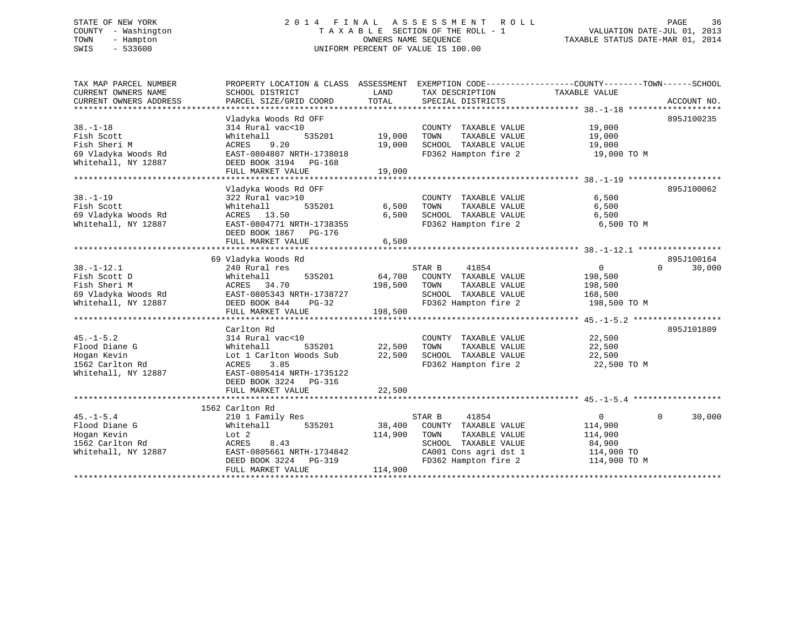# STATE OF NEW YORK 2 0 1 4 F I N A L A S S E S S M E N T R O L L PAGE 36 COUNTY - Washington T A X A B L E SECTION OF THE ROLL - 1 VALUATION DATE-JUL 01, 2013 TOWN - Hampton OWNERS NAME SEQUENCE TAXABLE STATUS DATE-MAR 01, 2014 SWIS - 533600 UNIFORM PERCENT OF VALUE IS 100.00

| TAX MAP PARCEL NUMBER  | PROPERTY LOCATION & CLASS ASSESSMENT |         |                       | EXEMPTION CODE-----------------COUNTY-------TOWN------SCHOOL |                    |
|------------------------|--------------------------------------|---------|-----------------------|--------------------------------------------------------------|--------------------|
| CURRENT OWNERS NAME    | SCHOOL DISTRICT                      | LAND    | TAX DESCRIPTION       | TAXABLE VALUE                                                |                    |
| CURRENT OWNERS ADDRESS | PARCEL SIZE/GRID COORD               | TOTAL   | SPECIAL DISTRICTS     |                                                              | ACCOUNT NO.        |
|                        |                                      |         |                       |                                                              |                    |
|                        | Vladyka Woods Rd OFF                 |         |                       |                                                              | 895J100235         |
| $38. - 1 - 18$         | 314 Rural vac<10                     |         | COUNTY TAXABLE VALUE  | 19,000                                                       |                    |
| Fish Scott             | 535201<br>Whitehall                  | 19,000  | TOWN<br>TAXABLE VALUE | 19,000                                                       |                    |
| Fish Sheri M           | ACRES<br>9.20                        | 19,000  | SCHOOL TAXABLE VALUE  | 19,000                                                       |                    |
| 69 Vladyka Woods Rd    | EAST-0804807 NRTH-1738018            |         | FD362 Hampton fire 2  | 19,000 TO M                                                  |                    |
| Whitehall, NY 12887    | DEED BOOK 3194 PG-168                |         |                       |                                                              |                    |
|                        | FULL MARKET VALUE                    | 19,000  |                       |                                                              |                    |
|                        |                                      |         |                       |                                                              |                    |
|                        | Vladyka Woods Rd OFF                 |         |                       |                                                              | 895J100062         |
| $38. - 1 - 19$         | 322 Rural vac>10                     |         | COUNTY TAXABLE VALUE  | 6,500                                                        |                    |
| Fish Scott             | 535201<br>Whitehall                  | 6,500   | TOWN<br>TAXABLE VALUE | 6,500                                                        |                    |
| 69 Vladyka Woods Rd    | ACRES 13.50                          | 6,500   | SCHOOL TAXABLE VALUE  | 6,500                                                        |                    |
| Whitehall, NY 12887    | EAST-0804771 NRTH-1738355            |         | FD362 Hampton fire 2  | 6,500 то м                                                   |                    |
|                        | DEED BOOK 1867 PG-176                |         |                       |                                                              |                    |
|                        |                                      | 6,500   |                       |                                                              |                    |
|                        | FULL MARKET VALUE                    |         |                       |                                                              |                    |
|                        | 69 Vladyka Woods Rd                  |         |                       |                                                              | 895J100164         |
|                        |                                      |         | STAR B                |                                                              | $\Omega$           |
| $38. - 1 - 12.1$       | 240 Rural res                        |         | 41854                 | $\overline{0}$                                               | 30,000             |
| Fish Scott D           | Whitehall<br>535201                  | 64,700  | COUNTY TAXABLE VALUE  | 198,500                                                      |                    |
| Fish Sheri M           | ACRES 34.70                          | 198,500 | TAXABLE VALUE<br>TOWN | 198,500                                                      |                    |
| 69 Vladyka Woods Rd    | EAST-0805343 NRTH-1738727            |         | SCHOOL TAXABLE VALUE  | 168,500                                                      |                    |
| Whitehall, NY 12887    | DEED BOOK 844<br>$PG-32$             |         | FD362 Hampton fire 2  | 198,500 TO M                                                 |                    |
|                        | FULL MARKET VALUE                    | 198,500 |                       |                                                              |                    |
|                        |                                      |         |                       |                                                              |                    |
|                        | Carlton Rd                           |         |                       |                                                              | 895J101809         |
| $45. - 1 - 5.2$        | 314 Rural vac<10                     |         | COUNTY TAXABLE VALUE  | 22,500                                                       |                    |
| Flood Diane G          | Whitehall<br>535201                  | 22,500  | TOWN<br>TAXABLE VALUE | 22,500                                                       |                    |
| Hogan Kevin            | Lot 1 Carlton Woods Sub              | 22,500  | SCHOOL TAXABLE VALUE  | 22,500                                                       |                    |
| 1562 Carlton Rd        | ACRES<br>3.85                        |         | FD362 Hampton fire 2  | 22,500 TO M                                                  |                    |
| Whitehall, NY 12887    | EAST-0805414 NRTH-1735122            |         |                       |                                                              |                    |
|                        | DEED BOOK 3224 PG-316                |         |                       |                                                              |                    |
|                        | FULL MARKET VALUE                    | 22,500  |                       |                                                              |                    |
|                        |                                      |         |                       |                                                              |                    |
|                        | 1562 Carlton Rd                      |         |                       |                                                              |                    |
| $45. - 1 - 5.4$        | 210 1 Family Res                     |         | STAR B<br>41854       | $\overline{0}$                                               | $\Omega$<br>30,000 |
| Flood Diane G          | Whitehall<br>535201                  | 38,400  | COUNTY TAXABLE VALUE  | 114,900                                                      |                    |
| Hogan Kevin            | Lot 2                                | 114,900 | TOWN<br>TAXABLE VALUE | 114,900                                                      |                    |
| 1562 Carlton Rd        | ACRES 8.43                           |         | SCHOOL TAXABLE VALUE  | 84,900                                                       |                    |
| Whitehall, NY 12887    | EAST-0805661 NRTH-1734842            |         | CA001 Cons agri dst 1 | 114,900 TO                                                   |                    |
|                        | DEED BOOK 3224<br>PG-319             |         | FD362 Hampton fire 2  | 114,900 TO M                                                 |                    |
|                        | FULL MARKET VALUE                    | 114,900 |                       |                                                              |                    |
|                        |                                      |         |                       |                                                              |                    |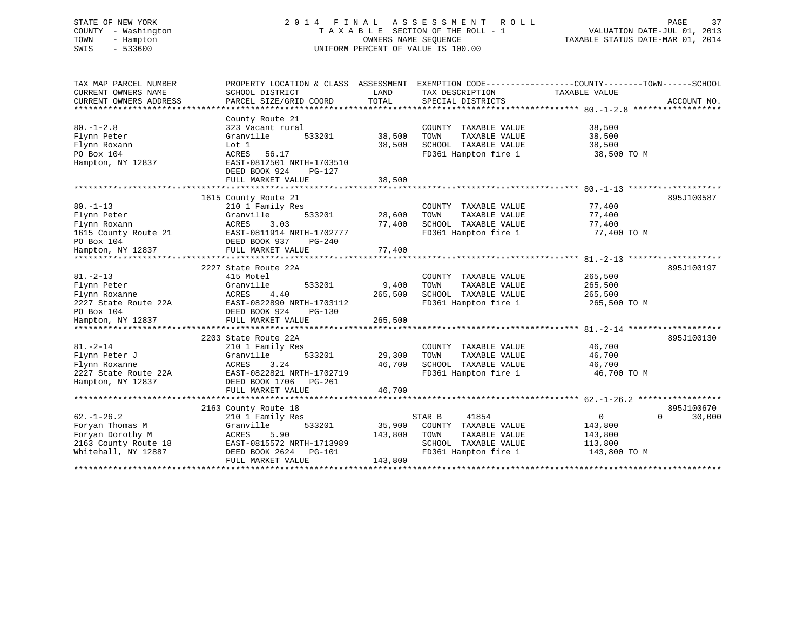# STATE OF NEW YORK 2 0 1 4 F I N A L A S S E S S M E N T R O L L PAGE 37 COUNTY - Washington T A X A B L E SECTION OF THE ROLL - 1 VALUATION DATE-JUL 01, 2013 TOWN - Hampton OWNERS NAME SEQUENCE TAXABLE STATUS DATE-MAR 01, 2014 SWIS - 533600 UNIFORM PERCENT OF VALUE IS 100.00

| TAX MAP PARCEL NUMBER<br>CURRENT OWNERS NAME<br>CURRENT OWNERS ADDRESS<br>********************         | PROPERTY LOCATION & CLASS ASSESSMENT<br>SCHOOL DISTRICT<br>PARCEL SIZE/GRID COORD                                                             | LAND<br>TOTAL                | TAX DESCRIPTION<br>SPECIAL DISTRICTS                                                                             | EXEMPTION CODE-----------------COUNTY-------TOWN------SCHOOL<br>TAXABLE VALUE<br>ACCOUNT NO.               |
|--------------------------------------------------------------------------------------------------------|-----------------------------------------------------------------------------------------------------------------------------------------------|------------------------------|------------------------------------------------------------------------------------------------------------------|------------------------------------------------------------------------------------------------------------|
| $80. - 1 - 2.8$<br>Flynn Peter<br>Flynn Roxann<br>PO Box 104<br>Hampton, NY 12837                      | County Route 21<br>323 Vacant rural<br>Granville<br>533201<br>Lot 1<br>ACRES<br>56.17<br>EAST-0812501 NRTH-1703510<br>DEED BOOK 924<br>PG-127 | 38,500<br>38,500             | COUNTY TAXABLE VALUE<br>TOWN<br>TAXABLE VALUE<br>SCHOOL TAXABLE VALUE<br>FD361 Hampton fire 1                    | 38,500<br>38,500<br>38,500<br>38,500 TO M                                                                  |
|                                                                                                        | FULL MARKET VALUE                                                                                                                             | 38,500                       |                                                                                                                  |                                                                                                            |
| $80. - 1 - 13$<br>Flynn Peter<br>Flynn Roxann<br>1615 County Route 21                                  | 1615 County Route 21<br>210 1 Family Res<br>533201<br>Granville<br>ACRES<br>3.03<br>EAST-0811914 NRTH-1702777                                 | 28,600<br>77,400             | COUNTY TAXABLE VALUE<br>TOWN<br>TAXABLE VALUE<br>SCHOOL TAXABLE VALUE<br>FD361 Hampton fire 1                    | 895J100587<br>77,400<br>77,400<br>77,400<br>77,400 TO M                                                    |
| PO Box 104<br>Hampton, NY 12837                                                                        | DEED BOOK 937<br>PG-240<br>FULL MARKET VALUE                                                                                                  | 77,400                       |                                                                                                                  |                                                                                                            |
|                                                                                                        |                                                                                                                                               |                              |                                                                                                                  |                                                                                                            |
| $81. - 2 - 13$<br>Flynn Peter<br>Flynn Roxanne<br>2227 State Route 22A<br>PO Box 104                   | 2227 State Route 22A<br>415 Motel<br>Granville<br>533201<br>4.40<br>ACRES<br>EAST-0822890 NRTH-1703112<br>DEED BOOK 924<br>$PG-130$           | 9,400<br>265,500             | COUNTY TAXABLE VALUE<br>TOWN<br>TAXABLE VALUE<br>SCHOOL TAXABLE VALUE<br>FD361 Hampton fire 1                    | 895J100197<br>265,500<br>265,500<br>265,500<br>265,500 TO M                                                |
| Hampton, NY 12837                                                                                      | FULL MARKET VALUE                                                                                                                             | 265,500                      |                                                                                                                  |                                                                                                            |
| $81. - 2 - 14$<br>Flynn Peter J<br>Flynn Roxanne<br>2227 State Route 22A<br>Hampton, NY 12837          | 2203 State Route 22A<br>210 1 Family Res<br>Granville<br>533201<br>ACRES<br>3.24<br>EAST-0822821 NRTH-1702719<br>DEED BOOK 1706<br>PG-261     | 29,300<br>46,700             | COUNTY TAXABLE VALUE<br>TOWN<br>TAXABLE VALUE<br>SCHOOL TAXABLE VALUE<br>FD361 Hampton fire 1                    | 895J100130<br>46,700<br>46,700<br>46,700<br>46,700 TO M                                                    |
|                                                                                                        | FULL MARKET VALUE                                                                                                                             | 46,700                       |                                                                                                                  |                                                                                                            |
|                                                                                                        | 2163 County Route 18                                                                                                                          |                              |                                                                                                                  | 895J100670                                                                                                 |
| $62. - 1 - 26.2$<br>Foryan Thomas M<br>Foryan Dorothy M<br>2163 County Route 18<br>Whitehall, NY 12887 | 210 1 Family Res<br>Granville<br>533201<br>ACRES<br>5.90<br>EAST-0815572 NRTH-1713989<br>DEED BOOK 2624 PG-101<br>FULL MARKET VALUE           | 35,900<br>143,800<br>143,800 | STAR B<br>41854<br>COUNTY TAXABLE VALUE<br>TOWN<br>TAXABLE VALUE<br>SCHOOL TAXABLE VALUE<br>FD361 Hampton fire 1 | $\mathbf 0$<br>$\Omega$<br>30,000<br>143,800<br>143,800<br>113,800<br>143,800 TO M<br>******************** |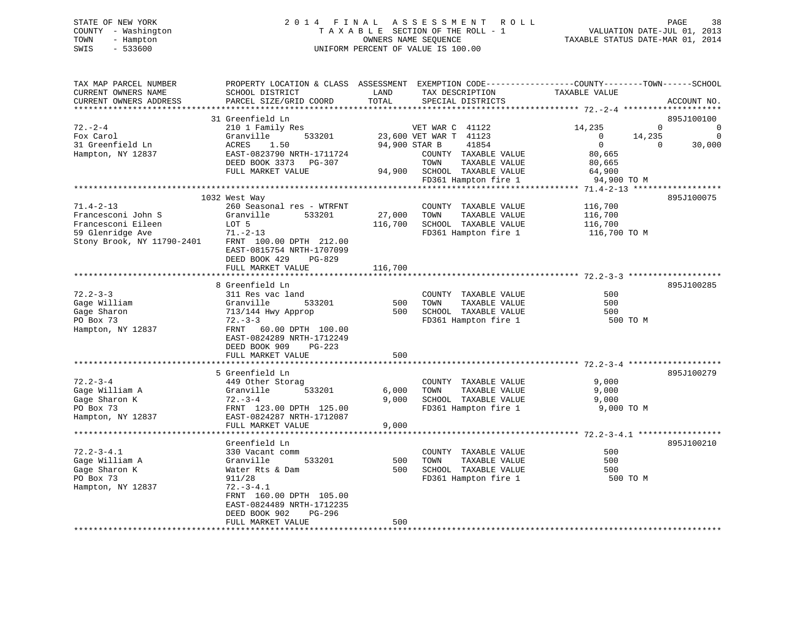# STATE OF NEW YORK 2 0 1 4 F I N A L A S S E S S M E N T R O L L PAGE 38 COUNTY - Washington T A X A B L E SECTION OF THE ROLL - 1 VALUATION DATE-JUL 01, 2013 TOWN - Hampton OWNERS NAME SEQUENCE TAXABLE STATUS DATE-MAR 01, 2014 SWIS - 533600 UNIFORM PERCENT OF VALUE IS 100.00

| TAX MAP PARCEL NUMBER<br>CURRENT OWNERS NAME<br>CURRENT OWNERS ADDRESS | SCHOOL DISTRICT<br>PARCEL SIZE/GRID COORD | LAND<br>TOTAL | TAX DESCRIPTION<br>SPECIAL DISTRICTS         | PROPERTY LOCATION & CLASS ASSESSMENT EXEMPTION CODE----------------COUNTY-------TOWN------SCHOOL<br>TAXABLE VALUE | ACCOUNT NO. |
|------------------------------------------------------------------------|-------------------------------------------|---------------|----------------------------------------------|-------------------------------------------------------------------------------------------------------------------|-------------|
|                                                                        |                                           |               |                                              |                                                                                                                   |             |
|                                                                        | 31 Greenfield Ln                          |               |                                              |                                                                                                                   | 895J100100  |
| $72. - 2 - 4$                                                          | 210 1 Family Res                          |               | VET WAR C 41122                              | 14,235<br>0                                                                                                       | 0           |
| Fox Carol                                                              | Granville<br>533201                       |               | 23,600 VET WAR T 41123                       | 14,235<br>0                                                                                                       | $\mathbf 0$ |
| 31 Greenfield Ln                                                       | 1.50<br>ACRES                             |               | 94,900 STAR B<br>41854                       | $\mathbf 0$<br>0                                                                                                  | 30,000      |
| Hampton, NY 12837                                                      | EAST-0823790 NRTH-1711724                 |               | COUNTY TAXABLE VALUE                         | 80,665                                                                                                            |             |
|                                                                        | DEED BOOK 3373<br>PG-307                  |               | TOWN<br>TAXABLE VALUE                        | 80,665                                                                                                            |             |
|                                                                        | FULL MARKET VALUE                         | 94,900        | SCHOOL TAXABLE VALUE                         | 64,900                                                                                                            |             |
|                                                                        |                                           |               | FD361 Hampton fire 1                         | 94,900 TO M                                                                                                       |             |
|                                                                        |                                           |               |                                              |                                                                                                                   |             |
|                                                                        | 1032 West Way                             |               |                                              |                                                                                                                   | 895J100075  |
| $71.4 - 2 - 13$<br>Francesconi John S                                  | 260 Seasonal res - WTRFNT<br>Granville    |               | COUNTY TAXABLE VALUE                         | 116,700                                                                                                           |             |
| Francesconi Eileen                                                     | 533201                                    | 27,000        | TOWN<br>TAXABLE VALUE                        | 116,700                                                                                                           |             |
| 59 Glenridge Ave                                                       | LOT 5<br>$71. - 2 - 13$                   | 116,700       | SCHOOL TAXABLE VALUE<br>FD361 Hampton fire 1 | 116,700<br>116,700 TO M                                                                                           |             |
| Stony Brook, NY 11790-2401                                             | FRNT 100.00 DPTH 212.00                   |               |                                              |                                                                                                                   |             |
|                                                                        | EAST-0815754 NRTH-1707099                 |               |                                              |                                                                                                                   |             |
|                                                                        | DEED BOOK 429<br>PG-829                   |               |                                              |                                                                                                                   |             |
|                                                                        | FULL MARKET VALUE                         | 116,700       |                                              |                                                                                                                   |             |
|                                                                        |                                           |               |                                              |                                                                                                                   |             |
|                                                                        | 8 Greenfield Ln                           |               |                                              |                                                                                                                   | 895J100285  |
| $72.2 - 3 - 3$                                                         | 311 Res vac land                          |               | COUNTY TAXABLE VALUE                         | 500                                                                                                               |             |
| Gage William                                                           | Granville<br>533201                       | 500           | TAXABLE VALUE<br>TOWN                        | 500                                                                                                               |             |
| Gage Sharon                                                            | 713/144 Hwy Approp                        | 500           | SCHOOL TAXABLE VALUE                         | 500                                                                                                               |             |
| PO Box 73                                                              | $72 - 3 - 3$                              |               | FD361 Hampton fire 1                         | 500 TO M                                                                                                          |             |
| Hampton, NY 12837                                                      | 60.00 DPTH 100.00<br>FRNT                 |               |                                              |                                                                                                                   |             |
|                                                                        | EAST-0824289 NRTH-1712249                 |               |                                              |                                                                                                                   |             |
|                                                                        | DEED BOOK 909<br>$PG-223$                 |               |                                              |                                                                                                                   |             |
|                                                                        | FULL MARKET VALUE                         | 500           |                                              |                                                                                                                   |             |
|                                                                        |                                           |               |                                              |                                                                                                                   |             |
|                                                                        | 5 Greenfield Ln                           |               |                                              |                                                                                                                   | 895J100279  |
| $72.2 - 3 - 4$                                                         | 449 Other Storag                          |               | COUNTY TAXABLE VALUE                         | 9,000                                                                                                             |             |
| Gage William A                                                         | Granville<br>533201                       | 6,000         | TOWN<br>TAXABLE VALUE                        | 9,000                                                                                                             |             |
| Gage Sharon K                                                          | $72. - 3 - 4$                             | 9.000         | SCHOOL TAXABLE VALUE                         | 9,000                                                                                                             |             |
| PO Box 73                                                              | FRNT 123.00 DPTH 125.00                   |               | FD361 Hampton fire 1                         | 9,000 TO M                                                                                                        |             |
| Hampton, NY 12837                                                      | EAST-0824287 NRTH-1712087                 |               |                                              |                                                                                                                   |             |
|                                                                        | FULL MARKET VALUE                         | 9,000         |                                              |                                                                                                                   |             |
|                                                                        |                                           |               |                                              |                                                                                                                   |             |
|                                                                        | Greenfield Ln                             |               |                                              |                                                                                                                   | 895J100210  |
| $72.2 - 3 - 4.1$                                                       | 330 Vacant comm                           |               | COUNTY TAXABLE VALUE                         | 500                                                                                                               |             |
| Gage William A                                                         | Granville<br>533201                       | 500           | TOWN<br>TAXABLE VALUE                        | 500                                                                                                               |             |
| Gage Sharon K                                                          | Water Rts & Dam                           | 500           | SCHOOL TAXABLE VALUE                         | 500                                                                                                               |             |
| PO Box 73                                                              | 911/28                                    |               | FD361 Hampton fire 1                         | 500 TO M                                                                                                          |             |
| Hampton, NY 12837                                                      | $72. - 3 - 4.1$                           |               |                                              |                                                                                                                   |             |
|                                                                        | FRNT 160.00 DPTH 105.00                   |               |                                              |                                                                                                                   |             |
|                                                                        | EAST-0824489 NRTH-1712235                 |               |                                              |                                                                                                                   |             |
|                                                                        | DEED BOOK 902<br>PG-296                   |               |                                              |                                                                                                                   |             |
| **********************                                                 | FULL MARKET VALUE                         | 500           |                                              |                                                                                                                   |             |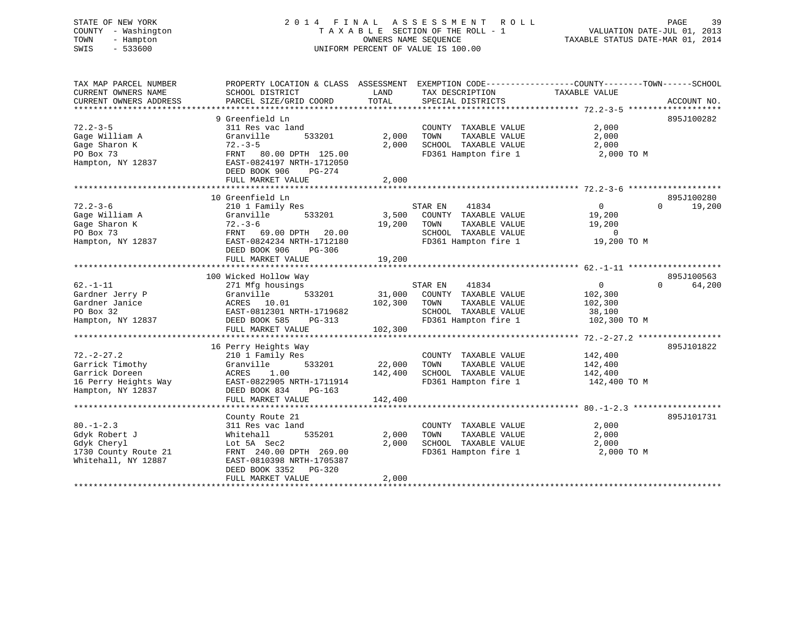# STATE OF NEW YORK 2 0 1 4 F I N A L A S S E S S M E N T R O L L PAGE 39 COUNTY - Washington T A X A B L E SECTION OF THE ROLL - 1 VALUATION DATE-JUL 01, 2013 TOWN - Hampton OWNERS NAME SEQUENCE TAXABLE STATUS DATE-MAR 01, 2014 SWIS - 533600 UNIFORM PERCENT OF VALUE IS 100.00

| TAX MAP PARCEL NUMBER<br>CURRENT OWNERS NAME<br>CURRENT OWNERS ADDRESS                             | PROPERTY LOCATION & CLASS ASSESSMENT<br>SCHOOL DISTRICT<br>PARCEL SIZE/GRID COORD                                                                                                  | LAND<br>TOTAL                | EXEMPTION CODE-----------------COUNTY-------TOWN------SCHOOL<br>TAX DESCRIPTION<br>SPECIAL DISTRICTS              | TAXABLE VALUE                                                | ACCOUNT NO.                      |
|----------------------------------------------------------------------------------------------------|------------------------------------------------------------------------------------------------------------------------------------------------------------------------------------|------------------------------|-------------------------------------------------------------------------------------------------------------------|--------------------------------------------------------------|----------------------------------|
| $72.2 - 3 - 5$<br>Gage William A<br>Gage Sharon K<br>PO Box 73<br>Hampton, NY 12837                | 9 Greenfield Ln<br>311 Res vac land<br>533201<br>Granville<br>$72. - 3 - 5$<br>FRNT 80.00 DPTH 125.00<br>EAST-0824197 NRTH-1712050<br>DEED BOOK 906<br>PG-274<br>FULL MARKET VALUE | 2,000<br>2,000<br>2,000      | COUNTY TAXABLE VALUE<br>TAXABLE VALUE<br>TOWN<br>SCHOOL TAXABLE VALUE<br>FD361 Hampton fire 1                     | 2,000<br>2,000<br>2,000<br>2,000 TO M                        | 895J100282                       |
|                                                                                                    |                                                                                                                                                                                    |                              |                                                                                                                   |                                                              |                                  |
| $72.2 - 3 - 6$<br>Gage William A<br>Gage Sharon K<br>PO Box 73<br>Hampton, NY 12837                | 10 Greenfield Ln<br>210 1 Family Res<br>533201<br>Granville<br>$72. - 3 - 6$<br>FRNT 69.00 DPTH<br>20.00<br>EAST-0824234 NRTH-1712180<br>PG-306<br>DEED BOOK 906                   | 3,500<br>19,200              | 41834<br>STAR EN<br>COUNTY TAXABLE VALUE<br>TAXABLE VALUE<br>TOWN<br>SCHOOL TAXABLE VALUE<br>FD361 Hampton fire 1 | $\Omega$<br>19,200<br>19,200<br>$\mathbf 0$<br>19,200 TO M   | 895J100280<br>19,200<br>$\Omega$ |
|                                                                                                    | FULL MARKET VALUE                                                                                                                                                                  | 19,200                       |                                                                                                                   |                                                              |                                  |
| $62. - 1 - 11$<br>Gardner Jerry P<br>Gardner Janice<br>PO Box 32<br>Hampton, NY 12837              | 100 Wicked Hollow Way<br>271 Mfg housings<br>533201<br>Granville<br>ACRES 10.01<br>EAST-0812301 NRTH-1719682<br>DEED BOOK 585<br>PG-313<br>FULL MARKET VALUE                       | 31,000<br>102,300<br>102,300 | STAR EN<br>41834<br>COUNTY TAXABLE VALUE<br>TOWN<br>TAXABLE VALUE<br>SCHOOL TAXABLE VALUE<br>FD361 Hampton fire 1 | $\mathbf{0}$<br>102,300<br>102,300<br>38,100<br>102,300 TO M | 895J100563<br>$\Omega$<br>64,200 |
|                                                                                                    | *****************************                                                                                                                                                      |                              | ***********************                                                                                           | *********** 72.-2-27.2 *****************                     |                                  |
| $72. - 2 - 27.2$<br>Garrick Timothy<br>Garrick Doreen<br>16 Perry Heights Way<br>Hampton, NY 12837 | 16 Perry Heights Way<br>210 1 Family Res<br>533201<br>Granville<br>1.00<br>ACRES<br>EAST-0822905 NRTH-1711914<br>DEED BOOK 834<br>$PG-163$<br>FULL MARKET VALUE                    | 22,000<br>142,400<br>142,400 | COUNTY TAXABLE VALUE<br>TAXABLE VALUE<br>TOWN<br>SCHOOL TAXABLE VALUE<br>FD361 Hampton fire 1                     | 142,400<br>142,400<br>142,400<br>142,400 TO M                | 895J101822                       |
|                                                                                                    |                                                                                                                                                                                    |                              |                                                                                                                   |                                                              |                                  |
| $80. - 1 - 2.3$<br>Gdyk Robert J<br>Gdyk Cheryl<br>1730 County Route 21<br>Whitehall, NY 12887     | County Route 21<br>311 Res vac land<br>535201<br>Whitehall<br>Lot 5A Sec2<br>FRNT 240.00 DPTH 269.00<br>EAST-0810398 NRTH-1705387<br>DEED BOOK 3352<br>PG-320<br>FULL MARKET VALUE | 2,000<br>2,000<br>2,000      | COUNTY TAXABLE VALUE<br>TAXABLE VALUE<br>TOWN<br>SCHOOL TAXABLE VALUE<br>FD361 Hampton fire 1                     | 2,000<br>2,000<br>2,000<br>2,000 TO M                        | 895J101731                       |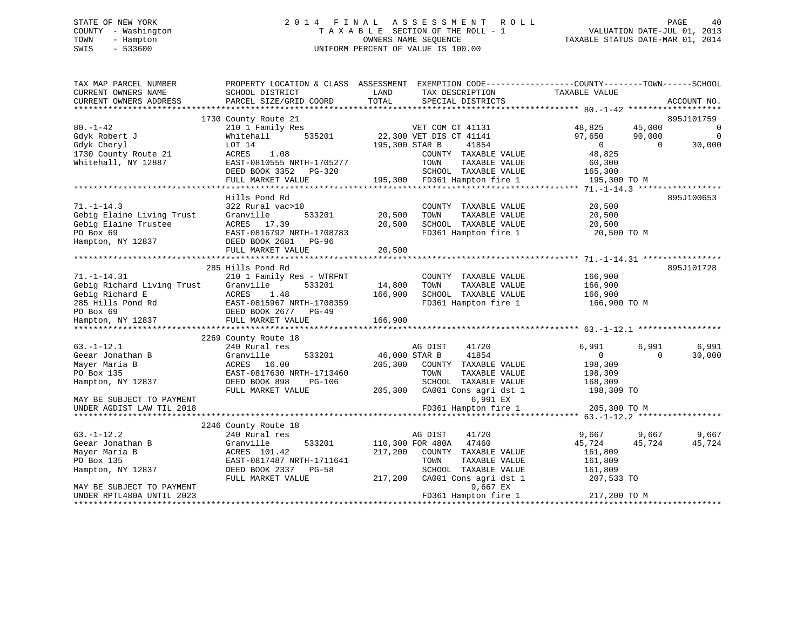#### STATE OF NEW YORK 2 0 1 4 F I N A L A S S E S S M E N T R O L L PAGE 40COUNTY - Washington  $\begin{array}{ccc}\n\text{T A X A B L E} & \text{SECTION OF THE ROLL - 1} \\
\text{T} & \text{M N N} & \text{D} & \text{N N N} \\
\text{D} & \text{D} & \text{D} & \text{D} \\
\end{array}$ TOWN - Hampton OWNERS NAME SEQUENCE TAXABLE STATUS DATE-MAR 01, 2014 SWIS - 533600 UNIFORM PERCENT OF VALUE IS 100.00

| TAX MAP PARCEL NUMBER<br>CURRENT OWNERS NAME<br>CURRENT OWNERS ADDRESS                                  | PROPERTY LOCATION & CLASS ASSESSMENT<br>SCHOOL DISTRICT<br>PARCEL SIZE/GRID COORD                                                                    | LAND<br>TOTAL              | EXEMPTION CODE-----------------COUNTY-------TOWN------SCHOOL<br>TAX DESCRIPTION<br>SPECIAL DISTRICTS | TAXABLE VALUE                                 |                              | ACCOUNT NO.             |
|---------------------------------------------------------------------------------------------------------|------------------------------------------------------------------------------------------------------------------------------------------------------|----------------------------|------------------------------------------------------------------------------------------------------|-----------------------------------------------|------------------------------|-------------------------|
|                                                                                                         |                                                                                                                                                      |                            |                                                                                                      |                                               |                              |                         |
|                                                                                                         | 1730 County Route 21                                                                                                                                 |                            |                                                                                                      |                                               |                              | 895J101759              |
| $80. - 1 - 42$<br>Gdyk Robert J<br>Gdyk Cheryl                                                          | 210 1 Family Res<br>535201<br>Whitehall<br>LOT 14                                                                                                    | 195,300 STAR B             | VET COM CT 41131<br>22,300 VET DIS CT 41141<br>41854                                                 | 48,825<br>97,650<br>$\overline{0}$            | 45,000<br>90,000<br>$\Omega$ | 0<br>$\Omega$<br>30,000 |
| 1730 County Route 21<br>Whitehall, NY 12887                                                             | ACRES<br>1.08<br>EAST-0810555 NRTH-1705277<br>DEED BOOK 3352<br>PG-320                                                                               |                            | COUNTY TAXABLE VALUE<br>TAXABLE VALUE<br>TOWN<br>SCHOOL TAXABLE VALUE                                | 48,825<br>60,300<br>165,300                   |                              |                         |
|                                                                                                         | FULL MARKET VALUE                                                                                                                                    |                            | 195,300 FD361 Hampton fire 1                                                                         | 195,300 TO M                                  |                              |                         |
|                                                                                                         |                                                                                                                                                      |                            |                                                                                                      |                                               |                              |                         |
| $71. - 1 - 14.3$<br>Gebig Elaine Living Trust<br>Gebig Elaine Trustee<br>PO Box 69<br>Hampton, NY 12837 | Hills Pond Rd<br>322 Rural vac>10<br>Granville<br>533201<br>ACRES 17.39<br>EAST-0816792 NRTH-1708783<br>DEED BOOK 2681<br>PG-96<br>FULL MARKET VALUE | 20,500<br>20,500<br>20,500 | COUNTY TAXABLE VALUE<br>TOWN<br>TAXABLE VALUE<br>SCHOOL TAXABLE VALUE<br>FD361 Hampton fire 1        | 20,500<br>20,500<br>20,500<br>20,500 TO M     |                              | 895J100653              |
|                                                                                                         |                                                                                                                                                      |                            |                                                                                                      |                                               |                              |                         |
|                                                                                                         | 285 Hills Pond Rd                                                                                                                                    |                            |                                                                                                      |                                               |                              | 895J101728              |
| $71. - 1 - 14.31$<br>Gebig Richard Living Trust<br>Gebig Richard E<br>285 Hills Pond Rd<br>PO Box 69    | 210 1 Family Res - WTRFNT<br>Granville<br>533201<br>ACRES<br>1.48<br>EAST-0815967 NRTH-1708359<br>DEED BOOK 2677<br>$PG-49$                          | 14,800<br>166,900          | COUNTY TAXABLE VALUE<br>TAXABLE VALUE<br>TOWN<br>SCHOOL TAXABLE VALUE<br>FD361 Hampton fire 1        | 166,900<br>166,900<br>166,900<br>166,900 TO M |                              |                         |
| Hampton, NY 12837                                                                                       | FULL MARKET VALUE                                                                                                                                    | 166,900                    |                                                                                                      |                                               |                              |                         |
|                                                                                                         |                                                                                                                                                      |                            |                                                                                                      |                                               |                              |                         |
|                                                                                                         | 2269 County Route 18                                                                                                                                 |                            |                                                                                                      |                                               |                              |                         |
| $63. - 1 - 12.1$                                                                                        | 240 Rural res                                                                                                                                        |                            | 41720<br>AG DIST                                                                                     | 6,991                                         | 6,991                        | 6,991                   |
| Geear Jonathan B<br>Mayer Maria B<br>PO Box 135                                                         | Granville<br>533201<br>ACRES 16.00<br>EAST-0817630 NRTH-1713460                                                                                      | 46,000 STAR B<br>205,300   | 41854<br>COUNTY TAXABLE VALUE<br>TOWN<br>TAXABLE VALUE                                               | $\Omega$<br>198,309<br>198,309                | $\Omega$                     | 30,000                  |
| Hampton, NY 12837<br>MAY BE SUBJECT TO PAYMENT                                                          | DEED BOOK 898<br>PG-106<br>FULL MARKET VALUE                                                                                                         | 205,300                    | SCHOOL TAXABLE VALUE<br>CA001 Cons agri dst 1<br>6,991 EX                                            | 168,309<br>198,309 TO                         |                              |                         |
| UNDER AGDIST LAW TIL 2018                                                                               |                                                                                                                                                      |                            | FD361 Hampton fire 1                                                                                 | 205,300 TO M                                  |                              |                         |
|                                                                                                         |                                                                                                                                                      |                            |                                                                                                      |                                               |                              |                         |
|                                                                                                         | 2246 County Route 18                                                                                                                                 |                            |                                                                                                      |                                               |                              |                         |
| $63. - 1 - 12.2$                                                                                        | 240 Rural res                                                                                                                                        |                            | AG DIST<br>41720                                                                                     | 9,667                                         | 9,667                        | 9,667                   |
| Geear Jonathan B                                                                                        | 533201<br>Granville                                                                                                                                  |                            | 110,300 FOR 480A<br>47460                                                                            | 45,724                                        | 45,724                       | 45,724                  |
| Mayer Maria B                                                                                           | ACRES 101.42                                                                                                                                         | 217,200                    | COUNTY TAXABLE VALUE                                                                                 | 161,809                                       |                              |                         |
| PO Box 135                                                                                              | EAST-0817487 NRTH-1711641                                                                                                                            |                            | TAXABLE VALUE<br>TOWN                                                                                | 161,809                                       |                              |                         |
| Hampton, NY 12837                                                                                       | DEED BOOK 2337<br>PG-58<br>FULL MARKET VALUE                                                                                                         | 217,200                    | SCHOOL TAXABLE VALUE<br>CA001 Cons agri dst 1                                                        | 161,809<br>207,533 TO                         |                              |                         |
| MAY BE SUBJECT TO PAYMENT<br>UNDER RPTL480A UNTIL 2023<br>*********************                         |                                                                                                                                                      |                            | 9,667 EX<br>FD361 Hampton fire 1                                                                     | 217,200 TO M                                  |                              |                         |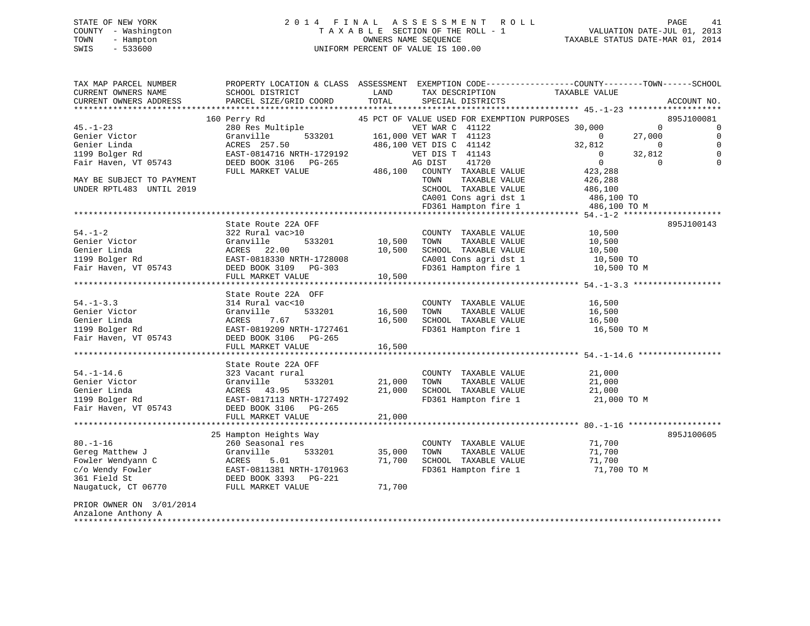# STATE OF NEW YORK 2 0 1 4 F I N A L A S S E S S M E N T R O L L PAGE 41 COUNTY - Washington T A X A B L E SECTION OF THE ROLL - 1 VALUATION DATE-JUL 01, 2013 TOWN - Hampton OWNERS NAME SEQUENCE TAXABLE STATUS DATE-MAR 01, 2014 SWIS - 533600 UNIFORM PERCENT OF VALUE IS 100.00

| TAX MAP PARCEL NUMBER<br>CURRENT OWNERS NAME<br>CURRENT OWNERS ADDRESS | PROPERTY LOCATION & CLASS ASSESSMENT EXEMPTION CODE----------------COUNTY-------TOWN------SCHOOL<br>SCHOOL DISTRICT<br>PARCEL SIZE/GRID COORD | LAND<br>TOTAL | TAX DESCRIPTION<br>SPECIAL DISTRICTS        | TAXABLE VALUE  |              | ACCOUNT NO. |
|------------------------------------------------------------------------|-----------------------------------------------------------------------------------------------------------------------------------------------|---------------|---------------------------------------------|----------------|--------------|-------------|
|                                                                        |                                                                                                                                               |               |                                             |                |              |             |
|                                                                        | 160 Perry Rd                                                                                                                                  |               | 45 PCT OF VALUE USED FOR EXEMPTION PURPOSES |                |              | 895J100081  |
| $45. - 1 - 23$                                                         | 280 Res Multiple                                                                                                                              |               | VET WAR C 41122                             | 30,000         | $\mathbf 0$  | 0           |
| Genier Victor                                                          | 533201<br>Granville                                                                                                                           |               | 161,000 VET WAR T 41123                     | $\Omega$       | 27,000       | $\Omega$    |
| Genier Linda                                                           | ACRES 257.50                                                                                                                                  |               | 486,100 VET DIS C 41142                     | 32,812         | $\mathbf{0}$ | $\Omega$    |
| 1199 Bolger Rd                                                         | EAST-0814716 NRTH-1729192                                                                                                                     |               | VET DIS T 41143                             | $\mathbf{0}$   | 32,812       | $\Omega$    |
| Fair Haven, VT 05743                                                   | DEED BOOK 3106 PG-265                                                                                                                         |               | AG DIST<br>41720                            | $\overline{0}$ | $\mathbf 0$  | $\Omega$    |
|                                                                        | FULL MARKET VALUE                                                                                                                             | 486,100       | COUNTY TAXABLE VALUE                        | 423,288        |              |             |
| MAY BE SUBJECT TO PAYMENT                                              |                                                                                                                                               |               | TAXABLE VALUE<br>TOWN                       | 426,288        |              |             |
| UNDER RPTL483 UNTIL 2019                                               |                                                                                                                                               |               | SCHOOL TAXABLE VALUE                        | 486,100        |              |             |
|                                                                        |                                                                                                                                               |               | CA001 Cons agri dst 1                       | 486,100 TO     |              |             |
|                                                                        |                                                                                                                                               |               | FD361 Hampton fire 1                        | 486,100 TO M   |              |             |
|                                                                        |                                                                                                                                               |               |                                             |                |              |             |
|                                                                        | State Route 22A OFF                                                                                                                           |               |                                             |                |              | 895J100143  |
| $54. - 1 - 2$                                                          | 322 Rural vac>10                                                                                                                              |               | COUNTY TAXABLE VALUE                        | 10,500         |              |             |
| Genier Victor                                                          | Granville<br>533201                                                                                                                           | 10,500        | TAXABLE VALUE<br>TOWN                       | 10,500         |              |             |
| Genier Linda                                                           | ACRES<br>22.00                                                                                                                                | 10,500        | SCHOOL TAXABLE VALUE                        | 10,500         |              |             |
| 1199 Bolger Rd                                                         | EAST-0818330 NRTH-1728008                                                                                                                     |               | CA001 Cons agri dst 1                       | 10,500 TO      |              |             |
| Fair Haven, VT 05743                                                   | DEED BOOK 3109 PG-303                                                                                                                         |               | FD361 Hampton fire 1                        | 10,500 TO M    |              |             |
|                                                                        | FULL MARKET VALUE                                                                                                                             | 10,500        |                                             |                |              |             |
|                                                                        |                                                                                                                                               |               |                                             |                |              |             |
|                                                                        | State Route 22A OFF                                                                                                                           |               |                                             |                |              |             |
| $54. - 1 - 3.3$                                                        | 314 Rural vac<10                                                                                                                              |               | COUNTY TAXABLE VALUE                        | 16,500         |              |             |
| Genier Victor<br>Genier Linda                                          | Granville<br>533201                                                                                                                           | 16,500        | TAXABLE VALUE<br>TOWN                       | 16,500         |              |             |
|                                                                        | ACRES<br>7.67                                                                                                                                 | 16,500        | SCHOOL TAXABLE VALUE                        | 16,500         |              |             |
| 1199 Bolger Rd                                                         | EAST-0819209 NRTH-1727461                                                                                                                     |               | FD361 Hampton fire 1                        | 16,500 TO M    |              |             |
| Fair Haven, VT 05743                                                   | DEED BOOK 3106<br>PG-265<br>FULL MARKET VALUE                                                                                                 |               |                                             |                |              |             |
|                                                                        |                                                                                                                                               | 16,500        | ******************************* 54.-1-14.6  |                |              |             |
|                                                                        | State Route 22A OFF                                                                                                                           |               |                                             |                |              |             |
| $54. - 1 - 14.6$                                                       | 323 Vacant rural                                                                                                                              |               | COUNTY TAXABLE VALUE                        | 21,000         |              |             |
| Genier Victor                                                          | 533201<br>Granville                                                                                                                           | 21,000        | TAXABLE VALUE<br>TOWN                       | 21,000         |              |             |
| Genier Linda                                                           | ACRES 43.95                                                                                                                                   | 21,000        | SCHOOL TAXABLE VALUE                        | 21,000         |              |             |
| 1199 Bolger Rd                                                         | EAST-0817113 NRTH-1727492                                                                                                                     |               | FD361 Hampton fire 1                        | 21,000 TO M    |              |             |
| Fair Haven, VT 05743                                                   | DEED BOOK 3106<br>PG-265                                                                                                                      |               |                                             |                |              |             |
|                                                                        | FULL MARKET VALUE                                                                                                                             | 21,000        |                                             |                |              |             |
|                                                                        |                                                                                                                                               |               |                                             |                |              |             |
|                                                                        | 25 Hampton Heights Way                                                                                                                        |               |                                             |                |              | 895J100605  |
| $80. - 1 - 16$                                                         | 260 Seasonal res                                                                                                                              |               | COUNTY TAXABLE VALUE                        | 71,700         |              |             |
| Gereg Matthew J                                                        | Granville<br>533201                                                                                                                           | 35,000        | TOWN<br>TAXABLE VALUE                       | 71,700         |              |             |
| Fowler Wendyann C                                                      | ACRES<br>5.01                                                                                                                                 | 71,700        | SCHOOL TAXABLE VALUE                        | 71,700         |              |             |
| c/o Wendy Fowler                                                       | EAST-0811381 NRTH-1701963                                                                                                                     |               | FD361 Hampton fire 1                        | 71,700 TO M    |              |             |
| 361 Field St                                                           | DEED BOOK 3393 PG-221                                                                                                                         |               |                                             |                |              |             |
| Naugatuck, CT 06770                                                    | FULL MARKET VALUE                                                                                                                             | 71,700        |                                             |                |              |             |
| PRIOR OWNER ON 3/01/2014<br>Anzalone Anthony A                         |                                                                                                                                               |               |                                             |                |              |             |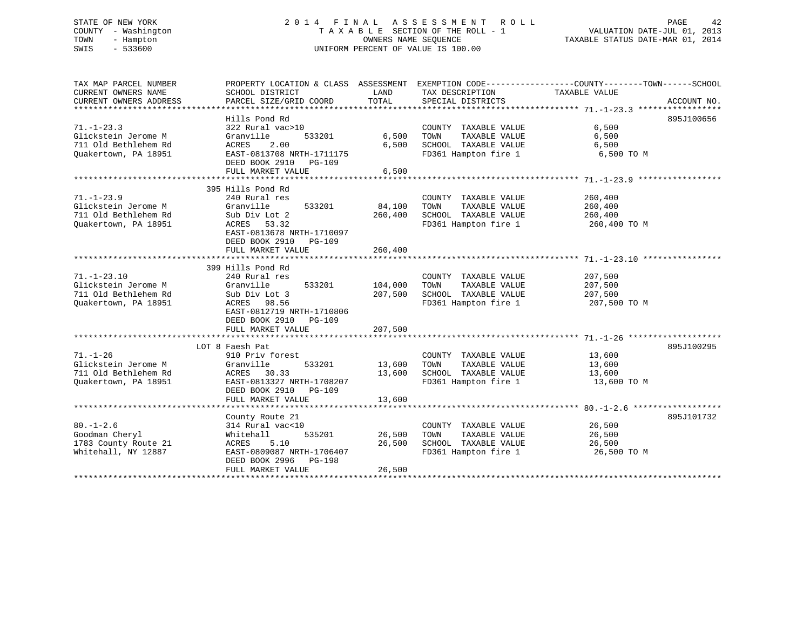# STATE OF NEW YORK 2 0 1 4 F I N A L A S S E S S M E N T R O L L PAGE 42 COUNTY - Washington T A X A B L E SECTION OF THE ROLL - 1 VALUATION DATE-JUL 01, 2013 TOWN - Hampton OWNERS NAME SEQUENCE TAXABLE STATUS DATE-MAR 01, 2014 SWIS - 533600 UNIFORM PERCENT OF VALUE IS 100.00

| TAX MAP PARCEL NUMBER<br>CURRENT OWNERS NAME<br>CURRENT OWNERS ADDRESS                   | PROPERTY LOCATION & CLASS ASSESSMENT<br>SCHOOL DISTRICT<br>PARCEL SIZE/GRID COORD                                                                      | LAND<br>TOTAL              | TAX DESCRIPTION<br>SPECIAL DISTRICTS                                                          | TAXABLE VALUE                                 | ACCOUNT NO. |
|------------------------------------------------------------------------------------------|--------------------------------------------------------------------------------------------------------------------------------------------------------|----------------------------|-----------------------------------------------------------------------------------------------|-----------------------------------------------|-------------|
| *************************                                                                | Hills Pond Rd                                                                                                                                          |                            |                                                                                               |                                               | 895J100656  |
| $71. - 1 - 23.3$<br>Glickstein Jerome M<br>711 Old Bethlehem Rd<br>Ouakertown, PA 18951  | 322 Rural vac>10<br>Granville<br>533201<br>2.00<br>ACRES<br>EAST-0813708 NRTH-1711175<br>DEED BOOK 2910<br>PG-109<br>FULL MARKET VALUE                 | 6,500<br>6,500<br>6,500    | COUNTY TAXABLE VALUE<br>TOWN<br>TAXABLE VALUE<br>SCHOOL TAXABLE VALUE<br>FD361 Hampton fire 1 | 6,500<br>6,500<br>6,500<br>6,500 TO M         |             |
|                                                                                          |                                                                                                                                                        |                            |                                                                                               |                                               |             |
| $71. - 1 - 23.9$<br>Glickstein Jerome M<br>711 Old Bethlehem Rd<br>Ouakertown, PA 18951  | 395 Hills Pond Rd<br>240 Rural res<br>Granville<br>533201<br>Sub Div Lot 2<br>ACRES 53.32<br>EAST-0813678 NRTH-1710097                                 | 84,100<br>260,400          | COUNTY TAXABLE VALUE<br>TAXABLE VALUE<br>TOWN<br>SCHOOL TAXABLE VALUE<br>FD361 Hampton fire 1 | 260,400<br>260,400<br>260,400<br>260,400 TO M |             |
|                                                                                          | DEED BOOK 2910<br>PG-109<br>FULL MARKET VALUE                                                                                                          | 260,400                    |                                                                                               |                                               |             |
|                                                                                          | 399 Hills Pond Rd                                                                                                                                      |                            |                                                                                               |                                               |             |
| $71. - 1 - 23.10$<br>Glickstein Jerome M<br>711 Old Bethlehem Rd<br>Ouakertown, PA 18951 | 240 Rural res<br>533201<br>Granville<br>Sub Div Lot 3<br>ACRES 98.56<br>EAST-0812719 NRTH-1710806<br>DEED BOOK 2910<br>PG-109                          | 104,000<br>207,500         | COUNTY TAXABLE VALUE<br>TAXABLE VALUE<br>TOWN<br>SCHOOL TAXABLE VALUE<br>FD361 Hampton fire 1 | 207,500<br>207,500<br>207,500<br>207,500 TO M |             |
|                                                                                          | FULL MARKET VALUE                                                                                                                                      | 207,500                    |                                                                                               |                                               |             |
| $71. - 1 - 26$<br>Glickstein Jerome M<br>711 Old Bethlehem Rd<br>Ouakertown, PA 18951    | LOT 8 Faesh Pat<br>910 Priv forest<br>Granville<br>533201<br>ACRES 30.33<br>EAST-0813327 NRTH-1708207<br>DEED BOOK 2910<br>PG-109<br>FULL MARKET VALUE | 13,600<br>13,600<br>13,600 | COUNTY TAXABLE VALUE<br>TOWN<br>TAXABLE VALUE<br>SCHOOL TAXABLE VALUE<br>FD361 Hampton fire 1 | 13,600<br>13,600<br>13,600<br>13,600 TO M     | 895J100295  |
|                                                                                          | County Route 21                                                                                                                                        |                            |                                                                                               |                                               | 895J101732  |
| $80. - 1 - 2.6$<br>Goodman Cheryl<br>1783 County Route 21<br>Whitehall, NY 12887         | 314 Rural vac<10<br>535201<br>Whitehall<br>ACRES 5.10<br>EAST-0809087 NRTH-1706407<br>DEED BOOK 2996<br>PG-198<br>FULL MARKET VALUE                    | 26,500<br>26,500<br>26,500 | COUNTY TAXABLE VALUE<br>TOWN<br>TAXABLE VALUE<br>SCHOOL TAXABLE VALUE<br>FD361 Hampton fire 1 | 26,500<br>26,500<br>26,500<br>26,500 TO M     |             |
|                                                                                          |                                                                                                                                                        |                            |                                                                                               |                                               |             |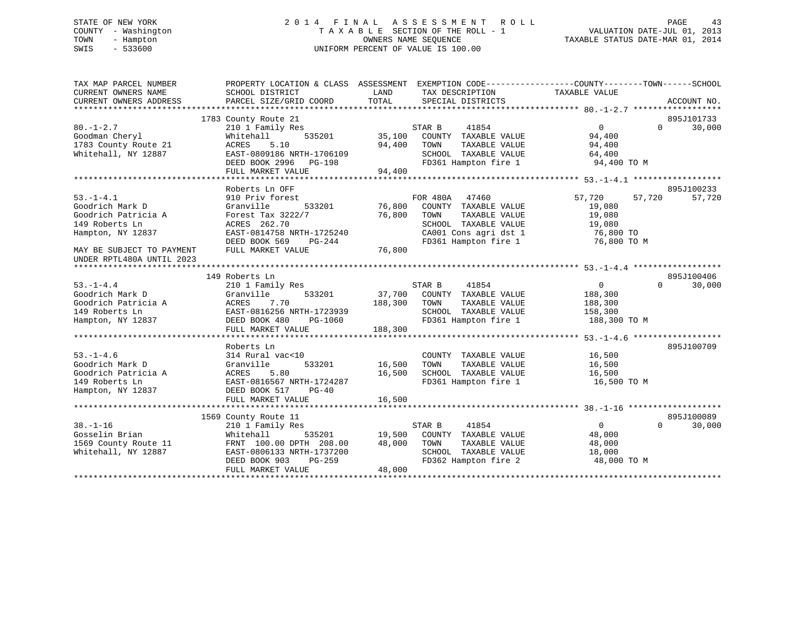# STATE OF NEW YORK 2 0 1 4 F I N A L A S S E S S M E N T R O L L PAGE 43 COUNTY - Washington T A X A B L E SECTION OF THE ROLL - 1 VALUATION DATE-JUL 01, 2013 TOWN - Hampton OWNERS NAME SEQUENCE TAXABLE STATUS DATE-MAR 01, 2014 SWIS - 533600 UNIFORM PERCENT OF VALUE IS 100.00

| TAX MAP PARCEL NUMBER<br>CURRENT OWNERS NAME<br>CURRENT OWNERS ADDRESS | PROPERTY LOCATION & CLASS ASSESSMENT EXEMPTION CODE---------------COUNTY-------TOWN-----SCHOOL<br>SCHOOL DISTRICT<br>PARCEL SIZE/GRID COORD | LAND<br>TOTAL | TAX DESCRIPTION<br>SPECIAL DISTRICTS | TAXABLE VALUE     | ACCOUNT NO.        |
|------------------------------------------------------------------------|---------------------------------------------------------------------------------------------------------------------------------------------|---------------|--------------------------------------|-------------------|--------------------|
|                                                                        |                                                                                                                                             |               |                                      |                   |                    |
|                                                                        | 1783 County Route 21                                                                                                                        |               |                                      |                   | 895J101733         |
| $80. - 1 - 2.7$                                                        | 210 1 Family Res                                                                                                                            |               | STAR B<br>41854                      | $\overline{0}$    | $\Omega$<br>30,000 |
| Goodman Cheryl                                                         | 535201<br>Whitehall                                                                                                                         | 35,100        | COUNTY TAXABLE VALUE                 | 94,400            |                    |
| 1783 County Route 21                                                   | 5.10<br>ACRES                                                                                                                               | 94,400        | TAXABLE VALUE<br>TOWN                | 94,400            |                    |
| Whitehall, NY 12887                                                    | EAST-0809186 NRTH-1706109                                                                                                                   |               | SCHOOL TAXABLE VALUE                 | 64,400            |                    |
|                                                                        | DEED BOOK 2996 PG-198                                                                                                                       |               | FD361 Hampton fire 1                 | 94,400 TO M       |                    |
|                                                                        | FULL MARKET VALUE                                                                                                                           | 94,400        |                                      |                   |                    |
|                                                                        |                                                                                                                                             |               |                                      |                   |                    |
|                                                                        | Roberts Ln OFF                                                                                                                              |               |                                      |                   | 895J100233         |
| $53. - 1 - 4.1$                                                        | 910 Priv forest                                                                                                                             |               | FOR 480A<br>47460                    | 57,720<br>57,720  | 57,720             |
| Goodrich Mark D                                                        | Granville<br>533201                                                                                                                         | 76,800        | COUNTY TAXABLE VALUE                 | 19,080            |                    |
| Goodrich Patricia A                                                    | Forest Tax 3222/7                                                                                                                           | 76,800        | TOWN<br>TAXABLE VALUE                | 19,080            |                    |
| 149 Roberts Ln                                                         | ACRES 262.70                                                                                                                                |               | SCHOOL TAXABLE VALUE                 | 19,080            |                    |
| Hampton, NY 12837                                                      | EAST-0814758 NRTH-1725240                                                                                                                   |               | CA001 Cons agri dst 1                | 76,800 TO         |                    |
|                                                                        | DEED BOOK 569<br>$PG-244$                                                                                                                   |               | FD361 Hampton fire 1                 | 76,800 TO M       |                    |
| MAY BE SUBJECT TO PAYMENT<br>UNDER RPTL480A UNTIL 2023                 | FULL MARKET VALUE                                                                                                                           | 76,800        |                                      |                   |                    |
|                                                                        |                                                                                                                                             |               |                                      |                   |                    |
|                                                                        | 149 Roberts Ln                                                                                                                              |               |                                      |                   | 895J100406         |
| $53. - 1 - 4.4$                                                        | 210 1 Family Res                                                                                                                            |               | 41854<br>STAR B                      | $\overline{0}$    | $\Omega$<br>30,000 |
| Goodrich Mark D                                                        | 533201<br>Granville                                                                                                                         |               | 37,700 COUNTY TAXABLE VALUE          | 188,300           |                    |
| Goodrich Patricia A                                                    | ACRES<br>7.70                                                                                                                               | 188,300       | TAXABLE VALUE<br>TOWN                | 188,300           |                    |
| 149 Roberts Ln                                                         | EAST-0816256 NRTH-1723939                                                                                                                   |               | SCHOOL TAXABLE VALUE                 | 158,300           |                    |
| Hampton, NY 12837                                                      | DEED BOOK 480<br>PG-1060                                                                                                                    |               | FD361 Hampton fire 1                 | 188,300 TO M      |                    |
|                                                                        | FULL MARKET VALUE                                                                                                                           | 188,300       |                                      |                   |                    |
|                                                                        |                                                                                                                                             |               |                                      |                   |                    |
|                                                                        | Roberts Ln                                                                                                                                  |               |                                      |                   | 895J100709         |
| $53. - 1 - 4.6$                                                        | 314 Rural vac<10                                                                                                                            |               | COUNTY TAXABLE VALUE                 | 16,500            |                    |
| Goodrich Mark D                                                        | 533201<br>Granville                                                                                                                         | 16,500        | TOWN<br>TAXABLE VALUE                | 16,500            |                    |
| Goodrich Patricia A                                                    | 5.80<br>ACRES                                                                                                                               | 16,500        | SCHOOL TAXABLE VALUE                 | 16,500            |                    |
| 149 Roberts Ln                                                         | EAST-0816567 NRTH-1724287                                                                                                                   |               | FD361 Hampton fire 1                 | 16,500 TO M       |                    |
| Hampton, NY 12837                                                      | DEED BOOK 517<br>$PG-40$                                                                                                                    |               |                                      |                   |                    |
|                                                                        | FULL MARKET VALUE                                                                                                                           | 16,500        |                                      |                   |                    |
|                                                                        |                                                                                                                                             |               |                                      |                   |                    |
|                                                                        | 1569 County Route 11                                                                                                                        |               |                                      |                   | 895J100089         |
| $38. - 1 - 16$                                                         | 210 1 Family Res                                                                                                                            |               | 41854<br>STAR B                      | $0 \qquad \qquad$ | $\Omega$<br>30,000 |
| Gosselin Brian                                                         | Whitehall<br>535201                                                                                                                         | 19,500        | COUNTY TAXABLE VALUE                 | 48,000            |                    |
| 1569 County Route 11                                                   | FRNT 100.00 DPTH 208.00                                                                                                                     | 48,000        | TOWN<br>TAXABLE VALUE                | 48,000            |                    |
| Whitehall, NY 12887                                                    | EAST-0806133 NRTH-1737200                                                                                                                   |               | SCHOOL TAXABLE VALUE                 | 18,000            |                    |
|                                                                        | DEED BOOK 903<br>$PG-259$                                                                                                                   |               | FD362 Hampton fire 2                 | 48,000 TO M       |                    |
|                                                                        | FULL MARKET VALUE                                                                                                                           | 48,000        |                                      |                   |                    |
|                                                                        |                                                                                                                                             |               |                                      |                   |                    |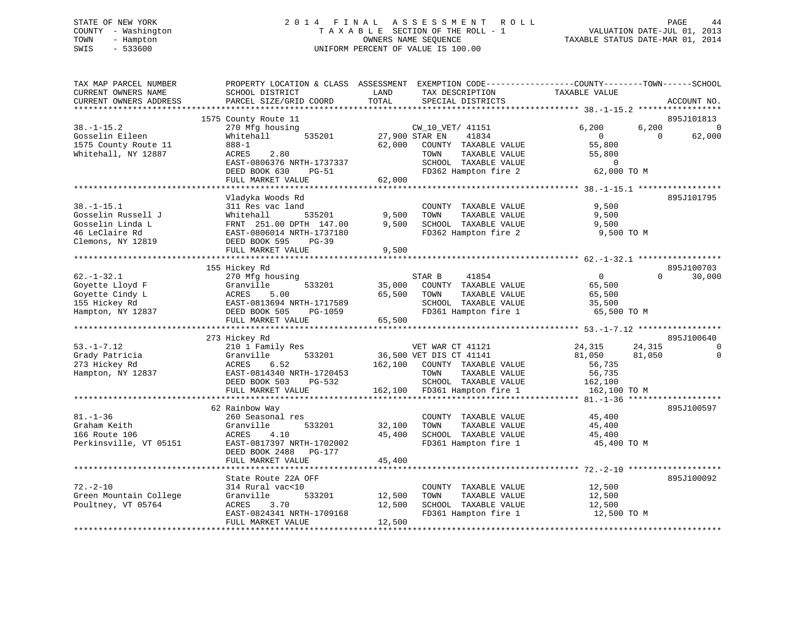# STATE OF NEW YORK 2 0 1 4 F I N A L A S S E S S M E N T R O L L PAGE 44 COUNTY - Washington T A X A B L E SECTION OF THE ROLL - 1 VALUATION DATE-JUL 01, 2013 TOWN - Hampton OWNERS NAME SEQUENCE TAXABLE STATUS DATE-MAR 01, 2014 SWIS - 533600 UNIFORM PERCENT OF VALUE IS 100.00

| TAX MAP PARCEL NUMBER<br>CURRENT OWNERS NAME                                                 | PROPERTY LOCATION & CLASS ASSESSMENT EXEMPTION CODE----------------COUNTY-------TOWN------SCHOOL<br>SCHOOL DISTRICT                   | LAND               | TAX DESCRIPTION                                                                                                                              | TAXABLE VALUE                                                                       |                      |
|----------------------------------------------------------------------------------------------|---------------------------------------------------------------------------------------------------------------------------------------|--------------------|----------------------------------------------------------------------------------------------------------------------------------------------|-------------------------------------------------------------------------------------|----------------------|
| CURRENT OWNERS ADDRESS                                                                       | PARCEL SIZE/GRID COORD                                                                                                                | TOTAL              | SPECIAL DISTRICTS                                                                                                                            |                                                                                     | ACCOUNT NO.          |
|                                                                                              | 1575 County Route 11                                                                                                                  |                    |                                                                                                                                              |                                                                                     | 895J101813           |
| $38. - 1 - 15.2$<br>Gosselin Eileen<br>1575 County Route 11                                  | 270 Mfg housing<br>535201<br>Whitehall<br>$888 - 1$                                                                                   | 62,000             | CW_10_VET/ 41151<br>27,900 STAR EN<br>41834<br>COUNTY TAXABLE VALUE                                                                          | 6,200<br>6,200<br>$\Omega$<br>$\Omega$<br>55,800                                    | $\Omega$<br>62,000   |
| Whitehall, NY 12887                                                                          | 2.80<br>ACRES<br>EAST-0806376 NRTH-1737337<br>DEED BOOK 630<br><b>PG-51</b><br>FULL MARKET VALUE                                      | 62,000             | TAXABLE VALUE<br>TOWN<br>SCHOOL TAXABLE VALUE<br>FD362 Hampton fire 2                                                                        | 55,800<br>$\mathbf 0$<br>62,000 TO M                                                |                      |
|                                                                                              |                                                                                                                                       |                    |                                                                                                                                              |                                                                                     |                      |
| $38. - 1 - 15.1$<br>Gosselin Russell J<br>Gosselin Linda L                                   | Vladyka Woods Rd<br>311 Res vac land<br>Whitehall<br>535201<br>FRNT 251.00 DPTH 147.00                                                | 9,500<br>9,500     | COUNTY TAXABLE VALUE<br>TOWN<br>TAXABLE VALUE<br>SCHOOL TAXABLE VALUE                                                                        | 9,500<br>9,500<br>9,500                                                             | 895J101795           |
| 46 LeClaire Rd<br>Clemons, NY 12819                                                          | EAST-0806014 NRTH-1737180<br>DEED BOOK 595<br>$PG-39$<br>FULL MARKET VALUE                                                            | 9,500              | FD362 Hampton fire 2                                                                                                                         | 9,500 TO M                                                                          |                      |
|                                                                                              |                                                                                                                                       |                    |                                                                                                                                              |                                                                                     |                      |
|                                                                                              | 155 Hickey Rd                                                                                                                         |                    |                                                                                                                                              |                                                                                     | 895J100703           |
| $62. - 1 - 32.1$<br>Goyette Lloyd F<br>Goyette Cindy L<br>155 Hickey Rd<br>Hampton, NY 12837 | 270 Mfg housing<br>Granville<br>533201<br>ACRES<br>5.00<br>EAST-0813694 NRTH-1717589<br>DEED BOOK 505<br>PG-1059                      | 35,000<br>65,500   | STAR B<br>41854<br>COUNTY TAXABLE VALUE<br>TOWN<br>TAXABLE VALUE<br>SCHOOL TAXABLE VALUE<br>FD361 Hampton fire 1                             | $\Omega$<br>65,500<br>65,500<br>35,500<br>65,500 TO M                               | $\Omega$<br>30,000   |
|                                                                                              | FULL MARKET VALUE                                                                                                                     | 65,500             |                                                                                                                                              |                                                                                     |                      |
|                                                                                              | *****************************                                                                                                         |                    |                                                                                                                                              |                                                                                     |                      |
|                                                                                              | 273 Hickey Rd                                                                                                                         |                    |                                                                                                                                              |                                                                                     | 895J100640           |
| $53. - 1 - 7.12$<br>Grady Patricia<br>273 Hickey Rd<br>Hampton, NY 12837                     | 210 1 Family Res<br>Granville<br>533201<br>ACRES<br>6.52<br>EAST-0814340 NRTH-1720453<br>DEED BOOK 503<br>PG-532<br>FULL MARKET VALUE | 162,100<br>162,100 | VET WAR CT 41121<br>36,500 VET DIS CT 41141<br>COUNTY TAXABLE VALUE<br>TOWN<br>TAXABLE VALUE<br>SCHOOL TAXABLE VALUE<br>FD361 Hampton fire 1 | 24,315<br>24,315<br>81,050<br>81,050<br>56,735<br>56,735<br>162,100<br>162,100 TO M | $\Omega$<br>$\Omega$ |
|                                                                                              |                                                                                                                                       |                    |                                                                                                                                              |                                                                                     |                      |
| $81. - 1 - 36$<br>Graham Keith<br>166 Route 106<br>Perkinsville, VT 05151                    | 62 Rainbow Way<br>260 Seasonal res<br>Granville<br>533201<br>ACRES<br>4.10<br>EAST-0817397 NRTH-1702002<br>DEED BOOK 2488<br>PG-177   | 32,100<br>45,400   | COUNTY TAXABLE VALUE<br>TOWN<br>TAXABLE VALUE<br>SCHOOL TAXABLE VALUE<br>FD361 Hampton fire 1                                                | 45,400<br>45,400<br>45,400<br>45,400 TO M                                           | 895J100597           |
|                                                                                              | FULL MARKET VALUE                                                                                                                     | 45,400             |                                                                                                                                              |                                                                                     |                      |
|                                                                                              |                                                                                                                                       |                    |                                                                                                                                              |                                                                                     |                      |
| $72. - 2 - 10$<br>Green Mountain College                                                     | State Route 22A OFF<br>314 Rural vac<10<br>Granville<br>533201                                                                        | 12,500             | COUNTY TAXABLE VALUE<br>TOWN<br>TAXABLE VALUE                                                                                                | 12,500<br>12,500                                                                    | 895J100092           |
| Poultney, VT 05764                                                                           | <b>ACRES</b><br>3.70<br>EAST-0824341 NRTH-1709168<br>FULL MARKET VALUE                                                                | 12,500<br>12,500   | SCHOOL TAXABLE VALUE<br>FD361 Hampton fire 1                                                                                                 | 12,500<br>12,500 TO M                                                               |                      |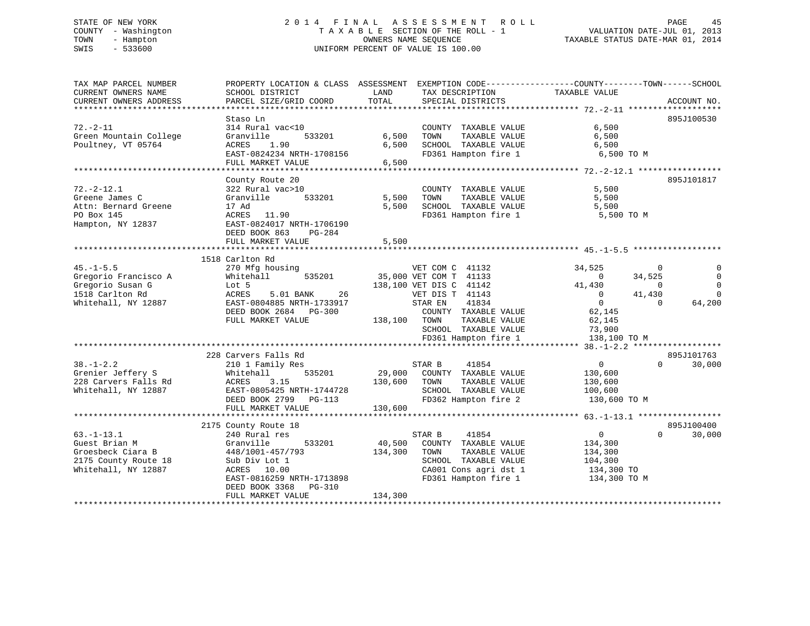# STATE OF NEW YORK 2 0 1 4 F I N A L A S S E S S M E N T R O L L PAGE 45 COUNTY - Washington T A X A B L E SECTION OF THE ROLL - 1 VALUATION DATE-JUL 01, 2013 TOWN - Hampton OWNERS NAME SEQUENCE TAXABLE STATUS DATE-MAR 01, 2014 SWIS - 533600 UNIFORM PERCENT OF VALUE IS 100.00

| SCHOOL DISTRICT<br>LAND<br>TAX DESCRIPTION<br>TAXABLE VALUE<br>TOTAL<br>PARCEL SIZE/GRID COORD<br>SPECIAL DISTRICTS<br>895J100530<br>Staso Ln<br>$72. - 2 - 11$<br>6,500<br>314 Rural vac<10<br>COUNTY TAXABLE VALUE<br>6,500<br>6,500<br>Green Mountain College<br>533201<br>TOWN<br>TAXABLE VALUE<br>Granville<br>6,500<br>Poultney, VT 05764<br>1.90<br>SCHOOL TAXABLE VALUE<br>6,500<br>ACRES<br>EAST-0824234 NRTH-1708156<br>FD361 Hampton fire 1<br>6,500 TO M<br>FULL MARKET VALUE<br>6,500<br>895J101817<br>County Route 20<br>$72. - 2 - 12.1$<br>322 Rural vac>10<br>COUNTY TAXABLE VALUE<br>5,500<br>5,500<br>Greene James C<br>Granville<br>533201<br>TOWN<br>TAXABLE VALUE<br>5,500<br>SCHOOL TAXABLE VALUE<br>17 Ad<br>5,500<br>5,500<br>ACRES 11.90<br>FD361 Hampton fire 1<br>5,500 TO M<br>EAST-0824017 NRTH-1706190<br>DEED BOOK 863<br>$PG-284$<br>5,500<br>FULL MARKET VALUE<br>1518 Carlton Rd<br>$45. - 1 - 5.5$<br>VET COM C 41132<br>34,525<br>270 Mfg housing<br>$\Omega$<br>Gregorio Francisco A<br>Whitehall<br>535201<br>35,000 VET COM T 41133<br>34,525<br>$\mathbf 0$<br>Gregorio Susan G<br>138,100 VET DIS C 41142<br>41,430<br>Lot 5<br>$\Omega$<br>ACRES<br>5.01 BANK<br>26<br>VET DIS T 41143<br>41,430<br>1518 Carlton Rd<br>$\Omega$<br>$\Omega$<br>Whitehall, NY 12887<br>EAST-0804885 NRTH-1733917<br>41834<br>$\Omega$<br>64,200<br>STAR EN<br>DEED BOOK 2684 PG-300<br>62,145<br>COUNTY TAXABLE VALUE<br>FULL MARKET VALUE<br>138,100 TOWN<br>TAXABLE VALUE<br>62,145<br>73,900<br>SCHOOL TAXABLE VALUE<br>FD361 Hampton fire 1<br>138,100 TO M<br>228 Carvers Falls Rd<br>41854<br>$\mathbf{0}$<br>210 1 Family Res<br>STAR B<br>$\Omega$<br>Grenier Jeffery S<br>Whitehall<br>535201<br>29,000<br>COUNTY TAXABLE VALUE<br>130,600<br>228 Carvers Falls Rd<br>3.15<br>TAXABLE VALUE<br>ACRES<br>130,600<br>TOWN<br>130,600<br>Whitehall, NY 12887<br>EAST-0805425 NRTH-1744728<br>SCHOOL TAXABLE VALUE<br>100,600<br>FD362 Hampton fire 2<br>DEED BOOK 2799 PG-113<br>130,600 TO M<br>FULL MARKET VALUE<br>130,600<br>895J100400<br>2175 County Route 18<br>$63. - 1 - 13.1$<br>41854<br>$\overline{0}$<br>30,000<br>240 Rural res<br>STAR B<br>$\Omega$<br>533201<br>40,500<br>COUNTY TAXABLE VALUE<br>Guest Brian M<br>Granville<br>134,300<br>Groesbeck Ciara B<br>134,300<br>TAXABLE VALUE<br>448/1001-457/793<br>TOWN<br>134,300<br>SCHOOL TAXABLE VALUE<br>Sub Div Lot 1<br>104,300<br>ACRES 10.00<br>CA001 Cons agri dst 1<br>134,300 TO<br>FD361 Hampton fire 1<br>EAST-0816259 NRTH-1713898<br>134,300 TO M<br>DEED BOOK 3368<br>PG-310<br>134,300<br>FULL MARKET VALUE | TAX MAP PARCEL NUMBER  | PROPERTY LOCATION & CLASS ASSESSMENT EXEMPTION CODE--------------COUNTY-------TOWN-----SCHOOL |  |             |
|-----------------------------------------------------------------------------------------------------------------------------------------------------------------------------------------------------------------------------------------------------------------------------------------------------------------------------------------------------------------------------------------------------------------------------------------------------------------------------------------------------------------------------------------------------------------------------------------------------------------------------------------------------------------------------------------------------------------------------------------------------------------------------------------------------------------------------------------------------------------------------------------------------------------------------------------------------------------------------------------------------------------------------------------------------------------------------------------------------------------------------------------------------------------------------------------------------------------------------------------------------------------------------------------------------------------------------------------------------------------------------------------------------------------------------------------------------------------------------------------------------------------------------------------------------------------------------------------------------------------------------------------------------------------------------------------------------------------------------------------------------------------------------------------------------------------------------------------------------------------------------------------------------------------------------------------------------------------------------------------------------------------------------------------------------------------------------------------------------------------------------------------------------------------------------------------------------------------------------------------------------------------------------------------------------------------------------------------------------------------------------------------------------------------------------------------------------------------------------------------------------------------------------------------------------------------------------------------------------------------------------|------------------------|-----------------------------------------------------------------------------------------------|--|-------------|
|                                                                                                                                                                                                                                                                                                                                                                                                                                                                                                                                                                                                                                                                                                                                                                                                                                                                                                                                                                                                                                                                                                                                                                                                                                                                                                                                                                                                                                                                                                                                                                                                                                                                                                                                                                                                                                                                                                                                                                                                                                                                                                                                                                                                                                                                                                                                                                                                                                                                                                                                                                                                                             | CURRENT OWNERS NAME    |                                                                                               |  |             |
|                                                                                                                                                                                                                                                                                                                                                                                                                                                                                                                                                                                                                                                                                                                                                                                                                                                                                                                                                                                                                                                                                                                                                                                                                                                                                                                                                                                                                                                                                                                                                                                                                                                                                                                                                                                                                                                                                                                                                                                                                                                                                                                                                                                                                                                                                                                                                                                                                                                                                                                                                                                                                             | CURRENT OWNERS ADDRESS |                                                                                               |  | ACCOUNT NO. |
|                                                                                                                                                                                                                                                                                                                                                                                                                                                                                                                                                                                                                                                                                                                                                                                                                                                                                                                                                                                                                                                                                                                                                                                                                                                                                                                                                                                                                                                                                                                                                                                                                                                                                                                                                                                                                                                                                                                                                                                                                                                                                                                                                                                                                                                                                                                                                                                                                                                                                                                                                                                                                             |                        |                                                                                               |  |             |
|                                                                                                                                                                                                                                                                                                                                                                                                                                                                                                                                                                                                                                                                                                                                                                                                                                                                                                                                                                                                                                                                                                                                                                                                                                                                                                                                                                                                                                                                                                                                                                                                                                                                                                                                                                                                                                                                                                                                                                                                                                                                                                                                                                                                                                                                                                                                                                                                                                                                                                                                                                                                                             |                        |                                                                                               |  |             |
|                                                                                                                                                                                                                                                                                                                                                                                                                                                                                                                                                                                                                                                                                                                                                                                                                                                                                                                                                                                                                                                                                                                                                                                                                                                                                                                                                                                                                                                                                                                                                                                                                                                                                                                                                                                                                                                                                                                                                                                                                                                                                                                                                                                                                                                                                                                                                                                                                                                                                                                                                                                                                             |                        |                                                                                               |  |             |
|                                                                                                                                                                                                                                                                                                                                                                                                                                                                                                                                                                                                                                                                                                                                                                                                                                                                                                                                                                                                                                                                                                                                                                                                                                                                                                                                                                                                                                                                                                                                                                                                                                                                                                                                                                                                                                                                                                                                                                                                                                                                                                                                                                                                                                                                                                                                                                                                                                                                                                                                                                                                                             |                        |                                                                                               |  |             |
|                                                                                                                                                                                                                                                                                                                                                                                                                                                                                                                                                                                                                                                                                                                                                                                                                                                                                                                                                                                                                                                                                                                                                                                                                                                                                                                                                                                                                                                                                                                                                                                                                                                                                                                                                                                                                                                                                                                                                                                                                                                                                                                                                                                                                                                                                                                                                                                                                                                                                                                                                                                                                             |                        |                                                                                               |  |             |
|                                                                                                                                                                                                                                                                                                                                                                                                                                                                                                                                                                                                                                                                                                                                                                                                                                                                                                                                                                                                                                                                                                                                                                                                                                                                                                                                                                                                                                                                                                                                                                                                                                                                                                                                                                                                                                                                                                                                                                                                                                                                                                                                                                                                                                                                                                                                                                                                                                                                                                                                                                                                                             |                        |                                                                                               |  |             |
|                                                                                                                                                                                                                                                                                                                                                                                                                                                                                                                                                                                                                                                                                                                                                                                                                                                                                                                                                                                                                                                                                                                                                                                                                                                                                                                                                                                                                                                                                                                                                                                                                                                                                                                                                                                                                                                                                                                                                                                                                                                                                                                                                                                                                                                                                                                                                                                                                                                                                                                                                                                                                             |                        |                                                                                               |  |             |
|                                                                                                                                                                                                                                                                                                                                                                                                                                                                                                                                                                                                                                                                                                                                                                                                                                                                                                                                                                                                                                                                                                                                                                                                                                                                                                                                                                                                                                                                                                                                                                                                                                                                                                                                                                                                                                                                                                                                                                                                                                                                                                                                                                                                                                                                                                                                                                                                                                                                                                                                                                                                                             |                        |                                                                                               |  |             |
|                                                                                                                                                                                                                                                                                                                                                                                                                                                                                                                                                                                                                                                                                                                                                                                                                                                                                                                                                                                                                                                                                                                                                                                                                                                                                                                                                                                                                                                                                                                                                                                                                                                                                                                                                                                                                                                                                                                                                                                                                                                                                                                                                                                                                                                                                                                                                                                                                                                                                                                                                                                                                             |                        |                                                                                               |  |             |
|                                                                                                                                                                                                                                                                                                                                                                                                                                                                                                                                                                                                                                                                                                                                                                                                                                                                                                                                                                                                                                                                                                                                                                                                                                                                                                                                                                                                                                                                                                                                                                                                                                                                                                                                                                                                                                                                                                                                                                                                                                                                                                                                                                                                                                                                                                                                                                                                                                                                                                                                                                                                                             |                        |                                                                                               |  |             |
|                                                                                                                                                                                                                                                                                                                                                                                                                                                                                                                                                                                                                                                                                                                                                                                                                                                                                                                                                                                                                                                                                                                                                                                                                                                                                                                                                                                                                                                                                                                                                                                                                                                                                                                                                                                                                                                                                                                                                                                                                                                                                                                                                                                                                                                                                                                                                                                                                                                                                                                                                                                                                             |                        |                                                                                               |  |             |
|                                                                                                                                                                                                                                                                                                                                                                                                                                                                                                                                                                                                                                                                                                                                                                                                                                                                                                                                                                                                                                                                                                                                                                                                                                                                                                                                                                                                                                                                                                                                                                                                                                                                                                                                                                                                                                                                                                                                                                                                                                                                                                                                                                                                                                                                                                                                                                                                                                                                                                                                                                                                                             |                        |                                                                                               |  |             |
|                                                                                                                                                                                                                                                                                                                                                                                                                                                                                                                                                                                                                                                                                                                                                                                                                                                                                                                                                                                                                                                                                                                                                                                                                                                                                                                                                                                                                                                                                                                                                                                                                                                                                                                                                                                                                                                                                                                                                                                                                                                                                                                                                                                                                                                                                                                                                                                                                                                                                                                                                                                                                             | Attn: Bernard Greene   |                                                                                               |  |             |
|                                                                                                                                                                                                                                                                                                                                                                                                                                                                                                                                                                                                                                                                                                                                                                                                                                                                                                                                                                                                                                                                                                                                                                                                                                                                                                                                                                                                                                                                                                                                                                                                                                                                                                                                                                                                                                                                                                                                                                                                                                                                                                                                                                                                                                                                                                                                                                                                                                                                                                                                                                                                                             | PO Box 145             |                                                                                               |  |             |
|                                                                                                                                                                                                                                                                                                                                                                                                                                                                                                                                                                                                                                                                                                                                                                                                                                                                                                                                                                                                                                                                                                                                                                                                                                                                                                                                                                                                                                                                                                                                                                                                                                                                                                                                                                                                                                                                                                                                                                                                                                                                                                                                                                                                                                                                                                                                                                                                                                                                                                                                                                                                                             | Hampton, NY 12837      |                                                                                               |  |             |
|                                                                                                                                                                                                                                                                                                                                                                                                                                                                                                                                                                                                                                                                                                                                                                                                                                                                                                                                                                                                                                                                                                                                                                                                                                                                                                                                                                                                                                                                                                                                                                                                                                                                                                                                                                                                                                                                                                                                                                                                                                                                                                                                                                                                                                                                                                                                                                                                                                                                                                                                                                                                                             |                        |                                                                                               |  |             |
|                                                                                                                                                                                                                                                                                                                                                                                                                                                                                                                                                                                                                                                                                                                                                                                                                                                                                                                                                                                                                                                                                                                                                                                                                                                                                                                                                                                                                                                                                                                                                                                                                                                                                                                                                                                                                                                                                                                                                                                                                                                                                                                                                                                                                                                                                                                                                                                                                                                                                                                                                                                                                             |                        |                                                                                               |  |             |
|                                                                                                                                                                                                                                                                                                                                                                                                                                                                                                                                                                                                                                                                                                                                                                                                                                                                                                                                                                                                                                                                                                                                                                                                                                                                                                                                                                                                                                                                                                                                                                                                                                                                                                                                                                                                                                                                                                                                                                                                                                                                                                                                                                                                                                                                                                                                                                                                                                                                                                                                                                                                                             |                        |                                                                                               |  |             |
|                                                                                                                                                                                                                                                                                                                                                                                                                                                                                                                                                                                                                                                                                                                                                                                                                                                                                                                                                                                                                                                                                                                                                                                                                                                                                                                                                                                                                                                                                                                                                                                                                                                                                                                                                                                                                                                                                                                                                                                                                                                                                                                                                                                                                                                                                                                                                                                                                                                                                                                                                                                                                             |                        |                                                                                               |  |             |
|                                                                                                                                                                                                                                                                                                                                                                                                                                                                                                                                                                                                                                                                                                                                                                                                                                                                                                                                                                                                                                                                                                                                                                                                                                                                                                                                                                                                                                                                                                                                                                                                                                                                                                                                                                                                                                                                                                                                                                                                                                                                                                                                                                                                                                                                                                                                                                                                                                                                                                                                                                                                                             |                        |                                                                                               |  |             |
|                                                                                                                                                                                                                                                                                                                                                                                                                                                                                                                                                                                                                                                                                                                                                                                                                                                                                                                                                                                                                                                                                                                                                                                                                                                                                                                                                                                                                                                                                                                                                                                                                                                                                                                                                                                                                                                                                                                                                                                                                                                                                                                                                                                                                                                                                                                                                                                                                                                                                                                                                                                                                             |                        |                                                                                               |  |             |
|                                                                                                                                                                                                                                                                                                                                                                                                                                                                                                                                                                                                                                                                                                                                                                                                                                                                                                                                                                                                                                                                                                                                                                                                                                                                                                                                                                                                                                                                                                                                                                                                                                                                                                                                                                                                                                                                                                                                                                                                                                                                                                                                                                                                                                                                                                                                                                                                                                                                                                                                                                                                                             |                        |                                                                                               |  |             |
|                                                                                                                                                                                                                                                                                                                                                                                                                                                                                                                                                                                                                                                                                                                                                                                                                                                                                                                                                                                                                                                                                                                                                                                                                                                                                                                                                                                                                                                                                                                                                                                                                                                                                                                                                                                                                                                                                                                                                                                                                                                                                                                                                                                                                                                                                                                                                                                                                                                                                                                                                                                                                             |                        |                                                                                               |  |             |
|                                                                                                                                                                                                                                                                                                                                                                                                                                                                                                                                                                                                                                                                                                                                                                                                                                                                                                                                                                                                                                                                                                                                                                                                                                                                                                                                                                                                                                                                                                                                                                                                                                                                                                                                                                                                                                                                                                                                                                                                                                                                                                                                                                                                                                                                                                                                                                                                                                                                                                                                                                                                                             |                        |                                                                                               |  |             |
|                                                                                                                                                                                                                                                                                                                                                                                                                                                                                                                                                                                                                                                                                                                                                                                                                                                                                                                                                                                                                                                                                                                                                                                                                                                                                                                                                                                                                                                                                                                                                                                                                                                                                                                                                                                                                                                                                                                                                                                                                                                                                                                                                                                                                                                                                                                                                                                                                                                                                                                                                                                                                             |                        |                                                                                               |  |             |
|                                                                                                                                                                                                                                                                                                                                                                                                                                                                                                                                                                                                                                                                                                                                                                                                                                                                                                                                                                                                                                                                                                                                                                                                                                                                                                                                                                                                                                                                                                                                                                                                                                                                                                                                                                                                                                                                                                                                                                                                                                                                                                                                                                                                                                                                                                                                                                                                                                                                                                                                                                                                                             |                        |                                                                                               |  |             |
|                                                                                                                                                                                                                                                                                                                                                                                                                                                                                                                                                                                                                                                                                                                                                                                                                                                                                                                                                                                                                                                                                                                                                                                                                                                                                                                                                                                                                                                                                                                                                                                                                                                                                                                                                                                                                                                                                                                                                                                                                                                                                                                                                                                                                                                                                                                                                                                                                                                                                                                                                                                                                             |                        |                                                                                               |  |             |
|                                                                                                                                                                                                                                                                                                                                                                                                                                                                                                                                                                                                                                                                                                                                                                                                                                                                                                                                                                                                                                                                                                                                                                                                                                                                                                                                                                                                                                                                                                                                                                                                                                                                                                                                                                                                                                                                                                                                                                                                                                                                                                                                                                                                                                                                                                                                                                                                                                                                                                                                                                                                                             |                        |                                                                                               |  |             |
|                                                                                                                                                                                                                                                                                                                                                                                                                                                                                                                                                                                                                                                                                                                                                                                                                                                                                                                                                                                                                                                                                                                                                                                                                                                                                                                                                                                                                                                                                                                                                                                                                                                                                                                                                                                                                                                                                                                                                                                                                                                                                                                                                                                                                                                                                                                                                                                                                                                                                                                                                                                                                             |                        |                                                                                               |  |             |
|                                                                                                                                                                                                                                                                                                                                                                                                                                                                                                                                                                                                                                                                                                                                                                                                                                                                                                                                                                                                                                                                                                                                                                                                                                                                                                                                                                                                                                                                                                                                                                                                                                                                                                                                                                                                                                                                                                                                                                                                                                                                                                                                                                                                                                                                                                                                                                                                                                                                                                                                                                                                                             |                        |                                                                                               |  |             |
|                                                                                                                                                                                                                                                                                                                                                                                                                                                                                                                                                                                                                                                                                                                                                                                                                                                                                                                                                                                                                                                                                                                                                                                                                                                                                                                                                                                                                                                                                                                                                                                                                                                                                                                                                                                                                                                                                                                                                                                                                                                                                                                                                                                                                                                                                                                                                                                                                                                                                                                                                                                                                             |                        |                                                                                               |  | 895J101763  |
|                                                                                                                                                                                                                                                                                                                                                                                                                                                                                                                                                                                                                                                                                                                                                                                                                                                                                                                                                                                                                                                                                                                                                                                                                                                                                                                                                                                                                                                                                                                                                                                                                                                                                                                                                                                                                                                                                                                                                                                                                                                                                                                                                                                                                                                                                                                                                                                                                                                                                                                                                                                                                             | $38. - 1 - 2.2$        |                                                                                               |  | 30,000      |
|                                                                                                                                                                                                                                                                                                                                                                                                                                                                                                                                                                                                                                                                                                                                                                                                                                                                                                                                                                                                                                                                                                                                                                                                                                                                                                                                                                                                                                                                                                                                                                                                                                                                                                                                                                                                                                                                                                                                                                                                                                                                                                                                                                                                                                                                                                                                                                                                                                                                                                                                                                                                                             |                        |                                                                                               |  |             |
|                                                                                                                                                                                                                                                                                                                                                                                                                                                                                                                                                                                                                                                                                                                                                                                                                                                                                                                                                                                                                                                                                                                                                                                                                                                                                                                                                                                                                                                                                                                                                                                                                                                                                                                                                                                                                                                                                                                                                                                                                                                                                                                                                                                                                                                                                                                                                                                                                                                                                                                                                                                                                             |                        |                                                                                               |  |             |
|                                                                                                                                                                                                                                                                                                                                                                                                                                                                                                                                                                                                                                                                                                                                                                                                                                                                                                                                                                                                                                                                                                                                                                                                                                                                                                                                                                                                                                                                                                                                                                                                                                                                                                                                                                                                                                                                                                                                                                                                                                                                                                                                                                                                                                                                                                                                                                                                                                                                                                                                                                                                                             |                        |                                                                                               |  |             |
|                                                                                                                                                                                                                                                                                                                                                                                                                                                                                                                                                                                                                                                                                                                                                                                                                                                                                                                                                                                                                                                                                                                                                                                                                                                                                                                                                                                                                                                                                                                                                                                                                                                                                                                                                                                                                                                                                                                                                                                                                                                                                                                                                                                                                                                                                                                                                                                                                                                                                                                                                                                                                             |                        |                                                                                               |  |             |
|                                                                                                                                                                                                                                                                                                                                                                                                                                                                                                                                                                                                                                                                                                                                                                                                                                                                                                                                                                                                                                                                                                                                                                                                                                                                                                                                                                                                                                                                                                                                                                                                                                                                                                                                                                                                                                                                                                                                                                                                                                                                                                                                                                                                                                                                                                                                                                                                                                                                                                                                                                                                                             |                        |                                                                                               |  |             |
|                                                                                                                                                                                                                                                                                                                                                                                                                                                                                                                                                                                                                                                                                                                                                                                                                                                                                                                                                                                                                                                                                                                                                                                                                                                                                                                                                                                                                                                                                                                                                                                                                                                                                                                                                                                                                                                                                                                                                                                                                                                                                                                                                                                                                                                                                                                                                                                                                                                                                                                                                                                                                             |                        |                                                                                               |  |             |
|                                                                                                                                                                                                                                                                                                                                                                                                                                                                                                                                                                                                                                                                                                                                                                                                                                                                                                                                                                                                                                                                                                                                                                                                                                                                                                                                                                                                                                                                                                                                                                                                                                                                                                                                                                                                                                                                                                                                                                                                                                                                                                                                                                                                                                                                                                                                                                                                                                                                                                                                                                                                                             |                        |                                                                                               |  |             |
|                                                                                                                                                                                                                                                                                                                                                                                                                                                                                                                                                                                                                                                                                                                                                                                                                                                                                                                                                                                                                                                                                                                                                                                                                                                                                                                                                                                                                                                                                                                                                                                                                                                                                                                                                                                                                                                                                                                                                                                                                                                                                                                                                                                                                                                                                                                                                                                                                                                                                                                                                                                                                             |                        |                                                                                               |  |             |
|                                                                                                                                                                                                                                                                                                                                                                                                                                                                                                                                                                                                                                                                                                                                                                                                                                                                                                                                                                                                                                                                                                                                                                                                                                                                                                                                                                                                                                                                                                                                                                                                                                                                                                                                                                                                                                                                                                                                                                                                                                                                                                                                                                                                                                                                                                                                                                                                                                                                                                                                                                                                                             |                        |                                                                                               |  |             |
|                                                                                                                                                                                                                                                                                                                                                                                                                                                                                                                                                                                                                                                                                                                                                                                                                                                                                                                                                                                                                                                                                                                                                                                                                                                                                                                                                                                                                                                                                                                                                                                                                                                                                                                                                                                                                                                                                                                                                                                                                                                                                                                                                                                                                                                                                                                                                                                                                                                                                                                                                                                                                             |                        |                                                                                               |  |             |
|                                                                                                                                                                                                                                                                                                                                                                                                                                                                                                                                                                                                                                                                                                                                                                                                                                                                                                                                                                                                                                                                                                                                                                                                                                                                                                                                                                                                                                                                                                                                                                                                                                                                                                                                                                                                                                                                                                                                                                                                                                                                                                                                                                                                                                                                                                                                                                                                                                                                                                                                                                                                                             |                        |                                                                                               |  |             |
|                                                                                                                                                                                                                                                                                                                                                                                                                                                                                                                                                                                                                                                                                                                                                                                                                                                                                                                                                                                                                                                                                                                                                                                                                                                                                                                                                                                                                                                                                                                                                                                                                                                                                                                                                                                                                                                                                                                                                                                                                                                                                                                                                                                                                                                                                                                                                                                                                                                                                                                                                                                                                             | 2175 County Route 18   |                                                                                               |  |             |
|                                                                                                                                                                                                                                                                                                                                                                                                                                                                                                                                                                                                                                                                                                                                                                                                                                                                                                                                                                                                                                                                                                                                                                                                                                                                                                                                                                                                                                                                                                                                                                                                                                                                                                                                                                                                                                                                                                                                                                                                                                                                                                                                                                                                                                                                                                                                                                                                                                                                                                                                                                                                                             | Whitehall, NY 12887    |                                                                                               |  |             |
|                                                                                                                                                                                                                                                                                                                                                                                                                                                                                                                                                                                                                                                                                                                                                                                                                                                                                                                                                                                                                                                                                                                                                                                                                                                                                                                                                                                                                                                                                                                                                                                                                                                                                                                                                                                                                                                                                                                                                                                                                                                                                                                                                                                                                                                                                                                                                                                                                                                                                                                                                                                                                             |                        |                                                                                               |  |             |
|                                                                                                                                                                                                                                                                                                                                                                                                                                                                                                                                                                                                                                                                                                                                                                                                                                                                                                                                                                                                                                                                                                                                                                                                                                                                                                                                                                                                                                                                                                                                                                                                                                                                                                                                                                                                                                                                                                                                                                                                                                                                                                                                                                                                                                                                                                                                                                                                                                                                                                                                                                                                                             |                        |                                                                                               |  |             |
|                                                                                                                                                                                                                                                                                                                                                                                                                                                                                                                                                                                                                                                                                                                                                                                                                                                                                                                                                                                                                                                                                                                                                                                                                                                                                                                                                                                                                                                                                                                                                                                                                                                                                                                                                                                                                                                                                                                                                                                                                                                                                                                                                                                                                                                                                                                                                                                                                                                                                                                                                                                                                             |                        |                                                                                               |  |             |
|                                                                                                                                                                                                                                                                                                                                                                                                                                                                                                                                                                                                                                                                                                                                                                                                                                                                                                                                                                                                                                                                                                                                                                                                                                                                                                                                                                                                                                                                                                                                                                                                                                                                                                                                                                                                                                                                                                                                                                                                                                                                                                                                                                                                                                                                                                                                                                                                                                                                                                                                                                                                                             |                        |                                                                                               |  |             |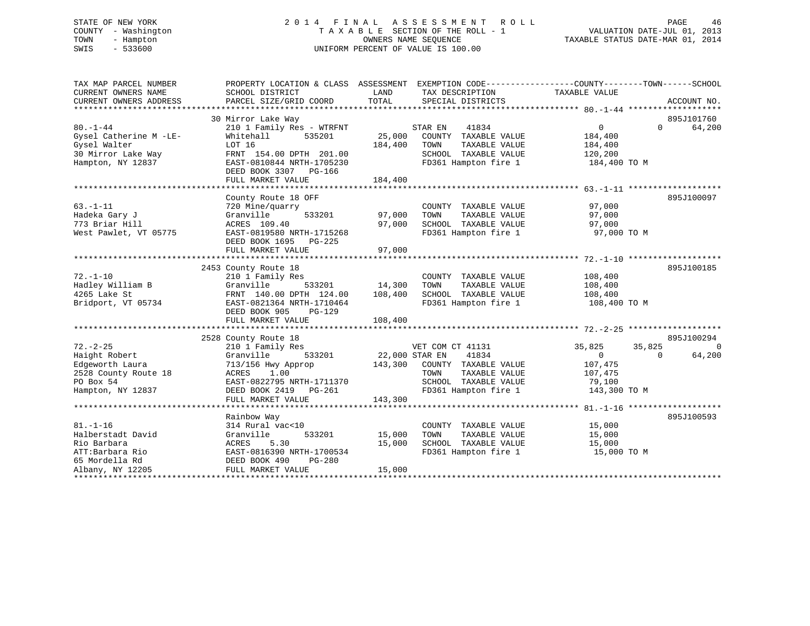# STATE OF NEW YORK 2 0 1 4 F I N A L A S S E S S M E N T R O L L PAGE 46 COUNTY - Washington T A X A B L E SECTION OF THE ROLL - 1 VALUATION DATE-JUL 01, 2013 TOWN - Hampton OWNERS NAME SEQUENCE TAXABLE STATUS DATE-MAR 01, 2014 SWIS - 533600 UNIFORM PERCENT OF VALUE IS 100.00

| TAX MAP PARCEL NUMBER<br>CURRENT OWNERS NAME<br>CURRENT OWNERS ADDRESS                                       | SCHOOL DISTRICT<br>PARCEL SIZE/GRID COORD                                                                                                                                              | TAX DESCRIPTION TAXABLE VALUE<br>LAND<br>TOTAL<br>SPECIAL DISTRICTS                                                                                             | PROPERTY LOCATION & CLASS ASSESSMENT EXEMPTION CODE---------------COUNTY-------TOWN-----SCHOOL<br>ACCOUNT NO.        |
|--------------------------------------------------------------------------------------------------------------|----------------------------------------------------------------------------------------------------------------------------------------------------------------------------------------|-----------------------------------------------------------------------------------------------------------------------------------------------------------------|----------------------------------------------------------------------------------------------------------------------|
| $80. - 1 - 44$<br>Gysel Catherine M -LE-<br>Gysel Walter<br>30 Mirror Lake Way<br>Hampton, NY 12837          | 30 Mirror Lake Way<br>210 1 Family Res - WTRFNT<br>Whitehall<br>535201<br>LOT 16<br>FRNT 154.00 DPTH 201.00<br>EAST-0810844 NRTH-1705230<br>DEED BOOK 3307 PG-166<br>FULL MARKET VALUE | 41834<br>STAR EN<br>25,000<br>COUNTY TAXABLE VALUE<br>184,400<br>TOWN<br>TAXABLE VALUE<br>SCHOOL TAXABLE VALUE<br>FD361 Hampton fire 1<br>184,400               | 895J101760<br>$\overline{0}$<br>$\Omega$<br>64,200<br>184,400<br>184,400<br>120,200<br>184,400 TO M                  |
|                                                                                                              |                                                                                                                                                                                        |                                                                                                                                                                 |                                                                                                                      |
| $63. -1 - 11$<br>Hadeka Gary J<br>773 Briar Hill<br>West Pawlet, VT 05775                                    | County Route 18 OFF<br>720 Mine/quarry<br>Granville<br>533201<br>ACRES 109.40<br>EAST-0819580 NRTH-1715268<br>DEED BOOK 1695 PG-225                                                    | COUNTY TAXABLE VALUE<br>97,000<br>TOWN<br>TAXABLE VALUE<br>SCHOOL TAXABLE VALUE<br>97,000<br>FD361 Hampton fire 1                                               | 895J100097<br>97,000<br>97,000<br>97,000<br>97,000 TO M                                                              |
|                                                                                                              | FULL MARKET VALUE                                                                                                                                                                      | 97,000                                                                                                                                                          |                                                                                                                      |
| $72. - 1 - 10$<br>Hadley William B<br>4265 Lake St<br>Bridport, VT 05734                                     | 2453 County Route 18<br>210 1 Family Res<br>Granville<br>533201<br>FRNT 140.00 DPTH 124.00<br>EAST-0821364 NRTH-1710464<br>DEED BOOK 905<br>PG-129                                     | COUNTY TAXABLE VALUE<br>14,300<br>TAXABLE VALUE<br>TOWN<br>108,400<br>SCHOOL TAXABLE VALUE<br>FD361 Hampton fire 1                                              | 895J100185<br>108,400<br>108,400<br>108,400<br>108,400 TO M                                                          |
|                                                                                                              | FULL MARKET VALUE                                                                                                                                                                      | 108,400                                                                                                                                                         |                                                                                                                      |
|                                                                                                              | 2528 County Route 18                                                                                                                                                                   |                                                                                                                                                                 | 895J100294                                                                                                           |
| $72. - 2 - 25$<br>Haight Robert<br>Edgeworth Laura<br>2528 County Route 18<br>PO Box 54<br>Hampton, NY 12837 | 210 1 Family Res<br>533201<br>Granville<br>713/156 Hwy Approp<br>ACRES 1.00<br>EAST-0822795 NRTH-1711370<br>DEED BOOK 2419    PG-261<br>FULL MARKET VALUE                              | VET COM CT 41131<br>22,000 STAR EN<br>41834<br>143,300 COUNTY TAXABLE VALUE<br>TOWN<br>TAXABLE VALUE<br>SCHOOL TAXABLE VALUE<br>FD361 Hampton fire 1<br>143,300 | 35,825<br>35,825<br>$\Omega$<br>64,200<br>$\overline{0}$<br>$\Omega$<br>107,475<br>107,475<br>79,100<br>143,300 TO M |
|                                                                                                              |                                                                                                                                                                                        |                                                                                                                                                                 |                                                                                                                      |
| $81. - 1 - 16$<br>Halberstadt David<br>Rio Barbara<br>ATT:Barbara Rio<br>65 Mordella Rd                      | Rainbow Way<br>314 Rural vac<10<br>Granville<br>533201<br>5.30<br>ACRES<br>EAST-0816390 NRTH-1700534<br>PG-280<br>DEED BOOK 490                                                        | COUNTY TAXABLE VALUE<br>15,000<br>TOWN<br>TAXABLE VALUE<br>15,000<br>SCHOOL TAXABLE VALUE<br>FD361 Hampton fire 1                                               | 895J100593<br>15,000<br>15,000<br>15,000<br>15,000 TO M                                                              |
| Albany, NY 12205                                                                                             | FULL MARKET VALUE                                                                                                                                                                      | 15,000                                                                                                                                                          |                                                                                                                      |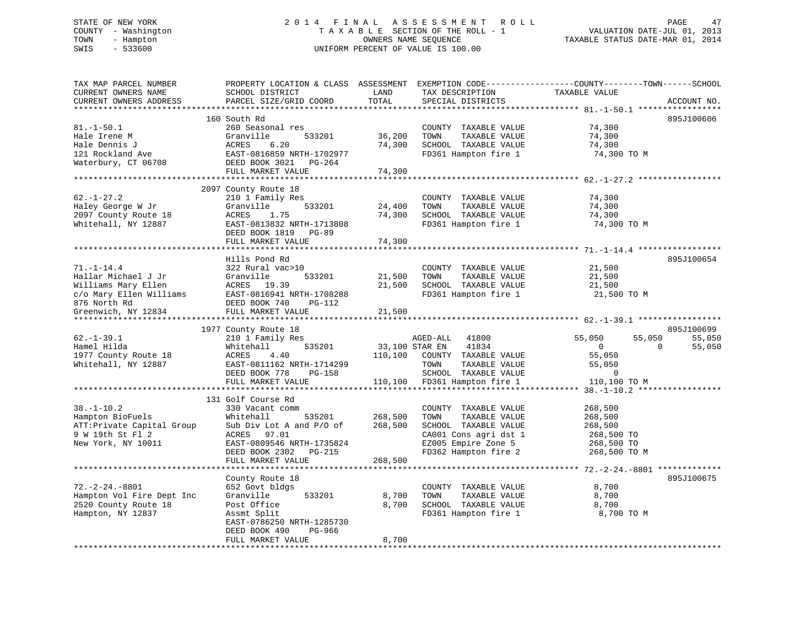# STATE OF NEW YORK 2 0 1 4 F I N A L A S S E S S M E N T R O L L PAGE 47 COUNTY - Washington T A X A B L E SECTION OF THE ROLL - 1 VALUATION DATE-JUL 01, 2013 TOWN - Hampton OWNERS NAME SEQUENCE TAXABLE STATUS DATE-MAR 01, 2014 SWIS - 533600 UNIFORM PERCENT OF VALUE IS 100.00

| TAX MAP PARCEL NUMBER<br>CURRENT OWNERS NAME<br>CURRENT OWNERS ADDRESS                                      | PROPERTY LOCATION & CLASS ASSESSMENT<br>SCHOOL DISTRICT<br>PARCEL SIZE/GRID COORD                                                                                                                              | LAND<br>TOTAL<br>*********    | TAX DESCRIPTION<br>SPECIAL DISTRICTS                                                                                                          | EXEMPTION CODE-----------------COUNTY-------TOWN------SCHOOL<br>TAXABLE VALUE                      | ACCOUNT NO.                    |
|-------------------------------------------------------------------------------------------------------------|----------------------------------------------------------------------------------------------------------------------------------------------------------------------------------------------------------------|-------------------------------|-----------------------------------------------------------------------------------------------------------------------------------------------|----------------------------------------------------------------------------------------------------|--------------------------------|
| $81. - 1 - 50.1$<br>Hale Irene M<br>Hale Dennis J<br>121 Rockland Ave<br>Waterbury, CT 06708                | 160 South Rd<br>260 Seasonal res<br>Granville<br>533201<br>ACRES<br>6.20<br>EAST-0816859 NRTH-1702977<br>DEED BOOK 3021 PG-264                                                                                 | 36,200<br>74,300              | COUNTY TAXABLE VALUE<br>TOWN<br>TAXABLE VALUE<br>SCHOOL TAXABLE VALUE<br>FD361 Hampton fire 1                                                 | 74,300<br>74,300<br>74,300<br>74,300 TO M                                                          | 895J100606                     |
|                                                                                                             | FULL MARKET VALUE                                                                                                                                                                                              | 74,300                        |                                                                                                                                               |                                                                                                    |                                |
| $62. - 1 - 27.2$<br>Haley George W Jr<br>2097 County Route 18<br>Whitehall, NY 12887                        | 2097 County Route 18<br>210 1 Family Res<br>Granville<br>533201<br>ACRES<br>1.75<br>EAST-0813832 NRTH-1713808                                                                                                  | 24,400<br>74,300              | COUNTY TAXABLE VALUE<br>TOWN<br>TAXABLE VALUE<br>SCHOOL TAXABLE VALUE<br>FD361 Hampton fire 1                                                 | 74,300<br>74,300<br>74,300<br>74,300 TO M                                                          |                                |
|                                                                                                             | DEED BOOK 1819 PG-89                                                                                                                                                                                           |                               |                                                                                                                                               |                                                                                                    |                                |
|                                                                                                             | FULL MARKET VALUE                                                                                                                                                                                              | 74,300                        |                                                                                                                                               |                                                                                                    |                                |
| $71. - 1 - 14.4$<br>Hallar Michael J Jr<br>Williams Mary Ellen<br>c/o Mary Ellen Williams<br>876 North Rd   | Hills Pond Rd<br>322 Rural vac>10<br>533201<br>Granville<br>ACRES 19.39<br>EAST-0816941 NRTH-1708288<br>DEED BOOK 740<br>PG-112                                                                                | 21,500<br>21,500              | COUNTY TAXABLE VALUE<br>TAXABLE VALUE<br>TOWN<br>SCHOOL TAXABLE VALUE<br>FD361 Hampton fire 1                                                 | 21,500<br>21,500<br>21,500<br>21,500 TO M                                                          | 895J100654                     |
| Greenwich, NY 12834<br>******************                                                                   | FULL MARKET VALUE                                                                                                                                                                                              | 21,500                        |                                                                                                                                               |                                                                                                    |                                |
| $62. - 1 - 39.1$<br>Hamel Hilda<br>1977 County Route 18<br>Whitehall, NY 12887                              | 1977 County Route 18<br>210 1 Family Res<br>Whitehall<br>535201<br>4.40<br>ACRES<br>EAST-0811162 NRTH-1714299<br>DEED BOOK 778<br>PG-158                                                                       | 33,100 STAR EN<br>110,100     | 41800<br>AGED-ALL<br>41834<br>COUNTY TAXABLE VALUE<br>TOWN<br>TAXABLE VALUE<br>SCHOOL TAXABLE VALUE                                           | 55,050<br>55,050<br>$\overline{0}$<br>$\Omega$<br>55,050<br>55,050<br>$\overline{0}$               | 895J100699<br>55,050<br>55,050 |
|                                                                                                             | FULL MARKET VALUE                                                                                                                                                                                              | 110,100                       | FD361 Hampton fire 1                                                                                                                          | 110,100 TO M                                                                                       |                                |
| $38. - 1 - 10.2$<br>Hampton BioFuels<br>ATT:Private Capital Group<br>9 W 19th St Fl 2<br>New York, NY 10011 | ************************<br>131 Golf Course Rd<br>330 Vacant comm<br>Whitehall<br>535201<br>Sub Div Lot A and P/O of<br>ACRES 97.01<br>EAST-0809546 NRTH-1735824<br>DEED BOOK 2302 PG-215<br>FULL MARKET VALUE | 268,500<br>268,500<br>268,500 | COUNTY TAXABLE VALUE<br>TOWN<br>TAXABLE VALUE<br>SCHOOL TAXABLE VALUE<br>CA001 Cons agri dst 1<br>EZ005 Empire Zone 5<br>FD362 Hampton fire 2 | $38. - 1 - 10.2$ ****<br>268,500<br>268,500<br>268,500<br>268,500 TO<br>268,500 TO<br>268,500 TO M |                                |
|                                                                                                             |                                                                                                                                                                                                                |                               |                                                                                                                                               |                                                                                                    |                                |
| $72. -2 - 24. -8801$<br>Hampton Vol Fire Dept Inc<br>2520 County Route 18<br>Hampton, NY 12837              | County Route 18<br>652 Govt bldgs<br>533201<br>Granville<br>Post Office<br>Assmt Split<br>EAST-0786250 NRTH-1285730<br>DEED BOOK 490<br>PG-966                                                                 | 8,700<br>8,700                | COUNTY TAXABLE VALUE<br>TOWN<br>TAXABLE VALUE<br>SCHOOL TAXABLE VALUE<br>FD361 Hampton fire 1                                                 | 8,700<br>8,700<br>8,700<br>8,700 TO M                                                              | 895J100675                     |
|                                                                                                             | FULL MARKET VALUE                                                                                                                                                                                              | 8,700                         |                                                                                                                                               |                                                                                                    |                                |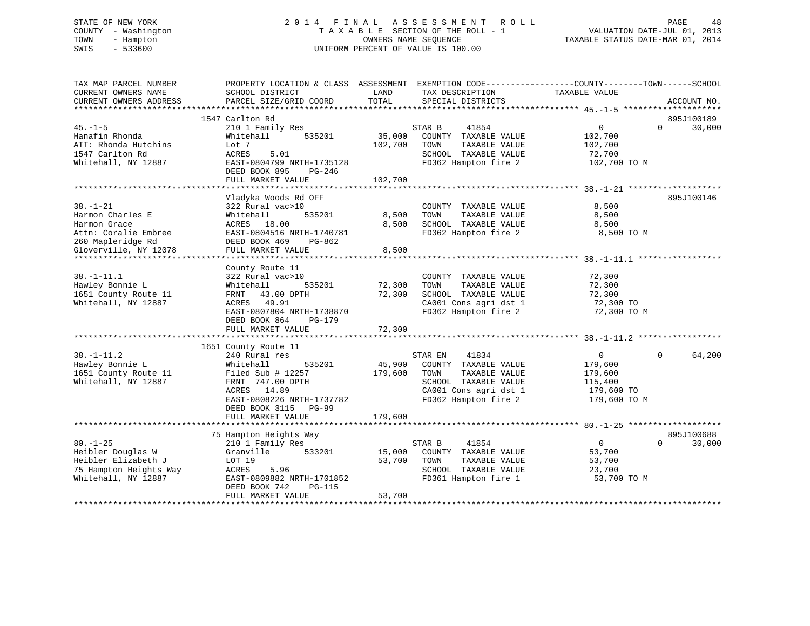# STATE OF NEW YORK 2 0 1 4 F I N A L A S S E S S M E N T R O L L PAGE 48 COUNTY - Washington T A X A B L E SECTION OF THE ROLL - 1 VALUATION DATE-JUL 01, 2013 TOWN - Hampton OWNERS NAME SEQUENCE TAXABLE STATUS DATE-MAR 01, 2014 SWIS - 533600 UNIFORM PERCENT OF VALUE IS 100.00

| TAX MAP PARCEL NUMBER<br>CURRENT OWNERS NAME                                                                | SCHOOL DISTRICT                                                                                                                                                                                       | LAND                         | PROPERTY LOCATION & CLASS ASSESSMENT EXEMPTION CODE----------------COUNTY-------TOWN------SCHOOL<br>TAX DESCRIPTION                        | TAXABLE VALUE                                                                 |          |                      |
|-------------------------------------------------------------------------------------------------------------|-------------------------------------------------------------------------------------------------------------------------------------------------------------------------------------------------------|------------------------------|--------------------------------------------------------------------------------------------------------------------------------------------|-------------------------------------------------------------------------------|----------|----------------------|
| CURRENT OWNERS ADDRESS                                                                                      | PARCEL SIZE/GRID COORD                                                                                                                                                                                | TOTAL                        | SPECIAL DISTRICTS                                                                                                                          |                                                                               |          | ACCOUNT NO.          |
|                                                                                                             | 1547 Carlton Rd                                                                                                                                                                                       |                              |                                                                                                                                            |                                                                               |          | 895J100189           |
| $45. - 1 - 5$<br>Hanafin Rhonda<br>ATT: Rhonda Hutchins<br>1547 Carlton Rd<br>Whitehall, NY 12887           | 210 1 Family Res<br>535201<br>Whitehall<br>Lot 7<br>5.01<br>ACRES<br>EAST-0804799 NRTH-1735128<br>DEED BOOK 895<br>PG-246<br>FULL MARKET VALUE                                                        | 35,000<br>102,700<br>102,700 | STAR B<br>41854<br>COUNTY TAXABLE VALUE<br>TAXABLE VALUE<br>TOWN<br>SCHOOL TAXABLE VALUE<br>FD362 Hampton fire 2                           | $\overline{0}$<br>102,700<br>102,700<br>72,700<br>102,700 TO M                | $\Omega$ | 30,000               |
| $38. - 1 - 21$<br>Harmon Charles E<br>Harmon Grace<br>Attn: Coralie Embree<br>260 Mapleridge Rd             | Vladyka Woods Rd OFF<br>322 Rural vac>10<br>Whitehall<br>535201<br>ACRES 18.00<br>EAST-0804516 NRTH-1740781<br>DEED BOOK 469<br>PG-862                                                                | 8,500<br>8,500               | COUNTY TAXABLE VALUE<br>TOWN<br>TAXABLE VALUE<br>SCHOOL TAXABLE VALUE<br>FD362 Hampton fire 2                                              | 8,500<br>8,500<br>8,500<br>8,500 TO M                                         |          | 895J100146           |
| Gloverville, NY 12078                                                                                       | FULL MARKET VALUE                                                                                                                                                                                     | 8,500                        |                                                                                                                                            |                                                                               |          |                      |
| $38. - 1 - 11.1$<br>Hawley Bonnie L<br>1651 County Route 11<br>Whitehall, NY 12887                          | County Route 11<br>322 Rural vac>10<br>535201<br>Whitehall<br>FRNT 43.00 DPTH<br>ACRES 49.91<br>EAST-0807804 NRTH-1738870<br>DEED BOOK 864<br>PG-179<br>FULL MARKET VALUE                             | 72,300<br>72,300<br>72,300   | COUNTY TAXABLE VALUE<br>TOWN<br>TAXABLE VALUE<br>SCHOOL TAXABLE VALUE<br>CA001 Cons agri dst 1<br>FD362 Hampton fire 2                     | 72,300<br>72,300<br>72,300<br>72,300 TO<br>72,300 TO M                        |          |                      |
| $38. - 1 - 11.2$<br>Hawley Bonnie L<br>1651 County Route 11<br>Whitehall, NY 12887                          | 1651 County Route 11<br>240 Rural res<br>535201<br>Whitehall<br>Filed Sub $# 12257$<br>FRNT 747.00 DPTH<br>ACRES 14.89<br>EAST-0808226 NRTH-1737782<br>DEED BOOK 3115<br>$PG-99$<br>FULL MARKET VALUE | 45,900<br>179,600<br>179,600 | STAR EN<br>41834<br>COUNTY TAXABLE VALUE<br>TOWN<br>TAXABLE VALUE<br>SCHOOL TAXABLE VALUE<br>CA001 Cons agri dst 1<br>FD362 Hampton fire 2 | $\overline{0}$<br>179,600<br>179,600<br>115,400<br>179,600 TO<br>179,600 TO M | $\Omega$ | 64,200               |
|                                                                                                             |                                                                                                                                                                                                       |                              |                                                                                                                                            |                                                                               |          |                      |
| $80. - 1 - 25$<br>Heibler Douglas W<br>Heibler Elizabeth J<br>75 Hampton Heights Way<br>Whitehall, NY 12887 | 75 Hampton Heights Way<br>210 1 Family Res<br>533201<br>Granville<br>LOT 19<br>5.96<br>ACRES<br>EAST-0809882 NRTH-1701852<br>DEED BOOK 742<br>PG-115<br>FULL MARKET VALUE                             | 15,000<br>53,700<br>53,700   | 41854<br>STAR B<br>COUNTY TAXABLE VALUE<br>TOWN<br>TAXABLE VALUE<br>SCHOOL TAXABLE VALUE<br>FD361 Hampton fire 1                           | $\overline{0}$<br>53,700<br>53,700<br>23,700<br>53,700 TO M                   | $\Omega$ | 895J100688<br>30,000 |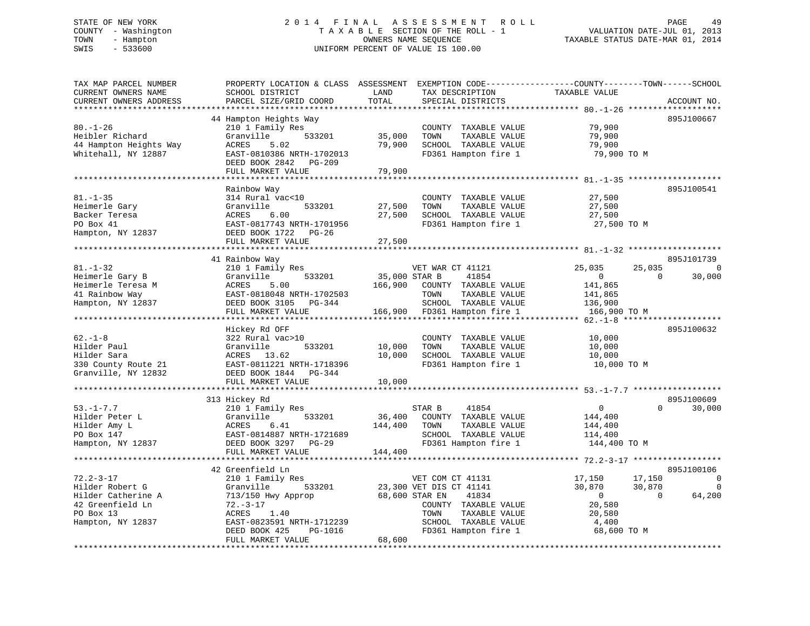# STATE OF NEW YORK 2 0 1 4 F I N A L A S S E S S M E N T R O L L PAGE 49 COUNTY - Washington T A X A B L E SECTION OF THE ROLL - 1 VALUATION DATE-JUL 01, 2013 TOWN - Hampton OWNERS NAME SEQUENCE TAXABLE STATUS DATE-MAR 01, 2014 SWIS - 533600 UNIFORM PERCENT OF VALUE IS 100.00

| TAX MAP PARCEL NUMBER<br>CURRENT OWNERS NAME<br>CURRENT OWNERS ADDRESS                                         | PROPERTY LOCATION & CLASS ASSESSMENT<br>SCHOOL DISTRICT<br>PARCEL SIZE/GRID COORD                                                                                              | LAND<br>TOTAL                       | EXEMPTION CODE-----------------COUNTY-------TOWN------SCHOOL<br>TAX DESCRIPTION<br>SPECIAL DISTRICTS                                                                    | TAXABLE VALUE                                                                  |                              | ACCOUNT NO.             |
|----------------------------------------------------------------------------------------------------------------|--------------------------------------------------------------------------------------------------------------------------------------------------------------------------------|-------------------------------------|-------------------------------------------------------------------------------------------------------------------------------------------------------------------------|--------------------------------------------------------------------------------|------------------------------|-------------------------|
|                                                                                                                |                                                                                                                                                                                | ********                            |                                                                                                                                                                         |                                                                                |                              |                         |
| $80. - 1 - 26$<br>Heibler Richard<br>44 Hampton Heights Way<br>Whitehall, NY 12887                             | 44 Hampton Heights Way<br>210 1 Family Res<br>Granville<br>533201<br>ACRES<br>5.02<br>EAST-0810386 NRTH-1702013<br>DEED BOOK 2842<br>PG-209<br>FULL MARKET VALUE               | 35,000<br>79,900<br>79,900          | COUNTY TAXABLE VALUE<br>TOWN<br>TAXABLE VALUE<br>SCHOOL TAXABLE VALUE<br>FD361 Hampton fire 1                                                                           | 79,900<br>79,900<br>79,900<br>79,900 TO M                                      |                              | 895J100667              |
|                                                                                                                |                                                                                                                                                                                |                                     |                                                                                                                                                                         |                                                                                |                              |                         |
| $81. - 1 - 35$<br>Heimerle Gary<br>Backer Teresa<br>PO Box 41<br>Hampton, NY 12837                             | Rainbow Way<br>314 Rural vac<10<br>Granville<br>533201<br>ACRES<br>6.00<br>EAST-0817743 NRTH-1701956<br>DEED BOOK 1722 PG-26<br>FULL MARKET VALUE                              | 27,500<br>27,500                    | COUNTY TAXABLE VALUE<br>TAXABLE VALUE<br>TOWN<br>SCHOOL TAXABLE VALUE<br>FD361 Hampton fire 1                                                                           | 27,500<br>27,500<br>27,500<br>27,500 TO M                                      |                              | 895J100541              |
|                                                                                                                |                                                                                                                                                                                | 27,500                              |                                                                                                                                                                         |                                                                                |                              |                         |
|                                                                                                                | 41 Rainbow Way                                                                                                                                                                 |                                     |                                                                                                                                                                         |                                                                                |                              | 895J101739              |
| $81. - 1 - 32$<br>Heimerle Gary B<br>Heimerle Teresa M<br>41 Rainbow Way<br>Hampton, NY 12837                  | 210 1 Family Res<br>533201<br>Granville<br>ACRES<br>5.00<br>EAST-0818048 NRTH-1702503<br>DEED BOOK 3105 PG-344<br>FULL MARKET VALUE                                            | 35,000 STAR B<br>166,900<br>166,900 | VET WAR CT 41121<br>41854<br>COUNTY TAXABLE VALUE<br>TOWN<br>TAXABLE VALUE<br>SCHOOL TAXABLE VALUE<br>FD361 Hampton fire 1                                              | 25,035<br>$\mathbf{0}$<br>141,865<br>141,865<br>136,900<br>166,900 TO M        | 25,035<br>$\Omega$           | 30,000                  |
|                                                                                                                |                                                                                                                                                                                |                                     |                                                                                                                                                                         | ************** 62.-1-8                                                         | *******                      |                         |
| $62. -1 - 8$<br>Hilder Paul<br>Hilder Sara<br>330 County Route 21<br>Granville, NY 12832                       | Hickey Rd OFF<br>322 Rural vac>10<br>Granville<br>533201<br>ACRES 13.62<br>EAST-0811221 NRTH-1718396<br>DEED BOOK 1844 PG-344                                                  | 10,000<br>10,000                    | COUNTY TAXABLE VALUE<br>TOWN<br>TAXABLE VALUE<br>SCHOOL TAXABLE VALUE<br>FD361 Hampton fire 1                                                                           | 10,000<br>10,000<br>10,000<br>10,000 TO M                                      |                              | 895J100632              |
|                                                                                                                | FULL MARKET VALUE                                                                                                                                                              | 10,000                              |                                                                                                                                                                         |                                                                                |                              |                         |
|                                                                                                                | ***************************                                                                                                                                                    |                                     |                                                                                                                                                                         |                                                                                |                              |                         |
| $53. - 1 - 7.7$<br>Hilder Peter L<br>Hilder Amy L<br>PO Box 147<br>Hampton, NY 12837                           | 313 Hickey Rd<br>210 1 Family Res<br>Granville<br>533201<br>ACRES<br>6.41<br>EAST-0814887 NRTH-1721689<br>DEED BOOK 3297<br>PG-29<br>FULL MARKET VALUE                         | 36,400<br>144,400<br>144,400        | 41854<br>STAR B<br>COUNTY TAXABLE VALUE<br>TOWN<br>TAXABLE VALUE<br>SCHOOL TAXABLE VALUE<br>FD361 Hampton fire 1                                                        | 0<br>144,400<br>144,400<br>114,400<br>144,400 TO M                             | $\Omega$                     | 895J100609<br>30,000    |
|                                                                                                                | 42 Greenfield Ln                                                                                                                                                               |                                     |                                                                                                                                                                         |                                                                                |                              | 895J100106              |
| $72.2 - 3 - 17$<br>Hilder Robert G<br>Hilder Catherine A<br>42 Greenfield Ln<br>PO Box 13<br>Hampton, NY 12837 | 210 1 Family Res<br>Granville<br>533201<br>713/150 Hwy Approp<br>$72. - 3 - 17$<br>ACRES<br>1.40<br>EAST-0823591 NRTH-1712239<br>DEED BOOK 425<br>PG-1016<br>FULL MARKET VALUE | 68,600                              | VET COM CT 41131<br>23,300 VET DIS CT 41141<br>68,600 STAR EN<br>41834<br>COUNTY TAXABLE VALUE<br>TAXABLE VALUE<br>TOWN<br>SCHOOL TAXABLE VALUE<br>FD361 Hampton fire 1 | 17,150<br>30,870<br>$\overline{0}$<br>20,580<br>20,580<br>4,400<br>68,600 TO M | 17,150<br>30,870<br>$\Omega$ | 0<br>$\Omega$<br>64,200 |
|                                                                                                                |                                                                                                                                                                                |                                     |                                                                                                                                                                         |                                                                                |                              |                         |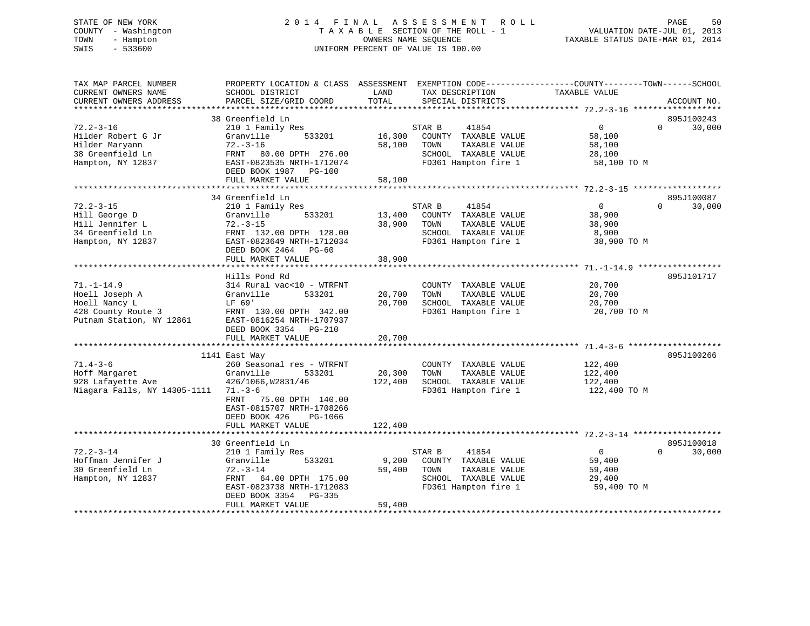# STATE OF NEW YORK 2 0 1 4 F I N A L A S S E S S M E N T R O L L PAGE 50 COUNTY - Washington T A X A B L E SECTION OF THE ROLL - 1 VALUATION DATE-JUL 01, 2013 TOWN - Hampton OWNERS NAME SEQUENCE TAXABLE STATUS DATE-MAR 01, 2014 SWIS - 533600 UNIFORM PERCENT OF VALUE IS 100.00

| TAX MAP PARCEL NUMBER<br>CURRENT OWNERS NAME<br>CURRENT OWNERS ADDRESS                                | PROPERTY LOCATION & CLASS ASSESSMENT<br>SCHOOL DISTRICT<br>PARCEL SIZE/GRID COORD                                                                                                                  | LAND<br>TOTAL                                | TAX DESCRIPTION<br>SPECIAL DISTRICTS                                                           | EXEMPTION CODE----------------COUNTY-------TOWN------SCHOOL<br>TAXABLE VALUE | ACCOUNT NO.                      |
|-------------------------------------------------------------------------------------------------------|----------------------------------------------------------------------------------------------------------------------------------------------------------------------------------------------------|----------------------------------------------|------------------------------------------------------------------------------------------------|------------------------------------------------------------------------------|----------------------------------|
| $72.2 - 3 - 16$<br>Hilder Robert G Jr<br>Hilder Maryann<br>38 Greenfield Ln<br>Hampton, NY 12837      | 38 Greenfield Ln<br>210 1 Family Res<br>Granville<br>533201<br>$72. - 3 - 16$<br>FRNT 80.00 DPTH 276.00<br>EAST-0823535 NRTH-1712074<br>DEED BOOK 1987 PG-100<br>FULL MARKET VALUE                 | STAR B<br>16,300<br>58,100<br>TOWN<br>58,100 | 41854<br>COUNTY TAXABLE VALUE<br>TAXABLE VALUE<br>SCHOOL TAXABLE VALUE<br>FD361 Hampton fire 1 | $\overline{0}$<br>58,100<br>58,100<br>28,100<br>58,100 TO M                  | 895J100243<br>$\Omega$<br>30,000 |
| $72.2 - 3 - 15$<br>Hill George D<br>Hill Jennifer L<br>34 Greenfield Ln<br>Hampton, NY 12837          | 34 Greenfield Ln<br>210 1 Family Res<br>533201<br>Granville<br>$72. - 3 - 15$<br>FRNT 132.00 DPTH 128.00<br>EAST-0823649 NRTH-1712034<br>DEED BOOK 2464 PG-60<br>FULL MARKET VALUE                 | STAR B<br>13,400<br>38,900<br>TOWN<br>38,900 | 41854<br>COUNTY TAXABLE VALUE<br>TAXABLE VALUE<br>SCHOOL TAXABLE VALUE<br>FD361 Hampton fire 1 | $\overline{0}$<br>38,900<br>38,900<br>8,900<br>38,900 TO M                   | 895J100087<br>$\Omega$<br>30,000 |
| $71. - 1 - 14.9$<br>Hoell Joseph A<br>Hoell Nancy L<br>428 County Route 3<br>Putnam Station, NY 12861 | Hills Pond Rd<br>314 Rural vac<10 - WTRFNT<br>Granville<br>533201<br>LF 69'<br>FRNT 130.00 DPTH 342.00<br>EAST-0816254 NRTH-1707937<br>DEED BOOK 3354 PG-210<br>FULL MARKET VALUE                  | 20,700<br>TOWN<br>20,700<br>20,700           | COUNTY TAXABLE VALUE<br>TAXABLE VALUE<br>SCHOOL TAXABLE VALUE<br>FD361 Hampton fire 1          | 20,700<br>20,700<br>20,700<br>20,700 TO M                                    | 895J101717                       |
| $71.4 - 3 - 6$<br>Hoff Margaret<br>928 Lafayette Ave<br>Niagara Falls, NY 14305-1111 71.-3-6          | 1141 East Way<br>260 Seasonal res - WTRFNT<br>533201<br>Granville<br>426/1066, W2831/46<br>FRNT<br>75.00 DPTH 140.00<br>EAST-0815707 NRTH-1708266<br>DEED BOOK 426<br>PG-1066<br>FULL MARKET VALUE | 20,300<br>TOWN<br>122,400<br>122,400         | COUNTY TAXABLE VALUE<br>TAXABLE VALUE<br>SCHOOL TAXABLE VALUE<br>FD361 Hampton fire 1          | 122,400<br>122,400<br>122,400<br>122,400 TO M                                | 895J100266                       |
| $72.2 - 3 - 14$<br>Hoffman Jennifer J<br>30 Greenfield Ln<br>Hampton, NY 12837                        | 30 Greenfield Ln<br>210 1 Family Res<br>Granville<br>533201<br>$72. - 3 - 14$<br>FRNT<br>64.00 DPTH 175.00<br>EAST-0823738 NRTH-1712083<br>DEED BOOK 3354<br>PG-335<br>FULL MARKET VALUE           | STAR B<br>9,200<br>59,400<br>TOWN<br>59,400  | 41854<br>COUNTY TAXABLE VALUE<br>TAXABLE VALUE<br>SCHOOL TAXABLE VALUE<br>FD361 Hampton fire 1 | $\overline{0}$<br>59,400<br>59,400<br>29,400<br>59,400 TO M                  | 895J100018<br>30,000<br>$\Omega$ |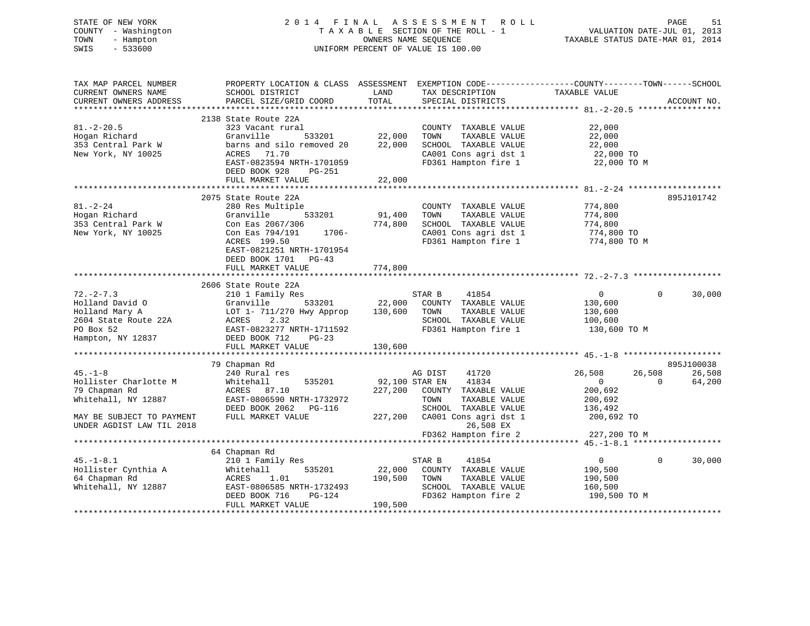# STATE OF NEW YORK 2 0 1 4 F I N A L A S S E S S M E N T R O L L PAGE 51 COUNTY - Washington T A X A B L E SECTION OF THE ROLL - 1 VALUATION DATE-JUL 01, 2013 TOWN - Hampton OWNERS NAME SEQUENCE TAXABLE STATUS DATE-MAR 01, 2014 SWIS - 533600 UNIFORM PERCENT OF VALUE IS 100.00

| TAX MAP PARCEL NUMBER<br>CURRENT OWNERS NAME                                                                   | PROPERTY LOCATION & CLASS ASSESSMENT<br>SCHOOL DISTRICT                                                                                                              | LAND                      | EXEMPTION CODE-----------------COUNTY-------TOWN------SCHOOL<br>TAX DESCRIPTION                                        | TAXABLE VALUE                                                   |                    |                                  |
|----------------------------------------------------------------------------------------------------------------|----------------------------------------------------------------------------------------------------------------------------------------------------------------------|---------------------------|------------------------------------------------------------------------------------------------------------------------|-----------------------------------------------------------------|--------------------|----------------------------------|
| CURRENT OWNERS ADDRESS                                                                                         | PARCEL SIZE/GRID COORD                                                                                                                                               | TOTAL                     | SPECIAL DISTRICTS                                                                                                      |                                                                 |                    | ACCOUNT NO.<br>***************** |
|                                                                                                                | 2138 State Route 22A                                                                                                                                                 |                           |                                                                                                                        |                                                                 |                    |                                  |
| $81. - 2 - 20.5$<br>Hogan Richard<br>353 Central Park W<br>New York, NY 10025                                  | 323 Vacant rural<br>Granville<br>533201<br>barns and silo removed 20<br>ACRES 71.70                                                                                  | 22,000<br>22,000          | COUNTY TAXABLE VALUE<br>TOWN<br>TAXABLE VALUE<br>SCHOOL TAXABLE VALUE<br>CA001 Cons agri dst 1                         | 22,000<br>22,000<br>22,000<br>22,000 TO                         |                    |                                  |
|                                                                                                                | EAST-0823594 NRTH-1701059<br>DEED BOOK 928<br>PG-251<br>FULL MARKET VALUE                                                                                            | 22,000                    | FD361 Hampton fire 1                                                                                                   | 22,000 TO M                                                     |                    |                                  |
|                                                                                                                |                                                                                                                                                                      |                           |                                                                                                                        |                                                                 |                    |                                  |
|                                                                                                                | 2075 State Route 22A                                                                                                                                                 |                           |                                                                                                                        |                                                                 |                    | 895J101742                       |
| $81. - 2 - 24$<br>Hogan Richard<br>353 Central Park W<br>New York, NY 10025                                    | 280 Res Multiple<br>533201<br>Granville<br>Con Eas 2067/306<br>1706-<br>Con Eas 794/191<br>ACRES 199.50<br>EAST-0821251 NRTH-1701954<br>DEED BOOK 1701 PG-43         | 91,400<br>774,800         | COUNTY TAXABLE VALUE<br>TOWN<br>TAXABLE VALUE<br>SCHOOL TAXABLE VALUE<br>CA001 Cons agri dst 1<br>FD361 Hampton fire 1 | 774,800<br>774,800<br>774,800<br>774,800 TO<br>774,800 TO M     |                    |                                  |
|                                                                                                                | FULL MARKET VALUE                                                                                                                                                    | 774,800                   |                                                                                                                        |                                                                 |                    |                                  |
|                                                                                                                |                                                                                                                                                                      |                           |                                                                                                                        |                                                                 |                    |                                  |
| $72. - 2 - 7.3$<br>Holland David O<br>Holland Mary A<br>2604 State Route 22A<br>PO Box 52<br>Hampton, NY 12837 | 2606 State Route 22A<br>210 1 Family Res<br>533201<br>Granville<br>LOT 1- 711/270 Hwy Approp<br>ACRES<br>2.32<br>EAST-0823277 NRTH-1711592<br>DEED BOOK 712<br>PG-23 | 22,000<br>130,600         | STAR B<br>41854<br>COUNTY TAXABLE VALUE<br>TOWN<br>TAXABLE VALUE<br>SCHOOL TAXABLE VALUE<br>FD361 Hampton fire 1       | $\overline{0}$<br>130,600<br>130,600<br>100,600<br>130,600 TO M | $\Omega$           | 30,000                           |
|                                                                                                                | FULL MARKET VALUE                                                                                                                                                    | 130,600                   |                                                                                                                        |                                                                 |                    |                                  |
|                                                                                                                |                                                                                                                                                                      |                           |                                                                                                                        |                                                                 |                    |                                  |
|                                                                                                                | 79 Chapman Rd                                                                                                                                                        |                           |                                                                                                                        |                                                                 |                    | 895J100038                       |
| $45. - 1 - 8$<br>Hollister Charlotte M<br>79 Chapman Rd<br>Whitehall, NY 12887                                 | 240 Rural res<br>535201<br>Whitehall<br>ACRES 87.10<br>EAST-0806590 NRTH-1732972<br>DEED BOOK 2062 PG-116                                                            | 92,100 STAR EN<br>227,200 | AG DIST<br>41720<br>41834<br>COUNTY TAXABLE VALUE<br>TOWN<br>TAXABLE VALUE<br>SCHOOL TAXABLE VALUE                     | 26,508<br>$\overline{0}$<br>200,692<br>200,692<br>136,492       | 26,508<br>$\Omega$ | 26,508<br>64,200                 |
| MAY BE SUBJECT TO PAYMENT<br>UNDER AGDIST LAW TIL 2018                                                         | FULL MARKET VALUE                                                                                                                                                    | 227,200                   | CA001 Cons agri dst 1<br>26,508 EX                                                                                     | 200,692 TO                                                      |                    |                                  |
|                                                                                                                |                                                                                                                                                                      |                           | FD362 Hampton fire 2                                                                                                   | 227,200 TO M                                                    |                    |                                  |
|                                                                                                                | 64 Chapman Rd                                                                                                                                                        |                           |                                                                                                                        |                                                                 |                    |                                  |
| $45. - 1 - 8.1$<br>Hollister Cynthia A<br>64 Chapman Rd<br>Whitehall, NY 12887                                 | 210 1 Family Res<br>Whitehall<br>535201<br>ACRES<br>1.01<br>EAST-0806585 NRTH-1732493                                                                                | 22,000<br>190,500         | STAR B<br>41854<br>COUNTY TAXABLE VALUE<br>TAXABLE VALUE<br>TOWN<br>SCHOOL TAXABLE VALUE                               | $\mathbf{0}$<br>190,500<br>190,500<br>160,500                   | $\Omega$           | 30,000                           |
|                                                                                                                | DEED BOOK 716<br>PG-124<br>FULL MARKET VALUE                                                                                                                         | 190,500                   | FD362 Hampton fire 2                                                                                                   | 190,500 TO M                                                    |                    |                                  |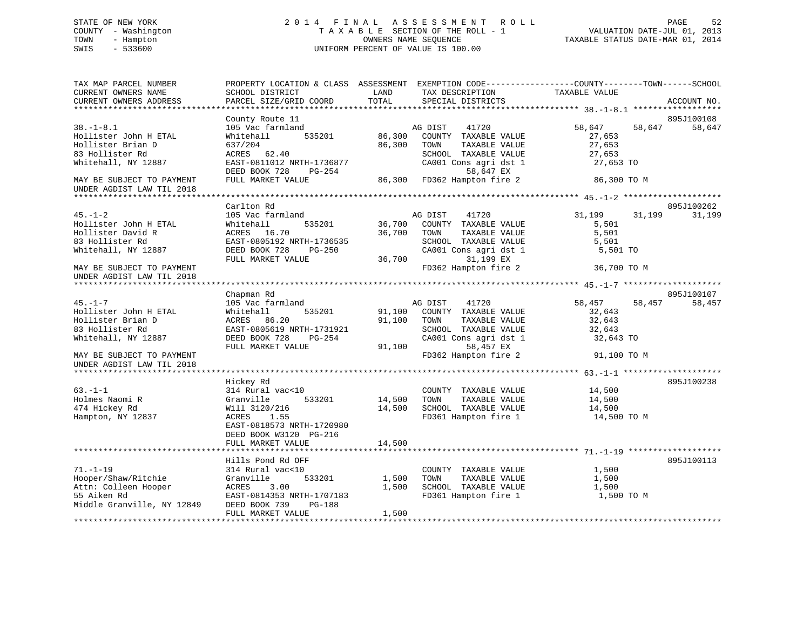# STATE OF NEW YORK 2 0 1 4 F I N A L A S S E S S M E N T R O L L PAGE 52 COUNTY - Washington T A X A B L E SECTION OF THE ROLL - 1 VALUATION DATE-JUL 01, 2013 TOWN - Hampton OWNERS NAME SEQUENCE TAXABLE STATUS DATE-MAR 01, 2014 SWIS - 533600 UNIFORM PERCENT OF VALUE IS 100.00

| TAX MAP PARCEL NUMBER<br>CURRENT OWNERS NAME<br>CURRENT OWNERS ADDRESS                                     | SCHOOL DISTRICT<br>PARCEL SIZE/GRID COORD                                                                                                    | PROPERTY LOCATION & CLASS ASSESSMENT EXEMPTION CODE----------------COUNTY-------TOWN-----SCHOOL<br>LAND<br>TAX DESCRIPTION<br>TOTAL<br>SPECIAL DISTRICTS      | TAXABLE VALUE<br>ACCOUNT NO.                                          |
|------------------------------------------------------------------------------------------------------------|----------------------------------------------------------------------------------------------------------------------------------------------|---------------------------------------------------------------------------------------------------------------------------------------------------------------|-----------------------------------------------------------------------|
|                                                                                                            |                                                                                                                                              |                                                                                                                                                               |                                                                       |
|                                                                                                            | County Route 11                                                                                                                              |                                                                                                                                                               | 895J100108                                                            |
| $38. - 1 - 8.1$<br>Hollister John H ETAL<br>Hollister Brian D<br>83 Hollister Rd<br>Whitehall, NY 12887    | 105 Vac farmland<br>535201<br>Whitehall<br>637/204<br>ACRES 62.40<br>EAST-0811012 NRTH-1736877                                               | AG DIST<br>41720<br>86,300 COUNTY TAXABLE VALUE<br>86,300<br>TOWN<br>TAXABLE VALUE<br>SCHOOL TAXABLE VALUE<br>CA001 Cons agri dst 1                           | 58,647<br>58,647<br>58,647<br>27,653<br>27,653<br>27,653<br>27,653 TO |
|                                                                                                            | DEED BOOK 728<br>PG-254                                                                                                                      | 58,647 EX                                                                                                                                                     |                                                                       |
| MAY BE SUBJECT TO PAYMENT<br>UNDER AGDIST LAW TIL 2018                                                     | FULL MARKET VALUE                                                                                                                            | 50,047 EA<br>86,300 FD362 Hampton fire 2                                                                                                                      | 86,300 TO M                                                           |
|                                                                                                            | Carlton Rd                                                                                                                                   |                                                                                                                                                               | 895J100262                                                            |
| $45. - 1 - 2$<br>Hollister John H ETAL<br>Hollister David R<br>83 Hollister Rd<br>Whitehall, NY 12887      | 105 Vac farmland<br>Whitehall<br>535201<br>ACRES 16.70<br>EAST-0805192 NRTH-1736535<br>DEED BOOK 728<br>PG-250<br>FULL MARKET VALUE          | AG DIST<br>41720<br>36,700<br>COUNTY TAXABLE VALUE<br>36,700<br>TOWN<br>TAXABLE VALUE<br>SCHOOL TAXABLE VALUE<br>CA001 Cons agri dst 1<br>36,700<br>31,199 EX | 31,199<br>31,199<br>31,199<br>5,501<br>5,501<br>5,501<br>5,501 TO     |
| MAY BE SUBJECT TO PAYMENT<br>UNDER AGDIST LAW TIL 2018                                                     |                                                                                                                                              | FD362 Hampton fire 2                                                                                                                                          | 36,700 TO M                                                           |
|                                                                                                            | Chapman Rd                                                                                                                                   |                                                                                                                                                               | 895J100107                                                            |
| $45. - 1 - 7$                                                                                              | 105 Vac farmland                                                                                                                             | AG DIST<br>41720                                                                                                                                              | 58,457<br>58,457<br>58,457                                            |
| Hollister John H ETAL<br>Hollister Brian D<br>83 Hollister Rd                                              | Whitehall<br>535201<br>ACRES 86.20<br>EAST-0805619 NRTH-1731921                                                                              | 91,100 COUNTY TAXABLE VALUE<br>91,100<br>TOWN<br>TAXABLE VALUE<br>SCHOOL TAXABLE VALUE                                                                        | 32,643<br>32,643<br>32,643                                            |
| Whitehall, NY 12887                                                                                        | DEED BOOK 728<br>PG-254<br>FULL MARKET VALUE                                                                                                 | CA001 Cons agri dst 1<br>91,100<br>58,457 EX                                                                                                                  | 32,643 TO                                                             |
| MAY BE SUBJECT TO PAYMENT<br>UNDER AGDIST LAW TIL 2018                                                     |                                                                                                                                              | FD362 Hampton fire 2                                                                                                                                          | 91,100 TO M                                                           |
|                                                                                                            | Hickey Rd                                                                                                                                    |                                                                                                                                                               | 895J100238                                                            |
| $63 - 1 - 1$<br>Holmes Naomi R<br>474 Hickey Rd<br>Hampton, NY 12837                                       | 314 Rural vac<10<br>533201<br>Granville<br>Will 3120/216<br>ACRES<br>1.55<br>EAST-0818573 NRTH-1720980<br>DEED BOOK W3120 PG-216             | COUNTY TAXABLE VALUE<br>14,500<br>TAXABLE VALUE<br>TOWN<br>14,500 SCHOOL TAXABLE VALUE<br>FD361 Hampton fire 1                                                | 14,500<br>14,500<br>14,500<br>14,500 TO M                             |
|                                                                                                            | FULL MARKET VALUE                                                                                                                            | 14,500                                                                                                                                                        |                                                                       |
|                                                                                                            |                                                                                                                                              |                                                                                                                                                               |                                                                       |
| $71. - 1 - 19$<br>Hooper/Shaw/Ritchie<br>Attn: Colleen Hooper<br>55 Aiken Rd<br>Middle Granville, NY 12849 | Hills Pond Rd OFF<br>314 Rural vac<10<br>Granville<br>533201<br>ACRES<br>3.00<br>EAST-0814353 NRTH-1707183<br>DEED BOOK 739<br><b>PG-188</b> | COUNTY TAXABLE VALUE<br>TAXABLE VALUE<br>1,500<br>TOWN<br>1,500<br>SCHOOL TAXABLE VALUE<br>FD361 Hampton fire 1                                               | 895J100113<br>1,500<br>1,500<br>1,500<br>1,500 TO M                   |
|                                                                                                            | FULL MARKET VALUE                                                                                                                            | 1,500                                                                                                                                                         |                                                                       |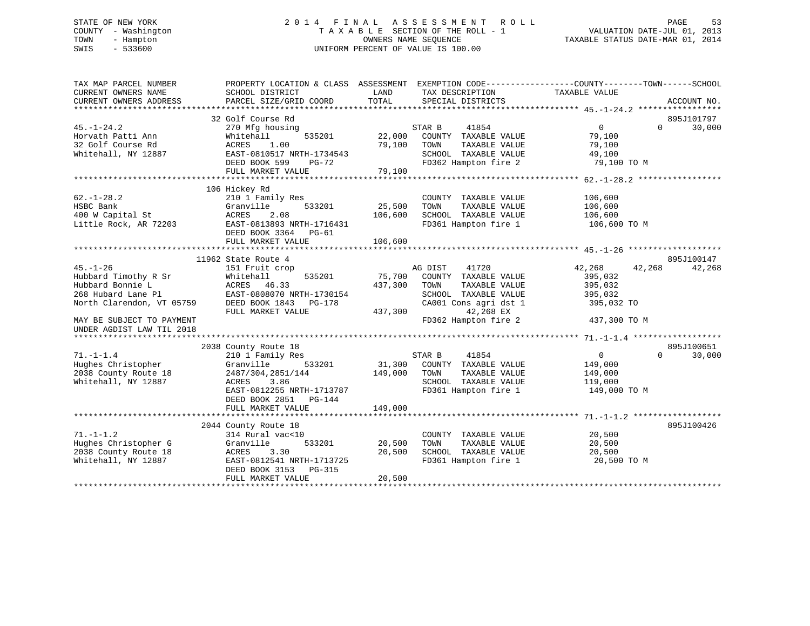# STATE OF NEW YORK 2 0 1 4 F I N A L A S S E S S M E N T R O L L PAGE 53 COUNTY - Washington T A X A B L E SECTION OF THE ROLL - 1 VALUATION DATE-JUL 01, 2013 TOWN - Hampton OWNERS NAME SEQUENCE TAXABLE STATUS DATE-MAR 01, 2014 SWIS - 533600 UNIFORM PERCENT OF VALUE IS 100.00

| TAX MAP PARCEL NUMBER<br>CURRENT OWNERS NAME<br>CURRENT OWNERS ADDRESS | PROPERTY LOCATION & CLASS ASSESSMENT EXEMPTION CODE----------------COUNTY-------TOWN-----SCHOOL<br>SCHOOL DISTRICT<br>PARCEL SIZE/GRID COORD | LAND<br>TOTAL | TAX DESCRIPTION<br>SPECIAL DISTRICTS | TAXABLE VALUE  |          | ACCOUNT NO. |
|------------------------------------------------------------------------|----------------------------------------------------------------------------------------------------------------------------------------------|---------------|--------------------------------------|----------------|----------|-------------|
|                                                                        |                                                                                                                                              |               |                                      |                |          |             |
|                                                                        | 32 Golf Course Rd                                                                                                                            |               |                                      |                |          | 895J101797  |
| $45. - 1 - 24.2$                                                       | 270 Mfg housing                                                                                                                              |               | STAR B<br>41854                      | $\overline{0}$ | $\Omega$ | 30,000      |
| Horvath Patti Ann                                                      | Whitehall<br>535201                                                                                                                          | 22,000        | COUNTY TAXABLE VALUE                 | 79,100         |          |             |
| 32 Golf Course Rd                                                      | 1.00<br>ACRES                                                                                                                                | 79,100        | TOWN<br>TAXABLE VALUE                | 79,100         |          |             |
| Whitehall, NY 12887                                                    | EAST-0810517 NRTH-1734543                                                                                                                    |               | SCHOOL TAXABLE VALUE                 | 49,100         |          |             |
|                                                                        | DEED BOOK 599 PG-72                                                                                                                          |               | FD362 Hampton fire 2                 | 79,100 TO M    |          |             |
|                                                                        | FULL MARKET VALUE                                                                                                                            | 79,100        |                                      |                |          |             |
|                                                                        |                                                                                                                                              |               |                                      |                |          |             |
|                                                                        | 106 Hickey Rd                                                                                                                                |               |                                      |                |          |             |
| $62. - 1 - 28.2$                                                       | 210 1 Family Res                                                                                                                             |               | COUNTY TAXABLE VALUE                 | 106,600        |          |             |
| HSBC Bank                                                              | Granville<br>533201                                                                                                                          | 25,500        | TOWN<br>TAXABLE VALUE                | 106,600        |          |             |
| 400 W Capital St                                                       | ACRES<br>2.08                                                                                                                                | 106,600       | SCHOOL TAXABLE VALUE                 | 106,600        |          |             |
| Little Rock, AR 72203                                                  | EAST-0813893 NRTH-1716431                                                                                                                    |               | FD361 Hampton fire 1                 | 106,600 TO M   |          |             |
|                                                                        | DEED BOOK 3364 PG-61                                                                                                                         |               |                                      |                |          |             |
|                                                                        | FULL MARKET VALUE                                                                                                                            | 106,600       |                                      |                |          |             |
|                                                                        |                                                                                                                                              |               |                                      |                |          |             |
|                                                                        | 11962 State Route 4                                                                                                                          |               |                                      |                |          | 895J100147  |
| $45. - 1 - 26$                                                         | 151 Fruit crop                                                                                                                               |               | 41720<br>AG DIST                     | 42,268         | 42,268   | 42,268      |
|                                                                        | 535201                                                                                                                                       |               |                                      |                |          |             |
| Hubbard Timothy R Sr                                                   | Whitehall                                                                                                                                    | 75,700        | COUNTY TAXABLE VALUE                 | 395,032        |          |             |
| Hubbard Bonnie L                                                       | ACRES 46.33                                                                                                                                  | 437,300       | TOWN<br>TAXABLE VALUE                | 395,032        |          |             |
| 268 Hubard Lane Pl                                                     | EAST-0808070 NRTH-1730154                                                                                                                    |               | SCHOOL TAXABLE VALUE                 | 395,032        |          |             |
| North Clarendon, VT 05759                                              | DEED BOOK 1843 PG-178                                                                                                                        |               | CA001 Cons agri dst 1                | 395,032 TO     |          |             |
|                                                                        | FULL MARKET VALUE                                                                                                                            | 437,300       | 42,268 EX                            |                |          |             |
| MAY BE SUBJECT TO PAYMENT                                              |                                                                                                                                              |               | FD362 Hampton fire 2                 | 437,300 TO M   |          |             |
| UNDER AGDIST LAW TIL 2018                                              |                                                                                                                                              |               |                                      |                |          |             |
|                                                                        |                                                                                                                                              |               |                                      |                |          |             |
|                                                                        | 2038 County Route 18                                                                                                                         |               |                                      |                |          | 895J100651  |
| $71. - 1 - 1.4$                                                        | 210 1 Family Res                                                                                                                             |               | 41854<br>STAR B                      | $\overline{0}$ | $\Omega$ | 30,000      |
| Hughes Christopher                                                     | 533201<br>Granville                                                                                                                          |               | 31,300 COUNTY TAXABLE VALUE          | 149,000        |          |             |
| 2038 County Route 18                                                   | 2487/304,2851/144                                                                                                                            | 149,000       | TAXABLE VALUE<br>TOWN                | 149,000        |          |             |
| Whitehall, NY 12887                                                    | ACRES<br>3.86                                                                                                                                |               | SCHOOL TAXABLE VALUE                 | 119,000        |          |             |
|                                                                        | EAST-0812255 NRTH-1713787                                                                                                                    |               | FD361 Hampton fire 1                 | 149,000 TO M   |          |             |
|                                                                        | DEED BOOK 2851 PG-144                                                                                                                        |               |                                      |                |          |             |
|                                                                        | FULL MARKET VALUE                                                                                                                            | 149,000       |                                      |                |          |             |
|                                                                        |                                                                                                                                              |               |                                      |                |          |             |
|                                                                        | 2044 County Route 18                                                                                                                         |               |                                      |                |          | 895J100426  |
| $71. - 1 - 1.2$                                                        | 314 Rural vac<10                                                                                                                             |               | COUNTY TAXABLE VALUE                 | 20,500         |          |             |
| Hughes Christopher G                                                   | 533201<br>Granville                                                                                                                          | 20,500        | TOWN<br>TAXABLE VALUE                | 20,500         |          |             |
| 2038 County Route 18                                                   | ACRES<br>3.30                                                                                                                                | 20,500        | SCHOOL TAXABLE VALUE                 | 20,500         |          |             |
|                                                                        |                                                                                                                                              |               |                                      |                |          |             |
| Whitehall, NY 12887                                                    | EAST-0812541 NRTH-1713725                                                                                                                    |               | FD361 Hampton fire 1                 | 20,500 TO M    |          |             |
|                                                                        | DEED BOOK 3153 PG-315                                                                                                                        |               |                                      |                |          |             |
|                                                                        | FULL MARKET VALUE                                                                                                                            | 20,500        |                                      |                |          |             |
|                                                                        |                                                                                                                                              |               |                                      |                |          |             |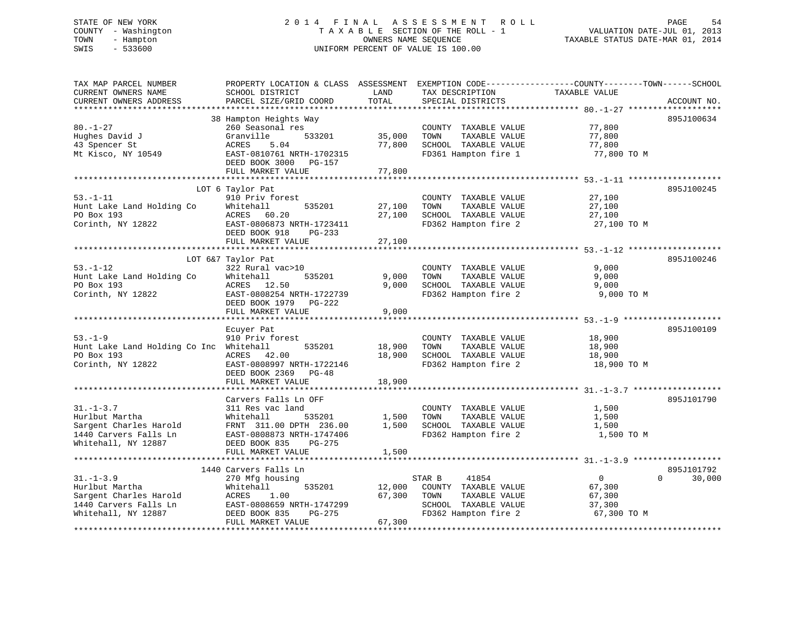# STATE OF NEW YORK 2 0 1 4 F I N A L A S S E S S M E N T R O L L PAGE 54 COUNTY - Washington T A X A B L E SECTION OF THE ROLL - 1 VALUATION DATE-JUL 01, 2013 TOWN - Hampton OWNERS NAME SEQUENCE TAXABLE STATUS DATE-MAR 01, 2014 SWIS - 533600 UNIFORM PERCENT OF VALUE IS 100.00

| TAX MAP PARCEL NUMBER<br>CURRENT OWNERS NAME<br>CURRENT OWNERS ADDRESS                                      | PROPERTY LOCATION & CLASS ASSESSMENT<br>SCHOOL DISTRICT<br>PARCEL SIZE/GRID COORD                                                                             | LAND<br>TOTAL              | TAX DESCRIPTION<br>SPECIAL DISTRICTS                                                                             | EXEMPTION CODE-----------------COUNTY-------TOWN------SCHOOL<br>TAXABLE VALUE | ACCOUNT NO.                      |
|-------------------------------------------------------------------------------------------------------------|---------------------------------------------------------------------------------------------------------------------------------------------------------------|----------------------------|------------------------------------------------------------------------------------------------------------------|-------------------------------------------------------------------------------|----------------------------------|
| ***********************                                                                                     | ***********************                                                                                                                                       |                            |                                                                                                                  |                                                                               |                                  |
| $80. - 1 - 27$<br>Hughes David J<br>43 Spencer St<br>Mt Kisco, NY 10549                                     | 38 Hampton Heights Way<br>260 Seasonal res<br>Granville<br>533201<br>ACRES<br>5.04<br>EAST-0810761 NRTH-1702315<br>DEED BOOK 3000 PG-157<br>FULL MARKET VALUE | 35,000<br>77,800<br>77,800 | COUNTY TAXABLE VALUE<br>TOWN<br>TAXABLE VALUE<br>SCHOOL TAXABLE VALUE<br>FD361 Hampton fire 1                    | 77,800<br>77,800<br>77,800<br>77,800 TO M                                     | 895J100634                       |
|                                                                                                             |                                                                                                                                                               |                            |                                                                                                                  |                                                                               |                                  |
| $53. - 1 - 11$<br>Hunt Lake Land Holding Co<br>PO Box 193<br>Corinth, NY 12822                              | LOT 6 Taylor Pat<br>910 Priv forest<br>Whitehall<br>535201<br>60.20<br>ACRES<br>EAST-0806873 NRTH-1723411<br>DEED BOOK 918<br>PG-233<br>FULL MARKET VALUE     | 27,100<br>27,100<br>27,100 | COUNTY TAXABLE VALUE<br>TAXABLE VALUE<br>TOWN<br>SCHOOL TAXABLE VALUE<br>FD362 Hampton fire 2                    | 27,100<br>27,100<br>27,100<br>27,100 TO M                                     | 895J100245                       |
|                                                                                                             |                                                                                                                                                               |                            |                                                                                                                  |                                                                               |                                  |
| $53. - 1 - 12$<br>Hunt Lake Land Holding Co<br>PO Box 193<br>Corinth, NY 12822                              | LOT 6&7 Taylor Pat<br>322 Rural vac>10<br>Whitehall<br>535201<br>ACRES 12.50<br>EAST-0808254 NRTH-1722739<br>DEED BOOK 1979 PG-222<br>FULL MARKET VALUE       | 9,000<br>9,000<br>9,000    | COUNTY TAXABLE VALUE<br>TAXABLE VALUE<br>TOWN<br>SCHOOL TAXABLE VALUE<br>FD362 Hampton fire 2                    | 9,000<br>9,000<br>9,000<br>9,000 TO M                                         | 895J100246                       |
|                                                                                                             |                                                                                                                                                               |                            |                                                                                                                  |                                                                               |                                  |
| $53. - 1 - 9$<br>Hunt Lake Land Holding Co Inc Whitehall<br>PO Box 193<br>Corinth, NY 12822                 | Ecuyer Pat<br>910 Priv forest<br>535201<br>ACRES 42.00<br>EAST-0808997 NRTH-1722146<br>DEED BOOK 2369 PG-48<br>FULL MARKET VALUE                              | 18,900<br>18,900<br>18,900 | COUNTY TAXABLE VALUE<br>TOWN<br>TAXABLE VALUE<br>SCHOOL TAXABLE VALUE<br>FD362 Hampton fire 2                    | 18,900<br>18,900<br>18,900<br>18,900 TO M                                     | 895J100109                       |
|                                                                                                             |                                                                                                                                                               |                            |                                                                                                                  |                                                                               |                                  |
| $31. - 1 - 3.7$<br>Hurlbut Martha<br>Sargent Charles Harold<br>1440 Carvers Falls Ln<br>Whitehall, NY 12887 | Carvers Falls Ln OFF<br>311 Res vac land<br>Whitehall<br>535201<br>FRNT 311.00 DPTH 236.00<br>EAST-0808873 NRTH-1747406<br>DEED BOOK 835<br>PG-275            | 1,500<br>1,500             | COUNTY TAXABLE VALUE<br>TOWN<br>TAXABLE VALUE<br>SCHOOL TAXABLE VALUE<br>FD362 Hampton fire 2                    | 1,500<br>1,500<br>1,500<br>1,500 TO M                                         | 895J101790                       |
|                                                                                                             | FULL MARKET VALUE                                                                                                                                             | 1,500                      |                                                                                                                  |                                                                               |                                  |
|                                                                                                             |                                                                                                                                                               |                            |                                                                                                                  |                                                                               |                                  |
| $31. - 1 - 3.9$<br>Hurlbut Martha<br>Sargent Charles Harold<br>1440 Carvers Falls Ln<br>Whitehall, NY 12887 | 1440 Carvers Falls Ln<br>270 Mfg housing<br>Whitehall<br>535201<br>ACRES<br>1.00<br>EAST-0808659 NRTH-1747299<br>DEED BOOK 835<br>PG-275                      | 12,000<br>67,300           | STAR B<br>41854<br>COUNTY TAXABLE VALUE<br>TAXABLE VALUE<br>TOWN<br>SCHOOL TAXABLE VALUE<br>FD362 Hampton fire 2 | $\overline{0}$<br>67,300<br>67,300<br>37,300<br>67,300 TO M                   | 895J101792<br>$\Omega$<br>30,000 |
|                                                                                                             | FULL MARKET VALUE                                                                                                                                             | 67,300                     |                                                                                                                  |                                                                               |                                  |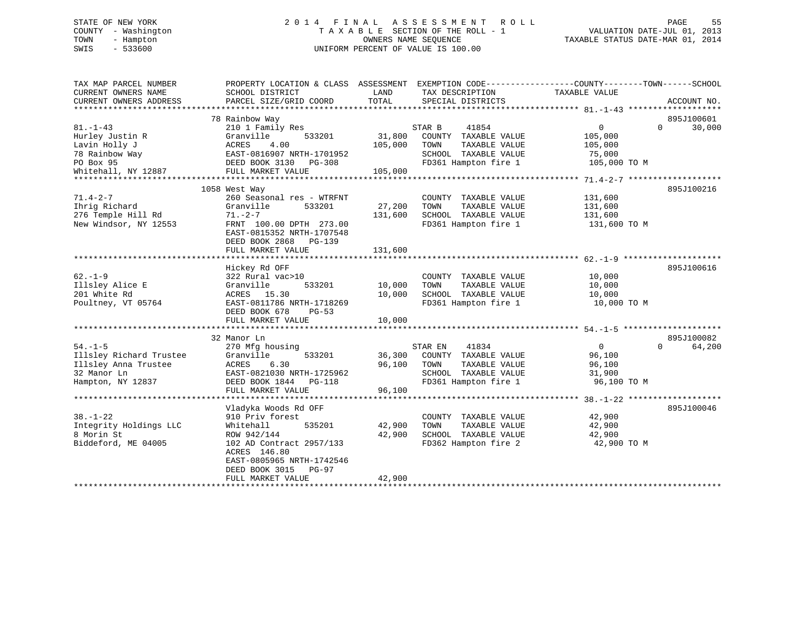# STATE OF NEW YORK 2 0 1 4 F I N A L A S S E S S M E N T R O L L PAGE 55 COUNTY - Washington T A X A B L E SECTION OF THE ROLL - 1 VALUATION DATE-JUL 01, 2013 TOWN - Hampton OWNERS NAME SEQUENCE TAXABLE STATUS DATE-MAR 01, 2014 SWIS - 533600 UNIFORM PERCENT OF VALUE IS 100.00

| TAX MAP PARCEL NUMBER<br>CURRENT OWNERS NAME<br>CURRENT OWNERS ADDRESS | PROPERTY LOCATION & CLASS ASSESSMENT<br>SCHOOL DISTRICT<br>PARCEL SIZE/GRID COORD | LAND<br>TOTAL | TAX DESCRIPTION<br>SPECIAL DISTRICTS         | EXEMPTION CODE-----------------COUNTY-------TOWN------SCHOOL<br>TAXABLE VALUE | ACCOUNT NO.        |
|------------------------------------------------------------------------|-----------------------------------------------------------------------------------|---------------|----------------------------------------------|-------------------------------------------------------------------------------|--------------------|
|                                                                        |                                                                                   |               |                                              |                                                                               |                    |
|                                                                        | 78 Rainbow Way                                                                    |               |                                              |                                                                               | 895J100601         |
| $81. - 1 - 43$                                                         | 210 1 Family Res                                                                  |               | STAR B<br>41854                              | $\overline{0}$                                                                | 30,000<br>$\Omega$ |
| Hurley Justin R                                                        | Granville<br>533201                                                               | 31,800        | COUNTY TAXABLE VALUE                         | 105,000                                                                       |                    |
| Lavin Holly J                                                          | ACRES<br>4.00                                                                     | 105,000       | TAXABLE VALUE<br>TOWN                        | 105,000                                                                       |                    |
| 78 Rainbow Way                                                         | EAST-0816907 NRTH-1701952                                                         |               | SCHOOL TAXABLE VALUE                         | 75,000                                                                        |                    |
| PO Box 95                                                              | DEED BOOK 3130 PG-308                                                             |               | FD361 Hampton fire 1                         | 105,000 TO M                                                                  |                    |
| Whitehall, NY 12887                                                    | FULL MARKET VALUE                                                                 | 105,000       |                                              |                                                                               |                    |
|                                                                        |                                                                                   |               |                                              |                                                                               |                    |
|                                                                        | 1058 West Way                                                                     |               |                                              |                                                                               | 895J100216         |
| $71.4 - 2 - 7$                                                         | 260 Seasonal res - WTRFNT                                                         |               | COUNTY TAXABLE VALUE                         | 131,600                                                                       |                    |
| Ihrig Richard                                                          | Granville<br>533201                                                               | 27,200        | TOWN<br>TAXABLE VALUE                        | 131,600                                                                       |                    |
| 276 Temple Hill Rd                                                     | $71. - 2 - 7$                                                                     | 131,600       | SCHOOL TAXABLE VALUE                         | 131,600                                                                       |                    |
| New Windsor, NY 12553                                                  | FRNT 100.00 DPTH 273.00                                                           |               | FD361 Hampton fire 1                         | 131,600 TO M                                                                  |                    |
|                                                                        | EAST-0815352 NRTH-1707548                                                         |               |                                              |                                                                               |                    |
|                                                                        | DEED BOOK 2868<br>PG-139                                                          |               |                                              |                                                                               |                    |
|                                                                        | FULL MARKET VALUE                                                                 | 131,600       |                                              |                                                                               |                    |
|                                                                        |                                                                                   |               |                                              |                                                                               |                    |
|                                                                        | Hickey Rd OFF                                                                     |               |                                              |                                                                               | 895J100616         |
| $62 - 1 - 9$                                                           | 322 Rural vac>10                                                                  |               | COUNTY TAXABLE VALUE                         | 10,000                                                                        |                    |
| Illsley Alice E                                                        | Granville<br>533201                                                               | 10,000        | TAXABLE VALUE<br>TOWN                        | 10,000                                                                        |                    |
| 201 White Rd<br>Poultney, VT 05764                                     | ACRES 15.30                                                                       | 10,000        | SCHOOL TAXABLE VALUE<br>FD361 Hampton fire 1 | 10,000                                                                        |                    |
|                                                                        | EAST-0811786 NRTH-1718269                                                         |               |                                              | 10,000 TO M                                                                   |                    |
|                                                                        | DEED BOOK 678<br>$PG-53$<br>FULL MARKET VALUE                                     | 10,000        |                                              |                                                                               |                    |
|                                                                        |                                                                                   |               |                                              |                                                                               |                    |
|                                                                        | 32 Manor Ln                                                                       |               |                                              |                                                                               | 895J100082         |
| $54. - 1 - 5$                                                          | 270 Mfg housing                                                                   |               | STAR EN<br>41834                             | $\overline{0}$                                                                | $\Omega$<br>64,200 |
| Illsley Richard Trustee                                                | Granville<br>533201                                                               | 36,300        | COUNTY TAXABLE VALUE                         | 96,100                                                                        |                    |
| Illsley Anna Trustee                                                   | 6.30<br>ACRES                                                                     | 96,100        | TAXABLE VALUE<br>TOWN                        | 96,100                                                                        |                    |
| 32 Manor Ln                                                            | EAST-0821030 NRTH-1725962                                                         |               | SCHOOL TAXABLE VALUE                         | 31,900                                                                        |                    |
| Hampton, NY 12837                                                      | DEED BOOK 1844    PG-118                                                          |               | FD361 Hampton fire 1                         | 96,100 TO M                                                                   |                    |
|                                                                        | FULL MARKET VALUE                                                                 | 96,100        |                                              |                                                                               |                    |
|                                                                        |                                                                                   |               |                                              |                                                                               |                    |
|                                                                        | Vladyka Woods Rd OFF                                                              |               |                                              |                                                                               | 895J100046         |
| $38. - 1 - 22$                                                         | 910 Priv forest                                                                   |               | COUNTY TAXABLE VALUE                         | 42,900                                                                        |                    |
| Integrity Holdings LLC                                                 | 535201<br>Whitehall                                                               | 42,900        | TAXABLE VALUE<br>TOWN                        | 42,900                                                                        |                    |
| 8 Morin St                                                             | ROW 942/144                                                                       | 42,900        | SCHOOL TAXABLE VALUE                         | 42,900                                                                        |                    |
| Biddeford, ME 04005                                                    | 102 AD Contract 2957/133                                                          |               | FD362 Hampton fire 2                         | 42,900 TO M                                                                   |                    |
|                                                                        | ACRES 146.80                                                                      |               |                                              |                                                                               |                    |
|                                                                        | EAST-0805965 NRTH-1742546                                                         |               |                                              |                                                                               |                    |
|                                                                        | DEED BOOK 3015<br>PG-97                                                           |               |                                              |                                                                               |                    |
|                                                                        | FULL MARKET VALUE                                                                 | 42,900        |                                              |                                                                               |                    |
|                                                                        |                                                                                   |               |                                              |                                                                               |                    |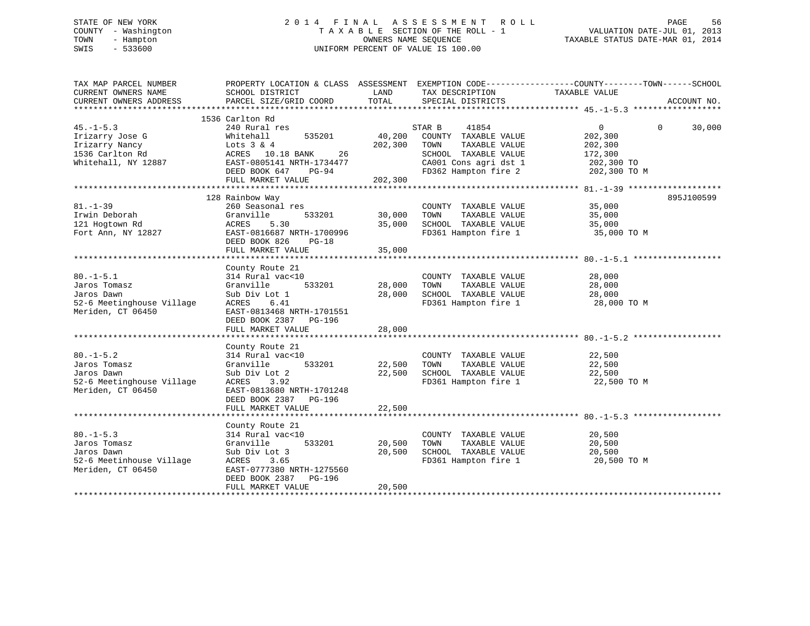# STATE OF NEW YORK 2 0 1 4 F I N A L A S S E S S M E N T R O L L PAGE 56 COUNTY - Washington T A X A B L E SECTION OF THE ROLL - 1 VALUATION DATE-JUL 01, 2013 TOWN - Hampton OWNERS NAME SEQUENCE TAXABLE STATUS DATE-MAR 01, 2014 SWIS - 533600 UNIFORM PERCENT OF VALUE IS 100.00

| TAX MAP PARCEL NUMBER<br>CURRENT OWNERS NAME<br>CURRENT OWNERS ADDRESS                         | PROPERTY LOCATION & CLASS ASSESSMENT EXEMPTION CODE---------------COUNTY-------TOWN-----SCHOOL<br>SCHOOL DISTRICT<br>PARCEL SIZE/GRID COORD                                | LAND<br>TOTAL                | TAX DESCRIPTION<br>SPECIAL DISTRICTS                                                                                                      | TAXABLE VALUE                                                                    | ACCOUNT NO.        |
|------------------------------------------------------------------------------------------------|----------------------------------------------------------------------------------------------------------------------------------------------------------------------------|------------------------------|-------------------------------------------------------------------------------------------------------------------------------------------|----------------------------------------------------------------------------------|--------------------|
| $45. - 1 - 5.3$<br>Irizarry Jose G<br>Irizarry Nancy<br>1536 Carlton Rd<br>Whitehall, NY 12887 | 1536 Carlton Rd<br>240 Rural res<br>535201<br>Whitehall<br>Lots $3 & 4$<br>ACRES 10.18 BANK<br>26<br>EAST-0805141 NRTH-1734477<br>DEED BOOK 647 PG-94<br>FULL MARKET VALUE | 40,200<br>202,300<br>202,300 | 41854<br>STAR B<br>COUNTY TAXABLE VALUE<br>TOWN<br>TAXABLE VALUE<br>SCHOOL TAXABLE VALUE<br>CA001 Cons agri dst 1<br>FD362 Hampton fire 2 | $0 \qquad \qquad$<br>202,300<br>202,300<br>172,300<br>202,300 TO<br>202,300 TO M | $\Omega$<br>30,000 |
| $81. - 1 - 39$<br>Irwin Deborah<br>121 Hogtown Rd<br>Fort Ann, NY 12827                        | 128 Rainbow Way<br>260 Seasonal res<br>Granville<br>533201<br>ACRES<br>5.30<br>EAST-0816687 NRTH-1700996<br>DEED BOOK 826<br>$PG-18$<br>FULL MARKET VALUE                  | 30,000<br>35,000<br>35,000   | COUNTY TAXABLE VALUE<br>TOWN<br>TAXABLE VALUE<br>SCHOOL TAXABLE VALUE<br>FD361 Hampton fire 1                                             | 35,000<br>35,000<br>35,000<br>35,000 TO M                                        | 895J100599         |
| $80. -1 - 5.1$<br>Jaros Tomasz<br>Jaros Dawn<br>52-6 Meetinghouse Village<br>Meriden, CT 06450 | County Route 21<br>314 Rural vac<10<br>533201<br>Granville<br>Sub Div Lot 1<br>ACRES 6.41<br>EAST-0813468 NRTH-1701551<br>DEED BOOK 2387 PG-196<br>FULL MARKET VALUE       | 28,000<br>28,000<br>28,000   | COUNTY TAXABLE VALUE<br>TOWN<br>TAXABLE VALUE<br>SCHOOL TAXABLE VALUE<br>FD361 Hampton fire 1                                             | 28,000<br>28,000<br>28,000<br>28,000 TO M                                        |                    |
| $80. -1 - 5.2$<br>Jaros Tomasz<br>Jaros Dawn<br>52-6 Meetinghouse Village<br>Meriden, CT 06450 | County Route 21<br>314 Rural vac<10<br>533201<br>Granville<br>Sub Div Lot 2<br>ACRES<br>3.92<br>EAST-0813680 NRTH-1701248<br>DEED BOOK 2387 PG-196<br>FULL MARKET VALUE    | 22,500<br>22,500<br>22,500   | COUNTY TAXABLE VALUE<br>TOWN<br>TAXABLE VALUE<br>SCHOOL TAXABLE VALUE<br>FD361 Hampton fire 1                                             | 22,500<br>22,500<br>22,500<br>22,500 TO M                                        |                    |
| $80. -1 - 5.3$<br>Jaros Tomasz<br>Jaros Dawn<br>52-6 Meetinhouse Village<br>Meriden, CT 06450  | County Route 21<br>314 Rural vac<10<br>Granville<br>533201<br>Sub Div Lot 3<br>ACRES<br>3.65<br>EAST-0777380 NRTH-1275560<br>DEED BOOK 2387<br>PG-196<br>FULL MARKET VALUE | 20,500<br>20,500<br>20,500   | COUNTY TAXABLE VALUE<br>TAXABLE VALUE<br>TOWN<br>SCHOOL TAXABLE VALUE<br>FD361 Hampton fire 1                                             | 20,500<br>20,500<br>20,500<br>20,500 TO M                                        |                    |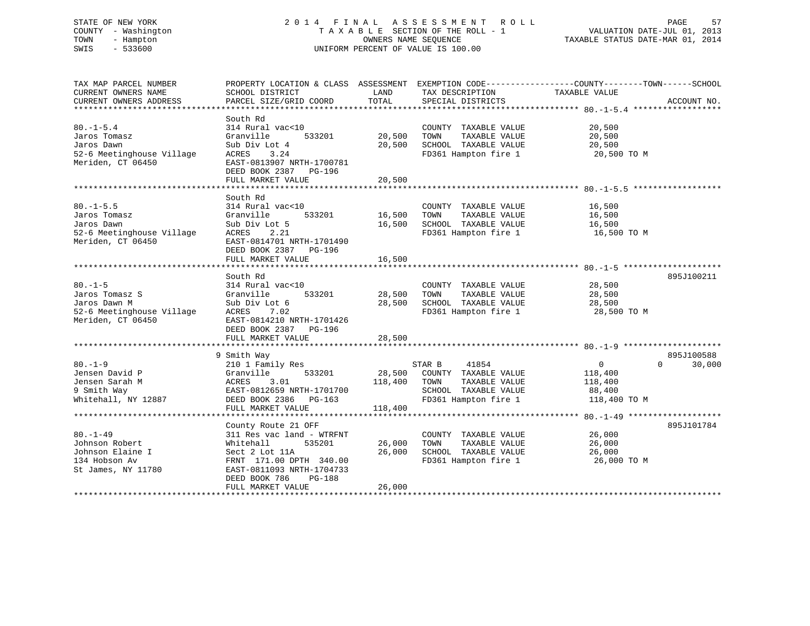# STATE OF NEW YORK 2 0 1 4 F I N A L A S S E S S M E N T R O L L PAGE 57 COUNTY - Washington T A X A B L E SECTION OF THE ROLL - 1 VALUATION DATE-JUL 01, 2013 TOWN - Hampton OWNERS NAME SEQUENCE TAXABLE STATUS DATE-MAR 01, 2014 SWIS - 533600 UNIFORM PERCENT OF VALUE IS 100.00

| TAX MAP PARCEL NUMBER<br>CURRENT OWNERS NAME<br>CURRENT OWNERS ADDRESS                           | PROPERTY LOCATION & CLASS ASSESSMENT EXEMPTION CODE---------------COUNTY-------TOWN-----SCHOOL<br>SCHOOL DISTRICT<br>PARCEL SIZE/GRID COORD                                | LAND<br>TOTAL                | TAX DESCRIPTION<br>SPECIAL DISTRICTS                                                                             | TAXABLE VALUE                                                              | ACCOUNT NO.          |
|--------------------------------------------------------------------------------------------------|----------------------------------------------------------------------------------------------------------------------------------------------------------------------------|------------------------------|------------------------------------------------------------------------------------------------------------------|----------------------------------------------------------------------------|----------------------|
| $80. -1 - 5.4$<br>Jaros Tomasz<br>Jaros Dawn<br>52-6 Meetinghouse Village<br>Meriden, CT 06450   | South Rd<br>314 Rural vac<10<br>Granville<br>533201<br>Sub Div Lot 4<br>ACRES<br>3.24<br>EAST-0813907 NRTH-1700781<br>DEED BOOK 2387 PG-196<br>FULL MARKET VALUE           | 20,500<br>20,500<br>20,500   | COUNTY TAXABLE VALUE<br>TAXABLE VALUE<br>TOWN<br>SCHOOL TAXABLE VALUE<br>FD361 Hampton fire 1                    | 20,500<br>20,500<br>20,500<br>20,500 TO M                                  |                      |
|                                                                                                  | South Rd                                                                                                                                                                   |                              |                                                                                                                  |                                                                            |                      |
| $80. -1 - 5.5$<br>Jaros Tomasz<br>Jaros Dawn<br>52-6 Meetinghouse Village<br>Meriden, CT 06450   | 314 Rural vac<10<br>Granville<br>533201<br>Sub Div Lot 5<br>2.21<br>ACRES<br>EAST-0814701 NRTH-1701490<br>DEED BOOK 2387 PG-196<br>FULL MARKET VALUE                       | 16,500<br>16,500<br>16,500   | COUNTY TAXABLE VALUE<br>TOWN<br>TAXABLE VALUE<br>SCHOOL TAXABLE VALUE<br>FD361 Hampton fire 1                    | 16,500<br>16,500<br>16,500<br>16,500 TO M                                  |                      |
|                                                                                                  |                                                                                                                                                                            |                              |                                                                                                                  |                                                                            |                      |
| $80. -1 - 5$<br>Jaros Tomasz S<br>Jaros Dawn M<br>52-6 Meetinghouse Village<br>Meriden, CT 06450 | South Rd<br>314 Rural vac<10<br>533201<br>Granville<br>Sub Div Lot 6<br>ACRES<br>7.02<br>EAST-0814210 NRTH-1701426<br>DEED BOOK 2387 PG-196                                | 28,500<br>28,500             | COUNTY TAXABLE VALUE<br>TAXABLE VALUE<br>TOWN<br>SCHOOL TAXABLE VALUE<br>FD361 Hampton fire 1                    | 28,500<br>28,500<br>28,500<br>28,500 TO M                                  | 895J100211           |
|                                                                                                  | FULL MARKET VALUE                                                                                                                                                          | 28,500                       |                                                                                                                  |                                                                            |                      |
| $80. -1 - 9$<br>Jensen David P<br>Jensen Sarah M<br>9 Smith Way<br>Whitehall, NY 12887           | 9 Smith Way<br>210 1 Family Res<br>Granville<br>533201<br>ACRES<br>3.01<br>EAST-0812659 NRTH-1701700<br>DEED BOOK 2386 PG-163<br>FULL MARKET VALUE                         | 28,500<br>118,400<br>118,400 | 41854<br>STAR B<br>COUNTY TAXABLE VALUE<br>TOWN<br>TAXABLE VALUE<br>SCHOOL TAXABLE VALUE<br>FD361 Hampton fire 1 | $\overline{0}$<br>$\Omega$<br>118,400<br>118,400<br>88,400<br>118,400 TO M | 895J100588<br>30,000 |
|                                                                                                  | County Route 21 OFF                                                                                                                                                        |                              |                                                                                                                  |                                                                            | 895J101784           |
| $80. -1 - 49$<br>Johnson Robert<br>Johnson Elaine I<br>134 Hobson Av<br>St James, NY 11780       | 311 Res vac land - WTRFNT<br>Whitehall<br>535201<br>Sect 2 Lot 11A<br>FRNT 171.00 DPTH 340.00<br>EAST-0811093 NRTH-1704733<br>DEED BOOK 786<br>PG-188<br>FULL MARKET VALUE | 26,000<br>26,000<br>26,000   | COUNTY TAXABLE VALUE<br>TAXABLE VALUE<br>TOWN<br>SCHOOL TAXABLE VALUE<br>FD361 Hampton fire 1                    | 26,000<br>26,000<br>26,000<br>26,000 TO M                                  |                      |
|                                                                                                  |                                                                                                                                                                            |                              |                                                                                                                  |                                                                            |                      |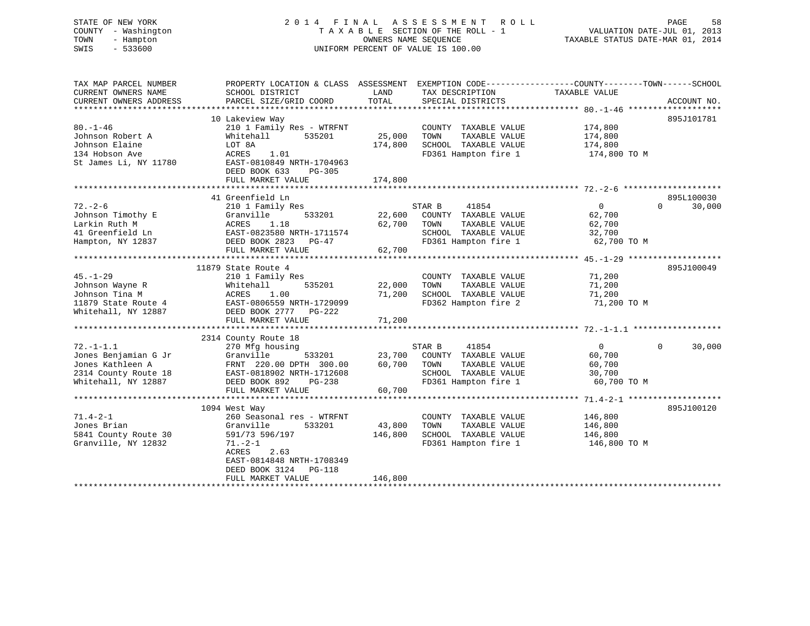# STATE OF NEW YORK 2 0 1 4 F I N A L A S S E S S M E N T R O L L PAGE 58 COUNTY - Washington T A X A B L E SECTION OF THE ROLL - 1 VALUATION DATE-JUL 01, 2013 TOWN - Hampton OWNERS NAME SEQUENCE TAXABLE STATUS DATE-MAR 01, 2014 SWIS - 533600 UNIFORM PERCENT OF VALUE IS 100.00

| TAX MAP PARCEL NUMBER<br>CURRENT OWNERS NAME | PROPERTY LOCATION & CLASS ASSESSMENT EXEMPTION CODE----------------COUNTY-------TOWN------SCHOOL<br>SCHOOL DISTRICT | LAND    | TAX DESCRIPTION       | TAXABLE VALUE              |             |
|----------------------------------------------|---------------------------------------------------------------------------------------------------------------------|---------|-----------------------|----------------------------|-------------|
| CURRENT OWNERS ADDRESS                       | PARCEL SIZE/GRID COORD                                                                                              | TOTAL   | SPECIAL DISTRICTS     |                            | ACCOUNT NO. |
|                                              |                                                                                                                     |         |                       |                            |             |
|                                              | 10 Lakeview Way                                                                                                     |         |                       |                            | 895J101781  |
| $80. - 1 - 46$                               | 210 1 Family Res - WTRFNT                                                                                           |         | COUNTY TAXABLE VALUE  | 174,800                    |             |
| Johnson Robert A                             | Whitehall 535201                                                                                                    | 25,000  | TOWN<br>TAXABLE VALUE | 174,800                    |             |
| Johnson Elaine                               | LOT 8A<br>1.01                                                                                                      | 174,800 | SCHOOL TAXABLE VALUE  | 174,800                    |             |
| 134 Hobson Ave<br>St James Li, NY 11780      | ACRES                                                                                                               |         | FD361 Hampton fire 1  | 174,800 TO M               |             |
|                                              | EAST-0810849 NRTH-1704963<br>DEED BOOK 633                                                                          |         |                       |                            |             |
|                                              | PG-305<br>FULL MARKET VALUE                                                                                         | 174,800 |                       |                            |             |
|                                              |                                                                                                                     |         |                       |                            |             |
|                                              | 41 Greenfield Ln                                                                                                    |         |                       |                            | 895L100030  |
| $72. - 2 - 6$                                | 210 1 Family Res                                                                                                    |         | STAR B<br>41854       | $\overline{0}$<br>$\Omega$ | 30,000      |
| Johnson Timothy E                            | 533201<br>Granville                                                                                                 | 22,600  | COUNTY TAXABLE VALUE  | 62,700                     |             |
| Larkin Ruth M                                | Granvi<br>ACRES<br>1.18                                                                                             | 62,700  | TOWN<br>TAXABLE VALUE | 62,700                     |             |
| 41 Greenfield Ln                             |                                                                                                                     |         | SCHOOL TAXABLE VALUE  | 32,700                     |             |
| Hampton, NY 12837                            | EAST-0823580 NRTH-1711574<br>DEED BOOK 2823 PG-47                                                                   |         | FD361 Hampton fire 1  | 62,700 TO M                |             |
|                                              | FULL MARKET VALUE                                                                                                   | 62,700  |                       |                            |             |
|                                              |                                                                                                                     |         |                       |                            |             |
|                                              | 11879 State Route 4                                                                                                 |         |                       |                            | 895J100049  |
| $45. - 1 - 29$                               | 210 1 Family Res                                                                                                    |         | COUNTY TAXABLE VALUE  | 71,200                     |             |
| Johnson Wayne R                              | Whitehall<br>535201                                                                                                 | 22,000  | TAXABLE VALUE<br>TOWN | 71,200                     |             |
| Johnson Tina M                               | ACRES<br>1.00                                                                                                       | 71,200  | SCHOOL TAXABLE VALUE  | 71,200                     |             |
| 11879 State Route 4                          | EAST-0806559 NRTH-1729099                                                                                           |         | FD362 Hampton fire 2  | 71,200 TO M                |             |
| Whitehall, NY 12887                          | DEED BOOK 2777 PG-222                                                                                               |         |                       |                            |             |
|                                              | FULL MARKET VALUE                                                                                                   | 71,200  |                       |                            |             |
|                                              |                                                                                                                     |         |                       |                            |             |
|                                              | 2314 County Route 18                                                                                                |         |                       |                            |             |
| $72. - 1 - 1.1$                              | 270 Mfg housing                                                                                                     |         | STAR B<br>41854       | 0<br>$\Omega$              | 30,000      |
| Jones Benjamian G Jr                         | Granville<br>533201                                                                                                 | 23,700  | COUNTY TAXABLE VALUE  | 60,700                     |             |
| Jones Kathleen A                             | FRNT 220.00 DPTH 300.00 60,700                                                                                      |         | TOWN<br>TAXABLE VALUE | 60,700                     |             |
| 2314 County Route 18                         | FRNT 220.00 DPTH 300.00<br>EAST-0818902 NRTH-1712608                                                                |         | SCHOOL TAXABLE VALUE  | 30,700                     |             |
| Whitehall, NY 12887 DEED BOOK 892            | PG-238                                                                                                              |         | FD361 Hampton fire 1  | 60,700 TO M                |             |
|                                              | FULL MARKET VALUE                                                                                                   | 60,700  |                       |                            |             |
|                                              |                                                                                                                     |         |                       |                            |             |
|                                              | 1094 West Way                                                                                                       |         |                       |                            | 895J100120  |
| $71.4 - 2 - 1$                               | 260 Seasonal res - WTRFNT                                                                                           |         | COUNTY TAXABLE VALUE  | 146,800                    |             |
| Jones Brian                                  | Granville<br>533201                                                                                                 | 43,800  | TAXABLE VALUE<br>TOWN | 146,800                    |             |
| 5841 County Route 30                         | 591/73 596/197                                                                                                      | 146,800 | SCHOOL TAXABLE VALUE  | 146,800                    |             |
| Granville, NY 12832                          | $71. - 2 - 1$                                                                                                       |         | FD361 Hampton fire 1  | 146,800 TO M               |             |
|                                              | ACRES<br>2.63                                                                                                       |         |                       |                            |             |
|                                              | EAST-0814848 NRTH-1708349                                                                                           |         |                       |                            |             |
|                                              | DEED BOOK 3124 PG-118                                                                                               |         |                       |                            |             |
|                                              | FULL MARKET VALUE                                                                                                   | 146,800 |                       |                            |             |
|                                              |                                                                                                                     |         |                       |                            |             |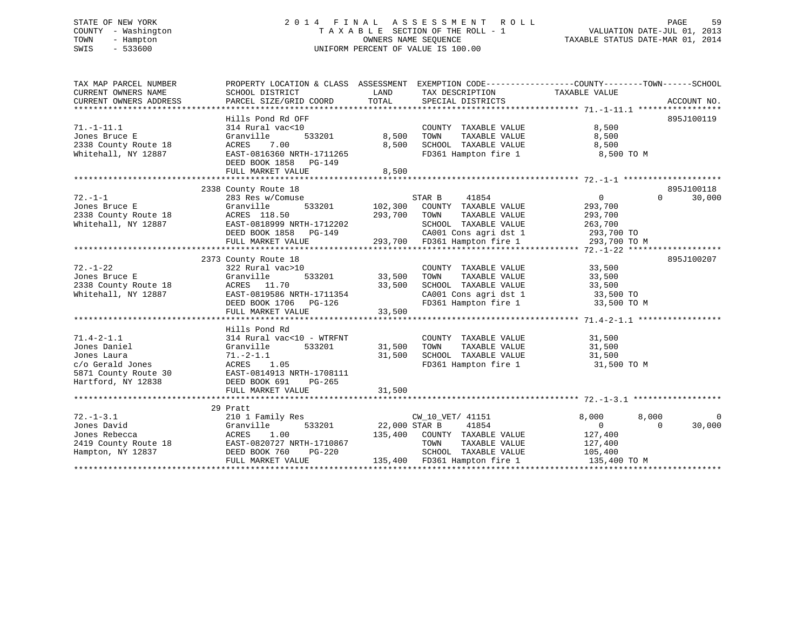# STATE OF NEW YORK 2 0 1 4 F I N A L A S S E S S M E N T R O L L PAGE 59 COUNTY - Washington T A X A B L E SECTION OF THE ROLL - 1 VALUATION DATE-JUL 01, 2013 TOWN - Hampton OWNERS NAME SEQUENCE TAXABLE STATUS DATE-MAR 01, 2014 SWIS - 533600 UNIFORM PERCENT OF VALUE IS 100.00

| TAX MAP PARCEL NUMBER<br>CURRENT OWNERS NAME<br>CURRENT OWNERS ADDRESS                                                                       | PROPERTY LOCATION & CLASS ASSESSMENT EXEMPTION CODE---------------COUNTY-------TOWN-----SCHOOL<br>SCHOOL DISTRICT<br>PARCEL SIZE/GRID COORD                                     | TOTAL                          | LAND TAX DESCRIPTION<br>SPECIAL DISTRICTS                                                                                                                                          | TAXABLE VALUE                                                          | ACCOUNT NO.                       |
|----------------------------------------------------------------------------------------------------------------------------------------------|---------------------------------------------------------------------------------------------------------------------------------------------------------------------------------|--------------------------------|------------------------------------------------------------------------------------------------------------------------------------------------------------------------------------|------------------------------------------------------------------------|-----------------------------------|
| $71. - 1 - 11.1$<br>Jones Bruce E<br>2338 County Route 18<br>Whitehall, NY 12887                                                             | Hills Pond Rd OFF<br>314 Rural vac<10<br>Granville<br>ACRES 7.00<br>EAST-0816360 NRTH-1711265<br>DEED BOOK 1858 PG-149<br>FULL MARKET VALUE                                     | 533201 8,500<br>8,500<br>8,500 | COUNTY TAXABLE VALUE<br>TOWN<br>TAXABLE VALUE<br>SCHOOL TAXABLE VALUE<br>FD361 Hampton fire 1 8,500 TO M                                                                           | 8,500<br>8,500<br>8,500                                                | 895J100119                        |
| $72. - 1 - 1$<br>Jones Bruce E<br>2338 County Route 18<br>Whitehall, NY 12887<br>Mitehall, NY 12887<br>Mitehall, NY 12887<br>Mitehall (2001) | 2338 County Route 18<br>County Route 18<br>283 Res w/Comuse<br>Granville<br><b>DEED BOOK 1858</b> PG-149<br>FULL MARKET VALUE                                                   |                                | STAR B 41854<br>533201 102,300 COUNTY TAXABLE VALUE<br>1712202 SCHOOL TAXABLE VALUE 263,700<br>3-149 CA001 Cons agri dst 1 293,700 TO<br>293,700 FD361 Hampton fire 1 293,700 TO M | $\overline{0}$<br>293,700<br>TAXABLE VALUE 293,700                     | 895J100118<br>30,000<br>$\Omega$  |
| $72. - 1 - 22$<br>Whitehall, NY 12887                                                                                                        | 2373 County Route 18<br>322 Rural vac>10<br>533201<br>ACRES 11.70<br>EAST-0819586 NRTH-1711354<br>DEED BOOK 1706 PG-126<br>FULL MARKET VALUE 33,500                             | 33,500<br>33,500               | COUNTY TAXABLE VALUE 33,500<br>TOWN TAXABLE VALUE 33,500<br>SCHOOL TAXABLE VALUE 33,500<br>CA001 Cons agri dst 1 33,500 TO<br>FD361 Hampton fire 1                                 | 33,500 TO M                                                            | 895J100207                        |
| $71.4 - 2 - 1.1$<br>Jones Daniel<br>Jones Laura<br>c/o Gerald Jones<br>5871 County Route 30<br>Hartford, NY 12838                            | Hills Pond Rd<br>314 Rural vac<10 - WTRFNT<br>533201 31,500<br>Granville<br>$71.-2-1.1$<br>ACRES 1.05<br>EAST-0814913 NRTH-1708111<br>DEED BOOK 691 PG-265<br>FULL MARKET VALUE | 31,500<br>31,500               | COUNTY TAXABLE VALUE<br>TAXABLE VALUE<br>TOWN<br>SCHOOL TAXABLE VALUE<br>FD361 Hampton fire 1                                                                                      | 31,500<br>31,500<br>31,500 TO M<br>31,500 TO M                         |                                   |
|                                                                                                                                              | 29 Pratt                                                                                                                                                                        |                                |                                                                                                                                                                                    |                                                                        |                                   |
| $72. - 1 - 3.1$<br>Jones David<br>Hampton, NY 12837 DEED BOOK 760                                                                            | 210 1 Family Res<br>Granville<br><b>PG-220</b><br>FULL MARKET VALUE                                                                                                             | 533201 22,000 STAR B           | CW_10_VET/ 41151<br>41854<br>SCHOOL TAXABLE VALUE<br>135,400 FD361 Hampton fire 1                                                                                                  | 8,000<br>8,000<br>$\overline{0}$<br>127,400<br>105,400<br>135,400 TO M | $\mathbf 0$<br>30,000<br>$\Omega$ |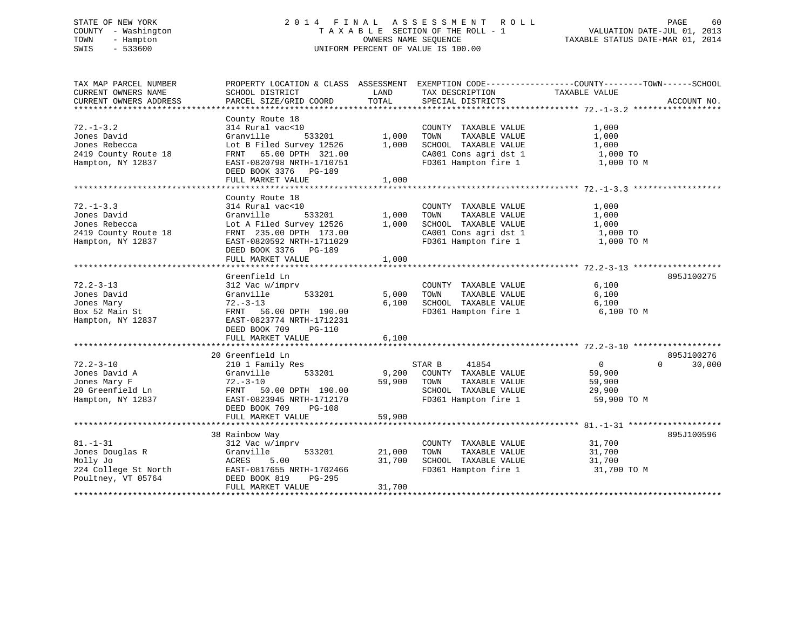# STATE OF NEW YORK 2 0 1 4 F I N A L A S S E S S M E N T R O L L PAGE 60 COUNTY - Washington T A X A B L E SECTION OF THE ROLL - 1 VALUATION DATE-JUL 01, 2013 TOWN - Hampton OWNERS NAME SEQUENCE TAXABLE STATUS DATE-MAR 01, 2014 SWIS - 533600 UNIFORM PERCENT OF VALUE IS 100.00

TAX MAP PARCEL NUMBER PROPERTY LOCATION & CLASS ASSESSMENT EXEMPTION CODE------------------COUNTY--------TOWN------SCHOOL CURRENT OWNERS NAME SCHOOL DISTRICT LAND TAX DESCRIPTION TAXABLE VALUE CURRENT OWNERS ADDRESS PARCEL SIZE/GRID COORD TOTAL SPECIAL DISTRICTS ACCOUNT NO. \*\*\*\*\*\*\*\*\*\*\*\*\*\*\*\*\*\*\*\*\*\*\*\*\*\*\*\*\*\*\*\*\*\*\*\*\*\*\*\*\*\*\*\*\*\*\*\*\*\*\*\*\*\*\*\*\*\*\*\*\*\*\*\*\*\*\*\*\*\*\*\*\*\*\*\*\*\*\*\*\*\*\*\*\*\*\*\*\*\*\*\*\*\*\*\*\*\*\*\*\*\*\* 72.-1-3.2 \*\*\*\*\*\*\*\*\*\*\*\*\*\*\*\*\*\* County Route 18 72.-1-3.2 314 Rural vac<10 COUNTY TAXABLE VALUE 1,000 Jones David Granville 533201 1,000 TOWN TAXABLE VALUE 1,000 Jones Rebecca Lot B Filed Survey 12526 1,000 SCHOOL TAXABLE VALUE 1,000 2419 County Route 18 FRNT 65.00 DPTH 321.00 CA001 Cons agri dst 1 1,000 TO Hampton, NY 12837 EAST-0820798 NRTH-1710751 FD361 Hampton fire 1 1,000 TO M DEED BOOK 3376 PG-189 FULL MARKET VALUE 1,000 \*\*\*\*\*\*\*\*\*\*\*\*\*\*\*\*\*\*\*\*\*\*\*\*\*\*\*\*\*\*\*\*\*\*\*\*\*\*\*\*\*\*\*\*\*\*\*\*\*\*\*\*\*\*\*\*\*\*\*\*\*\*\*\*\*\*\*\*\*\*\*\*\*\*\*\*\*\*\*\*\*\*\*\*\*\*\*\*\*\*\*\*\*\*\*\*\*\*\*\*\*\*\* 72.-1-3.3 \*\*\*\*\*\*\*\*\*\*\*\*\*\*\*\*\*\* County Route 18 72.-1-3.3 314 Rural vac<10 COUNTY TAXABLE VALUE 1,000 Jones David Granville 533201 1,000 TOWN TAXABLE VALUE 1,000 Jones Rebecca Lot A Filed Survey 12526 1,000 SCHOOL TAXABLE VALUE 1,000 2419 County Route 18 FRNT 235.00 DPTH 173.00 CA001 Cons agri dst 1 1,000 TO Hampton, NY 12837 EAST-0820592 NRTH-1711029 FD361 Hampton fire 1 1,000 TO M DEED BOOK 3376 PG-189 FULL MARKET VALUE 1,000 \*\*\*\*\*\*\*\*\*\*\*\*\*\*\*\*\*\*\*\*\*\*\*\*\*\*\*\*\*\*\*\*\*\*\*\*\*\*\*\*\*\*\*\*\*\*\*\*\*\*\*\*\*\*\*\*\*\*\*\*\*\*\*\*\*\*\*\*\*\*\*\*\*\*\*\*\*\*\*\*\*\*\*\*\*\*\*\*\*\*\*\*\*\*\*\*\*\*\*\*\*\*\* 72.2-3-13 \*\*\*\*\*\*\*\*\*\*\*\*\*\*\*\*\*\* Greenfield Ln 895J10027572.2-3-13 312 Vac w/imprv COUNTY TAXABLE VALUE 6,100 Jones David Granville 533201 5,000 TOWN TAXABLE VALUE 6,100 Jones Mary 72.-3-13 6,100 SCHOOL TAXABLE VALUE 6,100 Box 52 Main St FRNT 56.00 DPTH 190.00 FD361 Hampton fire 1 6,100 TO M Hampton, NY 12837 EAST-0823774 NRTH-1712231 DEED BOOK 709 PG-110 FULL MARKET VALUE 6,100 \*\*\*\*\*\*\*\*\*\*\*\*\*\*\*\*\*\*\*\*\*\*\*\*\*\*\*\*\*\*\*\*\*\*\*\*\*\*\*\*\*\*\*\*\*\*\*\*\*\*\*\*\*\*\*\*\*\*\*\*\*\*\*\*\*\*\*\*\*\*\*\*\*\*\*\*\*\*\*\*\*\*\*\*\*\*\*\*\*\*\*\*\*\*\*\*\*\*\*\*\*\*\* 72.2-3-10 \*\*\*\*\*\*\*\*\*\*\*\*\*\*\*\*\*\* 20 Greenfield Ln 895J100276 $0 \t 30,000$ 72.2-3-10 210 1 Family Res STAR B 41854 0 0 30,000 Jones David A Granville 533201 9,200 COUNTY TAXABLE VALUE 59,900 Jones Mary F 72.-3-10 59,900 TOWN TAXABLE VALUE 59,900 20 Greenfield Ln FRNT 50.00 DPTH 190.00 SCHOOL TAXABLE VALUE 29,900 Hampton, NY 12837 EAST-0823945 NRTH-1712170 FD361 Hampton fire 1 59,900 TO M DEED BOOK 709 PG-108 FULL MARKET VALUE 59,900 \*\*\*\*\*\*\*\*\*\*\*\*\*\*\*\*\*\*\*\*\*\*\*\*\*\*\*\*\*\*\*\*\*\*\*\*\*\*\*\*\*\*\*\*\*\*\*\*\*\*\*\*\*\*\*\*\*\*\*\*\*\*\*\*\*\*\*\*\*\*\*\*\*\*\*\*\*\*\*\*\*\*\*\*\*\*\*\*\*\*\*\*\*\*\*\*\*\*\*\*\*\*\* 81.-1-31 \*\*\*\*\*\*\*\*\*\*\*\*\*\*\*\*\*\*\* 38 Rainbow Way 895J100596 81.-1-31 312 Vac w/imprv COUNTY TAXABLE VALUE 31,700 Jones Douglas R Granville 533201 21,000 TOWN TAXABLE VALUE 31,700 Molly Jo ACRES 5.00 31,700 SCHOOL TAXABLE VALUE 31,700 224 College St North EAST-0817655 NRTH-1702466 FD361 Hampton fire 1 31,700 TO M Poultney, VT 05764 DEED BOOK 819 PG-295 FULL MARKET VALUE 31,700 \*\*\*\*\*\*\*\*\*\*\*\*\*\*\*\*\*\*\*\*\*\*\*\*\*\*\*\*\*\*\*\*\*\*\*\*\*\*\*\*\*\*\*\*\*\*\*\*\*\*\*\*\*\*\*\*\*\*\*\*\*\*\*\*\*\*\*\*\*\*\*\*\*\*\*\*\*\*\*\*\*\*\*\*\*\*\*\*\*\*\*\*\*\*\*\*\*\*\*\*\*\*\*\*\*\*\*\*\*\*\*\*\*\*\*\*\*\*\*\*\*\*\*\*\*\*\*\*\*\*\*\*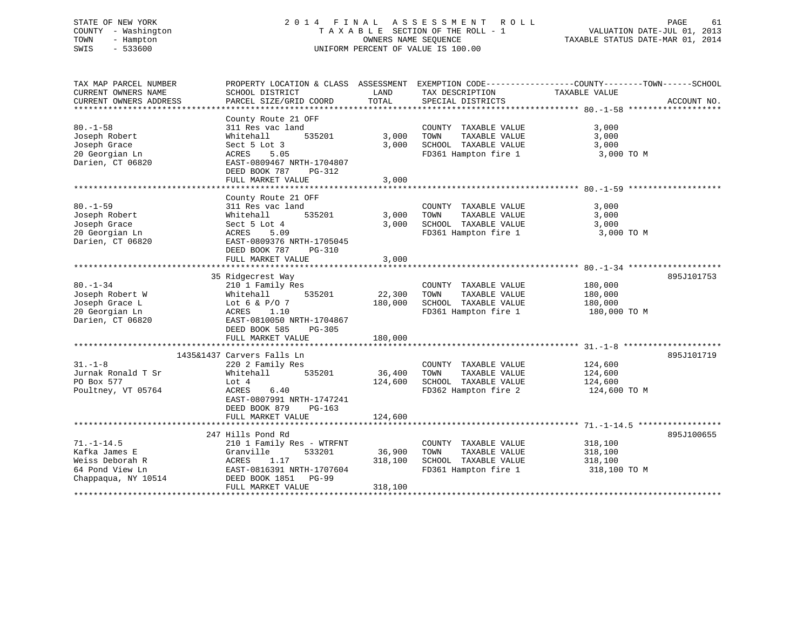# STATE OF NEW YORK 2 0 1 4 F I N A L A S S E S S M E N T R O L L PAGE 61 COUNTY - Washington T A X A B L E SECTION OF THE ROLL - 1 VALUATION DATE-JUL 01, 2013 TOWN - Hampton OWNERS NAME SEQUENCE TAXABLE STATUS DATE-MAR 01, 2014 SWIS - 533600 UNIFORM PERCENT OF VALUE IS 100.00

| TAX MAP PARCEL NUMBER<br>CURRENT OWNERS NAME                                                   | PROPERTY LOCATION & CLASS ASSESSMENT EXEMPTION CODE----------------COUNTY-------TOWN------SCHOOL<br>SCHOOL DISTRICT                                                            | LAND                         | TAX DESCRIPTION                                                                               | TAXABLE VALUE                                 |             |
|------------------------------------------------------------------------------------------------|--------------------------------------------------------------------------------------------------------------------------------------------------------------------------------|------------------------------|-----------------------------------------------------------------------------------------------|-----------------------------------------------|-------------|
| CURRENT OWNERS ADDRESS                                                                         | PARCEL SIZE/GRID COORD                                                                                                                                                         | TOTAL                        | SPECIAL DISTRICTS                                                                             |                                               | ACCOUNT NO. |
| $80. - 1 - 58$<br>Joseph Robert<br>Joseph Grace<br>20 Georgian Ln<br>Darien, CT 06820          | County Route 21 OFF<br>311 Res vac land<br>535201<br>Whitehall<br>Sect 5 Lot 3<br>5.05<br>ACRES<br>EAST-0809467 NRTH-1704807<br>DEED BOOK 787<br>PG-312<br>FULL MARKET VALUE   | 3,000<br>3,000<br>3,000      | COUNTY TAXABLE VALUE<br>TOWN<br>TAXABLE VALUE<br>SCHOOL TAXABLE VALUE<br>FD361 Hampton fire 1 | 3,000<br>3,000<br>3,000<br>3,000 TO M         |             |
| $80. - 1 - 59$<br>Joseph Robert<br>Joseph Grace<br>20 Georgian Ln<br>Darien, CT 06820          | County Route 21 OFF<br>311 Res vac land<br>535201<br>Whitehall<br>Sect 5 Lot 4<br>ACRES<br>5.09<br>EAST-0809376 NRTH-1705045<br>DEED BOOK 787<br>PG-310<br>FULL MARKET VALUE   | 3,000<br>3,000<br>3,000      | COUNTY TAXABLE VALUE<br>TOWN<br>TAXABLE VALUE<br>SCHOOL TAXABLE VALUE<br>FD361 Hampton fire 1 | 3,000<br>3,000<br>3,000<br>3,000 TO M         |             |
| $80. - 1 - 34$<br>Joseph Robert W<br>Joseph Grace L<br>20 Georgian Ln<br>Darien, CT 06820      | 35 Ridgecrest Way<br>210 1 Family Res<br>535201<br>Whitehall<br>Lot 6 & $P/O$ 7<br>ACRES 1.10<br>EAST-0810050 NRTH-1704867<br>DEED BOOK 585<br>PG-305<br>FULL MARKET VALUE     | 22,300<br>180,000<br>180,000 | COUNTY TAXABLE VALUE<br>TOWN<br>TAXABLE VALUE<br>SCHOOL TAXABLE VALUE<br>FD361 Hampton fire 1 | 180,000<br>180,000<br>180,000<br>180,000 TO M | 895J101753  |
| $31. - 1 - 8$<br>Jurnak Ronald T Sr<br>PO Box 577<br>Poultney, VT 05764                        | 1435&1437 Carvers Falls Ln<br>220 2 Family Res<br>535201<br>Whitehall<br>Lot 4<br>ACRES<br>6.40<br>EAST-0807991 NRTH-1747241<br>DEED BOOK 879<br>$PG-163$<br>FULL MARKET VALUE | 36,400<br>124,600<br>124,600 | COUNTY TAXABLE VALUE<br>TAXABLE VALUE<br>TOWN<br>SCHOOL TAXABLE VALUE<br>FD362 Hampton fire 2 | 124,600<br>124,600<br>124,600<br>124,600 TO M | 895J101719  |
|                                                                                                |                                                                                                                                                                                |                              |                                                                                               |                                               |             |
| $71. - 1 - 14.5$<br>Kafka James E<br>Weiss Deborah R<br>64 Pond View Ln<br>Chappaqua, NY 10514 | 247 Hills Pond Rd<br>210 1 Family Res - WTRFNT<br>533201<br>Granville<br>ACRES<br>1.17<br>EAST-0816391 NRTH-1707604<br>DEED BOOK 1851 PG-99<br>FULL MARKET VALUE               | 36,900<br>318,100<br>318,100 | COUNTY TAXABLE VALUE<br>TAXABLE VALUE<br>TOWN<br>SCHOOL TAXABLE VALUE<br>FD361 Hampton fire 1 | 318,100<br>318,100<br>318,100<br>318,100 TO M | 895J100655  |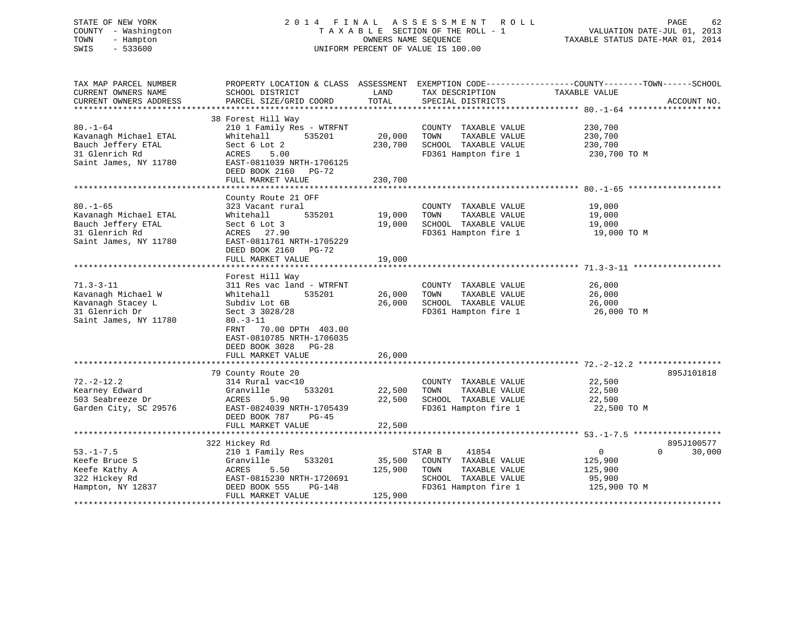# STATE OF NEW YORK 2 0 1 4 F I N A L A S S E S S M E N T R O L L PAGE 62 COUNTY - Washington T A X A B L E SECTION OF THE ROLL - 1 VALUATION DATE-JUL 01, 2013 TOWN - Hampton OWNERS NAME SEQUENCE TAXABLE STATUS DATE-MAR 01, 2014 SWIS - 533600 UNIFORM PERCENT OF VALUE IS 100.00

| TAX MAP PARCEL NUMBER<br>CURRENT OWNERS NAME<br>CURRENT OWNERS ADDRESS                                   | SCHOOL DISTRICT<br>PARCEL SIZE/GRID COORD                                                                                                                                                   | LAND<br>TOTAL                | TAX DESCRIPTION<br>SPECIAL DISTRICTS                                                          | PROPERTY LOCATION & CLASS ASSESSMENT EXEMPTION CODE----------------COUNTY-------TOWN------SCHOOL<br>TAXABLE VALUE<br>ACCOUNT NO. |
|----------------------------------------------------------------------------------------------------------|---------------------------------------------------------------------------------------------------------------------------------------------------------------------------------------------|------------------------------|-----------------------------------------------------------------------------------------------|----------------------------------------------------------------------------------------------------------------------------------|
| $80. - 1 - 64$<br>Kavanagh Michael ETAL<br>Bauch Jeffery ETAL<br>31 Glenrich Rd<br>Saint James, NY 11780 | 38 Forest Hill Way<br>210 1 Family Res - WTRFNT<br>535201<br>Whitehall<br>Sect 6 Lot 2<br>ACRES<br>5.00<br>EAST-0811039 NRTH-1706125<br>DEED BOOK 2160<br><b>PG-72</b><br>FULL MARKET VALUE | 20,000<br>230,700<br>230,700 | COUNTY TAXABLE VALUE<br>TOWN<br>TAXABLE VALUE<br>SCHOOL TAXABLE VALUE<br>FD361 Hampton fire 1 | 230,700<br>230,700<br>230,700<br>230,700 TO M                                                                                    |
| $80. - 1 - 65$<br>Kavanagh Michael ETAL<br>Bauch Jeffery ETAL<br>31 Glenrich Rd<br>Saint James, NY 11780 | County Route 21 OFF<br>323 Vacant rural<br>535201<br>Whitehall<br>Sect 6 Lot 3<br>ACRES 27.90<br>EAST-0811761 NRTH-1705229<br>DEED BOOK 2160<br>PG-72<br>FULL MARKET VALUE                  | 19,000<br>19,000<br>19,000   | COUNTY TAXABLE VALUE<br>TOWN<br>TAXABLE VALUE<br>SCHOOL TAXABLE VALUE<br>FD361 Hampton fire 1 | 19,000<br>19,000<br>19,000<br>19,000 TO M                                                                                        |
| $71.3 - 3 - 11$<br>Kavanagh Michael W<br>Kavanagh Stacey L                                               | Forest Hill Way<br>311 Res vac land - WTRFNT<br>535201<br>Whitehall<br>Subdiv Lot 6B                                                                                                        | 26,000<br>26,000             | COUNTY TAXABLE VALUE<br>TOWN<br>TAXABLE VALUE<br>SCHOOL TAXABLE VALUE                         | 26,000<br>26,000<br>26,000                                                                                                       |
| 31 Glenrich Dr<br>Saint James, NY 11780                                                                  | Sect 3 3028/28<br>$80. -3 - 11$<br>FRNT<br>70.00 DPTH 403.00<br>EAST-0810785 NRTH-1706035<br>DEED BOOK 3028 PG-28                                                                           |                              | FD361 Hampton fire 1                                                                          | 26,000 TO M                                                                                                                      |
|                                                                                                          | FULL MARKET VALUE                                                                                                                                                                           | 26,000                       |                                                                                               |                                                                                                                                  |
|                                                                                                          | 79 County Route 20                                                                                                                                                                          |                              |                                                                                               | 895J101818                                                                                                                       |
| $72. - 2 - 12.2$                                                                                         | 314 Rural vac<10                                                                                                                                                                            |                              | COUNTY TAXABLE VALUE                                                                          | 22,500                                                                                                                           |
| Kearney Edward                                                                                           | 533201<br>Granville                                                                                                                                                                         | 22,500                       | TAXABLE VALUE<br>TOWN                                                                         | 22,500                                                                                                                           |
| 503 Seabreeze Dr                                                                                         | ACRES<br>5.90                                                                                                                                                                               | 22,500                       | SCHOOL TAXABLE VALUE                                                                          | 22,500                                                                                                                           |
| Garden City, SC 29576                                                                                    | EAST-0824039 NRTH-1705439<br>DEED BOOK 787<br>PG-45                                                                                                                                         |                              | FD361 Hampton fire 1                                                                          | 22,500 TO M                                                                                                                      |
|                                                                                                          | FULL MARKET VALUE                                                                                                                                                                           | 22,500                       |                                                                                               |                                                                                                                                  |
|                                                                                                          | 322 Hickey Rd                                                                                                                                                                               |                              |                                                                                               | 895J100577                                                                                                                       |
| $53. - 1 - 7.5$                                                                                          | 210 1 Family Res                                                                                                                                                                            |                              | STAR B<br>41854                                                                               | $\mathbf 0$<br>$\Omega$<br>30,000                                                                                                |
| Keefe Bruce S                                                                                            | Granville<br>533201                                                                                                                                                                         | 35,500                       | COUNTY TAXABLE VALUE                                                                          | 125,900                                                                                                                          |
| Keefe Kathy A                                                                                            | ACRES<br>5.50                                                                                                                                                                               | 125,900                      | TOWN<br>TAXABLE VALUE                                                                         | 125,900                                                                                                                          |
| 322 Hickey Rd                                                                                            | EAST-0815230 NRTH-1720691                                                                                                                                                                   |                              | SCHOOL TAXABLE VALUE                                                                          | 95,900                                                                                                                           |
| Hampton, NY 12837                                                                                        | DEED BOOK 555<br>PG-148<br>FULL MARKET VALUE                                                                                                                                                | 125,900                      | FD361 Hampton fire 1                                                                          | 125,900 TO M                                                                                                                     |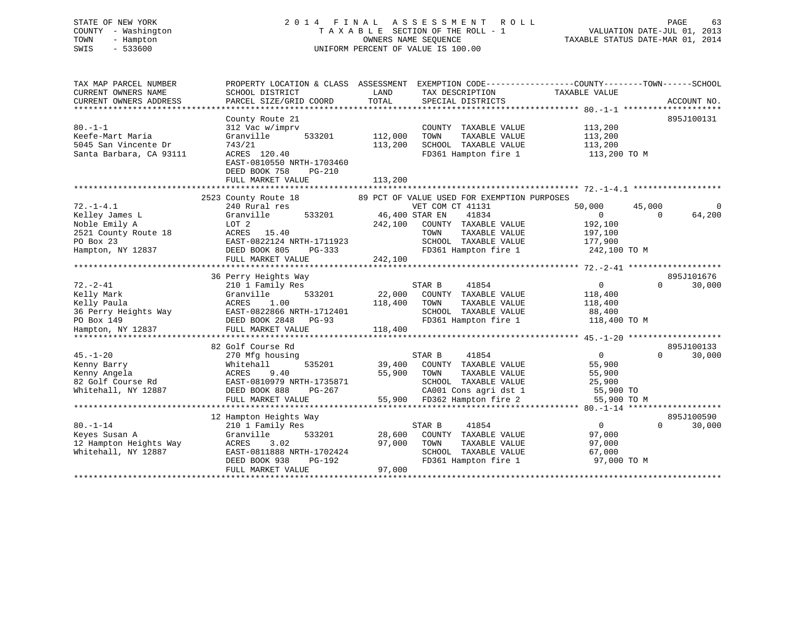# STATE OF NEW YORK 2 0 1 4 F I N A L A S S E S S M E N T R O L L PAGE 63 COUNTY - Washington T A X A B L E SECTION OF THE ROLL - 1 VALUATION DATE-JUL 01, 2013 TOWN - Hampton OWNERS NAME SEQUENCE TAXABLE STATUS DATE-MAR 01, 2014 SWIS - 533600 UNIFORM PERCENT OF VALUE IS 100.00

| TAX MAP PARCEL NUMBER                         |                                           |                                                       | PROPERTY LOCATION & CLASS ASSESSMENT EXEMPTION CODE---------------COUNTY-------TOWN-----SCHOOL<br>TAXABLE VALUE |
|-----------------------------------------------|-------------------------------------------|-------------------------------------------------------|-----------------------------------------------------------------------------------------------------------------|
| CURRENT OWNERS NAME<br>CURRENT OWNERS ADDRESS | SCHOOL DISTRICT<br>PARCEL SIZE/GRID COORD | LAND<br>TAX DESCRIPTION<br>TOTAL<br>SPECIAL DISTRICTS | ACCOUNT NO.                                                                                                     |
|                                               |                                           |                                                       |                                                                                                                 |
|                                               | County Route 21                           |                                                       | 895J100131                                                                                                      |
| $80. -1 - 1$                                  | 312 Vac w/imprv                           | COUNTY TAXABLE VALUE                                  | 113,200                                                                                                         |
| Keefe-Mart Maria                              | Granville<br>533201                       | 112,000<br>TAXABLE VALUE<br>TOWN                      | 113,200                                                                                                         |
| 5045 San Vincente Dr                          | 743/21                                    | 113,200<br>SCHOOL TAXABLE VALUE                       | 113,200                                                                                                         |
| Santa Barbara, CA 93111                       | ACRES 120.40                              | FD361 Hampton fire 1                                  | 113,200 TO M                                                                                                    |
|                                               | EAST-0810550 NRTH-1703460                 |                                                       |                                                                                                                 |
|                                               | DEED BOOK 758<br>$PG-210$                 |                                                       |                                                                                                                 |
|                                               | FULL MARKET VALUE                         | 113,200                                               |                                                                                                                 |
|                                               |                                           |                                                       |                                                                                                                 |
|                                               | 2523 County Route 18                      | 89 PCT OF VALUE USED FOR EXEMPTION PURPOSES           |                                                                                                                 |
| $72. - 1 - 4.1$                               | 240 Rural res                             | VET COM CT 41131                                      | 50,000<br>45,000                                                                                                |
| Kelley James L                                | 533201<br>Granville                       | 46,400 STAR EN<br>41834                               | $\overline{0}$<br>64,200<br>$\Omega$                                                                            |
| Noble Emily A                                 | LOT 2                                     | 242,100<br>COUNTY TAXABLE VALUE                       | 192,100                                                                                                         |
| 2521 County Route 18                          | ACRES 15.40                               | TOWN<br>TAXABLE VALUE                                 | 197,100                                                                                                         |
| PO Box 23                                     | EAST-0822124 NRTH-1711923                 | SCHOOL TAXABLE VALUE                                  | 177,900                                                                                                         |
| Hampton, NY 12837                             | DEED BOOK 805<br>PG-333                   | FD361 Hampton fire 1                                  | 242,100 TO M                                                                                                    |
|                                               | FULL MARKET VALUE                         | 242,100                                               |                                                                                                                 |
|                                               |                                           |                                                       |                                                                                                                 |
|                                               | 36 Perry Heights Way                      |                                                       | 895J101676                                                                                                      |
| $72. - 2 - 41$                                | 210 1 Family Res                          | STAR B<br>41854                                       | 0<br>$\Omega$<br>30,000                                                                                         |
| Kelly Mark                                    | 533201<br>Granville                       | 22,000<br>COUNTY TAXABLE VALUE                        | 118,400                                                                                                         |
| Kelly Paula                                   | ACRES<br>1.00                             | 118,400<br>TOWN<br>TAXABLE VALUE                      | 118,400                                                                                                         |
| 36 Perry Heights Way                          | EAST-0822866 NRTH-1712401                 | SCHOOL TAXABLE VALUE                                  | 88,400                                                                                                          |
| PO Box 149                                    | DEED BOOK 2848 PG-93                      | FD361 Hampton fire 1                                  | 118,400 TO M                                                                                                    |
| Hampton, NY 12837                             | FULL MARKET VALUE                         | 118,400                                               |                                                                                                                 |
|                                               |                                           |                                                       |                                                                                                                 |
|                                               | 82 Golf Course Rd                         |                                                       | 895J100133                                                                                                      |
| $45. - 1 - 20$                                | 270 Mfg housing                           | 41854<br>STAR B                                       | $\overline{0}$<br>30,000<br>$\Omega$                                                                            |
| Kenny Barry                                   | 535201<br>Whitehall                       | 39,400<br>COUNTY TAXABLE VALUE                        | 55,900                                                                                                          |
| Kenny Angela                                  | ACRES<br>9.40                             | 55,900<br>TOWN<br>TAXABLE VALUE                       | 55,900                                                                                                          |
| 82 Golf Course Rd                             | EAST-0810979 NRTH-1735871                 | SCHOOL TAXABLE VALUE                                  | 25,900                                                                                                          |
| Whitehall, NY 12887                           | DEED BOOK 888<br>PG-267                   | CA001 Cons agri dst 1                                 | 55,900 TO                                                                                                       |
|                                               | FULL MARKET VALUE                         | 55,900 FD362 Hampton fire 2                           | 55,900 TO M                                                                                                     |
|                                               | **************************                |                                                       |                                                                                                                 |
|                                               | 12 Hampton Heights Way                    |                                                       | 895J100590                                                                                                      |
| $80. - 1 - 14$                                | 210 1 Family Res                          | 41854<br>STAR B                                       | $\overline{0}$<br>$\Omega$<br>30,000                                                                            |
| Keyes Susan A                                 | 533201<br>Granville                       | 28,600<br>COUNTY TAXABLE VALUE                        | 97,000                                                                                                          |
| 12 Hampton Heights Way                        | ACRES<br>3.02                             | 97,000<br>TAXABLE VALUE<br>TOWN                       | 97,000                                                                                                          |
| Whitehall, NY 12887                           | EAST-0811888 NRTH-1702424                 | SCHOOL TAXABLE VALUE                                  | 67,000                                                                                                          |
|                                               | DEED BOOK 938<br>PG-192                   | FD361 Hampton fire 1                                  | 97,000 TO M                                                                                                     |
|                                               | FULL MARKET VALUE                         | 97,000                                                |                                                                                                                 |
|                                               |                                           |                                                       |                                                                                                                 |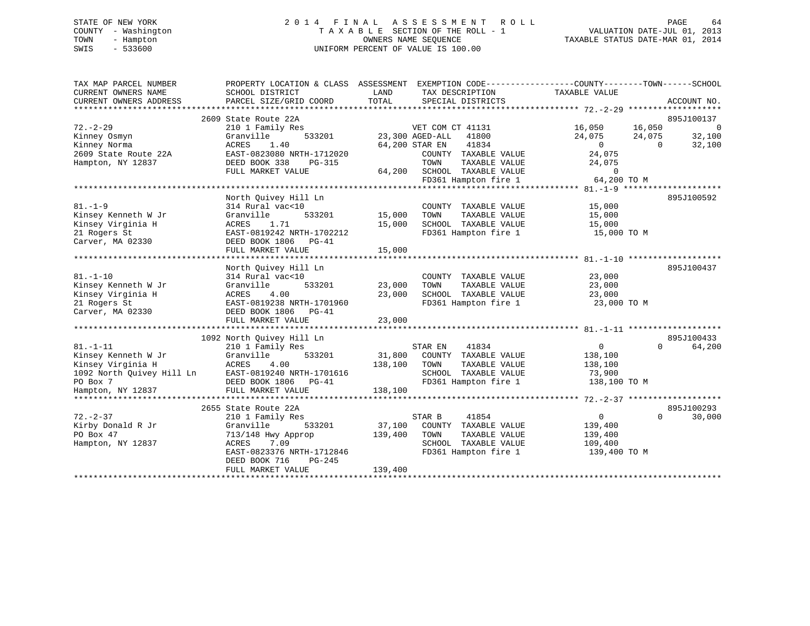# STATE OF NEW YORK 2 0 1 4 F I N A L A S S E S S M E N T R O L L PAGE 64 COUNTY - Washington T A X A B L E SECTION OF THE ROLL - 1 VALUATION DATE-JUL 01, 2013 TOWN - Hampton OWNERS NAME SEQUENCE TAXABLE STATUS DATE-MAR 01, 2014 SWIS - 533600 UNIFORM PERCENT OF VALUE IS 100.00

| 2609 State Route 22A<br>$72. - 2 - 29$<br>210 1 Family Res<br>VET COM CT 41131<br>16,050<br>16,050<br>Granville<br>533201<br>23,300 AGED-ALL<br>41800<br>24,075<br>Kinney Osmyn<br>24,075<br>41834<br>Kinney Norma<br>1.40<br>64,200 STAR EN<br>$\overline{0}$<br>ACRES<br>$\Omega$<br>24,075<br>2609 State Route 22A<br>EAST-0823080 NRTH-1712020<br>COUNTY TAXABLE VALUE<br>Hampton, NY 12837<br>DEED BOOK 338<br>PG-315<br>TOWN<br>TAXABLE VALUE<br>24,075<br>FULL MARKET VALUE<br>64,200 SCHOOL TAXABLE VALUE<br>$\Omega$<br>FD361 Hampton fire 1<br>64,200 TO M<br>North Quivey Hill Ln<br>$81. - 1 - 9$<br>314 Rural vac<10<br>15,000<br>COUNTY TAXABLE VALUE<br>Kinsey Kenneth W Jr<br>15,000<br>TAXABLE VALUE<br>Granville<br>533201<br>TOWN<br>15,000<br>SCHOOL TAXABLE VALUE<br>Kinsey Virginia H<br>ACRES<br>1.71<br>15,000<br>15,000<br>21 Rogers St<br>EAST-0819242 NRTH-1702212<br>FD361 Hampton fire 1<br>15,000 TO M<br>Carver, MA 02330<br>DEED BOOK 1806<br>PG-41 | TAX MAP PARCEL NUMBER<br>CURRENT OWNERS NAME<br>CURRENT OWNERS ADDRESS | SCHOOL DISTRICT<br>PARCEL SIZE/GRID COORD | LAND<br>TAX DESCRIPTION<br>TOTAL<br>SPECIAL DISTRICTS | PROPERTY LOCATION & CLASS ASSESSMENT EXEMPTION CODE---------------COUNTY-------TOWN-----SCHOOL<br>TAXABLE VALUE<br>ACCOUNT NO. |
|-------------------------------------------------------------------------------------------------------------------------------------------------------------------------------------------------------------------------------------------------------------------------------------------------------------------------------------------------------------------------------------------------------------------------------------------------------------------------------------------------------------------------------------------------------------------------------------------------------------------------------------------------------------------------------------------------------------------------------------------------------------------------------------------------------------------------------------------------------------------------------------------------------------------------------------------------------------------------------------|------------------------------------------------------------------------|-------------------------------------------|-------------------------------------------------------|--------------------------------------------------------------------------------------------------------------------------------|
|                                                                                                                                                                                                                                                                                                                                                                                                                                                                                                                                                                                                                                                                                                                                                                                                                                                                                                                                                                                     |                                                                        |                                           |                                                       |                                                                                                                                |
|                                                                                                                                                                                                                                                                                                                                                                                                                                                                                                                                                                                                                                                                                                                                                                                                                                                                                                                                                                                     |                                                                        |                                           |                                                       | 895J100137                                                                                                                     |
|                                                                                                                                                                                                                                                                                                                                                                                                                                                                                                                                                                                                                                                                                                                                                                                                                                                                                                                                                                                     |                                                                        |                                           |                                                       | $\overline{0}$                                                                                                                 |
|                                                                                                                                                                                                                                                                                                                                                                                                                                                                                                                                                                                                                                                                                                                                                                                                                                                                                                                                                                                     |                                                                        |                                           |                                                       | 32,100                                                                                                                         |
|                                                                                                                                                                                                                                                                                                                                                                                                                                                                                                                                                                                                                                                                                                                                                                                                                                                                                                                                                                                     |                                                                        |                                           |                                                       | 32,100                                                                                                                         |
|                                                                                                                                                                                                                                                                                                                                                                                                                                                                                                                                                                                                                                                                                                                                                                                                                                                                                                                                                                                     |                                                                        |                                           |                                                       |                                                                                                                                |
|                                                                                                                                                                                                                                                                                                                                                                                                                                                                                                                                                                                                                                                                                                                                                                                                                                                                                                                                                                                     |                                                                        |                                           |                                                       |                                                                                                                                |
|                                                                                                                                                                                                                                                                                                                                                                                                                                                                                                                                                                                                                                                                                                                                                                                                                                                                                                                                                                                     |                                                                        |                                           |                                                       |                                                                                                                                |
|                                                                                                                                                                                                                                                                                                                                                                                                                                                                                                                                                                                                                                                                                                                                                                                                                                                                                                                                                                                     |                                                                        |                                           |                                                       |                                                                                                                                |
|                                                                                                                                                                                                                                                                                                                                                                                                                                                                                                                                                                                                                                                                                                                                                                                                                                                                                                                                                                                     |                                                                        |                                           |                                                       |                                                                                                                                |
|                                                                                                                                                                                                                                                                                                                                                                                                                                                                                                                                                                                                                                                                                                                                                                                                                                                                                                                                                                                     |                                                                        |                                           |                                                       | 895J100592                                                                                                                     |
|                                                                                                                                                                                                                                                                                                                                                                                                                                                                                                                                                                                                                                                                                                                                                                                                                                                                                                                                                                                     |                                                                        |                                           |                                                       |                                                                                                                                |
|                                                                                                                                                                                                                                                                                                                                                                                                                                                                                                                                                                                                                                                                                                                                                                                                                                                                                                                                                                                     |                                                                        |                                           |                                                       |                                                                                                                                |
|                                                                                                                                                                                                                                                                                                                                                                                                                                                                                                                                                                                                                                                                                                                                                                                                                                                                                                                                                                                     |                                                                        |                                           |                                                       |                                                                                                                                |
|                                                                                                                                                                                                                                                                                                                                                                                                                                                                                                                                                                                                                                                                                                                                                                                                                                                                                                                                                                                     |                                                                        |                                           |                                                       |                                                                                                                                |
|                                                                                                                                                                                                                                                                                                                                                                                                                                                                                                                                                                                                                                                                                                                                                                                                                                                                                                                                                                                     |                                                                        |                                           |                                                       |                                                                                                                                |
|                                                                                                                                                                                                                                                                                                                                                                                                                                                                                                                                                                                                                                                                                                                                                                                                                                                                                                                                                                                     |                                                                        | FULL MARKET VALUE                         | 15,000                                                |                                                                                                                                |
|                                                                                                                                                                                                                                                                                                                                                                                                                                                                                                                                                                                                                                                                                                                                                                                                                                                                                                                                                                                     |                                                                        |                                           |                                                       |                                                                                                                                |
| North Quivey Hill Ln                                                                                                                                                                                                                                                                                                                                                                                                                                                                                                                                                                                                                                                                                                                                                                                                                                                                                                                                                                |                                                                        |                                           |                                                       | 895J100437                                                                                                                     |
| $81. - 1 - 10$<br>314 Rural vac<10<br>23,000<br>COUNTY TAXABLE VALUE                                                                                                                                                                                                                                                                                                                                                                                                                                                                                                                                                                                                                                                                                                                                                                                                                                                                                                                |                                                                        |                                           |                                                       |                                                                                                                                |
| Kinsey Kenneth W Jr<br>Granville<br>533201<br>23,000<br>TOWN<br>TAXABLE VALUE<br>23,000                                                                                                                                                                                                                                                                                                                                                                                                                                                                                                                                                                                                                                                                                                                                                                                                                                                                                             |                                                                        |                                           |                                                       |                                                                                                                                |
| 23,000<br>SCHOOL TAXABLE VALUE<br>Kinsey Virginia H<br>4.00<br>23,000<br>ACRES                                                                                                                                                                                                                                                                                                                                                                                                                                                                                                                                                                                                                                                                                                                                                                                                                                                                                                      |                                                                        |                                           |                                                       |                                                                                                                                |
| 21 Rogers St<br>EAST-0819238 NRTH-1701960<br>FD361 Hampton fire 1<br>23,000 TO M                                                                                                                                                                                                                                                                                                                                                                                                                                                                                                                                                                                                                                                                                                                                                                                                                                                                                                    |                                                                        |                                           |                                                       |                                                                                                                                |
| Carver, MA 02330<br>DEED BOOK 1806 PG-41                                                                                                                                                                                                                                                                                                                                                                                                                                                                                                                                                                                                                                                                                                                                                                                                                                                                                                                                            |                                                                        |                                           |                                                       |                                                                                                                                |
| FULL MARKET VALUE<br>23,000                                                                                                                                                                                                                                                                                                                                                                                                                                                                                                                                                                                                                                                                                                                                                                                                                                                                                                                                                         |                                                                        |                                           |                                                       |                                                                                                                                |
|                                                                                                                                                                                                                                                                                                                                                                                                                                                                                                                                                                                                                                                                                                                                                                                                                                                                                                                                                                                     |                                                                        |                                           |                                                       |                                                                                                                                |
| 1092 North Ouivey Hill Ln                                                                                                                                                                                                                                                                                                                                                                                                                                                                                                                                                                                                                                                                                                                                                                                                                                                                                                                                                           |                                                                        |                                           |                                                       | 895J100433                                                                                                                     |
| $81. - 1 - 11$<br>210 1 Family Res<br>$\overline{0}$<br>STAR EN<br>41834<br>$\Omega$                                                                                                                                                                                                                                                                                                                                                                                                                                                                                                                                                                                                                                                                                                                                                                                                                                                                                                |                                                                        |                                           |                                                       | 64,200                                                                                                                         |
| 533201<br>31,800<br>Kinsey Kenneth W Jr<br>Granville<br>COUNTY TAXABLE VALUE<br>138,100                                                                                                                                                                                                                                                                                                                                                                                                                                                                                                                                                                                                                                                                                                                                                                                                                                                                                             |                                                                        |                                           |                                                       |                                                                                                                                |
| Kinsey Virginia H<br>4.00<br>138,100<br>TAXABLE VALUE<br>ACRES<br>TOWN<br>138,100                                                                                                                                                                                                                                                                                                                                                                                                                                                                                                                                                                                                                                                                                                                                                                                                                                                                                                   |                                                                        |                                           |                                                       |                                                                                                                                |
| 1092 North Quivey Hill Ln<br>SCHOOL TAXABLE VALUE<br>EAST-0819240 NRTH-1701616<br>73,900                                                                                                                                                                                                                                                                                                                                                                                                                                                                                                                                                                                                                                                                                                                                                                                                                                                                                            |                                                                        |                                           |                                                       |                                                                                                                                |
| FD361 Hampton fire 1<br>PO Box 7<br>138,100 TO M<br>DEED BOOK 1806 PG-41                                                                                                                                                                                                                                                                                                                                                                                                                                                                                                                                                                                                                                                                                                                                                                                                                                                                                                            |                                                                        |                                           |                                                       |                                                                                                                                |
| 138,100<br>FULL MARKET VALUE<br>Hampton, NY 12837                                                                                                                                                                                                                                                                                                                                                                                                                                                                                                                                                                                                                                                                                                                                                                                                                                                                                                                                   |                                                                        |                                           |                                                       |                                                                                                                                |
|                                                                                                                                                                                                                                                                                                                                                                                                                                                                                                                                                                                                                                                                                                                                                                                                                                                                                                                                                                                     |                                                                        |                                           |                                                       |                                                                                                                                |
| 2655 State Route 22A                                                                                                                                                                                                                                                                                                                                                                                                                                                                                                                                                                                                                                                                                                                                                                                                                                                                                                                                                                |                                                                        |                                           |                                                       | 895J100293                                                                                                                     |
| $72. - 2 - 37$<br>210 1 Family Res<br>STAR B<br>41854<br>$\mathbf{0}$<br>$\Omega$                                                                                                                                                                                                                                                                                                                                                                                                                                                                                                                                                                                                                                                                                                                                                                                                                                                                                                   |                                                                        |                                           |                                                       | 30,000                                                                                                                         |
| Kirby Donald R Jr<br>Granville<br>533201<br>37,100<br>COUNTY TAXABLE VALUE<br>139,400                                                                                                                                                                                                                                                                                                                                                                                                                                                                                                                                                                                                                                                                                                                                                                                                                                                                                               |                                                                        |                                           |                                                       |                                                                                                                                |
| PO Box 47<br>713/148 Hwy Approp<br>139,400<br>TOWN<br>TAXABLE VALUE<br>139,400                                                                                                                                                                                                                                                                                                                                                                                                                                                                                                                                                                                                                                                                                                                                                                                                                                                                                                      |                                                                        |                                           |                                                       |                                                                                                                                |
| <b>ACRES</b><br>7.09<br>SCHOOL TAXABLE VALUE<br>Hampton, NY 12837<br>109,400                                                                                                                                                                                                                                                                                                                                                                                                                                                                                                                                                                                                                                                                                                                                                                                                                                                                                                        |                                                                        |                                           |                                                       |                                                                                                                                |
| FD361 Hampton fire 1<br>EAST-0823376 NRTH-1712846<br>139,400 TO M                                                                                                                                                                                                                                                                                                                                                                                                                                                                                                                                                                                                                                                                                                                                                                                                                                                                                                                   |                                                                        |                                           |                                                       |                                                                                                                                |
| PG-245<br>DEED BOOK 716                                                                                                                                                                                                                                                                                                                                                                                                                                                                                                                                                                                                                                                                                                                                                                                                                                                                                                                                                             |                                                                        |                                           |                                                       |                                                                                                                                |
| 139,400<br>FULL MARKET VALUE                                                                                                                                                                                                                                                                                                                                                                                                                                                                                                                                                                                                                                                                                                                                                                                                                                                                                                                                                        |                                                                        |                                           |                                                       |                                                                                                                                |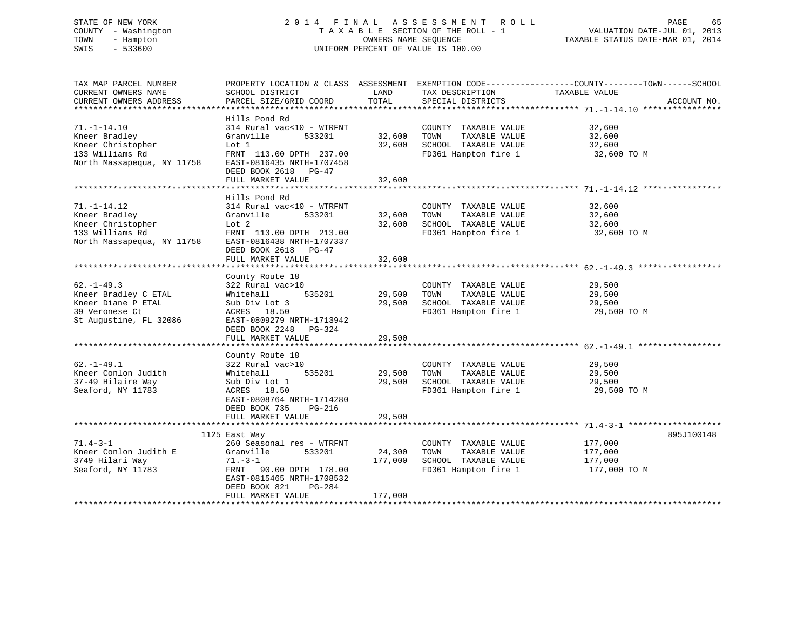# STATE OF NEW YORK 2 0 1 4 F I N A L A S S E S S M E N T R O L L PAGE 65 COUNTY - Washington T A X A B L E SECTION OF THE ROLL - 1 VALUATION DATE-JUL 01, 2013 TOWN - Hampton OWNERS NAME SEQUENCE TAXABLE STATUS DATE-MAR 01, 2014 SWIS - 533600 UNIFORM PERCENT OF VALUE IS 100.00

| TAX MAP PARCEL NUMBER<br>CURRENT OWNERS NAME                                                               | PROPERTY LOCATION & CLASS ASSESSMENT EXEMPTION CODE-----------------COUNTY-------TOWN-----SCHOOL<br>SCHOOL DISTRICT                                                                       | LAND                         | TAX DESCRIPTION                                                                               | TAXABLE VALUE                                 |             |
|------------------------------------------------------------------------------------------------------------|-------------------------------------------------------------------------------------------------------------------------------------------------------------------------------------------|------------------------------|-----------------------------------------------------------------------------------------------|-----------------------------------------------|-------------|
| CURRENT OWNERS ADDRESS                                                                                     | PARCEL SIZE/GRID COORD                                                                                                                                                                    | TOTAL                        | SPECIAL DISTRICTS                                                                             |                                               | ACCOUNT NO. |
|                                                                                                            |                                                                                                                                                                                           |                              |                                                                                               |                                               |             |
| $71. - 1 - 14.10$<br>Kneer Bradley<br>Kneer Christopher<br>133 Williams Rd<br>North Massapequa, NY 11758   | Hills Pond Rd<br>314 Rural vac<10 - WTRFNT<br>Granville<br>533201<br>Lot 1<br>FRNT 113.00 DPTH 237.00<br>EAST-0816435 NRTH-1707458<br>DEED BOOK 2618 PG-47                                | 32,600<br>32,600             | COUNTY TAXABLE VALUE<br>TOWN<br>TAXABLE VALUE<br>SCHOOL TAXABLE VALUE<br>FD361 Hampton fire 1 | 32,600<br>32,600<br>32,600<br>32,600 TO M     |             |
|                                                                                                            | FULL MARKET VALUE                                                                                                                                                                         | 32,600                       |                                                                                               |                                               |             |
|                                                                                                            | ******************************                                                                                                                                                            | **************               | ******************************** 71. -1-14.12 ***********                                     |                                               |             |
| $71. - 1 - 14.12$<br>Kneer Bradley<br>Kneer Christopher<br>133 Williams Rd<br>North Massapequa, NY 11758   | Hills Pond Rd<br>314 Rural vac<10 - WTRFNT<br>Granville<br>533201<br>Lot 2<br>FRNT 113.00 DPTH 213.00<br>EAST-0816438 NRTH-1707337                                                        | 32,600<br>32,600             | COUNTY TAXABLE VALUE<br>TOWN<br>TAXABLE VALUE<br>SCHOOL TAXABLE VALUE<br>FD361 Hampton fire 1 | 32,600<br>32,600<br>32,600<br>32,600 TO M     |             |
|                                                                                                            | DEED BOOK 2618 PG-47                                                                                                                                                                      |                              |                                                                                               |                                               |             |
|                                                                                                            | FULL MARKET VALUE                                                                                                                                                                         | 32,600                       |                                                                                               |                                               |             |
|                                                                                                            | County Route 18                                                                                                                                                                           |                              |                                                                                               |                                               |             |
| $62. - 1 - 49.3$<br>Kneer Bradley C ETAL<br>Kneer Diane P ETAL<br>39 Veronese Ct<br>St Augustine, FL 32086 | 322 Rural vac>10<br>535201<br>Whitehall<br>Sub Div Lot 3<br>ACRES 18.50<br>EAST-0809279 NRTH-1713942<br>DEED BOOK 2248 PG-324<br>FULL MARKET VALUE                                        | 29,500<br>29,500<br>29,500   | COUNTY TAXABLE VALUE<br>TOWN<br>TAXABLE VALUE<br>SCHOOL TAXABLE VALUE<br>FD361 Hampton fire 1 | 29,500<br>29,500<br>29,500<br>29,500 TO M     |             |
|                                                                                                            |                                                                                                                                                                                           |                              |                                                                                               |                                               |             |
| $62. - 1 - 49.1$<br>Kneer Conlon Judith<br>37-49 Hilaire Way<br>Seaford, NY 11783                          | County Route 18<br>322 Rural vac>10<br>Whitehall<br>535201<br>Sub Div Lot 1<br>ACRES 18.50<br>EAST-0808764 NRTH-1714280<br>DEED BOOK 735<br>PG-216                                        | 29,500<br>29,500             | COUNTY TAXABLE VALUE<br>TAXABLE VALUE<br>TOWN<br>SCHOOL TAXABLE VALUE<br>FD361 Hampton fire 1 | 29,500<br>29,500<br>29,500<br>29,500 TO M     |             |
|                                                                                                            | FULL MARKET VALUE                                                                                                                                                                         | 29,500                       |                                                                                               |                                               |             |
|                                                                                                            |                                                                                                                                                                                           |                              |                                                                                               |                                               |             |
| $71.4 - 3 - 1$<br>Kneer Conlon Judith E<br>3749 Hilari Way<br>Seaford, NY 11783                            | 1125 East Way<br>260 Seasonal res - WTRFNT<br>Granville<br>533201<br>$71. - 3 - 1$<br>FRNT 90.00 DPTH 178.00<br>EAST-0815465 NRTH-1708532<br>DEED BOOK 821<br>PG-284<br>FULL MARKET VALUE | 24,300<br>177,000<br>177,000 | COUNTY TAXABLE VALUE<br>TAXABLE VALUE<br>TOWN<br>SCHOOL TAXABLE VALUE<br>FD361 Hampton fire 1 | 177,000<br>177,000<br>177,000<br>177,000 TO M | 895J100148  |
|                                                                                                            | ************************                                                                                                                                                                  |                              |                                                                                               |                                               |             |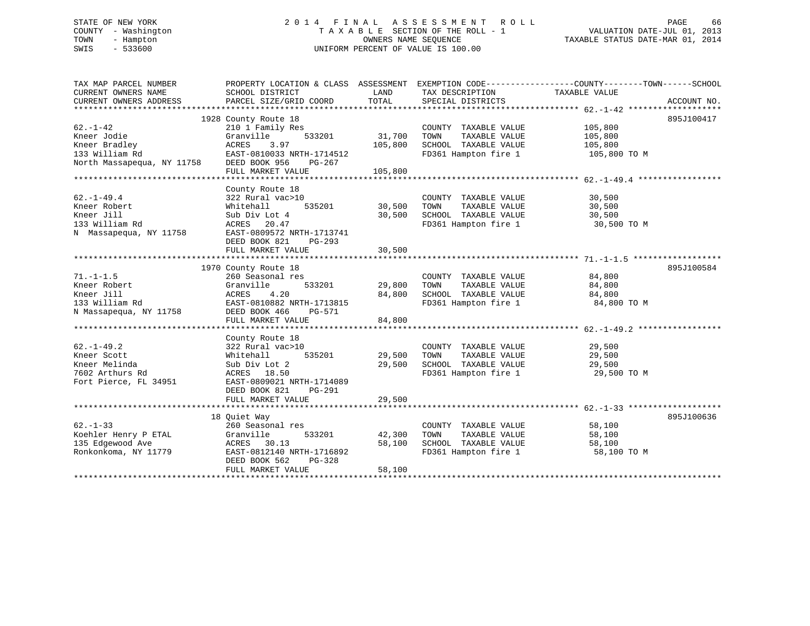# STATE OF NEW YORK 2 0 1 4 F I N A L A S S E S S M E N T R O L L PAGE 66 COUNTY - Washington T A X A B L E SECTION OF THE ROLL - 1 VALUATION DATE-JUL 01, 2013 TOWN - Hampton OWNERS NAME SEQUENCE TAXABLE STATUS DATE-MAR 01, 2014 SWIS - 533600 UNIFORM PERCENT OF VALUE IS 100.00

| TAX MAP PARCEL NUMBER<br>CURRENT OWNERS NAME<br>CURRENT OWNERS ADDRESS | PROPERTY LOCATION & CLASS ASSESSMENT EXEMPTION CODE---------------COUNTY-------TOWN-----SCHOOL<br>SCHOOL DISTRICT<br>PARCEL SIZE/GRID COORD | LAND<br>TOTAL | TAX DESCRIPTION<br>SPECIAL DISTRICTS         | TAXABLE VALUE | ACCOUNT NO. |
|------------------------------------------------------------------------|---------------------------------------------------------------------------------------------------------------------------------------------|---------------|----------------------------------------------|---------------|-------------|
|                                                                        |                                                                                                                                             |               |                                              |               |             |
|                                                                        | 1928 County Route 18                                                                                                                        |               |                                              |               | 895J100417  |
| $62. - 1 - 42$                                                         | 210 1 Family Res                                                                                                                            |               | COUNTY TAXABLE VALUE                         | 105,800       |             |
| Kneer Jodie                                                            | Granville<br>533201                                                                                                                         | 31,700        | TAXABLE VALUE<br>TOWN                        | 105,800       |             |
|                                                                        |                                                                                                                                             | 105,800       | SCHOOL TAXABLE VALUE                         | 105,800       |             |
|                                                                        |                                                                                                                                             |               | FD361 Hampton fire 1 105,800 TO M            |               |             |
|                                                                        |                                                                                                                                             |               |                                              |               |             |
|                                                                        | FULL MARKET VALUE                                                                                                                           | 105,800       |                                              |               |             |
|                                                                        |                                                                                                                                             |               |                                              |               |             |
|                                                                        | County Route 18                                                                                                                             |               |                                              |               |             |
| $62. - 1 - 49.4$                                                       | 322 Rural vac>10                                                                                                                            |               | COUNTY TAXABLE VALUE                         | 30,500        |             |
| Kneer Robert                                                           | 535201<br>Whitehall                                                                                                                         | 30,500        | TOWN<br>TAXABLE VALUE                        | 30,500        |             |
| Kneer Jill                                                             | Sub Div Lot 4                                                                                                                               | 30,500        | SCHOOL TAXABLE VALUE                         | 30,500        |             |
| 133 William Rd                                                         | ACRES 20.47                                                                                                                                 |               | FD361 Hampton fire 1                         | 30,500 TO M   |             |
| N Massapequa, NY 11758                                                 | EAST-0809572 NRTH-1713741                                                                                                                   |               |                                              |               |             |
|                                                                        | DEED BOOK 821<br>PG-293                                                                                                                     |               |                                              |               |             |
|                                                                        | FULL MARKET VALUE                                                                                                                           | 30,500        |                                              |               |             |
|                                                                        |                                                                                                                                             |               |                                              |               |             |
|                                                                        | 1970 County Route 18                                                                                                                        |               |                                              |               | 895J100584  |
| $71. - 1 - 1.5$                                                        | 260 Seasonal res                                                                                                                            |               | COUNTY TAXABLE VALUE                         | 84,800        |             |
| Kneer Robert                                                           | 533201<br>Granville                                                                                                                         | 29,800        | TOWN<br>TAXABLE VALUE                        | 84,800        |             |
| Kneer Jill                                                             | 4.20<br>ACRES                                                                                                                               | 84,800        | SCHOOL TAXABLE VALUE<br>FD361 Hampton fire 1 | 84,800        |             |
| 133 William Rd                                                         | EAST-0810882 NRTH-1713815                                                                                                                   |               |                                              | 84,800 TO M   |             |
| N Massapequa, NY 11758                                                 | DEED BOOK 466<br>PG-571                                                                                                                     |               |                                              |               |             |
|                                                                        | FULL MARKET VALUE                                                                                                                           | 84,800        |                                              |               |             |
|                                                                        |                                                                                                                                             |               |                                              |               |             |
|                                                                        | County Route 18                                                                                                                             |               |                                              |               |             |
| $62. - 1 - 49.2$                                                       | 322 Rural vac>10                                                                                                                            |               | COUNTY TAXABLE VALUE                         | 29,500        |             |
| Kneer Scott                                                            | 535201<br>Whitehall                                                                                                                         | 29,500        | TAXABLE VALUE<br>TOWN                        | 29,500        |             |
| Kneer Melinda                                                          | Sub Div Lot 2                                                                                                                               | 29,500        | SCHOOL TAXABLE VALUE<br>FD361 Hampton fire 1 | 29,500        |             |
| 7602 Arthurs Rd                                                        | ACRES 18.50                                                                                                                                 |               |                                              | 29,500 TO M   |             |
| Fort Pierce, FL 34951                                                  | EAST-0809021 NRTH-1714089                                                                                                                   |               |                                              |               |             |
|                                                                        | DEED BOOK 821<br>PG-291                                                                                                                     |               |                                              |               |             |
|                                                                        | FULL MARKET VALUE                                                                                                                           | 29,500        |                                              |               |             |
|                                                                        |                                                                                                                                             |               |                                              |               |             |
|                                                                        | 18 Ouiet Way                                                                                                                                |               |                                              |               | 895J100636  |
| $62 - 1 - 33$                                                          | 260 Seasonal res                                                                                                                            |               | COUNTY TAXABLE VALUE                         | 58,100        |             |
| Koehler Henry P ETAL                                                   | Granville<br>533201                                                                                                                         | 42,300        | TOWN<br>TAXABLE VALUE                        | 58,100        |             |
| 135 Edgewood Ave                                                       | 30.13<br>ACRES                                                                                                                              | 58,100        | SCHOOL TAXABLE VALUE                         | 58,100        |             |
| Ronkonkoma, NY 11779                                                   | EAST-0812140 NRTH-1716892                                                                                                                   |               | FD361 Hampton fire 1                         | 58,100 TO M   |             |
|                                                                        | DEED BOOK 562<br>PG-328                                                                                                                     |               |                                              |               |             |
|                                                                        | FULL MARKET VALUE                                                                                                                           | 58,100        |                                              |               |             |
|                                                                        |                                                                                                                                             |               |                                              |               |             |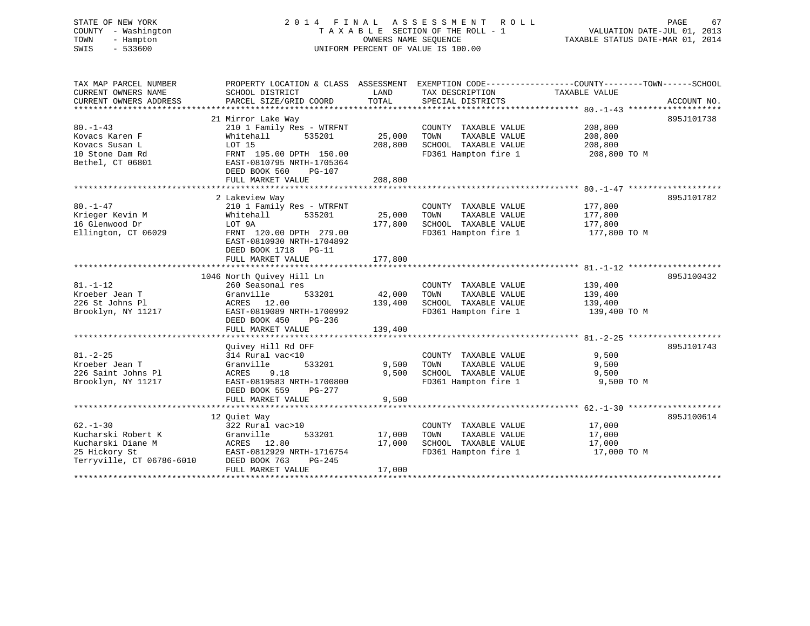# STATE OF NEW YORK 2 0 1 4 F I N A L A S S E S S M E N T R O L L PAGE 67 COUNTY - Washington T A X A B L E SECTION OF THE ROLL - 1 VALUATION DATE-JUL 01, 2013 TOWN - Hampton OWNERS NAME SEQUENCE TAXABLE STATUS DATE-MAR 01, 2014 SWIS - 533600 UNIFORM PERCENT OF VALUE IS 100.00

| TAX MAP PARCEL NUMBER<br>CURRENT OWNERS NAME<br>CURRENT OWNERS ADDRESS                                 | PROPERTY LOCATION & CLASS ASSESSMENT<br>SCHOOL DISTRICT<br>PARCEL SIZE/GRID COORD                                                                                   | LAND<br>TOTAL              | TAX DESCRIPTION TAXABLE VALUE<br>SPECIAL DISTRICTS                                            | EXEMPTION CODE-----------------COUNTY-------TOWN------SCHOOL | ACCOUNT NO. |
|--------------------------------------------------------------------------------------------------------|---------------------------------------------------------------------------------------------------------------------------------------------------------------------|----------------------------|-----------------------------------------------------------------------------------------------|--------------------------------------------------------------|-------------|
| $80. - 1 - 43$<br>Kovacs Karen F<br>Kovacs Susan L<br>10 Stone Dam Rd<br>Bethel, CT 06801              | 21 Mirror Lake Way<br>210 1 Family Res - WTRFNT<br>535201<br>Whitehall<br>LOT 15<br>FRNT 195.00 DPTH 150.00<br>EAST-0810795 NRTH-1705364<br>DEED BOOK 560<br>PG-107 | 25,000<br>208,800          | COUNTY TAXABLE VALUE<br>TOWN<br>TAXABLE VALUE<br>SCHOOL TAXABLE VALUE<br>FD361 Hampton fire 1 | 208,800<br>208,800<br>208,800<br>208,800 TO M                | 895J101738  |
|                                                                                                        | FULL MARKET VALUE                                                                                                                                                   | 208,800                    |                                                                                               |                                                              |             |
| $80. - 1 - 47$                                                                                         | 2 Lakeview Way<br>210 1 Family Res - WTRFNT                                                                                                                         |                            | COUNTY TAXABLE VALUE                                                                          | 177,800                                                      | 895J101782  |
| Krieger Kevin M<br>16 Glenwood Dr<br>Ellington, CT 06029                                               | 535201<br>Whitehall<br>LOT 9A<br>FRNT 120.00 DPTH 279.00<br>EAST-0810930 NRTH-1704892<br>DEED BOOK 1718 PG-11                                                       | 25,000<br>177,800          | TOWN<br>TAXABLE VALUE<br>SCHOOL TAXABLE VALUE<br>FD361 Hampton fire 1                         | 177,800<br>177,800<br>177,800 TO M                           |             |
|                                                                                                        | FULL MARKET VALUE                                                                                                                                                   | 177,800                    |                                                                                               |                                                              |             |
|                                                                                                        | 1046 North Quivey Hill Ln                                                                                                                                           |                            |                                                                                               |                                                              | 895J100432  |
| $81. - 1 - 12$<br>Kroeber Jean T<br>226 St Johns Pl<br>Brooklyn, NY 11217                              | 260 Seasonal res<br>533201<br>Granville<br>ACRES 12.00<br>EAST-0819089 NRTH-1700992<br>DEED BOOK 450<br>PG-236                                                      | 42,000<br>139,400          | COUNTY TAXABLE VALUE<br>TOWN<br>TAXABLE VALUE<br>SCHOOL TAXABLE VALUE<br>FD361 Hampton fire 1 | 139,400<br>139,400<br>139,400<br>139,400 TO M                |             |
|                                                                                                        | FULL MARKET VALUE                                                                                                                                                   | 139,400                    |                                                                                               |                                                              |             |
|                                                                                                        |                                                                                                                                                                     |                            |                                                                                               |                                                              |             |
| $81. - 2 - 25$<br>Kroeber Jean T<br>226 Saint Johns Pl<br>Brooklyn, NY 11217                           | Ouivey Hill Rd OFF<br>314 Rural vac<10<br>Granville<br>533201<br>ACRES<br>9.18<br>EAST-0819583 NRTH-1700800<br>DEED BOOK 559<br>PG-277<br>FULL MARKET VALUE         | 9,500<br>9,500<br>9,500    | COUNTY TAXABLE VALUE<br>TOWN<br>TAXABLE VALUE<br>SCHOOL TAXABLE VALUE<br>FD361 Hampton fire 1 | 9,500<br>9,500<br>9,500<br>9,500 TO M                        | 895J101743  |
|                                                                                                        |                                                                                                                                                                     |                            |                                                                                               |                                                              |             |
| $62 - 1 - 30$<br>Kucharski Robert K<br>Kucharski Diane M<br>25 Hickory St<br>Terryville, CT 06786-6010 | 12 Ouiet Way<br>322 Rural vac>10<br>Granville<br>533201<br>ACRES 12.80<br>EAST-0812929 NRTH-1716754<br>DEED BOOK 763<br>$PG-245$<br>FULL MARKET VALUE               | 17,000<br>17,000<br>17,000 | COUNTY TAXABLE VALUE<br>TOWN<br>TAXABLE VALUE<br>SCHOOL TAXABLE VALUE<br>FD361 Hampton fire 1 | 17,000<br>17,000<br>17,000<br>17,000 TO M                    | 895J100614  |
| *******************                                                                                    |                                                                                                                                                                     |                            |                                                                                               |                                                              |             |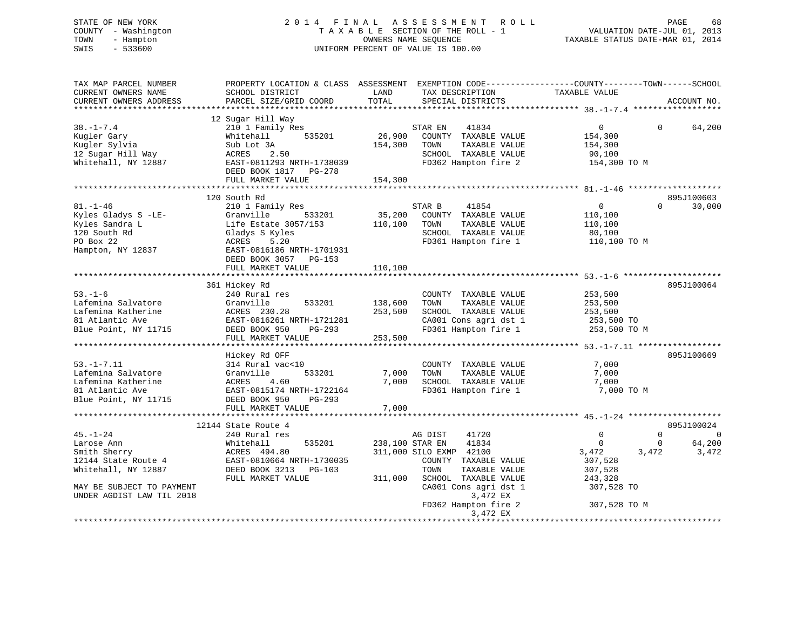STATE OF NEW YORK 2 0 1 4 F I N A L A S S E S S M E N T R O L L PAGE 68 COUNTY - Washington T A X A B L E SECTION OF THE ROLL - 1 VALUATION DATE-JUL 01, 2013 TOWN - Hampton OWNERS NAME SEQUENCE TAXABLE STATUS DATE-MAR 01, 2014 SWIS - 533600 UNIFORM PERCENT OF VALUE IS 100.00

| TAX MAP PARCEL NUMBER<br>CURRENT OWNERS NAME<br>CURRENT OWNERS ADDRESS                                                                               | PROPERTY LOCATION & CLASS ASSESSMENT EXEMPTION CODE---------------COUNTY-------TOWN-----SCHOOL<br>SCHOOL DISTRICT<br>PARCEL SIZE/GRID COORD                                 | LAND<br>TOTAL                 | TAX DESCRIPTION<br>SPECIAL DISTRICTS                                                                                                                                                                   | TAXABLE VALUE                                                                                               | ACCOUNT NO.                                        |
|------------------------------------------------------------------------------------------------------------------------------------------------------|-----------------------------------------------------------------------------------------------------------------------------------------------------------------------------|-------------------------------|--------------------------------------------------------------------------------------------------------------------------------------------------------------------------------------------------------|-------------------------------------------------------------------------------------------------------------|----------------------------------------------------|
|                                                                                                                                                      |                                                                                                                                                                             |                               |                                                                                                                                                                                                        |                                                                                                             |                                                    |
| $38. - 1 - 7.4$<br>Kugler Gary<br>Kugler Sylvia<br>12 Sugar Hill Way<br>Whitehall, NY 12887                                                          | 12 Sugar Hill Way<br>210 1 Family Res<br>535201<br>Whitehall<br>Sub Lot 3A<br>ACRES 2.50<br>EAST-0811293 NRTH-1738039<br>DEED BOOK 1817    PG-278<br>FULL MARKET VALUE      | 154,300<br>154,300            | 41834<br>STAR EN<br>26,900 COUNTY TAXABLE VALUE<br>TOWN<br>TAXABLE VALUE<br>SCHOOL TAXABLE VALUE<br>FD362 Hampton fire 2                                                                               | $\overline{0}$<br>154,300<br>154,300<br>90,100<br>154,300 TO M                                              | 64,200<br>$\Omega$                                 |
|                                                                                                                                                      |                                                                                                                                                                             |                               |                                                                                                                                                                                                        |                                                                                                             |                                                    |
| $81. - 1 - 46$<br>Kyles Gladys S -LE-<br>Kyles Sandra L<br>120 South Rd<br>PO Box 22<br>Hampton, NY 12837                                            | 120 South Rd<br>210 1 Family Res<br>Granville<br>533201<br>Life Estate 3057/153<br>Gladys S Kyles<br>5.20<br>ACRES<br>EAST-0816186 NRTH-1701931<br>DEED BOOK 3057<br>PG-153 | 35,200<br>110,100             | STAR B<br>41854<br>COUNTY TAXABLE VALUE<br>TOWN<br>TAXABLE VALUE<br>SCHOOL TAXABLE VALUE<br>FD361 Hampton fire 1                                                                                       | $\overline{0}$<br>110,100<br>110,100<br>80,100<br>110,100 TO M                                              | 895J100603<br>30,000<br>$\Omega$                   |
|                                                                                                                                                      | FULL MARKET VALUE                                                                                                                                                           | 110,100                       |                                                                                                                                                                                                        |                                                                                                             |                                                    |
|                                                                                                                                                      |                                                                                                                                                                             |                               |                                                                                                                                                                                                        |                                                                                                             | 895J100064                                         |
| $53. - 1 - 6$<br>Lafemina Salvatore<br>Lafemina Katherine<br>81 Atlantic Ave<br>Blue Point, NY 11715                                                 | 361 Hickey Rd<br>240 Rural res<br>Granville<br>533201<br>ACRES 230.28<br>EAST-0816261 NRTH-1721281<br>DEED BOOK 950<br>$PG-293$<br>FULL MARKET VALUE                        | 138,600<br>253,500<br>253,500 | COUNTY TAXABLE VALUE<br>TOWN<br>TAXABLE VALUE<br>SCHOOL TAXABLE VALUE<br>CA001 Cons agri dst 1<br>FD361 Hampton fire 1                                                                                 | 253,500<br>253,500<br>253,500<br>253,500 TO<br>253,500 TO M                                                 |                                                    |
|                                                                                                                                                      |                                                                                                                                                                             |                               |                                                                                                                                                                                                        |                                                                                                             |                                                    |
| $53. -1 - 7.11$<br>Lafemina Salvatore<br>Lafemina Katherine<br>81 Atlantic Ave<br>Blue Point, NY 11715                                               | Hickey Rd OFF<br>314 Rural vac<10<br>Granville<br>533201<br>4.60<br>ACRES<br>EAST-0815174 NRTH-1722164<br>DEED BOOK 950<br>PG-293                                           | 7,000<br>7,000                | COUNTY TAXABLE VALUE<br>TAXABLE VALUE<br>TOWN<br>SCHOOL TAXABLE VALUE<br>FD361 Hampton fire 1                                                                                                          | 7,000<br>7,000<br>7,000<br>7,000 TO M                                                                       | 895J100669                                         |
|                                                                                                                                                      | FULL MARKET VALUE                                                                                                                                                           | 7,000                         |                                                                                                                                                                                                        |                                                                                                             |                                                    |
|                                                                                                                                                      | 12144 State Route 4                                                                                                                                                         |                               |                                                                                                                                                                                                        |                                                                                                             | 895J100024                                         |
| $45. - 1 - 24$<br>Larose Ann<br>Smith Sherry<br>12144 State Route 4<br>Whitehall, NY 12887<br>MAY BE SUBJECT TO PAYMENT<br>UNDER AGDIST LAW TIL 2018 | 240 Rural res<br>535201<br>Whitehall<br>ACRES 494.80<br>EAST-0810664 NRTH-1730035<br>DEED BOOK 3213 PG-103<br>FULL MARKET VALUE                                             | 238,100 STAR EN<br>311,000    | 41720<br>AG DIST<br>41834<br>311,000 SILO EXMP 42100<br>COUNTY TAXABLE VALUE<br>TOWN<br>TAXABLE VALUE<br>SCHOOL TAXABLE VALUE<br>CA001 Cons agri dst 1<br>3,472 EX<br>FD362 Hampton fire 2<br>3,472 EX | $\Omega$<br>$\overline{0}$<br>3,472<br>3,472<br>307,528<br>307,528<br>243,328<br>307,528 TO<br>307,528 TO M | $\Omega$<br>$\overline{0}$<br>64,200<br>0<br>3,472 |
|                                                                                                                                                      |                                                                                                                                                                             |                               |                                                                                                                                                                                                        |                                                                                                             |                                                    |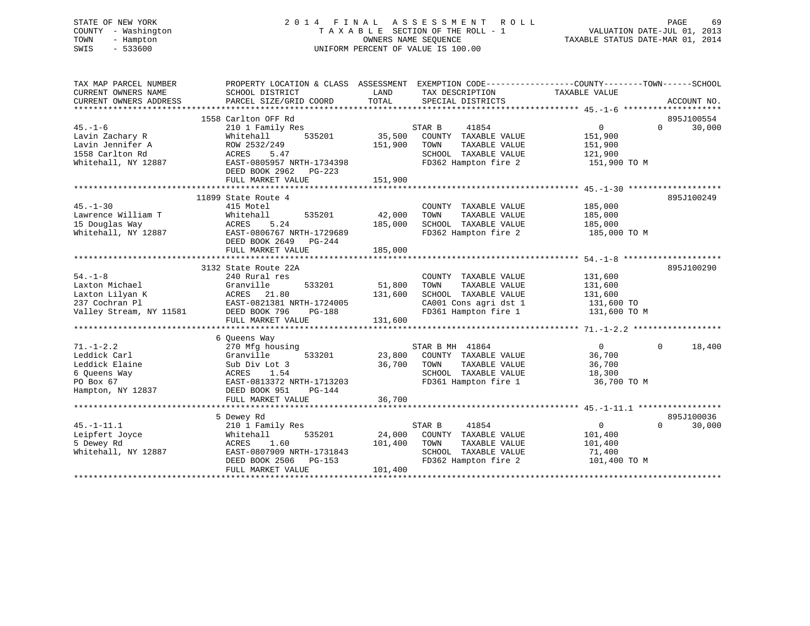# STATE OF NEW YORK 2 0 1 4 F I N A L A S S E S S M E N T R O L L PAGE 69 COUNTY - Washington T A X A B L E SECTION OF THE ROLL - 1 VALUATION DATE-JUL 01, 2013 TOWN - Hampton OWNERS NAME SEQUENCE TAXABLE STATUS DATE-MAR 01, 2014 SWIS - 533600 UNIFORM PERCENT OF VALUE IS 100.00

| TAX MAP PARCEL NUMBER<br>CURRENT OWNERS NAME<br>CURRENT OWNERS ADDRESS | PROPERTY LOCATION & CLASS ASSESSMENT<br>SCHOOL DISTRICT<br>PARCEL SIZE/GRID COORD | LAND<br>TOTAL | TAX DESCRIPTION<br>SPECIAL DISTRICTS | EXEMPTION CODE-----------------COUNTY-------TOWN------SCHOOL<br>TAXABLE VALUE | ACCOUNT NO.                      |
|------------------------------------------------------------------------|-----------------------------------------------------------------------------------|---------------|--------------------------------------|-------------------------------------------------------------------------------|----------------------------------|
|                                                                        |                                                                                   |               |                                      |                                                                               |                                  |
| $45. - 1 - 6$                                                          | 1558 Carlton OFF Rd<br>210 1 Family Res                                           |               | STAR B<br>41854                      | $\mathbf{0}$                                                                  | 895J100554<br>30,000<br>$\Omega$ |
| Lavin Zachary R                                                        | Whitehall<br>535201                                                               | 35,500        | COUNTY TAXABLE VALUE                 | 151,900                                                                       |                                  |
| Lavin Jennifer A                                                       | ROW 2532/249                                                                      | 151,900       | TOWN<br>TAXABLE VALUE                | 151,900                                                                       |                                  |
| 1558 Carlton Rd                                                        | ACRES<br>5.47                                                                     |               | SCHOOL TAXABLE VALUE                 | 121,900                                                                       |                                  |
| Whitehall, NY 12887                                                    | EAST-0805957 NRTH-1734398                                                         |               | FD362 Hampton fire 2                 | 151,900 TO M                                                                  |                                  |
|                                                                        | DEED BOOK 2962<br>PG-223<br>FULL MARKET VALUE                                     | 151,900       |                                      |                                                                               |                                  |
|                                                                        |                                                                                   |               |                                      |                                                                               |                                  |
|                                                                        | 11899 State Route 4                                                               |               |                                      |                                                                               | 895J100249                       |
| $45. - 1 - 30$                                                         | 415 Motel                                                                         |               | COUNTY TAXABLE VALUE                 | 185,000                                                                       |                                  |
| Lawrence William T                                                     | Whitehall<br>535201                                                               | 42,000        | TOWN<br>TAXABLE VALUE                | 185,000                                                                       |                                  |
| 15 Douglas Way                                                         | 5.24<br>ACRES                                                                     | 185,000       | SCHOOL TAXABLE VALUE                 | 185,000                                                                       |                                  |
| Whitehall, NY 12887                                                    | EAST-0806767 NRTH-1729689                                                         |               | FD362 Hampton fire 2                 | 185,000 TO M                                                                  |                                  |
|                                                                        | DEED BOOK 2649<br>PG-244                                                          |               |                                      |                                                                               |                                  |
|                                                                        | FULL MARKET VALUE                                                                 | 185,000       |                                      |                                                                               |                                  |
|                                                                        |                                                                                   |               |                                      |                                                                               |                                  |
|                                                                        | 3132 State Route 22A                                                              |               |                                      |                                                                               | 895J100290                       |
| $54. - 1 - 8$                                                          | 240 Rural res                                                                     |               | COUNTY TAXABLE VALUE                 | 131,600                                                                       |                                  |
| Laxton Michael                                                         | Granville<br>533201                                                               | 51,800        | TOWN<br>TAXABLE VALUE                | 131,600                                                                       |                                  |
| Laxton Lilyan K                                                        | ACRES 21.80                                                                       | 131,600       | SCHOOL TAXABLE VALUE                 | 131,600                                                                       |                                  |
| 237 Cochran Pl                                                         | EAST-0821381 NRTH-1724005                                                         |               | CA001 Cons agri dst 1                | 131,600 TO                                                                    |                                  |
| Valley Stream, NY 11581                                                | DEED BOOK 796<br>PG-188                                                           |               | FD361 Hampton fire 1                 | 131,600 TO M                                                                  |                                  |
|                                                                        | FULL MARKET VALUE                                                                 | 131,600       |                                      |                                                                               |                                  |
|                                                                        |                                                                                   |               |                                      |                                                                               |                                  |
|                                                                        | 6 Queens Way                                                                      |               |                                      |                                                                               |                                  |
| $71. - 1 - 2.2$                                                        | 270 Mfg housing                                                                   |               | STAR B MH 41864                      | $\overline{0}$                                                                | 0<br>18,400                      |
| Leddick Carl                                                           | 533201<br>Granville                                                               | 23,800        | COUNTY TAXABLE VALUE                 | 36,700                                                                        |                                  |
| Leddick Elaine                                                         | Sub Div Lot 3                                                                     | 36,700        | TOWN<br>TAXABLE VALUE                | 36,700                                                                        |                                  |
| 6 Queens Way                                                           | ACRES<br>1.54                                                                     |               | SCHOOL TAXABLE VALUE                 | 18,300                                                                        |                                  |
| PO Box 67                                                              | EAST-0813372 NRTH-1713203                                                         |               | FD361 Hampton fire 1                 | 36,700 TO M                                                                   |                                  |
| Hampton, NY 12837                                                      | DEED BOOK 951<br>$PG-144$                                                         |               |                                      |                                                                               |                                  |
|                                                                        | FULL MARKET VALUE                                                                 | 36,700        |                                      |                                                                               |                                  |
|                                                                        |                                                                                   |               |                                      |                                                                               |                                  |
|                                                                        | 5 Dewey Rd                                                                        |               |                                      |                                                                               | 895J100036                       |
| $45. - 1 - 11.1$                                                       | 210 1 Family Res                                                                  |               | 41854<br>STAR B                      | $\overline{0}$                                                                | $\Omega$<br>30,000               |
| Leipfert Joyce                                                         | 535201<br>Whitehall                                                               | 24,000        | COUNTY TAXABLE VALUE                 | 101,400                                                                       |                                  |
| 5 Dewey Rd                                                             | ACRES<br>1.60                                                                     | 101,400       | TOWN<br>TAXABLE VALUE                | 101,400                                                                       |                                  |
| Whitehall, NY 12887                                                    | EAST-0807909 NRTH-1731843                                                         |               | SCHOOL TAXABLE VALUE                 | 71,400                                                                        |                                  |
|                                                                        | DEED BOOK 2506<br>PG-153                                                          |               | FD362 Hampton fire 2                 | 101,400 TO M                                                                  |                                  |
|                                                                        | FULL MARKET VALUE                                                                 | 101,400       |                                      |                                                                               |                                  |
|                                                                        |                                                                                   |               |                                      |                                                                               |                                  |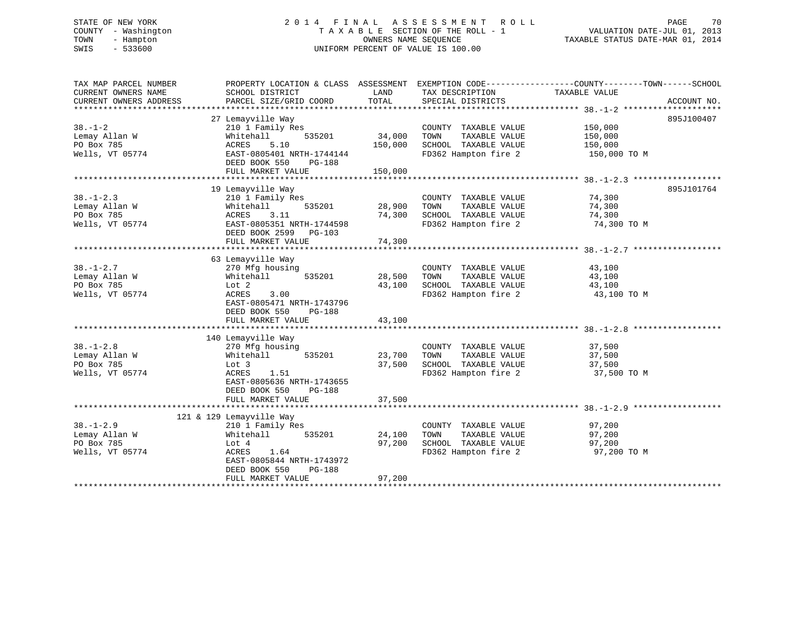# STATE OF NEW YORK 2 0 1 4 F I N A L A S S E S S M E N T R O L L PAGE 70 COUNTY - Washington T A X A B L E SECTION OF THE ROLL - 1 VALUATION DATE-JUL 01, 2013 TOWN - Hampton OWNERS NAME SEQUENCE TAXABLE STATUS DATE-MAR 01, 2014 SWIS - 533600 UNIFORM PERCENT OF VALUE IS 100.00

| TAX MAP PARCEL NUMBER<br>CURRENT OWNERS NAME<br>CURRENT OWNERS ADDRESS | PROPERTY LOCATION & CLASS ASSESSMENT<br>SCHOOL DISTRICT<br>PARCEL SIZE/GRID COORD | LAND<br>TOTAL    | TAX DESCRIPTION<br>SPECIAL DISTRICTS          | EXEMPTION CODE-----------------COUNTY-------TOWN------SCHOOL<br>TAXABLE VALUE | ACCOUNT NO. |
|------------------------------------------------------------------------|-----------------------------------------------------------------------------------|------------------|-----------------------------------------------|-------------------------------------------------------------------------------|-------------|
|                                                                        |                                                                                   |                  |                                               |                                                                               |             |
| $38. - 1 - 2$                                                          | 27 Lemayville Way                                                                 |                  |                                               |                                                                               | 895J100407  |
|                                                                        | 210 1 Family Res                                                                  | 34,000           | COUNTY TAXABLE VALUE                          | 150,000                                                                       |             |
| Lemay Allan W<br>PO Box 785                                            | Whitehall<br>535201<br>ACRES<br>5.10                                              | 150,000          | TOWN<br>TAXABLE VALUE<br>SCHOOL TAXABLE VALUE | 150,000<br>150,000                                                            |             |
| Wells, VT 05774                                                        | EAST-0805401 NRTH-1744144                                                         |                  | FD362 Hampton fire 2                          |                                                                               |             |
|                                                                        | DEED BOOK 550<br>PG-188<br>FULL MARKET VALUE                                      | 150,000          |                                               | 150,000 TO M                                                                  |             |
|                                                                        |                                                                                   |                  |                                               |                                                                               |             |
|                                                                        | 19 Lemayville Way                                                                 |                  |                                               |                                                                               | 895J101764  |
| $38. - 1 - 2.3$                                                        | 210 1 Family Res                                                                  |                  | COUNTY TAXABLE VALUE                          | 74,300                                                                        |             |
| Lemay Allan W                                                          | Whitehall<br>535201                                                               | 28,900           | TOWN<br>TAXABLE VALUE                         | 74,300                                                                        |             |
| PO Box 785                                                             | ACRES<br>3.11                                                                     | 74,300           | SCHOOL TAXABLE VALUE                          | 74,300                                                                        |             |
| Wells, VT 05774                                                        | EAST-0805351 NRTH-1744598                                                         |                  | FD362 Hampton fire 2                          | 74,300 TO M                                                                   |             |
|                                                                        | DEED BOOK 2599<br>$PG-103$                                                        |                  |                                               |                                                                               |             |
|                                                                        | FULL MARKET VALUE                                                                 | 74,300           |                                               |                                                                               |             |
|                                                                        |                                                                                   |                  |                                               |                                                                               |             |
|                                                                        | 63 Lemayville Way                                                                 |                  |                                               |                                                                               |             |
| $38. - 1 - 2.7$                                                        | 270 Mfg housing                                                                   |                  | COUNTY TAXABLE VALUE                          | 43,100                                                                        |             |
|                                                                        |                                                                                   |                  |                                               |                                                                               |             |
| Lemay Allan W<br>PO Box 785                                            | Whitehall<br>535201<br>Lot 2                                                      | 28,500<br>43,100 | TOWN<br>TAXABLE VALUE<br>SCHOOL TAXABLE VALUE | 43,100                                                                        |             |
|                                                                        |                                                                                   |                  |                                               | 43,100                                                                        |             |
| Wells, VT 05774                                                        | ACRES<br>3.00<br>EAST-0805471 NRTH-1743796<br>DEED BOOK 550<br><b>PG-188</b>      |                  | FD362 Hampton fire 2                          | 43,100 TO M                                                                   |             |
|                                                                        | FULL MARKET VALUE                                                                 | 43,100           |                                               |                                                                               |             |
|                                                                        |                                                                                   |                  |                                               |                                                                               |             |
|                                                                        | 140 Lemayville Way                                                                |                  |                                               |                                                                               |             |
| $38. - 1 - 2.8$                                                        | 270 Mfg housing                                                                   |                  | COUNTY TAXABLE VALUE                          | 37,500                                                                        |             |
| Lemay Allan W                                                          | 535201<br>Whitehall                                                               | 23,700           | TAXABLE VALUE<br>TOWN                         | 37,500                                                                        |             |
| PO Box 785                                                             | Lot 3                                                                             | 37,500           | SCHOOL TAXABLE VALUE                          | 37,500                                                                        |             |
| Wells, VT 05774                                                        | ACRES<br>1.51                                                                     |                  | FD362 Hampton fire 2                          | 37,500 TO M                                                                   |             |
|                                                                        | EAST-0805636 NRTH-1743655                                                         |                  |                                               |                                                                               |             |
|                                                                        | DEED BOOK 550<br><b>PG-188</b>                                                    |                  |                                               |                                                                               |             |
|                                                                        | FULL MARKET VALUE                                                                 | 37,500           |                                               |                                                                               |             |
|                                                                        |                                                                                   |                  |                                               |                                                                               |             |
|                                                                        | 121 & 129 Lemayville Way                                                          |                  |                                               |                                                                               |             |
| $38. - 1 - 2.9$                                                        | 210 1 Family Res                                                                  |                  | COUNTY TAXABLE VALUE                          | 97,200                                                                        |             |
| Lemay Allan W                                                          | 535201<br>Whitehall                                                               | 24,100           | TOWN<br>TAXABLE VALUE                         | 97,200                                                                        |             |
| PO Box 785                                                             | Lot 4                                                                             | 97,200           | SCHOOL TAXABLE VALUE                          | 97,200                                                                        |             |
| Wells, VT 05774                                                        | ACRES<br>1.64                                                                     |                  | FD362 Hampton fire 2                          | 97,200 TO M                                                                   |             |
|                                                                        | EAST-0805844 NRTH-1743972                                                         |                  |                                               |                                                                               |             |
|                                                                        | DEED BOOK 550<br><b>PG-188</b>                                                    |                  |                                               |                                                                               |             |
|                                                                        | FULL MARKET VALUE                                                                 | 97,200           |                                               |                                                                               |             |
|                                                                        |                                                                                   |                  |                                               |                                                                               |             |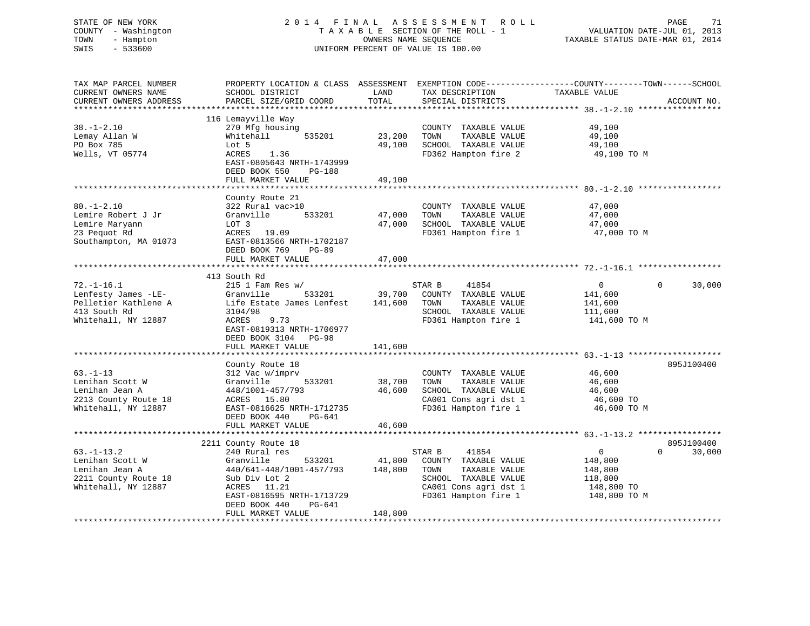# STATE OF NEW YORK 2 0 1 4 F I N A L A S S E S S M E N T R O L L PAGE 71 COUNTY - Washington T A X A B L E SECTION OF THE ROLL - 1 VALUATION DATE-JUL 01, 2013 TOWN - Hampton OWNERS NAME SEQUENCE TAXABLE STATUS DATE-MAR 01, 2014 SWIS - 533600 UNIFORM PERCENT OF VALUE IS 100.00

| TAX MAP PARCEL NUMBER<br>CURRENT OWNERS NAME<br>CURRENT OWNERS ADDRESS                                 | PROPERTY LOCATION & CLASS ASSESSMENT<br>SCHOOL DISTRICT<br>PARCEL SIZE/GRID COORD                                                                                            | LAND<br>TOTAL                | EXEMPTION CODE-----------------COUNTY-------TOWN------SCHOOL<br>TAX DESCRIPTION<br>SPECIAL DISTRICTS                   | TAXABLE VALUE                                                 | ACCOUNT NO.                      |
|--------------------------------------------------------------------------------------------------------|------------------------------------------------------------------------------------------------------------------------------------------------------------------------------|------------------------------|------------------------------------------------------------------------------------------------------------------------|---------------------------------------------------------------|----------------------------------|
| $38. - 1 - 2.10$<br>Lemay Allan W<br>PO Box 785<br>Wells, VT 05774                                     | 116 Lemayville Way<br>270 Mfg housing<br>535201<br>Whitehall<br>Lot 5<br>ACRES<br>1.36<br>EAST-0805643 NRTH-1743999<br>DEED BOOK 550<br>PG-188<br>FULL MARKET VALUE          | 23,200<br>49,100<br>49,100   | COUNTY TAXABLE VALUE<br>TOWN<br>TAXABLE VALUE<br>SCHOOL TAXABLE VALUE<br>FD362 Hampton fire 2                          | 49,100<br>49,100<br>49,100<br>49,100 TO M                     |                                  |
|                                                                                                        |                                                                                                                                                                              |                              |                                                                                                                        |                                                               |                                  |
| $80. - 1 - 2.10$<br>Lemire Robert J Jr<br>Lemire Maryann<br>23 Pequot Rd<br>Southampton, MA 01073      | County Route 21<br>322 Rural vac>10<br>533201<br>Granville<br>LOT 3<br>ACRES<br>19.09<br>EAST-0813566 NRTH-1702187<br>DEED BOOK 769<br><b>PG-89</b>                          | 47,000<br>47,000             | COUNTY TAXABLE VALUE<br>TAXABLE VALUE<br>TOWN<br>SCHOOL TAXABLE VALUE<br>FD361 Hampton fire 1                          | 47,000<br>47,000<br>47,000<br>47,000 TO M                     |                                  |
|                                                                                                        | FULL MARKET VALUE                                                                                                                                                            | 47,000                       |                                                                                                                        |                                                               |                                  |
|                                                                                                        | 413 South Rd                                                                                                                                                                 |                              |                                                                                                                        |                                                               |                                  |
| $72. - 1 - 16.1$<br>Lenfesty James -LE-<br>Pelletier Kathlene A<br>413 South Rd<br>Whitehall, NY 12887 | $215$ 1 Fam Res w/<br>Granville<br>533201<br>Life Estate James Lenfest<br>3104/98<br>ACRES<br>9.73<br>EAST-0819313 NRTH-1706977<br>DEED BOOK 3104 PG-98<br>FULL MARKET VALUE | 39,700<br>141,600<br>141,600 | STAR B<br>41854<br>COUNTY TAXABLE VALUE<br>TOWN<br>TAXABLE VALUE<br>SCHOOL TAXABLE VALUE<br>FD361 Hampton fire 1       | $\mathbf{0}$<br>141,600<br>141,600<br>111,600<br>141,600 TO M | $\Omega$<br>30,000               |
|                                                                                                        | County Route 18                                                                                                                                                              |                              |                                                                                                                        |                                                               | 895J100400                       |
| $63. - 1 - 13$<br>Lenihan Scott W<br>Lenihan Jean A<br>2213 County Route 18<br>Whitehall, NY 12887     | 312 Vac w/imprv<br>Granville<br>533201<br>448/1001-457/793<br>ACRES 15.80<br>EAST-0816625 NRTH-1712735<br>DEED BOOK 440<br>PG-641                                            | 38,700<br>46,600             | COUNTY TAXABLE VALUE<br>TAXABLE VALUE<br>TOWN<br>SCHOOL TAXABLE VALUE<br>CA001 Cons agri dst 1<br>FD361 Hampton fire 1 | 46,600<br>46,600<br>46,600<br>46,600 TO<br>46,600 TO M        |                                  |
|                                                                                                        | FULL MARKET VALUE                                                                                                                                                            | 46,600                       |                                                                                                                        |                                                               |                                  |
| $63. - 1 - 13.2$<br>Lenihan Scott W                                                                    | 2211 County Route 18<br>240 Rural res<br>Granville<br>533201                                                                                                                 | 41,800                       | 41854<br>STAR B<br>COUNTY TAXABLE VALUE                                                                                | $\overline{0}$<br>148,800                                     | 895J100400<br>30,000<br>$\Omega$ |
| Lenihan Jean A<br>2211 County Route 18<br>Whitehall, NY 12887                                          | 440/641-448/1001-457/793<br>Sub Div Lot 2<br>ACRES<br>11.21<br>EAST-0816595 NRTH-1713729<br>DEED BOOK 440<br>PG-641<br>FULL MARKET VALUE                                     | 148,800<br>148,800           | TOWN<br>TAXABLE VALUE<br>SCHOOL TAXABLE VALUE<br>CA001 Cons agri dst 1<br>FD361 Hampton fire 1                         | 148,800<br>118,800<br>148,800 TO<br>148,800 TO M              |                                  |
|                                                                                                        |                                                                                                                                                                              |                              |                                                                                                                        |                                                               |                                  |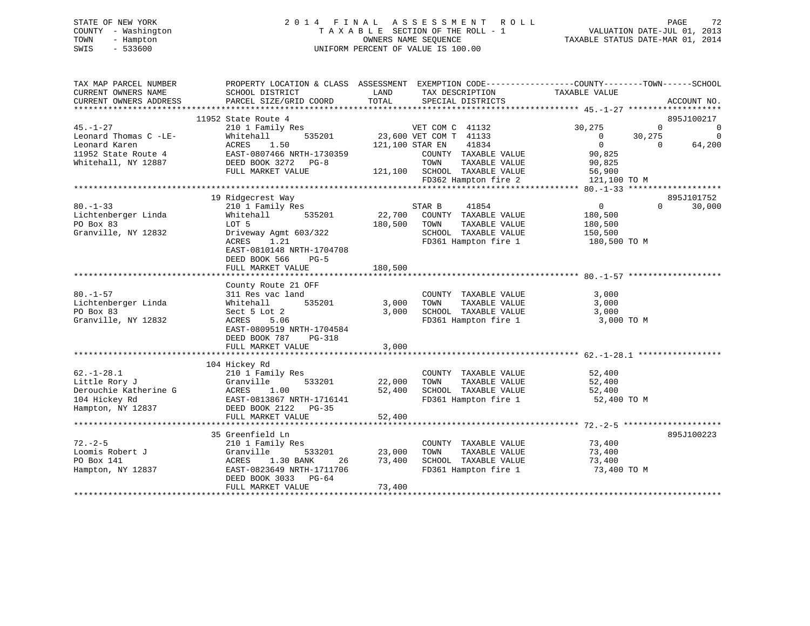# STATE OF NEW YORK 2 0 1 4 F I N A L A S S E S S M E N T R O L L PAGE 72 COUNTY - Washington T A X A B L E SECTION OF THE ROLL - 1 VALUATION DATE-JUL 01, 2013 TOWN - Hampton OWNERS NAME SEQUENCE TAXABLE STATUS DATE-MAR 01, 2014 SWIS - 533600 UNIFORM PERCENT OF VALUE IS 100.00

| TAX MAP PARCEL NUMBER<br>CURRENT OWNERS NAME<br>CURRENT OWNERS ADDRESS | SCHOOL DISTRICT<br>PARCEL SIZE/GRID COORD | LAND<br>TAX DESCRIPTION<br>TOTAL<br>SPECIAL DISTRICTS | PROPERTY LOCATION & CLASS ASSESSMENT EXEMPTION CODE---------------COUNTY-------TOWN-----SCHOOL<br>TAXABLE VALUE<br>ACCOUNT NO. |
|------------------------------------------------------------------------|-------------------------------------------|-------------------------------------------------------|--------------------------------------------------------------------------------------------------------------------------------|
|                                                                        |                                           |                                                       |                                                                                                                                |
|                                                                        | 11952 State Route 4                       |                                                       | 895J100217                                                                                                                     |
| $45. - 1 - 27$                                                         | 210 1 Family Res                          | VET COM C 41132                                       | 30,275<br>$\Omega$<br>0                                                                                                        |
| Leonard Thomas C -LE-                                                  | 535201<br>Whitehall                       | 23,600 VET COM T 41133                                | $\overline{0}$<br>30,275<br>0                                                                                                  |
| Leonard Karen                                                          | 1.50<br>ACRES                             | 41834<br>121,100 STAR EN                              | 64,200<br>$\overline{0}$<br>$\Omega$                                                                                           |
| 11952 State Route 4                                                    | EAST-0807466 NRTH-1730359                 | COUNTY TAXABLE VALUE                                  | 90,825                                                                                                                         |
| Whitehall, NY 12887                                                    | DEED BOOK 3272 PG-8                       | TOWN<br>TAXABLE VALUE                                 | 90,825                                                                                                                         |
|                                                                        | FULL MARKET VALUE                         | 121,100 SCHOOL TAXABLE VALUE                          | 56,900                                                                                                                         |
|                                                                        |                                           | FD362 Hampton fire 2                                  | 121,100 TO M                                                                                                                   |
|                                                                        |                                           |                                                       |                                                                                                                                |
|                                                                        | 19 Ridgecrest Way                         |                                                       | 895J101752                                                                                                                     |
| $80. - 1 - 33$                                                         | 210 1 Family Res                          | STAR B<br>41854                                       | 0<br>$\Omega$<br>30,000                                                                                                        |
| Lichtenberger Linda                                                    | 535201<br>Whitehall                       | 22,700<br>COUNTY TAXABLE VALUE                        | 180,500                                                                                                                        |
| PO Box 83                                                              | LOT 5                                     | 180,500<br>TOWN<br>TAXABLE VALUE                      | 180,500                                                                                                                        |
| Granville, NY 12832                                                    | Driveway Agmt 603/322                     | SCHOOL TAXABLE VALUE                                  | 150,500                                                                                                                        |
|                                                                        | ACRES<br>1.21                             | FD361 Hampton fire 1                                  | 180,500 TO M                                                                                                                   |
|                                                                        | EAST-0810148 NRTH-1704708                 |                                                       |                                                                                                                                |
|                                                                        | DEED BOOK 566<br>$PG-5$                   |                                                       |                                                                                                                                |
|                                                                        | FULL MARKET VALUE                         | 180,500                                               |                                                                                                                                |
|                                                                        |                                           |                                                       |                                                                                                                                |
|                                                                        | County Route 21 OFF                       |                                                       |                                                                                                                                |
| $80. - 1 - 57$                                                         | 311 Res vac land                          | COUNTY TAXABLE VALUE                                  | 3,000                                                                                                                          |
| Lichtenberger Linda                                                    | 535201<br>Whitehall                       | 3,000<br>TOWN<br>TAXABLE VALUE                        | 3,000                                                                                                                          |
| PO Box 83                                                              | Sect 5 Lot 2                              | 3,000<br>SCHOOL TAXABLE VALUE                         | 3,000                                                                                                                          |
| Granville, NY 12832                                                    | ACRES<br>5.06                             | FD361 Hampton fire 1                                  | 3,000 TO M                                                                                                                     |
|                                                                        | EAST-0809519 NRTH-1704584                 |                                                       |                                                                                                                                |
|                                                                        | DEED BOOK 787<br>$PG-318$                 |                                                       |                                                                                                                                |
|                                                                        | FULL MARKET VALUE                         | 3,000                                                 |                                                                                                                                |
|                                                                        |                                           |                                                       |                                                                                                                                |
|                                                                        | 104 Hickey Rd                             |                                                       |                                                                                                                                |
| $62. - 1 - 28.1$                                                       | 210 1 Family Res                          | COUNTY TAXABLE VALUE                                  | 52,400                                                                                                                         |
| Little Rory J                                                          | Granville<br>533201                       | 22,000<br>TAXABLE VALUE<br>TOWN                       | 52,400                                                                                                                         |
| Derouchie Katherine G                                                  | ACRES<br>1.00                             | 52,400<br>SCHOOL TAXABLE VALUE                        | 52,400                                                                                                                         |
| 104 Hickey Rd                                                          | EAST-0813867 NRTH-1716141                 | FD361 Hampton fire 1                                  | 52,400 TO M                                                                                                                    |
| Hampton, NY 12837                                                      | DEED BOOK 2122    PG-35                   |                                                       |                                                                                                                                |
|                                                                        | FULL MARKET VALUE                         | 52,400                                                |                                                                                                                                |
|                                                                        |                                           |                                                       |                                                                                                                                |
|                                                                        | 35 Greenfield Ln                          |                                                       | 895J100223                                                                                                                     |
| $72. - 2 - 5$                                                          | 210 1 Family Res                          | COUNTY TAXABLE VALUE                                  | 73,400                                                                                                                         |
| Loomis Robert J                                                        | Granville<br>533201                       | 23,000<br>TOWN<br>TAXABLE VALUE                       | 73,400                                                                                                                         |
| PO Box 141                                                             | ACRES<br>1.30 BANK<br>26                  | SCHOOL TAXABLE VALUE<br>73,400                        | 73,400                                                                                                                         |
| Hampton, NY 12837                                                      | EAST-0823649 NRTH-1711706                 | FD361 Hampton fire 1                                  | 73,400 TO M                                                                                                                    |
|                                                                        | DEED BOOK 3033 PG-64                      |                                                       |                                                                                                                                |
|                                                                        | FULL MARKET VALUE                         | 73,400                                                |                                                                                                                                |
|                                                                        |                                           |                                                       |                                                                                                                                |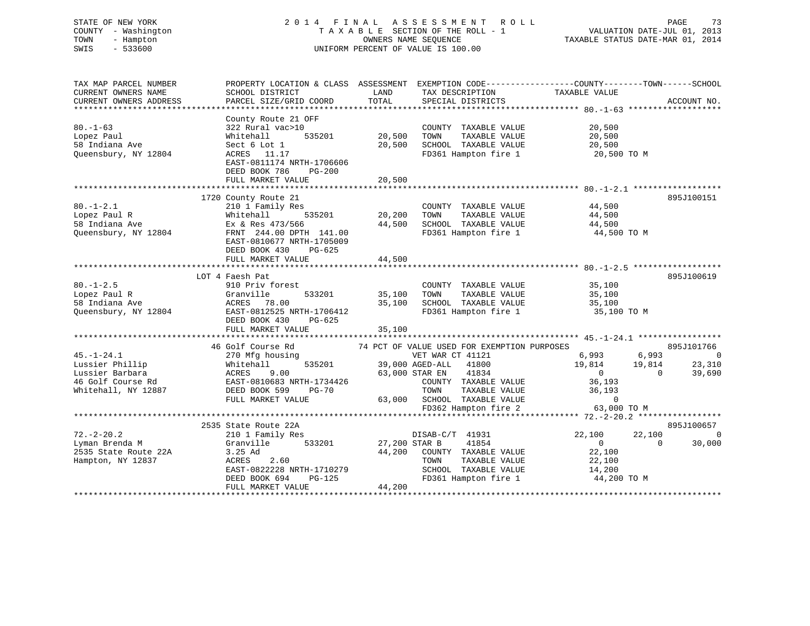# STATE OF NEW YORK 2 0 1 4 F I N A L A S S E S S M E N T R O L L PAGE 73 COUNTY - Washington T A X A B L E SECTION OF THE ROLL - 1 VALUATION DATE-JUL 01, 2013 TOWN - Hampton OWNERS NAME SEQUENCE TAXABLE STATUS DATE-MAR 01, 2014 SWIS - 533600 UNIFORM PERCENT OF VALUE IS 100.00

| TAX MAP PARCEL NUMBER<br>CURRENT OWNERS NAME<br>CURRENT OWNERS ADDRESS                             | SCHOOL DISTRICT<br>PARCEL SIZE/GRID COORD                                                                                                                                    | LAND<br>TOTAL                       | TAX DESCRIPTION TAXABLE VALUE<br>SPECIAL DISTRICTS                                                                                                                                                                    | PROPERTY LOCATION & CLASS ASSESSMENT EXEMPTION CODE---------------COUNTY-------TOWN-----SCHOOL                  | ACCOUNT NO.                                      |
|----------------------------------------------------------------------------------------------------|------------------------------------------------------------------------------------------------------------------------------------------------------------------------------|-------------------------------------|-----------------------------------------------------------------------------------------------------------------------------------------------------------------------------------------------------------------------|-----------------------------------------------------------------------------------------------------------------|--------------------------------------------------|
| $80. - 1 - 63$<br>Lopez Paul<br>58 Indiana Ave<br>Oueensbury, NY 12804                             | County Route 21 OFF<br>322 Rural vac>10<br>Whitehall<br>535201<br>Sect 6 Lot 1<br>ACRES 11.17<br>EAST-0811174 NRTH-1706606<br>DEED BOOK 786<br>$PG-200$<br>FULL MARKET VALUE | 20,500<br>20,500<br>20,500          | COUNTY TAXABLE VALUE<br>TAXABLE VALUE<br>TOWN<br>SCHOOL TAXABLE VALUE<br>FD361 Hampton fire 1                                                                                                                         | 20,500<br>20,500<br>20,500<br>20,500 TO M                                                                       |                                                  |
|                                                                                                    |                                                                                                                                                                              |                                     |                                                                                                                                                                                                                       |                                                                                                                 |                                                  |
| $80. - 1 - 2.1$<br>Lopez Paul R<br>58 Indiana Ave<br>Queensbury, NY 12804                          | 1720 County Route 21<br>210 1 Family Res<br>535201<br>Whitehall<br>Ex & Res 473/566<br>FRNT 244.00 DPTH 141.00<br>EAST-0810677 NRTH-1705009<br>DEED BOOK 430<br>PG-625       | 20,200<br>44,500                    | COUNTY TAXABLE VALUE<br>TAXABLE VALUE<br>TOWN<br>SCHOOL TAXABLE VALUE 44,500<br>FD361 Hampton fire 1                                                                                                                  | 44,500<br>44,500<br>44,500 TO M                                                                                 | 895J100151                                       |
|                                                                                                    | FULL MARKET VALUE                                                                                                                                                            | 44,500                              |                                                                                                                                                                                                                       |                                                                                                                 |                                                  |
|                                                                                                    |                                                                                                                                                                              |                                     |                                                                                                                                                                                                                       |                                                                                                                 |                                                  |
| $80. - 1 - 2.5$<br>Lopez Paul R<br>58 Indiana Ave<br>Queensbury, NY 12804                          | LOT 4 Faesh Pat<br>910 Priv forest<br>Granville<br>533201<br>ACRES<br>78.00<br>EAST-0812525 NRTH-1706412<br>DEED BOOK 430<br>PG-625<br>FULL MARKET VALUE                     | 35,100<br>35,100<br>35,100          | COUNTY TAXABLE VALUE<br>TOWN<br>TAXABLE VALUE<br>SCHOOL TAXABLE VALUE<br>FD361 Hampton fire 1                                                                                                                         | 35,100<br>35,100<br>35,100<br>35,100 TO M                                                                       | 895J100619                                       |
|                                                                                                    |                                                                                                                                                                              |                                     |                                                                                                                                                                                                                       |                                                                                                                 |                                                  |
| $45. - 1 - 24.1$<br>Lussier Phillip<br>Lussier Barbara<br>46 Golf Course Rd<br>Whitehall, NY 12887 | 46 Golf Course Rd<br>270 Mfg housing<br>535201<br>Whitehall<br>ACRES<br>9.00<br>EAST-0810683 NRTH-1734426<br>DEED BOOK 599<br>PG-70<br>FULL MARKET VALUE                     |                                     | 74 PCT OF VALUE USED FOR EXEMPTION PURPOSES<br>VET WAR CT 41121<br>39,000 AGED-ALL 41800<br>63,000 STAR EN 41834<br>COUNTY TAXABLE VALUE<br>TOWN TAXABLE VALUE<br>63,000 SCHOOL TAXABLE VALUE<br>FD362 Hampton fire 2 | 6,993 6,993<br>19,814 19,814<br>$\overline{0}$<br>$\overline{0}$<br>36,193<br>36,193<br>$\Omega$<br>63,000 TO M | 895J101766<br>$\overline{0}$<br>23,310<br>39,690 |
|                                                                                                    |                                                                                                                                                                              |                                     |                                                                                                                                                                                                                       |                                                                                                                 |                                                  |
| $72. - 2 - 20.2$<br>Lyman Brenda M<br>2535 State Route 22A<br>Hampton, NY 12837                    | 2535 State Route 22A<br>210 1 Family Res<br>533201<br>Granville<br>3.25 Ad<br>ACRES<br>2.60<br>EAST-0822228 NRTH-1710279<br>DEED BOOK 694<br>FULL MARKET VALUE               | 27,200 STAR B<br>$PG-125$<br>44,200 | DISAB-C/T 41931<br>41854<br>44,200 COUNTY TAXABLE VALUE<br>TAXABLE VALUE<br>TOWN<br>SCHOOL TAXABLE VALUE<br>FD361 Hampton fire 1                                                                                      | 22,100<br>22,100<br>$\overline{0}$<br>$\bigcirc$<br>22,100<br>22,100<br>14,200<br>44,200 TO M                   | 895J100657<br>$\overline{\phantom{0}}$<br>30,000 |
|                                                                                                    |                                                                                                                                                                              |                                     |                                                                                                                                                                                                                       |                                                                                                                 |                                                  |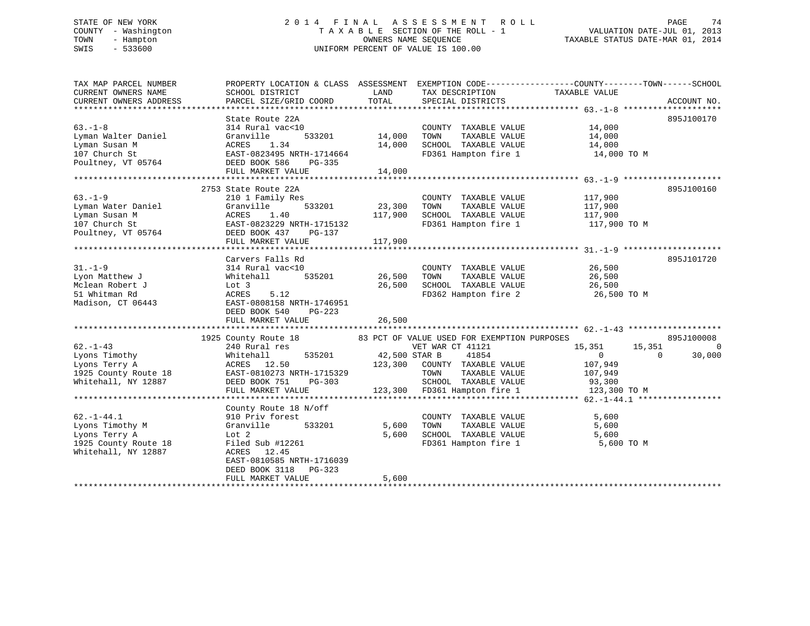# STATE OF NEW YORK 2 0 1 4 F I N A L A S S E S S M E N T R O L L PAGE 74 COUNTY - Washington T A X A B L E SECTION OF THE ROLL - 1 VALUATION DATE-JUL 01, 2013 TOWN - Hampton OWNERS NAME SEQUENCE TAXABLE STATUS DATE-MAR 01, 2014 SWIS - 533600 UNIFORM PERCENT OF VALUE IS 100.00

| TAX MAP PARCEL NUMBER                 | PROPERTY LOCATION & CLASS ASSESSMENT EXEMPTION CODE----------------COUNTY-------TOWN------SCHOOL              |               |                                                                          |                                                |                          |
|---------------------------------------|---------------------------------------------------------------------------------------------------------------|---------------|--------------------------------------------------------------------------|------------------------------------------------|--------------------------|
| CURRENT OWNERS NAME                   | SCHOOL DISTRICT                                                                                               | LAND          | TAX DESCRIPTION                                                          | TAXABLE VALUE                                  |                          |
| CURRENT OWNERS ADDRESS                | PARCEL SIZE/GRID COORD                                                                                        | TOTAL         | SPECIAL DISTRICTS                                                        |                                                | ACCOUNT NO.              |
|                                       |                                                                                                               |               |                                                                          |                                                |                          |
|                                       | State Route 22A                                                                                               |               |                                                                          |                                                | 895J100170               |
| $63. -1 - 8$                          | 314 Rural vac<10                                                                                              |               | COUNTY TAXABLE VALUE 14,000                                              |                                                |                          |
| Lyman Walter Daniel                   | Granville                                                                                                     | 533201 14,000 | TAXABLE VALUE<br>TOWN                                                    | 14,000                                         |                          |
| Lyman Susan M                         |                                                                                                               |               |                                                                          |                                                |                          |
| 107 Church St                         | ACRES 1.34 14,000<br>EAST-0823495 NRTH-1714664                                                                |               | SCHOOL TAXABLE VALUE<br>FD361 Hampton fire 1                             | 14,000<br>14,000 TO M                          |                          |
| Poultney, VT 05764 DEED BOOK 586      | PG-335                                                                                                        |               |                                                                          |                                                |                          |
|                                       | FULL MARKET VALUE                                                                                             | 14,000        |                                                                          |                                                |                          |
|                                       |                                                                                                               |               |                                                                          |                                                |                          |
|                                       | 2753 State Route 22A                                                                                          |               |                                                                          |                                                | 895J100160               |
| $63. - 1 - 9$                         | 210 1 Family Res                                                                                              |               | COUNTY TAXABLE VALUE                                                     | 117,900                                        |                          |
| Lyman Water Daniel                    | Granville                                                                                                     | 533201 23,300 | TOWN                                                                     |                                                |                          |
| Lyman Susan M                         | ACRES<br>1.40                                                                                                 | 117,900       | SCHOOL TAXABLE VALUE                                                     | TAXABLE VALUE 117,900<br>TAXABLE VALUE 117,900 |                          |
| 107 Church St                         | EAST-0823229 NRTH-1715132                                                                                     |               |                                                                          | FD361 Hampton fire 1 117,900 TO M              |                          |
| Poultney, VT 05764 DEED BOOK 437      | PG-137                                                                                                        |               |                                                                          |                                                |                          |
|                                       | FULL MARKET VALUE                                                                                             | 117,900       |                                                                          |                                                |                          |
|                                       |                                                                                                               |               |                                                                          |                                                |                          |
|                                       | Carvers Falls Rd                                                                                              |               |                                                                          |                                                | 895J101720               |
| $31. - 1 - 9$                         | 314 Rural vac<10                                                                                              |               | COUNTY TAXABLE VALUE 26,500                                              |                                                |                          |
| Lyon Matthew J                        | Whitehall 535201                                                                                              | 26,500        | TOWN TAXABLE VALUE                                                       |                                                |                          |
| Mclean Robert J                       |                                                                                                               | 26,500        | SCHOOL TAXABLE VALUE                                                     | 26,500<br>26,500                               |                          |
| 51 Whitman Rd                         | Whiteh<br>Lot 3<br>ACRES<br>EAST-0<br>ACRES 5.12                                                              |               |                                                                          | FD362 Hampton fire 2 26,500 TO M               |                          |
| Madison, CT 06443                     | EAST-0808158 NRTH-1746951                                                                                     |               |                                                                          |                                                |                          |
|                                       | DEED BOOK 540<br>PG-223                                                                                       |               |                                                                          |                                                |                          |
|                                       | FULL MARKET VALUE                                                                                             | 26,500        |                                                                          |                                                |                          |
|                                       |                                                                                                               |               |                                                                          |                                                |                          |
|                                       | 1925 County Route 18 63 PCT OF VALUE USED FOR EXEMPTION PURPOSES                                              |               |                                                                          |                                                | 895J100008               |
| $62. - 1 - 43$                        | 240 Rural res                                                                                                 |               | VET WAR CT 41121                                                         | 15,351                                         | 15,351<br>$\overline{0}$ |
| Lyons Timothy                         |                                                                                                               |               |                                                                          | $\overline{0}$                                 | 30,000<br>$\Omega$       |
| Lyons Terry A                         | Whitehall  535201  42,500 STAR B  41854<br>ACRES  12.50   123,300 COUNTY TAXABLE VALUE                        |               |                                                                          | 107,949                                        |                          |
|                                       | Lyons Terry A<br>1925 County Route 18<br>1925 County Route 18<br>1925 County Route 18<br>1925 County Route 18 |               | TAXABLE VALUE<br>TOWN                                                    | 107,949                                        |                          |
| Whitehall, NY 12887                   | DEED BOOK 751<br>PG-303                                                                                       |               |                                                                          |                                                |                          |
|                                       | FULL MARKET VALUE                                                                                             |               | SCHOOL TAXABLE VALUE 93,300<br>123,300 FD361 Hampton fire 1 123,300 TO M |                                                |                          |
|                                       |                                                                                                               |               |                                                                          |                                                |                          |
|                                       | County Route 18 N/off                                                                                         |               |                                                                          |                                                |                          |
| $62. - 1 - 44.1$                      | 910 Priv forest                                                                                               |               | COUNTY TAXABLE VALUE                                                     | 5,600                                          |                          |
|                                       | Granville                                                                                                     | 533201 5,600  |                                                                          | 5,600                                          |                          |
| Lyons Timothy $M$<br>Lyons Terry A    | Lot 2                                                                                                         | 5,600         | TOWN      TAXABLE VALUE<br>SCHOOL   TAXABLE VALUE                        | 5,600                                          |                          |
| 1925 County Route 18 Filed Sub #12261 |                                                                                                               |               |                                                                          | FD361 Hampton fire 1 5,600 TO M                |                          |
| Whitehall, NY 12887                   | ACRES 12.45                                                                                                   |               |                                                                          |                                                |                          |
|                                       | EAST-0810585 NRTH-1716039                                                                                     |               |                                                                          |                                                |                          |
|                                       | DEED BOOK 3118 PG-323                                                                                         |               |                                                                          |                                                |                          |
|                                       | FULL MARKET VALUE                                                                                             | 5,600         |                                                                          |                                                |                          |
|                                       |                                                                                                               |               |                                                                          |                                                |                          |
|                                       |                                                                                                               |               |                                                                          |                                                |                          |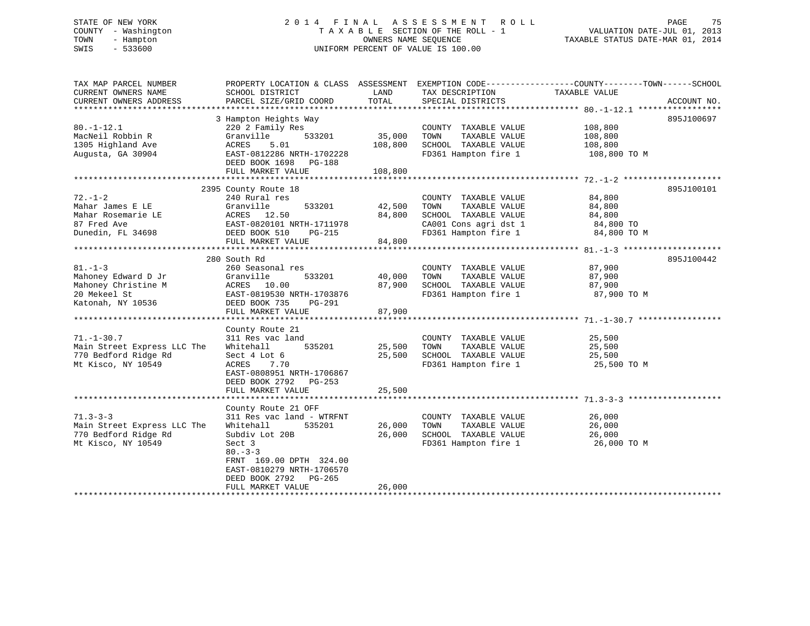# STATE OF NEW YORK 2 0 1 4 F I N A L A S S E S S M E N T R O L L PAGE 75 COUNTY - Washington T A X A B L E SECTION OF THE ROLL - 1 VALUATION DATE-JUL 01, 2013 TOWN - Hampton OWNERS NAME SEQUENCE TAXABLE STATUS DATE-MAR 01, 2014 SWIS - 533600 UNIFORM PERCENT OF VALUE IS 100.00

| TAX MAP PARCEL NUMBER<br>CURRENT OWNERS NAME<br>CURRENT OWNERS ADDRESS                          | PROPERTY LOCATION & CLASS ASSESSMENT EXEMPTION CODE----------------COUNTY-------TOWN------SCHOOL<br>SCHOOL DISTRICT<br>PARCEL SIZE/GRID COORD                                                                             | LAND<br>TOTAL                | TAX DESCRIPTION<br>SPECIAL DISTRICTS                                                           | TAXABLE VALUE                                 | ACCOUNT NO. |
|-------------------------------------------------------------------------------------------------|---------------------------------------------------------------------------------------------------------------------------------------------------------------------------------------------------------------------------|------------------------------|------------------------------------------------------------------------------------------------|-----------------------------------------------|-------------|
| $80. - 1 - 12.1$<br>MacNeil Robbin R<br>1305 Highland Ave<br>Augusta, GA 30904                  | 3 Hampton Heights Way<br>220 2 Family Res<br>Granville<br>533201<br>ACRES<br>5.01<br>EAST-0812286 NRTH-1702228<br>DEED BOOK 1698 PG-188<br>FULL MARKET VALUE                                                              | 35,000<br>108,800<br>108,800 | COUNTY TAXABLE VALUE<br>TAXABLE VALUE<br>TOWN<br>SCHOOL TAXABLE VALUE<br>FD361 Hampton fire 1  | 108,800<br>108,800<br>108,800<br>108,800 TO M | 895J100697  |
| $72. - 1 - 2$                                                                                   | 2395 County Route 18<br>240 Rural res                                                                                                                                                                                     |                              | COUNTY TAXABLE VALUE                                                                           | 84,800                                        | 895J100101  |
| Mahar James E LE<br>Mahar Rosemarie LE<br>87 Fred Ave<br>Dunedin, FL 34698                      | Granville<br>533201<br>ACRES 12.50<br>EAST-0820101 NRTH-1711978<br>DEED BOOK 510<br>PG-215<br>FULL MARKET VALUE                                                                                                           | 42,500<br>84,800<br>84,800   | TAXABLE VALUE<br>TOWN<br>SCHOOL TAXABLE VALUE<br>CA001 Cons agri dst 1<br>FD361 Hampton fire 1 | 84,800<br>84,800<br>84,800 TO<br>84,800 TO M  |             |
|                                                                                                 | 280 South Rd                                                                                                                                                                                                              |                              |                                                                                                |                                               | 895J100442  |
| $81. -1 - 3$<br>Mahoney Edward D Jr<br>Mahoney Christine M<br>20 Mekeel St<br>Katonah, NY 10536 | 260 Seasonal res<br>Granville<br>533201<br>ACRES 10.00<br>EAST-0819530 NRTH-1703876<br>DEED BOOK 735<br>PG-291<br>FULL MARKET VALUE                                                                                       | 40,000<br>87,900<br>87,900   | COUNTY TAXABLE VALUE<br>TAXABLE VALUE<br>TOWN<br>SCHOOL TAXABLE VALUE<br>FD361 Hampton fire 1  | 87,900<br>87,900<br>87,900<br>87,900 TO M     |             |
| $71. - 1 - 30.7$<br>Main Street Express LLC The<br>770 Bedford Ridge Rd<br>Mt Kisco, NY 10549   | County Route 21<br>311 Res vac land<br>535201<br>Whitehall<br>Sect 4 Lot 6<br>ACRES<br>7.70<br>EAST-0808951 NRTH-1706867<br>DEED BOOK 2792 PG-253<br>FULL MARKET VALUE                                                    | 25,500<br>25,500<br>25,500   | COUNTY TAXABLE VALUE<br>TOWN<br>TAXABLE VALUE<br>SCHOOL TAXABLE VALUE<br>FD361 Hampton fire 1  | 25,500<br>25,500<br>25,500<br>25,500 TO M     |             |
| $71.3 - 3 - 3$<br>Main Street Express LLC The<br>770 Bedford Ridge Rd<br>Mt Kisco, NY 10549     | County Route 21 OFF<br>311 Res vac land - WTRFNT<br>Whitehall<br>535201<br>Subdiv Lot 20B<br>Sect 3<br>$80 - 3 - 3$<br>FRNT 169.00 DPTH 324.00<br>EAST-0810279 NRTH-1706570<br>DEED BOOK 2792 PG-265<br>FULL MARKET VALUE | 26,000<br>26,000<br>26,000   | COUNTY TAXABLE VALUE<br>TAXABLE VALUE<br>TOWN<br>SCHOOL TAXABLE VALUE<br>FD361 Hampton fire 1  | 26,000<br>26,000<br>26,000<br>26,000 TO M     |             |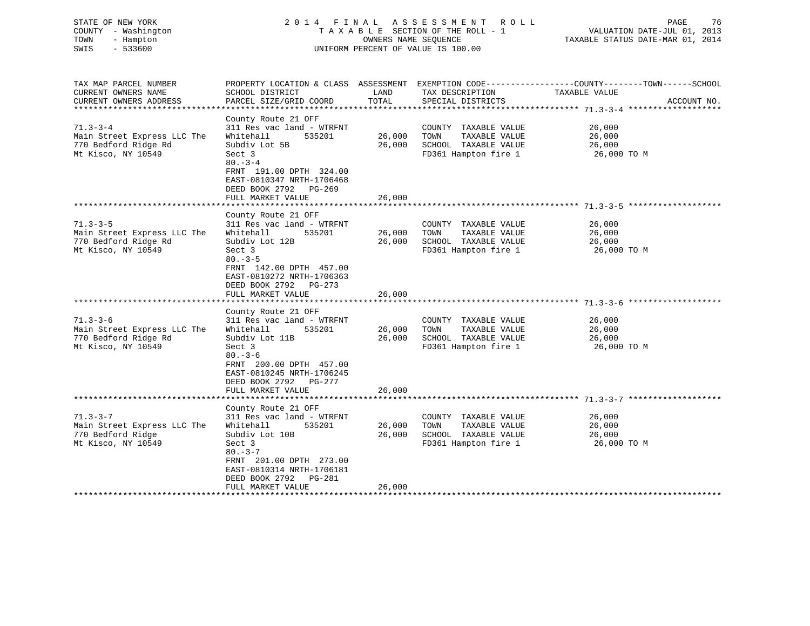| STATE OF NEW YORK<br>COUNTY - Washington<br>TOWN<br>- Hampton<br>$-533600$<br>SWIS                                                                                                         | 2014 FINAL                                                                                                                                                                                                                                                                                                                                                                                                                           | OWNERS NAME SEQUENCE                           | A S S E S S M E N T A O L L<br>TAXABLE SECTION OF THE ROLL - 1<br>UNIFORM PERCENT OF VALUE IS 100.00                                                                                           | 76<br>PAGE<br>VALUATION DATE-JUL 01, 2013<br>TAXABLE STATUS DATE-MAR 01, 2014          |
|--------------------------------------------------------------------------------------------------------------------------------------------------------------------------------------------|--------------------------------------------------------------------------------------------------------------------------------------------------------------------------------------------------------------------------------------------------------------------------------------------------------------------------------------------------------------------------------------------------------------------------------------|------------------------------------------------|------------------------------------------------------------------------------------------------------------------------------------------------------------------------------------------------|----------------------------------------------------------------------------------------|
| TAX MAP PARCEL NUMBER<br>CURRENT OWNERS NAME                                                                                                                                               | PROPERTY LOCATION & CLASS ASSESSMENT<br>SCHOOL DISTRICT                                                                                                                                                                                                                                                                                                                                                                              | LAND                                           | TAX DESCRIPTION                                                                                                                                                                                | EXEMPTION CODE-----------------COUNTY-------TOWN------SCHOOL<br>TAXABLE VALUE          |
| CURRENT OWNERS ADDRESS<br>*************************                                                                                                                                        | PARCEL SIZE/GRID COORD                                                                                                                                                                                                                                                                                                                                                                                                               | TOTAL                                          | SPECIAL DISTRICTS                                                                                                                                                                              | ACCOUNT NO.                                                                            |
| $71.3 - 3 - 4$<br>Main Street Express LLC The<br>770 Bedford Ridge Rd<br>Mt Kisco, NY 10549                                                                                                | County Route 21 OFF<br>311 Res vac land - WTRFNT<br>Whitehall<br>535201<br>Subdiv Lot 5B<br>Sect 3<br>$80 - 3 - 4$<br>FRNT 191.00 DPTH 324.00<br>EAST-0810347 NRTH-1706468<br>DEED BOOK 2792 PG-269                                                                                                                                                                                                                                  | 26,000<br>26,000                               | COUNTY TAXABLE VALUE<br>TOWN<br>TAXABLE VALUE<br>SCHOOL TAXABLE VALUE<br>FD361 Hampton fire 1                                                                                                  | 26,000<br>26,000<br>26,000<br>26,000 TO M                                              |
|                                                                                                                                                                                            | FULL MARKET VALUE                                                                                                                                                                                                                                                                                                                                                                                                                    | 26,000                                         |                                                                                                                                                                                                |                                                                                        |
|                                                                                                                                                                                            | ************************                                                                                                                                                                                                                                                                                                                                                                                                             | **********                                     |                                                                                                                                                                                                |                                                                                        |
| $71.3 - 3 - 5$<br>Main Street Express LLC The<br>770 Bedford Ridge Rd<br>Mt Kisco, NY 10549<br>$71.3 - 3 - 6$<br>Main Street Express LLC The<br>770 Bedford Ridge Rd<br>Mt Kisco, NY 10549 | County Route 21 OFF<br>311 Res vac land - WTRFNT<br>Whitehall<br>535201<br>Subdiv Lot 12B<br>Sect 3<br>$80 - 3 - 5$<br>FRNT 142.00 DPTH 457.00<br>EAST-0810272 NRTH-1706363<br>DEED BOOK 2792 PG-273<br>FULL MARKET VALUE<br>County Route 21 OFF<br>311 Res vac land - WTRFNT<br>Whitehall<br>535201<br>Subdiv Lot 11B<br>Sect 3<br>$80 - 3 - 6$<br>FRNT 200.00 DPTH 457.00<br>EAST-0810245 NRTH-1706245<br>DEED BOOK 2792<br>PG-277 | 26,000<br>26,000<br>26,000<br>26,000<br>26,000 | COUNTY TAXABLE VALUE<br>TOWN<br>TAXABLE VALUE<br>SCHOOL TAXABLE VALUE<br>FD361 Hampton fire 1<br>COUNTY TAXABLE VALUE<br>TOWN<br>TAXABLE VALUE<br>SCHOOL TAXABLE VALUE<br>FD361 Hampton fire 1 | 26,000<br>26,000<br>26,000<br>26,000 TO M<br>26,000<br>26,000<br>26,000<br>26,000 TO M |
|                                                                                                                                                                                            | FULL MARKET VALUE<br>******************                                                                                                                                                                                                                                                                                                                                                                                              | 26,000                                         | ************************** 71.3-3-7                                                                                                                                                            |                                                                                        |
| $71.3 - 3 - 7$<br>Main Street Express LLC The<br>770 Bedford Ridge<br>Mt Kisco, NY 10549                                                                                                   | County Route 21 OFF<br>311 Res vac land - WTRFNT<br>Whitehall<br>535201<br>Subdiv Lot 10B<br>Sect 3<br>$80 - 3 - 7$<br>FRNT 201.00 DPTH 273.00<br>EAST-0810314 NRTH-1706181<br>DEED BOOK 2792<br>PG-281<br>FULL MARKET VALUE                                                                                                                                                                                                         | 26,000<br>26,000<br>26,000                     | COUNTY TAXABLE VALUE<br>TOWN<br>TAXABLE VALUE<br>SCHOOL TAXABLE VALUE<br>FD361 Hampton fire 1                                                                                                  | 26,000<br>26,000<br>26,000<br>26,000 то м                                              |
| **********************                                                                                                                                                                     |                                                                                                                                                                                                                                                                                                                                                                                                                                      | .                                              |                                                                                                                                                                                                |                                                                                        |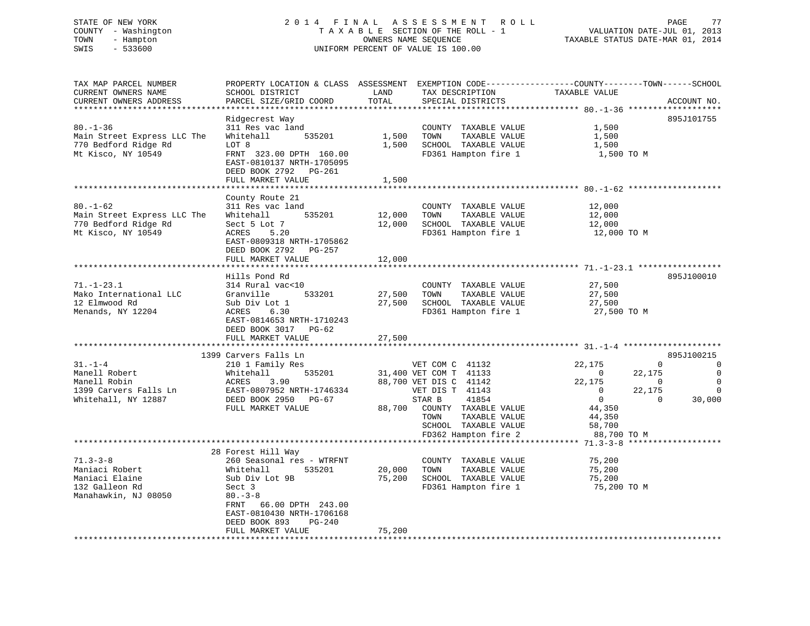# STATE OF NEW YORK 2 0 1 4 F I N A L A S S E S S M E N T R O L L PAGE 77 COUNTY - Washington T A X A B L E SECTION OF THE ROLL - 1 VALUATION DATE-JUL 01, 2013 TOWN - Hampton OWNERS NAME SEQUENCE TAXABLE STATUS DATE-MAR 01, 2014 SWIS - 533600 UNIFORM PERCENT OF VALUE IS 100.00

| TAX MAP PARCEL NUMBER<br>CURRENT OWNERS NAME<br>CURRENT OWNERS ADDRESS<br>******************** | SCHOOL DISTRICT<br>PARCEL SIZE/GRID COORD                                                                                                                                                                                    | LAND<br>TOTAL              | TAX DESCRIPTION<br>SPECIAL DISTRICTS                                                                                                                                                                       | PROPERTY LOCATION & CLASS ASSESSMENT EXEMPTION CODE----------------COUNTY-------TOWN------SCHOOL<br>TAXABLE VALUE                                                    | ACCOUNT NO.                                                      |
|------------------------------------------------------------------------------------------------|------------------------------------------------------------------------------------------------------------------------------------------------------------------------------------------------------------------------------|----------------------------|------------------------------------------------------------------------------------------------------------------------------------------------------------------------------------------------------------|----------------------------------------------------------------------------------------------------------------------------------------------------------------------|------------------------------------------------------------------|
| $80. - 1 - 36$<br>Main Street Express LLC The<br>770 Bedford Ridge Rd<br>Mt Kisco, NY 10549    | Ridgecrest Way<br>311 Res vac land<br>Whitehall<br>535201<br>LOT 8<br>FRNT 323.00 DPTH 160.00<br>EAST-0810137 NRTH-1705095<br>DEED BOOK 2792 PG-261<br>FULL MARKET VALUE                                                     | 1,500<br>1,500<br>1,500    | COUNTY TAXABLE VALUE<br>TOWN<br>TAXABLE VALUE<br>SCHOOL TAXABLE VALUE<br>FD361 Hampton fire 1                                                                                                              | 1,500<br>1,500<br>1,500<br>1,500 TO M                                                                                                                                | 895J101755                                                       |
| $80. - 1 - 62$<br>Main Street Express LLC The<br>770 Bedford Ridge Rd<br>Mt Kisco, NY 10549    | **************************<br>County Route 21<br>311 Res vac land<br>535201<br>Whitehall<br>Sect 5 Lot 7<br>ACRES<br>5.20<br>EAST-0809318 NRTH-1705862<br>DEED BOOK 2792 PG-257<br>FULL MARKET VALUE                         | 12,000<br>12,000<br>12,000 | COUNTY TAXABLE VALUE<br>TOWN<br>TAXABLE VALUE<br>SCHOOL TAXABLE VALUE<br>FD361 Hampton fire 1                                                                                                              | 12,000<br>12,000<br>12,000<br>12,000 TO M                                                                                                                            |                                                                  |
| $71. - 1 - 23.1$<br>Mako International LLC<br>12 Elmwood Rd<br>Menands, NY 12204               | Hills Pond Rd<br>314 Rural vac<10<br>Granville<br>533201<br>Sub Div Lot 1<br>6.30<br>ACRES<br>EAST-0814653 NRTH-1710243<br>DEED BOOK 3017<br>PG-62<br>FULL MARKET VALUE                                                      | 27,500<br>27,500<br>27,500 | COUNTY TAXABLE VALUE<br>TOWN<br>TAXABLE VALUE<br>SCHOOL TAXABLE VALUE<br>FD361 Hampton fire 1                                                                                                              | 27,500<br>27,500<br>27,500<br>27,500 TO M                                                                                                                            | 895J100010                                                       |
|                                                                                                | ***********************                                                                                                                                                                                                      | ************               |                                                                                                                                                                                                            |                                                                                                                                                                      |                                                                  |
| $31. - 1 - 4$<br>Manell Robert<br>Manell Robin<br>1399 Carvers Falls Ln<br>Whitehall, NY 12887 | 1399 Carvers Falls Ln<br>210 1 Family Res<br>Whitehall<br>535201<br>ACRES<br>3.90<br>EAST-0807952 NRTH-1746334<br>DEED BOOK 2950<br>PG-67<br>FULL MARKET VALUE                                                               | 88,700                     | VET COM C 41132<br>31,400 VET COM T 41133<br>88,700 VET DIS C 41142<br>VET DIS T 41143<br>41854<br>STAR B<br>COUNTY TAXABLE VALUE<br>TAXABLE VALUE<br>TOWN<br>SCHOOL TAXABLE VALUE<br>FD362 Hampton fire 2 | $\Omega$<br>22,175<br>22,175<br>$\Omega$<br>22,175<br>$\mathbf 0$<br>$\mathbf{0}$<br>22,175<br>$\mathbf{0}$<br>$\Omega$<br>44,350<br>44,350<br>58,700<br>88,700 TO M | 895J100215<br>0<br>$\Omega$<br>$\mathbf 0$<br>$\Omega$<br>30,000 |
|                                                                                                | ************************************                                                                                                                                                                                         |                            |                                                                                                                                                                                                            |                                                                                                                                                                      | *******************                                              |
| $71.3 - 3 - 8$<br>Maniaci Robert<br>Maniaci Elaine<br>132 Galleon Rd<br>Manahawkin, NJ 08050   | 28 Forest Hill Way<br>260 Seasonal res - WTRFNT<br>Whitehall<br>535201<br>Sub Div Lot 9B<br>Sect 3<br>$80 - 3 - 8$<br>FRNT<br>66.00 DPTH 243.00<br>EAST-0810430 NRTH-1706168<br>DEED BOOK 893<br>PG-240<br>FULL MARKET VALUE | 20,000<br>75,200<br>75,200 | COUNTY TAXABLE VALUE<br>TOWN<br>TAXABLE VALUE<br>SCHOOL TAXABLE VALUE<br>FD361 Hampton fire 1                                                                                                              | 75,200<br>75,200<br>75,200<br>75,200 TO M                                                                                                                            |                                                                  |
|                                                                                                |                                                                                                                                                                                                                              |                            |                                                                                                                                                                                                            |                                                                                                                                                                      |                                                                  |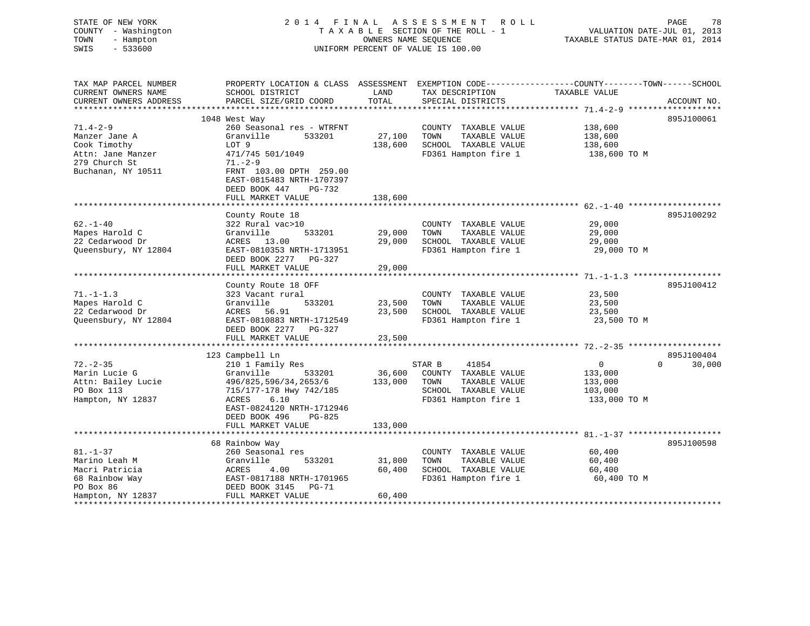| STATE OF NEW YORK<br>COUNTY - Washington<br>TOWN<br>- Hampton<br>SWIS<br>$-533600$ | 2014 FINAL                                                                      | OWNERS NAME SEOUENCE | A S S E S S M E N T<br>R O L L<br>TAXABLE SECTION OF THE ROLL - 1<br>UNIFORM PERCENT OF VALUE IS 100.00 | VALUATION DATE-JUL 01, 2013<br>TAXABLE STATUS DATE-MAR 01, 2014                                                   | PAGE<br>78  |
|------------------------------------------------------------------------------------|---------------------------------------------------------------------------------|----------------------|---------------------------------------------------------------------------------------------------------|-------------------------------------------------------------------------------------------------------------------|-------------|
| TAX MAP PARCEL NUMBER<br>CURRENT OWNERS NAME                                       | SCHOOL DISTRICT                                                                 | LAND                 | TAX DESCRIPTION                                                                                         | PROPERTY LOCATION & CLASS ASSESSMENT EXEMPTION CODE----------------COUNTY-------TOWN------SCHOOL<br>TAXABLE VALUE |             |
| CURRENT OWNERS ADDRESS                                                             | PARCEL SIZE/GRID COORD                                                          | TOTAL                | SPECIAL DISTRICTS                                                                                       |                                                                                                                   | ACCOUNT NO. |
|                                                                                    | 1048 West Way                                                                   |                      |                                                                                                         |                                                                                                                   | 895J100061  |
| $71.4 - 2 - 9$                                                                     | 260 Seasonal res - WTRFNT                                                       |                      | COUNTY TAXABLE VALUE                                                                                    | 138,600                                                                                                           |             |
| Manzer Jane A                                                                      | Granville<br>533201                                                             | 27,100               | TOWN<br>TAXABLE VALUE                                                                                   | 138,600                                                                                                           |             |
| Cook Timothy                                                                       | LOT 9                                                                           | 138,600              | SCHOOL TAXABLE VALUE                                                                                    | 138,600                                                                                                           |             |
| Attn: Jane Manzer                                                                  | 471/745 501/1049                                                                |                      | FD361 Hampton fire 1                                                                                    | 138,600 TO M                                                                                                      |             |
| 279 Church St                                                                      | $71. - 2 - 9$                                                                   |                      |                                                                                                         |                                                                                                                   |             |
| Buchanan, NY 10511                                                                 | FRNT 103.00 DPTH 259.00<br>EAST-0815483 NRTH-1707397<br>DEED BOOK 447<br>PG-732 |                      |                                                                                                         |                                                                                                                   |             |
|                                                                                    | FULL MARKET VALUE                                                               | 138,600              |                                                                                                         |                                                                                                                   |             |
|                                                                                    | County Route 18                                                                 |                      |                                                                                                         |                                                                                                                   | 895J100292  |
| $62. - 1 - 40$                                                                     | 322 Rural vac>10                                                                |                      | COUNTY TAXABLE VALUE                                                                                    | 29,000                                                                                                            |             |
| Mapes Harold C                                                                     | 533201<br>Granville                                                             | 29,000               | TAXABLE VALUE<br>TOWN                                                                                   | 29,000                                                                                                            |             |
| 22 Cedarwood Dr                                                                    | 13.00<br>ACRES                                                                  | 29,000               | SCHOOL TAXABLE VALUE                                                                                    | 29,000                                                                                                            |             |
| Queensbury, NY 12804                                                               | EAST-0810353 NRTH-1713951                                                       |                      | FD361 Hampton fire 1                                                                                    | 29,000 TO M                                                                                                       |             |
|                                                                                    | DEED BOOK 2277 PG-327                                                           |                      |                                                                                                         |                                                                                                                   |             |
|                                                                                    | FULL MARKET VALUE                                                               | 29,000               |                                                                                                         |                                                                                                                   |             |
|                                                                                    |                                                                                 |                      |                                                                                                         |                                                                                                                   |             |
|                                                                                    | County Route 18 OFF                                                             |                      |                                                                                                         |                                                                                                                   | 895J100412  |
| $71. - 1 - 1.3$                                                                    | 323 Vacant rural                                                                |                      | COUNTY TAXABLE VALUE                                                                                    | 23,500                                                                                                            |             |
| Mapes Harold C                                                                     | Granville<br>533201                                                             | 23,500               | TAXABLE VALUE<br>TOWN                                                                                   | 23,500                                                                                                            |             |
| 22 Cedarwood Dr<br>Queensbury, NY 12804                                            | ACRES<br>56.91<br>EAST-0810883 NRTH-1712549                                     | 23,500               | SCHOOL TAXABLE VALUE<br>FD361 Hampton fire 1                                                            | 23,500<br>23,500 TO M                                                                                             |             |
|                                                                                    | DEED BOOK 2277 PG-327                                                           |                      |                                                                                                         |                                                                                                                   |             |
|                                                                                    | FULL MARKET VALUE                                                               | 23,500               |                                                                                                         |                                                                                                                   |             |
|                                                                                    | *******************                                                             | ***************      |                                                                                                         |                                                                                                                   |             |
|                                                                                    | 123 Campbell Ln                                                                 |                      |                                                                                                         |                                                                                                                   | 895J100404  |
| $72. - 2 - 35$                                                                     | 210 1 Family Res                                                                |                      | STAR B<br>41854                                                                                         | $\mathbf{0}$<br>$\Omega$                                                                                          | 30,000      |
| Marin Lucie G                                                                      | Granville<br>533201                                                             | 36,600               | COUNTY TAXABLE VALUE                                                                                    | 133,000                                                                                                           |             |
| Attn: Bailey Lucie                                                                 | 496/825,596/34,2653/6                                                           | 133,000              | TOWN<br>TAXABLE VALUE                                                                                   | 133,000                                                                                                           |             |
| PO Box 113                                                                         | 715/177-178 Hwy 742/185                                                         |                      | SCHOOL TAXABLE VALUE                                                                                    | 103,000                                                                                                           |             |
| Hampton, NY 12837                                                                  | 6.10<br>ACRES                                                                   |                      | FD361 Hampton fire 1                                                                                    | 133,000 TO M                                                                                                      |             |
|                                                                                    | EAST-0824120 NRTH-1712946                                                       |                      |                                                                                                         |                                                                                                                   |             |
|                                                                                    | DEED BOOK 496<br>PG-825<br>FULL MARKET VALUE                                    | 133,000              |                                                                                                         |                                                                                                                   |             |
|                                                                                    |                                                                                 |                      |                                                                                                         |                                                                                                                   |             |
|                                                                                    | 68 Rainbow Way                                                                  |                      |                                                                                                         |                                                                                                                   | 895J100598  |
| $81. - 1 - 37$                                                                     | 260 Seasonal res                                                                |                      | COUNTY TAXABLE VALUE                                                                                    | 60,400                                                                                                            |             |
| Marino Leah M                                                                      | Granville<br>533201                                                             | 31,800               | TAXABLE VALUE<br>TOWN                                                                                   | 60,400                                                                                                            |             |
| Macri Patricia                                                                     | ACRES<br>4.00                                                                   | 60,400               | SCHOOL TAXABLE VALUE                                                                                    | 60,400                                                                                                            |             |
| 68 Rainbow Way                                                                     | EAST-0817188 NRTH-1701965                                                       |                      | FD361 Hampton fire 1                                                                                    | 60,400 TO M                                                                                                       |             |
| PO Box 86                                                                          | DEED BOOK 3145 PG-71                                                            |                      |                                                                                                         |                                                                                                                   |             |

60,400 Hampton, NY 12837 FULL MARKET VALUE \*\*\*\*\*\*\*\*\*\*\*\*\*\*\*\*\*\*\*\*\*\*\*\*\*\*\*\*\*\*\*\*\*\*\*\*\*\*\*\*\*\*\*\*\*\*\*\*\*\*\*\*\*\*\*\*\*\*\*\*\*\*\*\*\*\*\*\*\*\*\*\*\*\*\*\*\*\*\*\*\*\*\*\*\*\*\*\*\*\*\*\*\*\*\*\*\*\*\*\*\*\*\*\*\*\*\*\*\*\*\*\*\*\*\*\*\*\*\*\*\*\*\*\*\*\*\*\*\*\*\*\*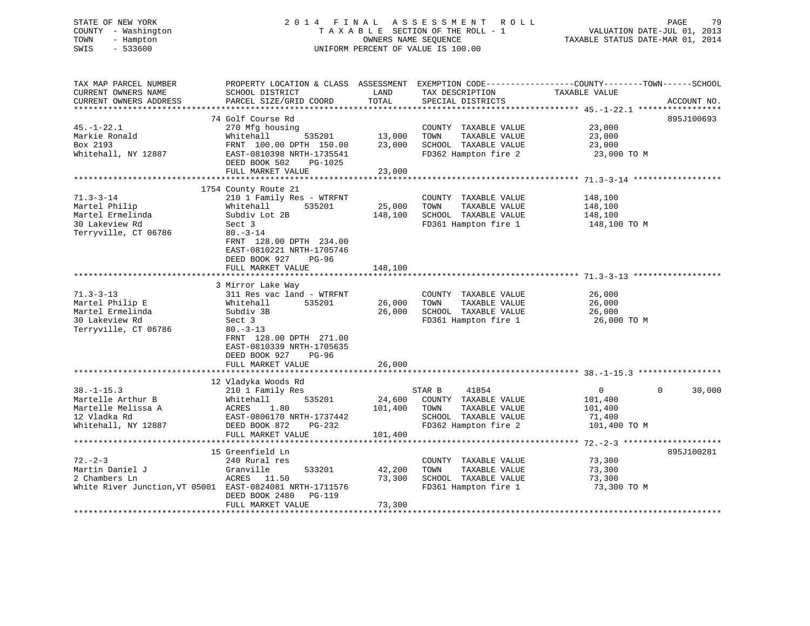# STATE OF NEW YORK 2 0 1 4 F I N A L A S S E S S M E N T R O L L PAGE 79 COUNTY - Washington T A X A B L E SECTION OF THE ROLL - 1 VALUATION DATE-JUL 01, 2013 TOWN - Hampton OWNERS NAME SEQUENCE TAXABLE STATUS DATE-MAR 01, 2014 SWIS - 533600 UNIFORM PERCENT OF VALUE IS 100.00

| TAX MAP PARCEL NUMBER                                    |                                         |         |                             | PROPERTY LOCATION & CLASS ASSESSMENT EXEMPTION CODE----------------COUNTY-------TOWN------SCHOOL |             |
|----------------------------------------------------------|-----------------------------------------|---------|-----------------------------|--------------------------------------------------------------------------------------------------|-------------|
| CURRENT OWNERS NAME                                      | SCHOOL DISTRICT                         | LAND    | TAX DESCRIPTION             | TAXABLE VALUE                                                                                    |             |
| CURRENT OWNERS ADDRESS                                   | PARCEL SIZE/GRID COORD                  | TOTAL   | SPECIAL DISTRICTS           |                                                                                                  | ACCOUNT NO. |
|                                                          |                                         |         |                             |                                                                                                  |             |
|                                                          | 74 Golf Course Rd                       |         |                             |                                                                                                  | 895J100693  |
| $45. - 1 - 22.1$                                         | 270 Mfg housing                         |         | COUNTY TAXABLE VALUE        | 23,000                                                                                           |             |
| Markie Ronald                                            | Whitehall<br>535201                     | 13,000  | TOWN<br>TAXABLE VALUE       | 23,000                                                                                           |             |
| Box 2193                                                 | FRNT 100.00 DPTH 150.00                 | 23,000  | SCHOOL TAXABLE VALUE        | 23,000                                                                                           |             |
| Whitehall, NY 12887                                      | EAST-0810398 NRTH-1735541               |         | FD362 Hampton fire 2        | 23,000 TO M                                                                                      |             |
|                                                          | DEED BOOK 502<br>PG-1025                |         |                             |                                                                                                  |             |
|                                                          | FULL MARKET VALUE                       | 23,000  |                             |                                                                                                  |             |
|                                                          |                                         |         |                             |                                                                                                  |             |
|                                                          | 1754 County Route 21                    |         |                             |                                                                                                  |             |
| $71.3 - 3 - 14$                                          | 210 1 Family Res - WTRFNT               |         | COUNTY TAXABLE VALUE        | 148,100                                                                                          |             |
| Martel Philip                                            | 535201<br>Whitehall                     | 25,000  | TOWN<br>TAXABLE VALUE       | 148,100                                                                                          |             |
| Martel Ermelinda                                         | Subdiv Lot 2B                           | 148,100 | SCHOOL TAXABLE VALUE        | 148,100                                                                                          |             |
| 30 Lakeview Rd                                           |                                         |         |                             |                                                                                                  |             |
|                                                          | Sect 3                                  |         | FD361 Hampton fire 1        | 148,100 TO M                                                                                     |             |
| Terryville, CT 06786                                     | $80. - 3 - 14$                          |         |                             |                                                                                                  |             |
|                                                          | FRNT 128.00 DPTH 234.00                 |         |                             |                                                                                                  |             |
|                                                          | EAST-0810221 NRTH-1705746               |         |                             |                                                                                                  |             |
|                                                          | DEED BOOK 927<br>PG-96                  |         |                             |                                                                                                  |             |
|                                                          | FULL MARKET VALUE                       | 148,100 |                             |                                                                                                  |             |
|                                                          |                                         |         |                             |                                                                                                  |             |
|                                                          | 3 Mirror Lake Way                       |         |                             |                                                                                                  |             |
| $71.3 - 3 - 13$                                          | 311 Res vac land - WTRFNT               |         | COUNTY TAXABLE VALUE        | 26,000                                                                                           |             |
| Martel Philip E                                          | 535201<br>Whitehall                     | 26,000  | TOWN<br>TAXABLE VALUE       | 26,000                                                                                           |             |
| Martel Ermelinda                                         | Subdiv 3B                               | 26,000  | SCHOOL TAXABLE VALUE        | 26,000                                                                                           |             |
| 30 Lakeview Rd                                           | Sect 3                                  |         | FD361 Hampton fire 1        | 26,000 TO M                                                                                      |             |
| Terryville, CT 06786                                     | $80. - 3 - 13$                          |         |                             |                                                                                                  |             |
|                                                          | FRNT 128.00 DPTH 271.00                 |         |                             |                                                                                                  |             |
|                                                          | EAST-0810339 NRTH-1705635               |         |                             |                                                                                                  |             |
|                                                          | DEED BOOK 927<br>PG-96                  |         |                             |                                                                                                  |             |
|                                                          | FULL MARKET VALUE                       | 26,000  |                             |                                                                                                  |             |
|                                                          |                                         |         |                             |                                                                                                  |             |
|                                                          | 12 Vladyka Woods Rd                     |         |                             |                                                                                                  |             |
| $38. - 1 - 15.3$                                         | 210 1 Family Res                        |         | STAR B<br>41854             | $\Omega$<br>$\overline{0}$                                                                       | 30,000      |
| Martelle Arthur B                                        | Whitehall<br>535201                     |         | 24,600 COUNTY TAXABLE VALUE | 101,400                                                                                          |             |
| Martelle Melissa A                                       |                                         | 101,400 | TOWN<br>TAXABLE VALUE       | 101,400                                                                                          |             |
| 12 Vladka Rd                                             | ACRES 1.80<br>EAST-0806170 NRTH-1737442 |         | SCHOOL TAXABLE VALUE        |                                                                                                  |             |
|                                                          |                                         |         |                             | 71,400                                                                                           |             |
| Whitehall, NY 12887                                      |                                         |         | FD362 Hampton fire 2        | 101,400 TO M                                                                                     |             |
|                                                          | FULL MARKET VALUE                       | 101,400 |                             |                                                                                                  |             |
|                                                          |                                         |         |                             |                                                                                                  |             |
|                                                          | 15 Greenfield Ln                        |         |                             |                                                                                                  | 895J100281  |
| $72 - 2 - 3$                                             | 240 Rural res                           |         | COUNTY TAXABLE VALUE        | 73,300                                                                                           |             |
| Martin Daniel J                                          | Granville<br>533201                     | 42,200  | TOWN<br>TAXABLE VALUE       | 73,300                                                                                           |             |
| 2 Chambers Ln                                            | ACRES 11.50                             | 73,300  | SCHOOL TAXABLE VALUE        | 73,300                                                                                           |             |
| White River Junction, VT 05001 EAST-0824081 NRTH-1711576 |                                         |         | FD361 Hampton fire 1        | 73,300 TO M                                                                                      |             |
|                                                          | DEED BOOK 2480<br>PG-119                |         |                             |                                                                                                  |             |
|                                                          | FULL MARKET VALUE                       | 73,300  |                             |                                                                                                  |             |
|                                                          |                                         |         |                             |                                                                                                  |             |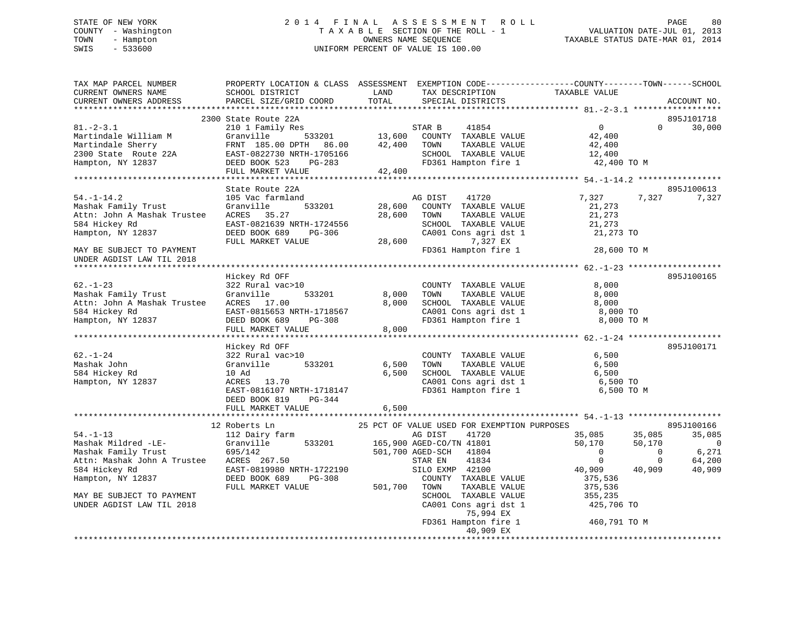# STATE OF NEW YORK 2 0 1 4 F I N A L A S S E S S M E N T R O L L PAGE 80 COUNTY - Washington T A X A B L E SECTION OF THE ROLL - 1 VALUATION DATE-JUL 01, 2013 TOWN - Hampton OWNERS NAME SEQUENCE TAXABLE STATUS DATE-MAR 01, 2014 SWIS - 533600 UNIFORM PERCENT OF VALUE IS 100.00

| TAX MAP PARCEL NUMBER<br>CURRENT OWNERS NAME<br>CURRENT OWNERS ADDRESS<br>************************                                | PROPERTY LOCATION & CLASS ASSESSMENT EXEMPTION CODE----------------COUNTY-------TOWN------SCHOOL<br>SCHOOL DISTRICT<br>PARCEL SIZE/GRID COORD        | LAND<br>TOTAL              | TAX DESCRIPTION<br>SPECIAL DISTRICTS                                                                                                                              | TAXABLE VALUE                                                                |                                                       | ACCOUNT NO.                              |
|-----------------------------------------------------------------------------------------------------------------------------------|------------------------------------------------------------------------------------------------------------------------------------------------------|----------------------------|-------------------------------------------------------------------------------------------------------------------------------------------------------------------|------------------------------------------------------------------------------|-------------------------------------------------------|------------------------------------------|
|                                                                                                                                   |                                                                                                                                                      |                            |                                                                                                                                                                   |                                                                              |                                                       |                                          |
| $81. - 2 - 3.1$<br>Martindale William M<br>Martindale Sherry<br>2300 State Route 22A<br>Hampton, NY 12837                         | 2300 State Route 22A<br>210 1 Family Res<br>Granville<br>533201<br>FRNT 185.00 DPTH<br>86.00<br>EAST-0822730 NRTH-1705166<br>DEED BOOK 523<br>PG-283 | 13,600<br>42,400           | 41854<br>STAR B<br>COUNTY TAXABLE VALUE<br>TAXABLE VALUE<br>TOWN<br>SCHOOL TAXABLE VALUE<br>FD361 Hampton fire 1                                                  | $\overline{0}$<br>42,400<br>42,400<br>12,400<br>42,400 TO M                  | $\Omega$                                              | 895J101718<br>30,000                     |
|                                                                                                                                   | FULL MARKET VALUE                                                                                                                                    | 42,400                     |                                                                                                                                                                   |                                                                              |                                                       |                                          |
|                                                                                                                                   |                                                                                                                                                      |                            |                                                                                                                                                                   |                                                                              |                                                       |                                          |
|                                                                                                                                   | State Route 22A                                                                                                                                      |                            |                                                                                                                                                                   |                                                                              |                                                       | 895J100613                               |
| $54. - 1 - 14.2$<br>Mashak Family Trust<br>Attn: John A Mashak Trustee<br>584 Hickey Rd<br>Hampton, NY 12837                      | 105 Vac farmland<br>Granville<br>533201<br>ACRES 35.27<br>EAST-0821639 NRTH-1724556<br>DEED BOOK 689<br>PG-306<br>FULL MARKET VALUE                  | 28,600<br>28,600<br>28,600 | AG DIST<br>41720<br>COUNTY TAXABLE VALUE<br>TOWN<br>TAXABLE VALUE<br>SCHOOL TAXABLE VALUE<br>CA001 Cons agri dst 1<br>7,327 EX                                    | 7,327<br>21,273<br>21,273<br>21,273<br>21,273 TO                             | 7,327                                                 | 7,327                                    |
| MAY BE SUBJECT TO PAYMENT                                                                                                         |                                                                                                                                                      |                            | FD361 Hampton fire 1                                                                                                                                              | 28,600 TO M                                                                  |                                                       |                                          |
| UNDER AGDIST LAW TIL 2018                                                                                                         |                                                                                                                                                      |                            |                                                                                                                                                                   |                                                                              |                                                       |                                          |
|                                                                                                                                   |                                                                                                                                                      |                            |                                                                                                                                                                   |                                                                              |                                                       |                                          |
| $62. - 1 - 23$<br>Mashak Family Trust<br>Attn: John A Mashak Trustee<br>584 Hickey Rd<br>Hampton, NY 12837                        | Hickey Rd OFF<br>322 Rural vac>10<br>Granville<br>533201<br>ACRES 17.00<br>EAST-0815653 NRTH-1718567<br>DEED BOOK 689<br>PG-308<br>FULL MARKET VALUE | 8,000<br>8,000<br>8,000    | COUNTY TAXABLE VALUE<br>TAXABLE VALUE<br>TOWN<br>SCHOOL TAXABLE VALUE<br>CA001 Cons agri dst 1<br>FD361 Hampton fire 1                                            | 8,000<br>8,000<br>8,000<br>8,000 TO<br>8,000 TO M                            |                                                       | 895J100165                               |
|                                                                                                                                   |                                                                                                                                                      |                            |                                                                                                                                                                   |                                                                              |                                                       |                                          |
| $62. - 1 - 24$<br>Mashak John<br>584 Hickey Rd<br>Hampton, NY 12837                                                               | Hickey Rd OFF<br>322 Rural vac>10<br>Granville<br>533201<br>10 Ad<br>13.70<br>ACRES<br>EAST-0816107 NRTH-1718147<br>DEED BOOK 819<br>PG-344          | 6,500<br>6,500             | COUNTY TAXABLE VALUE<br>TAXABLE VALUE<br>TOWN<br>SCHOOL TAXABLE VALUE<br>CA001 Cons agri dst 1<br>FD361 Hampton fire 1                                            | 6,500<br>6,500<br>6,500<br>6,500 TO<br>6,500 TO M                            |                                                       | 895J100171                               |
|                                                                                                                                   | FULL MARKET VALUE                                                                                                                                    | 6,500                      |                                                                                                                                                                   |                                                                              |                                                       |                                          |
|                                                                                                                                   | 12 Roberts Ln                                                                                                                                        |                            | 25 PCT OF VALUE USED FOR EXEMPTION PURPOSES                                                                                                                       |                                                                              |                                                       | 895J100166                               |
| $54. - 1 - 13$<br>Mashak Mildred -LE-<br>Mashak Family Trust<br>Attn: Mashak John A Trustee<br>584 Hickey Rd<br>Hampton, NY 12837 | 112 Dairy farm<br>Granville<br>533201<br>695/142<br>ACRES 267.50<br>EAST-0819980 NRTH-1722190<br>DEED BOOK 689<br>PG-308<br>FULL MARKET VALUE        | 501,700                    | AG DIST<br>41720<br>165,900 AGED-CO/TN 41801<br>501,700 AGED-SCH<br>41804<br>41834<br>STAR EN<br>SILO EXMP 42100<br>COUNTY TAXABLE VALUE<br>TOWN<br>TAXABLE VALUE | 35,085<br>50,170<br>$\Omega$<br>$\mathbf{0}$<br>40,909<br>375,536<br>375,536 | 35,085<br>50,170<br>$\Omega$<br>$\mathbf 0$<br>40,909 | 35,085<br>0<br>6,271<br>64,200<br>40,909 |
| MAY BE SUBJECT TO PAYMENT<br>UNDER AGDIST LAW TIL 2018                                                                            |                                                                                                                                                      |                            | SCHOOL TAXABLE VALUE<br>CA001 Cons agri dst 1<br>75,994 EX<br>FD361 Hampton fire 1<br>40,909 EX                                                                   | 355,235<br>425,706 TO<br>460,791 TO M                                        |                                                       |                                          |
|                                                                                                                                   |                                                                                                                                                      |                            |                                                                                                                                                                   |                                                                              |                                                       |                                          |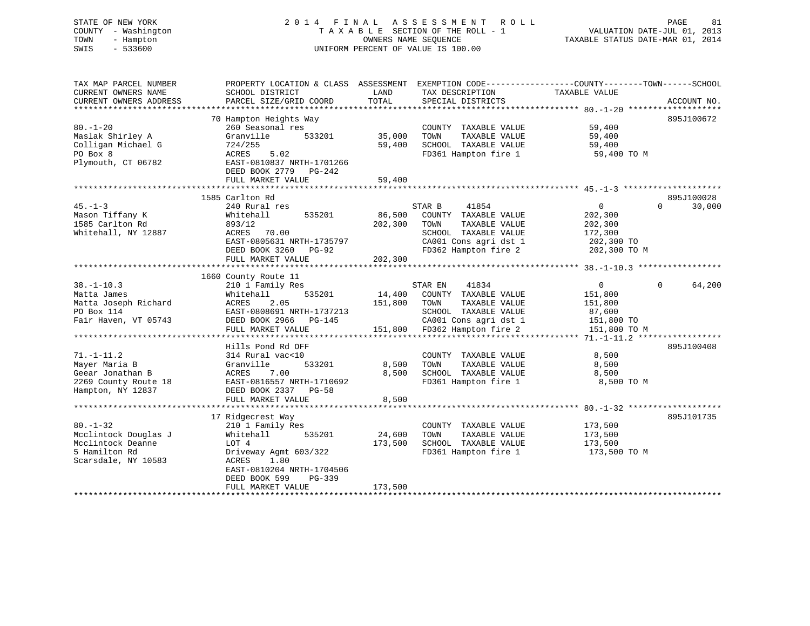# STATE OF NEW YORK 2 0 1 4 F I N A L A S S E S S M E N T R O L L PAGE 81 COUNTY - Washington T A X A B L E SECTION OF THE ROLL - 1 VALUATION DATE-JUL 01, 2013 TOWN - Hampton OWNERS NAME SEQUENCE TAXABLE STATUS DATE-MAR 01, 2014 SWIS - 533600 UNIFORM PERCENT OF VALUE IS 100.00

| TAX MAP PARCEL NUMBER<br>CURRENT OWNERS NAME<br>CURRENT OWNERS ADDRESS                              | PROPERTY LOCATION & CLASS ASSESSMENT EXEMPTION CODE----------------COUNTY-------TOWN------SCHOOL<br>SCHOOL DISTRICT<br>PARCEL SIZE/GRID COORD                                                  | LAND<br>TOTAL                | TAX DESCRIPTION<br>SPECIAL DISTRICTS                                                                                                               | TAXABLE VALUE                                                                 | ACCOUNT NO.                      |
|-----------------------------------------------------------------------------------------------------|------------------------------------------------------------------------------------------------------------------------------------------------------------------------------------------------|------------------------------|----------------------------------------------------------------------------------------------------------------------------------------------------|-------------------------------------------------------------------------------|----------------------------------|
| $80. - 1 - 20$<br>Maslak Shirley A<br>Colligan Michael G<br>PO Box 8<br>Plymouth, CT 06782          | 70 Hampton Heights Way<br>260 Seasonal res<br>Granville<br>533201<br>724/255<br>ACRES<br>5.02<br>EAST-0810837 NRTH-1701266<br>DEED BOOK 2779 PG-242<br>FULL MARKET VALUE                       | 35,000<br>59,400<br>59,400   | COUNTY TAXABLE VALUE<br>TOWN<br>TAXABLE VALUE<br>SCHOOL TAXABLE VALUE<br>FD361 Hampton fire 1                                                      | 59,400<br>59,400<br>59,400<br>59,400 TO M                                     | 895J100672                       |
| $45. - 1 - 3$<br>Mason Tiffany K<br>1585 Carlton Rd<br>Whitehall, NY 12887                          | 1585 Carlton Rd<br>240 Rural res<br>Whitehall<br>535201<br>893/12<br>ACRES<br>70.00<br>EAST-0805631 NRTH-1735797<br>DEED BOOK 3260 PG-92<br>FULL MARKET VALUE                                  | 86,500<br>202,300<br>202,300 | STAR B<br>41854<br>COUNTY TAXABLE VALUE<br>TAXABLE VALUE<br>TOWN<br>SCHOOL TAXABLE VALUE<br>CA001 Cons agri dst 1<br>FD362 Hampton fire 2          | $\overline{0}$<br>202,300<br>202,300<br>172,300<br>202,300 TO<br>202,300 TO M | 895J100028<br>$\Omega$<br>30,000 |
| $38. - 1 - 10.3$<br>Matta James<br>Matta Joseph Richard<br>PO Box 114<br>Fair Haven, VT 05743       | 1660 County Route 11<br>210 1 Family Res<br>535201<br>Whitehall<br>ACRES<br>2.05<br>EAST-0808691 NRTH-1737213<br>DEED BOOK 2966 PG-145<br>FULL MARKET VALUE                                    | 14,400<br>151,800            | 41834<br>STAR EN<br>COUNTY TAXABLE VALUE<br>TOWN<br>TAXABLE VALUE<br>SCHOOL TAXABLE VALUE<br>CA001 Cons agri dst 1<br>151,800 FD362 Hampton fire 2 | $\Omega$<br>151,800<br>151,800<br>87,600<br>151,800 TO<br>151,800 TO M        | 64,200<br>$\Omega$               |
| $71. - 1 - 11.2$<br>Mayer Maria B<br>Geear Jonathan B<br>2269 County Route 18<br>Hampton, NY 12837  | Hills Pond Rd OFF<br>314 Rural vac<10<br>Granville<br>533201<br>ACRES<br>7.00<br>EAST-0816557 NRTH-1710692<br>DEED BOOK 2337 PG-58<br>FULL MARKET VALUE                                        | 8,500<br>8,500<br>8,500      | COUNTY TAXABLE VALUE<br>TOWN<br>TAXABLE VALUE<br>SCHOOL TAXABLE VALUE<br>FD361 Hampton fire 1                                                      | 8,500<br>8,500<br>8,500<br>8,500 TO M                                         | 895J100408                       |
| $80. - 1 - 32$<br>Mcclintock Douglas J<br>Mcclintock Deanne<br>5 Hamilton Rd<br>Scarsdale, NY 10583 | 17 Ridgecrest Way<br>210 1 Family Res<br>535201<br>Whitehall<br>LOT 4<br>Driveway Agmt 603/322<br>ACRES<br>1.80<br>EAST-0810204 NRTH-1704506<br>DEED BOOK 599<br>$PG-339$<br>FULL MARKET VALUE | 24,600<br>173,500<br>173,500 | COUNTY TAXABLE VALUE<br>TOWN<br>TAXABLE VALUE<br>SCHOOL TAXABLE VALUE<br>FD361 Hampton fire 1                                                      | 173,500<br>173,500<br>173,500<br>173,500 TO M                                 | 895J101735                       |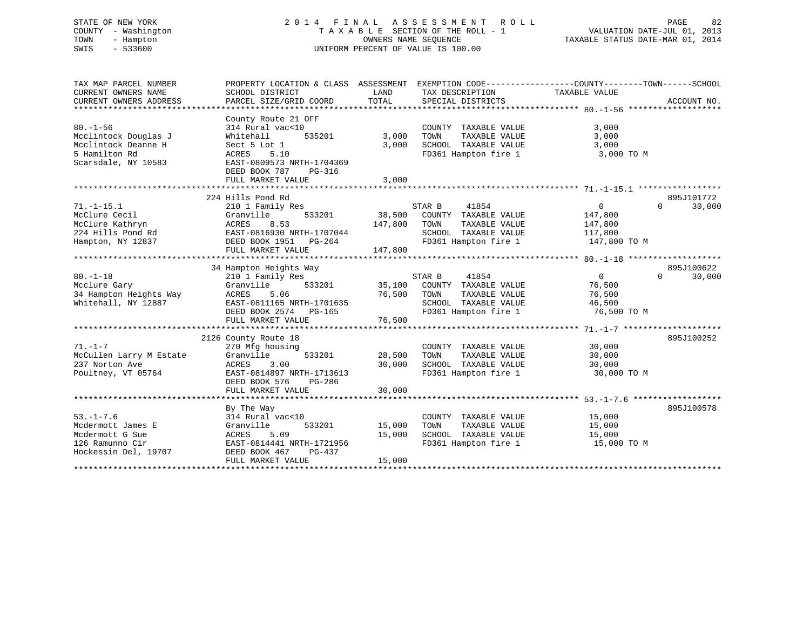# STATE OF NEW YORK 2 0 1 4 F I N A L A S S E S S M E N T R O L L PAGE 82 COUNTY - Washington T A X A B L E SECTION OF THE ROLL - 1 VALUATION DATE-JUL 01, 2013 TOWN - Hampton OWNERS NAME SEQUENCE TAXABLE STATUS DATE-MAR 01, 2014 SWIS - 533600 UNIFORM PERCENT OF VALUE IS 100.00

| TAX MAP PARCEL NUMBER<br>CURRENT OWNERS NAME<br>CURRENT OWNERS ADDRESS                                | PROPERTY LOCATION & CLASS ASSESSMENT<br>SCHOOL DISTRICT<br>PARCEL SIZE/GRID COORD                                                                                            | LAND<br>TOTAL              | TAX DESCRIPTION TAXABLE VALUE<br>SPECIAL DISTRICTS                                                               | EXEMPTION CODE-----------------COUNTY-------TOWN------SCHOOL    | ACCOUNT NO.        |
|-------------------------------------------------------------------------------------------------------|------------------------------------------------------------------------------------------------------------------------------------------------------------------------------|----------------------------|------------------------------------------------------------------------------------------------------------------|-----------------------------------------------------------------|--------------------|
| $80. - 1 - 56$<br>Mcclintock Douglas J<br>Mcclintock Deanne H<br>5 Hamilton Rd<br>Scarsdale, NY 10583 | County Route 21 OFF<br>314 Rural vac<10<br>535201<br>Whitehall<br>Sect 5 Lot 1<br>ACRES<br>5.10<br>EAST-0809573 NRTH-1704369<br>DEED BOOK 787<br>PG-316<br>FULL MARKET VALUE | 3,000<br>3,000<br>3,000    | COUNTY TAXABLE VALUE<br>TAXABLE VALUE<br>TOWN<br>SCHOOL TAXABLE VALUE<br>FD361 Hampton fire 1                    | 3,000<br>3,000<br>3,000<br>3,000 TO M                           |                    |
|                                                                                                       | 224 Hills Pond Rd                                                                                                                                                            | *************              |                                                                                                                  |                                                                 | 895J101772         |
| $71. - 1 - 15.1$<br>McClure Cecil<br>McClure Kathryn<br>224 Hills Pond Rd<br>Hampton, NY 12837        | 210 1 Family Res<br>533201<br>Granville<br>ACRES<br>8.53<br>EAST-0816930 NRTH-1707044<br>DEED BOOK 1951 PG-264                                                               | 38,500<br>147,800          | STAR B<br>41854<br>COUNTY TAXABLE VALUE<br>TOWN<br>TAXABLE VALUE<br>SCHOOL TAXABLE VALUE<br>FD361 Hampton fire 1 | $\overline{0}$<br>147,800<br>147,800<br>117,800<br>147,800 TO M | $\Omega$<br>30,000 |
|                                                                                                       | FULL MARKET VALUE                                                                                                                                                            | 147,800                    |                                                                                                                  |                                                                 |                    |
|                                                                                                       | 34 Hampton Heights Way                                                                                                                                                       |                            |                                                                                                                  |                                                                 | 895J100622         |
| $80. - 1 - 18$<br>Mcclure Gary<br>34 Hampton Heights Way<br>Whitehall, NY 12887                       | 210 1 Family Res<br>533201<br>Granville<br>ACRES<br>5.06<br>EAST-0811165 NRTH-1701635<br>DEED BOOK 2574 PG-165<br>FULL MARKET VALUE                                          | 35,100<br>76,500<br>76,500 | STAR B<br>41854<br>COUNTY TAXABLE VALUE<br>TOWN<br>TAXABLE VALUE<br>SCHOOL TAXABLE VALUE<br>FD361 Hampton fire 1 | $\overline{0}$<br>76,500<br>76,500<br>46,500<br>76,500 TO M     | $\Omega$<br>30,000 |
|                                                                                                       | 2126 County Route 18                                                                                                                                                         |                            |                                                                                                                  |                                                                 | 895J100252         |
| $71. - 1 - 7$<br>McCullen Larry M Estate<br>237 Norton Ave<br>Poultney, VT 05764                      | 270 Mfg housing<br>Granville<br>533201<br>ACRES<br>3.00<br>EAST-0814897 NRTH-1713613<br>DEED BOOK 576<br>PG-286                                                              | 28,500<br>30,000           | COUNTY TAXABLE VALUE<br>TAXABLE VALUE<br>TOWN<br>SCHOOL TAXABLE VALUE<br>FD361 Hampton fire 1                    | 30,000<br>30,000<br>30,000<br>30,000 TO M                       |                    |
|                                                                                                       | FULL MARKET VALUE                                                                                                                                                            | 30,000                     |                                                                                                                  |                                                                 |                    |
| $53. - 1 - 7.6$<br>Mcdermott James E<br>Mcdermott G Sue<br>126 Ramunno Cir<br>Hockessin Del, 19707    | By The Way<br>314 Rural vac<10<br>Granville<br>533201<br>ACRES<br>5.09<br>EAST-0814441 NRTH-1721956<br>DEED BOOK 467<br>PG-437<br>FULL MARKET VALUE                          | 15,000<br>15,000<br>15,000 | COUNTY TAXABLE VALUE<br>TOWN<br>TAXABLE VALUE<br>SCHOOL TAXABLE VALUE<br>FD361 Hampton fire 1                    | 15,000<br>15,000<br>15,000<br>15,000 TO M                       | 895J100578         |
|                                                                                                       |                                                                                                                                                                              |                            |                                                                                                                  |                                                                 |                    |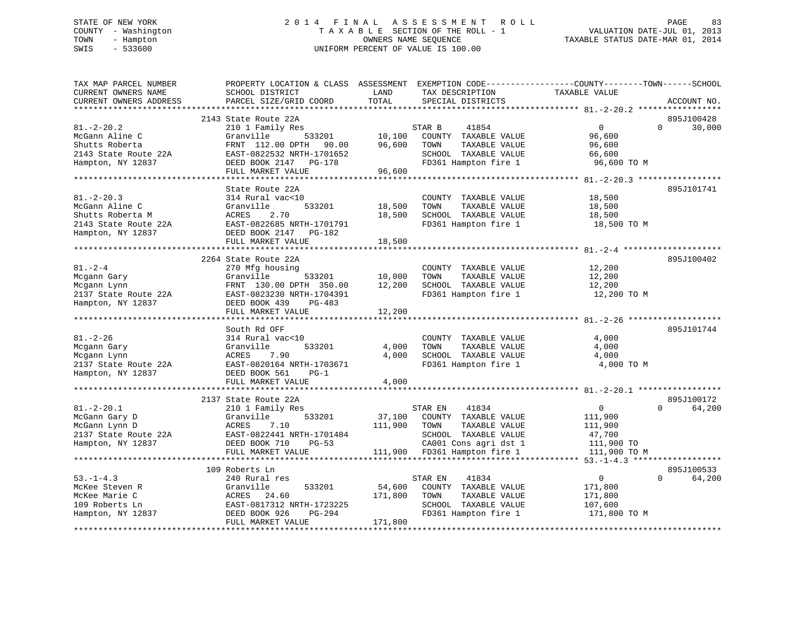# STATE OF NEW YORK 2 0 1 4 F I N A L A S S E S S M E N T R O L L PAGE 83 COUNTY - Washington T A X A B L E SECTION OF THE ROLL - 1 VALUATION DATE-JUL 01, 2013 TOWN - Hampton OWNERS NAME SEQUENCE TAXABLE STATUS DATE-MAR 01, 2014 SWIS - 533600 UNIFORM PERCENT OF VALUE IS 100.00

| TAX MAP PARCEL NUMBER<br>CURRENT OWNERS NAME<br>CURRENT OWNERS ADDRESS                              | PROPERTY LOCATION & CLASS ASSESSMENT<br>SCHOOL DISTRICT<br>PARCEL SIZE/GRID COORD                                                                                          | LAND<br>TOTAL                | EXEMPTION CODE-----------------COUNTY-------TOWN------SCHOOL<br>TAX DESCRIPTION<br>SPECIAL DISTRICTS                                               | TAXABLE VALUE                                                   | ACCOUNT NO.                      |
|-----------------------------------------------------------------------------------------------------|----------------------------------------------------------------------------------------------------------------------------------------------------------------------------|------------------------------|----------------------------------------------------------------------------------------------------------------------------------------------------|-----------------------------------------------------------------|----------------------------------|
|                                                                                                     |                                                                                                                                                                            |                              |                                                                                                                                                    |                                                                 |                                  |
| $81. - 2 - 20.2$<br>McGann Aline C<br>Shutts Roberta<br>2143 State Route 22A<br>Hampton, NY 12837   | 2143 State Route 22A<br>210 1 Family Res<br>Granville<br>533201<br>FRNT 112.00 DPTH<br>90.00<br>EAST-0822532 NRTH-1701652<br>DEED BOOK 2147<br>PG-178<br>FULL MARKET VALUE | 10,100<br>96,600<br>96,600   | STAR B<br>41854<br>COUNTY TAXABLE VALUE<br>TAXABLE VALUE<br>TOWN<br>SCHOOL TAXABLE VALUE<br>FD361 Hampton fire 1                                   | $\mathsf{O}$<br>96,600<br>96,600<br>66,600<br>96,600 TO M       | 895J100428<br>$\Omega$<br>30,000 |
|                                                                                                     |                                                                                                                                                                            |                              |                                                                                                                                                    |                                                                 |                                  |
| $81. - 2 - 20.3$<br>McGann Aline C<br>Shutts Roberta M<br>2143 State Route 22A<br>Hampton, NY 12837 | State Route 22A<br>314 Rural vac<10<br>533201<br>Granville<br>2.70<br>ACRES<br>EAST-0822685 NRTH-1701791<br>DEED BOOK 2147<br>PG-182                                       | 18,500<br>18,500             | COUNTY TAXABLE VALUE<br>TAXABLE VALUE<br>TOWN<br>SCHOOL TAXABLE VALUE<br>FD361 Hampton fire 1                                                      | 18,500<br>18,500<br>18,500<br>18,500 TO M                       | 895J101741                       |
|                                                                                                     | FULL MARKET VALUE                                                                                                                                                          | 18,500                       |                                                                                                                                                    |                                                                 |                                  |
|                                                                                                     | 2264 State Route 22A                                                                                                                                                       |                              |                                                                                                                                                    |                                                                 | 895J100402                       |
| $81. - 2 - 4$<br>Mcgann Gary<br>Mcgann Lynn<br>2137 State Route 22A<br>Hampton, NY 12837            | 270 Mfg housing<br>Granville<br>533201<br>FRNT 130.00 DPTH 350.00<br>EAST-0823230 NRTH-1704391<br>DEED BOOK 439<br>PG-483<br>FULL MARKET VALUE                             | 10,000<br>12,200<br>12,200   | COUNTY TAXABLE VALUE<br>TAXABLE VALUE<br>TOWN<br>SCHOOL TAXABLE VALUE<br>FD361 Hampton fire 1                                                      | 12,200<br>12,200<br>12,200<br>12,200 TO M                       |                                  |
|                                                                                                     |                                                                                                                                                                            |                              |                                                                                                                                                    |                                                                 |                                  |
| $81. - 2 - 26$<br>Mcgann Gary<br>Mcgann Lynn<br>2137 State Route 22A<br>Hampton, NY 12837           | South Rd OFF<br>314 Rural vac<10<br>533201<br>Granville<br>7.90<br>ACRES<br>EAST-0820164 NRTH-1703671<br>DEED BOOK 561<br>$PG-1$<br>FULL MARKET VALUE                      | 4,000<br>4,000<br>4,000      | COUNTY TAXABLE VALUE<br>TAXABLE VALUE<br>TOWN<br>SCHOOL TAXABLE VALUE<br>FD361 Hampton fire 1                                                      | 4,000<br>4,000<br>4,000<br>4,000 TO M                           | 895J101744                       |
|                                                                                                     | ***********************                                                                                                                                                    |                              |                                                                                                                                                    | ********************* 81. -2-20.1 *****************             |                                  |
| $81.-2-20.1$<br>McGann Gary D<br>McGann Lynn D<br>2137 State Route 22A<br>Hampton, NY 12837         | 2137 State Route 22A<br>210 1 Family Res<br>533201<br>Granville<br>7.10<br>ACRES<br>EAST-0822441 NRTH-1701484<br>DEED BOOK 710<br>$PG-53$<br>FULL MARKET VALUE             | 37,100<br>111,900            | STAR EN<br>41834<br>COUNTY TAXABLE VALUE<br>TAXABLE VALUE<br>TOWN<br>SCHOOL TAXABLE VALUE<br>CA001 Cons agri dst 1<br>111,900 FD361 Hampton fire 1 | 0<br>111,900<br>111,900<br>47,700<br>111,900 TO<br>111,900 TO M | 895J100172<br>$\Omega$<br>64,200 |
|                                                                                                     | 109 Roberts Ln                                                                                                                                                             |                              |                                                                                                                                                    |                                                                 | 895J100533                       |
| $53. - 1 - 4.3$<br>McKee Steven R<br>McKee Marie C<br>109 Roberts Ln<br>Hampton, NY 12837           | 240 Rural res<br>533201<br>Granville<br>24.60<br>ACRES<br>EAST-0817312 NRTH-1723225<br>DEED BOOK 926<br>PG-294<br>FULL MARKET VALUE                                        | 54,600<br>171,800<br>171,800 | STAR EN<br>41834<br>COUNTY TAXABLE VALUE<br>TAXABLE VALUE<br>TOWN<br>SCHOOL TAXABLE VALUE<br>FD361 Hampton fire 1                                  | $\overline{0}$<br>171,800<br>171,800<br>107,600<br>171,800 TO M | $\Omega$<br>64,200               |
|                                                                                                     |                                                                                                                                                                            |                              |                                                                                                                                                    |                                                                 |                                  |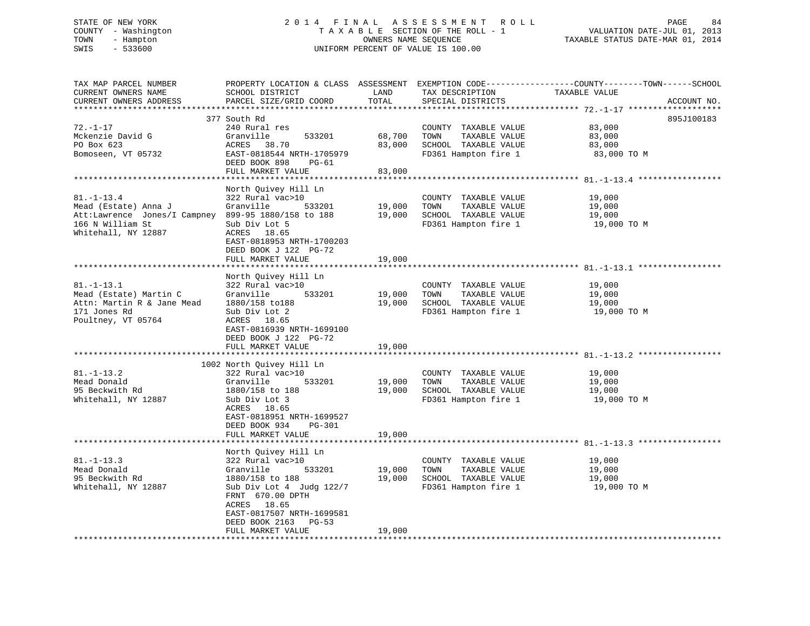# STATE OF NEW YORK 2 0 1 4 F I N A L A S S E S S M E N T R O L L PAGE 84 COUNTY - Washington T A X A B L E SECTION OF THE ROLL - 1 VALUATION DATE-JUL 01, 2013 TOWN - Hampton OWNERS NAME SEQUENCE TAXABLE STATUS DATE-MAR 01, 2014 SWIS - 533600 UNIFORM PERCENT OF VALUE IS 100.00

| TAX MAP PARCEL NUMBER<br>CURRENT OWNERS NAME<br>CURRENT OWNERS ADDRESS<br>*************************                                        | SCHOOL DISTRICT<br>PARCEL SIZE/GRID COORD                                                                                                                                                                                                                  | LAND<br>TOTAL              | TAX DESCRIPTION<br>SPECIAL DISTRICTS                                                          | PROPERTY LOCATION & CLASS ASSESSMENT EXEMPTION CODE---------------COUNTY-------TOWN-----SCHOOL<br>TAXABLE VALUE<br>ACCOUNT NO. |
|--------------------------------------------------------------------------------------------------------------------------------------------|------------------------------------------------------------------------------------------------------------------------------------------------------------------------------------------------------------------------------------------------------------|----------------------------|-----------------------------------------------------------------------------------------------|--------------------------------------------------------------------------------------------------------------------------------|
| $72. - 1 - 17$<br>Mckenzie David G<br>PO Box 623<br>Bomoseen, VT 05732                                                                     | 377 South Rd<br>240 Rural res<br>Granville<br>533201<br>ACRES<br>38.70<br>EAST-0818544 NRTH-1705979<br>DEED BOOK 898<br>PG-61<br>FULL MARKET VALUE                                                                                                         | 68,700<br>83,000<br>83,000 | COUNTY TAXABLE VALUE<br>TOWN<br>TAXABLE VALUE<br>SCHOOL TAXABLE VALUE<br>FD361 Hampton fire 1 | 895J100183<br>83,000<br>83,000<br>83,000<br>83,000 TO M                                                                        |
| $81. - 1 - 13.4$<br>Mead (Estate) Anna J<br>Att:Lawrence Jones/I Campney 899-95 1880/158 to 188<br>166 N William St<br>Whitehall, NY 12887 | North Quivey Hill Ln<br>322 Rural vac>10<br>Granville<br>533201<br>Sub Div Lot 5<br>ACRES 18.65<br>EAST-0818953 NRTH-1700203<br>DEED BOOK J 122 PG-72<br>FULL MARKET VALUE                                                                                 | 19,000<br>19,000<br>19,000 | COUNTY TAXABLE VALUE<br>TOWN<br>TAXABLE VALUE<br>SCHOOL TAXABLE VALUE<br>FD361 Hampton fire 1 | 19,000<br>19,000<br>19,000<br>19,000 TO M                                                                                      |
| $81. - 1 - 13.1$<br>Mead (Estate) Martin C<br>Attn: Martin R & Jane Mead<br>171 Jones Rd<br>Poultney, VT 05764                             | North Quivey Hill Ln<br>322 Rural vac>10<br>Granville<br>533201<br>1880/158 to188<br>Sub Div Lot 2<br>ACRES 18.65<br>EAST-0816939 NRTH-1699100<br>DEED BOOK J 122 PG-72<br>FULL MARKET VALUE                                                               | 19,000<br>19,000<br>19,000 | COUNTY TAXABLE VALUE<br>TAXABLE VALUE<br>TOWN<br>SCHOOL TAXABLE VALUE<br>FD361 Hampton fire 1 | 19,000<br>19,000<br>19,000<br>19,000 TO M                                                                                      |
| $81. - 1 - 13.2$<br>Mead Donald<br>95 Beckwith Rd<br>Whitehall, NY 12887                                                                   | 1002 North Quivey Hill Ln<br>322 Rural vac>10<br>533201<br>Granville<br>1880/158 to 188<br>Sub Div Lot 3<br>ACRES 18.65<br>EAST-0818951 NRTH-1699527<br>DEED BOOK 934<br>PG-301<br>FULL MARKET VALUE                                                       | 19,000<br>19,000<br>19,000 | COUNTY TAXABLE VALUE<br>TOWN<br>TAXABLE VALUE<br>SCHOOL TAXABLE VALUE<br>FD361 Hampton fire 1 | 19,000<br>19,000<br>19,000<br>19,000 TO M                                                                                      |
| $81. - 1 - 13.3$<br>Mead Donald<br>95 Beckwith Rd<br>Whitehall, NY 12887                                                                   | North Quivey Hill Ln<br>322 Rural vac>10<br>Granville<br>533201<br>1880/158 to 188<br>Sub Div Lot 4 Judg 122/7<br>FRNT 670.00 DPTH<br>18.65<br>ACRES<br>EAST-0817507 NRTH-1699581<br>DEED BOOK 2163 PG-53<br>FULL MARKET VALUE<br>************************ | 19,000<br>19,000<br>19,000 | COUNTY TAXABLE VALUE<br>TOWN<br>TAXABLE VALUE<br>SCHOOL TAXABLE VALUE<br>FD361 Hampton fire 1 | 19,000<br>19,000<br>19,000<br>19,000 TO M                                                                                      |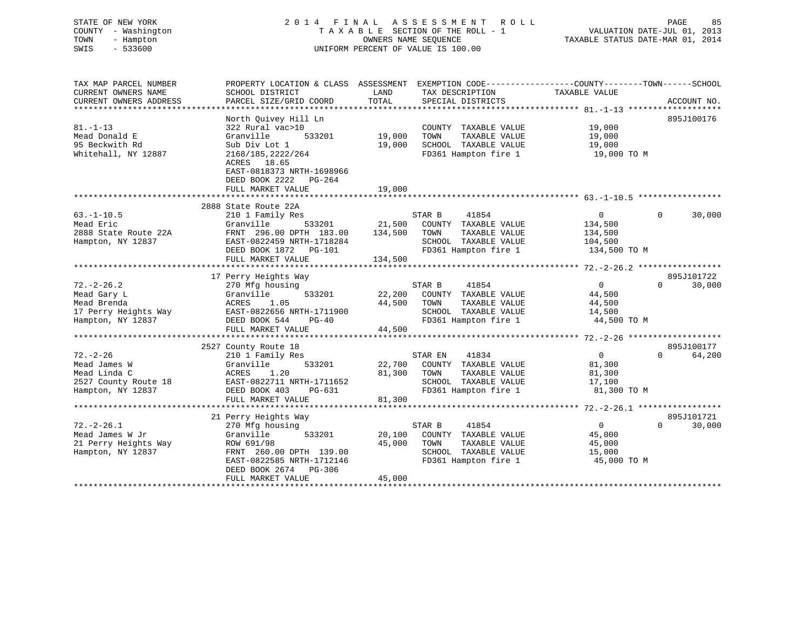# STATE OF NEW YORK 2 0 1 4 F I N A L A S S E S S M E N T R O L L PAGE 85 COUNTY - Washington T A X A B L E SECTION OF THE ROLL - 1 VALUATION DATE-JUL 01, 2013 TOWN - Hampton OWNERS NAME SEQUENCE TAXABLE STATUS DATE-MAR 01, 2014 SWIS - 533600 UNIFORM PERCENT OF VALUE IS 100.00

| TAX MAP PARCEL NUMBER<br>CURRENT OWNERS NAME | PROPERTY LOCATION & CLASS ASSESSMENT<br>SCHOOL DISTRICT | LAND    | EXEMPTION CODE----------------COUNTY-------TOWN------SCHOOL | TAXABLE VALUE  |                    |
|----------------------------------------------|---------------------------------------------------------|---------|-------------------------------------------------------------|----------------|--------------------|
| CURRENT OWNERS ADDRESS                       | PARCEL SIZE/GRID COORD                                  | TOTAL   | TAX DESCRIPTION<br>SPECIAL DISTRICTS                        |                | ACCOUNT NO.        |
|                                              |                                                         |         |                                                             |                |                    |
|                                              | North Ouivey Hill Ln                                    |         |                                                             |                | 895J100176         |
| $81. - 1 - 13$                               | 322 Rural vac>10                                        |         | COUNTY TAXABLE VALUE                                        | 19,000         |                    |
| Mead Donald E                                | 533201<br>Granville                                     | 19,000  | TAXABLE VALUE<br>TOWN                                       | 19,000         |                    |
| 95 Beckwith Rd                               | Sub Div Lot 1                                           | 19,000  | SCHOOL TAXABLE VALUE                                        | 19,000         |                    |
| Whitehall, NY 12887                          | 2168/185,2222/264                                       |         | FD361 Hampton fire 1                                        | 19,000 TO M    |                    |
|                                              | ACRES 18.65                                             |         |                                                             |                |                    |
|                                              | EAST-0818373 NRTH-1698966                               |         |                                                             |                |                    |
|                                              | DEED BOOK 2222<br>PG-264                                |         |                                                             |                |                    |
|                                              | FULL MARKET VALUE                                       | 19,000  |                                                             |                |                    |
|                                              |                                                         |         |                                                             |                |                    |
|                                              | 2888 State Route 22A                                    |         |                                                             |                |                    |
| $63. - 1 - 10.5$                             | 210 1 Family Res                                        |         | STAR B<br>41854                                             | $\overline{0}$ | $\Omega$<br>30,000 |
| Mead Eric                                    | 533201<br>Granville                                     | 21,500  | COUNTY TAXABLE VALUE                                        | 134,500        |                    |
| 2888 State Route 22A                         | FRNT 296.00 DPTH 183.00                                 | 134,500 | TOWN<br>TAXABLE VALUE                                       | 134,500        |                    |
| Hampton, NY 12837                            | EAST-0822459 NRTH-1718284                               |         | SCHOOL TAXABLE VALUE                                        | 104,500        |                    |
|                                              | DEED BOOK 1872 PG-101                                   |         | FD361 Hampton fire 1                                        | 134,500 TO M   |                    |
|                                              | FULL MARKET VALUE                                       | 134,500 |                                                             |                |                    |
|                                              |                                                         |         |                                                             |                |                    |
|                                              | 17 Perry Heights Way                                    |         |                                                             |                | 895J101722         |
| $72. - 2 - 26.2$                             | 270 Mfg housing                                         |         | STAR B<br>41854                                             | $\Omega$       | 30,000<br>$\Omega$ |
| Mead Gary L                                  | 533201<br>Granville                                     | 22,200  | COUNTY TAXABLE VALUE                                        | 44,500         |                    |
| Mead Brenda                                  | ACRES<br>1.05                                           | 44,500  | TOWN<br>TAXABLE VALUE                                       | 44,500         |                    |
| 17 Perry Heights Way                         | EAST-0822656 NRTH-1711900                               |         | SCHOOL TAXABLE VALUE                                        | 14,500         |                    |
| Hampton, NY 12837                            | DEED BOOK 544<br>PG-40                                  |         | FD361 Hampton fire 1                                        | 44,500 TO M    |                    |
|                                              | FULL MARKET VALUE                                       | 44,500  |                                                             |                |                    |
|                                              |                                                         |         |                                                             |                |                    |
|                                              | 2527 County Route 18                                    |         |                                                             |                | 895J100177         |
| $72. - 2 - 26$                               | 210 1 Family Res                                        |         | STAR EN<br>41834                                            | 0              | $\Omega$<br>64,200 |
| Mead James W                                 | 533201<br>Granville                                     |         | 22,700 COUNTY TAXABLE VALUE                                 | 81,300         |                    |
| Mead Linda C                                 | ACRES<br>1.20                                           | 81,300  | TOWN<br>TAXABLE VALUE                                       | 81,300         |                    |
| 2527 County Route 18                         | EAST-0822711 NRTH-1711652                               |         | SCHOOL TAXABLE VALUE                                        | 17,100         |                    |
| Hampton, NY 12837                            | DEED BOOK 403<br>PG-631                                 |         | FD361 Hampton fire 1                                        | 81,300 TO M    |                    |
|                                              | FULL MARKET VALUE                                       | 81,300  |                                                             |                |                    |
|                                              |                                                         |         |                                                             |                |                    |
|                                              | 21 Perry Heights Way                                    |         |                                                             |                | 895J101721         |
| $72. - 2 - 26.1$                             | 270 Mfg housing                                         |         | STAR B<br>41854                                             | $\overline{0}$ | $\Omega$<br>30,000 |
| Mead James W Jr                              | 533201<br>Granville                                     | 20,100  | COUNTY TAXABLE VALUE                                        | 45,000         |                    |
| 21 Perry Heights Way                         | ROW 691/98                                              | 45,000  | TOWN<br>TAXABLE VALUE                                       | 45,000         |                    |
| Hampton, NY 12837                            | FRNT 260.00 DPTH 139.00                                 |         | SCHOOL TAXABLE VALUE                                        | 15,000         |                    |
|                                              | EAST-0822585 NRTH-1712146                               |         | FD361 Hampton fire 1                                        | 45,000 TO M    |                    |
|                                              | DEED BOOK 2674 PG-306                                   |         |                                                             |                |                    |
|                                              | FULL MARKET VALUE                                       | 45,000  |                                                             |                |                    |
|                                              |                                                         |         |                                                             |                |                    |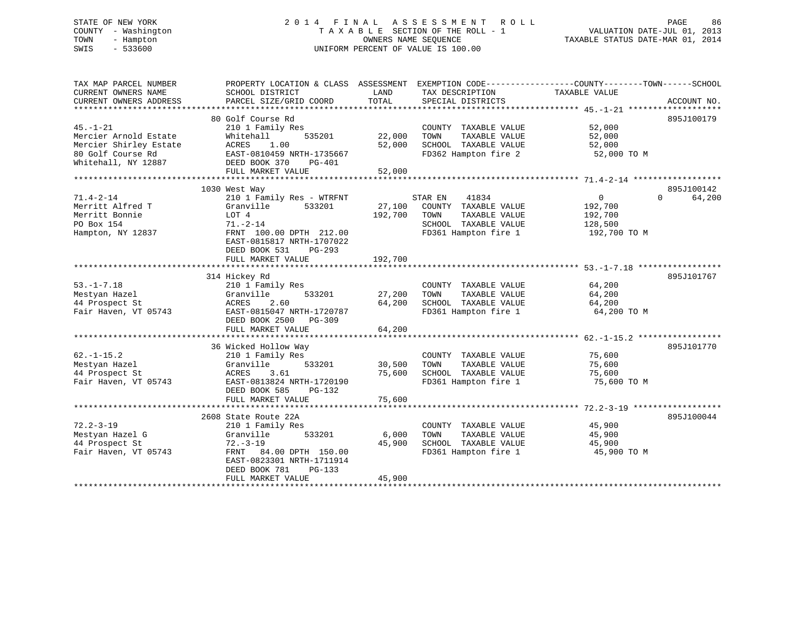# STATE OF NEW YORK 2 0 1 4 F I N A L A S S E S S M E N T R O L L PAGE 86 COUNTY - Washington T A X A B L E SECTION OF THE ROLL - 1 VALUATION DATE-JUL 01, 2013 TOWN - Hampton OWNERS NAME SEQUENCE TAXABLE STATUS DATE-MAR 01, 2014 SWIS - 533600 UNIFORM PERCENT OF VALUE IS 100.00

| TAX MAP PARCEL NUMBER<br>CURRENT OWNERS NAME<br>CURRENT OWNERS ADDRESS                                        | PROPERTY LOCATION & CLASS ASSESSMENT EXEMPTION CODE---------------COUNTY-------TOWN-----SCHOOL<br>SCHOOL DISTRICT<br>PARCEL SIZE/GRID COORD                                                | LAND<br>TOTAL              | TAX DESCRIPTION<br>SPECIAL DISTRICTS                                                                              | TAXABLE VALUE                                                   | ACCOUNT NO.                      |
|---------------------------------------------------------------------------------------------------------------|--------------------------------------------------------------------------------------------------------------------------------------------------------------------------------------------|----------------------------|-------------------------------------------------------------------------------------------------------------------|-----------------------------------------------------------------|----------------------------------|
| $45. - 1 - 21$<br>Mercier Arnold Estate<br>Mercier Shirley Estate<br>80 Golf Course Rd<br>Whitehall, NY 12887 | 80 Golf Course Rd<br>210 1 Family Res<br>Whitehall<br>535201<br>ACRES<br>1.00<br>EAST-0810459 NRTH-1735667<br>DEED BOOK 370<br>PG-401<br>FULL MARKET VALUE                                 | 22,000<br>52,000<br>52,000 | COUNTY TAXABLE VALUE<br>TOWN<br>TAXABLE VALUE<br>SCHOOL TAXABLE VALUE<br>FD362 Hampton fire 2                     | 52,000<br>52,000<br>52,000<br>52,000 TO M                       | 895J100179                       |
|                                                                                                               |                                                                                                                                                                                            |                            |                                                                                                                   |                                                                 |                                  |
| $71.4 - 2 - 14$<br>Merritt Alfred T<br>Merritt Bonnie<br>PO Box 154<br>Hampton, NY 12837                      | 1030 West Way<br>210 1 Family Res - WTRFNT<br>533201<br>Granville<br>LOT 4<br>$71. - 2 - 14$<br>FRNT 100.00 DPTH 212.00<br>EAST-0815817 NRTH-1707022<br>DEED BOOK 531<br>PG-293            | 27,100<br>192,700          | STAR EN<br>41834<br>COUNTY TAXABLE VALUE<br>TOWN<br>TAXABLE VALUE<br>SCHOOL TAXABLE VALUE<br>FD361 Hampton fire 1 | $\overline{0}$<br>192,700<br>192,700<br>128,500<br>192,700 TO M | 895J100142<br>64,200<br>$\Omega$ |
|                                                                                                               | FULL MARKET VALUE                                                                                                                                                                          | 192,700                    |                                                                                                                   |                                                                 |                                  |
| $53. - 1 - 7.18$<br>Mestyan Hazel<br>44 Prospect St<br>Fair Haven, VT 05743                                   | 314 Hickey Rd<br>210 1 Family Res<br>Granville<br>533201<br>ACRES<br>2.60<br>EAST-0815047 NRTH-1720787<br>DEED BOOK 2500<br>PG-309<br>FULL MARKET VALUE                                    | 27,200<br>64,200<br>64,200 | COUNTY TAXABLE VALUE<br>TAXABLE VALUE<br>TOWN<br>SCHOOL TAXABLE VALUE<br>FD361 Hampton fire 1                     | 64,200<br>64,200<br>64,200<br>64,200 TO M                       | 895J101767                       |
| $62. -1 - 15.2$<br>Mestyan Hazel<br>44 Prospect St<br>Fair Haven, VT 05743                                    | 36 Wicked Hollow Way<br>210 1 Family Res<br>533201<br>Granville<br>ACRES<br>3.61<br>EAST-0813824 NRTH-1720190<br>DEED BOOK 585<br>PG-132<br>FULL MARKET VALUE                              | 30,500<br>75,600<br>75,600 | COUNTY TAXABLE VALUE<br>TAXABLE VALUE<br>TOWN<br>SCHOOL TAXABLE VALUE<br>FD361 Hampton fire 1                     | 75,600<br>75,600<br>75,600<br>75,600 TO M                       | 895J101770                       |
| $72.2 - 3 - 19$<br>Mestyan Hazel G<br>44 Prospect St<br>Fair Haven, VT 05743                                  | 2608 State Route 22A<br>210 1 Family Res<br>533201<br>Granville<br>$72. - 3 - 19$<br>FRNT 84.00 DPTH 150.00<br>EAST-0823301 NRTH-1711914<br>DEED BOOK 781<br>$PG-133$<br>FULL MARKET VALUE | 6,000<br>45,900<br>45,900  | COUNTY TAXABLE VALUE<br>TAXABLE VALUE<br>TOWN<br>SCHOOL TAXABLE VALUE<br>FD361 Hampton fire 1                     | 45,900<br>45,900<br>45,900<br>45,900 TO M                       | 895J100044                       |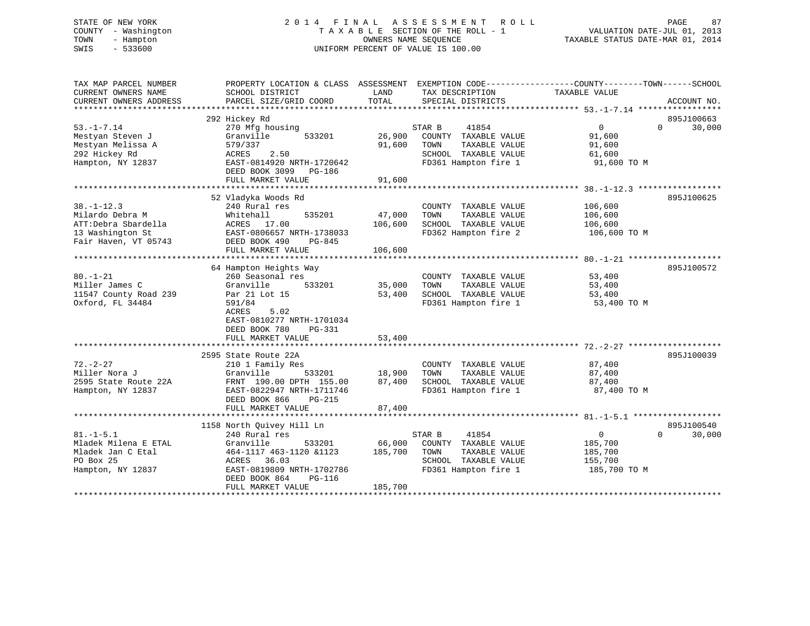# STATE OF NEW YORK 2 0 1 4 F I N A L A S S E S S M E N T R O L L PAGE 87 COUNTY - Washington T A X A B L E SECTION OF THE ROLL - 1 VALUATION DATE-JUL 01, 2013 TOWN - Hampton OWNERS NAME SEQUENCE TAXABLE STATUS DATE-MAR 01, 2014 SWIS - 533600 UNIFORM PERCENT OF VALUE IS 100.00

| TAX MAP PARCEL NUMBER<br>CURRENT OWNERS NAME<br>CURRENT OWNERS ADDRESS                                 | PROPERTY LOCATION & CLASS ASSESSMENT<br>SCHOOL DISTRICT<br>PARCEL SIZE/GRID COORD                                                                                                                  | LAND<br>TOTAL                | EXEMPTION CODE-----------------COUNTY-------TOWN------SCHOOL<br>TAX DESCRIPTION<br>SPECIAL DISTRICTS             | TAXABLE VALUE                                                 | ACCOUNT NO.                      |
|--------------------------------------------------------------------------------------------------------|----------------------------------------------------------------------------------------------------------------------------------------------------------------------------------------------------|------------------------------|------------------------------------------------------------------------------------------------------------------|---------------------------------------------------------------|----------------------------------|
| $53. - 1 - 7.14$<br>Mestyan Steven J<br>Mestyan Melissa A<br>292 Hickey Rd<br>Hampton, NY 12837        | 292 Hickey Rd<br>270 Mfg housing<br>Granville<br>533201<br>579/337<br>ACRES<br>2.50<br>EAST-0814920 NRTH-1720642<br>DEED BOOK 3099<br>PG-186<br>FULL MARKET VALUE                                  | 26,900<br>91,600<br>91,600   | STAR B<br>41854<br>COUNTY TAXABLE VALUE<br>TAXABLE VALUE<br>TOWN<br>SCHOOL TAXABLE VALUE<br>FD361 Hampton fire 1 | $\mathbf{0}$<br>91,600<br>91,600<br>61,600<br>91,600 TO M     | 895J100663<br>$\Omega$<br>30,000 |
| $38. - 1 - 12.3$<br>Milardo Debra M<br>ATT:Debra Sbardella<br>13 Washington St<br>Fair Haven, VT 05743 | 52 Vladyka Woods Rd<br>240 Rural res<br>Whitehall<br>535201<br>ACRES 17.00<br>EAST-0806657 NRTH-1738033<br>DEED BOOK 490<br>PG-845<br>FULL MARKET VALUE                                            | 47,000<br>106,600<br>106,600 | COUNTY TAXABLE VALUE<br>TOWN<br>TAXABLE VALUE<br>SCHOOL TAXABLE VALUE<br>FD362 Hampton fire 2                    | 106,600<br>106,600<br>106,600<br>106,600 TO M                 | 895J100625                       |
| $80. - 1 - 21$<br>Miller James C<br>11547 County Road 239<br>Oxford, FL 34484                          | 64 Hampton Heights Way<br>260 Seasonal res<br>Granville<br>533201<br>Par 21 Lot 15<br>591/84<br>5.02<br>ACRES<br>EAST-0810277 NRTH-1701034<br>DEED BOOK 780<br><b>PG-331</b><br>FULL MARKET VALUE  | 35,000<br>53,400<br>53,400   | COUNTY TAXABLE VALUE<br>TOWN<br>TAXABLE VALUE<br>SCHOOL TAXABLE VALUE<br>FD361 Hampton fire 1                    | 53,400<br>53,400<br>53,400<br>53,400 TO M                     | 895J100572                       |
| $72. - 2 - 27$<br>Miller Nora J<br>2595 State Route 22A<br>Hampton, NY 12837                           | 2595 State Route 22A<br>210 1 Family Res<br>Granville<br>533201<br>FRNT 190.00 DPTH 155.00<br>EAST-0822947 NRTH-1711746<br>DEED BOOK 866<br><b>PG-215</b><br>FULL MARKET VALUE                     | 18,900<br>87,400<br>87,400   | COUNTY TAXABLE VALUE<br>TOWN<br>TAXABLE VALUE<br>SCHOOL TAXABLE VALUE<br>FD361 Hampton fire 1                    | 87,400<br>87,400<br>87,400<br>87,400 TO M                     | 895J100039                       |
| $81. - 1 - 5.1$<br>Mladek Milena E ETAL<br>Mladek Jan C Etal<br>PO Box 25<br>Hampton, NY 12837         | 1158 North Quivey Hill Ln<br>240 Rural res<br>Granville<br>533201<br>464-1117 463-1120 &1123<br>ACRES<br>36.03<br>EAST-0819809 NRTH-1702786<br>DEED BOOK 864<br><b>PG-116</b><br>FULL MARKET VALUE | 66,000<br>185,700<br>185,700 | STAR B<br>41854<br>COUNTY TAXABLE VALUE<br>TOWN<br>TAXABLE VALUE<br>SCHOOL TAXABLE VALUE<br>FD361 Hampton fire 1 | $\mathbf{0}$<br>185,700<br>185,700<br>155,700<br>185,700 TO M | 895J100540<br>$\Omega$<br>30,000 |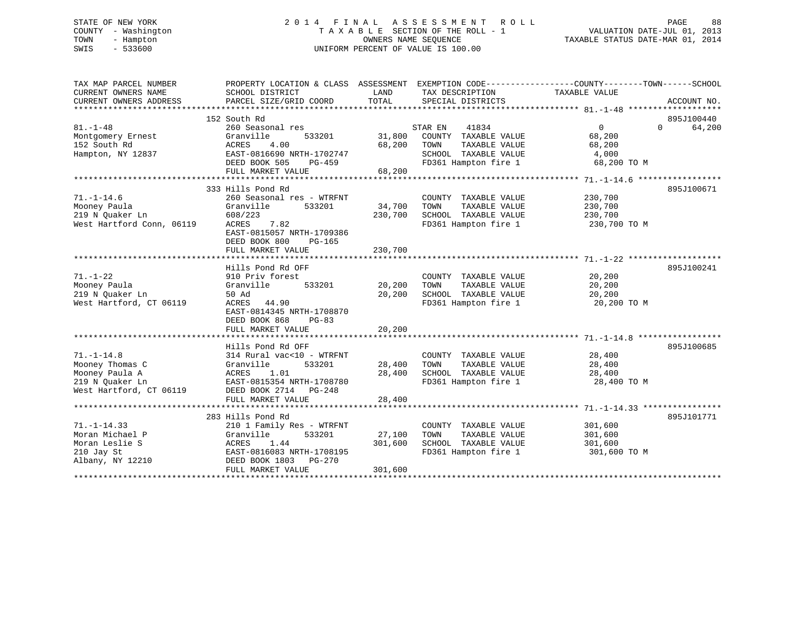# STATE OF NEW YORK 2 0 1 4 F I N A L A S S E S S M E N T R O L L PAGE 88 COUNTY - Washington T A X A B L E SECTION OF THE ROLL - 1 VALUATION DATE-JUL 01, 2013 TOWN - Hampton OWNERS NAME SEQUENCE TAXABLE STATUS DATE-MAR 01, 2014 SWIS - 533600 UNIFORM PERCENT OF VALUE IS 100.00

| TAX MAP PARCEL NUMBER     | PROPERTY LOCATION & CLASS ASSESSMENT EXEMPTION CODE----------------COUNTY-------TOWN------SCHOOL |         |                                   |                   |                             |
|---------------------------|--------------------------------------------------------------------------------------------------|---------|-----------------------------------|-------------------|-----------------------------|
| CURRENT OWNERS NAME       | SCHOOL DISTRICT                                                                                  | LAND    | TAX DESCRIPTION                   | TAXABLE VALUE     |                             |
| CURRENT OWNERS ADDRESS    | PARCEL SIZE/GRID COORD                                                                           | TOTAL   | SPECIAL DISTRICTS                 |                   | ACCOUNT NO.                 |
|                           |                                                                                                  |         |                                   |                   |                             |
|                           | 152 South Rd                                                                                     |         |                                   |                   | 895J100440                  |
| $81. - 1 - 48$            | 260 Seasonal res                                                                                 |         | 41834<br>STAR EN                  | $0 \qquad \qquad$ | $0 \qquad \qquad$<br>64,200 |
| Montgomery Ernest         | Granville<br>533201                                                                              | 31,800  | COUNTY TAXABLE VALUE              | 68,200            |                             |
| 152 South Rd              | ACRES<br>4.00                                                                                    | 68,200  | TOWN<br>TAXABLE VALUE             | 68,200            |                             |
| Hampton, NY 12837         | EAST-0816690 NRTH-1702747                                                                        |         | SCHOOL TAXABLE VALUE              | 4,000             |                             |
|                           | DEED BOOK 505<br>PG-459                                                                          |         | FD361 Hampton fire 1              | 68,200 TO M       |                             |
|                           | FULL MARKET VALUE                                                                                | 68,200  |                                   |                   |                             |
|                           |                                                                                                  |         |                                   |                   |                             |
|                           | 333 Hills Pond Rd                                                                                |         |                                   |                   | 895J100671                  |
| $71. - 1 - 14.6$          | 260 Seasonal res - WTRFNT                                                                        |         | COUNTY TAXABLE VALUE              | 230,700           |                             |
| Mooney Paula              | Granville<br>533201                                                                              | 34,700  | TOWN<br>TAXABLE VALUE             | 230,700           |                             |
| 219 N Ouaker Ln           | 608/223                                                                                          | 230,700 | SCHOOL TAXABLE VALUE              | 230,700           |                             |
| West Hartford Conn, 06119 | 7.82<br>ACRES                                                                                    |         | FD361 Hampton fire 1 230,700 TO M |                   |                             |
|                           | EAST-0815057 NRTH-1709386                                                                        |         |                                   |                   |                             |
|                           | DEED BOOK 800<br>$PG-165$                                                                        |         |                                   |                   |                             |
|                           | FULL MARKET VALUE                                                                                | 230,700 |                                   |                   |                             |
|                           |                                                                                                  |         |                                   |                   |                             |
|                           | Hills Pond Rd OFF                                                                                |         |                                   |                   | 895J100241                  |
| $71. - 1 - 22$            | 910 Priv forest                                                                                  |         | COUNTY TAXABLE VALUE              | 20,200            |                             |
| Mooney Paula              | Granville<br>533201                                                                              | 20,200  | TAXABLE VALUE<br>TOWN             | 20,200            |                             |
| 219 N Ouaker Ln           | 50 Ad<br>ACRES 44.90                                                                             | 20,200  | SCHOOL TAXABLE VALUE              | 20,200            |                             |
| West Hartford, CT 06119   |                                                                                                  |         | FD361 Hampton fire 1              | 20,200 TO M       |                             |
|                           | EAST-0814345 NRTH-1708870<br>DEED BOOK 868<br>$PG-83$                                            |         |                                   |                   |                             |
|                           | FULL MARKET VALUE                                                                                | 20,200  |                                   |                   |                             |
|                           |                                                                                                  |         |                                   |                   |                             |
|                           | Hills Pond Rd OFF                                                                                |         |                                   |                   | 895J100685                  |
| $71. - 1 - 14.8$          | 314 Rural vac<10 - WTRFNT                                                                        |         | COUNTY TAXABLE VALUE              | 28,400            |                             |
| Mooney Thomas C           | Granville<br>533201                                                                              | 28,400  | TOWN<br>TAXABLE VALUE             | 28,400            |                             |
| Mooney Paula A            | ACRES 1.01                                                                                       | 28,400  | SCHOOL TAXABLE VALUE              | 28,400            |                             |
| 219 N Ouaker Ln           | EAST-0815354 NRTH-1708780                                                                        |         | FD361 Hampton fire 1              | 28,400 TO M       |                             |
| West Hartford, CT 06119   | DEED BOOK 2714 PG-248                                                                            |         |                                   |                   |                             |
|                           | FULL MARKET VALUE                                                                                | 28,400  |                                   |                   |                             |
|                           |                                                                                                  |         |                                   |                   |                             |
|                           | 283 Hills Pond Rd                                                                                |         |                                   |                   | 895J101771                  |
| $71. - 1 - 14.33$         | 210 1 Family Res - WTRFNT                                                                        |         | COUNTY TAXABLE VALUE              | 301,600           |                             |
| Moran Michael P           | Granville<br>533201                                                                              | 27,100  | TOWN<br>TAXABLE VALUE             | 301,600           |                             |
| Moran Leslie S            | ACRES 1.44                                                                                       | 301,600 | SCHOOL TAXABLE VALUE              | 301,600           |                             |
| 210 Jay St                | EAST-0816083 NRTH-1708195                                                                        |         | FD361 Hampton fire 1              | 301,600 TO M      |                             |
| Albany, NY 12210          | DEED BOOK 1803<br>PG-270                                                                         |         |                                   |                   |                             |
|                           | FULL MARKET VALUE                                                                                | 301,600 |                                   |                   |                             |
|                           |                                                                                                  |         |                                   |                   |                             |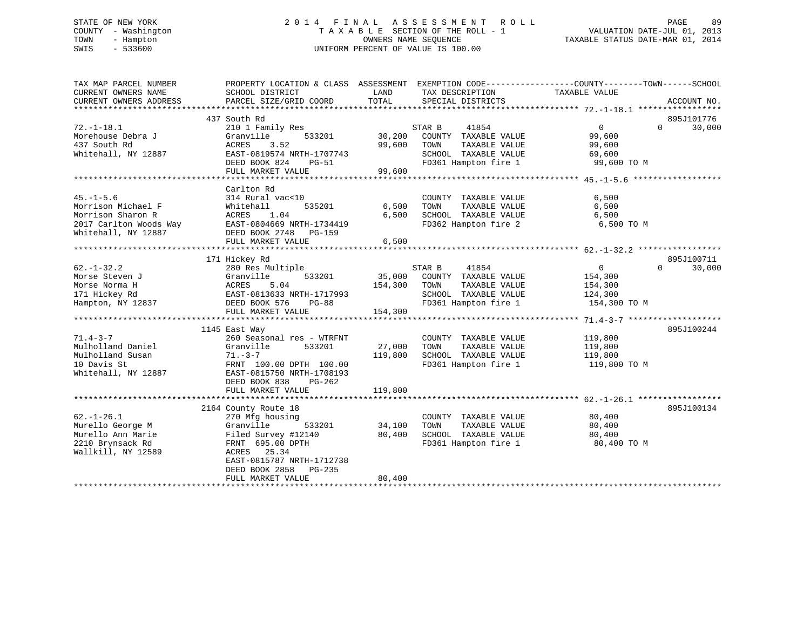# STATE OF NEW YORK 2 0 1 4 F I N A L A S S E S S M E N T R O L L PAGE 89 COUNTY - Washington T A X A B L E SECTION OF THE ROLL - 1 VALUATION DATE-JUL 01, 2013 TOWN - Hampton OWNERS NAME SEQUENCE TAXABLE STATUS DATE-MAR 01, 2014 SWIS - 533600 UNIFORM PERCENT OF VALUE IS 100.00

| TAX MAP PARCEL NUMBER<br>CURRENT OWNERS NAME | PROPERTY LOCATION & CLASS ASSESSMENT EXEMPTION CODE---------------COUNTY-------TOWN------SCHOOL<br>SCHOOL DISTRICT | LAND    | TAX DESCRIPTION                               | TAXABLE VALUE     |                    |
|----------------------------------------------|--------------------------------------------------------------------------------------------------------------------|---------|-----------------------------------------------|-------------------|--------------------|
| CURRENT OWNERS ADDRESS                       | PARCEL SIZE/GRID COORD                                                                                             | TOTAL   | SPECIAL DISTRICTS                             |                   | ACCOUNT NO.        |
|                                              |                                                                                                                    |         |                                               |                   |                    |
|                                              | 437 South Rd                                                                                                       |         |                                               |                   | 895J101776         |
| $72. - 1 - 18.1$                             | 210 1 Family Res                                                                                                   |         | 41854<br>STAR B                               | $0 \qquad \qquad$ | 30,000<br>$\Omega$ |
| Morehouse Debra J                            | 533201<br>Granville                                                                                                | 30,200  | COUNTY TAXABLE VALUE                          | 99,600            |                    |
| 437 South Rd<br>Whitehall, NY 12887          | 3.52<br>ACRES<br>EAST-0819574 NRTH-1707743                                                                         | 99,600  | TAXABLE VALUE<br>TOWN<br>SCHOOL TAXABLE VALUE | 99,600            |                    |
|                                              |                                                                                                                    |         | FD361 Hampton fire 1 99,600 TO M              | 69,600            |                    |
|                                              | DEED BOOK 824<br>PG-51                                                                                             |         |                                               |                   |                    |
|                                              | FULL MARKET VALUE                                                                                                  | 99,600  |                                               |                   |                    |
|                                              |                                                                                                                    |         |                                               |                   |                    |
| $45. - 1 - 5.6$                              | Carlton Rd<br>314 Rural vac<10                                                                                     |         | COUNTY TAXABLE VALUE                          | 6,500             |                    |
| Morrison Michael F                           | 535201<br>Whitehall                                                                                                | 6,500   | TAXABLE VALUE<br>TOWN                         | 6,500             |                    |
| Morrison Sharon R                            | 1.04<br>ACRES                                                                                                      | 6,500   | SCHOOL TAXABLE VALUE                          | 6,500             |                    |
| 2017 Carlton Woods Way                       | EAST-0804669 NRTH-1734419                                                                                          |         | FD362 Hampton fire 2                          | 6,500 TO M        |                    |
| Whitehall, NY 12887                          | DEED BOOK 2748<br>PG-159                                                                                           |         |                                               |                   |                    |
|                                              | FULL MARKET VALUE                                                                                                  | 6,500   |                                               |                   |                    |
|                                              |                                                                                                                    |         |                                               |                   |                    |
|                                              | 171 Hickey Rd                                                                                                      |         |                                               |                   | 895J100711         |
| $62. - 1 - 32.2$                             | 280 Res Multiple                                                                                                   |         | STAR B<br>41854                               | $\overline{0}$    | 30,000<br>$\Omega$ |
| Morse Steven J                               | 533201<br>Granville                                                                                                |         | 35,000 COUNTY TAXABLE VALUE                   | 154,300           |                    |
| Morse Norma H                                | ACRES<br>5.04                                                                                                      | 154,300 | TAXABLE VALUE<br>TOWN                         | 154,300           |                    |
| 171 Hickey Rd                                | EAST-0813633 NRTH-1717993                                                                                          |         | SCHOOL TAXABLE VALUE                          | 124,300           |                    |
| Hampton, NY 12837                            | DEED BOOK 576<br>PG-88                                                                                             |         | FD361 Hampton fire 1                          | 154,300 TO M      |                    |
|                                              | FULL MARKET VALUE                                                                                                  | 154,300 |                                               |                   |                    |
|                                              |                                                                                                                    |         |                                               |                   |                    |
|                                              | 1145 East Way                                                                                                      |         |                                               |                   | 895J100244         |
| $71.4 - 3 - 7$                               | 260 Seasonal res - WTRFNT                                                                                          |         | COUNTY TAXABLE VALUE                          | 119,800           |                    |
| Mulholland Daniel                            | Granville<br>533201                                                                                                | 27,000  | TAXABLE VALUE<br>TOWN                         | 119,800           |                    |
| Mulholland Susan                             | $71. - 3 - 7$                                                                                                      | 119,800 | SCHOOL TAXABLE VALUE                          | 119,800           |                    |
| 10 Davis St                                  | FRNT 100.00 DPTH 100.00                                                                                            |         | FD361 Hampton fire 1                          | 119,800 TO M      |                    |
| Whitehall, NY 12887                          | EAST-0815750 NRTH-1708193                                                                                          |         |                                               |                   |                    |
|                                              | DEED BOOK 838<br>$PG-262$                                                                                          |         |                                               |                   |                    |
|                                              | FULL MARKET VALUE                                                                                                  | 119,800 |                                               |                   |                    |
|                                              |                                                                                                                    |         |                                               |                   |                    |
|                                              | 2164 County Route 18                                                                                               |         |                                               |                   | 895J100134         |
| $62. - 1 - 26.1$                             | 270 Mfg housing                                                                                                    |         | COUNTY TAXABLE VALUE                          | 80,400            |                    |
| Murello George M                             | 533201<br>Granville                                                                                                | 34,100  | TAXABLE VALUE<br>TOWN                         | 80,400            |                    |
| Murello Ann Marie                            | Filed Survey #12140                                                                                                | 80,400  | SCHOOL TAXABLE VALUE                          | 80,400            |                    |
| 2210 Brynsack Rd                             | FRNT 695.00 DPTH                                                                                                   |         | FD361 Hampton fire 1                          | 80,400 TO M       |                    |
| Wallkill, NY 12589                           | ACRES 25.34                                                                                                        |         |                                               |                   |                    |
|                                              | EAST-0815787 NRTH-1712738                                                                                          |         |                                               |                   |                    |
|                                              | DEED BOOK 2858<br>$PG-235$                                                                                         |         |                                               |                   |                    |
|                                              | FULL MARKET VALUE                                                                                                  | 80,400  |                                               |                   |                    |
|                                              |                                                                                                                    |         |                                               |                   |                    |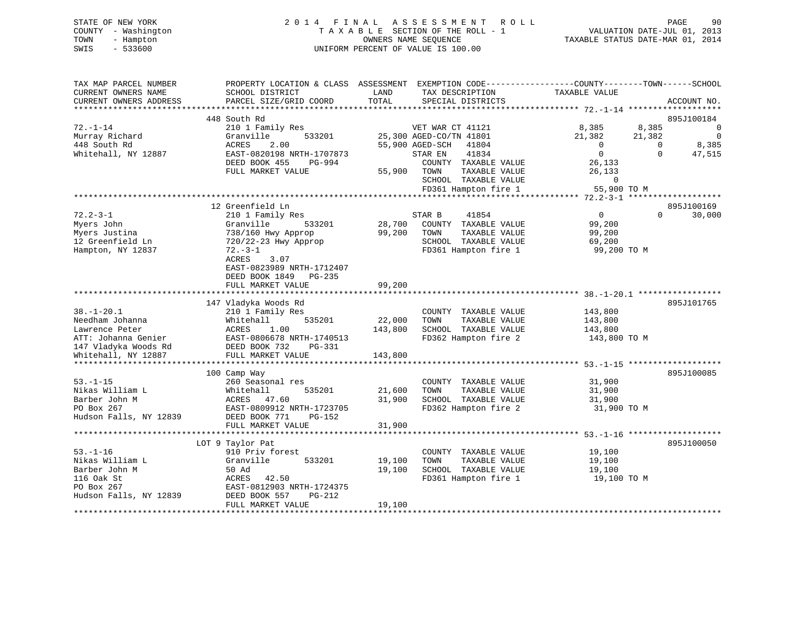STATE OF NEW YORK GOOD CONSULTED A LIGHT AS SESS MENT ROLL CONSUMER AGE 90 COUNTY - Washington  $T A X A B L E$  SECTION OF THE ROLL - 1<br>TOWN - Hampton DATE-JUL 000NERS NAME SEQUENCE

# TOWN - Hampton OWNERS NAME SEQUENCE TAXABLE STATUS DATE-MAR 01, 2014 SWIS - 533600 UNIFORM PERCENT OF VALUE IS 100.00

VALUATION DATE-JUL  $01$ , 2013

| TAX MAP PARCEL NUMBER<br>CURRENT OWNERS NAME<br>CURRENT OWNERS ADDRESS                                   | PROPERTY LOCATION & CLASS ASSESSMENT<br>SCHOOL DISTRICT<br>PARCEL SIZE/GRID COORD                                                                | LAND<br>TOTAL    | EXEMPTION CODE-----------------COUNTY-------TOWN------SCHOOL<br>TAX DESCRIPTION<br>SPECIAL DISTRICTS             | TAXABLE VALUE                                             | ACCOUNT NO.                                    |
|----------------------------------------------------------------------------------------------------------|--------------------------------------------------------------------------------------------------------------------------------------------------|------------------|------------------------------------------------------------------------------------------------------------------|-----------------------------------------------------------|------------------------------------------------|
| ******************                                                                                       |                                                                                                                                                  |                  |                                                                                                                  |                                                           |                                                |
|                                                                                                          | 448 South Rd                                                                                                                                     |                  |                                                                                                                  |                                                           | 895J100184                                     |
| $72. - 1 - 14$<br>Murray Richard<br>448 South Rd                                                         | 210 1 Family Res<br>533201<br>Granville<br>2.00<br>ACRES                                                                                         | 55,900 AGED-SCH  | VET WAR CT 41121<br>25,300 AGED-CO/TN 41801<br>41804                                                             | 8,385<br>21,382<br>$\mathbf 0$                            | 8,385<br>0<br>21,382<br>0<br>8,385<br>$\Omega$ |
| Whitehall, NY 12887                                                                                      | EAST-0820198 NRTH-1707873<br>DEED BOOK 455<br>PG-994<br>FULL MARKET VALUE                                                                        | 55,900           | 41834<br>STAR EN<br>COUNTY TAXABLE VALUE<br>TOWN<br>TAXABLE VALUE                                                | $\mathbf 0$<br>26,133<br>26,133                           | $\Omega$<br>47,515                             |
|                                                                                                          |                                                                                                                                                  |                  | SCHOOL TAXABLE VALUE                                                                                             | $\mathbf 0$                                               |                                                |
|                                                                                                          |                                                                                                                                                  |                  | FD361 Hampton fire 1                                                                                             | 55,900 TO M<br>**************** 72.2-3-1                  | *******************                            |
|                                                                                                          | 12 Greenfield Ln                                                                                                                                 |                  |                                                                                                                  |                                                           | 895J100169                                     |
| $72.2 - 3 - 1$<br>Myers John<br>Myers Justina<br>12 Greenfield Ln<br>Hampton, NY 12837                   | 210 1 Family Res<br>Granville<br>533201<br>738/160 Hwy Approp<br>720/22-23 Hwy Approp<br>$72.-3-1$<br>ACRES<br>3.07<br>EAST-0823989 NRTH-1712407 | 28,700<br>99,200 | STAR B<br>41854<br>COUNTY TAXABLE VALUE<br>TOWN<br>TAXABLE VALUE<br>SCHOOL TAXABLE VALUE<br>FD361 Hampton fire 1 | $\mathbf{0}$<br>99,200<br>99,200<br>69,200<br>99,200 TO M | $\Omega$<br>30,000                             |
|                                                                                                          | DEED BOOK 1849<br>PG-235                                                                                                                         |                  |                                                                                                                  |                                                           |                                                |
|                                                                                                          | FULL MARKET VALUE                                                                                                                                | 99,200           |                                                                                                                  |                                                           |                                                |
|                                                                                                          | 147 Vladyka Woods Rd                                                                                                                             |                  |                                                                                                                  |                                                           | 895J101765                                     |
| $38. - 1 - 20.1$                                                                                         | 210 1 Family Res                                                                                                                                 |                  | COUNTY TAXABLE VALUE                                                                                             | 143,800                                                   |                                                |
| Needham Johanna                                                                                          | Whitehall<br>535201                                                                                                                              | 22,000           | TAXABLE VALUE<br>TOWN                                                                                            | 143,800                                                   |                                                |
| Lawrence Peter                                                                                           | 1.00<br>ACRES                                                                                                                                    | 143,800          | SCHOOL TAXABLE VALUE                                                                                             | 143,800                                                   |                                                |
| ATT: Johanna Genier<br>147 Vladyka Woods Rd                                                              | EAST-0806678 NRTH-1740513<br>DEED BOOK 732<br>PG-331                                                                                             |                  | FD362 Hampton fire 2                                                                                             | 143,800 TO M                                              |                                                |
| Whitehall, NY 12887                                                                                      | FULL MARKET VALUE                                                                                                                                | 143,800          |                                                                                                                  |                                                           |                                                |
|                                                                                                          |                                                                                                                                                  |                  |                                                                                                                  |                                                           |                                                |
| $53. - 1 - 15$<br>Nikas William L<br>Barber John M<br>PO Box 267<br>Hudson Falls, NY 12839               | 100 Camp Way<br>260 Seasonal res<br>535201<br>Whitehall<br>ACRES 47.60<br>EAST-0809912 NRTH-1723705<br>DEED BOOK 771<br>PG-152                   | 21,600<br>31,900 | COUNTY TAXABLE VALUE<br>TOWN<br>TAXABLE VALUE<br>SCHOOL TAXABLE VALUE<br>FD362 Hampton fire 2                    | 31,900<br>31,900<br>31,900<br>31,900 TO M                 | 895J100085                                     |
|                                                                                                          | FULL MARKET VALUE                                                                                                                                | 31,900           |                                                                                                                  |                                                           |                                                |
|                                                                                                          |                                                                                                                                                  |                  |                                                                                                                  |                                                           | 895J100050                                     |
| $53. - 1 - 16$<br>Nikas William L<br>Barber John M<br>116 Oak St<br>PO Box 267<br>Hudson Falls, NY 12839 | LOT 9 Taylor Pat<br>910 Priv forest<br>533201<br>Granville<br>50 Ad<br>ACRES<br>42.50<br>EAST-0812903 NRTH-1724375<br>DEED BOOK 557<br>PG-212    | 19,100<br>19,100 | COUNTY TAXABLE VALUE<br>TAXABLE VALUE<br>TOWN<br>SCHOOL TAXABLE VALUE<br>FD361 Hampton fire 1                    | 19,100<br>19,100<br>19,100<br>19,100 TO M                 |                                                |
|                                                                                                          | FULL MARKET VALUE                                                                                                                                | 19,100           |                                                                                                                  |                                                           |                                                |
|                                                                                                          |                                                                                                                                                  |                  |                                                                                                                  |                                                           |                                                |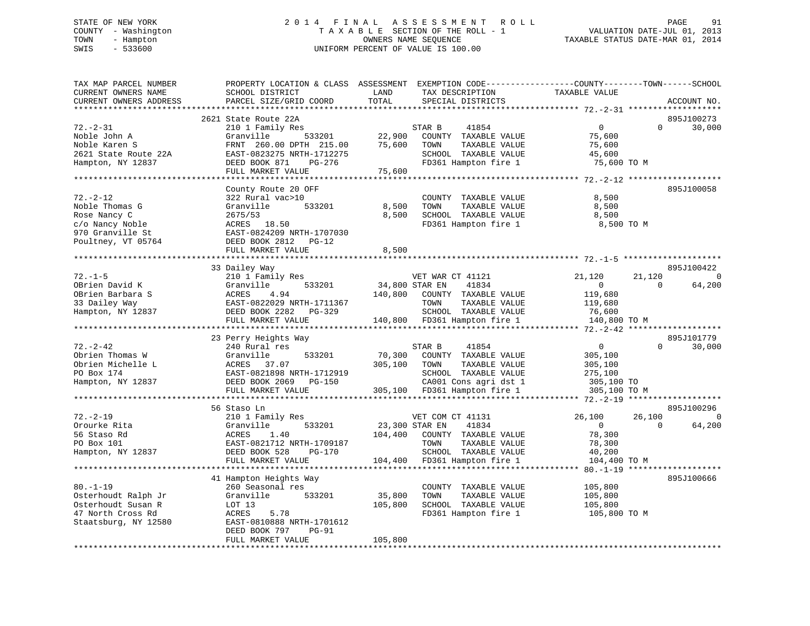# STATE OF NEW YORK 2 0 1 4 F I N A L A S S E S S M E N T R O L L PAGE 91 COUNTY - Washington T A X A B L E SECTION OF THE ROLL - 1 VALUATION DATE-JUL 01, 2013 TOWN - Hampton OWNERS NAME SEQUENCE TAXABLE STATUS DATE-MAR 01, 2014 SWIS - 533600 UNIFORM PERCENT OF VALUE IS 100.00

| TOTAL<br>CURRENT OWNERS ADDRESS<br>PARCEL SIZE/GRID COORD<br>SPECIAL DISTRICTS<br>ACCOUNT NO.<br>2621 State Route 22A<br>895J100273<br>$72. - 2 - 31$<br>$\mathbf{0}$<br>$\Omega$<br>30,000<br>210 1 Family Res<br>41854<br>STAR B<br>Noble John A<br>Granville<br>533201<br>22,900<br>COUNTY TAXABLE VALUE<br>75,600<br>Noble Karen S<br>75,600<br>FRNT 260.00 DPTH 215.00<br>TOWN<br>TAXABLE VALUE<br>75,600<br>SCHOOL TAXABLE VALUE<br>2621 State Route 22A<br>EAST-0823275 NRTH-1712275<br>45,600<br>FD361 Hampton fire 1<br>75,600 TO M<br>Hampton, NY 12837<br>DEED BOOK 871<br>PG-276<br>75,600<br>FULL MARKET VALUE<br>895J100058<br>County Route 20 OFF<br>$72. - 2 - 12$<br>322 Rural vac>10<br>COUNTY TAXABLE VALUE<br>8,500<br>Noble Thomas G<br>533201<br>8,500<br>TOWN<br>TAXABLE VALUE<br>8,500<br>Granville<br>Rose Nancy C<br>2675/53<br>8,500<br>SCHOOL TAXABLE VALUE<br>8,500<br>c/o Nancy Noble<br>ACRES 18.50<br>FD361 Hampton fire 1<br>8,500 TO M<br>970 Granville St<br>EAST-0824209 NRTH-1707030<br>Poultney, VT 05764<br>DEED BOOK 2812<br>PG-12<br>8,500<br>FULL MARKET VALUE<br>895J100422<br>33 Dailey Way<br>$72. - 1 - 5$<br>210 1 Family Res<br>21,120<br>21,120<br>$\Omega$<br>VET WAR CT 41121<br>64,200<br>OBrien David K<br>Granville<br>533201<br>34,800 STAR EN<br>41834<br>$\Omega$<br>$\mathbf{0}$<br>OBrien Barbara S<br>140,800 COUNTY TAXABLE VALUE<br>ACRES<br>4.94<br>119,680<br>33 Dailey Way<br>EAST-0822029 NRTH-1711367<br>TOWN<br>TAXABLE VALUE<br>119,680<br>SCHOOL TAXABLE VALUE<br>Hampton, NY 12837<br>DEED BOOK 2282<br>76,600<br>PG-329<br>FULL MARKET VALUE<br>140,800 FD361 Hampton fire 1<br>140,800 TO M<br>*********************<br>23 Perry Heights Way<br>895J101779<br>$72. - 2 - 42$<br>41854<br>240 Rural res<br>$\overline{0}$<br>30,000<br>STAR B<br>$\Omega$<br>70,300<br>COUNTY TAXABLE VALUE<br>Obrien Thomas W<br>Granville<br>533201<br>305,100<br>305,100<br>Obrien Michelle L<br>ACRES<br>37.07<br>TOWN<br>TAXABLE VALUE<br>305,100<br>PO Box 174<br>EAST-0821898 NRTH-1712919<br>SCHOOL TAXABLE VALUE<br>275,100 | TAX MAP PARCEL NUMBER<br>CURRENT OWNERS NAME | PROPERTY LOCATION & CLASS ASSESSMENT EXEMPTION CODE----------------COUNTY-------TOWN------SCHOOL<br>SCHOOL DISTRICT | LAND | TAX DESCRIPTION       | TAXABLE VALUE |          |
|----------------------------------------------------------------------------------------------------------------------------------------------------------------------------------------------------------------------------------------------------------------------------------------------------------------------------------------------------------------------------------------------------------------------------------------------------------------------------------------------------------------------------------------------------------------------------------------------------------------------------------------------------------------------------------------------------------------------------------------------------------------------------------------------------------------------------------------------------------------------------------------------------------------------------------------------------------------------------------------------------------------------------------------------------------------------------------------------------------------------------------------------------------------------------------------------------------------------------------------------------------------------------------------------------------------------------------------------------------------------------------------------------------------------------------------------------------------------------------------------------------------------------------------------------------------------------------------------------------------------------------------------------------------------------------------------------------------------------------------------------------------------------------------------------------------------------------------------------------------------------------------------------------------------------------------------------------------------------------------------------------------------------------------------------------------------------------------------|----------------------------------------------|---------------------------------------------------------------------------------------------------------------------|------|-----------------------|---------------|----------|
|                                                                                                                                                                                                                                                                                                                                                                                                                                                                                                                                                                                                                                                                                                                                                                                                                                                                                                                                                                                                                                                                                                                                                                                                                                                                                                                                                                                                                                                                                                                                                                                                                                                                                                                                                                                                                                                                                                                                                                                                                                                                                              |                                              |                                                                                                                     |      |                       |               |          |
|                                                                                                                                                                                                                                                                                                                                                                                                                                                                                                                                                                                                                                                                                                                                                                                                                                                                                                                                                                                                                                                                                                                                                                                                                                                                                                                                                                                                                                                                                                                                                                                                                                                                                                                                                                                                                                                                                                                                                                                                                                                                                              |                                              |                                                                                                                     |      |                       |               |          |
|                                                                                                                                                                                                                                                                                                                                                                                                                                                                                                                                                                                                                                                                                                                                                                                                                                                                                                                                                                                                                                                                                                                                                                                                                                                                                                                                                                                                                                                                                                                                                                                                                                                                                                                                                                                                                                                                                                                                                                                                                                                                                              |                                              |                                                                                                                     |      |                       |               |          |
|                                                                                                                                                                                                                                                                                                                                                                                                                                                                                                                                                                                                                                                                                                                                                                                                                                                                                                                                                                                                                                                                                                                                                                                                                                                                                                                                                                                                                                                                                                                                                                                                                                                                                                                                                                                                                                                                                                                                                                                                                                                                                              |                                              |                                                                                                                     |      |                       |               |          |
|                                                                                                                                                                                                                                                                                                                                                                                                                                                                                                                                                                                                                                                                                                                                                                                                                                                                                                                                                                                                                                                                                                                                                                                                                                                                                                                                                                                                                                                                                                                                                                                                                                                                                                                                                                                                                                                                                                                                                                                                                                                                                              |                                              |                                                                                                                     |      |                       |               |          |
|                                                                                                                                                                                                                                                                                                                                                                                                                                                                                                                                                                                                                                                                                                                                                                                                                                                                                                                                                                                                                                                                                                                                                                                                                                                                                                                                                                                                                                                                                                                                                                                                                                                                                                                                                                                                                                                                                                                                                                                                                                                                                              |                                              |                                                                                                                     |      |                       |               |          |
|                                                                                                                                                                                                                                                                                                                                                                                                                                                                                                                                                                                                                                                                                                                                                                                                                                                                                                                                                                                                                                                                                                                                                                                                                                                                                                                                                                                                                                                                                                                                                                                                                                                                                                                                                                                                                                                                                                                                                                                                                                                                                              |                                              |                                                                                                                     |      |                       |               |          |
|                                                                                                                                                                                                                                                                                                                                                                                                                                                                                                                                                                                                                                                                                                                                                                                                                                                                                                                                                                                                                                                                                                                                                                                                                                                                                                                                                                                                                                                                                                                                                                                                                                                                                                                                                                                                                                                                                                                                                                                                                                                                                              |                                              |                                                                                                                     |      |                       |               |          |
|                                                                                                                                                                                                                                                                                                                                                                                                                                                                                                                                                                                                                                                                                                                                                                                                                                                                                                                                                                                                                                                                                                                                                                                                                                                                                                                                                                                                                                                                                                                                                                                                                                                                                                                                                                                                                                                                                                                                                                                                                                                                                              |                                              |                                                                                                                     |      |                       |               |          |
|                                                                                                                                                                                                                                                                                                                                                                                                                                                                                                                                                                                                                                                                                                                                                                                                                                                                                                                                                                                                                                                                                                                                                                                                                                                                                                                                                                                                                                                                                                                                                                                                                                                                                                                                                                                                                                                                                                                                                                                                                                                                                              |                                              |                                                                                                                     |      |                       |               |          |
|                                                                                                                                                                                                                                                                                                                                                                                                                                                                                                                                                                                                                                                                                                                                                                                                                                                                                                                                                                                                                                                                                                                                                                                                                                                                                                                                                                                                                                                                                                                                                                                                                                                                                                                                                                                                                                                                                                                                                                                                                                                                                              |                                              |                                                                                                                     |      |                       |               |          |
|                                                                                                                                                                                                                                                                                                                                                                                                                                                                                                                                                                                                                                                                                                                                                                                                                                                                                                                                                                                                                                                                                                                                                                                                                                                                                                                                                                                                                                                                                                                                                                                                                                                                                                                                                                                                                                                                                                                                                                                                                                                                                              |                                              |                                                                                                                     |      |                       |               |          |
|                                                                                                                                                                                                                                                                                                                                                                                                                                                                                                                                                                                                                                                                                                                                                                                                                                                                                                                                                                                                                                                                                                                                                                                                                                                                                                                                                                                                                                                                                                                                                                                                                                                                                                                                                                                                                                                                                                                                                                                                                                                                                              |                                              |                                                                                                                     |      |                       |               |          |
|                                                                                                                                                                                                                                                                                                                                                                                                                                                                                                                                                                                                                                                                                                                                                                                                                                                                                                                                                                                                                                                                                                                                                                                                                                                                                                                                                                                                                                                                                                                                                                                                                                                                                                                                                                                                                                                                                                                                                                                                                                                                                              |                                              |                                                                                                                     |      |                       |               |          |
|                                                                                                                                                                                                                                                                                                                                                                                                                                                                                                                                                                                                                                                                                                                                                                                                                                                                                                                                                                                                                                                                                                                                                                                                                                                                                                                                                                                                                                                                                                                                                                                                                                                                                                                                                                                                                                                                                                                                                                                                                                                                                              |                                              |                                                                                                                     |      |                       |               |          |
|                                                                                                                                                                                                                                                                                                                                                                                                                                                                                                                                                                                                                                                                                                                                                                                                                                                                                                                                                                                                                                                                                                                                                                                                                                                                                                                                                                                                                                                                                                                                                                                                                                                                                                                                                                                                                                                                                                                                                                                                                                                                                              |                                              |                                                                                                                     |      |                       |               |          |
|                                                                                                                                                                                                                                                                                                                                                                                                                                                                                                                                                                                                                                                                                                                                                                                                                                                                                                                                                                                                                                                                                                                                                                                                                                                                                                                                                                                                                                                                                                                                                                                                                                                                                                                                                                                                                                                                                                                                                                                                                                                                                              |                                              |                                                                                                                     |      |                       |               |          |
|                                                                                                                                                                                                                                                                                                                                                                                                                                                                                                                                                                                                                                                                                                                                                                                                                                                                                                                                                                                                                                                                                                                                                                                                                                                                                                                                                                                                                                                                                                                                                                                                                                                                                                                                                                                                                                                                                                                                                                                                                                                                                              |                                              |                                                                                                                     |      |                       |               |          |
|                                                                                                                                                                                                                                                                                                                                                                                                                                                                                                                                                                                                                                                                                                                                                                                                                                                                                                                                                                                                                                                                                                                                                                                                                                                                                                                                                                                                                                                                                                                                                                                                                                                                                                                                                                                                                                                                                                                                                                                                                                                                                              |                                              |                                                                                                                     |      |                       |               |          |
|                                                                                                                                                                                                                                                                                                                                                                                                                                                                                                                                                                                                                                                                                                                                                                                                                                                                                                                                                                                                                                                                                                                                                                                                                                                                                                                                                                                                                                                                                                                                                                                                                                                                                                                                                                                                                                                                                                                                                                                                                                                                                              |                                              |                                                                                                                     |      |                       |               |          |
|                                                                                                                                                                                                                                                                                                                                                                                                                                                                                                                                                                                                                                                                                                                                                                                                                                                                                                                                                                                                                                                                                                                                                                                                                                                                                                                                                                                                                                                                                                                                                                                                                                                                                                                                                                                                                                                                                                                                                                                                                                                                                              |                                              |                                                                                                                     |      |                       |               |          |
|                                                                                                                                                                                                                                                                                                                                                                                                                                                                                                                                                                                                                                                                                                                                                                                                                                                                                                                                                                                                                                                                                                                                                                                                                                                                                                                                                                                                                                                                                                                                                                                                                                                                                                                                                                                                                                                                                                                                                                                                                                                                                              |                                              |                                                                                                                     |      |                       |               |          |
|                                                                                                                                                                                                                                                                                                                                                                                                                                                                                                                                                                                                                                                                                                                                                                                                                                                                                                                                                                                                                                                                                                                                                                                                                                                                                                                                                                                                                                                                                                                                                                                                                                                                                                                                                                                                                                                                                                                                                                                                                                                                                              |                                              |                                                                                                                     |      |                       |               |          |
|                                                                                                                                                                                                                                                                                                                                                                                                                                                                                                                                                                                                                                                                                                                                                                                                                                                                                                                                                                                                                                                                                                                                                                                                                                                                                                                                                                                                                                                                                                                                                                                                                                                                                                                                                                                                                                                                                                                                                                                                                                                                                              |                                              |                                                                                                                     |      |                       |               |          |
|                                                                                                                                                                                                                                                                                                                                                                                                                                                                                                                                                                                                                                                                                                                                                                                                                                                                                                                                                                                                                                                                                                                                                                                                                                                                                                                                                                                                                                                                                                                                                                                                                                                                                                                                                                                                                                                                                                                                                                                                                                                                                              |                                              |                                                                                                                     |      |                       |               |          |
|                                                                                                                                                                                                                                                                                                                                                                                                                                                                                                                                                                                                                                                                                                                                                                                                                                                                                                                                                                                                                                                                                                                                                                                                                                                                                                                                                                                                                                                                                                                                                                                                                                                                                                                                                                                                                                                                                                                                                                                                                                                                                              |                                              |                                                                                                                     |      |                       |               |          |
|                                                                                                                                                                                                                                                                                                                                                                                                                                                                                                                                                                                                                                                                                                                                                                                                                                                                                                                                                                                                                                                                                                                                                                                                                                                                                                                                                                                                                                                                                                                                                                                                                                                                                                                                                                                                                                                                                                                                                                                                                                                                                              |                                              |                                                                                                                     |      |                       |               |          |
|                                                                                                                                                                                                                                                                                                                                                                                                                                                                                                                                                                                                                                                                                                                                                                                                                                                                                                                                                                                                                                                                                                                                                                                                                                                                                                                                                                                                                                                                                                                                                                                                                                                                                                                                                                                                                                                                                                                                                                                                                                                                                              |                                              |                                                                                                                     |      |                       |               |          |
|                                                                                                                                                                                                                                                                                                                                                                                                                                                                                                                                                                                                                                                                                                                                                                                                                                                                                                                                                                                                                                                                                                                                                                                                                                                                                                                                                                                                                                                                                                                                                                                                                                                                                                                                                                                                                                                                                                                                                                                                                                                                                              |                                              |                                                                                                                     |      |                       |               |          |
|                                                                                                                                                                                                                                                                                                                                                                                                                                                                                                                                                                                                                                                                                                                                                                                                                                                                                                                                                                                                                                                                                                                                                                                                                                                                                                                                                                                                                                                                                                                                                                                                                                                                                                                                                                                                                                                                                                                                                                                                                                                                                              |                                              |                                                                                                                     |      |                       |               |          |
|                                                                                                                                                                                                                                                                                                                                                                                                                                                                                                                                                                                                                                                                                                                                                                                                                                                                                                                                                                                                                                                                                                                                                                                                                                                                                                                                                                                                                                                                                                                                                                                                                                                                                                                                                                                                                                                                                                                                                                                                                                                                                              |                                              |                                                                                                                     |      |                       |               |          |
| 305,100 TO                                                                                                                                                                                                                                                                                                                                                                                                                                                                                                                                                                                                                                                                                                                                                                                                                                                                                                                                                                                                                                                                                                                                                                                                                                                                                                                                                                                                                                                                                                                                                                                                                                                                                                                                                                                                                                                                                                                                                                                                                                                                                   | Hampton, NY 12837                            | DEED BOOK 2069<br><b>PG-150</b>                                                                                     |      | CA001 Cons agri dst 1 |               |          |
| 305,100 FD361 Hampton fire 1<br>FULL MARKET VALUE<br>305,100 TO M                                                                                                                                                                                                                                                                                                                                                                                                                                                                                                                                                                                                                                                                                                                                                                                                                                                                                                                                                                                                                                                                                                                                                                                                                                                                                                                                                                                                                                                                                                                                                                                                                                                                                                                                                                                                                                                                                                                                                                                                                            |                                              |                                                                                                                     |      |                       |               |          |
|                                                                                                                                                                                                                                                                                                                                                                                                                                                                                                                                                                                                                                                                                                                                                                                                                                                                                                                                                                                                                                                                                                                                                                                                                                                                                                                                                                                                                                                                                                                                                                                                                                                                                                                                                                                                                                                                                                                                                                                                                                                                                              |                                              |                                                                                                                     |      |                       |               |          |
| 895J100296<br>56 Staso Ln                                                                                                                                                                                                                                                                                                                                                                                                                                                                                                                                                                                                                                                                                                                                                                                                                                                                                                                                                                                                                                                                                                                                                                                                                                                                                                                                                                                                                                                                                                                                                                                                                                                                                                                                                                                                                                                                                                                                                                                                                                                                    |                                              |                                                                                                                     |      |                       |               |          |
| $72. - 2 - 19$<br>210 1 Family Res<br>26,100<br>26,100<br>VET COM CT 41131                                                                                                                                                                                                                                                                                                                                                                                                                                                                                                                                                                                                                                                                                                                                                                                                                                                                                                                                                                                                                                                                                                                                                                                                                                                                                                                                                                                                                                                                                                                                                                                                                                                                                                                                                                                                                                                                                                                                                                                                                   |                                              |                                                                                                                     |      |                       |               | $\Omega$ |
| 533201<br>23,300 STAR EN<br>41834<br>$\Omega$<br>Orourke Rita<br>Granville<br>$\overline{0}$                                                                                                                                                                                                                                                                                                                                                                                                                                                                                                                                                                                                                                                                                                                                                                                                                                                                                                                                                                                                                                                                                                                                                                                                                                                                                                                                                                                                                                                                                                                                                                                                                                                                                                                                                                                                                                                                                                                                                                                                 |                                              |                                                                                                                     |      |                       |               | 64,200   |
| 56 Staso Rd<br>ACRES<br>1.40<br>104,400<br>COUNTY TAXABLE VALUE<br>78,300                                                                                                                                                                                                                                                                                                                                                                                                                                                                                                                                                                                                                                                                                                                                                                                                                                                                                                                                                                                                                                                                                                                                                                                                                                                                                                                                                                                                                                                                                                                                                                                                                                                                                                                                                                                                                                                                                                                                                                                                                    |                                              |                                                                                                                     |      |                       |               |          |
| PO Box 101<br>EAST-0821712 NRTH-1709187<br>TOWN<br>TAXABLE VALUE<br>78,300                                                                                                                                                                                                                                                                                                                                                                                                                                                                                                                                                                                                                                                                                                                                                                                                                                                                                                                                                                                                                                                                                                                                                                                                                                                                                                                                                                                                                                                                                                                                                                                                                                                                                                                                                                                                                                                                                                                                                                                                                   |                                              |                                                                                                                     |      |                       |               |          |
| DEED BOOK 528<br>SCHOOL TAXABLE VALUE<br>40,200<br>Hampton, NY 12837<br>PG-170                                                                                                                                                                                                                                                                                                                                                                                                                                                                                                                                                                                                                                                                                                                                                                                                                                                                                                                                                                                                                                                                                                                                                                                                                                                                                                                                                                                                                                                                                                                                                                                                                                                                                                                                                                                                                                                                                                                                                                                                               |                                              |                                                                                                                     |      |                       |               |          |
| FD361 Hampton fire 1<br>FULL MARKET VALUE<br>104,400<br>104,400 TO M                                                                                                                                                                                                                                                                                                                                                                                                                                                                                                                                                                                                                                                                                                                                                                                                                                                                                                                                                                                                                                                                                                                                                                                                                                                                                                                                                                                                                                                                                                                                                                                                                                                                                                                                                                                                                                                                                                                                                                                                                         |                                              |                                                                                                                     |      |                       |               |          |
| ************************                                                                                                                                                                                                                                                                                                                                                                                                                                                                                                                                                                                                                                                                                                                                                                                                                                                                                                                                                                                                                                                                                                                                                                                                                                                                                                                                                                                                                                                                                                                                                                                                                                                                                                                                                                                                                                                                                                                                                                                                                                                                     |                                              |                                                                                                                     |      |                       |               |          |
| 41 Hampton Heights Way<br>895J100666                                                                                                                                                                                                                                                                                                                                                                                                                                                                                                                                                                                                                                                                                                                                                                                                                                                                                                                                                                                                                                                                                                                                                                                                                                                                                                                                                                                                                                                                                                                                                                                                                                                                                                                                                                                                                                                                                                                                                                                                                                                         |                                              |                                                                                                                     |      |                       |               |          |
| $80. - 1 - 19$<br>COUNTY TAXABLE VALUE<br>260 Seasonal res<br>105,800                                                                                                                                                                                                                                                                                                                                                                                                                                                                                                                                                                                                                                                                                                                                                                                                                                                                                                                                                                                                                                                                                                                                                                                                                                                                                                                                                                                                                                                                                                                                                                                                                                                                                                                                                                                                                                                                                                                                                                                                                        |                                              |                                                                                                                     |      |                       |               |          |
| TAXABLE VALUE<br>Osterhoudt Ralph Jr<br>Granville<br>533201<br>35,800<br>TOWN<br>105,800                                                                                                                                                                                                                                                                                                                                                                                                                                                                                                                                                                                                                                                                                                                                                                                                                                                                                                                                                                                                                                                                                                                                                                                                                                                                                                                                                                                                                                                                                                                                                                                                                                                                                                                                                                                                                                                                                                                                                                                                     |                                              |                                                                                                                     |      |                       |               |          |
| Osterhoudt Susan R<br>105,800<br>SCHOOL TAXABLE VALUE<br>105,800<br>LOT 13                                                                                                                                                                                                                                                                                                                                                                                                                                                                                                                                                                                                                                                                                                                                                                                                                                                                                                                                                                                                                                                                                                                                                                                                                                                                                                                                                                                                                                                                                                                                                                                                                                                                                                                                                                                                                                                                                                                                                                                                                   |                                              |                                                                                                                     |      |                       |               |          |
| 5.78<br>FD361 Hampton fire 1<br>47 North Cross Rd<br>ACRES<br>105,800 TO M                                                                                                                                                                                                                                                                                                                                                                                                                                                                                                                                                                                                                                                                                                                                                                                                                                                                                                                                                                                                                                                                                                                                                                                                                                                                                                                                                                                                                                                                                                                                                                                                                                                                                                                                                                                                                                                                                                                                                                                                                   |                                              |                                                                                                                     |      |                       |               |          |
| Staatsburg, NY 12580<br>EAST-0810888 NRTH-1701612                                                                                                                                                                                                                                                                                                                                                                                                                                                                                                                                                                                                                                                                                                                                                                                                                                                                                                                                                                                                                                                                                                                                                                                                                                                                                                                                                                                                                                                                                                                                                                                                                                                                                                                                                                                                                                                                                                                                                                                                                                            |                                              |                                                                                                                     |      |                       |               |          |
| DEED BOOK 797<br>PG-91<br>105,800<br>FULL MARKET VALUE                                                                                                                                                                                                                                                                                                                                                                                                                                                                                                                                                                                                                                                                                                                                                                                                                                                                                                                                                                                                                                                                                                                                                                                                                                                                                                                                                                                                                                                                                                                                                                                                                                                                                                                                                                                                                                                                                                                                                                                                                                       |                                              |                                                                                                                     |      |                       |               |          |
|                                                                                                                                                                                                                                                                                                                                                                                                                                                                                                                                                                                                                                                                                                                                                                                                                                                                                                                                                                                                                                                                                                                                                                                                                                                                                                                                                                                                                                                                                                                                                                                                                                                                                                                                                                                                                                                                                                                                                                                                                                                                                              |                                              |                                                                                                                     |      |                       |               |          |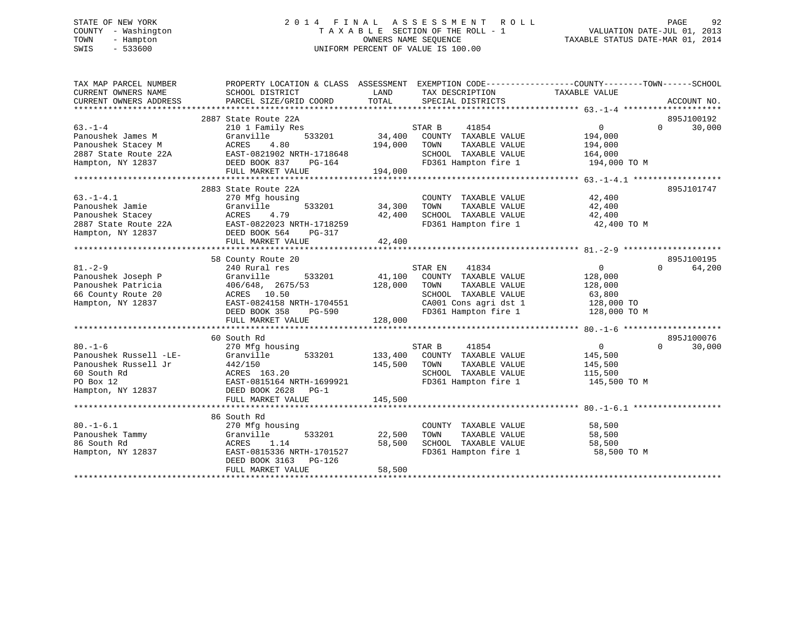# STATE OF NEW YORK 2 0 1 4 F I N A L A S S E S S M E N T R O L L PAGE 92 COUNTY - Washington T A X A B L E SECTION OF THE ROLL - 1 VALUATION DATE-JUL 01, 2013 TOWN - Hampton OWNERS NAME SEQUENCE TAXABLE STATUS DATE-MAR 01, 2014 SWIS - 533600 UNIFORM PERCENT OF VALUE IS 100.00

| TAX MAP PARCEL NUMBER<br>CURRENT OWNERS NAME<br>CURRENT OWNERS ADDRESS | PROPERTY LOCATION & CLASS ASSESSMENT EXEMPTION CODE----------------COUNTY-------TOWN------SCHOOL<br>SCHOOL DISTRICT<br>PARCEL SIZE/GRID COORD | LAND<br>TOTAL     | TAX DESCRIPTION<br>SPECIAL DISTRICTS | TAXABLE VALUE  | ACCOUNT NO.        |
|------------------------------------------------------------------------|-----------------------------------------------------------------------------------------------------------------------------------------------|-------------------|--------------------------------------|----------------|--------------------|
|                                                                        |                                                                                                                                               |                   |                                      |                |                    |
|                                                                        | 2887 State Route 22A                                                                                                                          |                   |                                      |                | 895J100192         |
| $63 - 1 - 4$                                                           | 210 1 Family Res                                                                                                                              |                   | STAR B<br>41854                      | $\mathbf{0}$   | 30,000<br>$\Omega$ |
| Panoushek James M<br>Panoushek Stacey M                                | 533201<br>Granville<br>ACRES<br>4.80                                                                                                          | 34,400<br>194,000 | COUNTY TAXABLE VALUE                 | 194,000        |                    |
|                                                                        |                                                                                                                                               |                   | TOWN<br>TAXABLE VALUE                | 194,000        |                    |
| 2887 State Route 22A                                                   | EAST-0821902 NRTH-1718648                                                                                                                     |                   | SCHOOL TAXABLE VALUE                 | 164,000        |                    |
| Hampton, NY 12837                                                      | DEED BOOK 837<br>PG-164                                                                                                                       |                   | FD361 Hampton fire 1                 | 194,000 TO M   |                    |
|                                                                        | FULL MARKET VALUE                                                                                                                             | 194,000           |                                      |                |                    |
|                                                                        |                                                                                                                                               |                   |                                      |                |                    |
|                                                                        | 2883 State Route 22A                                                                                                                          |                   |                                      |                | 895J101747         |
| $63. -1 - 4.1$                                                         | 270 Mfg housing                                                                                                                               |                   | COUNTY TAXABLE VALUE                 | 42,400         |                    |
| Panoushek Jamie                                                        | 533201<br>Granville                                                                                                                           | 34,300            | TOWN<br>TAXABLE VALUE                | 42,400         |                    |
| Panoushek Stacey                                                       | 4.79<br>ACRES                                                                                                                                 | 42,400            | SCHOOL TAXABLE VALUE                 | 42,400         |                    |
| 2887 State Route 22A                                                   | EAST-0822023 NRTH-1718259                                                                                                                     |                   | FD361 Hampton fire 1                 | 42,400 TO M    |                    |
| Hampton, NY 12837                                                      | DEED BOOK 564<br>PG-317                                                                                                                       |                   |                                      |                |                    |
|                                                                        | FULL MARKET VALUE                                                                                                                             | 42,400            |                                      |                |                    |
|                                                                        |                                                                                                                                               |                   |                                      |                |                    |
|                                                                        | 58 County Route 20                                                                                                                            |                   |                                      |                | 895J100195         |
| $81. - 2 - 9$                                                          | 240 Rural res                                                                                                                                 |                   | STAR EN<br>41834                     | $\overline{0}$ | 64,200<br>$\Omega$ |
| Panoushek Joseph P                                                     | Granville<br>533201                                                                                                                           | 41,100            | COUNTY TAXABLE VALUE                 | 128,000        |                    |
| Panoushek Patricia                                                     | 406/648, 2675/53                                                                                                                              | 128,000           | TOWN<br>TAXABLE VALUE                | 128,000        |                    |
| 66 County Route 20                                                     | ACRES 10.50                                                                                                                                   |                   | SCHOOL TAXABLE VALUE                 | 63,800         |                    |
| Hampton, NY 12837                                                      | EAST-0824158 NRTH-1704551                                                                                                                     |                   | CA001 Cons agri dst 1                | 128,000 TO     |                    |
|                                                                        | DEED BOOK 358<br>PG-590                                                                                                                       |                   | FD361 Hampton fire 1                 | 128,000 TO M   |                    |
|                                                                        | FULL MARKET VALUE                                                                                                                             | 128,000           |                                      |                |                    |
|                                                                        |                                                                                                                                               |                   |                                      |                |                    |
|                                                                        | 60 South Rd                                                                                                                                   |                   |                                      |                | 895J100076         |
| $80. - 1 - 6$                                                          | 270 Mfg housing                                                                                                                               |                   | STAR B<br>41854                      | $\overline{0}$ | $\Omega$<br>30,000 |
| Panoushek Russell -LE-                                                 | 533201<br>Granville                                                                                                                           |                   | 133,400 COUNTY TAXABLE VALUE         | 145,500        |                    |
| Panoushek Russell Jr                                                   | 442/150                                                                                                                                       | 145,500 TOWN      | TAXABLE VALUE                        | 145,500        |                    |
| 60 South Rd                                                            | ACRES 163.20                                                                                                                                  |                   | SCHOOL TAXABLE VALUE                 | 115,500        |                    |
| PO Box 12                                                              | EAST-0815164 NRTH-1699921                                                                                                                     |                   | FD361 Hampton fire 1                 | 145,500 TO M   |                    |
| Hampton, NY 12837                                                      | DEED BOOK 2628<br>$PG-1$                                                                                                                      |                   |                                      |                |                    |
|                                                                        | FULL MARKET VALUE                                                                                                                             | 145,500           |                                      |                |                    |
|                                                                        |                                                                                                                                               |                   |                                      |                |                    |
|                                                                        | 86 South Rd                                                                                                                                   |                   |                                      |                |                    |
| $80. - 1 - 6.1$                                                        | 270 Mfg housing                                                                                                                               |                   | COUNTY TAXABLE VALUE                 | 58,500         |                    |
| Panoushek Tammy                                                        | Granville<br>533201                                                                                                                           | 22,500            | TOWN<br>TAXABLE VALUE                | 58,500         |                    |
| 86 South Rd                                                            | ACRES<br>1.14                                                                                                                                 | 58,500            | SCHOOL TAXABLE VALUE                 | 58,500         |                    |
| Hampton, NY 12837                                                      | EAST-0815336 NRTH-1701527                                                                                                                     |                   | FD361 Hampton fire 1                 | 58,500 TO M    |                    |
|                                                                        | DEED BOOK 3163 PG-126                                                                                                                         |                   |                                      |                |                    |
|                                                                        | FULL MARKET VALUE                                                                                                                             | 58,500            |                                      |                |                    |
|                                                                        |                                                                                                                                               |                   |                                      |                |                    |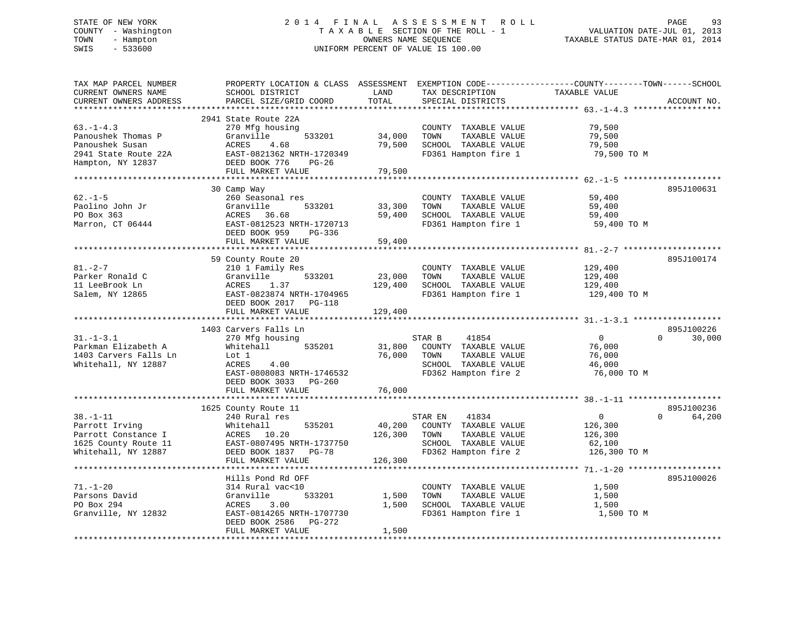# STATE OF NEW YORK 2 0 1 4 F I N A L A S S E S S M E N T R O L L PAGE 93 COUNTY - Washington T A X A B L E SECTION OF THE ROLL - 1 VALUATION DATE-JUL 01, 2013 TOWN - Hampton OWNERS NAME SEQUENCE TAXABLE STATUS DATE-MAR 01, 2014 SWIS - 533600 UNIFORM PERCENT OF VALUE IS 100.00

| TAX MAP PARCEL NUMBER<br>CURRENT OWNERS NAME<br>CURRENT OWNERS ADDRESS                                 | PROPERTY LOCATION & CLASS ASSESSMENT<br>SCHOOL DISTRICT<br>PARCEL SIZE/GRID COORD                                                                                         | LAND<br>TOTAL                | EXEMPTION CODE-----------------COUNTY-------TOWN------SCHOOL<br>TAX DESCRIPTION<br>SPECIAL DISTRICTS              | TAXABLE VALUE                                                  | ACCOUNT NO.                      |
|--------------------------------------------------------------------------------------------------------|---------------------------------------------------------------------------------------------------------------------------------------------------------------------------|------------------------------|-------------------------------------------------------------------------------------------------------------------|----------------------------------------------------------------|----------------------------------|
| ***********************                                                                                |                                                                                                                                                                           |                              |                                                                                                                   |                                                                |                                  |
| $63. - 1 - 4.3$<br>Panoushek Thomas P<br>Panoushek Susan<br>2941 State Route 22A<br>Hampton, NY 12837  | 2941 State Route 22A<br>270 Mfg housing<br>Granville<br>533201<br>ACRES<br>4.68<br>EAST-0821362 NRTH-1720349<br>DEED BOOK 776<br>$PG-26$<br>FULL MARKET VALUE             | 34,000<br>79,500<br>79,500   | COUNTY TAXABLE VALUE<br>TOWN<br>TAXABLE VALUE<br>SCHOOL TAXABLE VALUE<br>FD361 Hampton fire 1                     | 79,500<br>79,500<br>79,500<br>79,500 TO M                      |                                  |
|                                                                                                        |                                                                                                                                                                           |                              |                                                                                                                   |                                                                |                                  |
| $62 - 1 - 5$<br>Paolino John Jr<br>PO Box 363<br>Marron, CT 06444                                      | 30 Camp Way<br>260 Seasonal res<br>Granville<br>533201<br>ACRES 36.68<br>EAST-0812523 NRTH-1720713<br>DEED BOOK 959<br>PG-336                                             | 33,300<br>59,400             | COUNTY TAXABLE VALUE<br>TAXABLE VALUE<br>TOWN<br>SCHOOL TAXABLE VALUE<br>FD361 Hampton fire 1                     | 59,400<br>59,400<br>59,400<br>59,400 TO M                      | 895J100631                       |
|                                                                                                        | FULL MARKET VALUE                                                                                                                                                         | 59,400                       |                                                                                                                   |                                                                |                                  |
|                                                                                                        | 59 County Route 20                                                                                                                                                        |                              |                                                                                                                   |                                                                | 895J100174                       |
| $81. - 2 - 7$<br>Parker Ronald C<br>11 LeeBrook Ln<br>Salem, NY 12865                                  | 210 1 Family Res<br>Granville<br>533201<br>1.37<br>ACRES<br>EAST-0823874 NRTH-1704965<br>DEED BOOK 2017<br>$PG-118$<br>FULL MARKET VALUE                                  | 23,000<br>129,400<br>129,400 | COUNTY TAXABLE VALUE<br>TOWN<br>TAXABLE VALUE<br>SCHOOL TAXABLE VALUE<br>FD361 Hampton fire 1                     | 129,400<br>129,400<br>129,400<br>129,400 TO M                  |                                  |
|                                                                                                        |                                                                                                                                                                           |                              |                                                                                                                   |                                                                |                                  |
| $31. - 1 - 3.1$<br>Parkman Elizabeth A<br>1403 Carvers Falls Ln<br>Whitehall, NY 12887                 | 1403 Carvers Falls Ln<br>270 Mfg housing<br>Whitehall<br>535201<br>Lot 1<br>ACRES<br>4.00<br>EAST-0808083 NRTH-1746532<br>DEED BOOK 3033<br>$PG-260$<br>FULL MARKET VALUE | 31,800<br>76,000<br>76,000   | STAR B<br>41854<br>COUNTY TAXABLE VALUE<br>TOWN<br>TAXABLE VALUE<br>SCHOOL TAXABLE VALUE<br>FD362 Hampton fire 2  | $\overline{0}$<br>76,000<br>76,000<br>46,000<br>76,000 TO M    | 895J100226<br>$\Omega$<br>30,000 |
|                                                                                                        | 1625 County Route 11                                                                                                                                                      |                              |                                                                                                                   |                                                                | 895J100236                       |
| $38. - 1 - 11$<br>Parrott Irving<br>Parrott Constance I<br>1625 County Route 11<br>Whitehall, NY 12887 | 240 Rural res<br>535201<br>Whitehall<br>10.20<br>ACRES<br>EAST-0807495 NRTH-1737750<br>DEED BOOK 1837<br>PG-78                                                            | 40,200<br>126,300            | STAR EN<br>41834<br>COUNTY TAXABLE VALUE<br>TOWN<br>TAXABLE VALUE<br>SCHOOL TAXABLE VALUE<br>FD362 Hampton fire 2 | $\overline{0}$<br>126,300<br>126,300<br>62,100<br>126,300 TO M | 64,200<br>$\Omega$               |
|                                                                                                        | FULL MARKET VALUE                                                                                                                                                         | 126,300                      |                                                                                                                   |                                                                |                                  |
|                                                                                                        |                                                                                                                                                                           |                              |                                                                                                                   |                                                                |                                  |
| $71. - 1 - 20$<br>Parsons David<br>PO Box 294<br>Granville, NY 12832                                   | Hills Pond Rd OFF<br>314 Rural vac<10<br>533201<br>Granville<br>ACRES<br>3.00<br>EAST-0814265 NRTH-1707730<br>DEED BOOK 2586<br>PG-272                                    | 1,500<br>1,500               | COUNTY TAXABLE VALUE<br>TAXABLE VALUE<br>TOWN<br>SCHOOL TAXABLE VALUE<br>FD361 Hampton fire 1                     | 1,500<br>1,500<br>1,500<br>1,500 TO M                          | 895J100026                       |
|                                                                                                        | FULL MARKET VALUE                                                                                                                                                         | 1,500                        |                                                                                                                   |                                                                |                                  |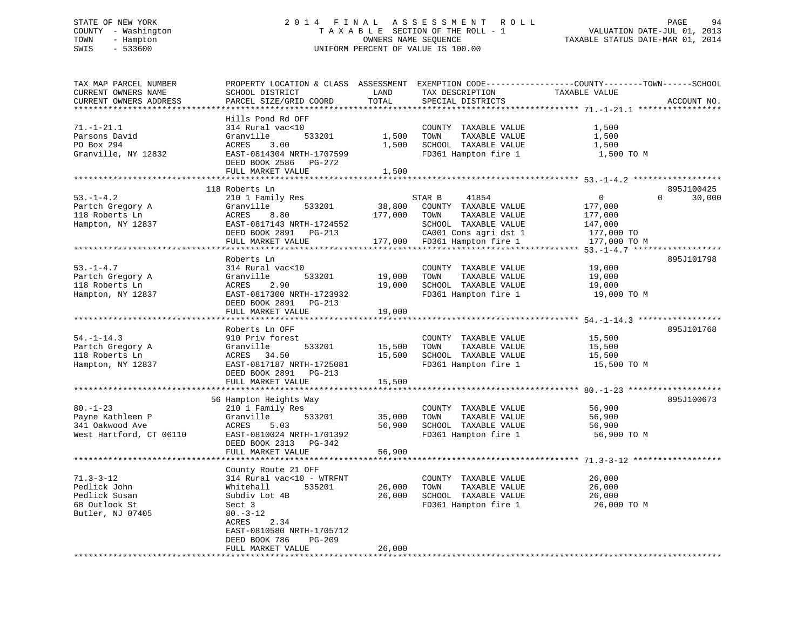#### STATE OF NEW YORK GALL 2014 FINAL ASSESSMENT ROLL CHASSER 94 COUNTY - Washington  $\begin{array}{ccc} 1 & 0 & 0 \\ -1 & 0 & 0 \end{array}$  T A X A B L E SECTION OF THE ROLL - 1 TOWN - Hampton OWNERS NAME SEQUENCE TAXABLE STATUS DATE-MAR 01, 2014 SWIS - 533600 UNIFORM PERCENT OF VALUE IS 100.00

| TAX MAP PARCEL NUMBER<br>CURRENT OWNERS NAME    | PROPERTY LOCATION & CLASS ASSESSMENT<br>SCHOOL DISTRICT | LAND                  | TAX DESCRIPTION                         | EXEMPTION CODE-----------------COUNTY--------TOWN-----SCHOOL<br>TAXABLE VALUE |
|-------------------------------------------------|---------------------------------------------------------|-----------------------|-----------------------------------------|-------------------------------------------------------------------------------|
| CURRENT OWNERS ADDRESS<br>********************* | PARCEL SIZE/GRID COORD                                  | TOTAL<br>**********   | SPECIAL DISTRICTS                       | ACCOUNT NO.                                                                   |
|                                                 | Hills Pond Rd OFF                                       |                       |                                         |                                                                               |
| $71. - 1 - 21.1$                                | 314 Rural vac<10                                        |                       | COUNTY TAXABLE VALUE                    | 1,500                                                                         |
| Parsons David                                   | Granville<br>533201                                     | 1,500                 | TOWN<br>TAXABLE VALUE                   | 1,500                                                                         |
| PO Box 294                                      | ACRES<br>3.00                                           | 1,500                 | SCHOOL TAXABLE VALUE                    | 1,500                                                                         |
| Granville, NY 12832                             | EAST-0814304 NRTH-1707599                               |                       | FD361 Hampton fire 1                    | 1,500 TO M                                                                    |
|                                                 | DEED BOOK 2586<br>PG-272                                |                       |                                         |                                                                               |
|                                                 | FULL MARKET VALUE                                       | 1,500                 |                                         |                                                                               |
|                                                 | *********************                                   |                       | ***************************** 53.-1-4.2 |                                                                               |
|                                                 | 118 Roberts Ln                                          |                       |                                         | 895J100425                                                                    |
| $53. - 1 - 4.2$                                 | 210 1 Family Res                                        |                       | 41854<br>STAR B                         | $\mathbf{0}$<br>$\Omega$<br>30,000                                            |
| Partch Gregory A                                | Granville<br>533201                                     | 38,800                | COUNTY TAXABLE VALUE                    | 177,000                                                                       |
| 118 Roberts Ln                                  | ACRES<br>8.80                                           | 177,000               | TOWN<br>TAXABLE VALUE                   | 177,000                                                                       |
| Hampton, NY 12837                               | EAST-0817143 NRTH-1724552                               |                       | SCHOOL TAXABLE VALUE                    | 147,000                                                                       |
|                                                 | DEED BOOK 2891 PG-213                                   |                       | CA001 Cons agri dst 1                   | 177,000 TO                                                                    |
|                                                 | FULL MARKET VALUE                                       |                       | 177,000 FD361 Hampton fire 1            | 177,000 TO M                                                                  |
|                                                 |                                                         |                       |                                         |                                                                               |
|                                                 | Roberts Ln                                              |                       |                                         | 895J101798                                                                    |
| $53. - 1 - 4.7$                                 | 314 Rural vac<10                                        |                       | COUNTY TAXABLE VALUE                    | 19,000                                                                        |
| Partch Gregory A                                | Granville<br>533201                                     | 19,000                | TAXABLE VALUE<br>TOWN                   | 19,000                                                                        |
| 118 Roberts Ln                                  | 2.90<br>ACRES                                           | 19,000                | SCHOOL TAXABLE VALUE                    | 19,000                                                                        |
| Hampton, NY 12837                               | EAST-0817300 NRTH-1723932                               |                       | FD361 Hampton fire 1                    | 19,000 TO M                                                                   |
|                                                 | DEED BOOK 2891<br>PG-213                                |                       |                                         |                                                                               |
|                                                 | FULL MARKET VALUE                                       | 19,000                |                                         |                                                                               |
|                                                 | **********************                                  | * * * * * * * * * * * |                                         |                                                                               |
|                                                 | Roberts Ln OFF                                          |                       |                                         | 895J101768                                                                    |
| $54. - 1 - 14.3$                                | 910 Priv forest                                         |                       | COUNTY TAXABLE VALUE                    | 15,500                                                                        |
| Partch Gregory A                                | 533201<br>Granville                                     | 15,500                | TOWN<br>TAXABLE VALUE                   | 15,500                                                                        |
| 118 Roberts Ln                                  | ACRES<br>34.50                                          | 15,500                | SCHOOL TAXABLE VALUE                    | 15,500                                                                        |
| Hampton, NY 12837                               | EAST-0817187 NRTH-1725081                               |                       | FD361 Hampton fire 1                    | 15,500 TO M                                                                   |
|                                                 | DEED BOOK 2891<br>PG-213                                |                       |                                         |                                                                               |
|                                                 | FULL MARKET VALUE                                       | 15,500                |                                         |                                                                               |
|                                                 |                                                         |                       |                                         |                                                                               |
|                                                 | 56 Hampton Heights Way                                  |                       |                                         | 895J100673                                                                    |
| $80. - 1 - 23$                                  | 210 1 Family Res                                        |                       | COUNTY TAXABLE VALUE                    | 56,900                                                                        |
| Payne Kathleen P                                | Granville<br>533201                                     | 35,000                | TOWN<br>TAXABLE VALUE                   | 56,900                                                                        |
| 341 Oakwood Ave                                 | ACRES<br>5.03                                           | 56,900                | SCHOOL TAXABLE VALUE                    | 56,900                                                                        |
| West Hartford, CT 06110                         | EAST-0810024 NRTH-1701392                               |                       | FD361 Hampton fire 1                    | 56,900 TO M                                                                   |
|                                                 | DEED BOOK 2313<br>PG-342                                |                       |                                         |                                                                               |
|                                                 | FULL MARKET VALUE<br>*******************                | 56,900                |                                         | *********************** 71.3-3-12                                             |
|                                                 | County Route 21 OFF                                     |                       |                                         |                                                                               |
| $71.3 - 3 - 12$                                 | 314 Rural vac<10 - WTRFNT                               |                       | COUNTY TAXABLE VALUE                    | 26,000                                                                        |
| Pedlick John                                    | Whitehall<br>535201                                     | 26,000                | TAXABLE VALUE<br>TOWN                   | 26,000                                                                        |
| Pedlick Susan                                   | Subdiv Lot 4B                                           | 26,000                | SCHOOL TAXABLE VALUE                    | 26,000                                                                        |
| 68 Outlook St                                   | Sect 3                                                  |                       | FD361 Hampton fire 1                    | 26,000 TO M                                                                   |
| Butler, NJ 07405                                | $80. - 3 - 12$                                          |                       |                                         |                                                                               |
|                                                 | ACRES<br>2.34                                           |                       |                                         |                                                                               |
|                                                 | EAST-0810580 NRTH-1705712                               |                       |                                         |                                                                               |
|                                                 | PG-209<br>DEED BOOK 786                                 |                       |                                         |                                                                               |
|                                                 | FULL MARKET VALUE                                       | 26,000                |                                         |                                                                               |
| ************************                        |                                                         |                       |                                         |                                                                               |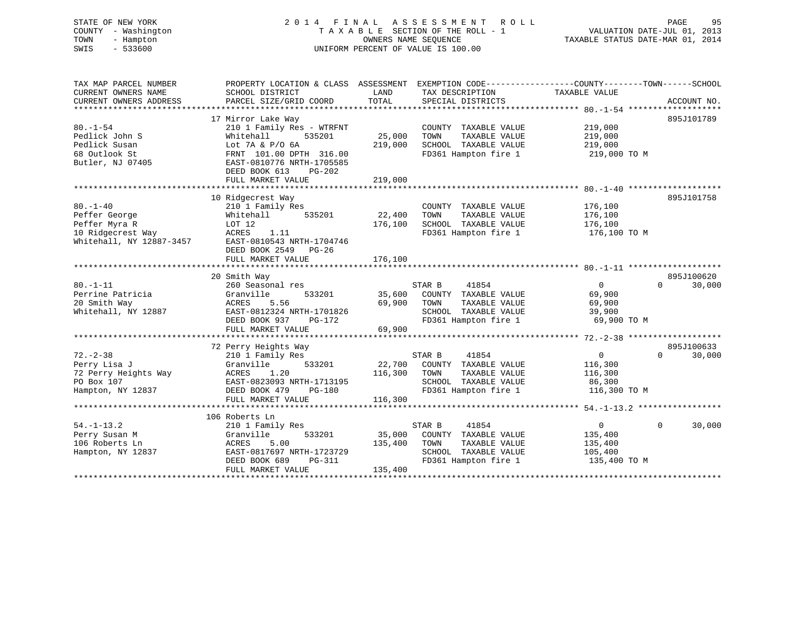# STATE OF NEW YORK 2 0 1 4 F I N A L A S S E S S M E N T R O L L PAGE 95 COUNTY - Washington T A X A B L E SECTION OF THE ROLL - 1 VALUATION DATE-JUL 01, 2013 TOWN - Hampton OWNERS NAME SEQUENCE TAXABLE STATUS DATE-MAR 01, 2014 SWIS - 533600 UNIFORM PERCENT OF VALUE IS 100.00

| TOTAL<br>PARCEL SIZE/GRID COORD<br>CURRENT OWNERS ADDRESS<br>SPECIAL DISTRICTS<br>ACCOUNT NO.<br>*************<br>$80, -1 - 54$ ********************<br>17 Mirror Lake Way<br>895J101789<br>$80. - 1 - 54$<br>210 1 Family Res - WTRFNT<br>219,000<br>COUNTY TAXABLE VALUE<br>25,000<br>Pedlick John S<br>Whitehall<br>535201<br>TOWN<br>TAXABLE VALUE<br>219,000<br>Pedlick Susan<br>219,000<br>SCHOOL TAXABLE VALUE<br>219,000<br>Lot $7A & P/O$ 6A<br>FD361 Hampton fire 1<br>FRNT 101.00 DPTH 316.00<br>219,000 TO M<br>EAST-0810776 NRTH-1705585<br>DEED BOOK 613<br>$PG-202$<br>219,000<br>FULL MARKET VALUE<br>895J101758<br>10 Ridgecrest Way<br>210 1 Family Res<br>176,100<br>COUNTY TAXABLE VALUE<br>22,400<br>TAXABLE VALUE<br>176,100<br>Whitehall<br>535201<br>TOWN<br>176,100<br>LOT 12<br>SCHOOL TAXABLE VALUE<br>176,100<br>ACRES<br>1.11<br>FD361 Hampton fire 1<br>176,100 TO M<br>EAST-0810543 NRTH-1704746<br>DEED BOOK 2549<br>PG-26<br>176,100<br>FULL MARKET VALUE<br>895J100620<br>20 Smith Way<br>$80. - 1 - 11$<br>41854<br>30,000<br>260 Seasonal res<br>STAR B<br>$\Omega$<br>$\Omega$<br>Perrine Patricia<br>Granville<br>533201<br>35,600<br>COUNTY TAXABLE VALUE<br>69,900<br>69,900<br>20 Smith Way<br>5.56<br>TOWN<br>TAXABLE VALUE<br>69,900<br>ACRES<br>Whitehall, NY 12887<br>EAST-0812324 NRTH-1701826<br>SCHOOL TAXABLE VALUE<br>39,900<br>FD361 Hampton fire 1<br>69,900 TO M<br>DEED BOOK 937<br>PG-172<br>69,900<br>FULL MARKET VALUE<br>72 Perry Heights Way<br>895J100633<br>$72. - 2 - 38$<br>41854<br>$\Omega$<br>$\Omega$<br>30,000<br>210 1 Family Res<br>STAR B<br>22,700<br>Perry Lisa J<br>Granville<br>533201<br>COUNTY TAXABLE VALUE<br>116,300<br>72 Perry Heights Way<br>1.20<br>116,300<br>ACRES<br>TOWN<br>TAXABLE VALUE<br>116,300<br>PO Box 107<br>EAST-0823093 NRTH-1713195<br>SCHOOL TAXABLE VALUE<br>86,300<br>FD361 Hampton fire 1<br>Hampton, NY 12837<br>DEED BOOK 479<br>PG-180<br>116,300 TO M<br>116,300<br>FULL MARKET VALUE<br>106 Roberts Ln<br>$54. - 1 - 13.2$<br>30,000<br>STAR B<br>41854<br>$\mathbf{0}$<br>$\Omega$<br>210 1 Family Res<br>533201<br>35,000<br>Perry Susan M<br>Granville<br>COUNTY TAXABLE VALUE<br>135,400<br>5.00<br>106 Roberts Ln<br>ACRES<br>135,400<br>TAXABLE VALUE<br>TOWN<br>135,400<br>SCHOOL TAXABLE VALUE<br>Hampton, NY 12837<br>EAST-0817697 NRTH-1723729<br>105,400<br>FD361 Hampton fire 1<br>135,400 TO M<br>DEED BOOK 689<br>PG-311<br>135,400<br>FULL MARKET VALUE | TAX MAP PARCEL NUMBER<br>CURRENT OWNERS NAME | SCHOOL DISTRICT | LAND | TAX DESCRIPTION | PROPERTY LOCATION & CLASS ASSESSMENT EXEMPTION CODE--------------COUNTY-------TOWN-----SCHOOL<br>TAXABLE VALUE |  |
|-------------------------------------------------------------------------------------------------------------------------------------------------------------------------------------------------------------------------------------------------------------------------------------------------------------------------------------------------------------------------------------------------------------------------------------------------------------------------------------------------------------------------------------------------------------------------------------------------------------------------------------------------------------------------------------------------------------------------------------------------------------------------------------------------------------------------------------------------------------------------------------------------------------------------------------------------------------------------------------------------------------------------------------------------------------------------------------------------------------------------------------------------------------------------------------------------------------------------------------------------------------------------------------------------------------------------------------------------------------------------------------------------------------------------------------------------------------------------------------------------------------------------------------------------------------------------------------------------------------------------------------------------------------------------------------------------------------------------------------------------------------------------------------------------------------------------------------------------------------------------------------------------------------------------------------------------------------------------------------------------------------------------------------------------------------------------------------------------------------------------------------------------------------------------------------------------------------------------------------------------------------------------------------------------------------------------------------------------------------------------------------------------------------------------------------------------------------------------------------|----------------------------------------------|-----------------|------|-----------------|----------------------------------------------------------------------------------------------------------------|--|
|                                                                                                                                                                                                                                                                                                                                                                                                                                                                                                                                                                                                                                                                                                                                                                                                                                                                                                                                                                                                                                                                                                                                                                                                                                                                                                                                                                                                                                                                                                                                                                                                                                                                                                                                                                                                                                                                                                                                                                                                                                                                                                                                                                                                                                                                                                                                                                                                                                                                                     |                                              |                 |      |                 |                                                                                                                |  |
|                                                                                                                                                                                                                                                                                                                                                                                                                                                                                                                                                                                                                                                                                                                                                                                                                                                                                                                                                                                                                                                                                                                                                                                                                                                                                                                                                                                                                                                                                                                                                                                                                                                                                                                                                                                                                                                                                                                                                                                                                                                                                                                                                                                                                                                                                                                                                                                                                                                                                     |                                              |                 |      |                 |                                                                                                                |  |
|                                                                                                                                                                                                                                                                                                                                                                                                                                                                                                                                                                                                                                                                                                                                                                                                                                                                                                                                                                                                                                                                                                                                                                                                                                                                                                                                                                                                                                                                                                                                                                                                                                                                                                                                                                                                                                                                                                                                                                                                                                                                                                                                                                                                                                                                                                                                                                                                                                                                                     |                                              |                 |      |                 |                                                                                                                |  |
|                                                                                                                                                                                                                                                                                                                                                                                                                                                                                                                                                                                                                                                                                                                                                                                                                                                                                                                                                                                                                                                                                                                                                                                                                                                                                                                                                                                                                                                                                                                                                                                                                                                                                                                                                                                                                                                                                                                                                                                                                                                                                                                                                                                                                                                                                                                                                                                                                                                                                     |                                              |                 |      |                 |                                                                                                                |  |
|                                                                                                                                                                                                                                                                                                                                                                                                                                                                                                                                                                                                                                                                                                                                                                                                                                                                                                                                                                                                                                                                                                                                                                                                                                                                                                                                                                                                                                                                                                                                                                                                                                                                                                                                                                                                                                                                                                                                                                                                                                                                                                                                                                                                                                                                                                                                                                                                                                                                                     |                                              |                 |      |                 |                                                                                                                |  |
|                                                                                                                                                                                                                                                                                                                                                                                                                                                                                                                                                                                                                                                                                                                                                                                                                                                                                                                                                                                                                                                                                                                                                                                                                                                                                                                                                                                                                                                                                                                                                                                                                                                                                                                                                                                                                                                                                                                                                                                                                                                                                                                                                                                                                                                                                                                                                                                                                                                                                     |                                              |                 |      |                 |                                                                                                                |  |
|                                                                                                                                                                                                                                                                                                                                                                                                                                                                                                                                                                                                                                                                                                                                                                                                                                                                                                                                                                                                                                                                                                                                                                                                                                                                                                                                                                                                                                                                                                                                                                                                                                                                                                                                                                                                                                                                                                                                                                                                                                                                                                                                                                                                                                                                                                                                                                                                                                                                                     | 68 Outlook St                                |                 |      |                 |                                                                                                                |  |
|                                                                                                                                                                                                                                                                                                                                                                                                                                                                                                                                                                                                                                                                                                                                                                                                                                                                                                                                                                                                                                                                                                                                                                                                                                                                                                                                                                                                                                                                                                                                                                                                                                                                                                                                                                                                                                                                                                                                                                                                                                                                                                                                                                                                                                                                                                                                                                                                                                                                                     | Butler, NJ 07405                             |                 |      |                 |                                                                                                                |  |
|                                                                                                                                                                                                                                                                                                                                                                                                                                                                                                                                                                                                                                                                                                                                                                                                                                                                                                                                                                                                                                                                                                                                                                                                                                                                                                                                                                                                                                                                                                                                                                                                                                                                                                                                                                                                                                                                                                                                                                                                                                                                                                                                                                                                                                                                                                                                                                                                                                                                                     |                                              |                 |      |                 |                                                                                                                |  |
|                                                                                                                                                                                                                                                                                                                                                                                                                                                                                                                                                                                                                                                                                                                                                                                                                                                                                                                                                                                                                                                                                                                                                                                                                                                                                                                                                                                                                                                                                                                                                                                                                                                                                                                                                                                                                                                                                                                                                                                                                                                                                                                                                                                                                                                                                                                                                                                                                                                                                     |                                              |                 |      |                 |                                                                                                                |  |
|                                                                                                                                                                                                                                                                                                                                                                                                                                                                                                                                                                                                                                                                                                                                                                                                                                                                                                                                                                                                                                                                                                                                                                                                                                                                                                                                                                                                                                                                                                                                                                                                                                                                                                                                                                                                                                                                                                                                                                                                                                                                                                                                                                                                                                                                                                                                                                                                                                                                                     |                                              |                 |      |                 |                                                                                                                |  |
|                                                                                                                                                                                                                                                                                                                                                                                                                                                                                                                                                                                                                                                                                                                                                                                                                                                                                                                                                                                                                                                                                                                                                                                                                                                                                                                                                                                                                                                                                                                                                                                                                                                                                                                                                                                                                                                                                                                                                                                                                                                                                                                                                                                                                                                                                                                                                                                                                                                                                     |                                              |                 |      |                 |                                                                                                                |  |
|                                                                                                                                                                                                                                                                                                                                                                                                                                                                                                                                                                                                                                                                                                                                                                                                                                                                                                                                                                                                                                                                                                                                                                                                                                                                                                                                                                                                                                                                                                                                                                                                                                                                                                                                                                                                                                                                                                                                                                                                                                                                                                                                                                                                                                                                                                                                                                                                                                                                                     | $80. -1 - 40$                                |                 |      |                 |                                                                                                                |  |
|                                                                                                                                                                                                                                                                                                                                                                                                                                                                                                                                                                                                                                                                                                                                                                                                                                                                                                                                                                                                                                                                                                                                                                                                                                                                                                                                                                                                                                                                                                                                                                                                                                                                                                                                                                                                                                                                                                                                                                                                                                                                                                                                                                                                                                                                                                                                                                                                                                                                                     | Peffer George                                |                 |      |                 |                                                                                                                |  |
|                                                                                                                                                                                                                                                                                                                                                                                                                                                                                                                                                                                                                                                                                                                                                                                                                                                                                                                                                                                                                                                                                                                                                                                                                                                                                                                                                                                                                                                                                                                                                                                                                                                                                                                                                                                                                                                                                                                                                                                                                                                                                                                                                                                                                                                                                                                                                                                                                                                                                     | Peffer Myra R                                |                 |      |                 |                                                                                                                |  |
|                                                                                                                                                                                                                                                                                                                                                                                                                                                                                                                                                                                                                                                                                                                                                                                                                                                                                                                                                                                                                                                                                                                                                                                                                                                                                                                                                                                                                                                                                                                                                                                                                                                                                                                                                                                                                                                                                                                                                                                                                                                                                                                                                                                                                                                                                                                                                                                                                                                                                     | 10 Ridgecrest Way                            |                 |      |                 |                                                                                                                |  |
|                                                                                                                                                                                                                                                                                                                                                                                                                                                                                                                                                                                                                                                                                                                                                                                                                                                                                                                                                                                                                                                                                                                                                                                                                                                                                                                                                                                                                                                                                                                                                                                                                                                                                                                                                                                                                                                                                                                                                                                                                                                                                                                                                                                                                                                                                                                                                                                                                                                                                     | Whitehall, NY 12887-3457                     |                 |      |                 |                                                                                                                |  |
|                                                                                                                                                                                                                                                                                                                                                                                                                                                                                                                                                                                                                                                                                                                                                                                                                                                                                                                                                                                                                                                                                                                                                                                                                                                                                                                                                                                                                                                                                                                                                                                                                                                                                                                                                                                                                                                                                                                                                                                                                                                                                                                                                                                                                                                                                                                                                                                                                                                                                     |                                              |                 |      |                 |                                                                                                                |  |
|                                                                                                                                                                                                                                                                                                                                                                                                                                                                                                                                                                                                                                                                                                                                                                                                                                                                                                                                                                                                                                                                                                                                                                                                                                                                                                                                                                                                                                                                                                                                                                                                                                                                                                                                                                                                                                                                                                                                                                                                                                                                                                                                                                                                                                                                                                                                                                                                                                                                                     |                                              |                 |      |                 |                                                                                                                |  |
|                                                                                                                                                                                                                                                                                                                                                                                                                                                                                                                                                                                                                                                                                                                                                                                                                                                                                                                                                                                                                                                                                                                                                                                                                                                                                                                                                                                                                                                                                                                                                                                                                                                                                                                                                                                                                                                                                                                                                                                                                                                                                                                                                                                                                                                                                                                                                                                                                                                                                     |                                              |                 |      |                 |                                                                                                                |  |
|                                                                                                                                                                                                                                                                                                                                                                                                                                                                                                                                                                                                                                                                                                                                                                                                                                                                                                                                                                                                                                                                                                                                                                                                                                                                                                                                                                                                                                                                                                                                                                                                                                                                                                                                                                                                                                                                                                                                                                                                                                                                                                                                                                                                                                                                                                                                                                                                                                                                                     |                                              |                 |      |                 |                                                                                                                |  |
|                                                                                                                                                                                                                                                                                                                                                                                                                                                                                                                                                                                                                                                                                                                                                                                                                                                                                                                                                                                                                                                                                                                                                                                                                                                                                                                                                                                                                                                                                                                                                                                                                                                                                                                                                                                                                                                                                                                                                                                                                                                                                                                                                                                                                                                                                                                                                                                                                                                                                     |                                              |                 |      |                 |                                                                                                                |  |
|                                                                                                                                                                                                                                                                                                                                                                                                                                                                                                                                                                                                                                                                                                                                                                                                                                                                                                                                                                                                                                                                                                                                                                                                                                                                                                                                                                                                                                                                                                                                                                                                                                                                                                                                                                                                                                                                                                                                                                                                                                                                                                                                                                                                                                                                                                                                                                                                                                                                                     |                                              |                 |      |                 |                                                                                                                |  |
|                                                                                                                                                                                                                                                                                                                                                                                                                                                                                                                                                                                                                                                                                                                                                                                                                                                                                                                                                                                                                                                                                                                                                                                                                                                                                                                                                                                                                                                                                                                                                                                                                                                                                                                                                                                                                                                                                                                                                                                                                                                                                                                                                                                                                                                                                                                                                                                                                                                                                     |                                              |                 |      |                 |                                                                                                                |  |
|                                                                                                                                                                                                                                                                                                                                                                                                                                                                                                                                                                                                                                                                                                                                                                                                                                                                                                                                                                                                                                                                                                                                                                                                                                                                                                                                                                                                                                                                                                                                                                                                                                                                                                                                                                                                                                                                                                                                                                                                                                                                                                                                                                                                                                                                                                                                                                                                                                                                                     |                                              |                 |      |                 |                                                                                                                |  |
|                                                                                                                                                                                                                                                                                                                                                                                                                                                                                                                                                                                                                                                                                                                                                                                                                                                                                                                                                                                                                                                                                                                                                                                                                                                                                                                                                                                                                                                                                                                                                                                                                                                                                                                                                                                                                                                                                                                                                                                                                                                                                                                                                                                                                                                                                                                                                                                                                                                                                     |                                              |                 |      |                 |                                                                                                                |  |
|                                                                                                                                                                                                                                                                                                                                                                                                                                                                                                                                                                                                                                                                                                                                                                                                                                                                                                                                                                                                                                                                                                                                                                                                                                                                                                                                                                                                                                                                                                                                                                                                                                                                                                                                                                                                                                                                                                                                                                                                                                                                                                                                                                                                                                                                                                                                                                                                                                                                                     |                                              |                 |      |                 |                                                                                                                |  |
|                                                                                                                                                                                                                                                                                                                                                                                                                                                                                                                                                                                                                                                                                                                                                                                                                                                                                                                                                                                                                                                                                                                                                                                                                                                                                                                                                                                                                                                                                                                                                                                                                                                                                                                                                                                                                                                                                                                                                                                                                                                                                                                                                                                                                                                                                                                                                                                                                                                                                     |                                              |                 |      |                 |                                                                                                                |  |
|                                                                                                                                                                                                                                                                                                                                                                                                                                                                                                                                                                                                                                                                                                                                                                                                                                                                                                                                                                                                                                                                                                                                                                                                                                                                                                                                                                                                                                                                                                                                                                                                                                                                                                                                                                                                                                                                                                                                                                                                                                                                                                                                                                                                                                                                                                                                                                                                                                                                                     |                                              |                 |      |                 |                                                                                                                |  |
|                                                                                                                                                                                                                                                                                                                                                                                                                                                                                                                                                                                                                                                                                                                                                                                                                                                                                                                                                                                                                                                                                                                                                                                                                                                                                                                                                                                                                                                                                                                                                                                                                                                                                                                                                                                                                                                                                                                                                                                                                                                                                                                                                                                                                                                                                                                                                                                                                                                                                     |                                              |                 |      |                 |                                                                                                                |  |
|                                                                                                                                                                                                                                                                                                                                                                                                                                                                                                                                                                                                                                                                                                                                                                                                                                                                                                                                                                                                                                                                                                                                                                                                                                                                                                                                                                                                                                                                                                                                                                                                                                                                                                                                                                                                                                                                                                                                                                                                                                                                                                                                                                                                                                                                                                                                                                                                                                                                                     |                                              |                 |      |                 |                                                                                                                |  |
|                                                                                                                                                                                                                                                                                                                                                                                                                                                                                                                                                                                                                                                                                                                                                                                                                                                                                                                                                                                                                                                                                                                                                                                                                                                                                                                                                                                                                                                                                                                                                                                                                                                                                                                                                                                                                                                                                                                                                                                                                                                                                                                                                                                                                                                                                                                                                                                                                                                                                     |                                              |                 |      |                 |                                                                                                                |  |
|                                                                                                                                                                                                                                                                                                                                                                                                                                                                                                                                                                                                                                                                                                                                                                                                                                                                                                                                                                                                                                                                                                                                                                                                                                                                                                                                                                                                                                                                                                                                                                                                                                                                                                                                                                                                                                                                                                                                                                                                                                                                                                                                                                                                                                                                                                                                                                                                                                                                                     |                                              |                 |      |                 |                                                                                                                |  |
|                                                                                                                                                                                                                                                                                                                                                                                                                                                                                                                                                                                                                                                                                                                                                                                                                                                                                                                                                                                                                                                                                                                                                                                                                                                                                                                                                                                                                                                                                                                                                                                                                                                                                                                                                                                                                                                                                                                                                                                                                                                                                                                                                                                                                                                                                                                                                                                                                                                                                     |                                              |                 |      |                 |                                                                                                                |  |
|                                                                                                                                                                                                                                                                                                                                                                                                                                                                                                                                                                                                                                                                                                                                                                                                                                                                                                                                                                                                                                                                                                                                                                                                                                                                                                                                                                                                                                                                                                                                                                                                                                                                                                                                                                                                                                                                                                                                                                                                                                                                                                                                                                                                                                                                                                                                                                                                                                                                                     |                                              |                 |      |                 |                                                                                                                |  |
|                                                                                                                                                                                                                                                                                                                                                                                                                                                                                                                                                                                                                                                                                                                                                                                                                                                                                                                                                                                                                                                                                                                                                                                                                                                                                                                                                                                                                                                                                                                                                                                                                                                                                                                                                                                                                                                                                                                                                                                                                                                                                                                                                                                                                                                                                                                                                                                                                                                                                     |                                              |                 |      |                 |                                                                                                                |  |
|                                                                                                                                                                                                                                                                                                                                                                                                                                                                                                                                                                                                                                                                                                                                                                                                                                                                                                                                                                                                                                                                                                                                                                                                                                                                                                                                                                                                                                                                                                                                                                                                                                                                                                                                                                                                                                                                                                                                                                                                                                                                                                                                                                                                                                                                                                                                                                                                                                                                                     |                                              |                 |      |                 |                                                                                                                |  |
|                                                                                                                                                                                                                                                                                                                                                                                                                                                                                                                                                                                                                                                                                                                                                                                                                                                                                                                                                                                                                                                                                                                                                                                                                                                                                                                                                                                                                                                                                                                                                                                                                                                                                                                                                                                                                                                                                                                                                                                                                                                                                                                                                                                                                                                                                                                                                                                                                                                                                     |                                              |                 |      |                 |                                                                                                                |  |
|                                                                                                                                                                                                                                                                                                                                                                                                                                                                                                                                                                                                                                                                                                                                                                                                                                                                                                                                                                                                                                                                                                                                                                                                                                                                                                                                                                                                                                                                                                                                                                                                                                                                                                                                                                                                                                                                                                                                                                                                                                                                                                                                                                                                                                                                                                                                                                                                                                                                                     |                                              |                 |      |                 |                                                                                                                |  |
|                                                                                                                                                                                                                                                                                                                                                                                                                                                                                                                                                                                                                                                                                                                                                                                                                                                                                                                                                                                                                                                                                                                                                                                                                                                                                                                                                                                                                                                                                                                                                                                                                                                                                                                                                                                                                                                                                                                                                                                                                                                                                                                                                                                                                                                                                                                                                                                                                                                                                     |                                              |                 |      |                 |                                                                                                                |  |
|                                                                                                                                                                                                                                                                                                                                                                                                                                                                                                                                                                                                                                                                                                                                                                                                                                                                                                                                                                                                                                                                                                                                                                                                                                                                                                                                                                                                                                                                                                                                                                                                                                                                                                                                                                                                                                                                                                                                                                                                                                                                                                                                                                                                                                                                                                                                                                                                                                                                                     |                                              |                 |      |                 |                                                                                                                |  |
|                                                                                                                                                                                                                                                                                                                                                                                                                                                                                                                                                                                                                                                                                                                                                                                                                                                                                                                                                                                                                                                                                                                                                                                                                                                                                                                                                                                                                                                                                                                                                                                                                                                                                                                                                                                                                                                                                                                                                                                                                                                                                                                                                                                                                                                                                                                                                                                                                                                                                     |                                              |                 |      |                 |                                                                                                                |  |
|                                                                                                                                                                                                                                                                                                                                                                                                                                                                                                                                                                                                                                                                                                                                                                                                                                                                                                                                                                                                                                                                                                                                                                                                                                                                                                                                                                                                                                                                                                                                                                                                                                                                                                                                                                                                                                                                                                                                                                                                                                                                                                                                                                                                                                                                                                                                                                                                                                                                                     |                                              |                 |      |                 |                                                                                                                |  |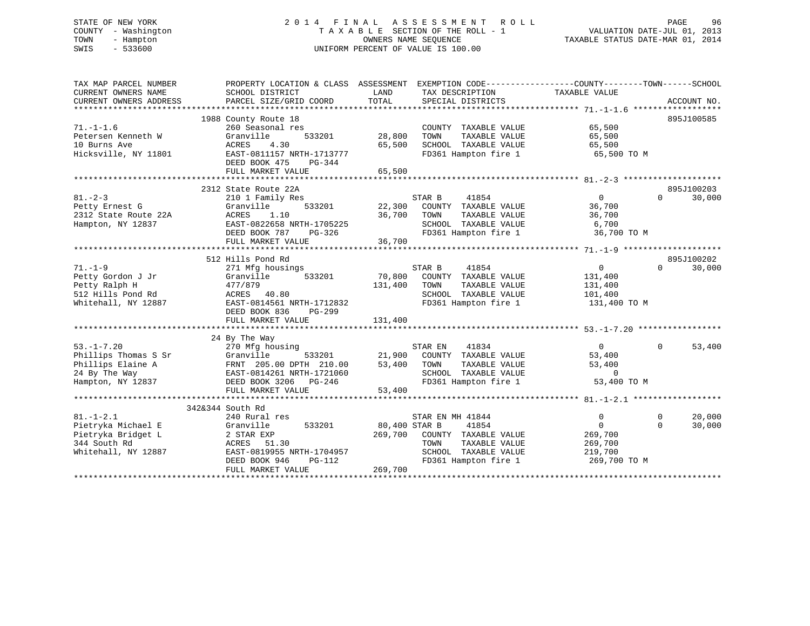# STATE OF NEW YORK 2 0 1 4 F I N A L A S S E S S M E N T R O L L PAGE 96 COUNTY - Washington T A X A B L E SECTION OF THE ROLL - 1 VALUATION DATE-JUL 01, 2013 TOWN - Hampton OWNERS NAME SEQUENCE TAXABLE STATUS DATE-MAR 01, 2014 SWIS - 533600 UNIFORM PERCENT OF VALUE IS 100.00

| TAX MAP PARCEL NUMBER<br>CURRENT OWNERS NAME                              | SCHOOL DISTRICT                                                              | PROPERTY LOCATION & CLASS ASSESSMENT EXEMPTION CODE---------------COUNTY-------TOWN-----SCHOOL<br>LAND<br>TAX DESCRIPTION | TAXABLE VALUE                        |
|---------------------------------------------------------------------------|------------------------------------------------------------------------------|---------------------------------------------------------------------------------------------------------------------------|--------------------------------------|
| CURRENT OWNERS ADDRESS                                                    | PARCEL SIZE/GRID COORD                                                       | TOTAL<br>SPECIAL DISTRICTS                                                                                                | ACCOUNT NO.                          |
|                                                                           | 1988 County Route 18                                                         |                                                                                                                           | 895J100585                           |
| $71. - 1 - 1.6$                                                           | 260 Seasonal res                                                             | COUNTY TAXABLE VALUE                                                                                                      | 65,500                               |
| Petersen Kenneth W                                                        | Granville<br>533201                                                          | TAXABLE VALUE<br>28,800<br>TOWN                                                                                           | 65,500                               |
| 10 Burns Ave                                                              | 4.30<br>ACRES                                                                | 65,500<br>SCHOOL TAXABLE VALUE                                                                                            | 65,500                               |
| Hicksville, NY 11801                                                      | EAST-0811157 NRTH-1713777                                                    | FD361 Hampton fire 1 65,500 TO M                                                                                          |                                      |
|                                                                           | DEED BOOK 475<br>PG-344                                                      |                                                                                                                           |                                      |
|                                                                           | FULL MARKET VALUE                                                            | 65,500                                                                                                                    |                                      |
|                                                                           |                                                                              |                                                                                                                           |                                      |
|                                                                           | 2312 State Route 22A                                                         |                                                                                                                           | 895J100203                           |
| $81 - 2 - 3$                                                              | 210 1 Family Res                                                             | STAR B<br>41854                                                                                                           | $\overline{0}$<br>$\Omega$<br>30,000 |
| Petty Ernest G<br>Petty Ernest G<br>2312 State Route 22A                  | 533201<br>Granville                                                          | 22,300 COUNTY TAXABLE VALUE                                                                                               | 36,700                               |
|                                                                           | ACRES<br>1.10                                                                | 36,700<br>TOWN<br>TAXABLE VALUE                                                                                           | 36,700                               |
| Hampton, NY 12837                                                         | EAST-0822658 NRTH-1705225                                                    | SCHOOL TAXABLE VALUE                                                                                                      | 6,700                                |
|                                                                           | DEED BOOK 787 PG-326                                                         | FD361 Hampton fire 1                                                                                                      | 36,700 TO M                          |
|                                                                           | FULL MARKET VALUE                                                            | 36,700                                                                                                                    |                                      |
|                                                                           |                                                                              |                                                                                                                           |                                      |
|                                                                           | 512 Hills Pond Rd                                                            |                                                                                                                           | 895J100202                           |
| $71. - 1 - 9$                                                             | 271 Mfg housings                                                             | STAR B<br>41854                                                                                                           | $\overline{0}$<br>$\Omega$<br>30,000 |
| Petty Gordon J Jr                                                         | Granville<br>533201                                                          | 70,800<br>COUNTY TAXABLE VALUE                                                                                            | 131,400                              |
| Petty Ralph H                                                             | 477/879                                                                      | TAXABLE VALUE<br>131,400<br>TOWN                                                                                          | 131,400                              |
| 512 Hills Pond Rd                                                         | ACRES 40.80                                                                  | SCHOOL TAXABLE VALUE                                                                                                      | 101,400                              |
| Whitehall, NY 12887                                                       | EAST-0814561 NRTH-1712832<br>DEED BOOK 836<br>PG-299                         | FD361 Hampton fire 1                                                                                                      | 131,400 TO M                         |
|                                                                           | FULL MARKET VALUE                                                            | 131,400                                                                                                                   |                                      |
|                                                                           |                                                                              |                                                                                                                           |                                      |
|                                                                           | 24 By The Way                                                                |                                                                                                                           |                                      |
| $53. -1 - 7.20$                                                           | 270 Mfg housing                                                              | 41834<br>STAR EN                                                                                                          | $\overline{0}$<br>$\Omega$<br>53,400 |
|                                                                           |                                                                              | 21,900 COUNTY TAXABLE VALUE                                                                                               | 53,400                               |
|                                                                           | 270 Mfg housing<br>Granville           533201<br>FRNT   205.00 DPTH   210.00 | 53,400 TOWN<br>TAXABLE VALUE                                                                                              | 53,400                               |
| --ro include S Sr<br>Phillips Elaine A<br>24 By The Way:<br>24 By The Way | EAST-0814261 NRTH-1721060                                                    | SCHOOL TAXABLE VALUE                                                                                                      | $\bigcirc$                           |
| Hampton, NY 12837                                                         | DEED BOOK 3206 PG-246                                                        | SCHOOL TAXABLE VALUE<br>FD361 Hampton fire 1                                                                              | 53,400 TO M                          |
|                                                                           | FULL MARKET VALUE                                                            | 53,400                                                                                                                    |                                      |
|                                                                           |                                                                              |                                                                                                                           |                                      |
|                                                                           | 342&344 South Rd                                                             |                                                                                                                           |                                      |
| $81. - 1 - 2.1$                                                           | 240 Rural res                                                                | STAR EN MH 41844                                                                                                          | 20,000<br>0<br>$\Omega$              |
| Pietryka Michael E                                                        | Granville<br>533201                                                          | 80,400 STAR B<br>41854                                                                                                    | $\mathbf{0}$<br>30,000<br>$\Omega$   |
| Pietryka Bridget L                                                        | 2 STAR EXP                                                                   | 269,700<br>COUNTY TAXABLE VALUE                                                                                           | 269,700                              |
| 344 South Rd                                                              | ACRES 51.30                                                                  | TOWN<br>TAXABLE VALUE                                                                                                     | 269,700                              |
| Whitehall, NY 12887                                                       | EAST-0819955 NRTH-1704957                                                    | SCHOOL TAXABLE VALUE                                                                                                      | 219,700                              |
|                                                                           | $PG-112$<br>DEED BOOK 946                                                    | FD361 Hampton fire 1                                                                                                      | 269,700 TO M                         |
|                                                                           | FULL MARKET VALUE                                                            | 269,700                                                                                                                   |                                      |
|                                                                           |                                                                              |                                                                                                                           |                                      |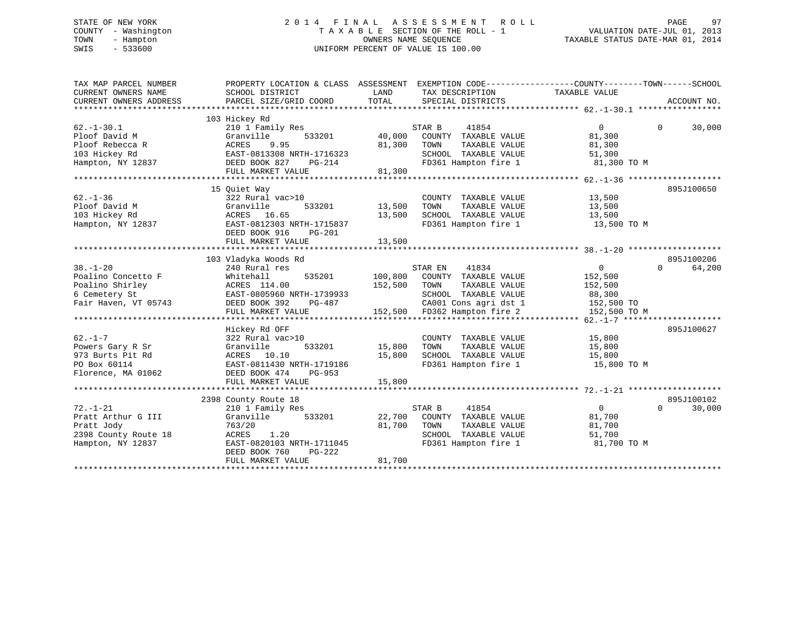# STATE OF NEW YORK 2 0 1 4 F I N A L A S S E S S M E N T R O L L PAGE 97 COUNTY - Washington T A X A B L E SECTION OF THE ROLL - 1 VALUATION DATE-JUL 01, 2013 TOWN - Hampton OWNERS NAME SEQUENCE TAXABLE STATUS DATE-MAR 01, 2014 SWIS - 533600 UNIFORM PERCENT OF VALUE IS 100.00

| TAX MAP PARCEL NUMBER<br>CURRENT OWNERS NAME<br>CURRENT OWNERS ADDRESS                           | PROPERTY LOCATION & CLASS ASSESSMENT<br>SCHOOL DISTRICT<br>PARCEL SIZE/GRID COORD                                                                                       | LAND<br>TOTAL              | EXEMPTION CODE----------------COUNTY-------TOWN------SCHOOL<br>TAX DESCRIPTION<br>SPECIAL DISTRICTS                                                | TAXABLE VALUE                                                                | ACCOUNT NO.                      |
|--------------------------------------------------------------------------------------------------|-------------------------------------------------------------------------------------------------------------------------------------------------------------------------|----------------------------|----------------------------------------------------------------------------------------------------------------------------------------------------|------------------------------------------------------------------------------|----------------------------------|
| $62. -1 - 30.1$<br>Ploof David M<br>Ploof Rebecca R<br>103 Hickey Rd<br>Hampton, NY 12837        | 103 Hickey Rd<br>210 1 Family Res<br>Granville<br>533201<br>ACRES<br>9.95<br>EAST-0813308 NRTH-1716323<br>DEED BOOK 827<br>PG-214<br>FULL MARKET VALUE                  | 40,000<br>81,300<br>81,300 | 41854<br>STAR B<br>COUNTY TAXABLE VALUE<br>TOWN<br>TAXABLE VALUE<br>SCHOOL TAXABLE VALUE<br>FD361 Hampton fire 1                                   | $\Omega$<br>81,300<br>81,300<br>51,300<br>81,300 TO M                        | $\Omega$<br>30,000               |
| $62. - 1 - 36$<br>Ploof David M<br>103 Hickey Rd<br>Hampton, NY 12837                            | 15 Ouiet Way<br>322 Rural vac>10<br>Granville<br>533201<br>ACRES 16.65<br>EAST-0812303 NRTH-1715837<br>DEED BOOK 916<br>$PG-201$<br>FULL MARKET VALUE                   | 13,500<br>13,500<br>13,500 | COUNTY TAXABLE VALUE<br>TOWN<br>TAXABLE VALUE<br>SCHOOL TAXABLE VALUE<br>FD361 Hampton fire 1                                                      | 13,500<br>13,500<br>13,500<br>13,500 TO M                                    | 895J100650                       |
| $38. - 1 - 20$<br>Poalino Concetto F<br>Poalino Shirley<br>6 Cemetery St<br>Fair Haven, VT 05743 | 103 Vladyka Woods Rd<br>240 Rural res<br>Whitehall<br>535201<br>ACRES 114.00<br>EAST-0805960 NRTH-1739933<br>DEED BOOK 392<br>PG-487<br>FULL MARKET VALUE               | 100,800<br>152,500         | STAR EN<br>41834<br>COUNTY TAXABLE VALUE<br>TOWN<br>TAXABLE VALUE<br>SCHOOL TAXABLE VALUE<br>CA001 Cons agri dst 1<br>152,500 FD362 Hampton fire 2 | $\overline{0}$<br>152,500<br>152,500<br>88,300<br>152,500 TO<br>152,500 TO M | 895J100206<br>$\Omega$<br>64,200 |
| $62. -1 - 7$<br>Powers Gary R Sr<br>973 Burts Pit Rd<br>PO Box 60114<br>Florence, MA 01062       | Hickey Rd OFF<br>322 Rural vac>10<br>Granville<br>533201<br>ACRES 10.10<br>EAST-0811430 NRTH-1719186<br>DEED BOOK 474<br>PG-953<br>FULL MARKET VALUE                    | 15,800<br>15,800<br>15,800 | COUNTY TAXABLE VALUE<br>TOWN<br>TAXABLE VALUE<br>SCHOOL TAXABLE VALUE<br>FD361 Hampton fire 1                                                      | 15,800<br>15,800<br>15,800<br>15,800 TO M                                    | 895J100627                       |
| $72. - 1 - 21$<br>Pratt Arthur G III<br>Pratt Jody<br>2398 County Route 18<br>Hampton, NY 12837  | 2398 County Route 18<br>210 1 Family Res<br>Granville<br>533201<br>763/20<br>ACRES<br>1.20<br>EAST-0820103 NRTH-1711045<br>DEED BOOK 760<br>PG-222<br>FULL MARKET VALUE | 22,700<br>81,700<br>81,700 | 41854<br>STAR B<br>COUNTY TAXABLE VALUE<br>TOWN<br>TAXABLE VALUE<br>SCHOOL TAXABLE VALUE<br>FD361 Hampton fire 1                                   | $\overline{0}$<br>81,700<br>81,700<br>51,700<br>81,700 TO M                  | 895J100102<br>$\Omega$<br>30,000 |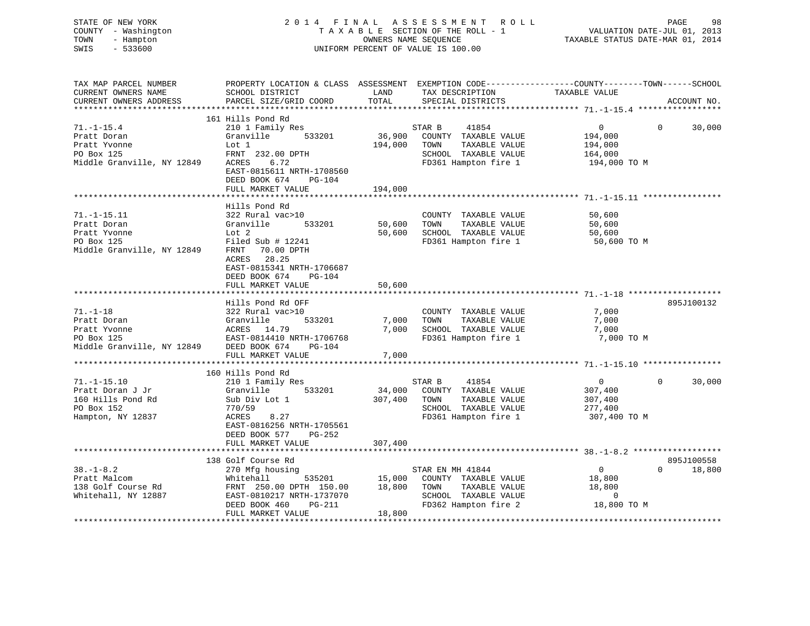| STATE OF NEW YORK<br>COUNTY - Washington<br>TOWN<br>- Hampton<br>$-533600$<br>SWIS |                                                                                                                    |               | 2014 FINAL ASSESSMENT ROLL<br>TAXABLE SECTION OF THE ROLL - 1<br>OWNERS NAME SEQUENCE<br>UNIFORM PERCENT OF VALUE IS 100.00 | VALUATION DATE-JUL 01, 2013<br>TAXABLE STATUS DATE-MAR 01, 2014 | PAGE<br>98             |
|------------------------------------------------------------------------------------|--------------------------------------------------------------------------------------------------------------------|---------------|-----------------------------------------------------------------------------------------------------------------------------|-----------------------------------------------------------------|------------------------|
| TAX MAP PARCEL NUMBER<br>CURRENT OWNERS NAME                                       | PROPERTY LOCATION & CLASS ASSESSMENT EXEMPTION CODE----------------COUNTY-------TOWN-----SCHOOL<br>SCHOOL DISTRICT | LAND          | TAX DESCRIPTION TAXABLE VALUE                                                                                               |                                                                 |                        |
| CURRENT OWNERS ADDRESS                                                             | PARCEL SIZE/GRID COORD                                                                                             | TOTAL         | SPECIAL DISTRICTS                                                                                                           |                                                                 | ACCOUNT NO.            |
|                                                                                    | 161 Hills Pond Rd                                                                                                  |               |                                                                                                                             |                                                                 |                        |
| $71. - 1 - 15.4$                                                                   | 210 1 Family Res                                                                                                   |               | 41854<br>STAR B                                                                                                             | $\overline{0}$                                                  | $\Omega$<br>30,000     |
| Pratt Doran                                                                        | Granville<br>533201                                                                                                | 36,900        | COUNTY TAXABLE VALUE                                                                                                        | 194,000                                                         |                        |
| Pratt Yvonne                                                                       | Lot 1                                                                                                              | 194,000       | TAXABLE VALUE<br>TOWN                                                                                                       | 194,000                                                         |                        |
| PO Box 125                                                                         | FRNT 232.00 DPTH                                                                                                   |               | SCHOOL TAXABLE VALUE                                                                                                        | 164,000                                                         |                        |
| Middle Granville, NY 12849                                                         | ACRES 6.72                                                                                                         |               | FD361 Hampton fire 1                                                                                                        | 194,000 TO M                                                    |                        |
|                                                                                    | EAST-0815611 NRTH-1708560                                                                                          |               |                                                                                                                             |                                                                 |                        |
|                                                                                    | DEED BOOK 674<br>PG-104                                                                                            |               |                                                                                                                             |                                                                 |                        |
|                                                                                    | FULL MARKET VALUE                                                                                                  | 194,000       |                                                                                                                             |                                                                 |                        |
|                                                                                    |                                                                                                                    |               |                                                                                                                             |                                                                 |                        |
|                                                                                    | Hills Pond Rd                                                                                                      |               |                                                                                                                             |                                                                 |                        |
| $71. - 1 - 15.11$                                                                  | 322 Rural vac>10                                                                                                   |               | COUNTY TAXABLE VALUE                                                                                                        | 50,600                                                          |                        |
| Pratt Doran                                                                        | Granville 533201                                                                                                   | 50,600        | TOWN<br>TAXABLE VALUE                                                                                                       | 50,600                                                          |                        |
| Pratt Yvonne                                                                       | Lot 2                                                                                                              | 50,600        | SCHOOL TAXABLE VALUE                                                                                                        | 50,600                                                          |                        |
| PO Box 125                                                                         | Filed Sub # 12241                                                                                                  |               | FD361 Hampton fire 1                                                                                                        | 50,600 TO M                                                     |                        |
| Middle Granville, NY 12849                                                         | FRNT 70.00 DPTH                                                                                                    |               |                                                                                                                             |                                                                 |                        |
|                                                                                    | ACRES 28.25                                                                                                        |               |                                                                                                                             |                                                                 |                        |
|                                                                                    | EAST-0815341 NRTH-1706687                                                                                          |               |                                                                                                                             |                                                                 |                        |
|                                                                                    | PG-104<br>DEED BOOK 674                                                                                            |               |                                                                                                                             |                                                                 |                        |
|                                                                                    | FULL MARKET VALUE                                                                                                  | 50,600        |                                                                                                                             |                                                                 |                        |
|                                                                                    |                                                                                                                    |               |                                                                                                                             |                                                                 |                        |
|                                                                                    | Hills Pond Rd OFF                                                                                                  |               |                                                                                                                             |                                                                 | 895J100132             |
| $71. - 1 - 18$                                                                     | 322 Rural vac>10                                                                                                   |               | COUNTY TAXABLE VALUE                                                                                                        | 7,000                                                           |                        |
| Pratt Doran                                                                        | 533201<br>Granville                                                                                                | 7,000         | TAXABLE VALUE<br>TOWN                                                                                                       | 7,000                                                           |                        |
| Pratt Yvonne                                                                       | ACRES 14.79                                                                                                        | 7,000         | SCHOOL TAXABLE VALUE                                                                                                        | 7,000                                                           |                        |
| PO Box 125                                                                         | EAST-0814410 NRTH-1706768                                                                                          |               | FD361 Hampton fire 1                                                                                                        | 7,000 TO M                                                      |                        |
| Middle Granville, NY 12849 DEED BOOK 674                                           | PG-104                                                                                                             |               |                                                                                                                             |                                                                 |                        |
|                                                                                    | FULL MARKET VALUE                                                                                                  | 7,000         |                                                                                                                             |                                                                 |                        |
|                                                                                    |                                                                                                                    |               |                                                                                                                             |                                                                 |                        |
|                                                                                    | 160 Hills Pond Rd                                                                                                  |               |                                                                                                                             |                                                                 |                        |
| $71. - 1 - 15.10$                                                                  | 210 1 Family Res                                                                                                   |               | 41854<br>STAR B                                                                                                             | $\overline{0}$                                                  | $\mathbf{0}$<br>30,000 |
| Pratt Doran J Jr                                                                   | Granville 533201                                                                                                   | 34,000        | COUNTY TAXABLE VALUE                                                                                                        | 307,400                                                         |                        |
| 160 Hills Pond Rd                                                                  | Sub Div Lot 1                                                                                                      | 307,400       | TOWN<br>TAXABLE VALUE                                                                                                       | 307,400                                                         |                        |
| PO Box 152                                                                         | 770/59                                                                                                             |               | SCHOOL TAXABLE VALUE                                                                                                        | 277,400                                                         |                        |
| Hampton, NY 12837                                                                  | ACRES<br>8.27                                                                                                      |               | FD361 Hampton fire 1                                                                                                        | 307,400 TO M                                                    |                        |
|                                                                                    | EAST-0816256 NRTH-1705561                                                                                          |               |                                                                                                                             |                                                                 |                        |
|                                                                                    | DEED BOOK 577 PG-252                                                                                               |               |                                                                                                                             |                                                                 |                        |
|                                                                                    | FULL MARKET VALUE                                                                                                  | 307,400       |                                                                                                                             |                                                                 |                        |
|                                                                                    | *************************                                                                                          |               |                                                                                                                             |                                                                 |                        |
|                                                                                    | 138 Golf Course Rd                                                                                                 |               |                                                                                                                             |                                                                 | 895J100558             |
| $38. - 1 - 8.2$                                                                    | 270 Mfg housing                                                                                                    |               | STAR EN MH 41844                                                                                                            | $\overline{0}$                                                  | $\Omega$<br>18,800     |
| Pratt Malcom                                                                       | Whitehall                                                                                                          | 535201 15,000 | COUNTY TAXABLE VALUE                                                                                                        | 18,800                                                          |                        |
| 138 Golf Course Rd                                                                 | FRNT 250.00 DPTH 150.00                                                                                            | 18,800        | TOWN<br>TAXABLE VALUE                                                                                                       | 18,800                                                          |                        |
| Whitehall, NY 12887                                                                | EAST-0810217 NRTH-1737070                                                                                          |               | SCHOOL TAXABLE VALUE                                                                                                        | $\overline{0}$                                                  |                        |
|                                                                                    | DEED BOOK 460 PG-211                                                                                               |               | FD362 Hampton fire 2                                                                                                        | 18,800 TO M                                                     |                        |

DEED BOOK 460 PG-211 FD362 Hampton fire 2<br>FULL MARKET VALUE 18,800

\*\*\*\*\*\*\*\*\*\*\*\*\*\*\*\*\*\*\*\*\*\*\*\*\*\*\*\*\*\*\*\*\*\*\*\*\*\*\*\*\*\*\*\*\*\*\*\*\*\*\*\*\*\*\*\*\*\*\*\*\*\*\*\*\*\*\*\*\*\*\*\*\*\*\*\*\*\*\*\*\*\*\*\*\*\*\*\*\*\*\*\*\*\*\*\*\*\*\*\*\*\*\*\*\*\*\*\*\*\*\*\*\*\*\*\*\*\*\*\*\*\*\*\*\*\*\*\*\*\*\*\*

FULL MARKET VALUE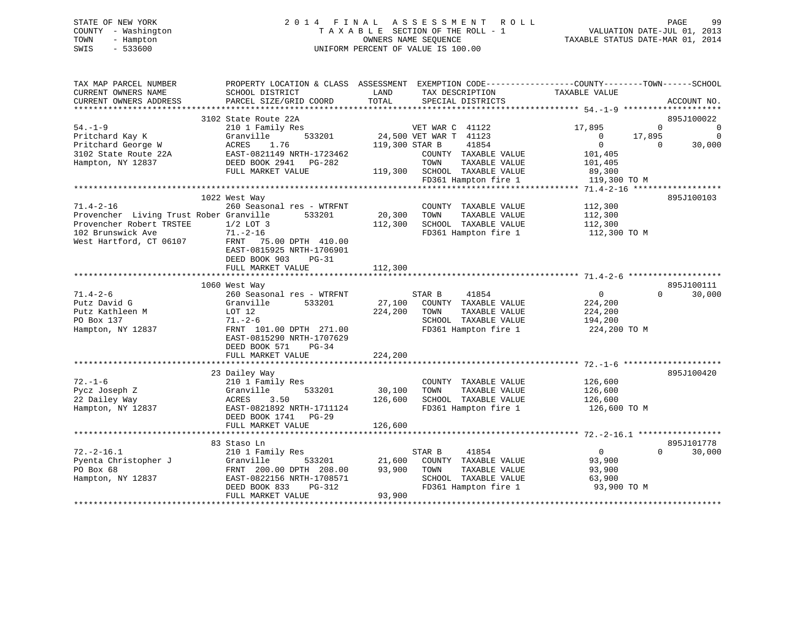# STATE OF NEW YORK 2 0 1 4 F I N A L A S S E S S M E N T R O L L PAGE 99 COUNTY - Washington T A X A B L E SECTION OF THE ROLL - 1 VALUATION DATE-JUL 01, 2013 TOWN - Hampton OWNERS NAME SEQUENCE TAXABLE STATUS DATE-MAR 01, 2014 SWIS - 533600 UNIFORM PERCENT OF VALUE IS 100.00

| TAX MAP PARCEL NUMBER<br>CURRENT OWNERS NAME<br>CURRENT OWNERS ADDRESS                 | SCHOOL DISTRICT<br>PARCEL SIZE/GRID COORD                                                       | LAND<br>TAX DESCRIPTION<br>TOTAL<br>SPECIAL DISTRICTS                                      | PROPERTY LOCATION & CLASS ASSESSMENT EXEMPTION CODE-----------------COUNTY-------TOWN------SCHOOL<br>TAXABLE VALUE<br>ACCOUNT NO. |
|----------------------------------------------------------------------------------------|-------------------------------------------------------------------------------------------------|--------------------------------------------------------------------------------------------|-----------------------------------------------------------------------------------------------------------------------------------|
|                                                                                        | 3102 State Route 22A                                                                            |                                                                                            | 895J100022                                                                                                                        |
| $54. - 1 - 9$<br>Pritchard Kay K<br>Pritchard George W                                 | 210 1 Family Res<br>Granville<br>533201<br>1.76<br>ACRES                                        | VET WAR C 41122<br>24,500 VET WAR T 41123<br>119,300 STAR B<br>41854                       | 17,895<br>$\overline{0}$<br>0<br>17,895<br>$\overline{0}$<br>$\Omega$<br>$\overline{0}$<br>$\Omega$<br>30,000                     |
| 3102 State Route 22A<br>Hampton, NY 12837                                              | EAST-0821149 NRTH-1723462<br>DEED BOOK 2941<br>PG-282<br>FULL MARKET VALUE                      | COUNTY TAXABLE VALUE<br>TOWN<br>TAXABLE VALUE<br>SCHOOL TAXABLE VALUE<br>119,300           | 101,405<br>101,405<br>89,300                                                                                                      |
|                                                                                        |                                                                                                 | FD361 Hampton fire 1                                                                       | 119,300 TO M                                                                                                                      |
|                                                                                        |                                                                                                 |                                                                                            |                                                                                                                                   |
| $71.4 - 2 - 16$<br>Provencher Living Trust Rober Granville<br>Provencher Robert TRSTEE | 1022 West Way<br>260 Seasonal res - WTRFNT<br>533201<br>$1/2$ LOT 3                             | COUNTY TAXABLE VALUE<br>20,300<br>TOWN<br>TAXABLE VALUE<br>112,300<br>SCHOOL TAXABLE VALUE | 895J100103<br>112,300<br>112,300<br>112,300                                                                                       |
| 102 Brunswick Ave<br>West Hartford, CT 06107                                           | $71. - 2 - 16$<br>FRNT 75.00 DPTH 410.00<br>EAST-0815925 NRTH-1706901<br>DEED BOOK 903<br>PG-31 | FD361 Hampton fire 1                                                                       | 112,300 TO M                                                                                                                      |
|                                                                                        | FULL MARKET VALUE                                                                               | 112,300                                                                                    |                                                                                                                                   |
|                                                                                        |                                                                                                 |                                                                                            |                                                                                                                                   |
|                                                                                        | 1060 West Way                                                                                   |                                                                                            | 895J100111                                                                                                                        |
| $71.4 - 2 - 6$                                                                         | 260 Seasonal res - WTRFNT                                                                       | STAR B<br>41854                                                                            | $\overline{0}$<br>$\Omega$<br>30,000                                                                                              |
| Putz David G                                                                           | Granville<br>533201                                                                             | 27,100<br>COUNTY TAXABLE VALUE                                                             | 224,200                                                                                                                           |
| Putz Kathleen M                                                                        | LOT 12                                                                                          | 224,200<br>TAXABLE VALUE<br>TOWN                                                           | 224,200                                                                                                                           |
| PO Box 137                                                                             | $71. - 2 - 6$                                                                                   | SCHOOL TAXABLE VALUE                                                                       | 194,200                                                                                                                           |
| Hampton, NY 12837                                                                      | FRNT 101.00 DPTH 271.00<br>EAST-0815290 NRTH-1707629<br>DEED BOOK 571<br>$PG-34$                | FD361 Hampton fire 1                                                                       | 224,200 TO M                                                                                                                      |
|                                                                                        | FULL MARKET VALUE                                                                               | 224,200                                                                                    |                                                                                                                                   |
|                                                                                        |                                                                                                 |                                                                                            |                                                                                                                                   |
| $72. - 1 - 6$                                                                          | 23 Dailey Way<br>210 1 Family Res                                                               | COUNTY TAXABLE VALUE                                                                       | 895J100420<br>126,600                                                                                                             |
| Pycz Joseph Z                                                                          | Granville<br>533201                                                                             | 30,100<br>TAXABLE VALUE<br>TOWN                                                            | 126,600                                                                                                                           |
| 22 Dailey Way                                                                          | ACRES<br>3.50                                                                                   | 126,600<br>SCHOOL TAXABLE VALUE                                                            | 126,600                                                                                                                           |
| Hampton, NY 12837                                                                      | EAST-0821892 NRTH-1711124<br>DEED BOOK 1741 PG-29<br>FULL MARKET VALUE                          | FD361 Hampton fire 1                                                                       | 126,600 TO M                                                                                                                      |
|                                                                                        |                                                                                                 | 126,600                                                                                    |                                                                                                                                   |
|                                                                                        | 83 Staso Ln                                                                                     |                                                                                            | 895J101778                                                                                                                        |
| $72. - 2 - 16.1$                                                                       | 210 1 Family Res                                                                                | STAR B<br>41854                                                                            | $\overline{0}$<br>$\Omega$<br>30,000                                                                                              |
| Pyenta Christopher J                                                                   | Granville<br>533201                                                                             | 21,600<br>COUNTY TAXABLE VALUE                                                             | 93,900                                                                                                                            |
| PO Box 68                                                                              | FRNT 200.00 DPTH 208.00                                                                         | 93,900<br>TAXABLE VALUE<br>TOWN                                                            | 93,900                                                                                                                            |
| Hampton, NY 12837                                                                      | EAST-0822156 NRTH-1708571<br>DEED BOOK 833<br>PG-312                                            | SCHOOL TAXABLE VALUE<br>FD361 Hampton fire 1<br>93,900                                     | 63,900<br>93,900 TO M                                                                                                             |
|                                                                                        | FULL MARKET VALUE                                                                               |                                                                                            |                                                                                                                                   |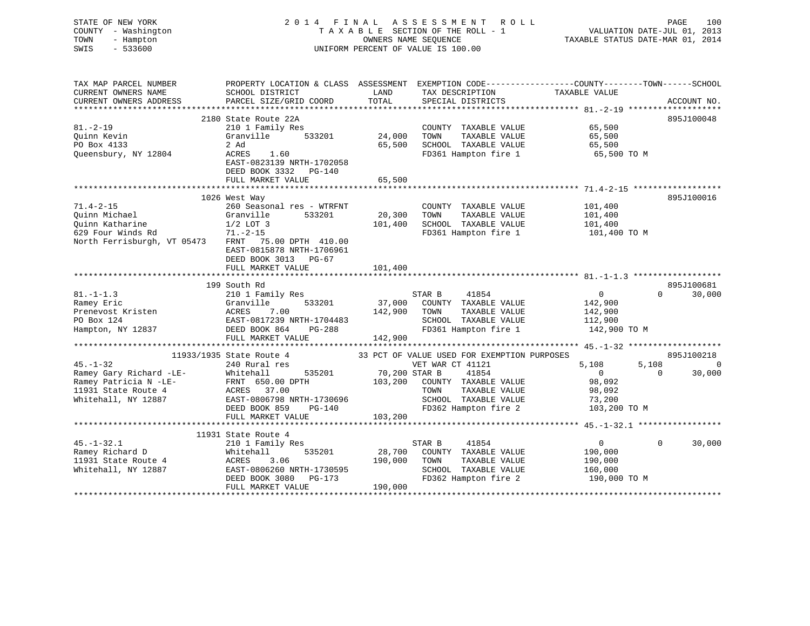| STATE OF NEW YORK<br>COUNTY - Washington         |                                                                                                  |              | 2014 FINAL ASSESSMENT ROLL<br>TAXABLE SECTION OF THE ROLL - 1 | VALUATION DATE-JUL 01, 2013      | 100<br>PAGE        |
|--------------------------------------------------|--------------------------------------------------------------------------------------------------|--------------|---------------------------------------------------------------|----------------------------------|--------------------|
| TOWN<br>- Hampton<br>SWIS<br>$-533600$           |                                                                                                  |              | OWNERS NAME SEOUENCE<br>UNIFORM PERCENT OF VALUE IS 100.00    | TAXABLE STATUS DATE-MAR 01, 2014 |                    |
|                                                  |                                                                                                  |              |                                                               |                                  |                    |
| TAX MAP PARCEL NUMBER<br>CURRENT OWNERS NAME     | PROPERTY LOCATION & CLASS ASSESSMENT EXEMPTION CODE----------------COUNTY-------TOWN------SCHOOL |              |                                                               |                                  |                    |
|                                                  | SCHOOL DISTRICT                                                                                  | LAND         | TAX DESCRIPTION                                               | TAXABLE VALUE                    |                    |
|                                                  |                                                                                                  |              |                                                               |                                  |                    |
|                                                  | 2180 State Route 22A                                                                             |              |                                                               |                                  | 895J100048         |
| $81. - 2 - 19$                                   | 210 1 Family Res                                                                                 |              | COUNTY TAXABLE VALUE                                          | 65,500                           |                    |
| Ouinn Kevin                                      | 533201<br>Granville                                                                              | 24,000       | TAXABLE VALUE<br>TOWN                                         | 65,500                           |                    |
| PO Box 4133                                      | 2 Ad                                                                                             |              | 65,500 SCHOOL TAXABLE VALUE                                   | 65,500                           |                    |
| Queensbury, NY 12804                             | ACRES 1.60                                                                                       |              | FD361 Hampton fire 1                                          | 65,500 TO M                      |                    |
|                                                  | EAST-0823139 NRTH-1702058                                                                        |              |                                                               |                                  |                    |
|                                                  | DEED BOOK 3332 PG-140                                                                            |              |                                                               |                                  |                    |
|                                                  | FULL MARKET VALUE                                                                                | 65,500       |                                                               |                                  |                    |
|                                                  |                                                                                                  |              |                                                               |                                  |                    |
|                                                  | 1026 West Way                                                                                    |              |                                                               |                                  | 895J100016         |
| $71.4 - 2 - 15$                                  | 260 Seasonal res - WTRFNT                                                                        |              | COUNTY TAXABLE VALUE                                          | 101,400                          |                    |
| Ouinn Michael and Source of the Muslim State     | Granville<br>533201                                                                              | 20,300       | TOWN<br>TAXABLE VALUE                                         | 101,400                          |                    |
| Quinn Katharine                                  | $1/2$ LOT 3                                                                                      | 101,400      | SCHOOL TAXABLE VALUE                                          | 101,400                          |                    |
| 629 Four Winds Rd<br>North Ferrisburgh, VT 05473 | $71. - 2 - 15$<br>FRNT 75.00 DPTH 410.00                                                         |              | FD361 Hampton fire 1 101,400 TO M                             |                                  |                    |
|                                                  | EAST-0815878 NRTH-1706961                                                                        |              |                                                               |                                  |                    |
|                                                  | DEED BOOK 3013 PG-67                                                                             |              |                                                               |                                  |                    |
|                                                  | FULL MARKET VALUE                                                                                | 101,400      |                                                               |                                  |                    |
|                                                  |                                                                                                  |              |                                                               |                                  |                    |
|                                                  | 199 South Rd                                                                                     |              |                                                               |                                  | 895J100681         |
| $81. - 1 - 1.3$                                  | 210 1 Family Res                                                                                 |              | 41854<br>STAR B                                               | $0 \qquad \qquad$                | $\Omega$<br>30,000 |
| Ramey Eric                                       | Granville                                                                                        |              | 533201 37,000 COUNTY TAXABLE VALUE                            | 142,900                          |                    |
| Prenevost Kristen                                | 7.00<br>ACRES                                                                                    | 142,900 TOWN | TAXABLE VALUE                                                 | 142,900                          |                    |
| PO Box 124                                       | EAST-0817239 NRTH-1704483                                                                        |              | SCHOOL TAXABLE VALUE                                          | 112,900                          |                    |
| Hampton, NY 12837                                | DEED BOOK 864<br>PG-288                                                                          |              | FD361 Hampton fire 1 142,900 TO M                             |                                  |                    |
|                                                  | FULL MARKET VALUE                                                                                | 142,900      |                                                               |                                  |                    |
|                                                  |                                                                                                  |              |                                                               |                                  |                    |
|                                                  | 11933/1935 State Route 4 33 PCT OF VALUE USED FOR EXEMPTION PURPOSES                             |              |                                                               |                                  | 895J100218         |

45.-1-32 240 Rural res VET WAR CT 41121 5,108 5,108 0 Ramey Gary Richard -LE- Whitehall 535201 70,200 STAR B 41854 0 0 30,000 Ramey Patricia N -LE- FRNT 650.00 DPTH 103,200 COUNTY TAXABLE VALUE 98,092 11931 State Route 4 ACRES 37.00 TOWN TAXABLE VALUE 98,092 Whitehall, NY 12887 EAST-0806798 NRTH-1730696 SCHOOL TAXABLE VALUE 73,200 DEED BOOK 859 PG-140 FD362 Hampton fire 2 103,200 TO M EAST-0806798 NRIH-175005.<br>DEED BOOK 859 PG-140 103,200 \*\*\*\*\*\*\*\*\*\*\*\*\*\*\*\*\*\*\*\*\*\*\*\*\*\*\*\*\*\*\*\*\*\*\*\*\*\*\*\*\*\*\*\*\*\*\*\*\*\*\*\*\*\*\*\*\*\*\*\*\*\*\*\*\*\*\*\*\*\*\*\*\*\*\*\*\*\*\*\*\*\*\*\*\*\*\*\*\*\*\*\*\*\*\*\*\*\*\*\*\*\*\* 45.-1-32.1 \*\*\*\*\*\*\*\*\*\*\*\*\*\*\*\*\* 11931 State Route 4 45.-1-32.1 210 1 Family Res STAR B 41854 0 0 30,000 Ramey Richard D Whitehall 535201 28,700 COUNTY TAXABLE VALUE 190,000 11931 State Route 4 ACRES 3.06 190,000 TOWN TAXABLE VALUE 190,000 Whitehall, NY 12887 EAST-0806260 NRTH-1730595 SCHOOL TAXABLE VALUE 160,000 DEED BOOK 3080 PG-173 FD362 Hampton fire 2 190,000 TO M FULL MARKET VALUE 190,000

\*\*\*\*\*\*\*\*\*\*\*\*\*\*\*\*\*\*\*\*\*\*\*\*\*\*\*\*\*\*\*\*\*\*\*\*\*\*\*\*\*\*\*\*\*\*\*\*\*\*\*\*\*\*\*\*\*\*\*\*\*\*\*\*\*\*\*\*\*\*\*\*\*\*\*\*\*\*\*\*\*\*\*\*\*\*\*\*\*\*\*\*\*\*\*\*\*\*\*\*\*\*\*\*\*\*\*\*\*\*\*\*\*\*\*\*\*\*\*\*\*\*\*\*\*\*\*\*\*\*\*\*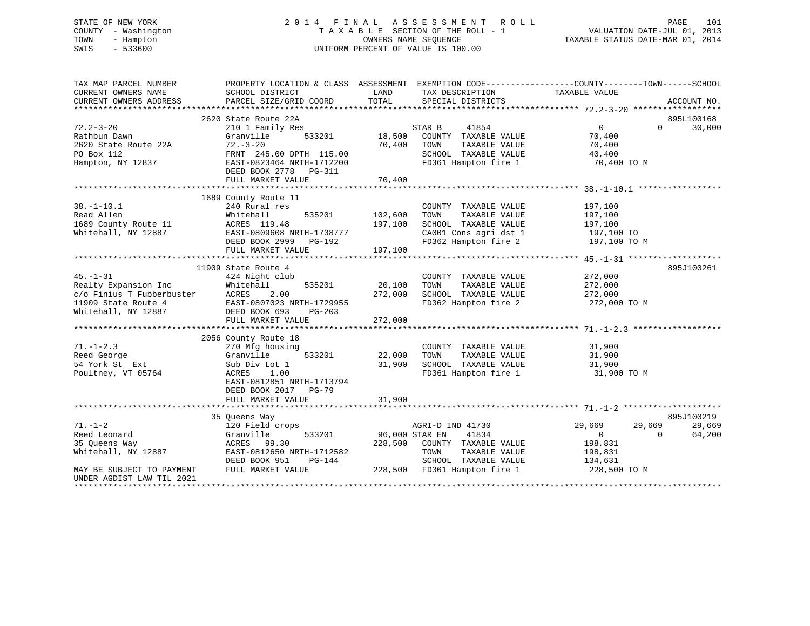# STATE OF NEW YORK 2 0 1 4 F I N A L A S S E S S M E N T R O L L PAGE 101 COUNTY - Washington T A X A B L E SECTION OF THE ROLL - 1 VALUATION DATE-JUL 01, 2013 TOWN - Hampton OWNERS NAME SEQUENCE TAXABLE STATUS DATE-MAR 01, 2014 SWIS - 533600 UNIFORM PERCENT OF VALUE IS 100.00

| TAX MAP PARCEL NUMBER                            | PROPERTY LOCATION & CLASS ASSESSMENT EXEMPTION CODE---------------COUNTY-------TOWN------SCHOOL |                |                                      |                  |                    |
|--------------------------------------------------|-------------------------------------------------------------------------------------------------|----------------|--------------------------------------|------------------|--------------------|
| CURRENT OWNERS NAME                              | SCHOOL DISTRICT                                                                                 | LAND<br>TOTAL  | TAX DESCRIPTION<br>SPECIAL DISTRICTS | TAXABLE VALUE    |                    |
| CURRENT OWNERS ADDRESS                           | PARCEL SIZE/GRID COORD                                                                          |                |                                      |                  | ACCOUNT NO.        |
|                                                  | 2620 State Route 22A                                                                            |                |                                      |                  | 895L100168         |
| $72.2 - 3 - 20$                                  | 210 1 Family Res                                                                                |                | 41854<br>STAR B                      | $\overline{0}$   | 30,000<br>$\Omega$ |
| Rathbun Dawn                                     | Granville<br>533201                                                                             | 18,500         | COUNTY TAXABLE VALUE                 | 70,400           |                    |
| 2620 State Route 22A                             | $72. - 3 - 20$                                                                                  | 70,400         | TOWN<br>TAXABLE VALUE                | 70,400           |                    |
| PO Box 112                                       | FRNT 245.00 DPTH 115.00                                                                         |                | SCHOOL TAXABLE VALUE                 | 40,400           |                    |
| Hampton, NY 12837                                | EAST-0823464 NRTH-1712200                                                                       |                | FD361 Hampton fire 1                 | 70,400 TO M      |                    |
|                                                  |                                                                                                 |                |                                      |                  |                    |
|                                                  | DEED BOOK 2778 PG-311                                                                           | 70,400         |                                      |                  |                    |
|                                                  | FULL MARKET VALUE                                                                               |                |                                      |                  |                    |
|                                                  | 1689 County Route 11                                                                            |                |                                      |                  |                    |
|                                                  |                                                                                                 |                |                                      |                  |                    |
| $38. - 1 - 10.1$                                 | 240 Rural res                                                                                   |                | COUNTY TAXABLE VALUE                 | 197,100          |                    |
| Read Allen                                       | Whitehall                                                                                       | 535201 102,600 | TAXABLE VALUE<br>TOWN                | 197,100          |                    |
| 1689 County Route 11                             | ACRES 119.48                                                                                    | 197,100        | SCHOOL TAXABLE VALUE                 | 197,100          |                    |
| Whitehall, NY 12887                              | EAST-0809608 NRTH-1738777                                                                       |                | CA001 Cons agri dst 1                | 197,100 TO       |                    |
|                                                  | DEED BOOK 2999 PG-192                                                                           |                | FD362 Hampton fire 2                 | 197,100 TO M     |                    |
|                                                  | FULL MARKET VALUE                                                                               | 197,100        |                                      |                  |                    |
|                                                  |                                                                                                 |                |                                      |                  |                    |
|                                                  | 11909 State Route 4                                                                             |                |                                      |                  | 895J100261         |
| $45. - 1 - 31$                                   | 424 Night club                                                                                  |                | COUNTY TAXABLE VALUE                 | 272,000          |                    |
| Realty Expansion Inc                             | Whitehall<br>535201                                                                             | 20,100         | TOWN<br>TAXABLE VALUE                | 272,000          |                    |
| c/o Finius T Fubberbuster<br>11909 State Route 4 | 2.00<br>ACRES                                                                                   | 272,000        | SCHOOL TAXABLE VALUE 272,000         |                  |                    |
| 11909 State Route 4                              | EAST-0807023 NRTH-1729955                                                                       |                | FD362 Hampton fire 2                 | 272,000 TO M     |                    |
| Whitehall, NY 12887                              | DEED BOOK 693<br>PG-203                                                                         |                |                                      |                  |                    |
|                                                  | FULL MARKET VALUE                                                                               | 272,000        |                                      |                  |                    |
|                                                  |                                                                                                 |                |                                      |                  |                    |
|                                                  | 2056 County Route 18                                                                            |                |                                      |                  |                    |
| $71. - 1 - 2.3$                                  | 270 Mfg housing                                                                                 |                | COUNTY TAXABLE VALUE                 | 31,900           |                    |
| Reed George                                      | 533201<br>Granville                                                                             | 22,000         | TOWN<br>TAXABLE VALUE                | 31,900           |                    |
| 54 York St Ext                                   | Sub Div Lot 1                                                                                   | 31,900         | SCHOOL TAXABLE VALUE                 | 31,900           |                    |
| Poultney, VT 05764                               | ACRES<br>1.00                                                                                   |                | FD361 Hampton fire 1                 | 31,900 TO M      |                    |
|                                                  | EAST-0812851 NRTH-1713794                                                                       |                |                                      |                  |                    |
|                                                  | DEED BOOK 2017 PG-79                                                                            |                |                                      |                  |                    |
|                                                  | FULL MARKET VALUE                                                                               | 31,900         |                                      |                  |                    |
|                                                  |                                                                                                 |                |                                      |                  |                    |
|                                                  | 35 Queens Way                                                                                   |                |                                      |                  | 895J100219         |
| $71. - 1 - 2$                                    | 120 Field crops                                                                                 |                | AGRI-D IND 41730                     | 29,669<br>29,669 | 29,669             |
| Reed Leonard                                     | Granville<br>533201                                                                             | 96,000 STAR EN | 41834                                | $\overline{0}$   | 64,200<br>$\Omega$ |
| 35 Oueens Way                                    | ACRES 99.30                                                                                     | 228,500        | COUNTY TAXABLE VALUE                 | 198,831          |                    |
| Whitehall, NY 12887                              | EAST-0812650 NRTH-1712582                                                                       |                | TOWN<br>TAXABLE VALUE                | 198,831          |                    |
|                                                  | DEED BOOK 951<br>PG-144                                                                         |                | SCHOOL TAXABLE VALUE                 | 134,631          |                    |
| MAY BE SUBJECT TO PAYMENT                        | FULL MARKET VALUE                                                                               |                | 228,500 FD361 Hampton fire 1         | 228,500 TO M     |                    |
| UNDER AGDIST LAW TIL 2021                        |                                                                                                 |                |                                      |                  |                    |
| *********************                            |                                                                                                 |                |                                      |                  |                    |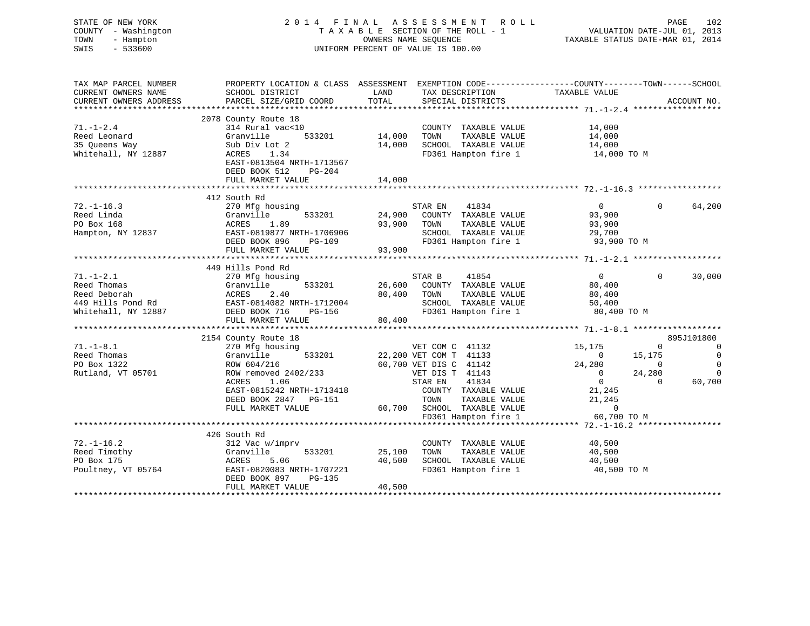| STATE OF NEW YORK<br>COUNTY - Washington<br>TOWN<br>- Hampton<br>SWIS<br>$-533600$ |                                                                                                                     |             | 2014 FINAL ASSESSMENT ROLL<br>T A X A B L E SECTION OF THE ROLL - 1<br>OWNERS NAME SEOUENCE<br>UNIFORM PERCENT OF VALUE IS 100.00 |                                            | PAGE<br>102<br>VALUATION DATE-JUL 01, 2013<br>TAXABLE STATUS DATE-MAR 01, 2014 |
|------------------------------------------------------------------------------------|---------------------------------------------------------------------------------------------------------------------|-------------|-----------------------------------------------------------------------------------------------------------------------------------|--------------------------------------------|--------------------------------------------------------------------------------|
| TAX MAP PARCEL NUMBER<br>CURRENT OWNERS NAME                                       | PROPERTY LOCATION & CLASS ASSESSMENT EXEMPTION CODE----------------COUNTY-------TOWN------SCHOOL<br>SCHOOL DISTRICT | LAND        | TAX DESCRIPTION TAXABLE VALUE                                                                                                     |                                            |                                                                                |
| CURRENT OWNERS ADDRESS                                                             | PARCEL SIZE/GRID COORD                                                                                              | TOTAL       | SPECIAL DISTRICTS                                                                                                                 |                                            | ACCOUNT NO.                                                                    |
| ***********************                                                            |                                                                                                                     |             |                                                                                                                                   |                                            |                                                                                |
|                                                                                    | 2078 County Route 18                                                                                                |             |                                                                                                                                   |                                            |                                                                                |
| $71. - 1 - 2.4$                                                                    | 314 Rural vac<10                                                                                                    |             | COUNTY TAXABLE VALUE                                                                                                              | 14,000                                     |                                                                                |
| Reed Leonard                                                                       | 533201<br>Granville                                                                                                 | 14,000      | TOWN<br>TAXABLE VALUE                                                                                                             | 14,000                                     |                                                                                |
| 35 Queens Way<br>Whitehall, NY 12887                                               | Sub Div Lot 2<br>ACRES 1.34                                                                                         |             | 14,000 SCHOOL TAXABLE VALUE<br>FD361 Hampton fire 1 14,000 TO M                                                                   | 14,000                                     |                                                                                |
|                                                                                    | EAST-0813504 NRTH-1713567<br>DEED BOOK 512 PG-204                                                                   |             |                                                                                                                                   |                                            |                                                                                |
|                                                                                    | FULL MARKET VALUE                                                                                                   | 14,000      |                                                                                                                                   |                                            |                                                                                |
|                                                                                    |                                                                                                                     |             |                                                                                                                                   |                                            |                                                                                |
| $72. - 1 - 16.3$                                                                   | 412 South Rd<br>270 Mfg housing                                                                                     |             | 41834<br>STAR EN                                                                                                                  | $\overline{0}$                             | $\Omega$<br>64,200                                                             |
| Reed Linda                                                                         | 270 Mrg nousing<br>Granville 533201<br>ACRES 1.89<br>EAST-0819877 NRTH-1706906                                      |             | 24,900 COUNTY TAXABLE VALUE                                                                                                       | 93,900                                     |                                                                                |
| PO Box 168                                                                         |                                                                                                                     |             | 93,900 TOWN<br>TAXABLE VALUE                                                                                                      | 93,900                                     |                                                                                |
| Hampton, NY 12837                                                                  |                                                                                                                     |             | SCHOOL TAXABLE VALUE                                                                                                              | 29,700                                     |                                                                                |
|                                                                                    | DEED BOOK 896<br>PG-109                                                                                             |             | FD361 Hampton fire 1 93,900 TO M                                                                                                  |                                            |                                                                                |
|                                                                                    | FULL MARKET VALUE                                                                                                   | 93,900      |                                                                                                                                   |                                            |                                                                                |
|                                                                                    |                                                                                                                     |             |                                                                                                                                   |                                            |                                                                                |
| $71. - 1 - 2.1$                                                                    | 449 Hills Pond Rd<br>270 Mfg housing                                                                                |             | 41854<br>STAR B                                                                                                                   | $\sim$ 0                                   | $0 \t 30,000$                                                                  |
|                                                                                    | 533201                                                                                                              |             | 26,600 COUNTY TAXABLE VALUE                                                                                                       | 80,400                                     |                                                                                |
|                                                                                    |                                                                                                                     | 80,400 TOWN | TAXABLE VALUE                                                                                                                     |                                            |                                                                                |
| Reed Deborah<br>449 Hills Pond Rd<br>Whitel II                                     |                                                                                                                     |             | SCHOOL TAXABLE VALUE                                                                                                              | 80,400<br>50,400                           |                                                                                |
|                                                                                    |                                                                                                                     |             | SCHOOL TAXABLE VALUE<br>FD361 Hampton fire 1                                                                                      | 80,400 TO M                                |                                                                                |
|                                                                                    | FULL MARKET VALUE                                                                                                   | 80,400      |                                                                                                                                   |                                            |                                                                                |
|                                                                                    |                                                                                                                     |             |                                                                                                                                   |                                            |                                                                                |
|                                                                                    | 2154 County Route 18                                                                                                |             |                                                                                                                                   |                                            | 895J101800                                                                     |
| $71. - 1 - 8.1$<br>Reed Thomas                                                     | 270 Mfg housing<br>Granville 533201                                                                                 |             | VET COM C 41132                                                                                                                   | 15,175<br>$\overline{0}$                   | $\sim$ 0<br>$\mathbf{0}$<br>$\overline{0}$                                     |
| PO Box 1322                                                                        | ROW 604/216                                                                                                         |             | 22,200 VET COM T 41133<br>60,700 VET DIS C 41142                                                                                  |                                            | 15,175<br>$\overline{0}$<br>$\sim$ 0                                           |
| Rutland, VT 05701                                                                  | ROW removed 2402/233                                                                                                |             | VET DIS T 41143                                                                                                                   | $24,280$<br>0                              |                                                                                |
|                                                                                    | ACRES<br>1.06                                                                                                       |             | STAR EN<br>41834                                                                                                                  |                                            | $24,280$ 0<br>0 60,700                                                         |
|                                                                                    | EAST-0815242 NRTH-1713418                                                                                           |             | COUNTY TAXABLE VALUE                                                                                                              | $\begin{array}{c}0\\21,245\\21\end{array}$ |                                                                                |
|                                                                                    | DEED BOOK 2847 PG-151                                                                                               |             | TOWN<br>TAXABLE VALUE                                                                                                             |                                            |                                                                                |
|                                                                                    | FULL MARKET VALUE                                                                                                   |             | 60,700 SCHOOL TAXABLE VALUE                                                                                                       |                                            |                                                                                |
|                                                                                    |                                                                                                                     |             |                                                                                                                                   |                                            |                                                                                |
|                                                                                    |                                                                                                                     |             |                                                                                                                                   |                                            |                                                                                |
| $72. - 1 - 16.2$                                                                   | 426 South Rd<br>312 Vac w/imprv                                                                                     |             | COUNTY TAXABLE VALUE                                                                                                              | 40,500                                     |                                                                                |
| Reed Timothy                                                                       | 533201<br>Granville                                                                                                 | 25,100      | TOWN TAXABLE VALUE                                                                                                                | 40,500                                     |                                                                                |
| PO Box 175                                                                         | ACRES<br>5.06                                                                                                       |             | 40,500 SCHOOL TAXABLE VALUE                                                                                                       | 40,500                                     |                                                                                |
| Poultney, VT 05764                                                                 | EAST-0820083 NRTH-1707221                                                                                           |             | FD361 Hampton fire 1                                                                                                              | 40,500 TO M                                |                                                                                |
|                                                                                    | DEED BOOK 897<br>PG-135                                                                                             |             |                                                                                                                                   |                                            |                                                                                |
|                                                                                    | FULL MARKET VALUE                                                                                                   | 40,500      |                                                                                                                                   |                                            |                                                                                |
|                                                                                    |                                                                                                                     |             |                                                                                                                                   |                                            |                                                                                |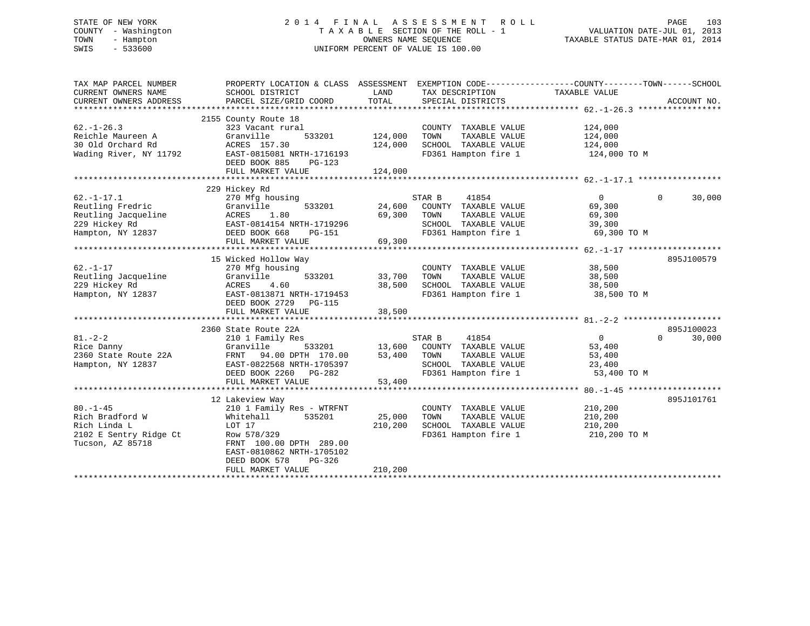# STATE OF NEW YORK 2 0 1 4 F I N A L A S S E S S M E N T R O L L PAGE 103 COUNTY - Washington T A X A B L E SECTION OF THE ROLL - 1 VALUATION DATE-JUL 01, 2013 TOWN - Hampton OWNERS NAME SEQUENCE TAXABLE STATUS DATE-MAR 01, 2014 SWIS - 533600 UNIFORM PERCENT OF VALUE IS 100.00

| TAX MAP PARCEL NUMBER<br>CURRENT OWNERS NAME<br>CURRENT OWNERS ADDRESS                            | PROPERTY LOCATION & CLASS ASSESSMENT EXEMPTION CODE---------------COUNTY-------TOWN------SCHOOL<br>SCHOOL DISTRICT<br>PARCEL SIZE/GRID COORD                                                         | LAND<br>TOTAL                 | TAX DESCRIPTION TAXABLE VALUE<br>SPECIAL DISTRICTS                                                                                           |                                                                    | ACCOUNT NO.        |
|---------------------------------------------------------------------------------------------------|------------------------------------------------------------------------------------------------------------------------------------------------------------------------------------------------------|-------------------------------|----------------------------------------------------------------------------------------------------------------------------------------------|--------------------------------------------------------------------|--------------------|
| $62. - 1 - 26.3$<br>Reichle Maureen A<br>30 Old Orchard Rd<br>Wading River, NY 11792              | 2155 County Route 18<br>323 Vacant rural<br>Granville<br>533201<br>ACRES 157.30<br>EAST-0815081 NRTH-1716193<br>DEED BOOK 885<br>PG-123<br>FULL MARKET VALUE                                         | 124,000<br>124,000<br>124,000 | COUNTY TAXABLE VALUE<br>TOWN<br>TAXABLE VALUE<br>SCHOOL TAXABLE VALUE<br>FD361 Hampton fire 1 124,000 TO M                                   | 124,000<br>124,000<br>124,000                                      |                    |
|                                                                                                   | 229 Hickey Rd                                                                                                                                                                                        |                               |                                                                                                                                              |                                                                    |                    |
| $62. - 1 - 17.1$<br>Reutling Fredric<br>Reutling Jacqueline<br>229 Hickey Rd<br>Hampton, NY 12837 | 270 Mfg housing<br>Granville<br>533201<br>ACRES<br>1.80<br>EAST-0814154 NRTH-1719296<br>DEED BOOK 668<br>PG-151<br>FULL MARKET VALUE                                                                 | 69,300<br>69,300              | 41854<br>STAR B<br>24,600 COUNTY TAXABLE VALUE<br>TOWN<br>TAXABLE VALUE<br>SCHOOL TAXABLE VALUE<br>FD361 Hampton fire 1                      | $\overline{0}$<br>69,300<br>69,300<br>39,300<br>69,300 TO M        | $\Omega$<br>30,000 |
|                                                                                                   | 15 Wicked Hollow Way                                                                                                                                                                                 |                               |                                                                                                                                              |                                                                    | 895J100579         |
| $62. - 1 - 17$<br>Reutling Jacqueline<br>229 Hickey Rd<br>Hampton, NY 12837                       | 270 Mfg housing<br>Granville<br>533201<br>ACRES<br>4.60<br>EAST-0813871 NRTH-1719453<br>DEED BOOK 2729 PG-115<br>FULL MARKET VALUE                                                                   | 33,700<br>38,500<br>38,500    | COUNTY TAXABLE VALUE<br>TOWN<br>TAXABLE VALUE<br>SCHOOL TAXABLE VALUE                                                                        | 38,500<br>38,500<br>38,500<br>FD361 Hampton fire 1 38,500 TO M     |                    |
|                                                                                                   | 2360 State Route 22A                                                                                                                                                                                 |                               |                                                                                                                                              |                                                                    | 895J100023         |
| $81. - 2 - 2$<br>Rice Danny<br>2360 State Route 22A<br>Hampton, NY 12837                          | 210 1 Family Res<br>Granville<br>FRNT 94.00 DPTH 170.00<br>EAST-0822568 NRTH-1705397<br>DEED BOOK 2260 PG-282<br>FULL MARKET VALUE                                                                   | 53,400                        | STAR B<br>41854<br>533201 13,600 COUNTY TAXABLE VALUE<br>TH 170.00 53,400 TOWN TAXABLE VALUE<br>SCHOOL TAXABLE VALUE<br>FD361 Hampton fire 1 | $0 \qquad \qquad$<br>53,400<br>53,400<br>23,400<br>53,400 TO M     | $\Omega$<br>30,000 |
|                                                                                                   |                                                                                                                                                                                                      |                               |                                                                                                                                              |                                                                    |                    |
| $80. - 1 - 45$<br>Rich Bradford W<br>Rich Linda L<br>2102 E Sentry Ridge Ct<br>Tucson, AZ 85718   | 12 Lakeview Way<br>210 1 Family Res - WTRFNT<br>535201<br>Whitehall<br>LOT 17<br>Row 578/329<br>FRNT 100.00 DPTH 289.00<br>EAST-0810862 NRTH-1705102<br>DEED BOOK 578<br>PG-326<br>FULL MARKET VALUE | 25,000<br>210,200<br>210,200  | COUNTY TAXABLE VALUE<br>TAXABLE VALUE<br>TOWN<br>SCHOOL TAXABLE VALUE                                                                        | 210,200<br>210,200<br>210,200<br>FD361 Hampton fire 1 210,200 TO M | 895J101761         |
|                                                                                                   |                                                                                                                                                                                                      |                               |                                                                                                                                              |                                                                    |                    |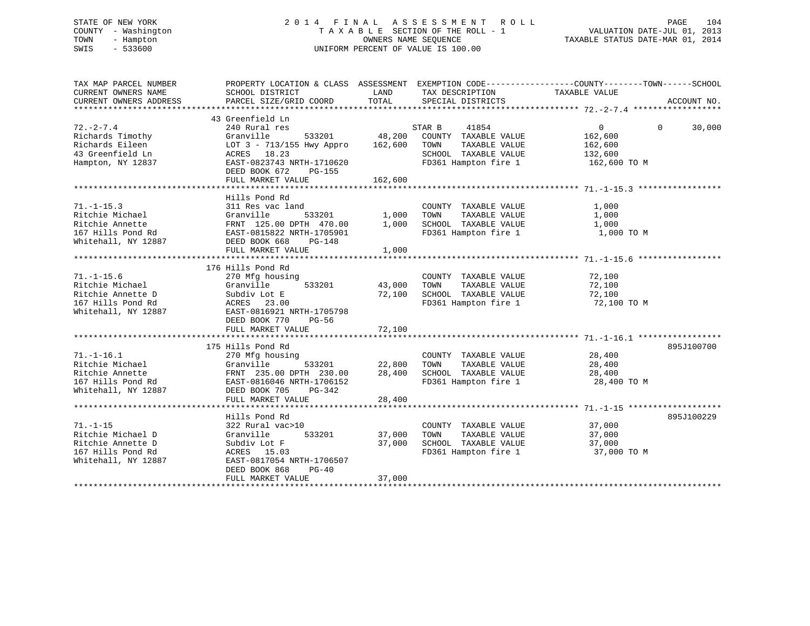# STATE OF NEW YORK 2 0 1 4 F I N A L A S S E S S M E N T R O L L PAGE 104 COUNTY - Washington T A X A B L E SECTION OF THE ROLL - 1 VALUATION DATE-JUL 01, 2013 TOWN - Hampton OWNERS NAME SEQUENCE TAXABLE STATUS DATE-MAR 01, 2014 SWIS - 533600 UNIFORM PERCENT OF VALUE IS 100.00

| TAX MAP PARCEL NUMBER<br>CURRENT OWNERS NAME                                                         | PROPERTY LOCATION & CLASS ASSESSMENT EXEMPTION CODE----------------COUNTY-------TOWN------SCHOOL<br>SCHOOL DISTRICT                                                   | LAND                       | TAX DESCRIPTION                                                                                                  | TAXABLE VALUE                                                               |             |
|------------------------------------------------------------------------------------------------------|-----------------------------------------------------------------------------------------------------------------------------------------------------------------------|----------------------------|------------------------------------------------------------------------------------------------------------------|-----------------------------------------------------------------------------|-------------|
| CURRENT OWNERS ADDRESS                                                                               | PARCEL SIZE/GRID COORD                                                                                                                                                | TOTAL                      | SPECIAL DISTRICTS                                                                                                |                                                                             | ACCOUNT NO. |
|                                                                                                      | 43 Greenfield Ln                                                                                                                                                      |                            |                                                                                                                  |                                                                             |             |
| $72. - 2 - 7.4$<br>Richards Timothy<br>Richards Eileen<br>43 Greenfield Ln<br>Hampton, NY 12837      | 240 Rural res<br>Granville<br>533201<br>LOT 3 - 713/155 Hwy Appro<br>ACRES 18.23<br>EAST-0823743 NRTH-1710620<br>DEED BOOK 672<br>PG-155                              | 48,200<br>162,600          | 41854<br>STAR B<br>COUNTY TAXABLE VALUE<br>TOWN<br>TAXABLE VALUE<br>SCHOOL TAXABLE VALUE<br>FD361 Hampton fire 1 | $\overline{0}$<br>$\Omega$<br>162,600<br>162,600<br>132,600<br>162,600 TO M | 30,000      |
|                                                                                                      | FULL MARKET VALUE                                                                                                                                                     | 162,600                    |                                                                                                                  |                                                                             |             |
|                                                                                                      |                                                                                                                                                                       |                            |                                                                                                                  |                                                                             |             |
| $71. - 1 - 15.3$<br>Ritchie Michael<br>Ritchie Annette<br>167 Hills Pond Rd<br>Whitehall, NY 12887   | Hills Pond Rd<br>311 Res vac land<br>Granville<br>533201<br>FRNT 125.00 DPTH 470.00<br>EAST-0815822 NRTH-1705901<br>DEED BOOK 668<br>PG-148<br>FULL MARKET VALUE      | 1,000<br>1,000<br>1,000    | COUNTY TAXABLE VALUE<br>TAXABLE VALUE<br>TOWN<br>SCHOOL TAXABLE VALUE<br>FD361 Hampton fire 1                    | 1,000<br>1,000<br>1,000<br>1,000 TO M                                       |             |
|                                                                                                      |                                                                                                                                                                       |                            |                                                                                                                  |                                                                             |             |
| $71. - 1 - 15.6$<br>Ritchie Michael<br>Ritchie Annette D<br>167 Hills Pond Rd<br>Whitehall, NY 12887 | 176 Hills Pond Rd<br>270 Mfg housing<br>533201<br>Granville<br>Subdiv Lot E<br>ACRES 23.00<br>EAST-0816921 NRTH-1705798<br>DEED BOOK 770<br>PG-56                     | 43,000<br>72,100           | COUNTY TAXABLE VALUE<br>TOWN<br>TAXABLE VALUE<br>SCHOOL TAXABLE VALUE<br>FD361 Hampton fire 1                    | 72,100<br>72,100<br>72,100<br>72,100 TO M                                   |             |
|                                                                                                      | FULL MARKET VALUE                                                                                                                                                     | 72,100                     |                                                                                                                  |                                                                             |             |
|                                                                                                      |                                                                                                                                                                       |                            |                                                                                                                  |                                                                             |             |
| $71. - 1 - 16.1$<br>Ritchie Michael<br>Ritchie Annette<br>167 Hills Pond Rd<br>Whitehall, NY 12887   | 175 Hills Pond Rd<br>270 Mfg housing<br>533201<br>Granville<br>FRNT 235.00 DPTH 230.00<br>EAST-0816046 NRTH-1706152<br>DEED BOOK 705<br>PG-342<br>FULL MARKET VALUE   | 22,800<br>28,400<br>28,400 | COUNTY TAXABLE VALUE<br>TOWN<br>TAXABLE VALUE<br>SCHOOL TAXABLE VALUE<br>FD361 Hampton fire 1                    | 28,400<br>28,400<br>28,400<br>28,400 TO M                                   | 895J100700  |
|                                                                                                      |                                                                                                                                                                       |                            |                                                                                                                  |                                                                             |             |
| $71. - 1 - 15$<br>Ritchie Michael D<br>Ritchie Annette D<br>167 Hills Pond Rd<br>Whitehall, NY 12887 | Hills Pond Rd<br>322 Rural vac>10<br>533201<br>Granville<br>Subdiv Lot F<br>ACRES 15.03<br>EAST-0817054 NRTH-1706507<br>DEED BOOK 868<br>$PG-40$<br>FULL MARKET VALUE | 37,000<br>37,000<br>37,000 | COUNTY TAXABLE VALUE<br>TAXABLE VALUE<br>TOWN<br>SCHOOL TAXABLE VALUE<br>FD361 Hampton fire 1                    | 37,000<br>37,000<br>37,000<br>37,000 TO M                                   | 895J100229  |
|                                                                                                      |                                                                                                                                                                       |                            |                                                                                                                  |                                                                             |             |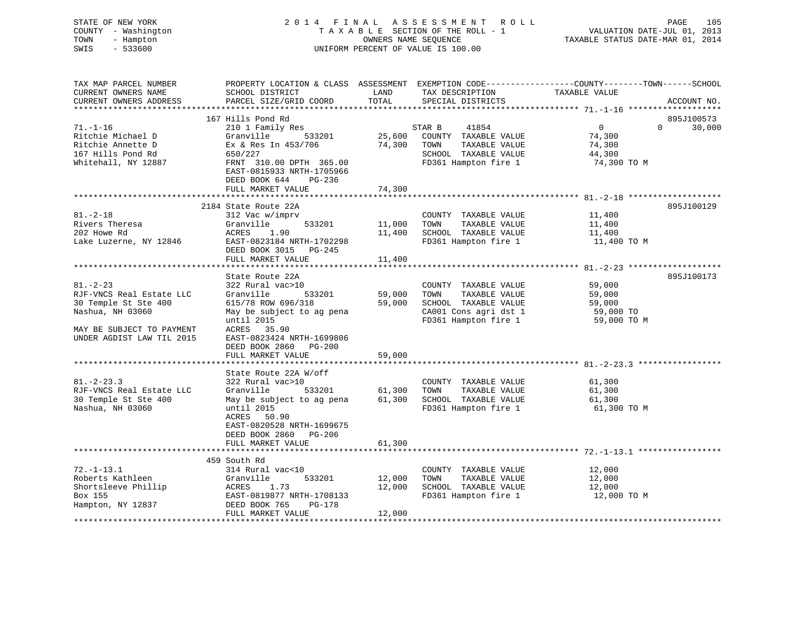| STATE OF NEW YORK<br>COUNTY - Washington<br>- Hampton<br>TOWN<br>SWIS<br>$-533600$ |                                                                                                      |                  | 2014 FINAL ASSESSMENT ROLL<br>TAXABLE SECTION OF THE ROLL - 1<br>OWNERS NAME SEQUENCE<br>UNIFORM PERCENT OF VALUE IS 100.00 | PAGE<br>105<br>VALUATION DATE-JUL 01, 2013<br>TAXABLE STATUS DATE-MAR 01, 2014                                                 |
|------------------------------------------------------------------------------------|------------------------------------------------------------------------------------------------------|------------------|-----------------------------------------------------------------------------------------------------------------------------|--------------------------------------------------------------------------------------------------------------------------------|
| TAX MAP PARCEL NUMBER<br>CURRENT OWNERS NAME<br>CURRENT OWNERS ADDRESS             | SCHOOL DISTRICT<br>PARCEL SIZE/GRID COORD                                                            | LAND<br>TOTAL    | TAX DESCRIPTION<br>SPECIAL DISTRICTS                                                                                        | PROPERTY LOCATION & CLASS ASSESSMENT EXEMPTION CODE---------------COUNTY-------TOWN-----SCHOOL<br>TAXABLE VALUE<br>ACCOUNT NO. |
|                                                                                    | 167 Hills Pond Rd                                                                                    |                  |                                                                                                                             | 895J100573                                                                                                                     |
| $71. - 1 - 16$                                                                     | 210 1 Family Res                                                                                     |                  | 41854<br>STAR B                                                                                                             | $\overline{0}$<br>$\mathbf{0}$<br>30,000                                                                                       |
| Ritchie Michael D                                                                  | 533201<br>Granville                                                                                  | 25,600           | COUNTY TAXABLE VALUE                                                                                                        | 74,300                                                                                                                         |
| Ritchie Annette D                                                                  | $Ex$ & Res In $453/706$                                                                              |                  | 74,300 TOWN<br>TAXABLE VALUE                                                                                                | 74,300                                                                                                                         |
| 167 Hills Pond Rd                                                                  | 650/227                                                                                              |                  | SCHOOL TAXABLE VALUE                                                                                                        | 44,300                                                                                                                         |
| Whitehall, NY 12887                                                                | FRNT 310.00 DPTH 365.00<br>EAST-0815933 NRTH-1705966<br>DEED BOOK 644<br>PG-236<br>FULL MARKET VALUE | 74,300           | FD361 Hampton fire 1                                                                                                        | 74,300 TO M                                                                                                                    |
|                                                                                    |                                                                                                      |                  |                                                                                                                             |                                                                                                                                |
|                                                                                    | 2184 State Route 22A                                                                                 |                  |                                                                                                                             | 895J100129                                                                                                                     |
| $81. - 2 - 18$                                                                     | 312 Vac w/imprv                                                                                      |                  | COUNTY TAXABLE VALUE                                                                                                        | 11,400                                                                                                                         |
| Rivers Theresa                                                                     | Granville<br>533201                                                                                  | 11,000           | TOWN<br>TAXABLE VALUE                                                                                                       | 11,400                                                                                                                         |
| 202 Howe Rd                                                                        | ACRES 1.90                                                                                           |                  | 11,400 SCHOOL TAXABLE VALUE                                                                                                 | 11,400                                                                                                                         |
| Lake Luzerne, NY 12846                                                             | EAST-0823184 NRTH-1702298<br>DEED BOOK 3015 PG-245<br>FULL MARKET VALUE                              | 11,400           | FD361 Hampton fire 1                                                                                                        | 11,400 TO M                                                                                                                    |
|                                                                                    |                                                                                                      |                  |                                                                                                                             |                                                                                                                                |
|                                                                                    | State Route 22A                                                                                      |                  |                                                                                                                             | 895J100173                                                                                                                     |
| $81. - 2 - 23$                                                                     | 322 Rural vac>10                                                                                     |                  | COUNTY TAXABLE VALUE                                                                                                        | 59,000                                                                                                                         |
| RJF-VNCS Real Estate LLC                                                           | Granville<br>533201                                                                                  | 59,000           | TAXABLE VALUE<br>TOWN                                                                                                       | 59,000                                                                                                                         |
| 30 Temple St Ste 400                                                               | 615/78 ROW 696/318                                                                                   | 59,000           | SCHOOL TAXABLE VALUE                                                                                                        | 59,000                                                                                                                         |
| Nashua, NH 03060                                                                   | May be subject to ag pena                                                                            |                  | CA001 Cons agri dst 1                                                                                                       | 59,000 TO                                                                                                                      |
| MAY BE SUBJECT TO PAYMENT<br>UNDER AGDIST LAW TIL 2015                             | until 2015<br>ACRES 35.90<br>EAST-0823424 NRTH-1699806<br>DEED BOOK 2860 PG-200                      |                  | FD361 Hampton fire 1                                                                                                        | 59,000 TO M                                                                                                                    |
|                                                                                    | FULL MARKET VALUE                                                                                    | 59,000           |                                                                                                                             |                                                                                                                                |
|                                                                                    |                                                                                                      |                  |                                                                                                                             |                                                                                                                                |
|                                                                                    | State Route 22A W/off                                                                                |                  |                                                                                                                             |                                                                                                                                |
| $81. - 2 - 23.3$                                                                   | 322 Rural vac>10                                                                                     |                  | COUNTY TAXABLE VALUE                                                                                                        | 61,300                                                                                                                         |
| RJF-VNCS Real Estate LLC                                                           | Granville 533201                                                                                     | 61,300<br>61,300 | TOWN<br>TAXABLE VALUE<br>SCHOOL TAXABLE VALUE                                                                               | 61,300                                                                                                                         |
| 30 Temple St Ste 400<br>Nashua, NH 03060                                           | May be subject to ag pena<br>until 2015                                                              |                  | FD361 Hampton fire 1                                                                                                        | 61,300<br>61,300 TO M                                                                                                          |
|                                                                                    | ACRES 50.90<br>EAST-0820528 NRTH-1699675<br>DEED BOOK 2860 PG-206<br>FULL MARKET VALUE               | 61,300           |                                                                                                                             |                                                                                                                                |
|                                                                                    | ***************************                                                                          |                  |                                                                                                                             |                                                                                                                                |
|                                                                                    | 459 South Rd                                                                                         |                  |                                                                                                                             |                                                                                                                                |
| $72. - 1 - 13.1$                                                                   | 314 Rural vac<10                                                                                     |                  | COUNTY TAXABLE VALUE                                                                                                        | 12,000                                                                                                                         |
| Roberts Kathleen                                                                   | 533201<br>Granville<br>Granv:<br>ACRES                                                               | 12,000           | TAXABLE VALUE<br>TOWN                                                                                                       | 12,000                                                                                                                         |
| Shortsleeve Phillip                                                                | 1.73                                                                                                 | 12,000           | SCHOOL TAXABLE VALUE                                                                                                        | 12,000                                                                                                                         |
| Box 155<br>Hampton, NY 12837                                                       | EAST-0819877 NRTH-1708133<br>DEED BOOK 765<br>PG-178<br>FULL MARKET VALUE                            | 12,000           | FD361 Hampton fire 1                                                                                                        | 12,000 TO M                                                                                                                    |
|                                                                                    |                                                                                                      |                  |                                                                                                                             |                                                                                                                                |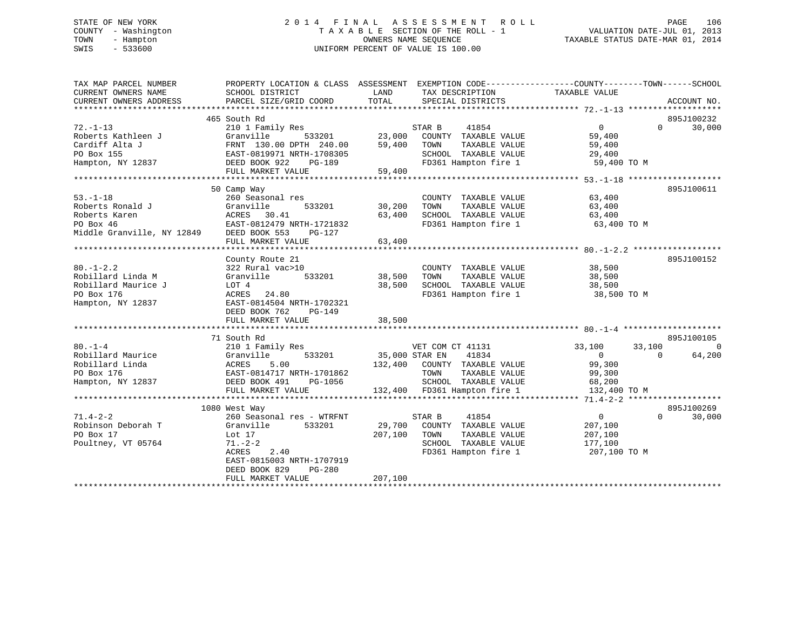# STATE OF NEW YORK 2 0 1 4 F I N A L A S S E S S M E N T R O L L PAGE 106 COUNTY - Washington T A X A B L E SECTION OF THE ROLL - 1 VALUATION DATE-JUL 01, 2013 TOWN - Hampton OWNERS NAME SEQUENCE TAXABLE STATUS DATE-MAR 01, 2014 SWIS - 533600 UNIFORM PERCENT OF VALUE IS 100.00

| TAX MAP PARCEL NUMBER                | PROPERTY LOCATION & CLASS ASSESSMENT EXEMPTION CODE----------------COUNTY-------TOWN------SCHOOL |                       |                                                        |                      |          |                |
|--------------------------------------|--------------------------------------------------------------------------------------------------|-----------------------|--------------------------------------------------------|----------------------|----------|----------------|
| CURRENT OWNERS NAME                  | SCHOOL DISTRICT                                                                                  | LAND                  | TAX DESCRIPTION                                        | TAXABLE VALUE        |          |                |
| CURRENT OWNERS ADDRESS               | PARCEL SIZE/GRID COORD                                                                           | TOTAL                 | SPECIAL DISTRICTS                                      |                      |          | ACCOUNT NO.    |
|                                      |                                                                                                  |                       |                                                        |                      |          |                |
|                                      | 465 South Rd                                                                                     |                       |                                                        |                      |          | 895J100232     |
| $72. -1 - 13$                        | 210 1 Family Res                                                                                 |                       | STAR B<br>41854                                        | $\overline{0}$       | $\Omega$ | 30,000         |
| Roberts Kathleen J<br>Cardiff Alta J | Granville                                                                                        |                       | 533201 23,000 COUNTY TAXABLE VALUE<br>TAXABLE VALUE    | 59,400               |          |                |
|                                      | FRNT 130.00 DPTH 240.00 59,400 TOWN<br>FRNT 130.00 DPTH 240.00<br>EAST-0819971 NRTH-1708305      |                       | SCHOOL TAXABLE VALUE 29,400                            | 59,400               |          |                |
|                                      |                                                                                                  |                       |                                                        |                      |          |                |
| Hampton, NY 12837 DEED BOOK 922      |                                                                                                  |                       |                                                        |                      |          |                |
|                                      |                                                                                                  |                       |                                                        |                      |          |                |
|                                      | 50 Camp Way                                                                                      |                       |                                                        |                      |          | 895J100611     |
| $53. - 1 - 18$                       | 260 Seasonal res                                                                                 |                       | COUNTY TAXABLE VALUE                                   | 63,400               |          |                |
| Roberts Ronald J                     | 533201 30,200                                                                                    |                       | TOWN                                                   | 63,400               |          |                |
| Roberts Karen                        | Granville<br>ACRES 30.41                                                                         | 63,400                | TAXABLE VALUE<br>TAXABLE VALUE<br>SCHOOL TAXABLE VALUE | 63,400               |          |                |
|                                      |                                                                                                  |                       | FD361 Hampton fire 1 63,400 TO M                       |                      |          |                |
|                                      | PO Box 46 EAST-0812479 NRTH-1721832<br>Middle Granville, NY 12849 DEED BOOK 553 PG-127           |                       |                                                        |                      |          |                |
|                                      | FULL MARKET VALUE                                                                                | 63,400                |                                                        |                      |          |                |
|                                      |                                                                                                  |                       |                                                        |                      |          |                |
|                                      | County Route 21                                                                                  |                       |                                                        |                      |          | 895J100152     |
| $80. - 1 - 2.2$                      | 322 Rural vac>10                                                                                 |                       | COUNTY TAXABLE VALUE 38,500                            |                      |          |                |
| Robillard Linda M                    | Granville 533201                                                                                 | 38,500 TOWN           |                                                        |                      |          |                |
| Robillard Maurice J                  | LOT 4                                                                                            | 38,500                |                                                        |                      |          |                |
| PO Box 176                           | ACRES 24.80                                                                                      |                       | FD361 Hampton fire 1 38,500 TO M                       |                      |          |                |
| Hampton, NY 12837                    | EAST-0814504 NRTH-1702321                                                                        |                       |                                                        |                      |          |                |
|                                      | DEED BOOK 762<br>PG-149                                                                          |                       |                                                        |                      |          |                |
|                                      | FULL MARKET VALUE                                                                                | 38,500                |                                                        |                      |          |                |
|                                      |                                                                                                  |                       |                                                        |                      |          |                |
|                                      | 71 South Rd                                                                                      |                       |                                                        |                      |          | 895J100105     |
| $80. - 1 - 4$                        | 210 1 Family Res                                                                                 |                       | VET COM CT 41131                                       | 33,100               | 33,100   | $\overline{0}$ |
|                                      |                                                                                                  | 533201 35,000 STAR EN | 41834                                                  |                      | $\Omega$ | 64,200         |
|                                      |                                                                                                  |                       | 132,400 COUNTY TAXABLE VALUE                           | 0<br>99,300          |          |                |
|                                      |                                                                                                  |                       | TOWN                                                   | TAXABLE VALUE 99,300 |          |                |
| Hampton, NY 12837                    |                                                                                                  |                       |                                                        |                      |          |                |
|                                      |                                                                                                  |                       |                                                        |                      |          |                |
|                                      |                                                                                                  |                       |                                                        |                      |          |                |
|                                      | 1080 West Way                                                                                    |                       |                                                        |                      |          | 895J100269     |
| $71.4 - 2 - 2$                       | 260 Seasonal res - WTRFNT                                                                        |                       | STAR B<br>41854                                        | $\overline{0}$       | $\Omega$ | 30,000         |
| Robinson Deborah T                   | 533201<br>Granville                                                                              |                       | 29,700 COUNTY TAXABLE VALUE                            | 207,100              |          |                |
| PO Box 17                            | Lot 17                                                                                           | 207,100               | TOWN<br>TAXABLE VALUE                                  | 207,100              |          |                |
| Poultney, VT 05764                   | 71.-2-2                                                                                          |                       | SCHOOL TAXABLE VALUE                                   | 177,100              |          |                |
|                                      | ACRES<br>2.40                                                                                    |                       | FD361 Hampton fire 1                                   | 207,100 TO M         |          |                |
|                                      | EAST-0815003 NRTH-1707919                                                                        |                       |                                                        |                      |          |                |
|                                      | DEED BOOK 829<br>PG-280                                                                          |                       |                                                        |                      |          |                |
|                                      | FULL MARKET VALUE                                                                                | 207,100               |                                                        |                      |          |                |
|                                      |                                                                                                  |                       |                                                        |                      |          |                |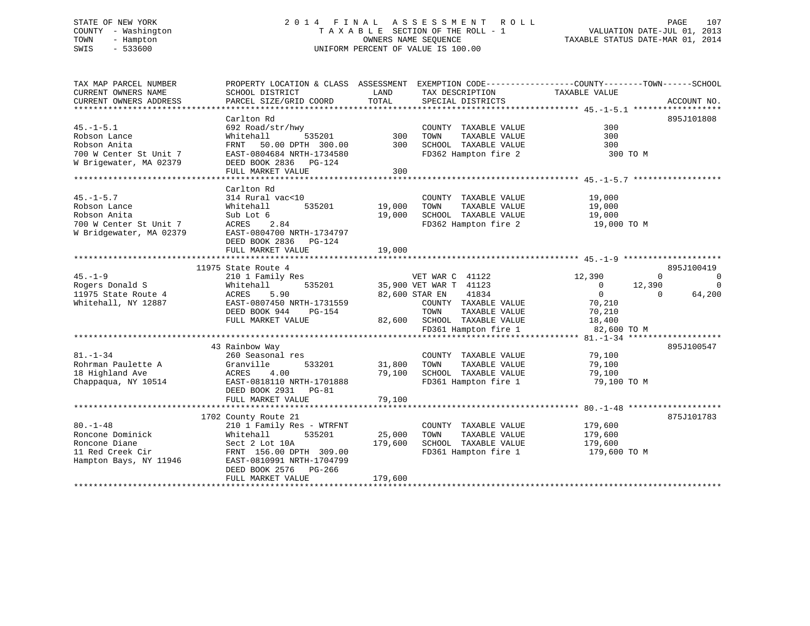# STATE OF NEW YORK 2 0 1 4 F I N A L A S S E S S M E N T R O L L PAGE 107 COUNTY - Washington T A X A B L E SECTION OF THE ROLL - 1 VALUATION DATE-JUL 01, 2013 TOWN - Hampton OWNERS NAME SEQUENCE TAXABLE STATUS DATE-MAR 01, 2014 SWIS - 533600 UNIFORM PERCENT OF VALUE IS 100.00

| TAX MAP PARCEL NUMBER<br>CURRENT OWNERS NAME | PROPERTY LOCATION & CLASS ASSESSMENT<br>SCHOOL DISTRICT | LAND    | TAX DESCRIPTION             | EXEMPTION CODE-----------------COUNTY-------TOWN------SCHOOL<br>TAXABLE VALUE |                         |
|----------------------------------------------|---------------------------------------------------------|---------|-----------------------------|-------------------------------------------------------------------------------|-------------------------|
| CURRENT OWNERS ADDRESS                       | PARCEL SIZE/GRID COORD                                  | TOTAL   | SPECIAL DISTRICTS           |                                                                               | ACCOUNT NO.             |
|                                              |                                                         |         |                             |                                                                               |                         |
|                                              | Carlton Rd                                              |         |                             |                                                                               | 895J101808              |
| $45. - 1 - 5.1$                              | 692 Road/str/hwy                                        |         | COUNTY TAXABLE VALUE        | 300                                                                           |                         |
| Robson Lance                                 | Whitehall<br>535201                                     | 300     | TAXABLE VALUE<br>TOWN       | 300                                                                           |                         |
| Robson Anita                                 | 50.00 DPTH 300.00<br>FRNT                               | 300     | SCHOOL TAXABLE VALUE        | 300                                                                           |                         |
| 700 W Center St Unit 7                       | EAST-0804684 NRTH-1734580                               |         | FD362 Hampton fire 2        | 300 TO M                                                                      |                         |
| W Brigewater, MA 02379                       | DEED BOOK 2836 PG-124                                   |         |                             |                                                                               |                         |
|                                              | FULL MARKET VALUE                                       | 300     |                             |                                                                               |                         |
|                                              |                                                         |         |                             |                                                                               |                         |
|                                              | Carlton Rd                                              |         |                             |                                                                               |                         |
| $45. - 1 - 5.7$                              | 314 Rural vac<10                                        |         | COUNTY TAXABLE VALUE        | 19,000                                                                        |                         |
| Robson Lance                                 | 535201<br>Whitehall                                     | 19,000  | TOWN<br>TAXABLE VALUE       | 19,000                                                                        |                         |
| Robson Anita                                 | Sub Lot 6                                               | 19,000  | SCHOOL TAXABLE VALUE        | 19,000                                                                        |                         |
| 700 W Center St Unit 7                       | ACRES<br>2.84                                           |         | FD362 Hampton fire 2        | 19,000 TO M                                                                   |                         |
| W Bridgewater, MA 02379                      | EAST-0804700 NRTH-1734797                               |         |                             |                                                                               |                         |
|                                              | DEED BOOK 2836 PG-124                                   |         |                             |                                                                               |                         |
|                                              | FULL MARKET VALUE                                       | 19,000  |                             |                                                                               |                         |
|                                              |                                                         |         |                             |                                                                               |                         |
|                                              | 11975 State Route 4                                     |         |                             |                                                                               | 895J100419              |
| $45. - 1 - 9$                                | 210 1 Family Res                                        |         | VET WAR C 41122             | 12,390                                                                        | $\Omega$<br>$\mathbf 0$ |
| Rogers Donald S                              | 535201<br>Whitehall                                     |         | 35,900 VET WAR T 41123      | $\overline{\phantom{0}}$<br>12,390                                            | $\mathbf 0$             |
| 11975 State Route 4                          | ACRES<br>5.90                                           |         | 82,600 STAR EN<br>41834     | $\overline{0}$                                                                | 64,200<br>$\Omega$      |
| Whitehall, NY 12887                          | EAST-0807450 NRTH-1731559                               |         | COUNTY TAXABLE VALUE        | 70,210                                                                        |                         |
|                                              | DEED BOOK 944<br>PG-154                                 |         | TOWN<br>TAXABLE VALUE       | 70,210                                                                        |                         |
|                                              | FULL MARKET VALUE                                       |         | 82,600 SCHOOL TAXABLE VALUE | 18,400                                                                        |                         |
|                                              |                                                         |         | FD361 Hampton fire 1        | 82,600 TO M                                                                   |                         |
|                                              |                                                         |         |                             |                                                                               |                         |
|                                              | 43 Rainbow Way                                          |         |                             |                                                                               | 895J100547              |
| $81. - 1 - 34$                               | 260 Seasonal res                                        |         | COUNTY TAXABLE VALUE        | 79,100                                                                        |                         |
| Rohrman Paulette A                           | 533201<br>Granville                                     | 31,800  | TOWN<br>TAXABLE VALUE       | 79,100                                                                        |                         |
| 18 Highland Ave                              | 4.00<br>ACRES                                           | 79,100  | SCHOOL TAXABLE VALUE        | 79,100                                                                        |                         |
| Chappaqua, NY 10514                          | EAST-0818110 NRTH-1701888                               |         | FD361 Hampton fire 1        | 79,100 TO M                                                                   |                         |
|                                              | DEED BOOK 2931 PG-81                                    |         |                             |                                                                               |                         |
|                                              | FULL MARKET VALUE                                       | 79,100  |                             |                                                                               |                         |
|                                              |                                                         |         |                             |                                                                               |                         |
|                                              | 1702 County Route 21                                    |         |                             |                                                                               | 875J101783              |
| $80. - 1 - 48$                               | 210 1 Family Res - WTRFNT                               |         | COUNTY TAXABLE VALUE        | 179,600                                                                       |                         |
| Roncone Dominick                             | 535201<br>Whitehall                                     | 25,000  | TAXABLE VALUE<br>TOWN       | 179,600                                                                       |                         |
| Roncone Diane                                | Sect 2 Lot 10A                                          | 179,600 | SCHOOL TAXABLE VALUE        | 179,600                                                                       |                         |
| 11 Red Creek Cir                             | FRNT 156.00 DPTH 309.00                                 |         | FD361 Hampton fire 1        | 179,600 TO M                                                                  |                         |
| Hampton Bays, NY 11946                       | EAST-0810991 NRTH-1704799                               |         |                             |                                                                               |                         |
|                                              | DEED BOOK 2576 PG-266                                   |         |                             |                                                                               |                         |
|                                              | FULL MARKET VALUE                                       | 179,600 |                             |                                                                               |                         |
|                                              |                                                         |         |                             |                                                                               |                         |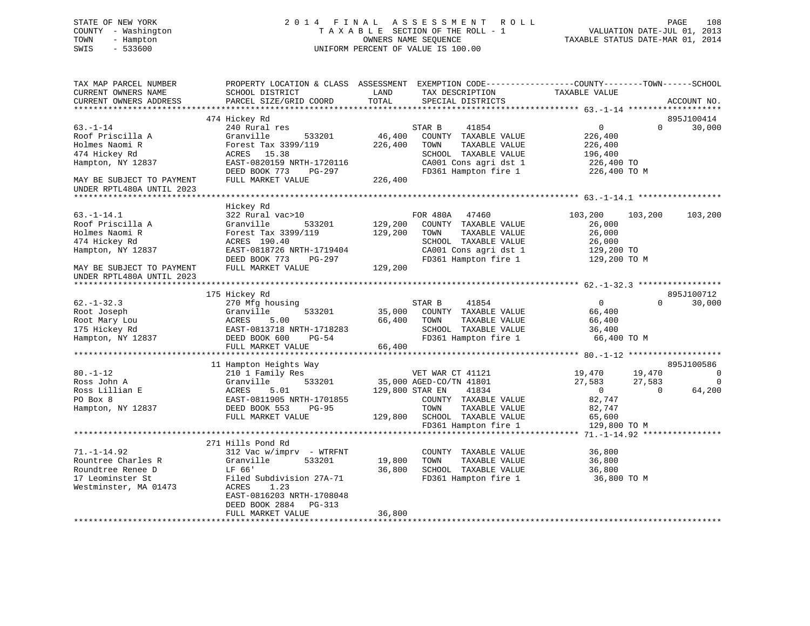# STATE OF NEW YORK 2 0 1 4 F I N A L A S S E S S M E N T R O L L PAGE 108 COUNTY - Washington T A X A B L E SECTION OF THE ROLL - 1 VALUATION DATE-JUL 01, 2013 TOWN - Hampton OWNERS NAME SEQUENCE TAXABLE STATUS DATE-MAR 01, 2014 SWIS - 533600 UNIFORM PERCENT OF VALUE IS 100.00

| TAX MAP PARCEL NUMBER<br>CURRENT OWNERS NAME<br>CURRENT OWNERS ADDRESS | PROPERTY LOCATION & CLASS ASSESSMENT<br>SCHOOL DISTRICT<br>PARCEL SIZE/GRID COORD | LAND<br>TOTAL   | EXEMPTION CODE-----------------COUNTY-------TOWN------SCHOOL<br>TAX DESCRIPTION<br>SPECIAL DISTRICTS | TAXABLE VALUE      |          | ACCOUNT NO.    |
|------------------------------------------------------------------------|-----------------------------------------------------------------------------------|-----------------|------------------------------------------------------------------------------------------------------|--------------------|----------|----------------|
|                                                                        |                                                                                   |                 |                                                                                                      |                    |          |                |
|                                                                        | 474 Hickey Rd                                                                     |                 |                                                                                                      |                    |          | 895J100414     |
| $63. - 1 - 14$                                                         | 240 Rural res                                                                     |                 | STAR B<br>41854                                                                                      | $\overline{0}$     | $\Omega$ | 30,000         |
| Roof Priscilla A                                                       | Granville<br>533201                                                               | 46,400          | COUNTY TAXABLE VALUE                                                                                 | 226,400            |          |                |
| Holmes Naomi R<br>474 Hickey Rd                                        | Forest Tax 3399/119<br>ACRES 15.38                                                | 226,400         | TAXABLE VALUE<br>TOWN<br>SCHOOL TAXABLE VALUE                                                        | 226,400<br>196,400 |          |                |
| Hampton, NY 12837                                                      | EAST-0820159 NRTH-1720116                                                         |                 | CA001 Cons agri dst 1                                                                                | 226,400 TO         |          |                |
|                                                                        | DEED BOOK 773<br>PG-297                                                           |                 | FD361 Hampton fire 1                                                                                 | 226,400 TO M       |          |                |
| MAY BE SUBJECT TO PAYMENT                                              | FULL MARKET VALUE                                                                 | 226,400         |                                                                                                      |                    |          |                |
| UNDER RPTL480A UNTIL 2023                                              |                                                                                   |                 |                                                                                                      |                    |          |                |
|                                                                        |                                                                                   |                 |                                                                                                      |                    |          |                |
|                                                                        | Hickey Rd                                                                         |                 |                                                                                                      |                    |          |                |
| $63. - 1 - 14.1$                                                       | 322 Rural vac>10                                                                  |                 | FOR 480A<br>47460                                                                                    | 103,200            | 103,200  | 103,200        |
| Roof Priscilla A                                                       | Granville<br>533201                                                               | 129,200         | COUNTY TAXABLE VALUE                                                                                 | 26,000             |          |                |
| Holmes Naomi R                                                         | Forest Tax 3399/119                                                               | 129,200         | TAXABLE VALUE<br>TOWN                                                                                | 26,000             |          |                |
| 474 Hickey Rd                                                          | ACRES 190.40                                                                      |                 | SCHOOL TAXABLE VALUE                                                                                 | 26,000             |          |                |
| Hampton, NY 12837                                                      | EAST-0818726 NRTH-1719404                                                         |                 | CA001 Cons agri dst 1                                                                                | 129,200 TO         |          |                |
|                                                                        | DEED BOOK 773<br>PG-297                                                           |                 | FD361 Hampton fire 1                                                                                 | 129,200 TO M       |          |                |
| MAY BE SUBJECT TO PAYMENT                                              | FULL MARKET VALUE                                                                 | 129,200         |                                                                                                      |                    |          |                |
| UNDER RPTL480A UNTIL 2023                                              |                                                                                   |                 |                                                                                                      |                    |          |                |
|                                                                        |                                                                                   |                 |                                                                                                      |                    |          |                |
|                                                                        | 175 Hickey Rd                                                                     |                 |                                                                                                      |                    |          | 895J100712     |
| $62. - 1 - 32.3$                                                       | 270 Mfg housing                                                                   |                 | 41854<br>STAR B                                                                                      | $\overline{0}$     | $\Omega$ | 30,000         |
| Root Joseph                                                            | Granville<br>533201                                                               | 35,000          | COUNTY TAXABLE VALUE                                                                                 | 66,400             |          |                |
| Root Mary Lou                                                          | 5.00<br>ACRES                                                                     | 66,400          | TOWN<br>TAXABLE VALUE                                                                                | 66,400             |          |                |
| 175 Hickey Rd                                                          | EAST-0813718 NRTH-1718283                                                         |                 | SCHOOL TAXABLE VALUE                                                                                 | 36,400             |          |                |
| Hampton, NY 12837                                                      | DEED BOOK 600<br>PG-54                                                            |                 | FD361 Hampton fire 1                                                                                 | 66,400 TO M        |          |                |
|                                                                        | FULL MARKET VALUE                                                                 | 66,400          |                                                                                                      |                    |          |                |
|                                                                        | 11 Hampton Heights Way                                                            |                 |                                                                                                      |                    |          | 895J100586     |
| $80. - 1 - 12$                                                         | 210 1 Family Res                                                                  |                 | VET WAR CT 41121                                                                                     | 19,470             | 19,470   | $\overline{0}$ |
| Ross John A                                                            | 533201<br>Granville                                                               |                 | 35,000 AGED-CO/TN 41801                                                                              | 27,583             | 27,583   | $\Omega$       |
| Ross Lillian E                                                         | 5.01<br>ACRES                                                                     | 129,800 STAR EN | 41834                                                                                                | $\overline{0}$     | $\Omega$ | 64,200         |
| PO Box 8                                                               | EAST-0811905 NRTH-1701855                                                         |                 | COUNTY TAXABLE VALUE                                                                                 | 82,747             |          |                |
| Hampton, NY 12837                                                      | DEED BOOK 553<br>$PG-95$                                                          |                 | TOWN<br>TAXABLE VALUE                                                                                | 82,747             |          |                |
|                                                                        | FULL MARKET VALUE                                                                 | 129,800         | SCHOOL TAXABLE VALUE                                                                                 | 65,600             |          |                |
|                                                                        |                                                                                   |                 | FD361 Hampton fire 1                                                                                 | 129,800 TO M       |          |                |
|                                                                        |                                                                                   |                 |                                                                                                      |                    |          |                |
|                                                                        | 271 Hills Pond Rd                                                                 |                 |                                                                                                      |                    |          |                |
| $71. - 1 - 14.92$                                                      | 312 Vac w/imprv - WTRFNT                                                          |                 | COUNTY TAXABLE VALUE                                                                                 | 36,800             |          |                |
| Rountree Charles R                                                     | Granville<br>533201                                                               | 19,800          | TOWN<br>TAXABLE VALUE                                                                                | 36,800             |          |                |
| Roundtree Renee D                                                      | LF 66'                                                                            | 36,800          | SCHOOL TAXABLE VALUE                                                                                 | 36,800             |          |                |
| 17 Leominster St                                                       | Filed Subdivision 27A-71                                                          |                 | FD361 Hampton fire 1                                                                                 | 36,800 TO M        |          |                |
| Westminster, MA 01473                                                  | ACRES<br>1.23                                                                     |                 |                                                                                                      |                    |          |                |
|                                                                        | EAST-0816203 NRTH-1708048                                                         |                 |                                                                                                      |                    |          |                |
|                                                                        | DEED BOOK 2884<br>PG-313                                                          |                 |                                                                                                      |                    |          |                |
|                                                                        | FULL MARKET VALUE                                                                 | 36,800          |                                                                                                      |                    |          |                |
|                                                                        |                                                                                   |                 |                                                                                                      |                    |          |                |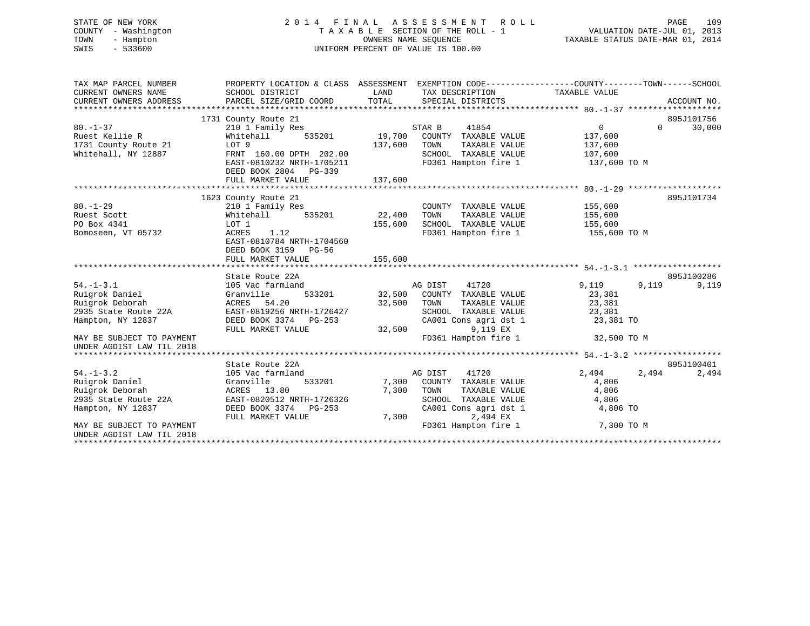# STATE OF NEW YORK 2 0 1 4 F I N A L A S S E S S M E N T R O L L PAGE 109 COUNTY - Washington T A X A B L E SECTION OF THE ROLL - 1 VALUATION DATE-JUL 01, 2013 TOWN - Hampton OWNERS NAME SEQUENCE TAXABLE STATUS DATE-MAR 01, 2014 SWIS - 533600 UNIFORM PERCENT OF VALUE IS 100.00

| TAX MAP PARCEL NUMBER<br>CURRENT OWNERS NAME<br>CURRENT OWNERS ADDRESS | PROPERTY LOCATION & CLASS ASSESSMENT<br>SCHOOL DISTRICT<br>PARCEL SIZE/GRID COORD | LAND<br>TOTAL |         | TAX DESCRIPTION<br>SPECIAL DISTRICTS | EXEMPTION CODE----------------COUNTY-------TOWN------SCHOOL<br>TAXABLE VALUE |          | ACCOUNT NO. |
|------------------------------------------------------------------------|-----------------------------------------------------------------------------------|---------------|---------|--------------------------------------|------------------------------------------------------------------------------|----------|-------------|
|                                                                        | 1731 County Route 21                                                              |               |         |                                      |                                                                              |          | 895J101756  |
| $80. - 1 - 37$                                                         | 210 1 Family Res                                                                  |               | STAR B  | 41854                                | $\overline{0}$                                                               | $\Omega$ | 30,000      |
| Ruest Kellie R                                                         | 535201<br>Whitehall                                                               | 19,700        |         | COUNTY TAXABLE VALUE                 | 137,600                                                                      |          |             |
| 1731 County Route 21                                                   | LOT 9                                                                             | 137,600       | TOWN    | TAXABLE VALUE                        | 137,600                                                                      |          |             |
| Whitehall, NY 12887                                                    | FRNT 160.00 DPTH 202.00                                                           |               |         | SCHOOL TAXABLE VALUE                 | 107,600                                                                      |          |             |
|                                                                        | EAST-0810232 NRTH-1705211                                                         |               |         | FD361 Hampton fire 1                 | 137,600 TO M                                                                 |          |             |
|                                                                        | DEED BOOK 2804 PG-339                                                             |               |         |                                      |                                                                              |          |             |
|                                                                        | FULL MARKET VALUE                                                                 | 137,600       |         |                                      |                                                                              |          |             |
|                                                                        |                                                                                   |               |         |                                      |                                                                              |          |             |
|                                                                        | 1623 County Route 21                                                              |               |         |                                      |                                                                              |          | 895J101734  |
| $80. - 1 - 29$                                                         | 210 1 Family Res                                                                  |               |         | COUNTY TAXABLE VALUE                 | 155,600                                                                      |          |             |
| Ruest Scott                                                            | 535201<br>Whitehall                                                               | 22,400        | TOWN    | TAXABLE VALUE                        | 155,600                                                                      |          |             |
| PO Box 4341                                                            | LOT 1                                                                             | 155,600       |         | SCHOOL TAXABLE VALUE                 | 155,600                                                                      |          |             |
| Bomoseen, VT 05732                                                     | 1.12<br>ACRES                                                                     |               |         | FD361 Hampton fire 1                 | 155,600 TO M                                                                 |          |             |
|                                                                        | EAST-0810784 NRTH-1704560                                                         |               |         |                                      |                                                                              |          |             |
|                                                                        | DEED BOOK 3159 PG-56                                                              |               |         |                                      |                                                                              |          |             |
|                                                                        | FULL MARKET VALUE                                                                 | 155,600       |         |                                      |                                                                              |          |             |
|                                                                        |                                                                                   |               |         |                                      |                                                                              |          |             |
|                                                                        | State Route 22A                                                                   |               |         |                                      |                                                                              |          | 895J100286  |
| $54. - 1 - 3.1$                                                        | 105 Vac farmland                                                                  |               | AG DIST | 41720                                | 9,119                                                                        | 9,119    | 9,119       |
| Ruigrok Daniel                                                         | 533201<br>Granville                                                               |               |         | 32,500 COUNTY TAXABLE VALUE          | 23,381                                                                       |          |             |
| Ruigrok Deborah                                                        | ACRES 54.20                                                                       | 32,500        | TOWN    | TAXABLE VALUE                        | 23,381                                                                       |          |             |
| 2935 State Route 22A                                                   | EAST-0819256 NRTH-1726427                                                         |               |         | SCHOOL TAXABLE VALUE                 | 23,381                                                                       |          |             |
| Hampton, NY 12837                                                      | DEED BOOK 3374 PG-253                                                             |               |         | CA001 Cons agri dst 1                | 23,381 TO                                                                    |          |             |
|                                                                        | FULL MARKET VALUE                                                                 | 32,500        |         | 9,119 EX                             |                                                                              |          |             |
| MAY BE SUBJECT TO PAYMENT                                              |                                                                                   |               |         | FD361 Hampton fire 1                 | 32,500 TO M                                                                  |          |             |
| UNDER AGDIST LAW TIL 2018                                              |                                                                                   |               |         |                                      |                                                                              |          |             |
|                                                                        |                                                                                   |               |         |                                      |                                                                              |          |             |
|                                                                        | State Route 22A                                                                   |               |         |                                      |                                                                              |          | 895J100401  |
| $54. - 1 - 3.2$                                                        | 105 Vac farmland                                                                  |               | AG DIST | 41720                                | 2,494                                                                        | 2,494    | 2,494       |
| Ruigrok Daniel                                                         | Granville<br>533201                                                               | 7,300         |         | COUNTY TAXABLE VALUE                 | 4,806                                                                        |          |             |
| Ruigrok Deborah                                                        | ACRES 13.80                                                                       | 7,300         | TOWN    | TAXABLE VALUE                        | 4,806                                                                        |          |             |
| 2935 State Route 22A                                                   | EAST-0820512 NRTH-1726326                                                         |               |         | SCHOOL TAXABLE VALUE                 | 4,806                                                                        |          |             |
| Hampton, NY 12837                                                      | DEED BOOK 3374 PG-253                                                             |               |         | CA001 Cons agri dst 1                | 4,806 TO                                                                     |          |             |
|                                                                        | FULL MARKET VALUE                                                                 | 7,300         |         | 2,494 EX                             |                                                                              |          |             |
| MAY BE SUBJECT TO PAYMENT<br>UNDER AGDIST LAW TIL 2018                 |                                                                                   |               |         | FD361 Hampton fire 1                 | 7,300 TO M                                                                   |          |             |
|                                                                        |                                                                                   |               |         |                                      |                                                                              |          |             |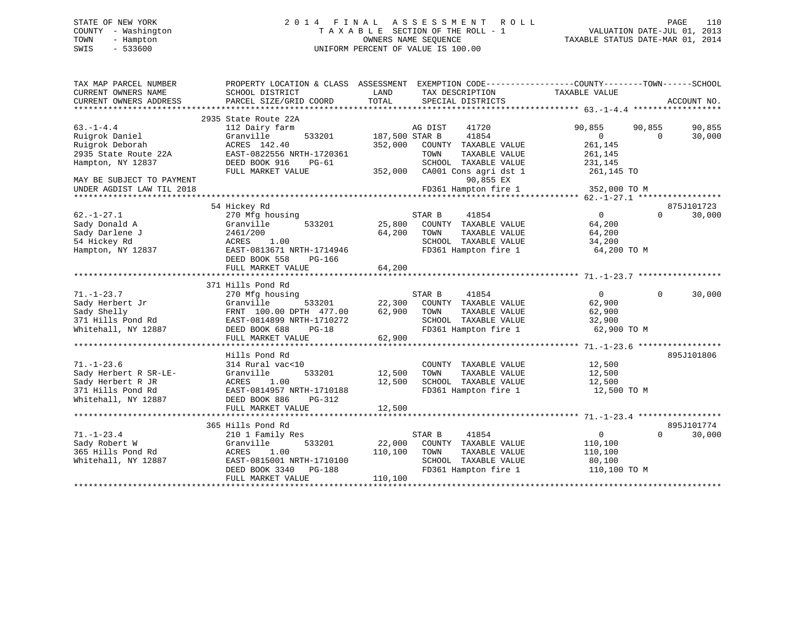# STATE OF NEW YORK 2 0 1 4 F I N A L A S S E S S M E N T R O L L PAGE 110 COUNTY - Washington T A X A B L E SECTION OF THE ROLL - 1 VALUATION DATE-JUL 01, 2013 TOWN - Hampton OWNERS NAME SEQUENCE TAXABLE STATUS DATE-MAR 01, 2014 SWIS - 533600 UNIFORM PERCENT OF VALUE IS 100.00

| TAX MAP PARCEL NUMBER<br>CURRENT OWNERS NAME<br>CURRENT OWNERS ADDRESS | PROPERTY LOCATION & CLASS ASSESSMENT<br>SCHOOL DISTRICT<br>PARCEL SIZE/GRID COORD | LAND<br>TOTAL  | EXEMPTION CODE-----------------COUNTY-------TOWN------SCHOOL<br>TAX DESCRIPTION<br>SPECIAL DISTRICTS | TAXABLE VALUE    | ACCOUNT NO.        |
|------------------------------------------------------------------------|-----------------------------------------------------------------------------------|----------------|------------------------------------------------------------------------------------------------------|------------------|--------------------|
|                                                                        |                                                                                   |                |                                                                                                      |                  |                    |
|                                                                        | 2935 State Route 22A                                                              |                |                                                                                                      |                  |                    |
| $63. -1 - 4.4$                                                         | 112 Dairy farm                                                                    |                | 41720<br>AG DIST                                                                                     | 90,855<br>90,855 | 90,855             |
| Ruigrok Daniel                                                         | Granville<br>533201                                                               | 187,500 STAR B | 41854                                                                                                | $\Omega$         | 30,000<br>$\Omega$ |
| Ruigrok Deborah                                                        | ACRES 142.40                                                                      | 352,000        | COUNTY TAXABLE VALUE                                                                                 | 261,145          |                    |
| 2935 State Route 22A                                                   | EAST-0822556 NRTH-1720361                                                         |                | TOWN<br>TAXABLE VALUE                                                                                | 261,145          |                    |
| Hampton, NY 12837                                                      | DEED BOOK 916<br>PG-61                                                            |                | SCHOOL TAXABLE VALUE                                                                                 | 231,145          |                    |
|                                                                        | FULL MARKET VALUE                                                                 | 352,000        | CA001 Cons agri dst 1                                                                                | 261,145 TO       |                    |
| MAY BE SUBJECT TO PAYMENT                                              |                                                                                   |                | 90,855 EX                                                                                            |                  |                    |
| UNDER AGDIST LAW TIL 2018                                              |                                                                                   |                | FD361 Hampton fire 1                                                                                 | 352,000 TO M     |                    |
|                                                                        |                                                                                   |                |                                                                                                      |                  |                    |
|                                                                        | 54 Hickey Rd                                                                      |                |                                                                                                      |                  | 875J101723         |
| $62. - 1 - 27.1$                                                       | 270 Mfg housing                                                                   |                | STAR B<br>41854                                                                                      | $\overline{0}$   | $\Omega$<br>30,000 |
| Sady Donald A                                                          | Granville<br>533201                                                               | 25,800         | COUNTY TAXABLE VALUE                                                                                 | 64,200           |                    |
| Sady Darlene J                                                         | 2461/200                                                                          | 64,200         | TOWN<br>TAXABLE VALUE                                                                                | 64,200           |                    |
| 54 Hickey Rd                                                           | ACRES<br>1.00                                                                     |                | SCHOOL TAXABLE VALUE                                                                                 | 34,200           |                    |
| Hampton, NY 12837                                                      | EAST-0813671 NRTH-1714946                                                         |                | FD361 Hampton fire 1                                                                                 | 64,200 TO M      |                    |
|                                                                        | DEED BOOK 558<br>PG-166                                                           |                |                                                                                                      |                  |                    |
|                                                                        | FULL MARKET VALUE                                                                 | 64,200         |                                                                                                      |                  |                    |
|                                                                        |                                                                                   |                |                                                                                                      |                  |                    |
|                                                                        | 371 Hills Pond Rd                                                                 |                |                                                                                                      |                  |                    |
| $71. - 1 - 23.7$                                                       | 270 Mfg housing                                                                   |                | 41854<br>STAR B                                                                                      | $\mathbf{0}$     | $\Omega$<br>30,000 |
| Sady Herbert Jr                                                        | Granville<br>533201                                                               | 22,300         | COUNTY TAXABLE VALUE                                                                                 | 62,900           |                    |
| Sady Shelly                                                            | FRNT 100.00 DPTH 477.00                                                           | 62,900         | TOWN<br>TAXABLE VALUE                                                                                | 62,900           |                    |
| 371 Hills Pond Rd                                                      | EAST-0814899 NRTH-1710272                                                         |                | SCHOOL TAXABLE VALUE                                                                                 | 32,900           |                    |
| Whitehall, NY 12887                                                    | DEED BOOK 688<br>$PG-18$                                                          |                | FD361 Hampton fire 1                                                                                 | 62,900 TO M      |                    |
|                                                                        | FULL MARKET VALUE                                                                 | 62,900         |                                                                                                      |                  |                    |
|                                                                        |                                                                                   |                |                                                                                                      |                  |                    |
|                                                                        | Hills Pond Rd                                                                     |                |                                                                                                      |                  | 895J101806         |
| $71. - 1 - 23.6$                                                       | 314 Rural vac<10                                                                  |                | COUNTY TAXABLE VALUE                                                                                 | 12,500           |                    |
| Sady Herbert R SR-LE-                                                  |                                                                                   |                |                                                                                                      | 12,500           |                    |
|                                                                        | 533201<br>Granville                                                               | 12,500         | TAXABLE VALUE<br>TOWN                                                                                |                  |                    |
| Sady Herbert R JR                                                      | 1.00<br>ACRES                                                                     | 12,500         | SCHOOL TAXABLE VALUE                                                                                 | 12,500           |                    |
| 371 Hills Pond Rd                                                      | EAST-0814957 NRTH-1710188                                                         |                | FD361 Hampton fire 1                                                                                 | 12,500 TO M      |                    |
| Whitehall, NY 12887                                                    | DEED BOOK 886<br>PG-312                                                           |                |                                                                                                      |                  |                    |
|                                                                        | FULL MARKET VALUE                                                                 | 12,500         |                                                                                                      |                  |                    |
|                                                                        |                                                                                   |                |                                                                                                      |                  |                    |
|                                                                        | 365 Hills Pond Rd                                                                 |                |                                                                                                      |                  | 895J101774         |
| $71. - 1 - 23.4$                                                       | 210 1 Family Res                                                                  |                | STAR B<br>41854                                                                                      | $\Omega$         | $\Omega$<br>30,000 |
| Sady Robert W                                                          | Granville<br>533201                                                               | 22,000         | COUNTY TAXABLE VALUE                                                                                 | 110,100          |                    |
| 365 Hills Pond Rd                                                      | ACRES<br>1.00                                                                     | 110,100        | TAXABLE VALUE<br>TOWN                                                                                | 110,100          |                    |
| Whitehall, NY 12887                                                    | EAST-0815001 NRTH-1710100                                                         |                | SCHOOL TAXABLE VALUE                                                                                 | 80,100           |                    |
|                                                                        | DEED BOOK 3340<br>PG-188                                                          |                | FD361 Hampton fire 1                                                                                 | 110,100 TO M     |                    |
|                                                                        | FULL MARKET VALUE                                                                 | 110,100        |                                                                                                      |                  |                    |
|                                                                        |                                                                                   |                |                                                                                                      |                  |                    |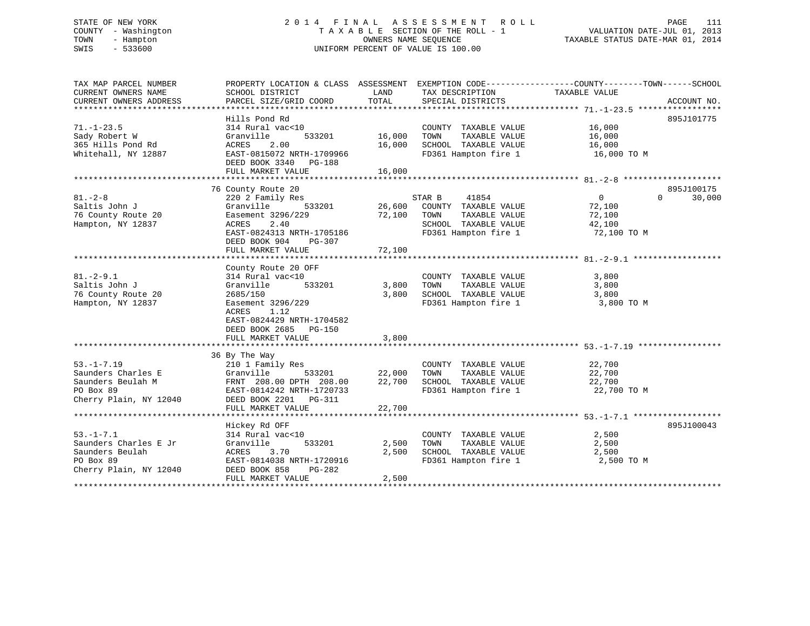# STATE OF NEW YORK 2 0 1 4 F I N A L A S S E S S M E N T R O L L PAGE 111 COUNTY - Washington T A X A B L E SECTION OF THE ROLL - 1 VALUATION DATE-JUL 01, 2013 TOWN - Hampton OWNERS NAME SEQUENCE TAXABLE STATUS DATE-MAR 01, 2014 SWIS - 533600 UNIFORM PERCENT OF VALUE IS 100.00

| TAX MAP PARCEL NUMBER  | PROPERTY LOCATION & CLASS ASSESSMENT |        | EXEMPTION CODE-----------------COUNTY-------TOWN------SCHOOL |               |                    |
|------------------------|--------------------------------------|--------|--------------------------------------------------------------|---------------|--------------------|
| CURRENT OWNERS NAME    | SCHOOL DISTRICT                      | LAND   | TAX DESCRIPTION                                              | TAXABLE VALUE |                    |
| CURRENT OWNERS ADDRESS | PARCEL SIZE/GRID COORD               | TOTAL  | SPECIAL DISTRICTS                                            |               | ACCOUNT NO.        |
|                        | Hills Pond Rd                        |        |                                                              |               | 895J101775         |
| $71. - 1 - 23.5$       | 314 Rural vac<10                     |        | COUNTY TAXABLE VALUE                                         | 16,000        |                    |
| Sady Robert W          | Granville<br>533201                  | 16,000 | TOWN<br>TAXABLE VALUE                                        | 16,000        |                    |
| 365 Hills Pond Rd      | 2.00<br>ACRES                        | 16,000 | SCHOOL TAXABLE VALUE                                         | 16,000        |                    |
| Whitehall, NY 12887    | EAST-0815072 NRTH-1709966            |        | FD361 Hampton fire 1                                         | 16,000 TO M   |                    |
|                        | DEED BOOK 3340 PG-188                |        |                                                              |               |                    |
|                        | FULL MARKET VALUE                    | 16,000 |                                                              |               |                    |
|                        |                                      |        |                                                              |               |                    |
|                        | 76 County Route 20                   |        |                                                              |               | 895J100175         |
| $81 - 2 - 8$           | 220 2 Family Res                     |        | STAR B<br>41854                                              | $\Omega$      | $\Omega$<br>30,000 |
| Saltis John J          | Granville<br>533201                  | 26,600 | COUNTY TAXABLE VALUE                                         | 72,100        |                    |
| 76 County Route 20     | Easement 3296/229                    | 72,100 | TOWN<br>TAXABLE VALUE                                        | 72,100        |                    |
| Hampton, NY 12837      | ACRES<br>2.40                        |        | SCHOOL TAXABLE VALUE                                         | 42,100        |                    |
|                        | EAST-0824313 NRTH-1705186            |        | FD361 Hampton fire 1                                         | 72,100 TO M   |                    |
|                        | DEED BOOK 904<br>PG-307              |        |                                                              |               |                    |
|                        | FULL MARKET VALUE                    | 72,100 |                                                              |               |                    |
|                        |                                      |        |                                                              |               |                    |
|                        | County Route 20 OFF                  |        |                                                              |               |                    |
| $81. - 2 - 9.1$        | 314 Rural vac<10                     |        | COUNTY TAXABLE VALUE                                         | 3,800         |                    |
| Saltis John J          | Granville<br>533201                  | 3,800  | TOWN<br>TAXABLE VALUE                                        | 3,800         |                    |
| 76 County Route 20     | 2685/150                             | 3,800  | SCHOOL TAXABLE VALUE                                         | 3,800         |                    |
| Hampton, NY 12837      | Easement 3296/229                    |        | FD361 Hampton fire 1                                         | 3,800 TO M    |                    |
|                        | 1.12<br>ACRES                        |        |                                                              |               |                    |
|                        | EAST-0824429 NRTH-1704582            |        |                                                              |               |                    |
|                        | DEED BOOK 2685 PG-150                |        |                                                              |               |                    |
|                        | FULL MARKET VALUE                    | 3,800  |                                                              |               |                    |
|                        |                                      |        |                                                              |               |                    |
|                        | 36 By The Way                        |        |                                                              |               |                    |
| $53. - 1 - 7.19$       | 210 1 Family Res                     |        | COUNTY TAXABLE VALUE                                         | 22,700        |                    |
| Saunders Charles E     | Granville<br>533201                  | 22,000 | TOWN<br>TAXABLE VALUE                                        | 22,700        |                    |
| Saunders Beulah M      | FRNT 208.00 DPTH 208.00              | 22,700 | SCHOOL TAXABLE VALUE                                         | 22,700        |                    |
| PO Box 89              | EAST-0814242 NRTH-1720733            |        | FD361 Hampton fire 1                                         | 22,700 TO M   |                    |
| Cherry Plain, NY 12040 | DEED BOOK 2201 PG-311                |        |                                                              |               |                    |
|                        | FULL MARKET VALUE                    | 22,700 |                                                              |               |                    |
|                        |                                      |        |                                                              |               |                    |
|                        | Hickey Rd OFF                        |        |                                                              |               | 895J100043         |
| $53. - 1 - 7.1$        | 314 Rural vac<10                     |        | COUNTY TAXABLE VALUE                                         | 2,500         |                    |
| Saunders Charles E Jr  | 533201<br>Granville                  | 2,500  | TAXABLE VALUE<br>TOWN                                        | 2,500         |                    |
| Saunders Beulah        | ACRES<br>3.70                        | 2,500  | SCHOOL TAXABLE VALUE                                         | 2,500         |                    |
| PO Box 89              | EAST-0814038 NRTH-1720916            |        | FD361 Hampton fire 1                                         | 2,500 TO M    |                    |
| Cherry Plain, NY 12040 | DEED BOOK 858<br>PG-282              |        |                                                              |               |                    |
|                        | FULL MARKET VALUE                    | 2,500  |                                                              |               |                    |
|                        |                                      |        |                                                              |               |                    |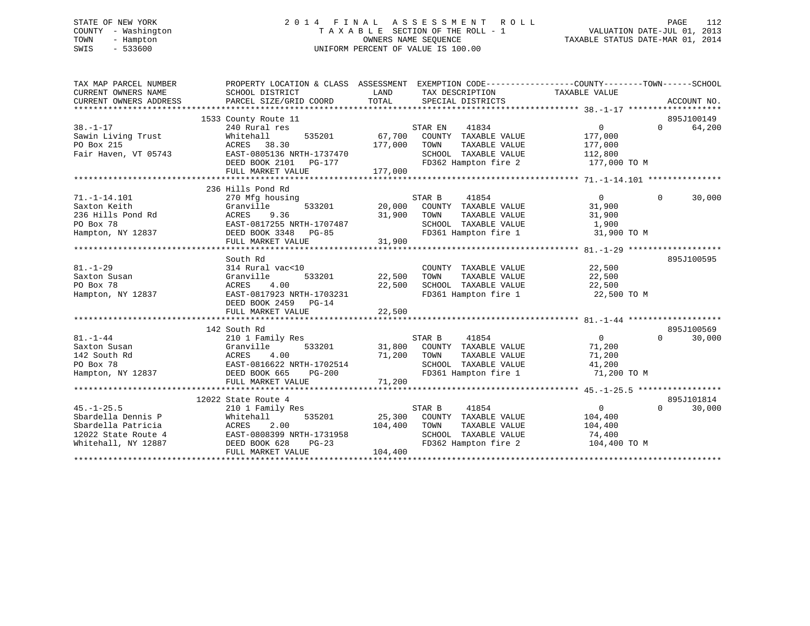# STATE OF NEW YORK 2 0 1 4 F I N A L A S S E S S M E N T R O L L PAGE 112 COUNTY - Washington T A X A B L E SECTION OF THE ROLL - 1 VALUATION DATE-JUL 01, 2013 TOWN - Hampton OWNERS NAME SEQUENCE TAXABLE STATUS DATE-MAR 01, 2014 SWIS - 533600 UNIFORM PERCENT OF VALUE IS 100.00

| TAX MAP PARCEL NUMBER<br>CURRENT OWNERS NAME<br>CURRENT OWNERS ADDRESS | PROPERTY LOCATION & CLASS ASSESSMENT<br>SCHOOL DISTRICT<br>PARCEL SIZE/GRID COORD | LAND<br>TOTAL | EXEMPTION CODE-----------------COUNTY-------TOWN------SCHOOL<br>TAX DESCRIPTION<br>SPECIAL DISTRICTS | TAXABLE VALUE  |          | ACCOUNT NO. |
|------------------------------------------------------------------------|-----------------------------------------------------------------------------------|---------------|------------------------------------------------------------------------------------------------------|----------------|----------|-------------|
|                                                                        | 1533 County Route 11                                                              |               |                                                                                                      |                |          | 895J100149  |
| $38. - 1 - 17$                                                         | 240 Rural res                                                                     |               | STAR EN<br>41834                                                                                     | $\overline{0}$ | $\Omega$ | 64,200      |
| Sawin Living Trust                                                     | 535201<br>Whitehall                                                               | 67,700        | COUNTY TAXABLE VALUE                                                                                 | 177,000        |          |             |
| PO Box 215                                                             | ACRES 38.30                                                                       | 177,000       | TOWN<br>TAXABLE VALUE                                                                                | 177,000        |          |             |
| Fair Haven, VT 05743                                                   | EAST-0805136 NRTH-1737470                                                         |               | SCHOOL TAXABLE VALUE                                                                                 | 112,800        |          |             |
|                                                                        | DEED BOOK 2101 PG-177                                                             |               | FD362 Hampton fire 2                                                                                 | 177,000 TO M   |          |             |
|                                                                        | FULL MARKET VALUE                                                                 | 177,000       |                                                                                                      |                |          |             |
|                                                                        |                                                                                   |               |                                                                                                      |                |          |             |
|                                                                        | 236 Hills Pond Rd                                                                 |               |                                                                                                      |                |          |             |
| $71. - 1 - 14.101$                                                     | 270 Mfg housing                                                                   |               | STAR B<br>41854                                                                                      | $\overline{0}$ | $\Omega$ | 30,000      |
| Saxton Keith                                                           | Granville<br>533201                                                               | 20,000        | COUNTY TAXABLE VALUE                                                                                 | 31,900         |          |             |
| 236 Hills Pond Rd                                                      | 9.36<br>ACRES                                                                     | 31,900        | TAXABLE VALUE<br>TOWN                                                                                | 31,900         |          |             |
| PO Box 78                                                              | EAST-0817255 NRTH-1707487                                                         |               | SCHOOL TAXABLE VALUE                                                                                 | 1,900          |          |             |
| Hampton, NY 12837                                                      | DEED BOOK 3348<br>$PG-85$                                                         |               | FD361 Hampton fire 1                                                                                 | 31,900 TO M    |          |             |
|                                                                        | FULL MARKET VALUE                                                                 | 31,900        |                                                                                                      |                |          |             |
|                                                                        |                                                                                   |               |                                                                                                      |                |          |             |
|                                                                        | South Rd                                                                          |               |                                                                                                      |                |          | 895J100595  |
| $81. - 1 - 29$                                                         | 314 Rural vac<10                                                                  |               | COUNTY TAXABLE VALUE                                                                                 | 22,500         |          |             |
| Saxton Susan                                                           | 533201<br>Granville                                                               | 22,500        | TAXABLE VALUE<br>TOWN                                                                                | 22,500         |          |             |
| PO Box 78                                                              | 4.00<br>ACRES                                                                     | 22,500        | SCHOOL TAXABLE VALUE                                                                                 | 22,500         |          |             |
| Hampton, NY 12837                                                      | EAST-0817923 NRTH-1703231                                                         |               | FD361 Hampton fire 1                                                                                 | 22,500 TO M    |          |             |
|                                                                        | DEED BOOK 2459 PG-14                                                              |               |                                                                                                      |                |          |             |
|                                                                        | FULL MARKET VALUE                                                                 | 22,500        |                                                                                                      |                |          |             |
|                                                                        |                                                                                   |               |                                                                                                      |                |          |             |
|                                                                        | 142 South Rd                                                                      |               |                                                                                                      |                |          | 895J100569  |
| $81. - 1 - 44$                                                         | 210 1 Family Res                                                                  |               | STAR B<br>41854                                                                                      | $\overline{0}$ | $\Omega$ | 30,000      |
| Saxton Susan                                                           | 533201<br>Granville                                                               | 31,800        | COUNTY TAXABLE VALUE                                                                                 | 71,200         |          |             |
| 142 South Rd                                                           | 4.00<br>ACRES                                                                     | 71,200        | TOWN<br>TAXABLE VALUE                                                                                | 71,200         |          |             |
| PO Box 78                                                              | EAST-0816622 NRTH-1702514                                                         |               | SCHOOL TAXABLE VALUE                                                                                 | 41,200         |          |             |
| Hampton, NY 12837                                                      | $PG-200$<br>DEED BOOK 665                                                         |               | FD361 Hampton fire 1                                                                                 | 71,200 TO M    |          |             |
|                                                                        | FULL MARKET VALUE                                                                 | 71,200        |                                                                                                      |                |          |             |
|                                                                        |                                                                                   |               |                                                                                                      |                |          |             |
|                                                                        | 12022 State Route 4                                                               |               |                                                                                                      |                |          | 895J101814  |
| $45. - 1 - 25.5$                                                       | 210 1 Family Res                                                                  |               | STAR B<br>41854                                                                                      | $\mathbf{0}$   | $\Omega$ | 30,000      |
| Sbardella Dennis P                                                     | 535201<br>Whitehall                                                               | 25,300        | COUNTY TAXABLE VALUE                                                                                 | 104,400        |          |             |
| Sbardella Patricia                                                     | 2.00<br>ACRES                                                                     | 104,400       | TOWN<br>TAXABLE VALUE                                                                                | 104,400        |          |             |
| 12022 State Route 4                                                    | EAST-0808399 NRTH-1731958                                                         |               | SCHOOL TAXABLE VALUE                                                                                 | 74,400         |          |             |
| Whitehall, NY 12887                                                    | DEED BOOK 628<br>$PG-23$                                                          |               | FD362 Hampton fire 2                                                                                 | 104,400 TO M   |          |             |
|                                                                        | FULL MARKET VALUE                                                                 | 104,400       |                                                                                                      |                |          |             |
|                                                                        |                                                                                   |               |                                                                                                      |                |          |             |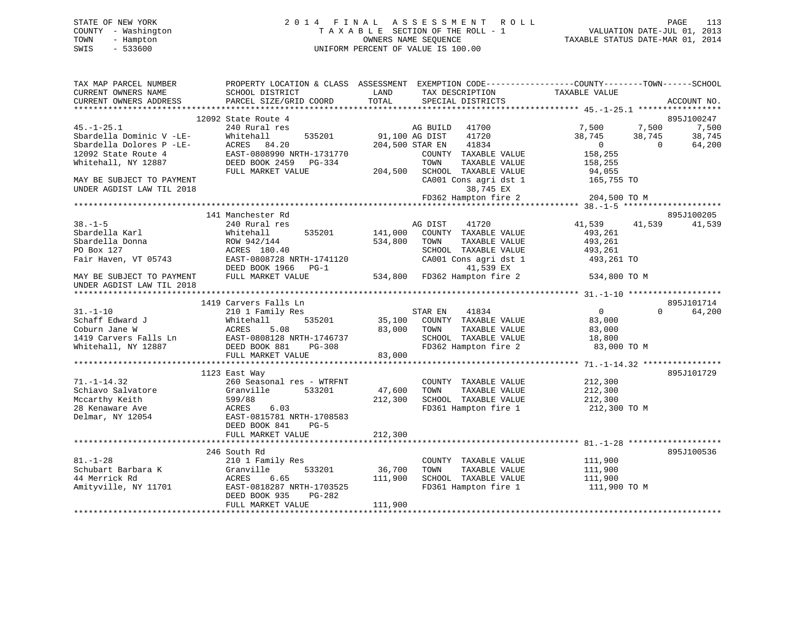# STATE OF NEW YORK 2 0 1 4 F I N A L A S S E S S M E N T R O L L PAGE 113 COUNTY - Washington T A X A B L E SECTION OF THE ROLL - 1 VALUATION DATE-JUL 01, 2013 TOWN - Hampton OWNERS NAME SEQUENCE TAXABLE STATUS DATE-MAR 01, 2014 SWIS - 533600 UNIFORM PERCENT OF VALUE IS 100.00

| TAX MAP PARCEL NUMBER<br>CURRENT OWNERS NAME<br>CURRENT OWNERS ADDRESS | PROPERTY LOCATION & CLASS ASSESSMENT EXEMPTION CODE----------------COUNTY-------TOWN------SCHOOL<br>SCHOOL DISTRICT<br>PARCEL SIZE/GRID COORD | LAND<br>TOTAL                     | TAX DESCRIPTION<br>SPECIAL DISTRICTS | TAXABLE VALUE      |                    | ACCOUNT NO.      |
|------------------------------------------------------------------------|-----------------------------------------------------------------------------------------------------------------------------------------------|-----------------------------------|--------------------------------------|--------------------|--------------------|------------------|
|                                                                        |                                                                                                                                               |                                   |                                      |                    |                    |                  |
|                                                                        | 12092 State Route 4                                                                                                                           |                                   |                                      |                    |                    | 895J100247       |
| $45. - 1 - 25.1$                                                       | 240 Rural res                                                                                                                                 |                                   | AG BUILD<br>41700                    | 7,500              | 7,500              | 7,500            |
| Sbardella Dominic V -LE-<br>Sbardella Dolores P -LE-                   | 535201<br>Whitehall<br>ACRES<br>84.20                                                                                                         | 91,100 AG DIST<br>204,500 STAR EN | 41720<br>41834                       | 38,745<br>$\Omega$ | 38,745<br>$\Omega$ | 38,745<br>64,200 |
| 12092 State Route 4                                                    | EAST-0808990 NRTH-1731770                                                                                                                     |                                   | COUNTY TAXABLE VALUE                 | 158,255            |                    |                  |
| Whitehall, NY 12887                                                    | DEED BOOK 2459 PG-334                                                                                                                         |                                   | TOWN<br>TAXABLE VALUE                | 158,255            |                    |                  |
|                                                                        | FULL MARKET VALUE                                                                                                                             | 204,500                           | SCHOOL TAXABLE VALUE                 | 94,055             |                    |                  |
| MAY BE SUBJECT TO PAYMENT                                              |                                                                                                                                               |                                   | CA001 Cons agri dst 1                | 165,755 TO         |                    |                  |
| UNDER AGDIST LAW TIL 2018                                              |                                                                                                                                               |                                   | 38,745 EX                            |                    |                    |                  |
|                                                                        |                                                                                                                                               |                                   | FD362 Hampton fire 2                 | 204,500 TO M       |                    |                  |
|                                                                        |                                                                                                                                               |                                   |                                      |                    |                    |                  |
|                                                                        | 141 Manchester Rd                                                                                                                             |                                   |                                      |                    |                    | 895J100205       |
| $38. - 1 - 5$                                                          | 240 Rural res                                                                                                                                 |                                   | 41720<br>AG DIST                     | 41,539             | 41,539             | 41,539           |
| Sbardella Karl                                                         | 535201<br>Whitehall                                                                                                                           | 141,000                           | COUNTY TAXABLE VALUE                 | 493,261            |                    |                  |
| Sbardella Donna                                                        | ROW 942/144                                                                                                                                   | 534,800                           | TAXABLE VALUE<br>TOWN                | 493,261            |                    |                  |
| PO Box 127                                                             | ACRES 180.40                                                                                                                                  |                                   | SCHOOL TAXABLE VALUE                 | 493,261            |                    |                  |
| Fair Haven, VT 05743                                                   | EAST-0808728 NRTH-1741120                                                                                                                     |                                   | CA001 Cons agri dst 1                | 493,261 TO         |                    |                  |
|                                                                        | DEED BOOK 1966<br>$PG-1$                                                                                                                      |                                   | 41,539 EX                            |                    |                    |                  |
| MAY BE SUBJECT TO PAYMENT                                              | FULL MARKET VALUE                                                                                                                             | 534,800                           | FD362 Hampton fire 2                 | 534,800 TO M       |                    |                  |
| UNDER AGDIST LAW TIL 2018                                              |                                                                                                                                               |                                   |                                      |                    |                    |                  |
|                                                                        | 1419 Carvers Falls Ln                                                                                                                         |                                   |                                      |                    |                    | 895J101714       |
| $31. - 1 - 10$                                                         |                                                                                                                                               |                                   | 41834<br>STAR EN                     | $\overline{0}$     | $\Omega$           | 64,200           |
| Schaff Edward J                                                        | 210 1 Family Res<br>535201<br>Whitehall                                                                                                       | 35,100                            | COUNTY TAXABLE VALUE                 | 83,000             |                    |                  |
| Coburn Jane W                                                          | ACRES<br>5.08                                                                                                                                 | 83,000                            | TOWN<br>TAXABLE VALUE                | 83,000             |                    |                  |
| 1419 Carvers Falls Ln                                                  | EAST-0808128 NRTH-1746737                                                                                                                     |                                   | SCHOOL TAXABLE VALUE                 | 18,800             |                    |                  |
| Whitehall, NY 12887                                                    | DEED BOOK 881<br>PG-308                                                                                                                       |                                   | FD362 Hampton fire 2                 | 83,000 TO M        |                    |                  |
|                                                                        | FULL MARKET VALUE                                                                                                                             | 83,000                            |                                      |                    |                    |                  |
|                                                                        |                                                                                                                                               |                                   |                                      |                    |                    |                  |
|                                                                        | 1123 East Way                                                                                                                                 |                                   |                                      |                    |                    | 895J101729       |
| $71. - 1 - 14.32$                                                      | 260 Seasonal res - WTRFNT                                                                                                                     |                                   | COUNTY TAXABLE VALUE                 | 212,300            |                    |                  |
| Schiavo Salvatore                                                      | Granville<br>533201                                                                                                                           | 47,600                            | TOWN<br>TAXABLE VALUE                | 212,300            |                    |                  |
| Mccarthy Keith                                                         | 599/88                                                                                                                                        | 212,300                           | SCHOOL TAXABLE VALUE                 | 212,300            |                    |                  |
| 28 Kenaware Ave                                                        | 6.03<br>ACRES                                                                                                                                 |                                   | FD361 Hampton fire 1                 | 212,300 TO M       |                    |                  |
| Delmar, NY 12054                                                       | EAST-0815781 NRTH-1708583                                                                                                                     |                                   |                                      |                    |                    |                  |
|                                                                        | DEED BOOK 841<br>$PG-5$                                                                                                                       |                                   |                                      |                    |                    |                  |
|                                                                        | FULL MARKET VALUE                                                                                                                             | 212,300                           |                                      |                    |                    |                  |
|                                                                        |                                                                                                                                               |                                   |                                      |                    |                    |                  |
|                                                                        | 246 South Rd                                                                                                                                  |                                   |                                      |                    |                    | 895J100536       |
| $81. - 1 - 28$                                                         | 210 1 Family Res                                                                                                                              |                                   | COUNTY TAXABLE VALUE                 | 111,900            |                    |                  |
| Schubart Barbara K                                                     | 533201<br>Granville                                                                                                                           | 36,700                            | TAXABLE VALUE<br>TOWN                | 111,900            |                    |                  |
| 44 Merrick Rd                                                          | ACRES<br>6.65                                                                                                                                 | 111,900                           | SCHOOL TAXABLE VALUE                 | 111,900            |                    |                  |
| Amityville, NY 11701                                                   | EAST-0818287 NRTH-1703525                                                                                                                     |                                   | FD361 Hampton fire 1                 | 111,900 TO M       |                    |                  |
|                                                                        | DEED BOOK 935<br>PG-282                                                                                                                       |                                   |                                      |                    |                    |                  |
|                                                                        | FULL MARKET VALUE                                                                                                                             | 111,900                           |                                      |                    |                    |                  |
|                                                                        |                                                                                                                                               |                                   |                                      |                    |                    |                  |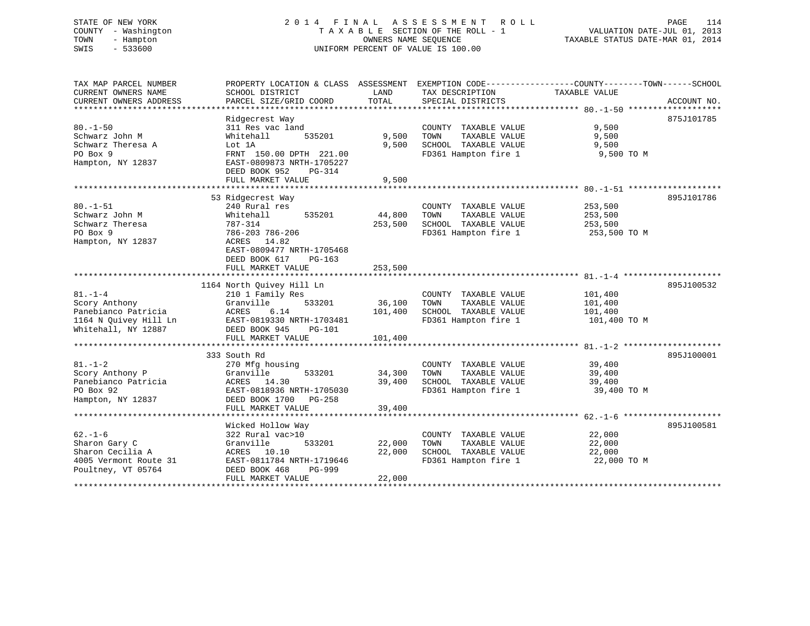#### STATE OF NEW YORK 2014 FINAL ASSESSMENT ROLL COUNTY - Washington T A X A B L E SECTION OF THE ROLL - 1 TOWN - Hampton OWNERS NAME SEQUENCE TAXABLE STATUS DATE-MAR 01, 2014 SWIS - 533600 UNIFORM PERCENT OF VALUE IS 100.00

VALUATION DATE-JUL 01, 2013

| TAX MAP PARCEL NUMBER<br>CURRENT OWNERS NAME<br>CURRENT OWNERS ADDRESS | PROPERTY LOCATION & CLASS ASSESSMENT<br>SCHOOL DISTRICT<br>PARCEL SIZE/GRID COORD | LAND<br><b>TOTAL</b> | EXEMPTION CODE-----------------COUNTY-------TOWN------SCHOOL<br>TAX DESCRIPTION<br>SPECIAL DISTRICTS | TAXABLE VALUE | ACCOUNT NO. |
|------------------------------------------------------------------------|-----------------------------------------------------------------------------------|----------------------|------------------------------------------------------------------------------------------------------|---------------|-------------|
| *************************                                              |                                                                                   |                      |                                                                                                      |               |             |
|                                                                        | Ridgecrest Way                                                                    |                      |                                                                                                      |               | 875J101785  |
| $80. -1 - 50$                                                          | 311 Res vac land                                                                  |                      | COUNTY TAXABLE VALUE                                                                                 | 9,500         |             |
| Schwarz John M                                                         | 535201<br>Whitehall                                                               | 9,500                | TOWN<br>TAXABLE VALUE                                                                                | 9,500         |             |
| Schwarz Theresa A                                                      | Lot 1A                                                                            | 9,500                | SCHOOL TAXABLE VALUE                                                                                 | 9,500         |             |
| PO Box 9                                                               | FRNT 150.00 DPTH 221.00                                                           |                      | FD361 Hampton fire 1                                                                                 | 9,500 TO M    |             |
| Hampton, NY 12837                                                      | EAST-0809873 NRTH-1705227<br>DEED BOOK 952<br>$PG-314$                            |                      |                                                                                                      |               |             |
|                                                                        | FULL MARKET VALUE                                                                 | 9,500                |                                                                                                      |               |             |
|                                                                        |                                                                                   |                      |                                                                                                      |               |             |
|                                                                        | 53 Ridgecrest Way                                                                 |                      |                                                                                                      |               | 895J101786  |
| $80. - 1 - 51$                                                         | 240 Rural res                                                                     |                      | COUNTY TAXABLE VALUE                                                                                 | 253,500       |             |
| Schwarz John M                                                         | Whitehall<br>535201                                                               | 44,800               | TOWN<br>TAXABLE VALUE                                                                                | 253,500       |             |
| Schwarz Theresa                                                        | 787-314                                                                           | 253,500              | SCHOOL TAXABLE VALUE                                                                                 | 253,500       |             |
| PO Box 9                                                               | 786-203 786-206                                                                   |                      | FD361 Hampton fire 1                                                                                 | 253,500 TO M  |             |
| Hampton, NY 12837                                                      | 14.82<br>ACRES<br>EAST-0809477 NRTH-1705468                                       |                      |                                                                                                      |               |             |
|                                                                        | DEED BOOK 617<br>$PG-163$                                                         |                      |                                                                                                      |               |             |
|                                                                        | FULL MARKET VALUE                                                                 | 253,500              |                                                                                                      |               |             |
|                                                                        | 1164 North Quivey Hill Ln                                                         |                      |                                                                                                      |               | 895J100532  |
| $81. - 1 - 4$                                                          | 210 1 Family Res                                                                  |                      | COUNTY TAXABLE VALUE                                                                                 | 101,400       |             |
| Scory Anthony                                                          | Granville<br>533201                                                               | 36,100               | TAXABLE VALUE<br>TOWN                                                                                | 101,400       |             |
| Panebianco Patricia                                                    | 6.14<br>ACRES                                                                     | 101,400              | SCHOOL TAXABLE VALUE                                                                                 | 101,400       |             |
| 1164 N Quivey Hill Ln                                                  | EAST-0819330 NRTH-1703481                                                         |                      | FD361 Hampton fire 1                                                                                 | 101,400 TO M  |             |
| Whitehall, NY 12887                                                    | DEED BOOK 945<br>PG-101                                                           |                      |                                                                                                      |               |             |
|                                                                        | FULL MARKET VALUE                                                                 | 101,400              |                                                                                                      |               |             |
|                                                                        |                                                                                   |                      |                                                                                                      |               |             |
|                                                                        | 333 South Rd                                                                      |                      |                                                                                                      |               | 895J100001  |
| $81. - 1 - 2$                                                          | 270 Mfg housing                                                                   |                      | COUNTY TAXABLE VALUE                                                                                 | 39,400        |             |
| Scory Anthony P                                                        | Granville<br>533201                                                               | 34,300               | TAXABLE VALUE<br>TOWN                                                                                | 39,400        |             |
| Panebianco Patricia                                                    | ACRES<br>14.30                                                                    | 39,400               | SCHOOL TAXABLE VALUE                                                                                 | 39,400        |             |
| PO Box 92                                                              | EAST-0818936 NRTH-1705030                                                         |                      | FD361 Hampton fire 1                                                                                 | 39,400 TO M   |             |
| Hampton, NY 12837                                                      | DEED BOOK 1700<br>$PG-258$                                                        |                      |                                                                                                      |               |             |
|                                                                        | FULL MARKET VALUE                                                                 | 39,400               |                                                                                                      |               |             |
|                                                                        |                                                                                   |                      |                                                                                                      |               |             |
|                                                                        | Wicked Hollow Way                                                                 |                      |                                                                                                      |               | 895J100581  |
| $62. - 1 - 6$                                                          | 322 Rural vac>10                                                                  |                      | COUNTY TAXABLE VALUE                                                                                 | 22,000        |             |
| Sharon Gary C                                                          | Granville<br>533201                                                               | 22,000               | TOWN<br>TAXABLE VALUE                                                                                | 22,000        |             |
| Sharon Cecilia A                                                       | ACRES 10.10                                                                       | 22,000               | SCHOOL TAXABLE VALUE                                                                                 | 22,000        |             |
| 4005 Vermont Route 31                                                  | EAST-0811784 NRTH-1719646                                                         |                      | FD361 Hampton fire 1                                                                                 | 22,000 TO M   |             |
| Poultney, VT 05764                                                     | DEED BOOK 468<br>PG-999                                                           |                      |                                                                                                      |               |             |
|                                                                        | FULL MARKET VALUE                                                                 | 22,000               |                                                                                                      |               |             |
|                                                                        |                                                                                   |                      |                                                                                                      |               |             |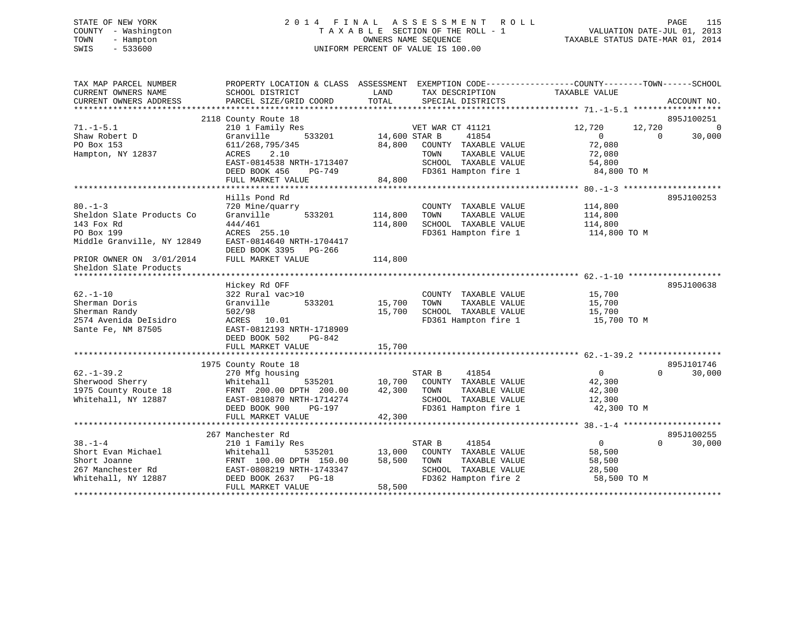# STATE OF NEW YORK 2 0 1 4 F I N A L A S S E S S M E N T R O L L PAGE 115 COUNTY - Washington T A X A B L E SECTION OF THE ROLL - 1 VALUATION DATE-JUL 01, 2013 TOWN - Hampton OWNERS NAME SEQUENCE TAXABLE STATUS DATE-MAR 01, 2014 SWIS - 533600 UNIFORM PERCENT OF VALUE IS 100.00

| TAX MAP PARCEL NUMBER<br>CURRENT OWNERS NAME<br>CURRENT OWNERS ADDRESS | SCHOOL DISTRICT<br>PARCEL SIZE/GRID COORD | PROPERTY LOCATION & CLASS ASSESSMENT EXEMPTION CODE---------------COUNTY-------TOWN-----SCHOOL<br>LAND<br>TAX DESCRIPTION<br>TOTAL<br>SPECIAL DISTRICTS | TAXABLE VALUE<br>ACCOUNT NO.         |
|------------------------------------------------------------------------|-------------------------------------------|---------------------------------------------------------------------------------------------------------------------------------------------------------|--------------------------------------|
|                                                                        |                                           |                                                                                                                                                         |                                      |
|                                                                        | 2118 County Route 18                      |                                                                                                                                                         | 895J100251                           |
| $71. - 1 - 5.1$                                                        | 210 1 Family Res                          | VET WAR CT 41121                                                                                                                                        | 12,720<br>12,720<br>$\Omega$         |
| Shaw Robert D                                                          | Granville<br>533201                       | 41854<br>14,600 STAR B                                                                                                                                  | $\Omega$<br>30,000<br>$\Omega$       |
| PO Box 153                                                             | 611/268,795/345                           | 84,800<br>COUNTY TAXABLE VALUE                                                                                                                          | 72,080                               |
| Hampton, NY 12837                                                      | 2.10<br>ACRES                             | TOWN<br>TAXABLE VALUE                                                                                                                                   | 72,080                               |
|                                                                        | EAST-0814538 NRTH-1713407                 | SCHOOL TAXABLE VALUE                                                                                                                                    | 54,800                               |
|                                                                        | DEED BOOK 456<br>PG-749                   | FD361 Hampton fire 1                                                                                                                                    | 84,800 TO M                          |
|                                                                        | FULL MARKET VALUE                         | 84,800                                                                                                                                                  |                                      |
|                                                                        |                                           |                                                                                                                                                         |                                      |
|                                                                        | Hills Pond Rd                             |                                                                                                                                                         | 895J100253                           |
| $80. -1 - 3$                                                           | 720 Mine/quarry                           | COUNTY TAXABLE VALUE                                                                                                                                    | 114,800                              |
| Sheldon Slate Products Co                                              | Granville<br>533201                       | 114,800<br>TAXABLE VALUE<br>TOWN                                                                                                                        | 114,800                              |
| 143 Fox Rd                                                             | 444/461                                   | 114,800<br>SCHOOL TAXABLE VALUE                                                                                                                         | 114,800                              |
| PO Box 199                                                             | ACRES 255.10                              | FD361 Hampton fire 1                                                                                                                                    | 114,800 TO M                         |
| Middle Granville, NY 12849                                             | EAST-0814640 NRTH-1704417                 |                                                                                                                                                         |                                      |
|                                                                        | DEED BOOK 3395 PG-266                     |                                                                                                                                                         |                                      |
| PRIOR OWNER ON 3/01/2014                                               | FULL MARKET VALUE                         | 114,800                                                                                                                                                 |                                      |
| Sheldon Slate Products                                                 |                                           |                                                                                                                                                         |                                      |
|                                                                        |                                           |                                                                                                                                                         |                                      |
|                                                                        | Hickey Rd OFF                             |                                                                                                                                                         | 895J100638                           |
| $62. - 1 - 10$                                                         | 322 Rural vac>10                          | COUNTY TAXABLE VALUE                                                                                                                                    | 15,700                               |
| Sherman Doris                                                          | 533201<br>Granville                       | TOWN<br>TAXABLE VALUE                                                                                                                                   | 15,700                               |
| Sherman Randy                                                          |                                           | 15,700                                                                                                                                                  |                                      |
|                                                                        | 502/98                                    | SCHOOL TAXABLE VALUE<br>15,700                                                                                                                          | 15,700                               |
| 2574 Avenida DeIsidro                                                  | ACRES 10.01                               | FD361 Hampton fire 1                                                                                                                                    | 15,700 TO M                          |
| Sante Fe, NM 87505                                                     | EAST-0812193 NRTH-1718909                 |                                                                                                                                                         |                                      |
|                                                                        | DEED BOOK 502<br>PG-842                   |                                                                                                                                                         |                                      |
|                                                                        | FULL MARKET VALUE                         | 15,700                                                                                                                                                  |                                      |
|                                                                        |                                           |                                                                                                                                                         |                                      |
|                                                                        | 1975 County Route 18                      |                                                                                                                                                         | 895J101746                           |
| $62. - 1 - 39.2$                                                       | 270 Mfg housing                           | 41854<br>STAR B                                                                                                                                         | $\overline{0}$<br>$\Omega$<br>30,000 |
| Sherwood Sherry                                                        | Whitehall<br>535201                       | COUNTY TAXABLE VALUE<br>10,700                                                                                                                          | 42,300                               |
| 1975 County Route 18                                                   | FRNT 200.00 DPTH 200.00                   | 42,300<br>TOWN<br>TAXABLE VALUE                                                                                                                         | 42,300                               |
| Whitehall, NY 12887                                                    | EAST-0810870 NRTH-1714274                 | SCHOOL TAXABLE VALUE                                                                                                                                    | 12,300                               |
|                                                                        | DEED BOOK 900<br>PG-197                   | FD361 Hampton fire 1                                                                                                                                    | 42,300 TO M                          |
|                                                                        | FULL MARKET VALUE                         | 42,300                                                                                                                                                  |                                      |
|                                                                        |                                           |                                                                                                                                                         |                                      |
|                                                                        | 267 Manchester Rd                         |                                                                                                                                                         | 895J100255                           |
| $38. - 1 - 4$                                                          | 210 1 Family Res                          | 41854<br>STAR B                                                                                                                                         | $\overline{0}$<br>$\Omega$<br>30,000 |
| Short Evan Michael                                                     | Whitehall<br>535201                       | 13,000<br>COUNTY TAXABLE VALUE                                                                                                                          | 58,500                               |
| Short Joanne                                                           | FRNT 100.00 DPTH 150.00                   | 58,500<br>TOWN<br>TAXABLE VALUE                                                                                                                         | 58,500                               |
| 267 Manchester Rd                                                      | EAST-0808219 NRTH-1743347                 | SCHOOL TAXABLE VALUE                                                                                                                                    | 28,500                               |
| Whitehall, NY 12887                                                    | DEED BOOK 2637<br>$PG-18$                 | FD362 Hampton fire 2                                                                                                                                    | 58,500 TO M                          |
|                                                                        | FULL MARKET VALUE                         | 58,500                                                                                                                                                  |                                      |
|                                                                        |                                           |                                                                                                                                                         |                                      |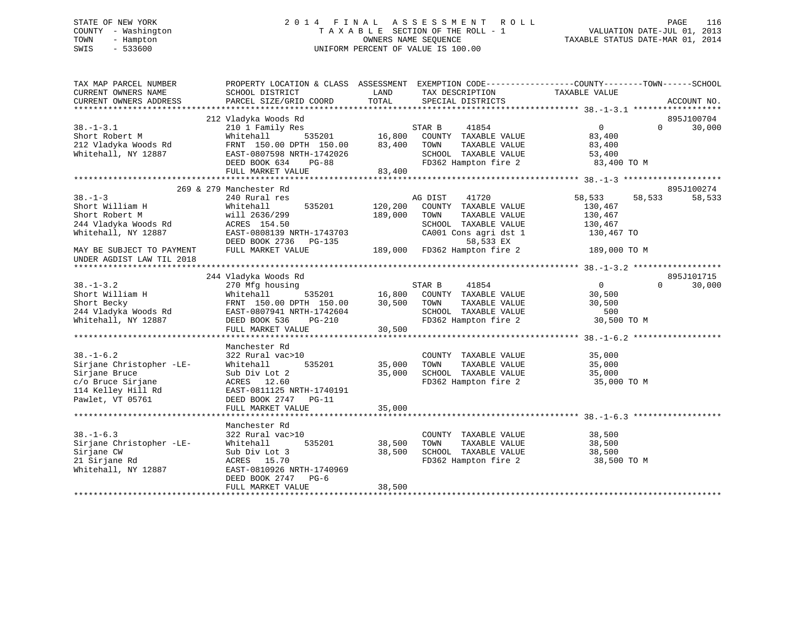# STATE OF NEW YORK 2 0 1 4 F I N A L A S S E S S M E N T R O L L PAGE 116 COUNTY - Washington T A X A B L E SECTION OF THE ROLL - 1 VALUATION DATE-JUL 01, 2013 TOWN - Hampton OWNERS NAME SEQUENCE TAXABLE STATUS DATE-MAR 01, 2014 SWIS - 533600 UNIFORM PERCENT OF VALUE IS 100.00

| TAX MAP PARCEL NUMBER<br>CURRENT OWNERS NAME                | PROPERTY LOCATION & CLASS ASSESSMENT EXEMPTION CODE---------------COUNTY-------TOWN-----SCHOOL<br>SCHOOL DISTRICT                                                                                                                        |         | LAND TAX DESCRIPTION TAXABLE VALUE COORD TOTAL SPECIAL DISTRICTS              |                                                           |                    |
|-------------------------------------------------------------|------------------------------------------------------------------------------------------------------------------------------------------------------------------------------------------------------------------------------------------|---------|-------------------------------------------------------------------------------|-----------------------------------------------------------|--------------------|
| CURRENT OWNERS ADDRESS                                      | PARCEL SIZE/GRID COORD                                                                                                                                                                                                                   |         |                                                                               |                                                           | ACCOUNT NO.        |
|                                                             | 212 Vladyka Woods Rd                                                                                                                                                                                                                     |         |                                                                               |                                                           | 895J100704         |
| $38. - 1 - 3.1$                                             | 210 1 Family Res                                                                                                                                                                                                                         |         | 1<br>535201 16,800 COUNTY TAXABLE VALUE<br>535201 16,800 COUNTY TAXABLE VALUE | $\overline{0}$                                            | 30,000<br>$\Omega$ |
|                                                             |                                                                                                                                                                                                                                          |         |                                                                               |                                                           |                    |
|                                                             |                                                                                                                                                                                                                                          |         |                                                                               |                                                           |                    |
|                                                             |                                                                                                                                                                                                                                          |         |                                                                               |                                                           |                    |
|                                                             |                                                                                                                                                                                                                                          |         |                                                                               |                                                           |                    |
|                                                             |                                                                                                                                                                                                                                          |         |                                                                               |                                                           |                    |
|                                                             | 38.-1-3.1 (1997)<br>Short Robert M (1908) Mitchall (1908) 2011 16,800 COUNTY TAXABLE VALUE<br>212 Vladyka Woods Rd (1908) FRNT 150.00 DPTH 150.00 (33,400 TOWN TAXABLE VALUE (29,400 SCHOOL)<br>212 Vladyka Woods Rd (29) EAST-08075     |         |                                                                               |                                                           |                    |
|                                                             | 269 & 279 Manchester Rd                                                                                                                                                                                                                  |         |                                                                               |                                                           | 895J100274         |
|                                                             |                                                                                                                                                                                                                                          |         | AG DIST<br>41720                                                              | 58,533<br>58,533                                          | 58,533             |
|                                                             | 535201 120,200                                                                                                                                                                                                                           |         | COUNTY TAXABLE VALUE                                                          | 130,467                                                   |                    |
|                                                             |                                                                                                                                                                                                                                          | 189,000 | TAXABLE VALUE<br>TOWN                                                         | 130,467                                                   |                    |
|                                                             |                                                                                                                                                                                                                                          |         | SCHOOL TAXABLE VALUE                                                          | 130,467                                                   |                    |
|                                                             |                                                                                                                                                                                                                                          |         | CA001 Cons agri dst 1                                                         | 130,467 TO                                                |                    |
|                                                             |                                                                                                                                                                                                                                          |         |                                                                               |                                                           |                    |
| MAY BE SUBJECT TO PAYMENT                                   | DEED BOOK 2736 PG-135 58,533 EX<br>FULL MARKET VALUE 189,000 FD362 Hampton fire 2 189,000 TO M                                                                                                                                           |         |                                                                               |                                                           |                    |
| UNDER AGDIST LAW TIL 2018                                   |                                                                                                                                                                                                                                          |         |                                                                               |                                                           |                    |
|                                                             |                                                                                                                                                                                                                                          |         |                                                                               |                                                           |                    |
|                                                             | 244 Vladyka Woods Rd                                                                                                                                                                                                                     |         |                                                                               |                                                           | 895J101715         |
| $38. - 1 - 3.2$                                             | 270 Mfg housing                                                                                                                                                                                                                          |         | 1<br>535201 16,800 COUNTY TAXABLE VALUE<br>16,800 COUNTY TAXABLE VALUE        | $\overline{0}$                                            | $\Omega$<br>30,000 |
|                                                             | 38.-1-3.2<br>Short William H (Mitehall 535201 16,800 COUNT<br>Short Becky FRNT 150.00 DPTH 150.00 30,500 TOWN<br>244 Vladyka Woods Rd EAST-0807941 NRTH-1742604 SCHOO:<br>Whitehall, NY 12887 DEED BOOK 536 PG-210 FD362<br>THE MONTH MA |         |                                                                               | 30,500                                                    |                    |
|                                                             |                                                                                                                                                                                                                                          |         | TAXABLE VALUE                                                                 | 30,500                                                    |                    |
|                                                             |                                                                                                                                                                                                                                          |         |                                                                               |                                                           |                    |
|                                                             |                                                                                                                                                                                                                                          |         | SCHOOL TAXABLE VALUE 500<br>FD362 Hampton fire 2 30,500 TO M                  |                                                           |                    |
|                                                             | FULL MARKET VALUE                                                                                                                                                                                                                        | 30,500  |                                                                               |                                                           |                    |
|                                                             |                                                                                                                                                                                                                                          |         |                                                                               |                                                           |                    |
|                                                             | Manchester Rd                                                                                                                                                                                                                            |         |                                                                               |                                                           |                    |
| $38. - 1 - 6.2$                                             | 322 Rural vac>10                                                                                                                                                                                                                         |         | COUNTY TAXABLE VALUE                                                          |                                                           |                    |
| Sirjane Christopher -LE-                                    | vac>10<br>535201 35,000<br>:2<br>Whitehall                                                                                                                                                                                               |         | TOWN                                                                          |                                                           |                    |
| Sirjane Bruce                                               | Sub Div Lot 2                                                                                                                                                                                                                            | 35,000  | SCHOOL TAXABLE VALUE                                                          | TAXABLE VALUE<br>TAXABLE VALUE 35,000<br>- ******* 35,000 |                    |
| c/o Bruce Sirjane<br>114 Kelley Hill Rd<br>Pawlet, VT 05761 | ACRES 12.60                                                                                                                                                                                                                              |         | FD362 Hampton fire 2 35,000 TO M                                              |                                                           |                    |
|                                                             | EAST-0811125 NRTH-1740191                                                                                                                                                                                                                |         |                                                                               |                                                           |                    |
|                                                             | DEED BOOK 2747 PG-11                                                                                                                                                                                                                     |         |                                                                               |                                                           |                    |
|                                                             | FULL MARKET VALUE                                                                                                                                                                                                                        | 35,000  |                                                                               |                                                           |                    |
|                                                             |                                                                                                                                                                                                                                          |         |                                                                               |                                                           |                    |
|                                                             | Manchester Rd                                                                                                                                                                                                                            |         |                                                                               |                                                           |                    |
| $38. - 1 - 6.3$                                             | 322 Rural vac>10                                                                                                                                                                                                                         |         | COUNTY TAXABLE VALUE                                                          | 38,500                                                    |                    |
| Sirjane Christopher -LE-                                    | 535201 38,500<br>Whitehall                                                                                                                                                                                                               |         | TOWN                                                                          | TAXABLE VALUE 38,500                                      |                    |
| Sirjane CW                                                  | Sub Div Lot 3                                                                                                                                                                                                                            | 38,500  |                                                                               |                                                           |                    |
| 21 Sirjane Rd                                               | ACRES 15.70                                                                                                                                                                                                                              |         |                                                                               |                                                           |                    |
| Whitehall, NY 12887                                         | EAST-0810926 NRTH-1740969                                                                                                                                                                                                                |         |                                                                               |                                                           |                    |
|                                                             | DEED BOOK 2747 PG-6                                                                                                                                                                                                                      |         |                                                                               |                                                           |                    |
|                                                             | FULL MARKET VALUE                                                                                                                                                                                                                        | 38,500  |                                                                               |                                                           |                    |
|                                                             |                                                                                                                                                                                                                                          |         |                                                                               |                                                           |                    |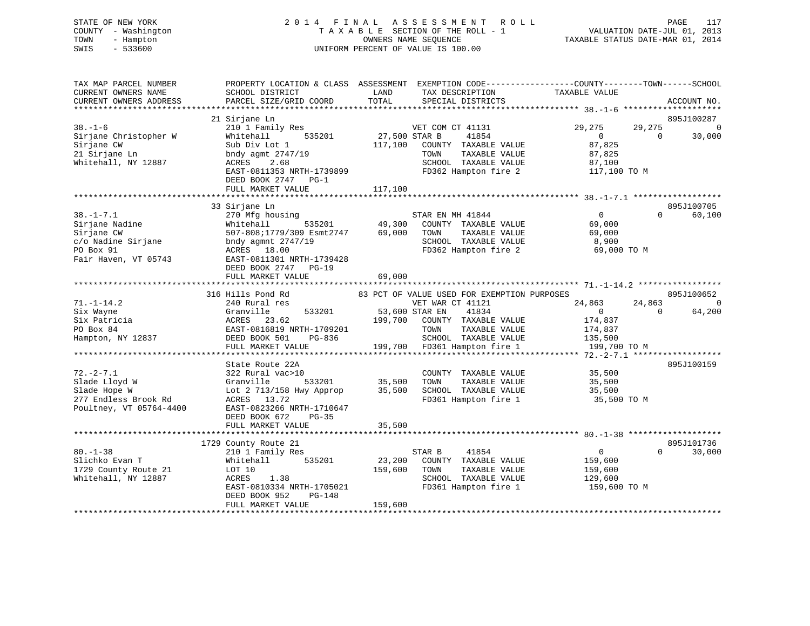# STATE OF NEW YORK 2 0 1 4 F I N A L A S S E S S M E N T R O L L PAGE 117 COUNTY - Washington T A X A B L E SECTION OF THE ROLL - 1 VALUATION DATE-JUL 01, 2013 TOWN - Hampton OWNERS NAME SEQUENCE TAXABLE STATUS DATE-MAR 01, 2014 SWIS - 533600 UNIFORM PERCENT OF VALUE IS 100.00

| TAX MAP PARCEL NUMBER<br>CURRENT OWNERS NAME<br>CURRENT OWNERS ADDRESS                                     | PROPERTY LOCATION & CLASS ASSESSMENT<br>SCHOOL DISTRICT<br>PARCEL SIZE/GRID COORD                                                                        | LAND<br>TAX DESCRIPTION<br>TOTAL<br>SPECIAL DISTRICTS                                                                                 | EXEMPTION CODE-----------------COUNTY-------TOWN------SCHOOL<br>TAXABLE VALUE<br>ACCOUNT NO. |
|------------------------------------------------------------------------------------------------------------|----------------------------------------------------------------------------------------------------------------------------------------------------------|---------------------------------------------------------------------------------------------------------------------------------------|----------------------------------------------------------------------------------------------|
|                                                                                                            |                                                                                                                                                          |                                                                                                                                       |                                                                                              |
| $38. - 1 - 6$                                                                                              | 21 Sirjane Ln<br>210 1 Family Res                                                                                                                        | VET COM CT 41131                                                                                                                      | 895J100287<br>29,275<br>29,275<br>0                                                          |
| Sirjane Christopher W<br>Sirjane CW<br>21 Sirjane Ln<br>Whitehall, NY 12887                                | Whitehall<br>535201<br>Sub Div Lot 1<br>bndy agmt 2747/19<br>2.68<br>ACRES                                                                               | 27,500 STAR B<br>41854<br>117,100<br>COUNTY TAXABLE VALUE<br>TAXABLE VALUE<br>TOWN<br>SCHOOL TAXABLE VALUE                            | 30,000<br>$\overline{0}$<br>$\Omega$<br>87,825<br>87,825<br>87,100                           |
|                                                                                                            | EAST-0811353 NRTH-1739899<br>DEED BOOK 2747 PG-1<br>FULL MARKET VALUE                                                                                    | FD362 Hampton fire 2<br>117,100                                                                                                       | 117,100 TO M                                                                                 |
|                                                                                                            |                                                                                                                                                          |                                                                                                                                       |                                                                                              |
| $38. - 1 - 7.1$<br>Sirjane Nadine<br>Sirjane CW<br>c/o Nadine Sirjane<br>PO Box 91<br>Fair Haven, VT 05743 | 33 Sirjane Ln<br>270 Mfg housing<br>Whitehall<br>535201<br>507-808;1779/309 Esmt2747<br>bndy agmnt $2747/19$<br>ACRES 18.00<br>EAST-0811301 NRTH-1739428 | STAR EN MH 41844<br>49,300<br>COUNTY TAXABLE VALUE<br>69,000<br>TAXABLE VALUE<br>TOWN<br>SCHOOL TAXABLE VALUE<br>FD362 Hampton fire 2 | 895J100705<br>$\Omega$<br>60,100<br>$\Omega$<br>69,000<br>69,000<br>8,900<br>69,000 TO M     |
|                                                                                                            | DEED BOOK 2747<br>$PG-19$                                                                                                                                |                                                                                                                                       |                                                                                              |
|                                                                                                            | FULL MARKET VALUE                                                                                                                                        | 69,000                                                                                                                                |                                                                                              |
|                                                                                                            | 316 Hills Pond Rd                                                                                                                                        | 83 PCT OF VALUE USED FOR EXEMPTION PURPOSES                                                                                           | 895J100652                                                                                   |
| $71. - 1 - 14.2$<br>Six Wayne<br>Six Patricia                                                              | 240 Rural res<br>533201<br>Granville<br>23.62<br>ACRES                                                                                                   | VET WAR CT 41121<br>53,600 STAR EN<br>41834<br>199,700<br>COUNTY TAXABLE VALUE                                                        | 24,863<br>24,863<br>0<br>64,200<br>$\Omega$<br>$\mathbf{0}$<br>174,837                       |
| PO Box 84<br>Hampton, NY 12837                                                                             | EAST-0816819 NRTH-1709201<br>DEED BOOK 501<br>PG-836<br>FULL MARKET VALUE                                                                                | TAXABLE VALUE<br>TOWN<br>SCHOOL TAXABLE VALUE<br>199,700<br>FD361 Hampton fire 1                                                      | 174,837<br>135,500<br>199,700 TO M                                                           |
|                                                                                                            |                                                                                                                                                          |                                                                                                                                       |                                                                                              |
| $72. - 2 - 7.1$<br>Slade Lloyd W                                                                           | State Route 22A<br>322 Rural vac>10<br>Granville<br>533201                                                                                               | COUNTY TAXABLE VALUE<br>35,500<br>TOWN<br>TAXABLE VALUE                                                                               | 895J100159<br>35,500<br>35,500                                                               |
| Slade Hope W<br>277 Endless Brook Rd<br>Poultney, VT 05764-4400                                            | Lot 2 713/158 Hwy Approp<br>ACRES 13.72<br>EAST-0823266 NRTH-1710647<br>DEED BOOK 672<br>$PG-35$<br>FULL MARKET VALUE                                    | 35,500<br>SCHOOL TAXABLE VALUE<br>FD361 Hampton fire 1<br>35,500                                                                      | 35,500<br>35,500 TO M                                                                        |
|                                                                                                            |                                                                                                                                                          |                                                                                                                                       |                                                                                              |
|                                                                                                            | 1729 County Route 21                                                                                                                                     |                                                                                                                                       | 895J101736                                                                                   |
| $80. - 1 - 38$<br>Slichko Evan T<br>1729 County Route 21<br>Whitehall, NY 12887                            | 210 1 Family Res<br>535201<br>Whitehall<br>LOT 10<br>1.38<br>ACRES<br>EAST-0810334 NRTH-1705021<br>DEED BOOK 952<br><b>PG-148</b>                        | STAR B<br>41854<br>23,200<br>COUNTY TAXABLE VALUE<br>159,600<br>TAXABLE VALUE<br>TOWN<br>SCHOOL TAXABLE VALUE<br>FD361 Hampton fire 1 | $\overline{0}$<br>$\Omega$<br>30,000<br>159,600<br>159,600<br>129,600<br>159,600 TO M        |
|                                                                                                            | FULL MARKET VALUE                                                                                                                                        | 159,600                                                                                                                               |                                                                                              |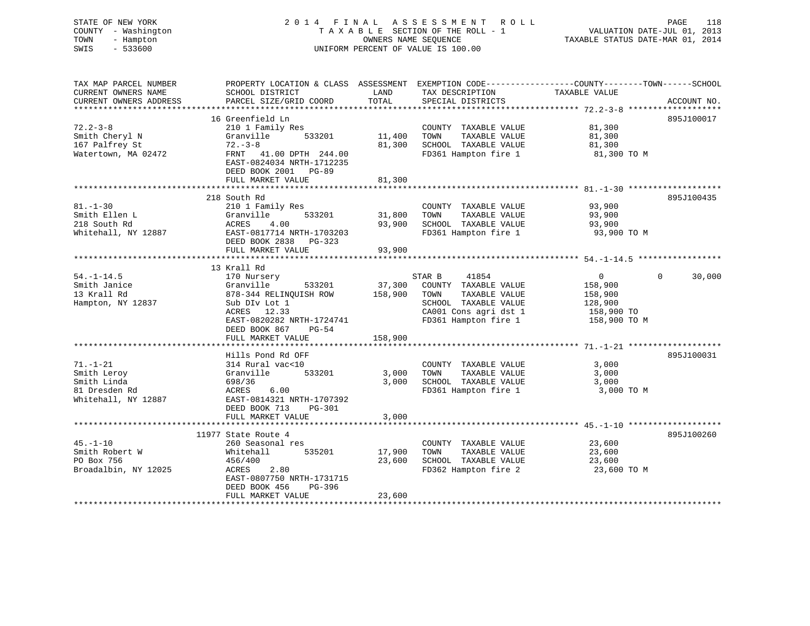| STATE OF NEW YORK<br>COUNTY - Washington<br>TOWN<br>- Hampton<br>$-533600$<br>SWIS                |                                                                                                                                                                         |                            | 2014 FINAL ASSESSMENT ROLL<br>TAXABLE SECTION OF THE ROLL - 1<br>OWNERS NAME SEQUENCE<br>UNIFORM PERCENT OF VALUE IS 100.00               | PAGE<br>118<br>VALUATION DATE-JUL 01, 2013<br>TAXABLE STATUS DATE-MAR 01, 2014                                                  |
|---------------------------------------------------------------------------------------------------|-------------------------------------------------------------------------------------------------------------------------------------------------------------------------|----------------------------|-------------------------------------------------------------------------------------------------------------------------------------------|---------------------------------------------------------------------------------------------------------------------------------|
| TAX MAP PARCEL NUMBER<br>CURRENT OWNERS NAME<br>CURRENT OWNERS ADDRESS<br>*********************** | SCHOOL DISTRICT<br>PARCEL SIZE/GRID COORD                                                                                                                               | LAND<br>TOTAL              | TAX DESCRIPTION<br>SPECIAL DISTRICTS                                                                                                      | PROPERTY LOCATION & CLASS ASSESSMENT EXEMPTION CODE----------------COUNTY-------TOWN-----SCHOOL<br>TAXABLE VALUE<br>ACCOUNT NO. |
|                                                                                                   | 16 Greenfield Ln                                                                                                                                                        |                            |                                                                                                                                           | 895J100017                                                                                                                      |
| $72.2 - 3 - 8$<br>Smith Cheryl N<br>167 Palfrey St<br>Watertown, MA 02472                         | 210 1 Family Res<br>Granville<br>533201<br>$72 - 3 - 8$<br>FRNT 41.00 DPTH 244.00<br>EAST-0824034 NRTH-1712235<br>DEED BOOK 2001 PG-89                                  | 11,400<br>81,300           | COUNTY TAXABLE VALUE<br>TOWN<br>TAXABLE VALUE<br>SCHOOL TAXABLE VALUE<br>FD361 Hampton fire 1                                             | 81,300<br>81,300<br>81,300<br>81,300 TO M                                                                                       |
|                                                                                                   | FULL MARKET VALUE                                                                                                                                                       | 81,300                     |                                                                                                                                           |                                                                                                                                 |
| $81. - 1 - 30$<br>Smith Ellen L<br>218 South Rd<br>Whitehall, NY 12887                            | 218 South Rd<br>210 1 Family Res<br>533201<br>Granville<br>ACRES<br>4.00<br>EAST-0817714 NRTH-1703203<br>DEED BOOK 2838 PG-323                                          | 31,800<br>93,900           | COUNTY TAXABLE VALUE<br>TAXABLE VALUE<br>TOWN<br>SCHOOL TAXABLE VALUE<br>FD361 Hampton fire 1                                             | 895J100435<br>93,900<br>93,900<br>93,900<br>93,900 TO M                                                                         |
|                                                                                                   | FULL MARKET VALUE                                                                                                                                                       | 93,900                     |                                                                                                                                           |                                                                                                                                 |
|                                                                                                   |                                                                                                                                                                         |                            |                                                                                                                                           |                                                                                                                                 |
| $54. - 1 - 14.5$<br>Smith Janice<br>13 Krall Rd<br>Hampton, NY 12837                              | 13 Krall Rd<br>170 Nursery<br>533201<br>Granville<br>878-344 RELINQUISH ROW<br>Sub DIv Lot 1<br>ACRES 12.33<br>EAST-0820282 NRTH-1724741<br>DEED BOOK 867<br>PG-54      | 37,300<br>158,900          | STAR B<br>41854<br>COUNTY TAXABLE VALUE<br>TOWN<br>TAXABLE VALUE<br>SCHOOL TAXABLE VALUE<br>CA001 Cons agri dst 1<br>FD361 Hampton fire 1 | $\overline{0}$<br>$\Omega$<br>30,000<br>158,900<br>158,900<br>128,900<br>158,900 TO<br>158,900 TO M                             |
|                                                                                                   | FULL MARKET VALUE                                                                                                                                                       | 158,900                    |                                                                                                                                           |                                                                                                                                 |
| $71. - 1 - 21$<br>Smith Leroy<br>Smith Linda<br>81 Dresden Rd<br>Whitehall, NY 12887              | Hills Pond Rd OFF<br>314 Rural vac<10<br>533201<br>Granville<br>698/36<br>ACRES<br>6.00<br>EAST-0814321 NRTH-1707392<br>DEED BOOK 713<br>PG-301                         | 3,000<br>3,000             | COUNTY TAXABLE VALUE<br>TAXABLE VALUE<br>TOWN<br>SCHOOL TAXABLE VALUE<br>FD361 Hampton fire 1                                             | 895J100031<br>3,000<br>3,000<br>3,000<br>3,000 TO M                                                                             |
|                                                                                                   | FULL MARKET VALUE                                                                                                                                                       | 3,000                      |                                                                                                                                           |                                                                                                                                 |
|                                                                                                   | **************************                                                                                                                                              |                            |                                                                                                                                           |                                                                                                                                 |
| $45. - 1 - 10$<br>Smith Robert W<br>PO Box 756<br>Broadalbin, NY 12025                            | 11977 State Route 4<br>260 Seasonal res<br>Whitehall<br>535201<br>456/400<br>ACRES<br>2.80<br>EAST-0807750 NRTH-1731715<br>DEED BOOK 456<br>PG-396<br>FULL MARKET VALUE | 17,900<br>23,600<br>23,600 | COUNTY TAXABLE VALUE<br>TAXABLE VALUE<br>TOWN<br>SCHOOL TAXABLE VALUE<br>FD362 Hampton fire 2                                             | 895J100260<br>23,600<br>23,600<br>23,600<br>23,600 TO M                                                                         |
|                                                                                                   |                                                                                                                                                                         | <b>++++++++++++++++</b>    |                                                                                                                                           |                                                                                                                                 |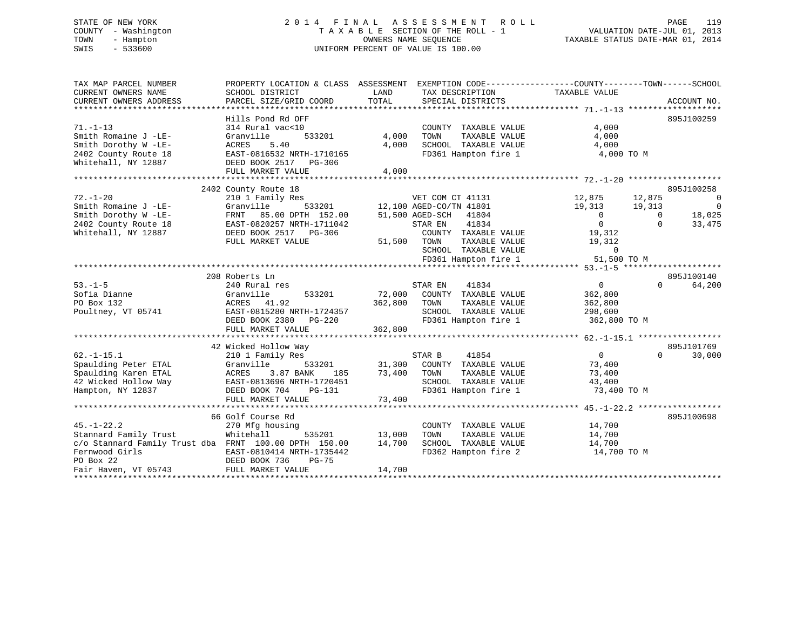# STATE OF NEW YORK 2 0 1 4 F I N A L A S S E S S M E N T R O L L PAGE 119 COUNTY - Washington T A X A B L E SECTION OF THE ROLL - 1 VALUATION DATE-JUL 01, 2013 TOWN - Hampton OWNERS NAME SEQUENCE TAXABLE STATUS DATE-MAR 01, 2014 SWIS - 533600 UNIFORM PERCENT OF VALUE IS 100.00

| TAX MAP PARCEL NUMBER<br>CURRENT OWNERS NAME<br>CURRENT OWNERS ADDRESS | PROPERTY LOCATION & CLASS ASSESSMENT EXEMPTION CODE----------------COUNTY-------TOWN------SCHOOL<br>SCHOOL DISTRICT<br>PARCEL SIZE/GRID COORD | LAND<br>TOTAL | TAX DESCRIPTION<br>SPECIAL DISTRICTS          | TAXABLE VALUE  |                | ACCOUNT NO.    |
|------------------------------------------------------------------------|-----------------------------------------------------------------------------------------------------------------------------------------------|---------------|-----------------------------------------------|----------------|----------------|----------------|
|                                                                        | Hills Pond Rd OFF                                                                                                                             |               |                                               |                |                | 895J100259     |
| $71. - 1 - 13$<br>Smith Romaine J -LE-                                 | 314 Rural vac<10<br>Granville<br>533201                                                                                                       | 4,000         | COUNTY TAXABLE VALUE<br>TOWN<br>TAXABLE VALUE | 4,000<br>4,000 |                |                |
| Smith Dorothy W -LE-                                                   | ACRES<br>5.40                                                                                                                                 | 4,000         | SCHOOL TAXABLE VALUE                          | 4,000          |                |                |
| 2402 County Route 18<br>Whitehall, NY 12887                            | EAST-0816532 NRTH-1710165<br>DEED BOOK 2517 PG-306                                                                                            |               | FD361 Hampton fire 1                          | 4,000 TO M     |                |                |
|                                                                        | FULL MARKET VALUE                                                                                                                             | 4,000         |                                               |                |                |                |
|                                                                        | 2402 County Route 18                                                                                                                          |               |                                               |                |                | 895J100258     |
| $72. - 1 - 20$                                                         | 210 1 Family Res                                                                                                                              |               | VET COM CT 41131                              | 12,875         | 12,875         | $\overline{0}$ |
| Smith Romaine J -LE-                                                   | Granville<br>533201                                                                                                                           |               | 12,100 AGED-CO/TN 41801                       | 19,313         | 19,313         | $\overline{0}$ |
| Smith Dorothy W -LE-                                                   | FRNT 85.00 DPTH 152.00                                                                                                                        |               | 51,500 AGED-SCH 41804                         | $\overline{0}$ | $\overline{0}$ | 18,025         |
| 2402 County Route 18                                                   | EAST-0820257 NRTH-1711042                                                                                                                     |               | 41834<br>STAR EN                              | $\overline{0}$ | $\Omega$       | 33,475         |
| Whitehall, NY 12887                                                    | DEED BOOK 2517 PG-306                                                                                                                         |               | COUNTY TAXABLE VALUE                          | 19,312         |                |                |
|                                                                        | FULL MARKET VALUE                                                                                                                             |               | 51,500 TOWN<br>TAXABLE VALUE                  | 19,312         |                |                |
|                                                                        |                                                                                                                                               |               | SCHOOL TAXABLE VALUE                          | $\overline{0}$ |                |                |
|                                                                        |                                                                                                                                               |               | FD361 Hampton fire 1                          | 51,500 TO M    |                |                |
|                                                                        |                                                                                                                                               |               |                                               |                |                |                |
|                                                                        | 208 Roberts Ln                                                                                                                                |               |                                               |                |                | 895J100140     |
| $53. -1 - 5$                                                           | 240 Rural res                                                                                                                                 |               | 41834<br>STAR EN                              | $\overline{0}$ | $\Omega$       | 64,200         |
| Sofia Dianne                                                           | Granville<br>533201                                                                                                                           |               | 72,000 COUNTY TAXABLE VALUE                   | 362,800        |                |                |
| PO Box 132                                                             | ACRES 41.92                                                                                                                                   | 362,800 TOWN  | TAXABLE VALUE                                 | 362,800        |                |                |
| Poultney, VT 05741                                                     | EAST-0815280 NRTH-1724357                                                                                                                     |               | SCHOOL TAXABLE VALUE                          | 298,600        |                |                |
|                                                                        | DEED BOOK 2380 PG-220                                                                                                                         |               | FD361 Hampton fire 1 362,800 TO M             |                |                |                |
|                                                                        | FULL MARKET VALUE                                                                                                                             | 362,800       |                                               |                |                |                |
|                                                                        |                                                                                                                                               |               |                                               |                |                |                |
|                                                                        | 42 Wicked Hollow Way                                                                                                                          |               |                                               |                |                | 895J101769     |
| $62. -1 - 15.1$                                                        | 210 1 Family Res                                                                                                                              |               | STAR B<br>41854                               | 0              | $\Omega$       | 30,000         |
| Spaulding Peter ETAL                                                   | 533201<br>Granville                                                                                                                           |               | 31,300 COUNTY TAXABLE VALUE                   | 73,400         |                |                |
| Spaulding Karen ETAL                                                   | 3.87 BANK<br>ACRES<br>185                                                                                                                     | 73,400        | TOWN<br>TAXABLE VALUE                         | 73,400         |                |                |
| 42 Wicked Hollow Way                                                   | EAST-0813696 NRTH-1720451                                                                                                                     |               | SCHOOL TAXABLE VALUE                          | 43,400         |                |                |
| Hampton, NY 12837                                                      | DEED BOOK 704<br>PG-131                                                                                                                       |               | FD361 Hampton fire 1                          | 73,400 TO M    |                |                |
|                                                                        | FULL MARKET VALUE                                                                                                                             | 73,400        |                                               |                |                |                |
|                                                                        | 66 Golf Course Rd                                                                                                                             |               |                                               |                |                | 895J100698     |
| $45. - 1 - 22.2$                                                       | 270 Mfg housing                                                                                                                               |               | COUNTY TAXABLE VALUE                          | 14,700         |                |                |
| Stannard Family Trust                                                  | Whitehall<br>535201                                                                                                                           | 13,000        | TAXABLE VALUE<br>TOWN                         | 14,700         |                |                |
| c/o Stannard Family Trust dba FRNT 100.00 DPTH 150.00                  |                                                                                                                                               | 14,700        | SCHOOL TAXABLE VALUE                          | 14,700         |                |                |
| Fernwood Girls                                                         | EAST-0810414 NRTH-1735442                                                                                                                     |               | FD362 Hampton fire 2                          | 14,700 TO M    |                |                |
| PO Box 22                                                              | DEED BOOK 736<br>PG-75                                                                                                                        |               |                                               |                |                |                |
| Fair Haven, VT 05743                                                   | FULL MARKET VALUE                                                                                                                             | 14,700        |                                               |                |                |                |
|                                                                        |                                                                                                                                               |               |                                               |                |                |                |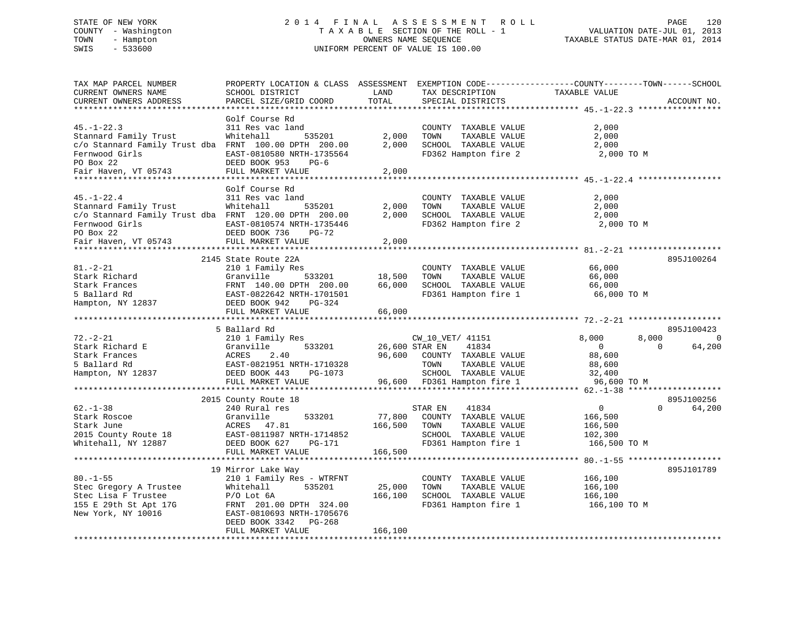# STATE OF NEW YORK 2 0 1 4 F I N A L A S S E S S M E N T R O L L PAGE 120 COUNTY - Washington T A X A B L E SECTION OF THE ROLL - 1 VALUATION DATE-JUL 01, 2013 TOWN - Hampton OWNERS NAME SEQUENCE TAXABLE STATUS DATE-MAR 01, 2014 SWIS - 533600 UNIFORM PERCENT OF VALUE IS 100.00

| TAX MAP PARCEL NUMBER<br>CURRENT OWNERS NAME<br>CURRENT OWNERS ADDRESS                                                                                    | PROPERTY LOCATION & CLASS ASSESSMENT<br>SCHOOL DISTRICT<br>PARCEL SIZE/GRID COORD                                                                                                                 | LAND<br>TOTAL                | TAX DESCRIPTION<br>SPECIAL DISTRICTS                                                                                                                | EXEMPTION CODE-----------------COUNTY-------TOWN------SCHOOL<br>TAXABLE VALUE<br>ACCOUNT NO.                            |
|-----------------------------------------------------------------------------------------------------------------------------------------------------------|---------------------------------------------------------------------------------------------------------------------------------------------------------------------------------------------------|------------------------------|-----------------------------------------------------------------------------------------------------------------------------------------------------|-------------------------------------------------------------------------------------------------------------------------|
| *********************                                                                                                                                     |                                                                                                                                                                                                   |                              |                                                                                                                                                     |                                                                                                                         |
| $45. - 1 - 22.3$<br>Stannard Family Trust<br>c/o Stannard Family Trust dba FRNT 100.00 DPTH 200.00<br>Fernwood Girls<br>PO Box 22<br>Fair Haven, VT 05743 | Golf Course Rd<br>311 Res vac land<br>Whitehall<br>535201<br>EAST-0810580 NRTH-1735564<br>DEED BOOK 953<br>$PG-6$<br>FULL MARKET VALUE                                                            | 2,000<br>2,000<br>2,000      | COUNTY TAXABLE VALUE<br>TAXABLE VALUE<br>TOWN<br>SCHOOL TAXABLE VALUE<br>FD362 Hampton fire 2                                                       | 2,000<br>2,000<br>2,000<br>2,000 TO M                                                                                   |
|                                                                                                                                                           |                                                                                                                                                                                                   |                              |                                                                                                                                                     |                                                                                                                         |
| $45. - 1 - 22.4$<br>Stannard Family Trust<br>c/o Stannard Family Trust dba FRNT 120.00 DPTH 200.00<br>Fernwood Girls<br>PO Box 22<br>Fair Haven, VT 05743 | Golf Course Rd<br>311 Res vac land<br>Whitehall<br>535201<br>EAST-0810574 NRTH-1735446<br>DEED BOOK 736<br>$PG-72$<br>FULL MARKET VALUE                                                           | 2,000<br>2,000<br>2,000      | COUNTY TAXABLE VALUE<br>TAXABLE VALUE<br>TOWN<br>SCHOOL TAXABLE VALUE<br>FD362 Hampton fire 2                                                       | 2,000<br>2,000<br>2,000<br>2,000 TO M                                                                                   |
|                                                                                                                                                           | 2145 State Route 22A                                                                                                                                                                              |                              |                                                                                                                                                     | 895J100264                                                                                                              |
| $81. - 2 - 21$<br>Stark Richard<br>Stark Frances<br>5 Ballard Rd<br>Hampton, NY 12837                                                                     | 210 1 Family Res<br>Granville<br>533201<br>FRNT 140.00 DPTH 200.00<br>EAST-0822642 NRTH-1701501<br>DEED BOOK 942<br>PG-324<br>FULL MARKET VALUE                                                   | 18,500<br>66,000<br>66,000   | COUNTY TAXABLE VALUE<br>TAXABLE VALUE<br>TOWN<br>SCHOOL TAXABLE VALUE<br>FD361 Hampton fire 1                                                       | 66,000<br>66,000<br>66,000<br>66,000 TO M                                                                               |
|                                                                                                                                                           |                                                                                                                                                                                                   |                              |                                                                                                                                                     |                                                                                                                         |
| $72. - 2 - 21$<br>Stark Richard E<br>Stark Frances<br>5 Ballard Rd<br>Hampton, NY 12837                                                                   | 5 Ballard Rd<br>210 1 Family Res<br>Granville<br>533201<br>ACRES<br>2.40<br>EAST-0821951 NRTH-1710328<br>DEED BOOK 443<br>PG-1073<br>FULL MARKET VALUE                                            | 96,600                       | CW_10_VET/ 41151<br>26,600 STAR EN<br>41834<br>COUNTY TAXABLE VALUE<br>TOWN<br>TAXABLE VALUE<br>SCHOOL TAXABLE VALUE<br>96,600 FD361 Hampton fire 1 | 895J100423<br>8,000<br>8,000<br>$\Omega$<br>64,200<br>$\Omega$<br>$\Omega$<br>88,600<br>88,600<br>32,400<br>96,600 TO M |
|                                                                                                                                                           |                                                                                                                                                                                                   |                              |                                                                                                                                                     |                                                                                                                         |
| $62. - 1 - 38$<br>Stark Roscoe<br>Stark June<br>2015 County Route 18<br>Whitehall, NY 12887                                                               | 2015 County Route 18<br>240 Rural res<br>Granville<br>533201<br>ACRES<br>47.81<br>EAST-0811987 NRTH-1714852<br>DEED BOOK 627<br>PG-171<br>FULL MARKET VALUE                                       | 77,800<br>166,500<br>166,500 | 41834<br>STAR EN<br>COUNTY TAXABLE VALUE<br>TOWN<br>TAXABLE VALUE<br>SCHOOL TAXABLE VALUE<br>FD361 Hampton fire 1                                   | 895J100256<br>0<br>$\Omega$<br>64,200<br>166,500<br>166,500<br>102,300<br>166,500 TO M                                  |
|                                                                                                                                                           |                                                                                                                                                                                                   |                              |                                                                                                                                                     |                                                                                                                         |
| $80. - 1 - 55$<br>Stec Gregory A Trustee<br>Stec Lisa F Trustee<br>155 E 29th St Apt 17G<br>New York, NY 10016                                            | 19 Mirror Lake Way<br>210 1 Family Res - WTRFNT<br>535201<br>Whitehall<br>$P/O$ Lot $6A$<br>FRNT 201.00 DPTH 324.00<br>EAST-0810693 NRTH-1705676<br>DEED BOOK 3342<br>PG-268<br>FULL MARKET VALUE | 25,000<br>166,100<br>166,100 | COUNTY TAXABLE VALUE<br>TOWN<br>TAXABLE VALUE<br>SCHOOL TAXABLE VALUE<br>FD361 Hampton fire 1                                                       | 895J101789<br>166,100<br>166,100<br>166,100<br>166,100 TO M                                                             |
|                                                                                                                                                           |                                                                                                                                                                                                   |                              |                                                                                                                                                     |                                                                                                                         |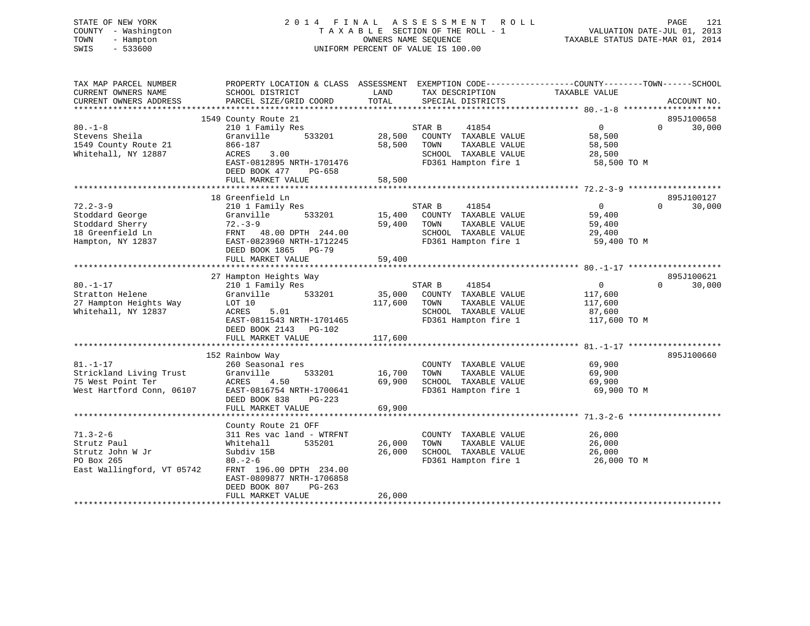# STATE OF NEW YORK 2 0 1 4 F I N A L A S S E S S M E N T R O L L PAGE 121 COUNTY - Washington T A X A B L E SECTION OF THE ROLL - 1 VALUATION DATE-JUL 01, 2013 TOWN - Hampton OWNERS NAME SEQUENCE TAXABLE STATUS DATE-MAR 01, 2014 SWIS - 533600 UNIFORM PERCENT OF VALUE IS 100.00

| TAX MAP PARCEL NUMBER<br>CURRENT OWNERS NAME<br>CURRENT OWNERS ADDRESS | PROPERTY LOCATION & CLASS ASSESSMENT EXEMPTION CODE----------------COUNTY-------TOWN------SCHOOL<br>SCHOOL DISTRICT<br>PARCEL SIZE/GRID COORD | LAND<br>TOTAL | TAX DESCRIPTION<br>SPECIAL DISTRICTS          | TAXABLE VALUE         |          | ACCOUNT NO. |
|------------------------------------------------------------------------|-----------------------------------------------------------------------------------------------------------------------------------------------|---------------|-----------------------------------------------|-----------------------|----------|-------------|
|                                                                        |                                                                                                                                               |               |                                               |                       |          |             |
|                                                                        | 1549 County Route 21                                                                                                                          |               |                                               |                       |          | 895J100658  |
| $80. -1 - 8$                                                           | 210 1 Family Res                                                                                                                              |               | STAR B<br>41854                               | $\overline{0}$        | $\Omega$ | 30,000      |
| Stevens Sheila                                                         | 533201<br>Granville                                                                                                                           | 28,500        | COUNTY TAXABLE VALUE                          | 58,500                |          |             |
| 1549 County Route 21                                                   | 866-187                                                                                                                                       | 58,500        | TOWN<br>TAXABLE VALUE                         | 58,500                |          |             |
| Whitehall, NY 12887                                                    | 3.00<br>ACRES<br>EAST-0812895 NRTH-1701476                                                                                                    |               | SCHOOL TAXABLE VALUE<br>FD361 Hampton fire 1  | 28,500<br>58,500 TO M |          |             |
|                                                                        | DEED BOOK 477<br>PG-658                                                                                                                       |               |                                               |                       |          |             |
|                                                                        | FULL MARKET VALUE                                                                                                                             | 58,500        |                                               |                       |          |             |
|                                                                        |                                                                                                                                               |               |                                               |                       |          |             |
|                                                                        | 18 Greenfield Ln                                                                                                                              |               |                                               |                       |          | 895J100127  |
| $72.2 - 3 - 9$                                                         | 210 1 Family Res                                                                                                                              |               | STAR B<br>41854                               | $\overline{0}$        | $\Omega$ | 30,000      |
| Stoddard George                                                        | 533201<br>Granville                                                                                                                           |               | 15,400 COUNTY TAXABLE VALUE                   | 59,400                |          |             |
| Stoddard Sherry                                                        | $72 - 3 - 9$                                                                                                                                  | 59,400 TOWN   | TAXABLE VALUE                                 | 59,400                |          |             |
| 18 Greenfield Ln                                                       | FRNT 48.00 DPTH 244.00                                                                                                                        |               | SCHOOL TAXABLE VALUE                          | 29,400                |          |             |
| Hampton, NY 12837                                                      | EAST-0823960 NRTH-1712245                                                                                                                     |               | FD361 Hampton fire 1                          | 59,400 TO M           |          |             |
|                                                                        | DEED BOOK 1865 PG-79                                                                                                                          |               |                                               |                       |          |             |
|                                                                        | FULL MARKET VALUE                                                                                                                             | 59,400        |                                               |                       |          |             |
|                                                                        |                                                                                                                                               |               |                                               |                       |          |             |
|                                                                        | 27 Hampton Heights Way                                                                                                                        |               |                                               |                       |          | 895J100621  |
| $80. - 1 - 17$                                                         | 210 1 Family Res                                                                                                                              |               | STAR B<br>41854                               | $\overline{0}$        | $\Omega$ | 30,000      |
| Stratton Helene                                                        | Granville 533201                                                                                                                              |               | 35,000 COUNTY TAXABLE VALUE                   | 117,600               |          |             |
| 27 Hampton Heights Way<br>Whitehall, NY 12837                          | LOT 10<br>ACRES<br>5.01                                                                                                                       | 117,600       | TAXABLE VALUE<br>TOWN<br>SCHOOL TAXABLE VALUE | 117,600<br>87,600     |          |             |
|                                                                        | EAST-0811543 NRTH-1701465                                                                                                                     |               | FD361 Hampton fire 1                          | 117,600 TO M          |          |             |
|                                                                        | DEED BOOK 2143 PG-102                                                                                                                         |               |                                               |                       |          |             |
|                                                                        | FULL MARKET VALUE                                                                                                                             | 117,600       |                                               |                       |          |             |
|                                                                        |                                                                                                                                               |               |                                               |                       |          |             |
|                                                                        | 152 Rainbow Way                                                                                                                               |               |                                               |                       |          | 895J100660  |
| $81. - 1 - 17$                                                         | 260 Seasonal res                                                                                                                              |               | COUNTY TAXABLE VALUE                          | 69,900                |          |             |
| Strickland Living Trust                                                | Granville<br>533201                                                                                                                           | 16,700        | TOWN<br>TAXABLE VALUE                         | 69,900                |          |             |
| 75 West Point Ter                                                      | ACRES<br>4.50                                                                                                                                 | 69,900        | SCHOOL TAXABLE VALUE                          | 69,900                |          |             |
| West Hartford Conn, 06107 EAST-0816754 NRTH-1700641                    |                                                                                                                                               |               | FD361 Hampton fire 1                          | 69,900 TO M           |          |             |
|                                                                        | DEED BOOK 838<br>PG-223                                                                                                                       |               |                                               |                       |          |             |
|                                                                        | FULL MARKET VALUE                                                                                                                             | 69,900        |                                               |                       |          |             |
|                                                                        |                                                                                                                                               |               |                                               |                       |          |             |
|                                                                        | County Route 21 OFF                                                                                                                           |               |                                               |                       |          |             |
| $71.3 - 2 - 6$                                                         | 311 Res vac land - WTRFNT                                                                                                                     |               | COUNTY TAXABLE VALUE                          | 26,000                |          |             |
| Strutz Paul                                                            | 535201<br>Whitehall                                                                                                                           | 26,000        | TAXABLE VALUE<br>TOWN                         | 26,000                |          |             |
| Strutz John W Jr                                                       | Subdiv 15B                                                                                                                                    | 26,000        | SCHOOL TAXABLE VALUE                          | 26,000                |          |             |
| PO Box 265                                                             | $80. - 2 - 6$                                                                                                                                 |               | FD361 Hampton fire 1                          | 26,000 TO M           |          |             |
| East Wallingford, VT 05742                                             | FRNT 196.00 DPTH 234.00                                                                                                                       |               |                                               |                       |          |             |
|                                                                        | EAST-0809877 NRTH-1706858<br>DEED BOOK 807<br>PG-263                                                                                          |               |                                               |                       |          |             |
|                                                                        | FULL MARKET VALUE                                                                                                                             | 26,000        |                                               |                       |          |             |
|                                                                        |                                                                                                                                               |               |                                               |                       |          |             |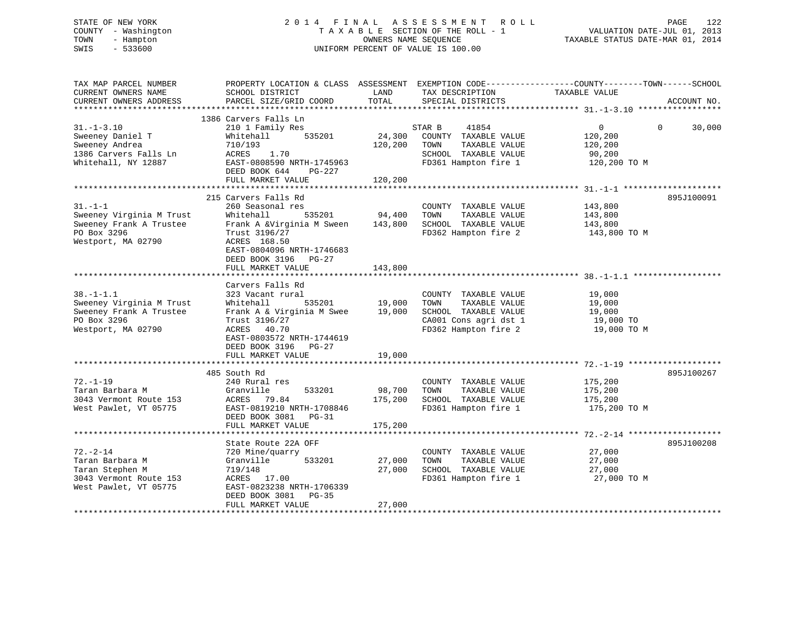# STATE OF NEW YORK 2 0 1 4 F I N A L A S S E S S M E N T R O L L PAGE 122 COUNTY - Washington T A X A B L E SECTION OF THE ROLL - 1 VALUATION DATE-JUL 01, 2013 TOWN - Hampton OWNERS NAME SEQUENCE TAXABLE STATUS DATE-MAR 01, 2014 SWIS - 533600 UNIFORM PERCENT OF VALUE IS 100.00

| TAX MAP PARCEL NUMBER<br>CURRENT OWNERS NAME<br>CURRENT OWNERS ADDRESS                                      | PROPERTY LOCATION & CLASS ASSESSMENT EXEMPTION CODE----------------COUNTY-------TOWN------SCHOOL<br>SCHOOL DISTRICT<br>PARCEL SIZE/GRID COORD                                                           | LAND<br>TOTAL                | TAX DESCRIPTION<br>SPECIAL DISTRICTS                                                                                   | TAXABLE VALUE                                                  | ACCOUNT NO.        |
|-------------------------------------------------------------------------------------------------------------|---------------------------------------------------------------------------------------------------------------------------------------------------------------------------------------------------------|------------------------------|------------------------------------------------------------------------------------------------------------------------|----------------------------------------------------------------|--------------------|
| $31. - 1 - 3.10$<br>Sweeney Daniel T<br>Sweeney Andrea<br>1386 Carvers Falls Ln<br>Whitehall, NY 12887      | 1386 Carvers Falls Ln<br>210 1 Family Res<br>Whitehall<br>535201<br>710/193<br>ACRES<br>1.70<br>EAST-0808590 NRTH-1745963<br>DEED BOOK 644<br>PG-227<br>FULL MARKET VALUE                               | 24,300<br>120,200<br>120,200 | 41854<br>STAR B<br>COUNTY TAXABLE VALUE<br>TOWN<br>TAXABLE VALUE<br>SCHOOL TAXABLE VALUE<br>FD361 Hampton fire 1       | $\overline{0}$<br>120,200<br>120,200<br>90,200<br>120,200 TO M | $\Omega$<br>30,000 |
| $31. - 1 - 1$<br>Sweeney Virginia M Trust<br>Sweeney Frank A Trustee<br>PO Box 3296<br>Westport, MA 02790   | 215 Carvers Falls Rd<br>260 Seasonal res<br>535201<br>Whitehall<br>Frank A &Virginia M Sween<br>Trust 3196/27<br>ACRES 168.50<br>EAST-0804096 NRTH-1746683<br>DEED BOOK 3196 PG-27<br>FULL MARKET VALUE | 94,400<br>143,800<br>143,800 | COUNTY TAXABLE VALUE<br>TOWN<br>TAXABLE VALUE<br>SCHOOL TAXABLE VALUE<br>FD362 Hampton fire 2                          | 143,800<br>143,800<br>143,800<br>143,800 TO M                  | 895J100091         |
| $38. - 1 - 1.1$<br>Sweeney Virginia M Trust<br>Sweeney Frank A Trustee<br>PO Box 3296<br>Westport, MA 02790 | Carvers Falls Rd<br>323 Vacant rural<br>Whitehall<br>535201<br>Frank A & Virginia M Swee<br>Trust 3196/27<br>ACRES 40.70<br>EAST-0803572 NRTH-1744619<br>DEED BOOK 3196 PG-27<br>FULL MARKET VALUE      | 19,000<br>19,000<br>19,000   | COUNTY TAXABLE VALUE<br>TAXABLE VALUE<br>TOWN<br>SCHOOL TAXABLE VALUE<br>CA001 Cons agri dst 1<br>FD362 Hampton fire 2 | 19,000<br>19,000<br>19,000<br>19,000 TO<br>19,000 TO M         |                    |
| $72. - 1 - 19$<br>Taran Barbara M<br>3043 Vermont Route 153<br>West Pawlet, VT 05775                        | 485 South Rd<br>240 Rural res<br>Granville<br>533201<br>ACRES 79.84<br>EAST-0819210 NRTH-1708846<br>DEED BOOK 3081<br>PG-31<br>FULL MARKET VALUE                                                        | 98,700<br>175,200<br>175,200 | COUNTY TAXABLE VALUE<br>TAXABLE VALUE<br>TOWN<br>SCHOOL TAXABLE VALUE<br>FD361 Hampton fire 1                          | 175,200<br>175,200<br>175,200<br>175,200 TO M                  | 895J100267         |
| $72. - 2 - 14$<br>Taran Barbara M<br>Taran Stephen M<br>3043 Vermont Route 153<br>West Pawlet, VT 05775     | State Route 22A OFF<br>720 Mine/quarry<br>Granville<br>533201<br>719/148<br>ACRES 17.00<br>EAST-0823238 NRTH-1706339<br>DEED BOOK 3081<br>PG-35<br>FULL MARKET VALUE                                    | 27,000<br>27,000<br>27,000   | COUNTY TAXABLE VALUE<br>TOWN<br>TAXABLE VALUE<br>SCHOOL TAXABLE VALUE<br>FD361 Hampton fire 1                          | 27,000<br>27,000<br>27,000<br>27,000 TO M                      | 895J100208         |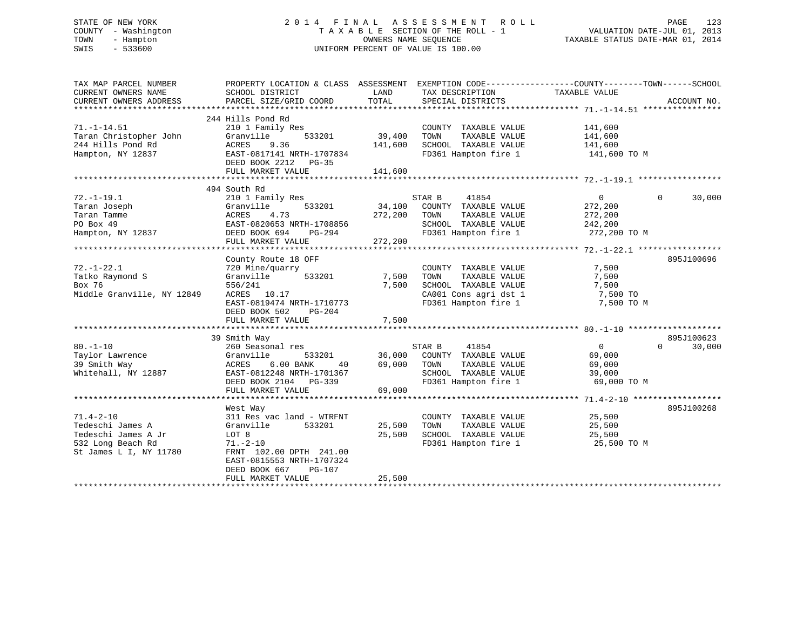# STATE OF NEW YORK 2 0 1 4 F I N A L A S S E S S M E N T R O L L PAGE 123 COUNTY - Washington T A X A B L E SECTION OF THE ROLL - 1 VALUATION DATE-JUL 01, 2013 TOWN - Hampton OWNERS NAME SEQUENCE TAXABLE STATUS DATE-MAR 01, 2014 SWIS - 533600 UNIFORM PERCENT OF VALUE IS 100.00

| TAX MAP PARCEL NUMBER<br>CURRENT OWNERS NAME<br>CURRENT OWNERS ADDRESS                                    | PROPERTY LOCATION & CLASS ASSESSMENT<br>SCHOOL DISTRICT<br>PARCEL SIZE/GRID COORD                                                                                                               | LAND<br>TOTAL                | TAX DESCRIPTION<br>SPECIAL DISTRICTS                                                                                   | EXEMPTION CODE-----------------COUNTY-------TOWN------SCHOOL<br>TAXABLE VALUE | ACCOUNT NO.        |
|-----------------------------------------------------------------------------------------------------------|-------------------------------------------------------------------------------------------------------------------------------------------------------------------------------------------------|------------------------------|------------------------------------------------------------------------------------------------------------------------|-------------------------------------------------------------------------------|--------------------|
| $71. - 1 - 14.51$<br>Taran Christopher John<br>244 Hills Pond Rd<br>Hampton, NY 12837                     | 244 Hills Pond Rd<br>210 1 Family Res<br>Granville<br>533201<br>ACRES<br>9.36<br>EAST-0817141 NRTH-1707834<br>DEED BOOK 2212 PG-35<br>FULL MARKET VALUE                                         | 39,400<br>141,600<br>141,600 | COUNTY TAXABLE VALUE<br>TAXABLE VALUE<br>TOWN<br>SCHOOL TAXABLE VALUE<br>FD361 Hampton fire 1                          | 141,600<br>141,600<br>141,600<br>141,600 TO M                                 |                    |
|                                                                                                           |                                                                                                                                                                                                 |                              |                                                                                                                        |                                                                               |                    |
| $72. - 1 - 19.1$<br>Taran Joseph<br>Taran Tamme<br>PO Box 49<br>Hampton, NY 12837                         | 494 South Rd<br>210 1 Family Res<br>533201<br>Granville<br>ACRES<br>4.73<br>EAST-0820653 NRTH-1708856<br>DEED BOOK 694<br>PG-294<br>FULL MARKET VALUE                                           | 34,100<br>272,200<br>272,200 | 41854<br>STAR B<br>COUNTY TAXABLE VALUE<br>TAXABLE VALUE<br>TOWN<br>SCHOOL TAXABLE VALUE<br>FD361 Hampton fire 1       | $\overline{0}$<br>272,200<br>272,200<br>242,200<br>272,200 TO M               | $\Omega$<br>30,000 |
|                                                                                                           | County Route 18 OFF                                                                                                                                                                             |                              |                                                                                                                        |                                                                               | 895J100696         |
| $72. - 1 - 22.1$<br>Tatko Raymond S<br>Box 76<br>Middle Granville, NY 12849                               | 720 Mine/quarry<br>533201<br>Granville<br>556/241<br>ACRES 10.17<br>EAST-0819474 NRTH-1710773<br>DEED BOOK 502<br>$PG-204$<br>FULL MARKET VALUE                                                 | 7,500<br>7,500<br>7,500      | COUNTY TAXABLE VALUE<br>TOWN<br>TAXABLE VALUE<br>SCHOOL TAXABLE VALUE<br>CA001 Cons agri dst 1<br>FD361 Hampton fire 1 | 7,500<br>7,500<br>7,500<br>7,500 TO<br>7,500 TO M                             |                    |
|                                                                                                           | 39 Smith Way                                                                                                                                                                                    |                              |                                                                                                                        |                                                                               | 895J100623         |
| $80. - 1 - 10$<br>Taylor Lawrence<br>39 Smith Way<br>Whitehall, NY 12887                                  | 260 Seasonal res<br>Granville<br>533201<br>6.00 BANK<br>ACRES<br>40<br>EAST-0812248 NRTH-1701367<br>DEED BOOK 2104 PG-339<br>FULL MARKET VALUE                                                  | 36,000<br>69,000<br>69,000   | STAR B<br>41854<br>COUNTY TAXABLE VALUE<br>TOWN<br>TAXABLE VALUE<br>SCHOOL TAXABLE VALUE<br>FD361 Hampton fire 1       | 0<br>69,000<br>69,000<br>39,000<br>69,000 TO M                                | $\Omega$<br>30,000 |
|                                                                                                           |                                                                                                                                                                                                 |                              |                                                                                                                        |                                                                               |                    |
| $71.4 - 2 - 10$<br>Tedeschi James A<br>Tedeschi James A Jr<br>532 Long Beach Rd<br>St James L I, NY 11780 | West Way<br>311 Res vac land - WTRFNT<br>533201<br>Granville<br>LOT 8<br>$71. - 2 - 10$<br>FRNT 102.00 DPTH 241.00<br>EAST-0815553 NRTH-1707324<br>DEED BOOK 667<br>PG-107<br>FULL MARKET VALUE | 25,500<br>25,500<br>25,500   | COUNTY TAXABLE VALUE<br>TAXABLE VALUE<br>TOWN<br>SCHOOL TAXABLE VALUE<br>FD361 Hampton fire 1                          | 25,500<br>25,500<br>25,500<br>25,500 TO M                                     | 895J100268         |
|                                                                                                           |                                                                                                                                                                                                 |                              |                                                                                                                        |                                                                               |                    |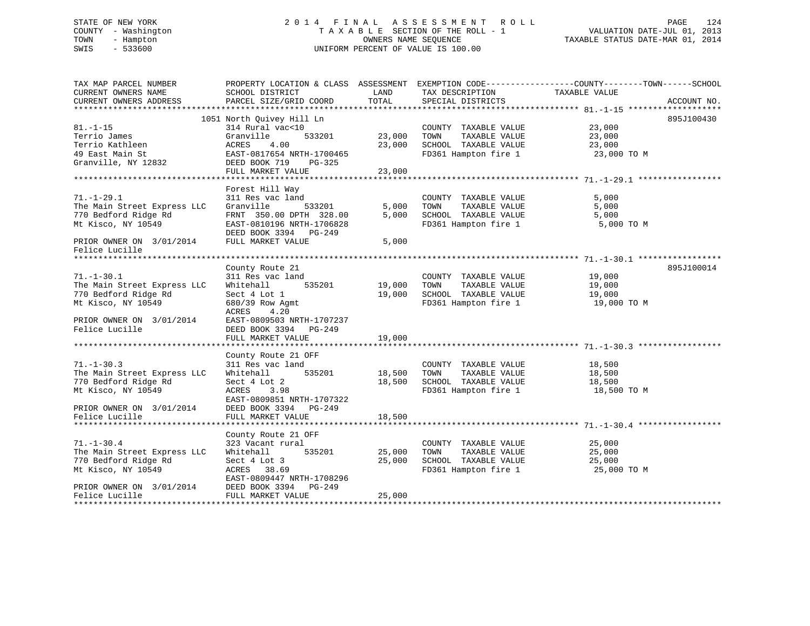# STATE OF NEW YORK 2 0 1 4 F I N A L A S S E S S M E N T R O L L PAGE 124 COUNTY - Washington T A X A B L E SECTION OF THE ROLL - 1 VALUATION DATE-JUL 01, 2013 TOWN - Hampton OWNERS NAME SEQUENCE TAXABLE STATUS DATE-MAR 01, 2014 SWIS - 533600 UNIFORM PERCENT OF VALUE IS 100.00

| TAX MAP PARCEL NUMBER       |                           |        |                       | PROPERTY LOCATION & CLASS ASSESSMENT EXEMPTION CODE----------------COUNTY-------TOWN------SCHOOL |
|-----------------------------|---------------------------|--------|-----------------------|--------------------------------------------------------------------------------------------------|
| CURRENT OWNERS NAME         | SCHOOL DISTRICT           | LAND   | TAX DESCRIPTION       | TAXABLE VALUE                                                                                    |
| CURRENT OWNERS ADDRESS      | PARCEL SIZE/GRID COORD    | TOTAL  | SPECIAL DISTRICTS     | ACCOUNT NO.                                                                                      |
|                             |                           |        |                       |                                                                                                  |
|                             | 1051 North Ouivey Hill Ln |        |                       | 895J100430                                                                                       |
| $81. - 1 - 15$              | 314 Rural vac<10          |        | COUNTY TAXABLE VALUE  | 23,000                                                                                           |
| Terrio James                | Granville<br>533201       | 23,000 | TOWN<br>TAXABLE VALUE | 23,000                                                                                           |
| Terrio Kathleen             | 4.00<br>ACRES             | 23,000 | SCHOOL TAXABLE VALUE  | 23,000                                                                                           |
| 49 East Main St             | EAST-0817654 NRTH-1700465 |        | FD361 Hampton fire 1  | 23,000 TO M                                                                                      |
| Granville, NY 12832         | DEED BOOK 719<br>PG-325   |        |                       |                                                                                                  |
|                             | FULL MARKET VALUE         | 23,000 |                       |                                                                                                  |
|                             |                           |        |                       |                                                                                                  |
|                             | Forest Hill Way           |        |                       |                                                                                                  |
| $71. - 1 - 29.1$            | 311 Res vac land          |        | COUNTY TAXABLE VALUE  | 5,000                                                                                            |
| The Main Street Express LLC | Granville<br>533201       | 5,000  | TOWN<br>TAXABLE VALUE | 5,000                                                                                            |
| 770 Bedford Ridge Rd        | FRNT 350.00 DPTH 328.00   | 5,000  | SCHOOL TAXABLE VALUE  | 5,000                                                                                            |
| Mt Kisco, NY 10549          | EAST-0810196 NRTH-1706828 |        | FD361 Hampton fire 1  | 5,000 TO M                                                                                       |
|                             | DEED BOOK 3394 PG-249     |        |                       |                                                                                                  |
| PRIOR OWNER ON 3/01/2014    | FULL MARKET VALUE         | 5,000  |                       |                                                                                                  |
| Felice Lucille              |                           |        |                       |                                                                                                  |
|                             |                           |        |                       |                                                                                                  |
|                             | County Route 21           |        |                       | 895J100014                                                                                       |
| $71. - 1 - 30.1$            | 311 Res vac land          |        | COUNTY TAXABLE VALUE  | 19,000                                                                                           |
| The Main Street Express LLC | Whitehall<br>535201       | 19,000 | TOWN<br>TAXABLE VALUE | 19,000                                                                                           |
| 770 Bedford Ridge Rd        | Sect 4 Lot 1              | 19,000 | SCHOOL TAXABLE VALUE  | 19,000                                                                                           |
| Mt Kisco, NY 10549          | 680/39 Row Agmt           |        | FD361 Hampton fire 1  | 19,000 TO M                                                                                      |
|                             | ACRES<br>4.20             |        |                       |                                                                                                  |
| PRIOR OWNER ON 3/01/2014    | EAST-0809503 NRTH-1707237 |        |                       |                                                                                                  |
| Felice Lucille              | DEED BOOK 3394 PG-249     |        |                       |                                                                                                  |
|                             | FULL MARKET VALUE         | 19,000 |                       |                                                                                                  |
|                             |                           |        |                       |                                                                                                  |
|                             | County Route 21 OFF       |        |                       |                                                                                                  |
| $71. - 1 - 30.3$            | 311 Res vac land          |        | COUNTY TAXABLE VALUE  | 18,500                                                                                           |
| The Main Street Express LLC | 535201<br>Whitehall       | 18,500 | TOWN<br>TAXABLE VALUE | 18,500                                                                                           |
| 770 Bedford Ridge Rd        | Sect 4 Lot 2              | 18,500 | SCHOOL TAXABLE VALUE  | 18,500                                                                                           |
| Mt Kisco, NY 10549          | ACRES<br>3.98             |        | FD361 Hampton fire 1  | 18,500 TO M                                                                                      |
|                             | EAST-0809851 NRTH-1707322 |        |                       |                                                                                                  |
| PRIOR OWNER ON 3/01/2014    | DEED BOOK 3394 PG-249     |        |                       |                                                                                                  |
| Felice Lucille              | FULL MARKET VALUE         | 18,500 |                       |                                                                                                  |
|                             |                           |        |                       |                                                                                                  |
|                             | County Route 21 OFF       |        |                       |                                                                                                  |
| $71. - 1 - 30.4$            | 323 Vacant rural          |        | COUNTY TAXABLE VALUE  | 25,000                                                                                           |
| The Main Street Express LLC | 535201<br>Whitehall       | 25,000 | TOWN<br>TAXABLE VALUE | 25,000                                                                                           |
| 770 Bedford Ridge Rd        | Sect 4 Lot 3              | 25,000 | SCHOOL TAXABLE VALUE  | 25,000                                                                                           |
| Mt Kisco, NY 10549          | ACRES 38.69               |        | FD361 Hampton fire 1  | 25,000 TO M                                                                                      |
|                             | EAST-0809447 NRTH-1708296 |        |                       |                                                                                                  |
| PRIOR OWNER ON 3/01/2014    | DEED BOOK 3394<br>PG-249  |        |                       |                                                                                                  |
| Felice Lucille              | FULL MARKET VALUE         | 25,000 |                       |                                                                                                  |
|                             |                           |        |                       |                                                                                                  |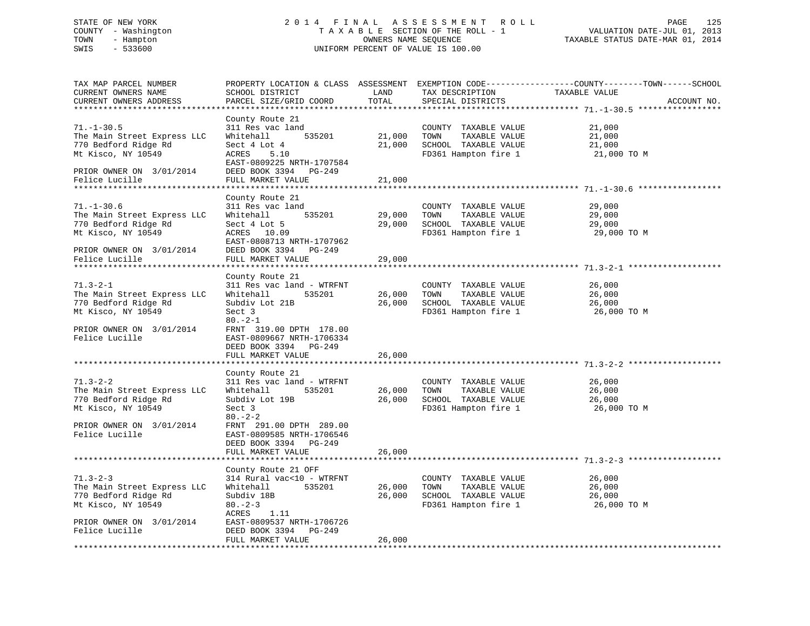# STATE OF NEW YORK 2 0 1 4 F I N A L A S S E S S M E N T R O L L PAGE 125 COUNTY - Washington T A X A B L E SECTION OF THE ROLL - 1 VALUATION DATE-JUL 01, 2013 TOWN - Hampton OWNERS NAME SEQUENCE TAXABLE STATUS DATE-MAR 01, 2014 SWIS - 533600 UNIFORM PERCENT OF VALUE IS 100.00

| TAX MAP PARCEL NUMBER<br>CURRENT OWNERS NAME<br>CURRENT OWNERS ADDRESS                                                                    | SCHOOL DISTRICT<br>PARCEL SIZE/GRID COORD                                                                                                                                                        | LAND<br>TOTAL         | TAX DESCRIPTION<br>SPECIAL DISTRICTS                                                                        | PROPERTY LOCATION & CLASS ASSESSMENT EXEMPTION CODE----------------COUNTY-------TOWN-----SCHOOL<br>TAXABLE VALUE<br>ACCOUNT NO. |
|-------------------------------------------------------------------------------------------------------------------------------------------|--------------------------------------------------------------------------------------------------------------------------------------------------------------------------------------------------|-----------------------|-------------------------------------------------------------------------------------------------------------|---------------------------------------------------------------------------------------------------------------------------------|
| **********************                                                                                                                    |                                                                                                                                                                                                  |                       |                                                                                                             |                                                                                                                                 |
| $71. - 1 - 30.5$<br>The Main Street Express LLC<br>770 Bedford Ridge Rd<br>Mt Kisco, NY 10549                                             | County Route 21<br>311 Res vac land<br>Whitehall<br>535201<br>Sect 4 Lot 4<br>ACRES 5.10                                                                                                         | 21,000 TOWN<br>21,000 | COUNTY TAXABLE VALUE<br>TAXABLE VALUE<br>SCHOOL TAXABLE VALUE                                               | 21,000<br>21,000<br>21,000<br>FD361 Hampton fire 1 21,000 TO M                                                                  |
| PRIOR OWNER ON 3/01/2014<br>Felice Lucille                                                                                                | EAST-0809225 NRTH-1707584<br>DEED BOOK 3394 PG-249<br>FULL MARKET VALUE                                                                                                                          | 21,000                |                                                                                                             |                                                                                                                                 |
|                                                                                                                                           | County Route 21                                                                                                                                                                                  |                       |                                                                                                             |                                                                                                                                 |
| $71. - 1 - 30.6$<br>The Main Street Express LLC<br>770 Bedford Ridge Rd<br>Mt Kisco, NY 10549<br>PRIOR OWNER ON 3/01/2014                 | 311 Res vac land<br>535201<br>Whitehall<br>Sect 4 Lot 5<br>ACRES 10.09<br>EAST-0808713 NRTH-1707962<br>DEED BOOK 3394 PG-249                                                                     |                       | COUNTY TAXABLE VALUE<br>29,000 TOWN<br>TAXABLE VALUE<br>29,000 SCHOOL TAXABLE VALUE<br>FD361 Hampton fire 1 | 29,000<br>29,000<br>29,000<br>29,000 TO M                                                                                       |
| Felice Lucille                                                                                                                            | FULL MARKET VALUE                                                                                                                                                                                | 29,000                |                                                                                                             |                                                                                                                                 |
|                                                                                                                                           |                                                                                                                                                                                                  |                       |                                                                                                             |                                                                                                                                 |
| $71.3 - 2 - 1$<br>The Main Street Express LLC<br>770 Bedford Ridge Rd<br>Mt Kisco, NY 10549<br>PRIOR OWNER ON 3/01/2014<br>Felice Lucille | County Route 21<br>311 Res vac land - WTRFNT<br>Whitehall<br>535201<br>Subdiv Lot 21B<br>Sect 3<br>$80. -2 - 1$<br>FRNT 319.00 DPTH 178.00<br>EAST-0809667 NRTH-1706334<br>DEED BOOK 3394 PG-249 |                       | COUNTY TAXABLE VALUE<br>26,000 TOWN<br>TAXABLE VALUE<br>26,000 SCHOOL TAXABLE VALUE                         | 26,000<br>26,000<br>26,000<br>FD361 Hampton fire 1 26,000 TO M                                                                  |
|                                                                                                                                           | FULL MARKET VALUE                                                                                                                                                                                | 26,000                |                                                                                                             |                                                                                                                                 |
|                                                                                                                                           |                                                                                                                                                                                                  |                       |                                                                                                             |                                                                                                                                 |
| $71.3 - 2 - 2$<br>The Main Street Express LLC<br>770 Bedford Ridge Rd<br>Mt Kisco, NY 10549<br>PRIOR OWNER ON 3/01/2014<br>Felice Lucille | County Route 21<br>311 Res vac land - WTRFNT<br>Whitehall<br>535201<br>Subdiv Lot 19B<br>Sect 3<br>$80 - 2 - 2$<br>FRNT 291.00 DPTH 289.00<br>EAST-0809585 NRTH-1706546<br>DEED BOOK 3394 PG-249 | 26,000                | COUNTY TAXABLE VALUE<br>TOWN<br>TAXABLE VALUE<br>26,000 SCHOOL TAXABLE VALUE<br>FD361 Hampton fire 1        | 26,000<br>26,000<br>26,000<br>26,000 TO M                                                                                       |
|                                                                                                                                           | FULL MARKET VALUE                                                                                                                                                                                | 26,000                |                                                                                                             |                                                                                                                                 |
|                                                                                                                                           |                                                                                                                                                                                                  |                       |                                                                                                             |                                                                                                                                 |
| $71.3 - 2 - 3$<br>The Main Street Express LLC<br>770 Bedford Ridge Rd<br>Mt Kisco, NY 10549                                               | County Route 21 OFF<br>314 Rural vac<10 - WTRFNT<br>Whitehall 535201<br>Subdiv 18B<br>$80 - 2 - 3$<br>ACRES 1.11                                                                                 | 26,000                | COUNTY TAXABLE VALUE<br>TAXABLE VALUE<br>TOWN<br>26,000 SCHOOL TAXABLE VALUE<br>FD361 Hampton fire 1        | 26,000<br>26,000<br>26,000<br>26,000 TO M                                                                                       |
| PRIOR OWNER ON 3/01/2014<br>Felice Lucille                                                                                                | EAST-0809537 NRTH-1706726<br>DEED BOOK 3394 PG-249<br>FULL MARKET VALUE                                                                                                                          | 26,000                |                                                                                                             |                                                                                                                                 |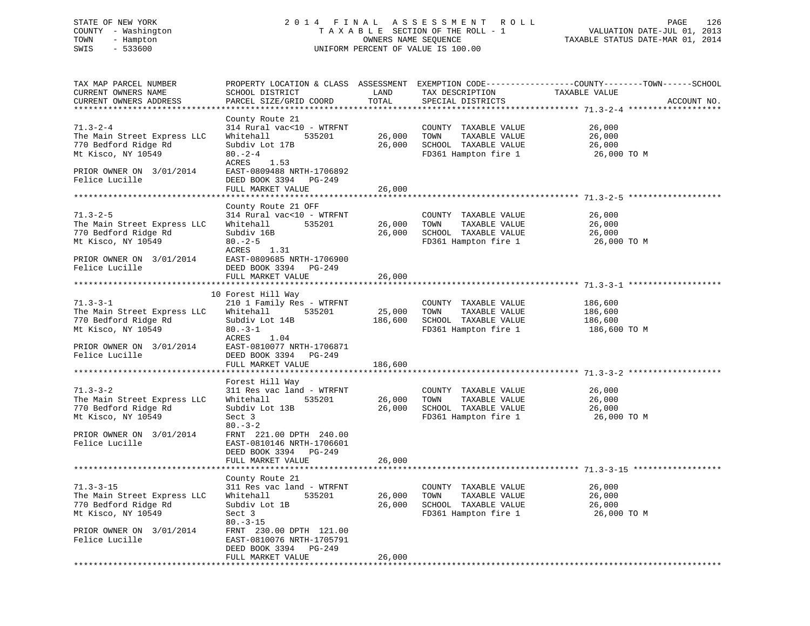# STATE OF NEW YORK 2 0 1 4 F I N A L A S S E S S M E N T R O L L PAGE 126 COUNTY - Washington T A X A B L E SECTION OF THE ROLL - 1 VALUATION DATE-JUL 01, 2013 TOWN - Hampton OWNERS NAME SEQUENCE TAXABLE STATUS DATE-MAR 01, 2014 SWIS - 533600 UNIFORM PERCENT OF VALUE IS 100.00

TAX MAP PARCEL NUMBER PROPERTY LOCATION & CLASS ASSESSMENT EXEMPTION CODE------------------COUNTY--------TOWN------SCHOOL

CURRENT OWNERS ADDRESS PARCEL SIZE/GRID COORD TOTAL SPECIAL DISTRICTS ACCOUNT NO. \*\*\*\*\*\*\*\*\*\*\*\*\*\*\*\*\*\*\*\*\*\*\*\*\*\*\*\*\*\*\*\*\*\*\*\*\*\*\*\*\*\*\*\*\*\*\*\*\*\*\*\*\*\*\*\*\*\*\*\*\*\*\*\*\*\*\*\*\*\*\*\*\*\*\*\*\*\*\*\*\*\*\*\*\*\*\*\*\*\*\*\*\*\*\*\*\*\*\*\*\*\*\* 71.3-2-4 \*\*\*\*\*\*\*\*\*\*\*\*\*\*\*\*\*\*\*

CURRENT OWNERS NAME SCHOOL DISTRICT LAND TAX DESCRIPTION TAXABLE VALUE

County Route 21<br>314 Rural vac<10 - WTRFNT 71.3-2-4 314 Rural vac<10 - WTRFNT COUNTY TAXABLE VALUE 26,000 The Main Street Express LLC Whitehall 535201 26,000 TOWN TAXABLE VALUE 26,000 770 Bedford Ridge Rd Subdiv Lot 17B 26,000 SCHOOL TAXABLE VALUE 26,000 Mt Kisco, NY 10549 80.-2-4 FD361 Hampton fire 1 26,000 TO M ACRES 1.53 PRIOR OWNER ON 3/01/2014 EAST-0809488 NRTH-1706892 FRIOR OWNER ON 5, 01, 2011<br>Felice Lucille DEED BOOK 3394 PG-249 FULL MARKET VALUE 26,000 \*\*\*\*\*\*\*\*\*\*\*\*\*\*\*\*\*\*\*\*\*\*\*\*\*\*\*\*\*\*\*\*\*\*\*\*\*\*\*\*\*\*\*\*\*\*\*\*\*\*\*\*\*\*\*\*\*\*\*\*\*\*\*\*\*\*\*\*\*\*\*\*\*\*\*\*\*\*\*\*\*\*\*\*\*\*\*\*\*\*\*\*\*\*\*\*\*\*\*\*\*\*\* 71.3-2-5 \*\*\*\*\*\*\*\*\*\*\*\*\*\*\*\*\*\*\* County Route 21 OFF 71.3-2-5 314 Rural vac<10 - WTRFNT COUNTY TAXABLE VALUE 26,000 The Main Street Express LLC Whitehall 535201 26,000 TOWN TAXABLE VALUE 26,000 770 Bedford Ridge Rd Subdiv 16B 26,000 SCHOOL TAXABLE VALUE 26,000 Mt Kisco, NY 10549 80.-2-5 FD361 Hampton fire 1 26,000 TO M ACRES 1.31 PRIOR OWNER ON 3/01/2014 EAST-0809685 NRTH-1706900 Felice Lucille DEED BOOK 3394 PG-249 FULL MARKET VALUE 26,000 \*\*\*\*\*\*\*\*\*\*\*\*\*\*\*\*\*\*\*\*\*\*\*\*\*\*\*\*\*\*\*\*\*\*\*\*\*\*\*\*\*\*\*\*\*\*\*\*\*\*\*\*\*\*\*\*\*\*\*\*\*\*\*\*\*\*\*\*\*\*\*\*\*\*\*\*\*\*\*\*\*\*\*\*\*\*\*\*\*\*\*\*\*\*\*\*\*\*\*\*\*\*\* 71.3-3-1 \*\*\*\*\*\*\*\*\*\*\*\*\*\*\*\*\*\*\* 10 Forest Hill Way 71.3-3-1 210 1 Family Res - WTRFNT COUNTY TAXABLE VALUE 186,600 The Main Street Express LLC Whitehall 535201 25,000 TOWN TAXABLE VALUE 186,600 770 Bedford Ridge Rd Subdiv Lot 14B 186,600 SCHOOL TAXABLE VALUE 186,600 Mt Kisco, NY 10549 80.-3-1 FD361 Hampton fire 1 186,600 TO M 770 Bedford Ridge Rd<br>Mt Kisco, NY 10549 80.-3-1<br>ACRES 1.04  $\begin{array}{lll}\n\text{O} & \text{O} & -5 - 1 \\
\text{ACRES} & & 1.04\n\end{array}$ PRIOR OWNER ON 3/01/2014 EAST-0810077 NRTH-1706871 Felice Lucille DEED BOOK 3394 PG-249 FULL MARKET VALUE 186,600 \*\*\*\*\*\*\*\*\*\*\*\*\*\*\*\*\*\*\*\*\*\*\*\*\*\*\*\*\*\*\*\*\*\*\*\*\*\*\*\*\*\*\*\*\*\*\*\*\*\*\*\*\*\*\*\*\*\*\*\*\*\*\*\*\*\*\*\*\*\*\*\*\*\*\*\*\*\*\*\*\*\*\*\*\*\*\*\*\*\*\*\*\*\*\*\*\*\*\*\*\*\*\* 71.3-3-2 \*\*\*\*\*\*\*\*\*\*\*\*\*\*\*\*\*\*\* Forest Hill Way 71.3-3-2 311 Res vac land - WTRFNT COUNTY TAXABLE VALUE 26,000 The Main Street Express LLC Whitehall 535201 26,000 TOWN TAXABLE VALUE 26,000 770 Bedford Ridge Rd Subdiv Lot 13B 26,000 SCHOOL TAXABLE VALUE 26,000 Mt Kisco, NY 10549 Sect 3 FD361 Hampton fire 1 26,000 TO M  $80. -3-2$  PRIOR OWNER ON 3/01/2014 FRNT 221.00 DPTH 240.00 Felice Lucille EAST-0810146 NRTH-1706601 DEED BOOK 3394 PG-249 FULL MARKET VALUE 26,000 \*\*\*\*\*\*\*\*\*\*\*\*\*\*\*\*\*\*\*\*\*\*\*\*\*\*\*\*\*\*\*\*\*\*\*\*\*\*\*\*\*\*\*\*\*\*\*\*\*\*\*\*\*\*\*\*\*\*\*\*\*\*\*\*\*\*\*\*\*\*\*\*\*\*\*\*\*\*\*\*\*\*\*\*\*\*\*\*\*\*\*\*\*\*\*\*\*\*\*\*\*\*\* 71.3-3-15 \*\*\*\*\*\*\*\*\*\*\*\*\*\*\*\*\*\* County Route 21 71.3-3-15 311 Res vac land - WTRFNT COUNTY TAXABLE VALUE 26,000 The Main Street Express LLC Whitehall 535201 26,000 TOWN TAXABLE VALUE 26,000 770 Bedford Ridge Rd Subdiv Lot 1B 26,000 SCHOOL TAXABLE VALUE 26,000 Mt Kisco, NY 10549 Sect 3 FD361 Hampton fire 1 26,000 TO M 80.-3-15 PRIOR OWNER ON 3/01/2014 FRNT 230.00 DPTH 121.00 Felice Lucille EAST-0810076 NRTH-1705791 DEED BOOK 3394 PG-249 FULL MARKET VALUE 26,000 \*\*\*\*\*\*\*\*\*\*\*\*\*\*\*\*\*\*\*\*\*\*\*\*\*\*\*\*\*\*\*\*\*\*\*\*\*\*\*\*\*\*\*\*\*\*\*\*\*\*\*\*\*\*\*\*\*\*\*\*\*\*\*\*\*\*\*\*\*\*\*\*\*\*\*\*\*\*\*\*\*\*\*\*\*\*\*\*\*\*\*\*\*\*\*\*\*\*\*\*\*\*\*\*\*\*\*\*\*\*\*\*\*\*\*\*\*\*\*\*\*\*\*\*\*\*\*\*\*\*\*\*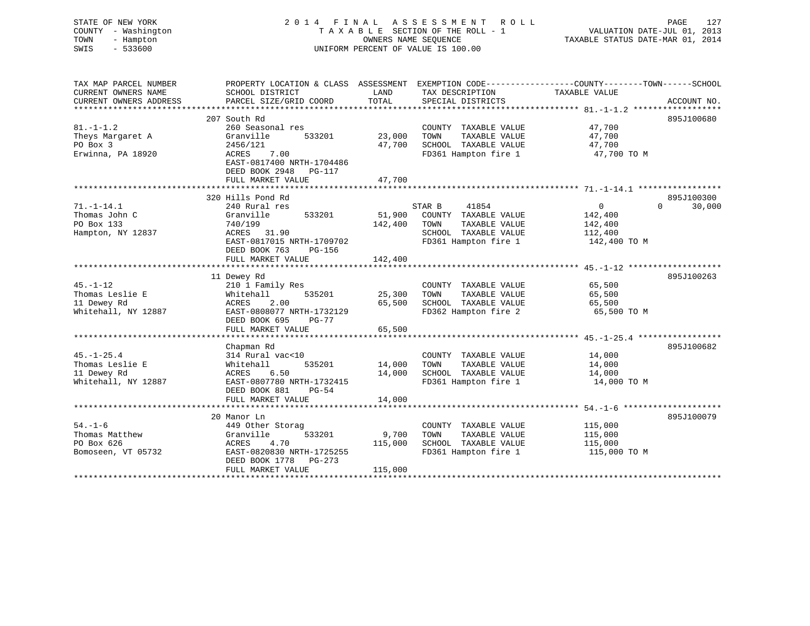| STATE OF NEW YORK<br>COUNTY - Washington<br>TOWN<br>- Hampton<br>$-533600$<br>SWIS |                                                                                                                                                                 | OWNERS NAME SEQUENCE        | 2014 FINAL ASSESSMENT<br><b>ROLL</b><br>TAXABLE SECTION OF THE ROLL - 1<br>UNIFORM PERCENT OF VALUE IS 100.00    | PAGE<br>127<br>VALUATION DATE-JUL 01, 2013<br>TAXABLE STATUS DATE-MAR 01, 2014                                                   |
|------------------------------------------------------------------------------------|-----------------------------------------------------------------------------------------------------------------------------------------------------------------|-----------------------------|------------------------------------------------------------------------------------------------------------------|----------------------------------------------------------------------------------------------------------------------------------|
| TAX MAP PARCEL NUMBER<br>CURRENT OWNERS NAME<br>CURRENT OWNERS ADDRESS             | SCHOOL DISTRICT<br>PARCEL SIZE/GRID COORD                                                                                                                       | LAND<br>TOTAL               | TAX DESCRIPTION<br>SPECIAL DISTRICTS                                                                             | PROPERTY LOCATION & CLASS ASSESSMENT EXEMPTION CODE----------------COUNTY-------TOWN------SCHOOL<br>TAXABLE VALUE<br>ACCOUNT NO. |
| $81. - 1 - 1.2$<br>Theys Margaret A<br>PO Box 3<br>Erwinna, PA 18920               | 207 South Rd<br>260 Seasonal res<br>Granville<br>533201<br>2456/121<br>7.00<br>ACRES<br>EAST-0817400 NRTH-1704486<br>DEED BOOK 2948 PG-117<br>FULL MARKET VALUE | 23,000<br>47,700<br>47,700  | COUNTY TAXABLE VALUE<br>TAXABLE VALUE<br>TOWN<br>SCHOOL TAXABLE VALUE<br>FD361 Hampton fire 1                    | 895J100680<br>47,700<br>47,700<br>47,700<br>47,700 TO M                                                                          |
|                                                                                    |                                                                                                                                                                 |                             |                                                                                                                  |                                                                                                                                  |
| $71. - 1 - 14.1$<br>Thomas John C<br>PO Box 133<br>Hampton, NY 12837               | 320 Hills Pond Rd<br>240 Rural res<br>Granville<br>533201<br>740/199<br>ACRES 31.90<br>EAST-0817015 NRTH-1709702<br>DEED BOOK 763<br>PG-156                     | 51,900<br>142,400           | STAR B<br>41854<br>COUNTY TAXABLE VALUE<br>TAXABLE VALUE<br>TOWN<br>SCHOOL TAXABLE VALUE<br>FD361 Hampton fire 1 | 895J100300<br>$\overline{0}$<br>$\Omega$<br>30,000<br>142,400<br>142,400<br>112,400<br>142,400 TO M                              |
|                                                                                    | FULL MARKET VALUE                                                                                                                                               | 142,400                     |                                                                                                                  |                                                                                                                                  |
|                                                                                    |                                                                                                                                                                 |                             |                                                                                                                  |                                                                                                                                  |
| $45. - 1 - 12$<br>Thomas Leslie E<br>11 Dewey Rd<br>Whitehall, NY 12887            | 11 Dewey Rd<br>210 1 Family Res<br>535201<br>Whitehall<br>2.00<br>ACRES<br>EAST-0808077 NRTH-1732129<br>DEED BOOK 695<br>PG-77<br>FULL MARKET VALUE             | 25,300<br>65,500<br>65,500  | COUNTY TAXABLE VALUE<br>TOWN<br>TAXABLE VALUE<br>SCHOOL TAXABLE VALUE<br>FD362 Hampton fire 2                    | 895J100263<br>65,500<br>65,500<br>65,500<br>65,500 TO M                                                                          |
|                                                                                    |                                                                                                                                                                 |                             |                                                                                                                  |                                                                                                                                  |
| $45. - 1 - 25.4$<br>Thomas Leslie E<br>11 Dewey Rd<br>Whitehall, NY 12887          | Chapman Rd<br>314 Rural vac<10<br>535201<br>Whitehall<br>ACRES<br>6.50<br>EAST-0807780 NRTH-1732415<br>DEED BOOK 881<br>$PG-54$                                 | 14,000<br>14,000            | COUNTY TAXABLE VALUE<br>TAXABLE VALUE<br>TOWN<br>SCHOOL TAXABLE VALUE<br>FD361 Hampton fire 1                    | 895J100682<br>14,000<br>14,000<br>14,000<br>14,000 TO M                                                                          |
|                                                                                    | FULL MARKET VALUE                                                                                                                                               | 14,000                      |                                                                                                                  |                                                                                                                                  |
|                                                                                    | 20 Manor Ln                                                                                                                                                     |                             |                                                                                                                  | 895J100079                                                                                                                       |
| $54. - 1 - 6$<br>Thomas Matthew<br>PO Box 626<br>Bomoseen, VT 05732                | 449 Other Storag<br>Granville<br>533201<br>4.70<br>ACRES<br>EAST-0820830 NRTH-1725255<br>DEED BOOK 1778<br>PG-273<br>FULL MARKET VALUE                          | 9,700<br>115,000<br>115,000 | COUNTY TAXABLE VALUE<br>TOWN<br>TAXABLE VALUE<br>SCHOOL TAXABLE VALUE<br>FD361 Hampton fire 1                    | 115,000<br>115,000<br>115,000<br>115,000 TO M                                                                                    |
|                                                                                    |                                                                                                                                                                 |                             |                                                                                                                  |                                                                                                                                  |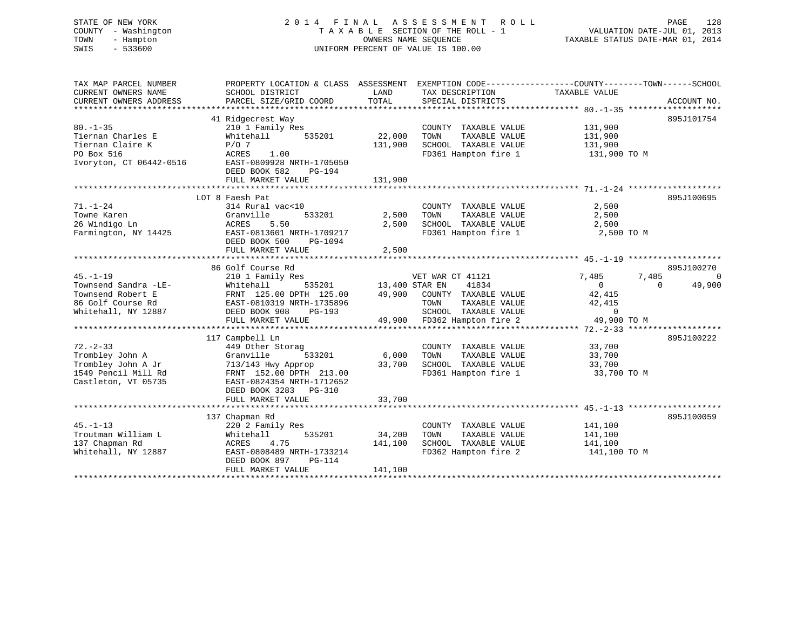#### STATE OF NEW YORK 2 0 1 4 F I N A L A S S E S S M E N T R O L L PAGE 128COUNTY - Washington T A X A B L E SECTION OF THE ROLL - 1 TOWN - Hampton OWNERS NAME SEQUENCE TAXABLE STATUS DATE-MAR 01, 2014 SWIS - 533600 UNIFORM PERCENT OF VALUE IS 100.00

VALUATION DATE-JUL 01, 2013

| TAX MAP PARCEL NUMBER                 | PROPERTY LOCATION & CLASS ASSESSMENT EXEMPTION CODE----------------COUNTY-------TOWN-----SCHOOL     |                       |                                              |                    |                     |
|---------------------------------------|-----------------------------------------------------------------------------------------------------|-----------------------|----------------------------------------------|--------------------|---------------------|
| CURRENT OWNERS NAME                   | SCHOOL DISTRICT                                                                                     | LAND                  | TAX DESCRIPTION                              | TAXABLE VALUE      |                     |
| CURRENT OWNERS ADDRESS                | PARCEL SIZE/GRID COORD                                                                              | TOTAL                 | SPECIAL DISTRICTS                            |                    | ACCOUNT NO.         |
|                                       |                                                                                                     |                       |                                              |                    |                     |
|                                       | 41 Ridgecrest Way                                                                                   |                       |                                              |                    | 895J101754          |
| $80. - 1 - 35$                        | 210 1 Family Res                                                                                    |                       | COUNTY TAXABLE VALUE                         | 131,900<br>131,900 |                     |
| Tiernan Charles E                     | Whitehall<br>535201                                                                                 | 22,000                | TOWN<br>TAXABLE VALUE                        |                    |                     |
| Tiernan Claire K                      | $P/O$ 7                                                                                             | 131,900               | SCHOOL TAXABLE VALUE                         | 131,900            |                     |
| PO Box 516                            | ACRES<br>1.00                                                                                       |                       | FD361 Hampton fire 1                         | 131,900 TO M       |                     |
| Ivoryton, CT 06442-0516               | EAST-0809928 NRTH-1705050                                                                           |                       |                                              |                    |                     |
|                                       | DEED BOOK 582<br><b>PG-194</b>                                                                      |                       |                                              |                    |                     |
|                                       |                                                                                                     |                       |                                              |                    |                     |
|                                       |                                                                                                     |                       |                                              |                    |                     |
|                                       | LOT 8 Faesh Pat                                                                                     |                       |                                              |                    | 895J100695          |
| $71. - 1 - 24$                        | 314 Rural vac<10                                                                                    |                       | COUNTY TAXABLE VALUE                         | 2,500              |                     |
| Towne Karen                           | 533201<br>Granville                                                                                 | 2,500                 | TOWN<br>TAXABLE VALUE                        | 2,500              |                     |
| 26 Windigo Ln                         | ACRES<br>5.50                                                                                       | 2,500                 | SCHOOL TAXABLE VALUE                         | 2,500              |                     |
| Farmington, NY 14425                  | EAST-0813601 NRTH-1709217                                                                           |                       | FD361 Hampton fire 1                         | 2,500 TO M         |                     |
|                                       | DEED BOOK 500<br>PG-1094                                                                            |                       |                                              |                    |                     |
|                                       | FULL MARKET VALUE                                                                                   | 2,500                 |                                              |                    |                     |
|                                       |                                                                                                     |                       |                                              |                    |                     |
|                                       | 86 Golf Course Rd                                                                                   |                       |                                              |                    | 895J100270          |
| $45. - 1 - 19$                        | 210 1 Family Res                                                                                    |                       | VET WAR CT 41121                             | 7,485              | 7,485<br>$\bigcirc$ |
| Townsend Sandra -LE-                  | Whitehall                                                                                           | 535201 13,400 STAR EN | 41834                                        | $\overline{0}$     | 49,900<br>$\Omega$  |
| Townsend Robert E                     |                                                                                                     |                       |                                              | 42,415             |                     |
| 86 Golf Course Rd                     | FRNT 125.00 DPTH 125.00 49,900 COUNTY TAXABLE VALUE<br>EAST-0810319 NRTH-1735896 TOWN TAXABLE VALUE |                       | TAXABLE VALUE                                | 42,415             |                     |
| Whitehall, NY 12887                   | DEED BOOK 908                                                                                       |                       | SCHOOL TAXABLE VALUE 0                       |                    |                     |
|                                       | FULL MARKET VALUE                                                                                   |                       | PG-193<br>EUE 49,900 FD362 Hampton fire 2    | 49,900 TO M        |                     |
|                                       |                                                                                                     |                       |                                              |                    |                     |
|                                       | 117 Campbell Ln                                                                                     |                       |                                              |                    | 895J100222          |
| $72. - 2 - 33$                        | 449 Other Storag                                                                                    |                       | COUNTY TAXABLE VALUE                         | 33,700             |                     |
|                                       |                                                                                                     | 533201 6,000          | TAXABLE VALUE<br>TOWN                        |                    |                     |
| Trombley John A<br>Trombley John A Jr | Granville                                                                                           |                       |                                              | 33,700             |                     |
|                                       | 713/143 Hwy Approp                                                                                  | $33,700$<br>$13.00$   | SCHOOL TAXABLE VALUE<br>FD361 Hampton fire 1 | 33,700             |                     |
| 1549 Pencil Mill Rd                   | FRNT 152.00 DPTH 213.00                                                                             |                       |                                              | $33,700$ TO M      |                     |
| Castleton, VT 05735                   | EAST-0824354 NRTH-1712652                                                                           |                       |                                              |                    |                     |
|                                       | DEED BOOK 3283 PG-310                                                                               |                       |                                              |                    |                     |
|                                       | FULL MARKET VALUE                                                                                   | 33,700                |                                              |                    |                     |
|                                       |                                                                                                     |                       |                                              |                    |                     |
|                                       | 137 Chapman Rd                                                                                      |                       |                                              |                    | 895J100059          |
| $45. - 1 - 13$                        | 220 2 Family Res                                                                                    |                       | COUNTY TAXABLE VALUE 141,100                 |                    |                     |
| Troutman William L                    | 535201<br>Whitehall                                                                                 | 34,200                | TOWN<br>TAXABLE VALUE                        | 141,100            |                     |
| 137 Chapman Rd                        | 4.75<br>ACRES                                                                                       | 141,100               | SCHOOL TAXABLE VALUE                         | 141,100            |                     |
| Whitehall, NY 12887                   | EAST-0808489 NRTH-1733214                                                                           |                       | FD362 Hampton fire 2 141,100 TO M            |                    |                     |
|                                       | DEED BOOK 897<br>$PG-114$                                                                           |                       |                                              |                    |                     |
|                                       | FULL MARKET VALUE                                                                                   | 141,100               |                                              |                    |                     |
|                                       |                                                                                                     |                       |                                              |                    |                     |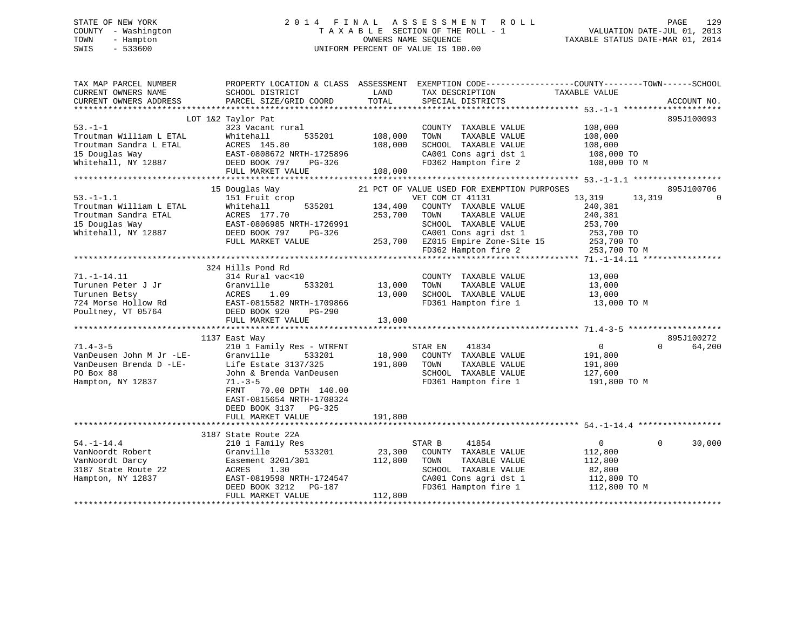# STATE OF NEW YORK 2 0 1 4 F I N A L A S S E S S M E N T R O L L PAGE 129 COUNTY - Washington T A X A B L E SECTION OF THE ROLL - 1 VALUATION DATE-JUL 01, 2013 TOWN - Hampton OWNERS NAME SEQUENCE TAXABLE STATUS DATE-MAR 01, 2014 SWIS - 533600 UNIFORM PERCENT OF VALUE IS 100.00

| SCHOOL DISTRICT<br>PARCEL SIZE/GRID COORD                                                                                                                                                               | LAND<br>TOTAL                                                                                                                   | TAX DESCRIPTION<br>SPECIAL DISTRICTS                                                                                            | TAXABLE VALUE                                                                           | ACCOUNT NO.                                                                                                                                                                                                                                                                                                              |
|---------------------------------------------------------------------------------------------------------------------------------------------------------------------------------------------------------|---------------------------------------------------------------------------------------------------------------------------------|---------------------------------------------------------------------------------------------------------------------------------|-----------------------------------------------------------------------------------------|--------------------------------------------------------------------------------------------------------------------------------------------------------------------------------------------------------------------------------------------------------------------------------------------------------------------------|
| 323 Vacant rural<br>Whitehall<br>535201<br>FULL MARKET VALUE                                                                                                                                            | 108,000<br>108,000<br>108,000                                                                                                   | COUNTY TAXABLE VALUE<br>TAXABLE VALUE<br>TOWN<br>SCHOOL TAXABLE VALUE                                                           | 108,000<br>108,000<br>108,000<br>108,000 TO<br>108,000 TO M                             | 895J100093                                                                                                                                                                                                                                                                                                               |
|                                                                                                                                                                                                         |                                                                                                                                 |                                                                                                                                 |                                                                                         | 895J100706                                                                                                                                                                                                                                                                                                               |
| 151 Fruit crop<br>535201<br>Whitehall<br>ACRES 177.70<br>EAST-0806985 NRTH-1726991<br>DEED BOOK 797<br>PG-326<br>FULL MARKET VALUE                                                                      | 134,400<br>253,700                                                                                                              | COUNTY TAXABLE VALUE<br>TOWN<br>TAXABLE VALUE<br>SCHOOL TAXABLE VALUE                                                           | 13,319<br>13,319<br>240,381<br>240,381<br>253,700                                       | $\Omega$                                                                                                                                                                                                                                                                                                                 |
|                                                                                                                                                                                                         |                                                                                                                                 |                                                                                                                                 |                                                                                         |                                                                                                                                                                                                                                                                                                                          |
| 314 Rural vac<10<br>Granville<br>533201<br>ACRES<br>1.09<br>DEED BOOK 920<br>PG-290<br>FULL MARKET VALUE                                                                                                | 13,000<br>13,000<br>13,000                                                                                                      | COUNTY TAXABLE VALUE<br>TAXABLE VALUE<br>TOWN<br>SCHOOL TAXABLE VALUE                                                           | 13,000<br>13,000<br>13,000<br>13,000 TO M                                               |                                                                                                                                                                                                                                                                                                                          |
|                                                                                                                                                                                                         |                                                                                                                                 |                                                                                                                                 |                                                                                         |                                                                                                                                                                                                                                                                                                                          |
| 210 1 Family Res - WTRFNT<br>Granville<br>533201<br>Life Estate 3137/325<br>John & Brenda VanDeusen<br>$71. - 3 - 5$<br>FRNT<br>70.00 DPTH 140.00<br>EAST-0815654 NRTH-1708324<br>DEED BOOK 3137 PG-325 | 191,800                                                                                                                         | 41834<br>COUNTY TAXABLE VALUE<br>TAXABLE VALUE<br>TOWN<br>SCHOOL TAXABLE VALUE<br>FD361 Hampton fire 1                          | $\overline{0}$<br>191,800<br>191,800<br>127,600<br>191,800 TO M                         | 895J100272<br>$\Omega$<br>64,200                                                                                                                                                                                                                                                                                         |
| FULL MARKET VALUE                                                                                                                                                                                       | 191,800                                                                                                                         |                                                                                                                                 |                                                                                         |                                                                                                                                                                                                                                                                                                                          |
|                                                                                                                                                                                                         |                                                                                                                                 |                                                                                                                                 |                                                                                         |                                                                                                                                                                                                                                                                                                                          |
| 210 1 Family Res<br>533201<br>Granville<br>Easement 3201/301<br>1.30<br>ACRES<br>EAST-0819598 NRTH-1724547<br>DEED BOOK 3212<br>PG-187<br>FULL MARKET VALUE                                             | 23,300<br>112,800<br>112,800                                                                                                    | 41854<br>COUNTY TAXABLE VALUE<br>TOWN<br>TAXABLE VALUE<br>SCHOOL TAXABLE VALUE<br>CA001 Cons agri dst 1<br>FD361 Hampton fire 1 | $0 \qquad \qquad$<br>112,800<br>112,800<br>82,800<br>112,800 TO<br>112,800 TO M         | $\Omega$<br>30,000                                                                                                                                                                                                                                                                                                       |
|                                                                                                                                                                                                         | LOT 1&2 Taylor Pat<br>15 Douglas Way<br>324 Hills Pond Rd<br>EAST-0815582 NRTH-1709866<br>1137 East Way<br>3187 State Route 22A |                                                                                                                                 | PROPERTY LOCATION & CLASS ASSESSMENT<br>VET COM CT 41131<br>STAR EN<br>18,900<br>STAR B | EXEMPTION CODE-----------------COUNTY-------TOWN------SCHOOL<br>CA001 Cons agri dst 1<br>FD362 Hampton fire 2<br>21 PCT OF VALUE USED FOR EXEMPTION PURPOSES<br>CA001 Cons agri dst 1 253,700 TO<br>253,700 EZ015 Empire Zone-Site 15 253,700 TO<br>253,700 TO FD362 Hampton fire 2 253,700 TO M<br>FD361 Hampton fire 1 |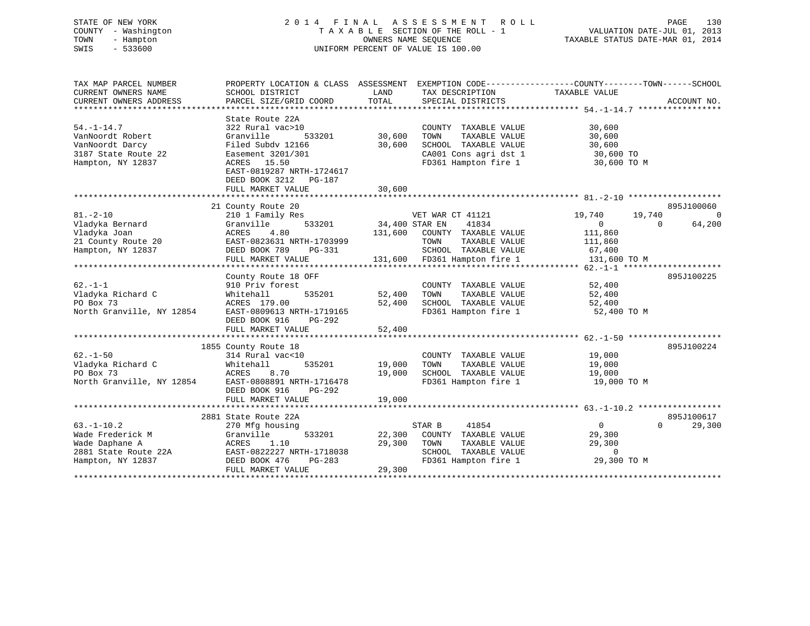# STATE OF NEW YORK 2 0 1 4 F I N A L A S S E S S M E N T R O L L PAGE 130 COUNTY - Washington T A X A B L E SECTION OF THE ROLL - 1 VALUATION DATE-JUL 01, 2013 TOWN - Hampton OWNERS NAME SEQUENCE TAXABLE STATUS DATE-MAR 01, 2014 SWIS - 533600 UNIFORM PERCENT OF VALUE IS 100.00

| TAX MAP PARCEL NUMBER<br>CURRENT OWNERS NAME<br>CURRENT OWNERS ADDRESS                                  | PROPERTY LOCATION & CLASS ASSESSMENT<br>SCHOOL DISTRICT<br>PARCEL SIZE/GRID COORD                                                                                                                 | LAND<br>TOTAL                        | TAX DESCRIPTION<br>SPECIAL DISTRICTS                                                                                       | EXEMPTION CODE-----------------COUNTY-------TOWN------SCHOOL<br>TAXABLE VALUE                  | ACCOUNT NO.                        |
|---------------------------------------------------------------------------------------------------------|---------------------------------------------------------------------------------------------------------------------------------------------------------------------------------------------------|--------------------------------------|----------------------------------------------------------------------------------------------------------------------------|------------------------------------------------------------------------------------------------|------------------------------------|
| $54. - 1 - 14.7$<br>VanNoordt Robert<br>VanNoordt Darcy<br>3187 State Route 22<br>Hampton, NY 12837     | State Route 22A<br>322 Rural vac>10<br>Granville<br>533201<br>Filed Subdy 12166<br>Easement 3201/301<br>ACRES<br>15.50<br>EAST-0819287 NRTH-1724617<br>DEED BOOK 3212 PG-187<br>FULL MARKET VALUE | 30,600<br>30,600<br>30,600           | COUNTY TAXABLE VALUE<br>TAXABLE VALUE<br>TOWN<br>SCHOOL TAXABLE VALUE<br>CA001 Cons agri dst 1<br>FD361 Hampton fire 1     | 30,600<br>30,600<br>30,600<br>30,600 TO<br>30,600 TO M                                         |                                    |
|                                                                                                         |                                                                                                                                                                                                   |                                      |                                                                                                                            |                                                                                                |                                    |
| $81. - 2 - 10$<br>Vladyka Bernard<br>Vladyka Joan<br>21 County Route 20<br>Hampton, NY 12837            | 21 County Route 20<br>210 1 Family Res<br>533201<br>Granville<br>4.80<br>ACRES<br>EAST-0823631 NRTH-1703999<br>DEED BOOK 789<br>PG-331<br>FULL MARKET VALUE                                       | 34,400 STAR EN<br>131,600<br>131,600 | VET WAR CT 41121<br>41834<br>COUNTY TAXABLE VALUE<br>TOWN<br>TAXABLE VALUE<br>SCHOOL TAXABLE VALUE<br>FD361 Hampton fire 1 | 19,740<br>19,740<br>$\overline{0}$<br>$\Omega$<br>111,860<br>111,860<br>67,400<br>131,600 TO M | 895J100060<br>$\bigcirc$<br>64,200 |
|                                                                                                         |                                                                                                                                                                                                   |                                      |                                                                                                                            |                                                                                                |                                    |
| $62. -1 - 1$<br>Vladyka Richard C<br>PO Box 73<br>North Granville, NY 12854                             | County Route 18 OFF<br>910 Priv forest<br>535201<br>Whitehall<br>ACRES 179.00<br>EAST-0809613 NRTH-1719165<br>DEED BOOK 916<br>PG-292<br>FULL MARKET VALUE                                        | 52,400<br>52,400<br>52,400           | COUNTY TAXABLE VALUE<br>TOWN<br>TAXABLE VALUE<br>SCHOOL TAXABLE VALUE<br>FD361 Hampton fire 1                              | 52,400<br>52,400<br>52,400<br>52,400 TO M                                                      | 895J100225                         |
|                                                                                                         |                                                                                                                                                                                                   |                                      |                                                                                                                            |                                                                                                |                                    |
| $62. - 1 - 50$<br>Vladyka Richard C<br>PO Box 73<br>North Granville, NY 12854 EAST-0808891 NRTH-1716478 | 1855 County Route 18<br>314 Rural vac<10<br>535201<br>Whitehall<br>ACRES<br>8.70<br>DEED BOOK 916<br>PG-292<br>FULL MARKET VALUE                                                                  | 19,000<br>19,000<br>19,000           | COUNTY TAXABLE VALUE<br>TAXABLE VALUE<br>TOWN<br>SCHOOL TAXABLE VALUE<br>FD361 Hampton fire 1                              | 19,000<br>19,000<br>19,000<br>19,000 TO M                                                      | 895J100224                         |
|                                                                                                         |                                                                                                                                                                                                   |                                      |                                                                                                                            |                                                                                                |                                    |
| $63. - 1 - 10.2$<br>Wade Frederick M<br>Wade Daphane A<br>2881 State Route 22A<br>Hampton, NY 12837     | 2881 State Route 22A<br>270 Mfg housing<br>533201<br>Granville<br>1.10<br>ACRES<br>EAST-0822227 NRTH-1718038<br>DEED BOOK 476<br>PG-283<br>FULL MARKET VALUE                                      | 22,300<br>29,300<br>29,300           | 41854<br>STAR B<br>COUNTY TAXABLE VALUE<br>TAXABLE VALUE<br>TOWN<br>SCHOOL TAXABLE VALUE                                   | $\overline{0}$<br>29,300<br>29,300<br>$\mathbf 0$<br>FD361 Hampton fire 1 29,300 TO M          | 895J100617<br>29,300<br>$\Omega$   |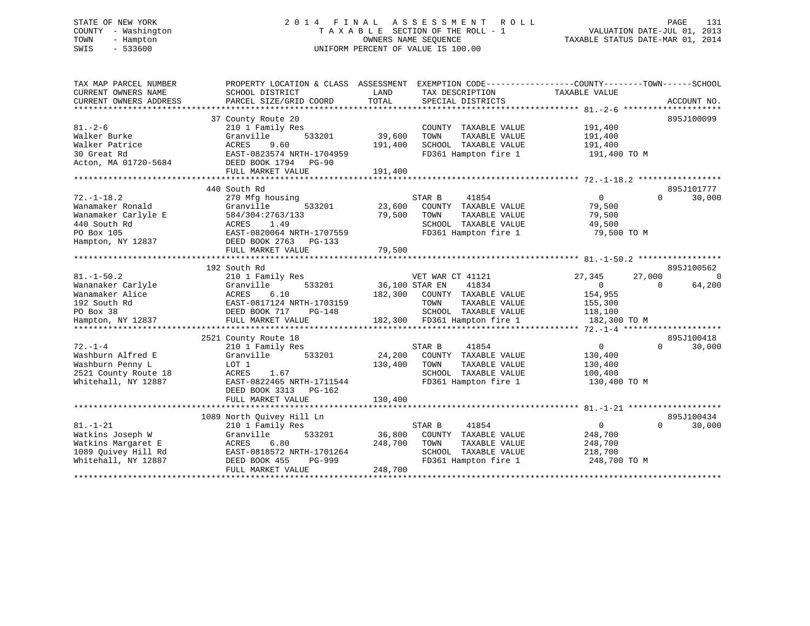# STATE OF NEW YORK 2 0 1 4 F I N A L A S S E S S M E N T R O L L PAGE 131 COUNTY - Washington T A X A B L E SECTION OF THE ROLL - 1 VALUATION DATE-JUL 01, 2013 TOWN - Hampton OWNERS NAME SEQUENCE TAXABLE STATUS DATE-MAR 01, 2014 SWIS - 533600 UNIFORM PERCENT OF VALUE IS 100.00

| TAX MAP PARCEL NUMBER<br>CURRENT OWNERS NAME<br>CURRENT OWNERS ADDRESS                                         | PROPERTY LOCATION & CLASS ASSESSMENT<br>SCHOOL DISTRICT<br>PARCEL SIZE/GRID COORD                                                                                       | LAND<br>TOTAL                | EXEMPTION CODE-----------------COUNTY-------TOWN------SCHOOL<br>TAX DESCRIPTION<br>SPECIAL DISTRICTS                               | TAXABLE VALUE                                                                       | ACCOUNT NO.                      |
|----------------------------------------------------------------------------------------------------------------|-------------------------------------------------------------------------------------------------------------------------------------------------------------------------|------------------------------|------------------------------------------------------------------------------------------------------------------------------------|-------------------------------------------------------------------------------------|----------------------------------|
| $81. - 2 - 6$<br>Walker Burke<br>Walker Patrice<br>30 Great Rd<br>Acton, MA 01720-5684                         | 37 County Route 20<br>210 1 Family Res<br>533201<br>Granville<br>ACRES<br>9.60<br>EAST-0823574 NRTH-1704959<br>DEED BOOK 1794 PG-90<br>FULL MARKET VALUE                | 39,600<br>191,400<br>191,400 | COUNTY TAXABLE VALUE<br>TOWN<br>TAXABLE VALUE<br>SCHOOL TAXABLE VALUE<br>FD361 Hampton fire 1                                      | 191,400<br>191,400<br>191,400<br>191,400 TO M                                       | 895J100099                       |
| $72. - 1 - 18.2$<br>Wanamaker Ronald<br>Wanamaker Carlyle E<br>440 South Rd<br>PO Box 105<br>Hampton, NY 12837 | 440 South Rd<br>270 Mfg housing<br>533201<br>Granville<br>584/304:2763/133<br>ACRES<br>1.49<br>EAST-0820064 NRTH-1707559<br>DEED BOOK 2763 PG-133<br>FULL MARKET VALUE  | 23,600<br>79,500<br>79,500   | 41854<br>STAR B<br>COUNTY TAXABLE VALUE<br>TAXABLE VALUE<br>TOWN<br>SCHOOL TAXABLE VALUE<br>FD361 Hampton fire 1                   | $\overline{0}$<br>79,500<br>79,500<br>49,500<br>79,500 TO M                         | 895J101777<br>30,000<br>$\Omega$ |
|                                                                                                                | 192 South Rd                                                                                                                                                            |                              |                                                                                                                                    |                                                                                     | 895J100562                       |
| $81. - 1 - 50.2$<br>Wananaker Carlyle<br>Wanamaker Alice<br>192 South Rd<br>PO Box 38<br>Hampton, NY 12837     | 210 1 Family Res<br>Granville<br>533201<br>ACRES<br>6.10<br>EAST-0817124 NRTH-1703159<br>DEED BOOK 717<br>PG-148<br>FULL MARKET VALUE                                   | 36,100 STAR EN<br>182,300    | VET WAR CT 41121<br>41834<br>COUNTY TAXABLE VALUE<br>TOWN<br>TAXABLE VALUE<br>SCHOOL TAXABLE VALUE<br>182,300 FD361 Hampton fire 1 | 27,345<br>27,000<br>$\overline{0}$<br>154,955<br>155,300<br>118,100<br>182,300 TO M | $\Omega$<br>64,200<br>$\Omega$   |
|                                                                                                                |                                                                                                                                                                         |                              |                                                                                                                                    |                                                                                     |                                  |
| $72. - 1 - 4$<br>Washburn Alfred E<br>Washburn Penny L<br>2521 County Route 18<br>Whitehall, NY 12887          | 2521 County Route 18<br>210 1 Family Res<br>533201<br>Granville<br>LOT 1<br>1.67<br>ACRES<br>EAST-0822465 NRTH-1711544<br>DEED BOOK 3313<br>PG-162<br>FULL MARKET VALUE | 24,200<br>130,400<br>130,400 | STAR B<br>41854<br>COUNTY TAXABLE VALUE<br>TOWN<br>TAXABLE VALUE<br>SCHOOL TAXABLE VALUE<br>FD361 Hampton fire 1                   | 0<br>130,400<br>130,400<br>100,400<br>130,400 TO M                                  | 895J100418<br>$\Omega$<br>30,000 |
|                                                                                                                |                                                                                                                                                                         |                              |                                                                                                                                    |                                                                                     |                                  |
| $81. - 1 - 21$<br>Watkins Joseph W<br>Watkins Margaret E<br>1089 Ouivey Hill Rd<br>Whitehall, NY 12887         | 1089 North Quivey Hill Ln<br>210 1 Family Res<br>533201<br>Granville<br>6.80<br>ACRES<br>EAST-0818572 NRTH-1701264<br>PG-999<br>DEED BOOK 455<br>FULL MARKET VALUE      | 36,800<br>248,700<br>248,700 | 41854<br>STAR B<br>COUNTY TAXABLE VALUE<br>TOWN<br>TAXABLE VALUE<br>SCHOOL TAXABLE VALUE<br>FD361 Hampton fire 1                   | $\Omega$<br>248,700<br>248,700<br>218,700<br>248,700 TO M                           | 895J100434<br>30,000<br>$\Omega$ |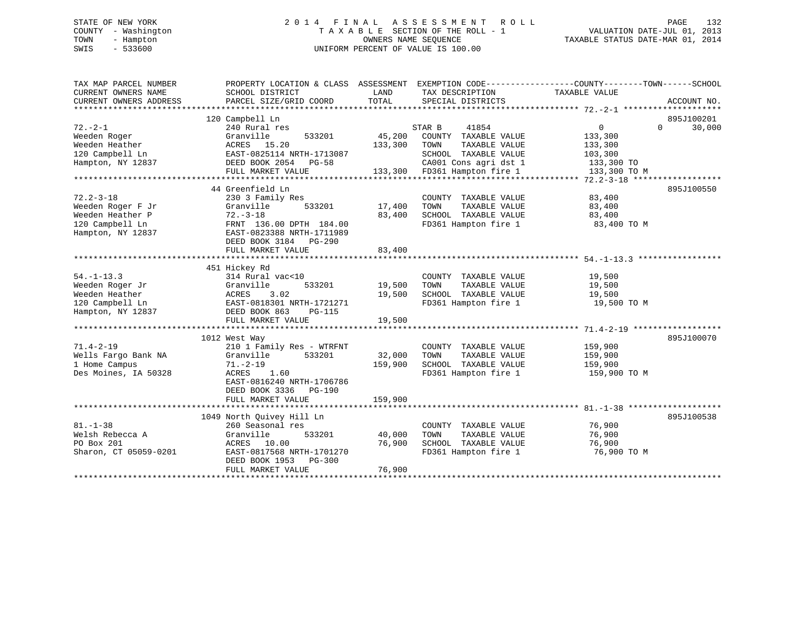# STATE OF NEW YORK 2 0 1 4 F I N A L A S S E S S M E N T R O L L PAGE 132 COUNTY - Washington T A X A B L E SECTION OF THE ROLL - 1 VALUATION DATE-JUL 01, 2013 TOWN - Hampton OWNERS NAME SEQUENCE TAXABLE STATUS DATE-MAR 01, 2014 SWIS - 533600 UNIFORM PERCENT OF VALUE IS 100.00

| TAX MAP PARCEL NUMBER<br>CURRENT OWNERS NAME | PROPERTY LOCATION & CLASS ASSESSMENT EXEMPTION CODE---------------COUNTY-------TOWN-----SCHOOL<br>SCHOOL DISTRICT | LAND<br>TOTAL | TAX DESCRIPTION              | TAXABLE VALUE |                    |
|----------------------------------------------|-------------------------------------------------------------------------------------------------------------------|---------------|------------------------------|---------------|--------------------|
| CURRENT OWNERS ADDRESS                       | PARCEL SIZE/GRID COORD                                                                                            |               | SPECIAL DISTRICTS            |               | ACCOUNT NO.        |
|                                              | 120 Campbell Ln                                                                                                   |               |                              |               | 895J100201         |
| $72 - 2 - 1$                                 | 240 Rural res                                                                                                     |               | STAR B<br>41854              | $\mathbf{0}$  | 30,000<br>$\Omega$ |
| Weeden Roger                                 | Granville<br>533201                                                                                               | 45,200        | COUNTY TAXABLE VALUE         | 133,300       |                    |
| Weeden Heather                               | ACRES 15.20                                                                                                       | 133,300       | TOWN<br>TAXABLE VALUE        | 133,300       |                    |
| 120 Campbell Ln                              | EAST-0825114 NRTH-1713087                                                                                         |               | SCHOOL TAXABLE VALUE         | 103,300       |                    |
| Hampton, NY 12837                            | DEED BOOK 2054 PG-58                                                                                              |               | CA001 Cons agri dst 1        | 133,300 TO    |                    |
|                                              | FULL MARKET VALUE                                                                                                 |               | 133,300 FD361 Hampton fire 1 | 133,300 TO M  |                    |
|                                              | 44 Greenfield Ln                                                                                                  |               |                              |               | 895J100550         |
| $72.2 - 3 - 18$                              | 230 3 Family Res                                                                                                  |               | COUNTY TAXABLE VALUE         | 83,400        |                    |
| Weeden Roger F Jr                            | Granville<br>533201                                                                                               | 17,400        | TAXABLE VALUE<br>TOWN        | 83,400        |                    |
| Weeden Heather P                             | $72. - 3 - 18$                                                                                                    | 83,400        | SCHOOL TAXABLE VALUE         | 83,400        |                    |
| 120 Campbell Ln                              | FRNT 136.00 DPTH 184.00                                                                                           |               | FD361 Hampton fire 1         |               |                    |
| Hampton, NY 12837                            | EAST-0823388 NRTH-1711989<br>DEED BOOK 3184 PG-290                                                                |               |                              | 83,400 TO M   |                    |
|                                              | FULL MARKET VALUE                                                                                                 | 83,400        |                              |               |                    |
|                                              |                                                                                                                   |               |                              |               |                    |
|                                              | 451 Hickey Rd                                                                                                     |               |                              |               |                    |
| $54. - 1 - 13.3$                             | 314 Rural vac<10                                                                                                  |               | COUNTY TAXABLE VALUE         | 19,500        |                    |
| Weeden Roger Jr                              | Granville<br>533201                                                                                               | 19,500        | TOWN<br>TAXABLE VALUE        | 19,500        |                    |
| Weeden Heather                               | ACRES<br>3.02                                                                                                     | 19,500        | SCHOOL TAXABLE VALUE         | 19,500        |                    |
| 120 Campbell Ln                              | EAST-0818301 NRTH-1721271                                                                                         |               | FD361 Hampton fire 1         | 19,500 TO M   |                    |
| Hampton, NY 12837                            | DEED BOOK 863<br>PG-115                                                                                           |               |                              |               |                    |
|                                              | FULL MARKET VALUE                                                                                                 | 19,500        |                              |               |                    |
|                                              |                                                                                                                   |               |                              |               |                    |
|                                              | 1012 West Way                                                                                                     |               |                              |               | 895J100070         |
| $71.4 - 2 - 19$                              | 210 1 Family Res - WTRFNT                                                                                         |               | COUNTY TAXABLE VALUE         | 159,900       |                    |
| Wells Fargo Bank NA                          | Granville<br>533201                                                                                               | 32,000        | TOWN<br>TAXABLE VALUE        | 159,900       |                    |
| 1 Home Campus                                | $71. - 2 - 19$                                                                                                    | 159,900       | SCHOOL TAXABLE VALUE         | 159,900       |                    |
| Des Moines, IA 50328                         | ACRES 1.60<br>EAST-0816240 NRTH-1706786<br>DEED BOOK 3336<br>PG-190<br>FULL MARKET VALUE                          | 159,900       | FD361 Hampton fire 1         | 159,900 TO M  |                    |
|                                              |                                                                                                                   |               |                              |               |                    |
|                                              | 1049 North Quivey Hill Ln                                                                                         |               |                              |               | 895J100538         |
| $81. - 1 - 38$                               | 260 Seasonal res                                                                                                  |               | COUNTY TAXABLE VALUE         | 76,900        |                    |
| Welsh Rebecca A                              | Granville<br>533201                                                                                               | 40,000        | TAXABLE VALUE<br>TOWN        | 76,900        |                    |
| PO Box 201                                   | ACRES 10.00                                                                                                       | 76,900        | SCHOOL TAXABLE VALUE         | 76,900        |                    |
| Sharon, CT 05059-0201                        | EAST-0817568 NRTH-1701270<br>DEED BOOK 1953 PG-300                                                                |               | FD361 Hampton fire 1         | 76,900 TO M   |                    |
|                                              | FULL MARKET VALUE                                                                                                 | 76,900        |                              |               |                    |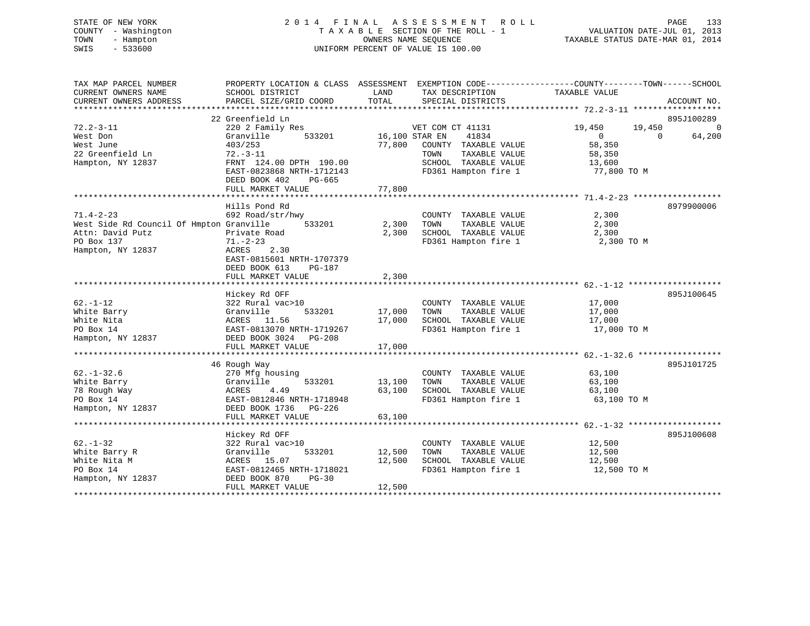# STATE OF NEW YORK 2 0 1 4 F I N A L A S S E S S M E N T R O L L PAGE 133 COUNTY - Washington T A X A B L E SECTION OF THE ROLL - 1 VALUATION DATE-JUL 01, 2013 TOWN - Hampton OWNERS NAME SEQUENCE TAXABLE STATUS DATE-MAR 01, 2014 SWIS - 533600 UNIFORM PERCENT OF VALUE IS 100.00

| TAX MAP PARCEL NUMBER<br>CURRENT OWNERS NAME<br>CURRENT OWNERS ADDRESS | PROPERTY LOCATION & CLASS ASSESSMENT<br>SCHOOL DISTRICT<br>PARCEL SIZE/GRID COORD | LAND<br>TOTAL | EXEMPTION CODE-----------------COUNTY-------TOWN------SCHOOL<br>TAX DESCRIPTION<br>SPECIAL DISTRICTS | TAXABLE VALUE    | ACCOUNT NO.        |
|------------------------------------------------------------------------|-----------------------------------------------------------------------------------|---------------|------------------------------------------------------------------------------------------------------|------------------|--------------------|
|                                                                        |                                                                                   |               |                                                                                                      |                  |                    |
|                                                                        | 22 Greenfield Ln                                                                  |               |                                                                                                      |                  | 895J100289         |
| $72.2 - 3 - 11$                                                        | 220 2 Family Res                                                                  |               | VET COM CT 41131                                                                                     | 19,450<br>19,450 | $\Omega$           |
| West Don                                                               | Granville<br>533201                                                               |               | 41834<br>16,100 STAR EN                                                                              | $\overline{0}$   | 64,200<br>$\Omega$ |
| West June                                                              | 403/253                                                                           | 77,800        | COUNTY TAXABLE VALUE                                                                                 | 58,350           |                    |
| 22 Greenfield Ln                                                       | $72. - 3 - 11$                                                                    |               | TOWN<br>TAXABLE VALUE                                                                                | 58,350           |                    |
| Hampton, NY 12837                                                      | FRNT 124.00 DPTH 190.00                                                           |               | SCHOOL TAXABLE VALUE                                                                                 | 13,600           |                    |
|                                                                        | EAST-0823868 NRTH-1712143                                                         |               | FD361 Hampton fire 1                                                                                 | 77,800 TO M      |                    |
|                                                                        | DEED BOOK 402<br>PG-665                                                           |               |                                                                                                      |                  |                    |
|                                                                        | FULL MARKET VALUE                                                                 | 77,800        |                                                                                                      |                  |                    |
|                                                                        |                                                                                   |               |                                                                                                      |                  |                    |
|                                                                        | Hills Pond Rd                                                                     |               |                                                                                                      |                  | 8979900006         |
| $71.4 - 2 - 23$                                                        | 692 Road/str/hwy                                                                  |               | COUNTY TAXABLE VALUE                                                                                 | 2,300            |                    |
| West Side Rd Council Of Hmpton Granville                               | 533201                                                                            | 2,300         | TOWN<br>TAXABLE VALUE                                                                                | 2,300            |                    |
| Attn: David Putz                                                       | Private Road                                                                      | 2,300         | SCHOOL TAXABLE VALUE                                                                                 | 2,300            |                    |
| PO Box 137                                                             | $71. - 2 - 23$                                                                    |               | FD361 Hampton fire 1                                                                                 | 2,300 TO M       |                    |
| Hampton, NY 12837                                                      | 2.30<br>ACRES                                                                     |               |                                                                                                      |                  |                    |
|                                                                        | EAST-0815601 NRTH-1707379                                                         |               |                                                                                                      |                  |                    |
|                                                                        | DEED BOOK 613<br>PG-187                                                           |               |                                                                                                      |                  |                    |
|                                                                        | FULL MARKET VALUE                                                                 | 2,300         |                                                                                                      |                  |                    |
|                                                                        | **************************                                                        | **********    |                                                                                                      |                  |                    |
|                                                                        | Hickey Rd OFF                                                                     |               |                                                                                                      |                  | 895J100645         |
| $62. - 1 - 12$                                                         | 322 Rural vac>10                                                                  |               | COUNTY TAXABLE VALUE                                                                                 | 17,000           |                    |
| White Barry                                                            | 533201<br>Granville                                                               | 17,000        | TAXABLE VALUE<br>TOWN                                                                                | 17,000           |                    |
| White Nita                                                             | 11.56<br>ACRES                                                                    | 17,000        | SCHOOL TAXABLE VALUE                                                                                 | 17,000           |                    |
| PO Box 14                                                              | EAST-0813070 NRTH-1719267                                                         |               | FD361 Hampton fire 1                                                                                 | 17,000 TO M      |                    |
| Hampton, NY 12837                                                      | DEED BOOK 3024 PG-208                                                             |               |                                                                                                      |                  |                    |
|                                                                        | FULL MARKET VALUE                                                                 | 17,000        |                                                                                                      |                  |                    |
|                                                                        |                                                                                   |               |                                                                                                      |                  |                    |
|                                                                        | 46 Rough Way                                                                      |               |                                                                                                      |                  | 895J101725         |
| $62. - 1 - 32.6$                                                       | 270 Mfg housing                                                                   |               | COUNTY TAXABLE VALUE                                                                                 | 63,100           |                    |
| White Barry                                                            | Granville<br>533201                                                               | 13,100        | TAXABLE VALUE<br>TOWN                                                                                | 63,100           |                    |
| 78 Rough Way                                                           | 4.49<br>ACRES                                                                     | 63,100        | SCHOOL TAXABLE VALUE                                                                                 | 63,100           |                    |
| PO Box 14                                                              | EAST-0812846 NRTH-1718948                                                         |               | FD361 Hampton fire 1                                                                                 | 63,100 TO M      |                    |
| Hampton, NY 12837                                                      | DEED BOOK 1736 PG-226                                                             |               |                                                                                                      |                  |                    |
|                                                                        | FULL MARKET VALUE                                                                 | 63,100        |                                                                                                      |                  |                    |
|                                                                        |                                                                                   |               |                                                                                                      |                  |                    |
|                                                                        | Hickey Rd OFF                                                                     |               |                                                                                                      |                  | 895J100608         |
| $62. - 1 - 32$                                                         | 322 Rural vac>10                                                                  |               | COUNTY TAXABLE VALUE                                                                                 | 12,500           |                    |
|                                                                        |                                                                                   |               |                                                                                                      |                  |                    |
| White Barry R                                                          | Granville<br>533201                                                               | 12,500        | TAXABLE VALUE<br>TOWN<br>SCHOOL TAXABLE VALUE                                                        | 12,500           |                    |
| White Nita M                                                           | ACRES 15.07                                                                       | 12,500        |                                                                                                      | 12,500           |                    |
| PO Box 14                                                              | EAST-0812465 NRTH-1718021                                                         |               | FD361 Hampton fire 1                                                                                 | 12,500 TO M      |                    |
| Hampton, NY 12837                                                      | DEED BOOK 870<br>$PG-30$                                                          |               |                                                                                                      |                  |                    |
|                                                                        | FULL MARKET VALUE                                                                 | 12,500        |                                                                                                      |                  |                    |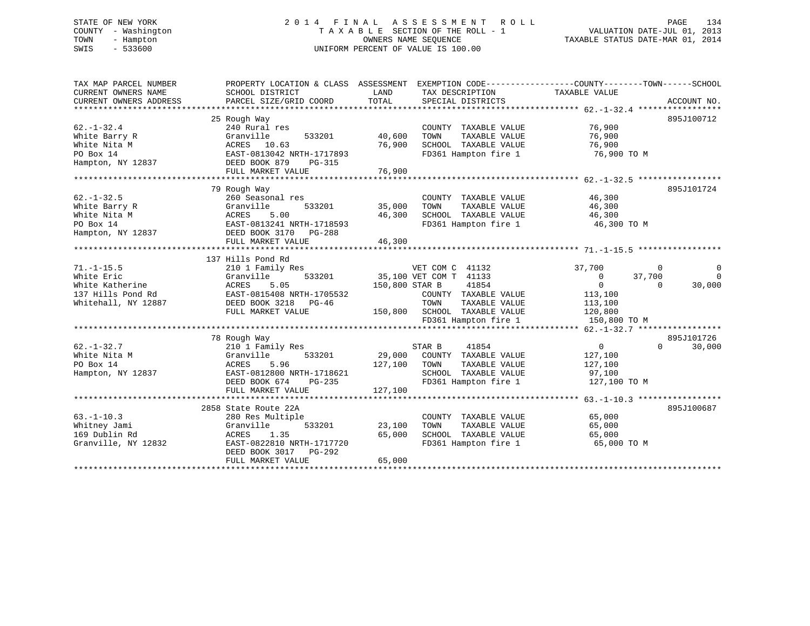# STATE OF NEW YORK 2 0 1 4 F I N A L A S S E S S M E N T R O L L PAGE 134 COUNTY - Washington T A X A B L E SECTION OF THE ROLL - 1 VALUATION DATE-JUL 01, 2013 TOWN - Hampton OWNERS NAME SEQUENCE TAXABLE STATUS DATE-MAR 01, 2014 SWIS - 533600 UNIFORM PERCENT OF VALUE IS 100.00

| TAX MAP PARCEL NUMBER<br>CURRENT OWNERS NAME | PROPERTY LOCATION & CLASS ASSESSMENT<br>SCHOOL DISTRICT | LAND           | TAX DESCRIPTION        | EXEMPTION CODE-----------------COUNTY-------TOWN------SCHOOL<br>TAXABLE VALUE |             |
|----------------------------------------------|---------------------------------------------------------|----------------|------------------------|-------------------------------------------------------------------------------|-------------|
| CURRENT OWNERS ADDRESS                       | PARCEL SIZE/GRID COORD                                  | TOTAL          | SPECIAL DISTRICTS      |                                                                               | ACCOUNT NO. |
|                                              |                                                         |                |                        |                                                                               |             |
|                                              | 25 Rough Way                                            |                |                        |                                                                               | 895J100712  |
| $62. - 1 - 32.4$                             | 240 Rural res                                           |                | COUNTY TAXABLE VALUE   | 76,900                                                                        |             |
| White Barry R                                | 533201<br>Granville                                     | 40,600         | TOWN<br>TAXABLE VALUE  | 76,900                                                                        |             |
| White Nita M                                 | 10.63<br>ACRES                                          | 76,900         | SCHOOL TAXABLE VALUE   | 76,900                                                                        |             |
| PO Box 14                                    | EAST-0813042 NRTH-1717893                               |                | FD361 Hampton fire 1   | 76,900 TO M                                                                   |             |
| Hampton, NY 12837                            | DEED BOOK 879<br>PG-315                                 |                |                        |                                                                               |             |
|                                              | FULL MARKET VALUE                                       | 76,900         |                        |                                                                               |             |
|                                              |                                                         |                |                        |                                                                               |             |
|                                              | 79 Rough Way                                            |                |                        |                                                                               | 895J101724  |
| $62. - 1 - 32.5$                             | 260 Seasonal res                                        |                | COUNTY TAXABLE VALUE   | 46,300                                                                        |             |
| White Barry R                                | 533201<br>Granville                                     | 35,000         | TOWN<br>TAXABLE VALUE  | 46,300                                                                        |             |
| White Nita M                                 | 5.00<br>ACRES                                           | 46,300         | SCHOOL TAXABLE VALUE   | 46,300                                                                        |             |
| PO Box 14                                    | EAST-0813241 NRTH-1718593                               |                | FD361 Hampton fire 1   | 46,300 TO M                                                                   |             |
| Hampton, NY 12837                            | DEED BOOK 3170<br>PG-288                                |                |                        |                                                                               |             |
|                                              | FULL MARKET VALUE                                       | 46,300         |                        |                                                                               |             |
|                                              |                                                         |                |                        |                                                                               |             |
|                                              | 137 Hills Pond Rd                                       |                |                        |                                                                               |             |
| $71. -1 - 15.5$                              | 210 1 Family Res                                        |                | VET COM C 41132        | 37,700<br>$\Omega$                                                            |             |
| White Eric                                   | Granville<br>533201                                     |                | 35,100 VET COM T 41133 | $\overline{0}$<br>37,700                                                      | $\mathbf 0$ |
| White Katherine                              | 5.05<br>ACRES                                           | 150,800 STAR B | 41854                  | $\Omega$<br>$\Omega$                                                          | 30,000      |
| 137 Hills Pond Rd                            | EAST-0815408 NRTH-1705532                               |                | COUNTY TAXABLE VALUE   | 113,100                                                                       |             |
| Whitehall, NY 12887                          | DEED BOOK 3218<br>PG-46                                 |                | TOWN<br>TAXABLE VALUE  | 113,100                                                                       |             |
|                                              | FULL MARKET VALUE                                       | 150,800        | SCHOOL TAXABLE VALUE   | 120,800                                                                       |             |
|                                              |                                                         |                | FD361 Hampton fire 1   | 150,800 TO M                                                                  |             |
|                                              |                                                         |                |                        |                                                                               |             |
|                                              | 78 Rough Way                                            |                |                        |                                                                               | 895J101726  |
| $62. - 1 - 32.7$                             | 210 1 Family Res                                        |                | STAR B<br>41854        | $\overline{0}$<br>$\Omega$                                                    | 30,000      |
| White Nita M                                 | Granville<br>533201                                     | 29,000         | COUNTY TAXABLE VALUE   | 127,100                                                                       |             |
| PO Box 14                                    | ACRES<br>5.96                                           | 127,100        | TOWN<br>TAXABLE VALUE  | 127,100                                                                       |             |
| Hampton, NY 12837                            | EAST-0812800 NRTH-1718621                               |                | SCHOOL TAXABLE VALUE   | 97,100                                                                        |             |
|                                              | DEED BOOK 674<br>PG-235                                 |                | FD361 Hampton fire 1   | 127,100 TO M                                                                  |             |
|                                              | FULL MARKET VALUE                                       | 127,100        |                        |                                                                               |             |
|                                              |                                                         |                |                        |                                                                               |             |
|                                              | 2858 State Route 22A                                    |                |                        |                                                                               | 895J100687  |
| $63. -1 - 10.3$                              | 280 Res Multiple                                        |                | COUNTY TAXABLE VALUE   | 65,000                                                                        |             |
| Whitney Jami                                 | Granville<br>533201                                     | 23,100         | TAXABLE VALUE<br>TOWN  | 65,000                                                                        |             |
| 169 Dublin Rd                                | ACRES<br>1.35                                           | 65,000         | SCHOOL TAXABLE VALUE   | 65,000                                                                        |             |
| Granville, NY 12832                          | EAST-0822810 NRTH-1717720                               |                | FD361 Hampton fire 1   | 65,000 TO M                                                                   |             |
|                                              | DEED BOOK 3017<br>PG-292                                |                |                        |                                                                               |             |
|                                              | FULL MARKET VALUE                                       | 65,000         |                        |                                                                               |             |
|                                              |                                                         |                |                        |                                                                               |             |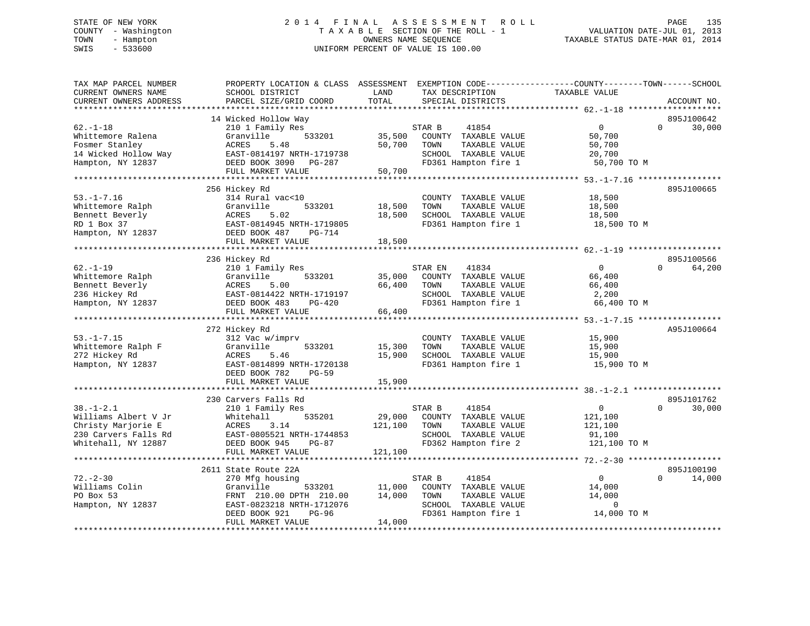# STATE OF NEW YORK 2 0 1 4 F I N A L A S S E S S M E N T R O L L PAGE 135 COUNTY - Washington T A X A B L E SECTION OF THE ROLL - 1 VALUATION DATE-JUL 01, 2013 TOWN - Hampton OWNERS NAME SEQUENCE TAXABLE STATUS DATE-MAR 01, 2014 SWIS - 533600 UNIFORM PERCENT OF VALUE IS 100.00

| TAX MAP PARCEL NUMBER<br>CURRENT OWNERS NAME<br>CURRENT OWNERS ADDRESS<br>*********************              | PROPERTY LOCATION & CLASS ASSESSMENT<br>SCHOOL DISTRICT<br>PARCEL SIZE/GRID COORD                                                                                                              | LAND<br>TAX DESCRIPTION<br>TOTAL<br>SPECIAL DISTRICTS                                                                                            | EXEMPTION CODE-----------------COUNTY-------TOWN------SCHOOL<br>TAXABLE VALUE<br>ACCOUNT NO.       |
|--------------------------------------------------------------------------------------------------------------|------------------------------------------------------------------------------------------------------------------------------------------------------------------------------------------------|--------------------------------------------------------------------------------------------------------------------------------------------------|----------------------------------------------------------------------------------------------------|
| $62. - 1 - 18$<br>Whittemore Ralena<br>Fosmer Stanley<br>14 Wicked Hollow Way<br>Hampton, NY 12837           | 14 Wicked Hollow Way<br>210 1 Family Res<br>Granville<br>533201<br>ACRES<br>5.48<br>EAST-0814197 NRTH-1719738<br>DEED BOOK 3090 PG-287<br>FULL MARKET VALUE                                    | STAR B<br>41854<br>35,500<br>COUNTY TAXABLE VALUE<br>50,700<br>TAXABLE VALUE<br>TOWN<br>SCHOOL TAXABLE VALUE<br>FD361 Hampton fire 1<br>50,700   | 895J100642<br>30,000<br>0<br>$\Omega$<br>50,700<br>50,700<br>20,700<br>50,700 TO M                 |
| $53. - 1 - 7.16$<br>Whittemore Ralph<br>Bennett Beverly<br>RD 1 Box 37<br>Hampton, NY 12837                  | 256 Hickey Rd<br>314 Rural vac<10<br>Granville<br>533201<br>5.02<br>ACRES<br>EAST-0814945 NRTH-1719805<br>DEED BOOK 487<br>PG-714<br>FULL MARKET VALUE                                         | COUNTY TAXABLE VALUE<br>18,500<br>TAXABLE VALUE<br>TOWN<br>18,500<br>SCHOOL TAXABLE VALUE<br>FD361 Hampton fire 1<br>18,500                      | 895J100665<br>18,500<br>18,500<br>18,500<br>18,500 TO M                                            |
| $62. - 1 - 19$<br>Whittemore Ralph<br>Bennett Beverly<br>236 Hickey Rd<br>Hampton, NY 12837                  | 236 Hickey Rd<br>210 1 Family Res<br>533201<br>Granville<br><b>ACRES</b><br>5.00<br>EAST-0814422 NRTH-1719197<br>DEED BOOK 483<br>PG-420<br>FULL MARKET VALUE<br>***************************** | STAR EN<br>41834<br>COUNTY TAXABLE VALUE<br>35,000<br>66,400<br>TOWN<br>TAXABLE VALUE<br>SCHOOL TAXABLE VALUE<br>FD361 Hampton fire 1<br>66,400  | 895J100566<br>$\Omega$<br>$\Omega$<br>64,200<br>66,400<br>66,400<br>2,200<br>66,400 TO M           |
| $53. - 1 - 7.15$<br>Whittemore Ralph F<br>272 Hickey Rd<br>Hampton, NY 12837                                 | 272 Hickey Rd<br>312 Vac w/imprv<br>533201<br>Granville<br>ACRES<br>5.46<br>EAST-0814899 NRTH-1720138<br>DEED BOOK 782<br>$PG-59$<br>FULL MARKET VALUE                                         | COUNTY TAXABLE VALUE<br>15,300<br>TOWN<br>TAXABLE VALUE<br>15,900<br>SCHOOL TAXABLE VALUE<br>FD361 Hampton fire 1<br>15,900                      | A95J100664<br>15,900<br>15,900<br>15,900<br>15,900 TO M                                            |
| $38. - 1 - 2.1$<br>Williams Albert V Jr<br>Christy Marjorie E<br>230 Carvers Falls Rd<br>Whitehall, NY 12887 | 230 Carvers Falls Rd<br>210 1 Family Res<br>Whitehall<br>535201<br>ACRES<br>3.14<br>EAST-0805521 NRTH-1744853<br>PG-87<br>DEED BOOK 945<br>FULL MARKET VALUE                                   | 41854<br>STAR B<br>29,000<br>COUNTY TAXABLE VALUE<br>121,100<br>TOWN<br>TAXABLE VALUE<br>SCHOOL TAXABLE VALUE<br>FD362 Hampton fire 2<br>121,100 | 895J101762<br>$\Omega$<br>30,000<br>$\overline{0}$<br>121,100<br>121,100<br>91,100<br>121,100 TO M |
| $72. - 2 - 30$<br>Williams Colin<br>PO Box 53<br>Hampton, NY 12837                                           | 2611 State Route 22A<br>270 Mfg housing<br>Granville<br>533201<br>FRNT 210.00 DPTH 210.00<br>EAST-0823218 NRTH-1712076<br>DEED BOOK 921<br>PG-96<br>FULL MARKET VALUE                          | 41854<br>STAR B<br>11,000<br>COUNTY TAXABLE VALUE<br>14,000<br>TOWN<br>TAXABLE VALUE<br>SCHOOL TAXABLE VALUE<br>FD361 Hampton fire 1<br>14,000   | 895J100190<br>$\mathbf 0$<br>$\Omega$<br>14,000<br>14,000<br>14,000<br>$\Omega$<br>14,000 TO M     |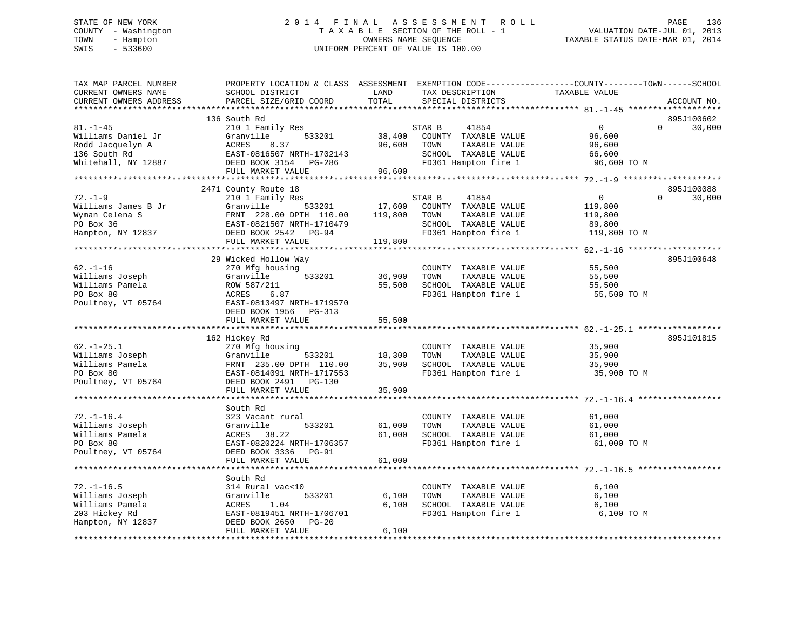# STATE OF NEW YORK 2 0 1 4 F I N A L A S S E S S M E N T R O L L PAGE 136 COUNTY - Washington T A X A B L E SECTION OF THE ROLL - 1 VALUATION DATE-JUL 01, 2013 TOWN - Hampton OWNERS NAME SEQUENCE TAXABLE STATUS DATE-MAR 01, 2014 SWIS - 533600 UNIFORM PERCENT OF VALUE IS 100.00

| TAX MAP PARCEL NUMBER<br>CURRENT OWNERS NAME<br>CURRENT OWNERS ADDRESS                          | PROPERTY LOCATION & CLASS ASSESSMENT<br>SCHOOL DISTRICT<br>PARCEL SIZE/GRID COORD                              | LAND<br>TOTAL    | EXEMPTION CODE-----------------COUNTY-------TOWN------SCHOOL<br>TAX DESCRIPTION<br>SPECIAL DISTRICTS             | TAXABLE VALUE                                             |          | ACCOUNT NO. |
|-------------------------------------------------------------------------------------------------|----------------------------------------------------------------------------------------------------------------|------------------|------------------------------------------------------------------------------------------------------------------|-----------------------------------------------------------|----------|-------------|
|                                                                                                 |                                                                                                                |                  |                                                                                                                  |                                                           |          |             |
|                                                                                                 | 136 South Rd                                                                                                   |                  |                                                                                                                  |                                                           |          | 895J100602  |
| $81. - 1 - 45$<br>Williams Daniel Jr<br>Rodd Jacquelyn A<br>136 South Rd<br>Whitehall, NY 12887 | 210 1 Family Res<br>533201<br>Granville<br>ACRES<br>8.37<br>EAST-0816507 NRTH-1702143<br>DEED BOOK 3154 PG-286 | 38,400<br>96,600 | STAR B<br>41854<br>COUNTY TAXABLE VALUE<br>TAXABLE VALUE<br>TOWN<br>SCHOOL TAXABLE VALUE<br>FD361 Hampton fire 1 | $\mathbf{0}$<br>96,600<br>96,600<br>66,600<br>96,600 TO M | $\Omega$ | 30,000      |
|                                                                                                 | FULL MARKET VALUE                                                                                              | 96,600           |                                                                                                                  |                                                           |          |             |
|                                                                                                 |                                                                                                                |                  |                                                                                                                  |                                                           |          |             |
|                                                                                                 | 2471 County Route 18                                                                                           |                  |                                                                                                                  |                                                           |          | 895J100088  |
| $72. - 1 - 9$                                                                                   | 210 1 Family Res                                                                                               |                  | STAR B<br>41854                                                                                                  | $\overline{0}$                                            | $\Omega$ | 30,000      |
| Williams James B Jr                                                                             | 533201<br>Granville                                                                                            | 17,600           | COUNTY TAXABLE VALUE                                                                                             | 119,800                                                   |          |             |
| Wyman Celena S                                                                                  | FRNT 228.00 DPTH 110.00                                                                                        | 119,800          | TOWN<br>TAXABLE VALUE                                                                                            | 119,800                                                   |          |             |
| PO Box 36                                                                                       | EAST-0821507 NRTH-1710479                                                                                      |                  | SCHOOL TAXABLE VALUE                                                                                             | 89,800                                                    |          |             |
| Hampton, NY 12837                                                                               | DEED BOOK 2542 PG-94                                                                                           |                  | FD361 Hampton fire 1                                                                                             | 119,800 TO M                                              |          |             |
|                                                                                                 | FULL MARKET VALUE                                                                                              | 119,800          |                                                                                                                  |                                                           |          |             |
|                                                                                                 |                                                                                                                |                  |                                                                                                                  |                                                           |          |             |
|                                                                                                 | 29 Wicked Hollow Way                                                                                           |                  |                                                                                                                  |                                                           |          | 895J100648  |
| $62. - 1 - 16$                                                                                  | 270 Mfg housing                                                                                                |                  | COUNTY TAXABLE VALUE                                                                                             | 55,500                                                    |          |             |
| Williams Joseph                                                                                 | Granville<br>533201                                                                                            | 36,900           | TOWN<br>TAXABLE VALUE                                                                                            | 55,500                                                    |          |             |
| Williams Pamela                                                                                 | ROW 587/211                                                                                                    | 55,500           | SCHOOL TAXABLE VALUE                                                                                             | 55,500                                                    |          |             |
| PO Box 80                                                                                       | ACRES<br>6.87                                                                                                  |                  | FD361 Hampton fire 1                                                                                             | 55,500 TO M                                               |          |             |
| Poultney, VT 05764                                                                              | EAST-0813497 NRTH-1719570                                                                                      |                  |                                                                                                                  |                                                           |          |             |
|                                                                                                 | DEED BOOK 1956 PG-313                                                                                          |                  |                                                                                                                  |                                                           |          |             |
|                                                                                                 | FULL MARKET VALUE<br>*************************************                                                     | 55,500           |                                                                                                                  |                                                           |          |             |
|                                                                                                 |                                                                                                                |                  |                                                                                                                  |                                                           |          |             |
| $62. - 1 - 25.1$                                                                                | 162 Hickey Rd                                                                                                  |                  |                                                                                                                  |                                                           |          | 895J101815  |
|                                                                                                 | 270 Mfg housing                                                                                                |                  | COUNTY TAXABLE VALUE                                                                                             | 35,900                                                    |          |             |
| Williams Joseph<br>Williams Pamela                                                              | Granville<br>533201<br>FRNT 235.00 DPTH 110.00                                                                 | 18,300<br>35,900 | TAXABLE VALUE<br>TOWN<br>SCHOOL TAXABLE VALUE                                                                    | 35,900                                                    |          |             |
| PO Box 80                                                                                       | EAST-0814091 NRTH-1717553                                                                                      |                  | FD361 Hampton fire 1                                                                                             | 35,900<br>35,900 TO M                                     |          |             |
| Poultney, VT 05764                                                                              | DEED BOOK 2491 PG-130                                                                                          |                  |                                                                                                                  |                                                           |          |             |
|                                                                                                 | FULL MARKET VALUE                                                                                              | 35,900           |                                                                                                                  |                                                           |          |             |
|                                                                                                 |                                                                                                                |                  |                                                                                                                  |                                                           |          |             |
|                                                                                                 | South Rd                                                                                                       |                  |                                                                                                                  |                                                           |          |             |
| $72. - 1 - 16.4$                                                                                | 323 Vacant rural                                                                                               |                  | COUNTY TAXABLE VALUE                                                                                             | 61,000                                                    |          |             |
| Williams Joseph                                                                                 | Granville<br>533201                                                                                            | 61,000           | TOWN<br>TAXABLE VALUE                                                                                            | 61,000                                                    |          |             |
| Williams Pamela                                                                                 | 38.22<br>ACRES                                                                                                 | 61,000           | SCHOOL TAXABLE VALUE                                                                                             | 61,000                                                    |          |             |
| PO Box 80                                                                                       | EAST-0820224 NRTH-1706357                                                                                      |                  | FD361 Hampton fire 1                                                                                             | 61,000 TO M                                               |          |             |
| Poultney, VT 05764                                                                              | DEED BOOK 3336 PG-91                                                                                           |                  |                                                                                                                  |                                                           |          |             |
|                                                                                                 | FULL MARKET VALUE                                                                                              | 61,000           |                                                                                                                  |                                                           |          |             |
|                                                                                                 |                                                                                                                |                  |                                                                                                                  |                                                           |          |             |
|                                                                                                 | South Rd                                                                                                       |                  |                                                                                                                  |                                                           |          |             |
| $72. - 1 - 16.5$                                                                                | 314 Rural vac<10                                                                                               |                  | COUNTY TAXABLE VALUE                                                                                             | 6,100                                                     |          |             |
| Williams Joseph                                                                                 | 533201<br>Granville                                                                                            | 6,100            | TAXABLE VALUE<br>TOWN                                                                                            | 6,100                                                     |          |             |
| Williams Pamela                                                                                 | 1.04<br>ACRES                                                                                                  | 6,100            | SCHOOL TAXABLE VALUE                                                                                             | 6,100                                                     |          |             |
| 203 Hickey Rd                                                                                   | EAST-0819451 NRTH-1706701                                                                                      |                  | FD361 Hampton fire 1                                                                                             | 6,100 TO M                                                |          |             |
| Hampton, NY 12837                                                                               | DEED BOOK 2650 PG-20                                                                                           |                  |                                                                                                                  |                                                           |          |             |
|                                                                                                 | FULL MARKET VALUE                                                                                              | 6,100            |                                                                                                                  |                                                           |          |             |
|                                                                                                 |                                                                                                                |                  |                                                                                                                  |                                                           |          |             |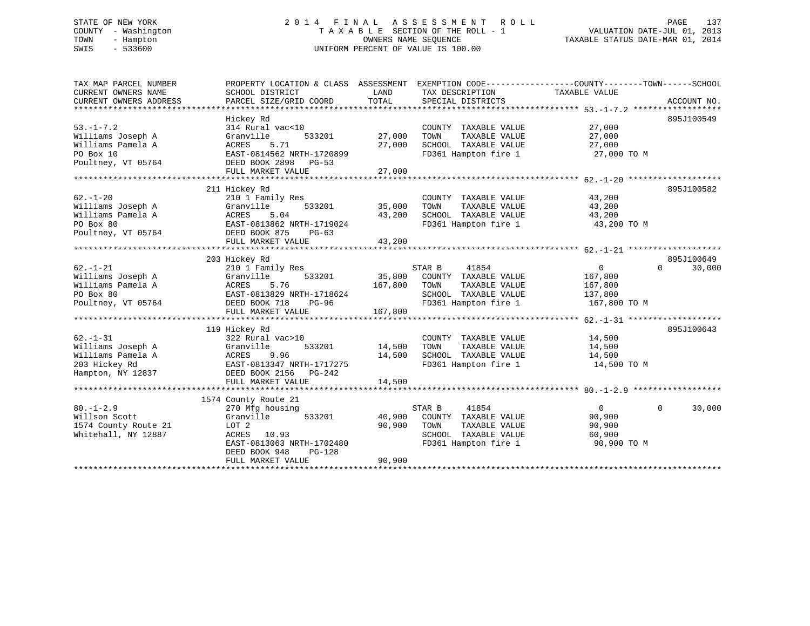# STATE OF NEW YORK 2 0 1 4 F I N A L A S S E S S M E N T R O L L PAGE 137 COUNTY - Washington T A X A B L E SECTION OF THE ROLL - 1 VALUATION DATE-JUL 01, 2013 TOWN - Hampton OWNERS NAME SEQUENCE TAXABLE STATUS DATE-MAR 01, 2014 SWIS - 533600 UNIFORM PERCENT OF VALUE IS 100.00

| TAX MAP PARCEL NUMBER<br>CURRENT OWNERS NAME<br>CURRENT OWNERS ADDRESS                         | PROPERTY LOCATION & CLASS ASSESSMENT EXEMPTION CODE----------------COUNTY-------TOWN-----SCHOOL<br>SCHOOL DISTRICT<br>PARCEL SIZE/GRID COORD                          | LAND<br>TOTAL                     | TAX DESCRIPTION<br>SPECIAL DISTRICTS                                                                             | TAXABLE VALUE                                               | ACCOUNT NO.                      |
|------------------------------------------------------------------------------------------------|-----------------------------------------------------------------------------------------------------------------------------------------------------------------------|-----------------------------------|------------------------------------------------------------------------------------------------------------------|-------------------------------------------------------------|----------------------------------|
| $53. - 1 - 7.2$<br>Williams Joseph A<br>Williams Pamela A<br>PO Box 10<br>Poultney, VT 05764   | Hickey Rd<br>314 Rural vac<10<br>533201<br>Granville<br>ACRES<br>5.71<br>EAST-0814562 NRTH-1720899<br>DEED BOOK 2898 PG-53<br>FULL MARKET VALUE                       | 27,000<br>27,000<br>27,000        | COUNTY TAXABLE VALUE<br>TAXABLE VALUE<br>TOWN<br>SCHOOL TAXABLE VALUE<br>FD361 Hampton fire 1                    | 27,000<br>27,000<br>27,000<br>27,000 TO M                   | 895J100549                       |
| $62. - 1 - 20$<br>Williams Joseph A<br>Williams Pamela A<br>PO Box 80<br>Poultney, VT 05764    | 211 Hickey Rd<br>210 1 Family Res<br>533201<br>Granville<br>5.04<br>ACRES<br>EAST-0813862 NRTH-1719024<br>DEED BOOK 875<br>PG-63<br>FULL MARKET VALUE                 | 35,000<br>43,200<br>43,200        | COUNTY TAXABLE VALUE<br>TAXABLE VALUE<br>TOWN<br>SCHOOL TAXABLE VALUE<br>FD361 Hampton fire 1                    | 43,200<br>43,200<br>43,200<br>43,200 TO M                   | 895J100582                       |
| $62. - 1 - 21$<br>Williams Joseph A<br>Williams Pamela A                                       | 203 Hickey Rd<br>210 1 Family Res<br>Granville<br>533201<br>ACRES<br>5.76                                                                                             | 167,800                           | STAR B<br>41854<br>35,800 COUNTY TAXABLE VALUE<br>TOWN<br>TAXABLE VALUE                                          | $\overline{0}$<br>167,800<br>167,800                        | 895J100649<br>$\Omega$<br>30,000 |
| PO Box 80<br>Poultney, VT 05764                                                                | EAST-0813829 NRTH-1718624<br>PG-96<br>DEED BOOK 718<br>FULL MARKET VALUE                                                                                              | 167,800                           | SCHOOL TAXABLE VALUE<br>FD361 Hampton fire 1                                                                     | 137,800<br>167,800 TO M                                     |                                  |
| $62. - 1 - 31$<br>Williams Joseph A<br>Williams Pamela A<br>203 Hickey Rd<br>Hampton, NY 12837 | 119 Hickey Rd<br>322 Rural vac>10<br>Granville<br>9.96<br>ACRES<br>EAST-0813347 NRTH-1717275<br>DEED BOOK 2156 PG-242<br>FULL MARKET VALUE                            | 533201 14,500<br>14,500<br>14,500 | COUNTY TAXABLE VALUE<br>TOWN<br>TAXABLE VALUE<br>SCHOOL TAXABLE VALUE<br>FD361 Hampton fire 1                    | 14,500<br>14,500<br>14,500<br>14,500 TO M                   | 895J100643                       |
| $80. -1 - 2.9$<br>Willson Scott<br>1574 County Route 21<br>Whitehall, NY 12887                 | 1574 County Route 21<br>270 Mfg housing<br>533201<br>Granville<br>LOT 2<br>ACRES 10.93<br>EAST-0813063 NRTH-1702480<br>DEED BOOK 948<br>$PG-128$<br>FULL MARKET VALUE | 40,900<br>90,900<br>90,900        | STAR B<br>41854<br>COUNTY TAXABLE VALUE<br>TOWN<br>TAXABLE VALUE<br>SCHOOL TAXABLE VALUE<br>FD361 Hampton fire 1 | $\overline{0}$<br>90,900<br>90,900<br>60,900<br>90,900 TO M | $\Omega$<br>30,000               |
|                                                                                                |                                                                                                                                                                       |                                   |                                                                                                                  |                                                             |                                  |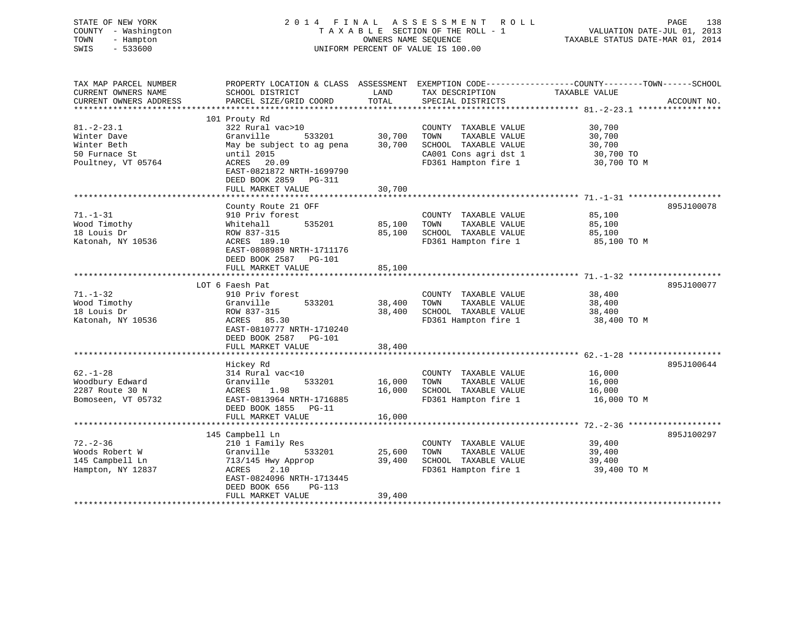| STATE OF NEW YORK<br>COUNTY - Washington<br>TOWN<br>- Hampton<br>$-533600$<br>SWIS    |                                                                                                                                                                          | OWNERS NAME SEOUENCE | 2014 FINAL ASSESSMENT ROLL<br>TAXABLE SECTION OF THE ROLL - 1<br>UNIFORM PERCENT OF VALUE IS 100.00                    | PAGE<br>138<br>VALUATION DATE-JUL 01, 2013<br>TAXABLE STATUS DATE-MAR 01, 2014                                                   |
|---------------------------------------------------------------------------------------|--------------------------------------------------------------------------------------------------------------------------------------------------------------------------|----------------------|------------------------------------------------------------------------------------------------------------------------|----------------------------------------------------------------------------------------------------------------------------------|
| TAX MAP PARCEL NUMBER<br>CURRENT OWNERS NAME<br>CURRENT OWNERS ADDRESS                | SCHOOL DISTRICT<br>PARCEL SIZE/GRID COORD                                                                                                                                | LAND<br>TOTAL        | TAX DESCRIPTION<br>SPECIAL DISTRICTS                                                                                   | PROPERTY LOCATION & CLASS ASSESSMENT EXEMPTION CODE----------------COUNTY-------TOWN------SCHOOL<br>TAXABLE VALUE<br>ACCOUNT NO. |
| **********************                                                                |                                                                                                                                                                          |                      |                                                                                                                        |                                                                                                                                  |
| $81. - 2 - 23.1$<br>Winter Dave<br>Winter Beth<br>50 Furnace St<br>Poultney, VT 05764 | 101 Prouty Rd<br>322 Rural vac>10<br>Granville<br>533201<br>May be subject to ag pena<br>until 2015<br>ACRES 20.09<br>EAST-0821872 NRTH-1699790<br>DEED BOOK 2859 PG-311 | 30,700<br>30,700     | COUNTY TAXABLE VALUE<br>TOWN<br>TAXABLE VALUE<br>SCHOOL TAXABLE VALUE<br>CA001 Cons agri dst 1<br>FD361 Hampton fire 1 | 30,700<br>30,700<br>30,700<br>30,700 TO<br>30,700 TO M                                                                           |
|                                                                                       | FULL MARKET VALUE                                                                                                                                                        | 30,700               |                                                                                                                        |                                                                                                                                  |
|                                                                                       | County Route 21 OFF                                                                                                                                                      |                      |                                                                                                                        | 895J100078                                                                                                                       |
| $71. - 1 - 31$<br>Wood Timothy<br>18 Louis Dr<br>Katonah, NY 10536                    | 910 Priv forest<br>535201<br>Whitehall<br>ROW 837-315<br>ACRES 189.10<br>EAST-0808989 NRTH-1711176                                                                       | 85,100<br>85,100     | COUNTY TAXABLE VALUE<br>TOWN<br>TAXABLE VALUE<br>SCHOOL TAXABLE VALUE<br>FD361 Hampton fire 1                          | 85,100<br>85,100<br>85,100<br>85,100 TO M                                                                                        |
|                                                                                       | DEED BOOK 2587 PG-101<br>FULL MARKET VALUE                                                                                                                               | 85,100               |                                                                                                                        |                                                                                                                                  |
|                                                                                       | LOT 6 Faesh Pat                                                                                                                                                          |                      |                                                                                                                        | 895J100077                                                                                                                       |
| $71. - 1 - 32$<br>Wood Timothy<br>18 Louis Dr<br>Katonah, NY 10536                    | 910 Priv forest<br>Granville<br>533201<br>ROW 837-315<br>ACRES 85.30<br>EAST-0810777 NRTH-1710240<br>DEED BOOK 2587 PG-101                                               | 38,400<br>38,400     | COUNTY TAXABLE VALUE<br>TOWN<br>TAXABLE VALUE<br>SCHOOL TAXABLE VALUE<br>FD361 Hampton fire 1                          | 38,400<br>38,400<br>38,400<br>38,400 TO M                                                                                        |
|                                                                                       | FULL MARKET VALUE                                                                                                                                                        | 38,400               |                                                                                                                        |                                                                                                                                  |
| $62. - 1 - 28$<br>Woodbury Edward<br>2287 Route 30 N<br>Bomoseen, VT 05732            | Hickey Rd<br>314 Rural vac<10<br>Granville<br>533201<br>ACRES<br>1.98<br>EAST-0813964 NRTH-1716885<br>DEED BOOK 1855 PG-11                                               | 16,000<br>16,000     | COUNTY TAXABLE VALUE<br>TOWN<br>TAXABLE VALUE<br>SCHOOL TAXABLE VALUE<br>FD361 Hampton fire 1                          | 895J100644<br>16,000<br>16,000<br>16,000<br>16,000 TO M                                                                          |
|                                                                                       | FULL MARKET VALUE                                                                                                                                                        | 16,000               |                                                                                                                        |                                                                                                                                  |
|                                                                                       |                                                                                                                                                                          |                      |                                                                                                                        |                                                                                                                                  |
| $72. - 2 - 36$<br>Woods Robert W<br>145 Campbell Ln<br>Hampton, NY 12837              | 145 Campbell Ln<br>210 1 Family Res<br>Granville<br>533201<br>713/145 Hwy Approp<br>ACRES<br>2.10<br>EAST-0824096 NRTH-1713445                                           | 25,600<br>39,400     | COUNTY TAXABLE VALUE<br>TAXABLE VALUE<br>TOWN<br>SCHOOL TAXABLE VALUE<br>FD361 Hampton fire 1                          | 895J100297<br>39,400<br>39,400<br>39,400<br>39,400 TO M                                                                          |
|                                                                                       | DEED BOOK 656<br>PG-113<br>FULL MARKET VALUE                                                                                                                             | 39,400               |                                                                                                                        |                                                                                                                                  |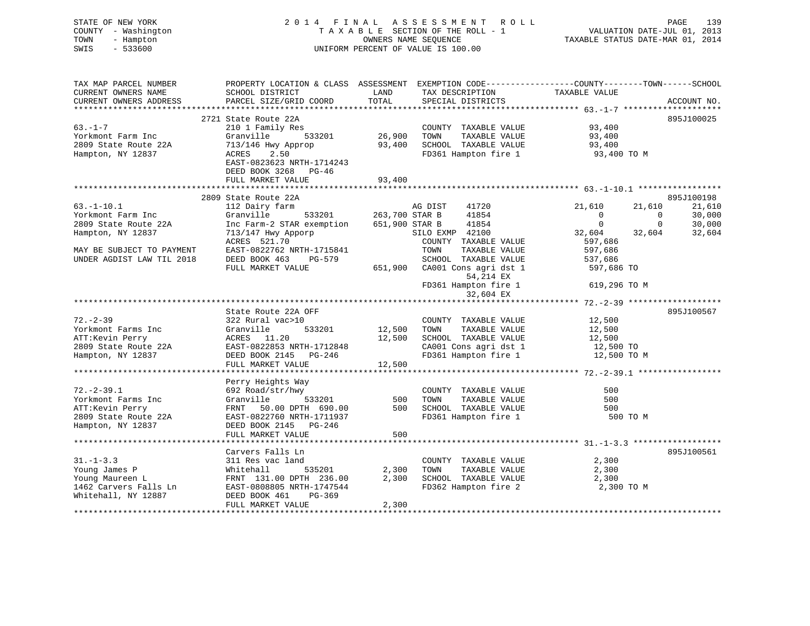| STATE OF NEW YORK<br>COUNTY - Washington<br>TOWN<br>- Hampton<br>SWIS<br>$-533600$ | 2014 FINAL ASSESSMENT                                                                                                                         | UNIFORM PERCENT OF VALUE IS 100.00 |               | R O L L<br>T A X A B L E SECTION OF THE ROLL - 1<br>OWNERS NAME SEQUENCE | ----<br>VALUATION DATE-JUL 01, 2013<br>TAXABLE STATUS DATE-MAR 01, 2014 |              | PAGE<br>139 |
|------------------------------------------------------------------------------------|-----------------------------------------------------------------------------------------------------------------------------------------------|------------------------------------|---------------|--------------------------------------------------------------------------|-------------------------------------------------------------------------|--------------|-------------|
| TAX MAP PARCEL NUMBER<br>CURRENT OWNERS NAME<br>CURRENT OWNERS ADDRESS             | PROPERTY LOCATION & CLASS ASSESSMENT EXEMPTION CODE----------------COUNTY-------TOWN------SCHOOL<br>SCHOOL DISTRICT<br>PARCEL SIZE/GRID COORD | LAND<br>TOTAL                      |               | SPECIAL DISTRICTS                                                        | TAX DESCRIPTION TAXABLE VALUE                                           |              | ACCOUNT NO. |
|                                                                                    | 2721 State Route 22A                                                                                                                          |                                    |               |                                                                          |                                                                         |              | 895J100025  |
| $63. - 1 - 7$                                                                      | 210 1 Family Res                                                                                                                              |                                    |               | COUNTY TAXABLE VALUE                                                     | 93,400                                                                  |              |             |
| Yorkmont Farm Inc                                                                  | 533201<br>Granville                                                                                                                           |                                    |               | 26,900 TOWN TAXABLE VALUE<br>93,400 SCHOOL TAXABLE VALUE                 | 93,400                                                                  |              |             |
| 2809 State Route 22A                                                               | 713/146 Hwy Approp                                                                                                                            |                                    |               |                                                                          | 93,400                                                                  |              |             |
| Hampton, NY 12837                                                                  | ACRES<br>2.50<br>EAST-0823623 NRTH-1714243<br>DEED BOOK 3268 PG-46<br>FULL MARKET VALUE                                                       | 93,400                             |               | FD361 Hampton fire 1                                                     | 93,400 TO M                                                             |              |             |
|                                                                                    |                                                                                                                                               |                                    |               |                                                                          |                                                                         |              |             |
|                                                                                    | 2809 State Route 22A                                                                                                                          |                                    |               |                                                                          |                                                                         |              | 895J100198  |
| $63. -1 - 10.1$                                                                    | 112 Dairy farm                                                                                                                                |                                    | AG DIST 41720 |                                                                          | 21,610                                                                  | 21,610       | 21,610      |
| Yorkmont Farm Inc                                                                  | Granville                                                                                                                                     | 533201 263,700 STAR B              |               | 41854                                                                    | $\sim$ 0                                                                | $\sim$ 0     | 30,000      |
| 2809 State Route 22A                                                               | Inc Farm-2 STAR exemption 651,900 STAR B                                                                                                      |                                    |               | 41854                                                                    | $\mathbf 0$                                                             | $\mathbf{0}$ | 30,000      |
| Hampton, NY 12837                                                                  | 713/147 Hwy Apporp                                                                                                                            |                                    |               | SILO EXMP 42100                                                          | 32,604                                                                  | 32,604       | 32,604      |
|                                                                                    | ACRES 521.70                                                                                                                                  |                                    | TOWN          | COUNTY TAXABLE VALUE                                                     | 597,686                                                                 |              |             |
| MAY BE SUBJECT TO PAYMENT<br>UNDER AGDIST LAW TIL 2018                             | EAST-0822762 NRTH-1715841<br>DEED BOOK 463 PG-579                                                                                             |                                    |               | TAXABLE VALUE<br>SCHOOL TAXABLE VALUE                                    | 597,686<br>537,686                                                      |              |             |
|                                                                                    | FULL MARKET VALUE                                                                                                                             |                                    |               | 651,900 CA001 Cons agri dst 1<br>54,214 EX                               | 597,686 TO                                                              |              |             |
|                                                                                    |                                                                                                                                               |                                    |               | FD361 Hampton fire 1<br>32,604 EX                                        | 619,296 TO M                                                            |              |             |
|                                                                                    |                                                                                                                                               |                                    |               |                                                                          |                                                                         |              |             |
|                                                                                    | State Route 22A OFF                                                                                                                           |                                    |               |                                                                          |                                                                         |              | 895J100567  |
| $72. - 2 - 39$                                                                     | 322 Rural vac>10                                                                                                                              |                                    |               | COUNTY TAXABLE VALUE                                                     | 12,500                                                                  |              |             |
| Yorkmont Farms Inc                                                                 | 533201<br>Granville<br>ACRES 11.20                                                                                                            | 12,500                             | TOWN          | TAXABLE VALUE                                                            | 12,500                                                                  |              |             |
| ATT:Kevin Perry<br>2809 State Route 22A                                            | EAST-0822853 NRTH-1712848                                                                                                                     | 12,500                             |               | SCHOOL TAXABLE VALUE<br>CA001 Cons agri dst 1                            | 12,500<br>12,500 TO                                                     |              |             |
| Hampton, NY 12837                                                                  | DEED BOOK 2145 PG-246                                                                                                                         |                                    |               | FD361 Hampton fire 1                                                     | 12,500 TO M                                                             |              |             |
|                                                                                    | FULL MARKET VALUE                                                                                                                             | 12,500                             |               |                                                                          |                                                                         |              |             |
|                                                                                    |                                                                                                                                               |                                    |               |                                                                          |                                                                         |              |             |
|                                                                                    | Perry Heights Way                                                                                                                             |                                    |               |                                                                          |                                                                         |              |             |
| $72. - 2 - 39.1$                                                                   | 692 Road/str/hwy                                                                                                                              |                                    |               | COUNTY TAXABLE VALUE                                                     | 500                                                                     |              |             |
| Yorkmont Farms Inc                                                                 | 533201<br>Granville                                                                                                                           | 500                                | TOWN          | TAXABLE VALUE                                                            | 500                                                                     |              |             |
| ATT:Kevin Perry                                                                    | FRNT 50.00 DPTH 690.00                                                                                                                        | 500                                |               | SCHOOL TAXABLE VALUE                                                     | 500                                                                     |              |             |
| 2809 State Route 22A                                                               | EAST-0822760 NRTH-1711937                                                                                                                     |                                    |               | FD361 Hampton fire 1                                                     | 500 TO M                                                                |              |             |
| Hampton, NY 12837                                                                  | DEED BOOK 2145 PG-246<br>FULL MARKET VALUE                                                                                                    | 500                                |               |                                                                          |                                                                         |              |             |
|                                                                                    |                                                                                                                                               |                                    |               |                                                                          |                                                                         |              |             |
|                                                                                    | Carvers Falls Ln                                                                                                                              |                                    |               |                                                                          |                                                                         |              | 895J100561  |
| $31. - 1 - 3.3$                                                                    | 311 Res vac land                                                                                                                              |                                    |               | COUNTY TAXABLE VALUE                                                     | 2,300                                                                   |              |             |
| Young James P                                                                      | 535201                                                                                                                                        | 2,300                              | TOWN          | TAXABLE VALUE                                                            | 2,300                                                                   |              |             |
| Young Maureen L                                                                    | Whitehall 535201<br>FRNT 131.00 DPTH 236.00                                                                                                   | 2,300                              |               | SCHOOL TAXABLE VALUE                                                     | 2,300                                                                   |              |             |
| 1462 Carvers Falls Ln<br>Whitehall, NY 12887                                       | EAST-0808805 NRTH-1747544<br>DEED BOOK 461<br>PG-369                                                                                          |                                    |               | FD362 Hampton fire 2                                                     | 2,300 TO M                                                              |              |             |
|                                                                                    | FULL MARKET VALUE                                                                                                                             | 2,300                              |               |                                                                          |                                                                         |              |             |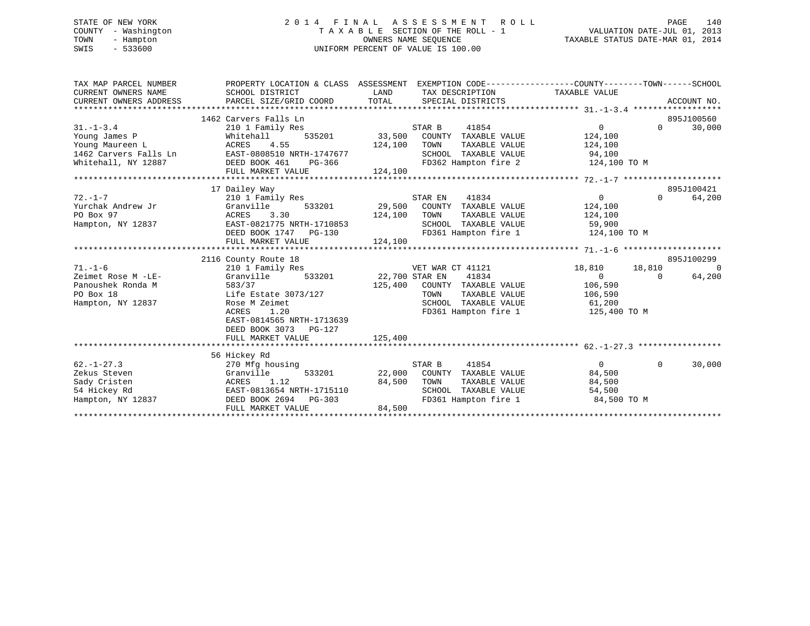# STATE OF NEW YORK 2 0 1 4 F I N A L A S S E S S M E N T R O L L PAGE 140 COUNTY - Washington T A X A B L E SECTION OF THE ROLL - 1 VALUATION DATE-JUL 01, 2013 TOWN - Hampton OWNERS NAME SEQUENCE TAXABLE STATUS DATE-MAR 01, 2014 SWIS - 533600 UNIFORM PERCENT OF VALUE IS 100.00

| TAX MAP PARCEL NUMBER<br>CURRENT OWNERS NAME<br>CURRENT OWNERS ADDRESS                              | PROPERTY LOCATION & CLASS ASSESSMENT EXEMPTION CODE----------------COUNTY-------TOWN------SCHOOL<br>SCHOOL DISTRICT<br>PARCEL SIZE/GRID COORD                                          | LAND<br>TOTAL                | TAX DESCRIPTION TAXABLE VALUE<br>SPECIAL DISTRICTS                                                                                |                                                                              |                    | ACCOUNT NO.              |
|-----------------------------------------------------------------------------------------------------|----------------------------------------------------------------------------------------------------------------------------------------------------------------------------------------|------------------------------|-----------------------------------------------------------------------------------------------------------------------------------|------------------------------------------------------------------------------|--------------------|--------------------------|
| $31. - 1 - 3.4$<br>Young James P<br>Young Maureen L<br>1462 Carvers Falls Ln<br>Whitehall, NY 12887 | 1462 Carvers Falls Ln<br>210 1 Family Res<br>Whitehall<br>ACRES 4.55<br>n EAST-0808510 NRTH-1747677<br>DEED BOOK 461 PG-366<br>FULL MARKET VALUE                                       | STAR B<br>124,100<br>124,100 | 41854<br>33,500 COUNTY TAXABLE VALUE<br>TAXABLE VALUE<br>TOWN<br>SCHOOL TAXABLE VALUE 94,100<br>FD362 Hampton fire 2 124,100 TO M | 0<br>124,100<br>124,100                                                      | $\Omega$           | 895J100560<br>30,000     |
|                                                                                                     |                                                                                                                                                                                        |                              |                                                                                                                                   |                                                                              |                    |                          |
| $72. - 1 - 7$<br>Yurchak Andrew Jr<br>PO Box 97<br>Hampton, NY 12837                                | 17 Dailey Way<br>210 1 Family Res<br>Granville<br>3.30<br>124,100<br>ACRES<br>EAST-0821775 NRTH-1710853<br>DEED BOOK 1747 PG-130                                                       |                              | STAR EN<br>41834<br>533201 29,500 COUNTY TAXABLE VALUE 124,100<br>TOWN<br>SCHOOL TAXABLE VALUE 59,900<br>FD361 Hampton fire 1     | $\Omega$<br>TAXABLE VALUE 124,100<br>124,100 TO M                            | $\Omega$           | 895J100421<br>64,200     |
|                                                                                                     | 2116 County Route 18                                                                                                                                                                   |                              |                                                                                                                                   |                                                                              |                    | 895J100299               |
| $71. - 1 - 6$<br>Zeimet Rose M -LE-<br>Panoushek Ronda M<br>PO Box 18<br>Hampton, NY 12837          | 210 1 Family Res<br>533201<br>Granville<br>583/37<br>Life Estate 3073/127<br>Rose M Zeimet<br>ACRES<br>1.20<br>EAST-0814565 NRTH-1713639<br>DEED BOOK 3073 PG-127<br>FULL MARKET VALUE | 22,700 STAR EN<br>125,400    | VET WAR CT 41121<br>41834<br>125,400 COUNTY TAXABLE VALUE<br>TOWN<br>SCHOOL TAXABLE VALUE 61,200<br>FD361 Hampton fire 1          | 18,810<br>$\overline{0}$<br>106,590<br>TAXABLE VALUE 106,590<br>125,400 TO M | 18,810<br>$\Omega$ | $\overline{0}$<br>64,200 |
|                                                                                                     |                                                                                                                                                                                        |                              |                                                                                                                                   |                                                                              |                    |                          |
| $62. - 1 - 27.3$<br>Zekus Steven<br>Sady Cristen<br>54 Hickey Rd<br>Hampton, NY 12837               | 56 Hickey Rd<br>270 Mfg housing<br>Granville<br>533201<br>1.12<br>ACRES<br>EAST-0813654 NRTH-1715110<br>DEED BOOK 2694 PG-303<br>FULL MARKET VALUE                                     | STAR B<br>84,500<br>84,500   | 41854<br>22,000 COUNTY TAXABLE VALUE<br>TAXABLE VALUE<br>TOWN<br>SCHOOL TAXABLE VALUE<br>FD361 Hampton fire 1                     | $0 \qquad \qquad$<br>84,500<br>84,500<br>54,500<br>84,500 TO M               | $\Omega$           | 30,000                   |
|                                                                                                     |                                                                                                                                                                                        |                              |                                                                                                                                   |                                                                              |                    |                          |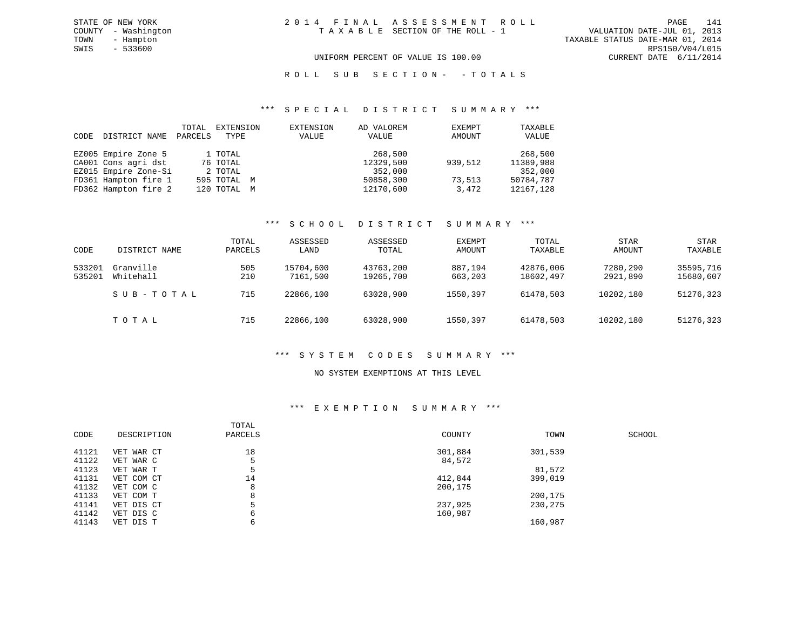#### R O L L S U B S E C T I O N - - T O T A L S

#### \*\*\* S P E C I A L D I S T R I C T S U M M A R Y \*\*\*

| CODE | DISTRICT NAME        | TOTAL<br>PARCELS | EXTENSION<br>TYPE | EXTENSION<br>VALUE | AD VALOREM<br>VALUE | EXEMPT<br>AMOUNT | TAXABLE<br>VALUE |
|------|----------------------|------------------|-------------------|--------------------|---------------------|------------------|------------------|
|      | EZ005 Empire Zone 5  |                  | 1 TOTAL           |                    | 268,500             |                  | 268,500          |
|      | CA001 Cons agri dst  |                  | 76 TOTAL          |                    | 12329,500           | 939,512          | 11389,988        |
|      | EZ015 Empire Zone-Si |                  | 2 TOTAL           |                    | 352,000             |                  | 352,000          |
|      | FD361 Hampton fire 1 |                  | 595 TOTAL M       |                    | 50858,300           | 73,513           | 50784,787        |
|      | FD362 Hampton fire 2 |                  | 120 TOTAL M       |                    | 12170,600           | 3,472            | 12167,128        |

#### \*\*\* S C H O O L D I S T R I C T S U M M A R Y \*\*\*

| CODE             | DISTRICT NAME          | TOTAL<br>PARCELS | ASSESSED<br>LAND      | ASSESSED<br>TOTAL      | EXEMPT<br>AMOUNT   | TOTAL<br>TAXABLE       | <b>STAR</b><br>AMOUNT | <b>STAR</b><br>TAXABLE |
|------------------|------------------------|------------------|-----------------------|------------------------|--------------------|------------------------|-----------------------|------------------------|
| 533201<br>535201 | Granville<br>Whitehall | 505<br>210       | 15704,600<br>7161,500 | 43763,200<br>19265,700 | 887,194<br>663,203 | 42876,006<br>18602,497 | 7280,290<br>2921,890  | 35595,716<br>15680,607 |
|                  | SUB-TOTAL              | 715              | 22866,100             | 63028,900              | 1550,397           | 61478,503              | 10202,180             | 51276,323              |
|                  | TOTAL                  | 715              | 22866,100             | 63028,900              | 1550,397           | 61478,503              | 10202,180             | 51276,323              |

#### \*\*\* S Y S T E M C O D E S S U M M A R Y \*\*\*

#### NO SYSTEM EXEMPTIONS AT THIS LEVEL

#### \*\*\* E X E M P T I O N S U M M A R Y \*\*\*

| CODE  | DESCRIPTION | TOTAL<br>PARCELS | COUNTY  | TOWN    | SCHOOL |
|-------|-------------|------------------|---------|---------|--------|
| 41121 | VET WAR CT  | 18               | 301,884 | 301,539 |        |
| 41122 | VET WAR C   | 5                | 84,572  |         |        |
| 41123 | VET WAR T   |                  |         | 81,572  |        |
| 41131 | VET COM CT  | 14               | 412,844 | 399,019 |        |
| 41132 | VET COM C   | 8                | 200,175 |         |        |
| 41133 | VET COM T   | 8                |         | 200,175 |        |
| 41141 | VET DIS CT  |                  | 237,925 | 230,275 |        |
| 41142 | VET DIS C   | 6                | 160,987 |         |        |
| 41143 | VET DIS T   | 6                |         | 160,987 |        |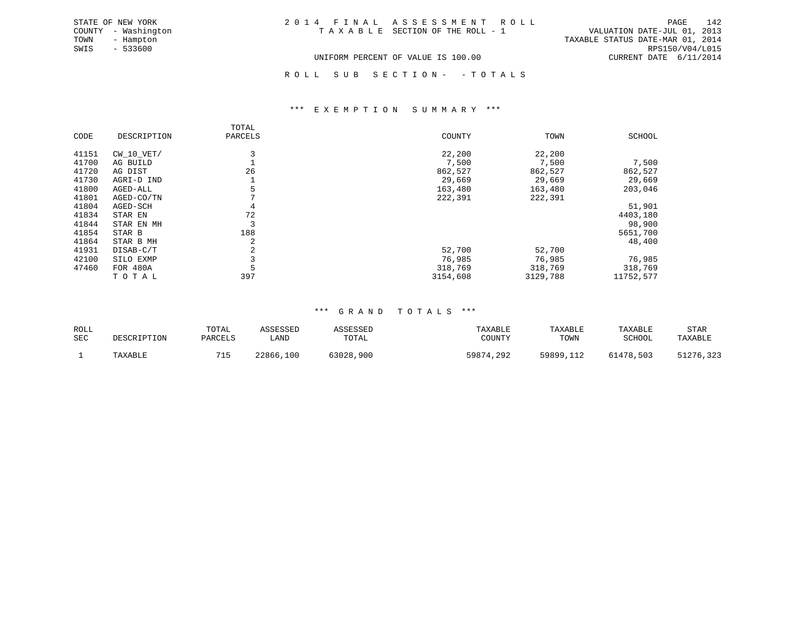| STATE OF NEW YORK   | 2014 FINAL ASSESSMENT ROLL         | 142<br>PAGE                      |
|---------------------|------------------------------------|----------------------------------|
| COUNTY - Washington | TAXABLE SECTION OF THE ROLL - 1    | VALUATION DATE-JUL 01, 2013      |
| TOWN<br>- Hampton   |                                    | TAXABLE STATUS DATE-MAR 01, 2014 |
| SWIS<br>$-533600$   |                                    | RPS150/V04/L015                  |
|                     | UNIFORM PERCENT OF VALUE IS 100.00 | CURRENT DATE 6/11/2014           |

ROLL SUB SECTION - - TOTALS

#### \*\*\* E X E M P T I O N S U M M A R Y \*\*\*

|       |                 | TOTAL   |          |          |               |
|-------|-----------------|---------|----------|----------|---------------|
| CODE  | DESCRIPTION     | PARCELS | COUNTY   | TOWN     | <b>SCHOOL</b> |
| 41151 | $CW_10_VET/$    |         | 22,200   | 22,200   |               |
| 41700 | AG BUILD        |         | 7,500    | 7,500    | 7,500         |
| 41720 | AG DIST         | 26      | 862,527  | 862,527  | 862,527       |
| 41730 | AGRI-D IND      |         | 29,669   | 29,669   | 29,669        |
| 41800 | AGED-ALL        |         | 163,480  | 163,480  | 203,046       |
| 41801 | AGED-CO/TN      |         | 222,391  | 222,391  |               |
| 41804 | AGED-SCH        | 4       |          |          | 51,901        |
| 41834 | STAR EN         | 72      |          |          | 4403,180      |
| 41844 | STAR EN MH      |         |          |          | 98,900        |
| 41854 | STAR B          | 188     |          |          | 5651,700      |
| 41864 | STAR B MH       |         |          |          | 48,400        |
| 41931 | DISAB-C/T       |         | 52,700   | 52,700   |               |
| 42100 | SILO EXMP       |         | 76,985   | 76,985   | 76,985        |
| 47460 | <b>FOR 480A</b> |         | 318,769  | 318,769  | 318,769       |
|       | TOTAL           | 397     | 3154,608 | 3129,788 | 11752,577     |

#### \*\*\* G R A N D T O T A L S \*\*\*

| ROLL<br><b>SEC</b> | DESCRIPTION | TOTAL<br>PARCELS | ASSESSED<br><b>LAND</b> | ASSESSED<br>TOTAL | TAXABLE<br>COUNTY | TAXABLE<br>TOWN | TAXABLE<br>SCHOOL | STAR<br>TAXABLE |
|--------------------|-------------|------------------|-------------------------|-------------------|-------------------|-----------------|-------------------|-----------------|
|                    | TAXABLE     |                  | 22866,100               | 63028,900         | 59874,292         | 59899,112       | 61478,503         | 51276,323       |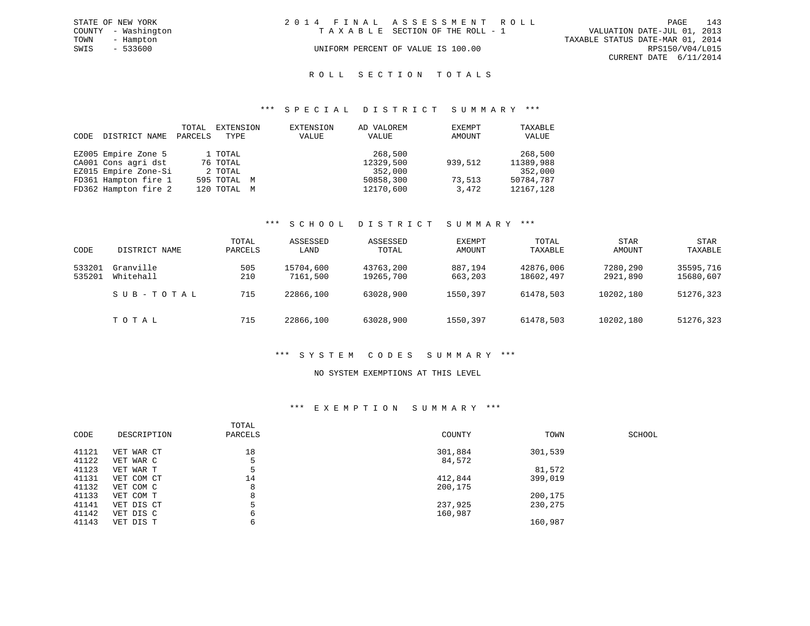|      | STATE OF NEW YORK   | 2014 FINAL ASSESSMENT ROLL |                                    |                                  | PAGE                   | 143 |
|------|---------------------|----------------------------|------------------------------------|----------------------------------|------------------------|-----|
|      | COUNTY - Washington |                            | TAXABLE SECTION OF THE ROLL - 1    | VALUATION DATE-JUL 01, 2013      |                        |     |
| TOWN | - Hampton           |                            |                                    | TAXABLE STATUS DATE-MAR 01, 2014 |                        |     |
| SWIS | $-533600$           |                            | UNIFORM PERCENT OF VALUE IS 100.00 |                                  | RPS150/V04/L015        |     |
|      |                     |                            |                                    |                                  | CURRENT DATE 6/11/2014 |     |
|      |                     |                            |                                    |                                  |                        |     |

#### ROLL SECTION TOTALS

#### \*\*\* S P E C I A L D I S T R I C T S U M M A R Y \*\*\*

| CODE | DISTRICT NAME        | TOTAL<br>PARCELS | EXTENSION<br>TYPE | EXTENSION<br>VALUE | AD VALOREM<br>VALUE | EXEMPT<br>AMOUNT | TAXABLE<br>VALUE |
|------|----------------------|------------------|-------------------|--------------------|---------------------|------------------|------------------|
|      | EZ005 Empire Zone 5  |                  | 1 TOTAL           |                    | 268,500             |                  | 268,500          |
|      | CA001 Cons agri dst  |                  | 76 TOTAL          |                    | 12329,500           | 939,512          | 11389,988        |
|      | EZ015 Empire Zone-Si |                  | 2 TOTAL           |                    | 352,000             |                  | 352,000          |
|      | FD361 Hampton fire 1 |                  | 595 TOTAL M       |                    | 50858,300           | 73,513           | 50784,787        |
|      | FD362 Hampton fire 2 |                  | 120 TOTAL M       |                    | 12170,600           | 3,472            | 12167,128        |

#### \*\*\* S C H O O L D I S T R I C T S U M M A R Y \*\*\*

| CODE             | DISTRICT NAME          | TOTAL<br>PARCELS | ASSESSED<br>LAND      | ASSESSED<br>TOTAL      | EXEMPT<br>AMOUNT   | TOTAL<br>TAXABLE       | <b>STAR</b><br>AMOUNT | <b>STAR</b><br>TAXABLE |
|------------------|------------------------|------------------|-----------------------|------------------------|--------------------|------------------------|-----------------------|------------------------|
| 533201<br>535201 | Granville<br>Whitehall | 505<br>210       | 15704,600<br>7161,500 | 43763,200<br>19265,700 | 887,194<br>663,203 | 42876,006<br>18602,497 | 7280,290<br>2921,890  | 35595,716<br>15680,607 |
|                  | SUB-TOTAL              | 715              | 22866,100             | 63028,900              | 1550,397           | 61478,503              | 10202,180             | 51276,323              |
|                  | TOTAL                  | 715              | 22866,100             | 63028,900              | 1550,397           | 61478,503              | 10202,180             | 51276,323              |

#### \*\*\* S Y S T E M C O D E S S U M M A R Y \*\*\*

#### NO SYSTEM EXEMPTIONS AT THIS LEVEL

#### \*\*\* E X E M P T I O N S U M M A R Y \*\*\*

| CODE  | DESCRIPTION | TOTAL<br>PARCELS | COUNTY  | TOWN    | SCHOOL |
|-------|-------------|------------------|---------|---------|--------|
| 41121 | VET WAR CT  | 18               | 301,884 | 301,539 |        |
| 41122 | VET WAR C   |                  | 84,572  |         |        |
| 41123 | VET WAR T   |                  |         | 81,572  |        |
| 41131 | VET COM CT  | 14               | 412,844 | 399,019 |        |
| 41132 | VET COM C   | 8                | 200,175 |         |        |
| 41133 | VET COM T   | 8                |         | 200,175 |        |
| 41141 | VET DIS CT  |                  | 237,925 | 230,275 |        |
| 41142 | VET DIS C   | 6                | 160,987 |         |        |
| 41143 | VET DIS T   | 6                |         | 160,987 |        |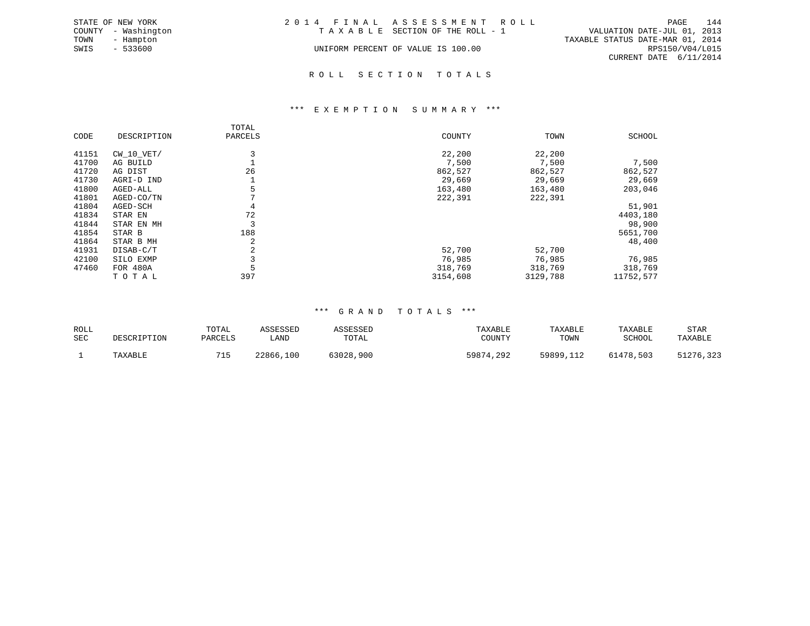|      | STATE OF NEW YORK   | 2014 FINAL ASSESSMENT ROLL |                                    |                                  | PAGE            | 144 |
|------|---------------------|----------------------------|------------------------------------|----------------------------------|-----------------|-----|
|      | COUNTY - Washington |                            | TAXABLE SECTION OF THE ROLL - 1    | VALUATION DATE-JUL 01, 2013      |                 |     |
| TOWN | - Hampton           |                            |                                    | TAXABLE STATUS DATE-MAR 01, 2014 |                 |     |
| SWIS | $-533600$           |                            | UNIFORM PERCENT OF VALUE IS 100.00 |                                  | RPS150/V04/L015 |     |
|      |                     |                            |                                    | CURRENT DATE 6/11/2014           |                 |     |
|      |                     |                            |                                    |                                  |                 |     |

#### R O L L S E C T I O N T O T A L S

#### \*\*\* E X E M P T I O N S U M M A R Y \*\*\*

|       |              | TOTAL   |          |          |               |
|-------|--------------|---------|----------|----------|---------------|
| CODE  | DESCRIPTION  | PARCELS | COUNTY   | TOWN     | <b>SCHOOL</b> |
| 41151 | $CW_10_VET/$ |         | 22,200   | 22,200   |               |
| 41700 | AG BUILD     |         | 7,500    | 7,500    | 7,500         |
| 41720 | AG DIST      | 26      | 862,527  | 862,527  | 862,527       |
| 41730 | AGRI-D IND   |         | 29,669   | 29,669   | 29,669        |
| 41800 | AGED-ALL     |         | 163,480  | 163,480  | 203,046       |
| 41801 | AGED-CO/TN   |         | 222,391  | 222,391  |               |
| 41804 | AGED-SCH     | 4       |          |          | 51,901        |
| 41834 | STAR EN      | 72      |          |          | 4403,180      |
| 41844 | STAR EN MH   |         |          |          | 98,900        |
| 41854 | STAR B       | 188     |          |          | 5651,700      |
| 41864 | STAR B MH    |         |          |          | 48,400        |
| 41931 | DISAB-C/T    |         | 52,700   | 52,700   |               |
| 42100 | SILO EXMP    |         | 76,985   | 76,985   | 76,985        |
| 47460 | FOR 480A     |         | 318,769  | 318,769  | 318,769       |
|       | TOTAL        | 397     | 3154,608 | 3129,788 | 11752,577     |

#### \*\*\* G R A N D T O T A L S \*\*\*

| ROLL       | DESCRIPTION | TOTAL   | ASSESSED  | ASSESSED  | TAXABLE   | TAXABLE   | TAXABLE   | STAR      |
|------------|-------------|---------|-----------|-----------|-----------|-----------|-----------|-----------|
| <b>SEC</b> |             | PARCELS | LAND      | TOTAL     | COUNTY    | TOWN      | SCHOOL    | TAXABLE   |
|            | TAXABLE     | 71 E    | 22866,100 | 63028,900 | 59874,292 | 59899,112 | 61478,503 | 51276,323 |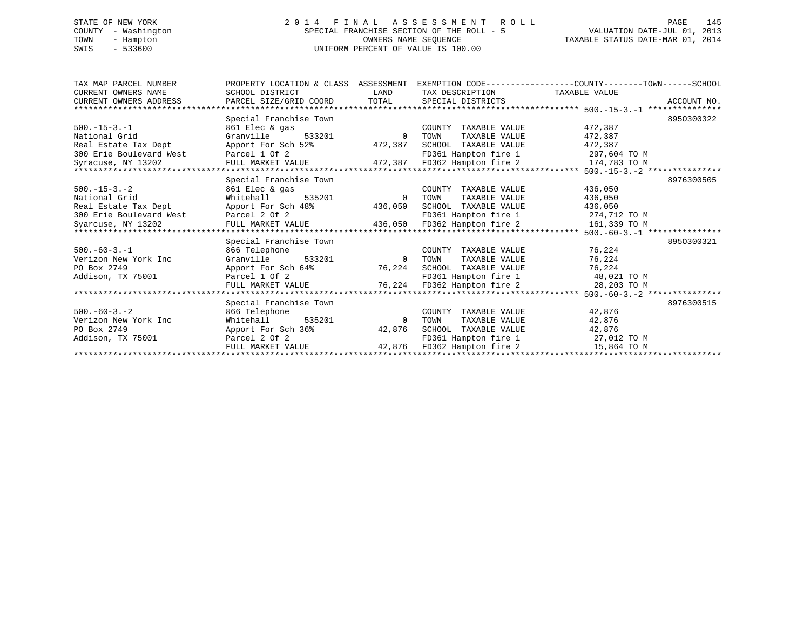# STATE OF NEW YORK 2 0 1 4 F I N A L A S S E S S M E N T R O L L PAGE 145 COUNTY - Washington SPECIAL FRANCHISE SECTION OF THE ROLL - 5 VALUATION DATE-JUL 01, 2013 TOWN - Hampton OWNERS NAME SEQUENCE TAXABLE STATUS DATE-MAR 01, 2014 SWIS - 533600 UNIFORM PERCENT OF VALUE IS 100.00

| TAX MAP PARCEL NUMBER<br>CURRENT OWNERS NAME<br>CURRENT OWNERS ADDRESS | SCHOOL DISTRICT<br>PARCEL SIZE/GRID COORD | LAND<br>TOTAL | TAX DESCRIPTION<br>SPECIAL DISTRICTS | PROPERTY LOCATION & CLASS ASSESSMENT EXEMPTION CODE----------------COUNTY-------TOWN------SCHOOL<br>TAXABLE VALUE<br>ACCOUNT NO. |
|------------------------------------------------------------------------|-------------------------------------------|---------------|--------------------------------------|----------------------------------------------------------------------------------------------------------------------------------|
|                                                                        |                                           |               |                                      |                                                                                                                                  |
|                                                                        | Special Franchise Town                    |               |                                      | 8950300322                                                                                                                       |
| $500. -15 - 3. -1$                                                     | 861 Elec & gas                            |               | COUNTY TAXABLE VALUE                 | 472,387                                                                                                                          |
| National Grid                                                          | Granville<br>533201                       | $\Omega$      | TAXABLE VALUE<br>TOWN                | 472,387                                                                                                                          |
| Real Estate Tax Dept                                                   | Apport For Sch 52%                        | 472,387       | SCHOOL TAXABLE VALUE                 | 472,387                                                                                                                          |
| 300 Erie Boulevard West                                                | Parcel 1 Of 2                             |               | FD361 Hampton fire 1                 | 297,604 TO M                                                                                                                     |
| Syracuse, NY 13202                                                     | FULL MARKET VALUE                         | 472,387       | FD362 Hampton fire 2                 | 174,783 TO M                                                                                                                     |
|                                                                        |                                           |               |                                      |                                                                                                                                  |
|                                                                        | Special Franchise Town                    |               |                                      | 8976300505                                                                                                                       |
| $500. -15 - 3. -2$                                                     | 861 Elec & gas                            |               | COUNTY TAXABLE VALUE                 | 436,050                                                                                                                          |
| National Grid                                                          | 535201<br>Whitehall                       | $\Omega$      | TOWN<br>TAXABLE VALUE                | 436,050                                                                                                                          |
| Real Estate Tax Dept                                                   | Apport For Sch 48%                        | 436,050       | SCHOOL TAXABLE VALUE                 | 436,050                                                                                                                          |
| 300 Erie Boulevard West                                                | Parcel 2 Of 2                             |               | FD361 Hampton fire 1                 | 274,712 TO M                                                                                                                     |
| Syarcuse, NY 13202                                                     | FULL MARKET VALUE                         | 436,050       | FD362 Hampton fire 2                 | 161,339 TO M                                                                                                                     |
|                                                                        |                                           |               |                                      |                                                                                                                                  |
|                                                                        | Special Franchise Town                    |               |                                      | 8950300321                                                                                                                       |
| $500. -60 - 3. -1$                                                     | 866 Telephone                             |               | COUNTY TAXABLE VALUE                 | 76,224                                                                                                                           |
| Verizon New York Inc                                                   | Granville<br>533201                       | $\Omega$      | TAXABLE VALUE<br>TOWN                | 76,224                                                                                                                           |
| PO Box 2749                                                            | Apport For Sch 64%                        | 76,224        | TAXABLE VALUE<br>SCHOOL              | 76,224                                                                                                                           |
| Addison, TX 75001                                                      | Parcel 1 Of 2                             |               | FD361 Hampton fire 1                 | 48,021 TO M                                                                                                                      |
|                                                                        | FULL MARKET VALUE                         | 76,224        | FD362 Hampton fire 2                 | 28,203 TO M                                                                                                                      |
|                                                                        |                                           |               |                                      |                                                                                                                                  |
|                                                                        | Special Franchise Town                    |               |                                      | 8976300515                                                                                                                       |
| $500 - 60 - 3 - 2$                                                     | 866 Telephone                             |               | COUNTY TAXABLE VALUE                 | 42,876                                                                                                                           |
| Verizon New York Inc                                                   | Whitehall<br>535201                       | $\Omega$      | TOWN<br>TAXABLE VALUE                | 42,876                                                                                                                           |
| PO Box 2749                                                            | Apport For Sch 36%                        | 42,876        | SCHOOL TAXABLE VALUE                 | 42,876                                                                                                                           |
| Addison, TX 75001                                                      | Parcel 2 Of 2                             |               | FD361 Hampton fire 1                 | 27,012 TO M                                                                                                                      |
|                                                                        | FULL MARKET VALUE                         | 42,876        | FD362 Hampton fire 2                 | 15,864 TO M                                                                                                                      |
|                                                                        |                                           |               |                                      |                                                                                                                                  |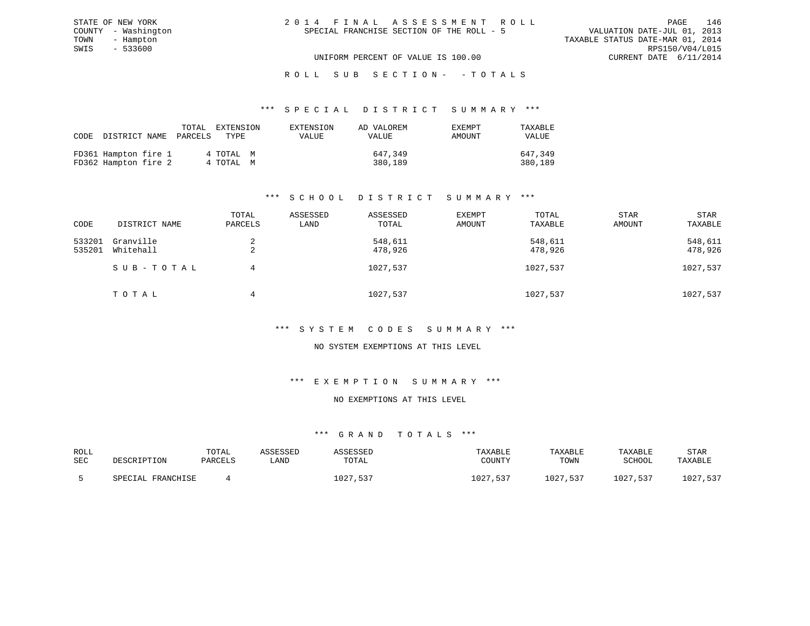| 2014 FINAL ASSESSMENT ROLL |                                           |                                  | PAGE                        | 146 |
|----------------------------|-------------------------------------------|----------------------------------|-----------------------------|-----|
|                            | SPECIAL FRANCHISE SECTION OF THE ROLL - 5 |                                  | VALUATION DATE-JUL 01, 2013 |     |
|                            |                                           | TAXABLE STATUS DATE-MAR 01, 2014 |                             |     |
|                            |                                           |                                  | RPS150/V04/L015             |     |
|                            | UNIFORM PERCENT OF VALUE IS 100.00        |                                  | CURRENT DATE 6/11/2014      |     |

| CODE DISTRICT NAME                           | TOTAL<br>PARCELS | EXTENSION<br>TYPE      | EXTENSION<br>VALUE | AD VALOREM<br><b>VALUE</b> | EXEMPT<br>AMOUNT | TAXABLE<br>VALUE   |
|----------------------------------------------|------------------|------------------------|--------------------|----------------------------|------------------|--------------------|
| FD361 Hampton fire 1<br>FD362 Hampton fire 2 |                  | 4 ТОТАЬ М<br>4 TOTAL M |                    | 647.349<br>380,189         |                  | 647,349<br>380,189 |

STATE OF NEW YORK COUNTY - Washington TOWN - Hampton  $SWIS$  - 533600

### \*\*\* S C H O O L D I S T R I C T S U M M A R Y \*\*\*

| CODE             | DISTRICT NAME          | TOTAL<br>PARCELS | ASSESSED<br>LAND | ASSESSED<br>TOTAL  | EXEMPT<br>AMOUNT | TOTAL<br>TAXABLE   | STAR<br>AMOUNT | <b>STAR</b><br>TAXABLE |
|------------------|------------------------|------------------|------------------|--------------------|------------------|--------------------|----------------|------------------------|
| 533201<br>535201 | Granville<br>Whitehall | 2                |                  | 548,611<br>478,926 |                  | 548,611<br>478,926 |                | 548,611<br>478,926     |
|                  | SUB-TOTAL              | 4                |                  | 1027,537           |                  | 1027,537           |                | 1027,537               |
|                  | TOTAL                  | 4                |                  | 1027,537           |                  | 1027,537           |                | 1027,537               |

#### \*\*\* S Y S T E M C O D E S S U M M A R Y \*\*\*

#### NO SYSTEM EXEMPTIONS AT THIS LEVEL

#### \*\*\* E X E M P T I O N S U M M A R Y \*\*\*

### NO EXEMPTIONS AT THIS LEVEL

| ROLL |                   | TOTAL   | ASSESSED | `SSESSED     | TAXABLE      | TAXABLE  | TAXABLE  | <b>STAR</b> |
|------|-------------------|---------|----------|--------------|--------------|----------|----------|-------------|
| SEC  | DESCRIPTION       | PARCELS | `AND     | TOTAL        | COUNTY       | TOWN     | SCHOOL   | TAXABLE     |
|      | SPECIAL FRANCHISE |         |          | ⊥027<br>,537 | 1027<br>,537 | 1027.537 | 1027,537 | 1027,537    |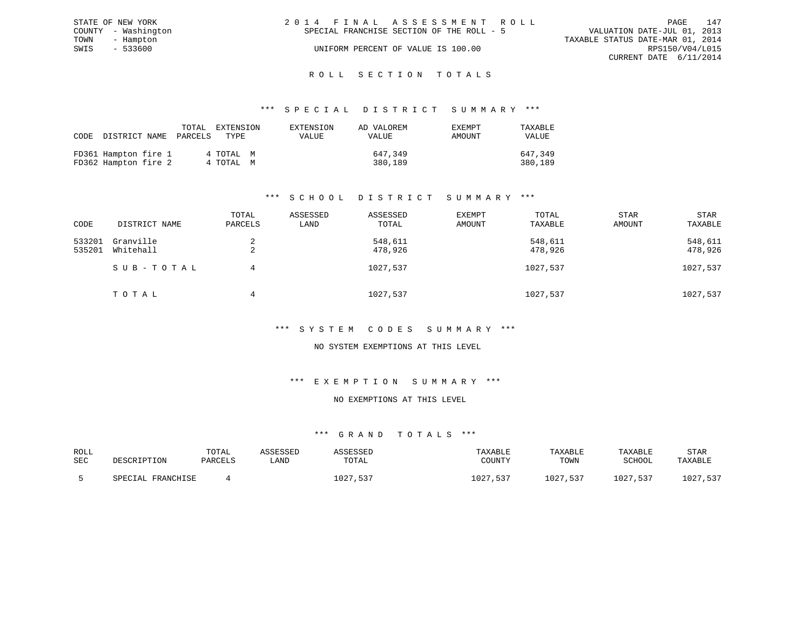| STATE OF NEW YORK   | 2014 FINAL ASSESSMENT ROLL                | 147<br>PAGE                      |
|---------------------|-------------------------------------------|----------------------------------|
| COUNTY - Washington | SPECIAL FRANCHISE SECTION OF THE ROLL - 5 | VALUATION DATE-JUL 01, 2013      |
| TOWN<br>- Hampton   |                                           | TAXABLE STATUS DATE-MAR 01, 2014 |
| SWIS<br>$-533600$   | UNIFORM PERCENT OF VALUE IS 100.00        | RPS150/V04/L015                  |
|                     |                                           | CURRENT DATE 6/11/2014           |
|                     |                                           |                                  |

# ROLL SECTION TOTALS

#### \*\*\* S P E C I A L D I S T R I C T S U M M A R Y \*\*\*

| CODE |                                              | TOTAL<br>DISTRICT NAME PARCELS | EXTENSION<br>TYPE      | EXTENSION<br>VALUE | AD VALOREM<br>VALUE | <b>EXEMPT</b><br>AMOUNT | TAXABLE<br>VALUE   |
|------|----------------------------------------------|--------------------------------|------------------------|--------------------|---------------------|-------------------------|--------------------|
|      | FD361 Hampton fire 1<br>FD362 Hampton fire 2 |                                | 4 ТОТАЬ М<br>4 TOTAL M |                    | 647,349<br>380,189  |                         | 647,349<br>380,189 |

### \*\*\* S C H O O L D I S T R I C T S U M M A R Y \*\*\*

| CODE             | DISTRICT NAME          | TOTAL<br>PARCELS | ASSESSED<br>LAND | ASSESSED<br>TOTAL  | <b>EXEMPT</b><br>AMOUNT | TOTAL<br>TAXABLE   | <b>STAR</b><br>AMOUNT | STAR<br>TAXABLE    |
|------------------|------------------------|------------------|------------------|--------------------|-------------------------|--------------------|-----------------------|--------------------|
| 533201<br>535201 | Granville<br>Whitehall | △                |                  | 548,611<br>478,926 |                         | 548,611<br>478,926 |                       | 548,611<br>478,926 |
|                  | SUB-TOTAL              | 4                |                  | 1027,537           |                         | 1027,537           |                       | 1027,537           |
|                  | ТОТАЬ                  | 4                |                  | 1027,537           |                         | 1027,537           |                       | 1027,537           |

#### \*\*\* S Y S T E M C O D E S S U M M A R Y \*\*\*

#### NO SYSTEM EXEMPTIONS AT THIS LEVEL

#### \*\*\* E X E M P T I O N S U M M A R Y \*\*\*

#### NO EXEMPTIONS AT THIS LEVEL

| ROLL |                   | TOTAL   | ASSESSED | `SSESSED     | TAXABLE      | TAXABLE  | TAXABLE  | <b>STAR</b> |
|------|-------------------|---------|----------|--------------|--------------|----------|----------|-------------|
| SEC  | DESCRIPTION       | PARCELS | `AND     | TOTAL        | COUNTY       | TOWN     | SCHOOL   | TAXABLE     |
|      | SPECIAL FRANCHISE |         |          | ⊥027<br>,537 | 1027<br>,537 | 1027.537 | 1027,537 | 1027,537    |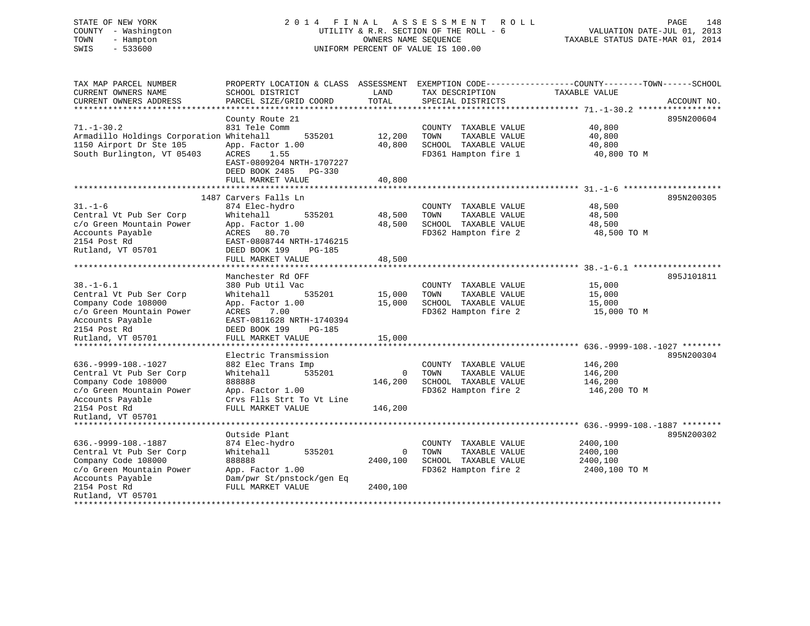### STATE OF NEW YORK 2 0 1 4 F I N A L A S S E S S M E N T R O L L PAGE 148COUNTY - Washington UTILITY & R.R. SECTION OF THE ROLL - 6 VALUATION DATE-JUL 01, 2013 TOWN - Hampton OWNERS NAME SEQUENCE TAXABLE STATUS DATE-MAR 01, 2014 SWIS - 533600 UNIFORM PERCENT OF VALUE IS 100.00

| TAX MAP PARCEL NUMBER<br>CURRENT OWNERS NAME     | PROPERTY LOCATION & CLASS ASSESSMENT<br>SCHOOL DISTRICT | LAND               | TAX DESCRIPTION       | EXEMPTION CODE-----------------COUNTY-------TOWN------SCHOOL<br>TAXABLE VALUE |             |
|--------------------------------------------------|---------------------------------------------------------|--------------------|-----------------------|-------------------------------------------------------------------------------|-------------|
| CURRENT OWNERS ADDRESS<br>********************** | PARCEL SIZE/GRID COORD                                  | TOTAL              | SPECIAL DISTRICTS     |                                                                               | ACCOUNT NO. |
|                                                  | County Route 21                                         |                    |                       |                                                                               | 895N200604  |
| $71. - 1 - 30.2$                                 | 831 Tele Comm                                           |                    | COUNTY TAXABLE VALUE  | 40,800                                                                        |             |
| Armadillo Holdings Corporation Whitehall         | 535201                                                  | 12,200             | TOWN<br>TAXABLE VALUE | 40,800                                                                        |             |
| 1150 Airport Dr Ste 105                          | App. Factor 1.00                                        | 40,800             | SCHOOL TAXABLE VALUE  | 40,800                                                                        |             |
| South Burlington, VT 05403                       | ACRES<br>1.55                                           |                    | FD361 Hampton fire 1  | 40,800 TO M                                                                   |             |
|                                                  | EAST-0809204 NRTH-1707227                               |                    |                       |                                                                               |             |
|                                                  | DEED BOOK 2485<br>PG-330                                |                    |                       |                                                                               |             |
|                                                  | FULL MARKET VALUE                                       | 40,800             |                       |                                                                               |             |
|                                                  |                                                         |                    |                       |                                                                               |             |
|                                                  | 1487 Carvers Falls Ln                                   |                    |                       |                                                                               | 895N200305  |
| $31. - 1 - 6$                                    | 874 Elec-hydro                                          |                    | COUNTY TAXABLE VALUE  | 48,500                                                                        |             |
| Central Vt Pub Ser Corp                          | Whitehall<br>535201                                     | 48,500             | TOWN<br>TAXABLE VALUE | 48,500                                                                        |             |
| c/o Green Mountain Power                         | App. Factor 1.00                                        | 48,500             | SCHOOL TAXABLE VALUE  | 48,500                                                                        |             |
| Accounts Payable                                 | ACRES 80.70                                             |                    | FD362 Hampton fire 2  | 48,500 TO M                                                                   |             |
| 2154 Post Rd                                     | EAST-0808744 NRTH-1746215                               |                    |                       |                                                                               |             |
| Rutland, VT 05701                                | DEED BOOK 199<br><b>PG-185</b>                          |                    |                       |                                                                               |             |
|                                                  | FULL MARKET VALUE<br>***********************            | 48,500<br>******** |                       |                                                                               |             |
|                                                  | Manchester Rd OFF                                       |                    |                       |                                                                               | 895J101811  |
| $38. - 1 - 6.1$                                  | 380 Pub Util Vac                                        |                    | COUNTY TAXABLE VALUE  | 15,000                                                                        |             |
| Central Vt Pub Ser Corp                          | 535201<br>Whitehall                                     | 15,000             | TOWN<br>TAXABLE VALUE | 15,000                                                                        |             |
| Company Code 108000                              | App. Factor 1.00                                        | 15,000             | SCHOOL TAXABLE VALUE  | 15,000                                                                        |             |
| c/o Green Mountain Power                         | ACRES<br>7.00                                           |                    | FD362 Hampton fire 2  | 15,000 TO M                                                                   |             |
| Accounts Payable                                 | EAST-0811628 NRTH-1740394                               |                    |                       |                                                                               |             |
| 2154 Post Rd                                     | DEED BOOK 199<br><b>PG-185</b>                          |                    |                       |                                                                               |             |
| Rutland, VT 05701                                | FULL MARKET VALUE                                       | 15,000             |                       |                                                                               |             |
| ***********************                          | ***************************                             |                    |                       |                                                                               |             |
|                                                  | Electric Transmission                                   |                    |                       |                                                                               | 895N200304  |
| $636. -9999 - 108. - 1027$                       | 882 Elec Trans Imp                                      |                    | COUNTY TAXABLE VALUE  | 146,200                                                                       |             |
| Central Vt Pub Ser Corp                          | Whitehall<br>535201                                     | $\Omega$           | TOWN<br>TAXABLE VALUE | 146,200                                                                       |             |
| Company Code 108000                              | 888888                                                  | 146,200            | SCHOOL TAXABLE VALUE  | 146,200                                                                       |             |
| c/o Green Mountain Power                         | App. Factor 1.00                                        |                    | FD362 Hampton fire 2  | 146,200 TO M                                                                  |             |
| Accounts Payable                                 | Crvs Flls Strt To Vt Line                               |                    |                       |                                                                               |             |
| 2154 Post Rd                                     | FULL MARKET VALUE                                       | 146,200            |                       |                                                                               |             |
| Rutland, VT 05701                                |                                                         |                    |                       |                                                                               |             |
| ****************************                     |                                                         |                    |                       |                                                                               |             |
|                                                  | Outside Plant                                           |                    |                       |                                                                               | 895N200302  |
| $636. -9999 - 108. - 1887$                       | 874 Elec-hydro                                          |                    | COUNTY TAXABLE VALUE  | 2400,100                                                                      |             |
| Central Vt Pub Ser Corp                          | Whitehall<br>535201                                     | 0                  | TOWN<br>TAXABLE VALUE | 2400,100                                                                      |             |
| Company Code 108000                              | 888888                                                  | 2400,100           | SCHOOL TAXABLE VALUE  | 2400,100                                                                      |             |
| c/o Green Mountain Power                         | App. Factor 1.00                                        |                    | FD362 Hampton fire 2  | 2400,100 TO M                                                                 |             |
| Accounts Payable                                 | Dam/pwr St/pnstock/gen Eq                               |                    |                       |                                                                               |             |
| 2154 Post Rd                                     | FULL MARKET VALUE                                       | 2400,100           |                       |                                                                               |             |
| Rutland, VT 05701<br>***************             |                                                         |                    |                       |                                                                               |             |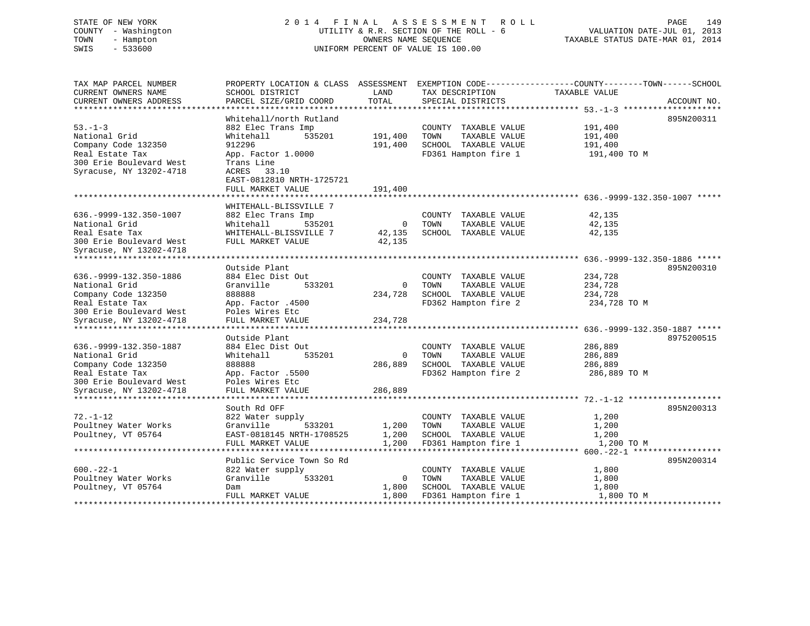# STATE OF NEW YORK 2 0 1 4 F I N A L A S S E S S M E N T R O L L PAGE 149 COUNTY - Washington UTILITY & R.R. SECTION OF THE ROLL - 6 VALUATION DATE-JUL 01, 2013 TOWN - Hampton OWNERS NAME SEQUENCE TAXABLE STATUS DATE-MAR 01, 2014 SWIS - 533600 UNIFORM PERCENT OF VALUE IS 100.00

| TAX MAP PARCEL NUMBER<br>CURRENT OWNERS NAME<br>CURRENT OWNERS ADDRESS | PROPERTY LOCATION & CLASS ASSESSMENT<br>SCHOOL DISTRICT<br>PARCEL SIZE/GRID COORD                 | LAND<br><b>TOTAL</b> | TAX DESCRIPTION<br>SPECIAL DISTRICTS                                  | EXEMPTION CODE----------------COUNTY-------TOWN------SCHOOL<br>TAXABLE VALUE | ACCOUNT NO. |
|------------------------------------------------------------------------|---------------------------------------------------------------------------------------------------|----------------------|-----------------------------------------------------------------------|------------------------------------------------------------------------------|-------------|
|                                                                        |                                                                                                   |                      |                                                                       |                                                                              |             |
| $53. - 1 - 3$<br>National Grid<br>Company Code 132350                  | Whitehall/north Rutland<br>882 Elec Trans Imp<br>Whitehall<br>535201<br>912296                    | 191,400<br>191,400   | COUNTY TAXABLE VALUE<br>TOWN<br>TAXABLE VALUE<br>SCHOOL TAXABLE VALUE | 191,400<br>191,400<br>191,400                                                | 895N200311  |
| Real Estate Tax<br>300 Erie Boulevard West<br>Syracuse, NY 13202-4718  | App. Factor 1.0000<br>Trans Line<br>ACRES 33.10<br>EAST-0812810 NRTH-1725721<br>FULL MARKET VALUE | 191,400              | FD361 Hampton fire 1                                                  | 191,400 TO M                                                                 |             |
|                                                                        |                                                                                                   |                      |                                                                       |                                                                              |             |
|                                                                        | WHITEHALL-BLISSVILLE 7                                                                            |                      |                                                                       |                                                                              |             |
| 636. - 9999 - 132. 350 - 1007                                          | 882 Elec Trans Imp                                                                                |                      | COUNTY TAXABLE VALUE                                                  | 42,135                                                                       |             |
| National Grid                                                          | Whitehall<br>535201                                                                               | $\overline{0}$       | TOWN<br>TAXABLE VALUE                                                 | 42,135                                                                       |             |
| Real Esate Tax                                                         | WHITEHALL-BLISSVILLE 7                                                                            | 42,135               | SCHOOL TAXABLE VALUE                                                  | 42,135                                                                       |             |
| 300 Erie Boulevard West                                                | FULL MARKET VALUE                                                                                 | 42,135               |                                                                       |                                                                              |             |
| Syracuse, NY 13202-4718                                                |                                                                                                   |                      |                                                                       |                                                                              |             |
|                                                                        |                                                                                                   |                      |                                                                       |                                                                              |             |
| 636. - 9999 - 132. 350 - 1886                                          | Outside Plant<br>884 Elec Dist Out                                                                |                      | COUNTY TAXABLE VALUE                                                  | 234,728                                                                      | 895N200310  |
| National Grid                                                          | Granville<br>533201                                                                               | $\mathbf 0$          | TOWN<br>TAXABLE VALUE                                                 | 234,728                                                                      |             |
| Company Code 132350                                                    | 888888                                                                                            | 234,728              | SCHOOL TAXABLE VALUE                                                  | 234,728                                                                      |             |
| Real Estate Tax                                                        | App. Factor .4500                                                                                 |                      | FD362 Hampton fire 2                                                  | 234,728 TO M                                                                 |             |
| 300 Erie Boulevard West                                                | Poles Wires Etc                                                                                   |                      |                                                                       |                                                                              |             |
| Syracuse, NY 13202-4718                                                | FULL MARKET VALUE                                                                                 | 234,728              |                                                                       |                                                                              |             |
|                                                                        |                                                                                                   |                      |                                                                       |                                                                              |             |
|                                                                        | Outside Plant                                                                                     |                      |                                                                       |                                                                              | 8975200515  |
| 636. - 9999 - 132. 350 - 1887                                          | 884 Elec Dist Out                                                                                 |                      | COUNTY TAXABLE VALUE                                                  | 286,889                                                                      |             |
| National Grid                                                          | Whitehall<br>535201                                                                               | $\overline{0}$       | TAXABLE VALUE<br>TOWN                                                 | 286,889                                                                      |             |
| Company Code 132350                                                    | 888888                                                                                            | 286,889              | SCHOOL TAXABLE VALUE                                                  | 286,889                                                                      |             |
| Real Estate Tax<br>300 Erie Boulevard West                             | App. Factor .5500<br>Poles Wires Etc                                                              |                      | FD362 Hampton fire 2                                                  | 286,889 TO M                                                                 |             |
| Syracuse, NY 13202-4718                                                | FULL MARKET VALUE                                                                                 | 286,889              |                                                                       |                                                                              |             |
|                                                                        |                                                                                                   |                      |                                                                       |                                                                              |             |
|                                                                        | South Rd OFF                                                                                      |                      |                                                                       |                                                                              | 895N200313  |
| $72. - 1 - 12$                                                         | 822 Water supply                                                                                  |                      | COUNTY TAXABLE VALUE                                                  | 1,200                                                                        |             |
| Poultney Water Works                                                   | Granville<br>533201                                                                               | 1,200                | TOWN<br>TAXABLE VALUE                                                 | 1,200                                                                        |             |
| Poultney, VT 05764                                                     | EAST-0818145 NRTH-1708525                                                                         | 1,200                | SCHOOL TAXABLE VALUE                                                  | 1,200                                                                        |             |
|                                                                        | FULL MARKET VALUE                                                                                 | 1,200                | FD361 Hampton fire 1                                                  | 1,200 TO M                                                                   |             |
|                                                                        |                                                                                                   |                      |                                                                       |                                                                              |             |
|                                                                        | Public Service Town So Rd                                                                         |                      |                                                                       |                                                                              | 895N200314  |
| $600 - 22 - 1$                                                         | 822 Water supply                                                                                  |                      | COUNTY TAXABLE VALUE                                                  | 1,800                                                                        |             |
| Poultney Water Works                                                   | Granville<br>533201                                                                               | $\overline{0}$       | TOWN<br>TAXABLE VALUE                                                 | 1,800                                                                        |             |
| Poultney, VT 05764                                                     | Dam                                                                                               | 1,800                | SCHOOL TAXABLE VALUE                                                  | 1,800                                                                        |             |
|                                                                        | FULL MARKET VALUE                                                                                 | 1,800                | FD361 Hampton fire 1                                                  | 1,800 TO M                                                                   |             |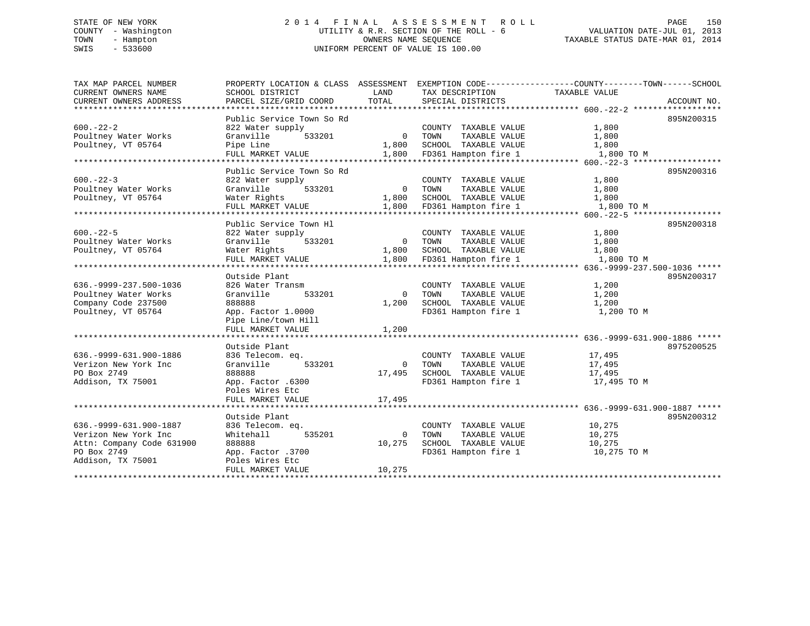# STATE OF NEW YORK 2 0 1 4 F I N A L A S S E S S M E N T R O L L PAGE 150 COUNTY - Washington UTILITY & R.R. SECTION OF THE ROLL - 6 VALUATION DATE-JUL 01, 2013 TOWN - Hampton OWNERS NAME SEQUENCE TAXABLE STATUS DATE-MAR 01, 2014 SWIS - 533600 UNIFORM PERCENT OF VALUE IS 100.00

| TAX MAP PARCEL NUMBER         | PROPERTY LOCATION & CLASS ASSESSMENT |                |                       | EXEMPTION CODE-----------------COUNTY-------TOWN------SCHOOL |  |
|-------------------------------|--------------------------------------|----------------|-----------------------|--------------------------------------------------------------|--|
| CURRENT OWNERS NAME           | SCHOOL DISTRICT                      | LAND           | TAX DESCRIPTION       | TAXABLE VALUE                                                |  |
| CURRENT OWNERS ADDRESS        | PARCEL SIZE/GRID COORD               | TOTAL          | SPECIAL DISTRICTS     | ACCOUNT NO.                                                  |  |
|                               |                                      |                |                       |                                                              |  |
|                               | Public Service Town So Rd            |                |                       | 895N200315                                                   |  |
| $600 - 22 - 2$                | 822 Water supply                     |                | COUNTY TAXABLE VALUE  | 1,800                                                        |  |
| Poultney Water Works          | Granville<br>533201                  | $\overline{0}$ | TOWN<br>TAXABLE VALUE | 1,800                                                        |  |
| Poultney, VT 05764            | Pipe Line                            | 1,800          | SCHOOL TAXABLE VALUE  | 1,800                                                        |  |
|                               | FULL MARKET VALUE                    | 1,800          | FD361 Hampton fire 1  | 1,800 TO M                                                   |  |
|                               |                                      |                |                       |                                                              |  |
|                               | Public Service Town So Rd            |                |                       | 895N200316                                                   |  |
| $600 - 22 - 3$                | 822 Water supply                     |                | COUNTY TAXABLE VALUE  | 1,800                                                        |  |
| Poultney Water Works          | Granville<br>533201                  | $\overline{0}$ | TOWN<br>TAXABLE VALUE | 1,800                                                        |  |
| Poultney, VT 05764            | Water Rights                         | 1,800          | SCHOOL TAXABLE VALUE  | 1,800                                                        |  |
|                               | FULL MARKET VALUE                    | 1,800          | FD361 Hampton fire 1  | 1,800 TO M                                                   |  |
|                               | **********************               |                |                       |                                                              |  |
|                               | Public Service Town Hl               |                |                       | 895N200318                                                   |  |
| $600. -22 - 5$                | 822 Water supply                     |                | COUNTY TAXABLE VALUE  | 1,800                                                        |  |
| Poultney Water Works          | Granville<br>533201                  | $\Omega$       | TOWN<br>TAXABLE VALUE | 1,800                                                        |  |
| Poultney, VT 05764            | Water Rights                         | 1,800          | SCHOOL TAXABLE VALUE  | 1,800                                                        |  |
|                               | FULL MARKET VALUE                    | 1,800          | FD361 Hampton fire 1  | 1,800 TO M                                                   |  |
|                               |                                      |                |                       |                                                              |  |
|                               | Outside Plant                        |                |                       | 895N200317                                                   |  |
| 636. - 9999 - 237. 500 - 1036 | 826 Water Transm                     |                | COUNTY TAXABLE VALUE  | 1,200                                                        |  |
| Poultney Water Works          | 533201<br>Granville                  | $\Omega$       | TOWN<br>TAXABLE VALUE | 1,200                                                        |  |
| Company Code 237500           | 888888                               | 1,200          | SCHOOL TAXABLE VALUE  | 1,200                                                        |  |
| Poultney, VT 05764            | App. Factor 1.0000                   |                | FD361 Hampton fire 1  | 1,200 TO M                                                   |  |
|                               | Pipe Line/town Hill                  |                |                       |                                                              |  |
|                               | FULL MARKET VALUE                    | 1,200          |                       |                                                              |  |
|                               |                                      |                |                       |                                                              |  |
|                               | Outside Plant                        |                |                       | 8975200525                                                   |  |
| 636. - 9999 - 631. 900 - 1886 | 836 Telecom. eq.                     |                | COUNTY TAXABLE VALUE  | 17,495                                                       |  |
| Verizon New York Inc          | 533201<br>Granville                  | $\Omega$       | TAXABLE VALUE<br>TOWN | 17,495                                                       |  |
| PO Box 2749                   | 888888                               | 17,495         | SCHOOL TAXABLE VALUE  | 17,495                                                       |  |
| Addison, TX 75001             | App. Factor .6300                    |                | FD361 Hampton fire 1  | 17,495 TO M                                                  |  |
|                               | Poles Wires Etc                      |                |                       |                                                              |  |
|                               | FULL MARKET VALUE                    | 17,495         |                       |                                                              |  |
|                               |                                      |                |                       |                                                              |  |
|                               | Outside Plant                        |                |                       | 895N200312                                                   |  |
| 636. - 9999 - 631. 900 - 1887 | 836 Telecom. eq.                     |                | COUNTY TAXABLE VALUE  | 10,275                                                       |  |
| Verizon New York Inc          | Whitehall<br>535201                  | $\Omega$       | TOWN<br>TAXABLE VALUE | 10,275                                                       |  |
| Attn: Company Code 631900     | 888888                               | 10,275         | SCHOOL TAXABLE VALUE  | 10,275                                                       |  |
| PO Box 2749                   | App. Factor .3700                    |                | FD361 Hampton fire 1  | 10,275 TO M                                                  |  |
| Addison, TX 75001             | Poles Wires Etc                      |                |                       |                                                              |  |
|                               | FULL MARKET VALUE                    | 10,275         |                       |                                                              |  |
|                               | **********************               |                |                       |                                                              |  |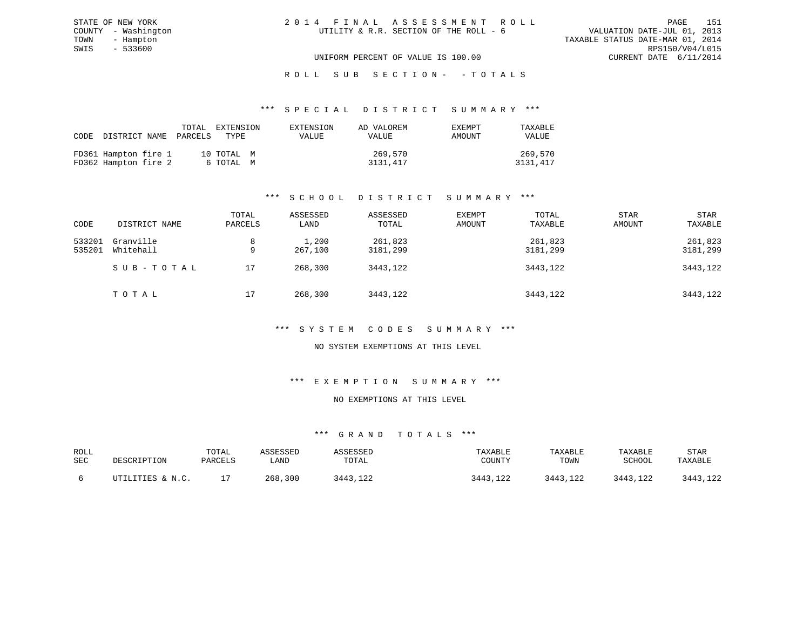| 2014 FINAL ASSESSMENT ROLL             | 151<br>PAGE                      |
|----------------------------------------|----------------------------------|
| UTILITY & R.R. SECTION OF THE ROLL - 6 | VALUATION DATE-JUL 01, 2013      |
|                                        | TAXABLE STATUS DATE-MAR 01, 2014 |
|                                        | RPS150/V04/L015                  |
| UNIFORM PERCENT OF VALUE IS 100.00     | CURRENT DATE 6/11/2014           |

# ROLL SUB SECTION - - TOTALS

#### \*\*\* S P E C I A L D I S T R I C T S U M M A R Y \*\*\*

| CODE DISTRICT NAME PARCELS                   |  | TOTAL EXTENSION<br>түрг т | EXTENSION<br><b>VALUE</b> | AD VALOREM<br>VALUE | EXEMPT<br>AMOUNT | TAXABLE<br>VALUE    |
|----------------------------------------------|--|---------------------------|---------------------------|---------------------|------------------|---------------------|
| FD361 Hampton fire 1<br>FD362 Hampton fire 2 |  | 10 TOTAL M<br>6 ТОТАL М   |                           | 269,570<br>3131,417 |                  | 269,570<br>3131,417 |

### \*\*\* S C H O O L D I S T R I C T S U M M A R Y \*\*\*

| CODE             | DISTRICT NAME          | TOTAL<br>PARCELS | ASSESSED<br>LAND | ASSESSED<br>TOTAL   | EXEMPT<br>AMOUNT | TOTAL<br>TAXABLE    | <b>STAR</b><br>AMOUNT | <b>STAR</b><br>TAXABLE |
|------------------|------------------------|------------------|------------------|---------------------|------------------|---------------------|-----------------------|------------------------|
| 533201<br>535201 | Granville<br>Whitehall | 8<br>9           | 1,200<br>267,100 | 261,823<br>3181,299 |                  | 261,823<br>3181,299 |                       | 261,823<br>3181,299    |
|                  | SUB-TOTAL              | 17               | 268,300          | 3443,122            |                  | 3443,122            |                       | 3443,122               |
|                  | TOTAL                  | 17               | 268,300          | 3443,122            |                  | 3443,122            |                       | 3443,122               |

#### \*\*\* S Y S T E M C O D E S S U M M A R Y \*\*\*

#### NO SYSTEM EXEMPTIONS AT THIS LEVEL

#### \*\*\* E X E M P T I O N S U M M A R Y \*\*\*

### NO EXEMPTIONS AT THIS LEVEL

| ROLL<br>SEC | DESCRIPTION                         | TOTAL<br>PARCELS | \SSESSED<br>∟AND | SSESSED<br>TOTAL | TAXABLE<br>COUNTY    | TAXABLE<br>TOWN | TAXABLE<br>SCHOOL | STAR<br>TAXABLE |
|-------------|-------------------------------------|------------------|------------------|------------------|----------------------|-----------------|-------------------|-----------------|
|             | <b>LITIES &amp; N.C.</b><br>ז דידיז |                  | 300<br>268       | 3443,122         | 3443<br>າາາ<br>, 144 | 3443,122        | .122<br>3443      | .122<br>$7442$  |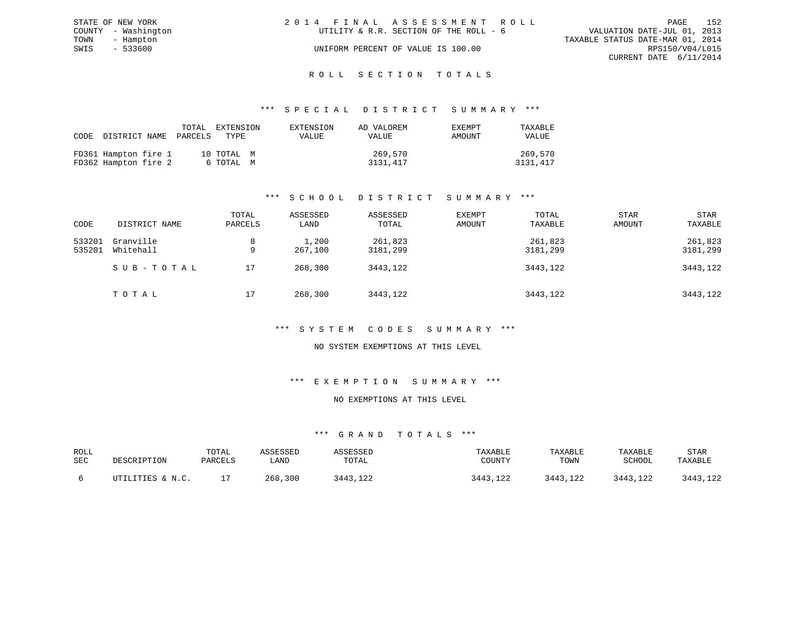| STATE OF NEW YORK   | 2014 FINAL ASSESSMENT ROLL             | 152<br>PAGE                      |
|---------------------|----------------------------------------|----------------------------------|
| COUNTY - Washington | UTILITY & R.R. SECTION OF THE ROLL - 6 | VALUATION DATE-JUL 01, 2013      |
| TOWN - Hampton      |                                        | TAXABLE STATUS DATE-MAR 01, 2014 |
| SWIS<br>$-533600$   | UNIFORM PERCENT OF VALUE IS 100.00     | RPS150/V04/L015                  |
|                     |                                        | CURRENT DATE 6/11/2014           |
|                     |                                        |                                  |

# ROLL SECTION TOTALS

#### \*\*\* S P E C I A L D I S T R I C T S U M M A R Y \*\*\*

| CODE | DISTRICT NAME                                | TOTAL<br>PARCELS | EXTENSION<br>TYPE.      | EXTENSION<br>VALUE | AD VALOREM<br>VALUE | <b>EXEMPT</b><br>AMOUNT | TAXABLE<br><b>VALUE</b> |
|------|----------------------------------------------|------------------|-------------------------|--------------------|---------------------|-------------------------|-------------------------|
|      | FD361 Hampton fire 1<br>FD362 Hampton fire 2 |                  | 10 TOTAL M<br>6 ТОТАЬ М |                    | 269,570<br>3131,417 |                         | 269,570<br>3131,417     |

### \*\*\* S C H O O L D I S T R I C T S U M M A R Y \*\*\*

| CODE             | DISTRICT NAME          | TOTAL<br>PARCELS | ASSESSED<br>LAND | ASSESSED<br>TOTAL   | EXEMPT<br>AMOUNT | TOTAL<br>TAXABLE    | <b>STAR</b><br>AMOUNT | <b>STAR</b><br>TAXABLE |
|------------------|------------------------|------------------|------------------|---------------------|------------------|---------------------|-----------------------|------------------------|
| 533201<br>535201 | Granville<br>Whitehall | 8<br>9           | 1,200<br>267,100 | 261,823<br>3181,299 |                  | 261,823<br>3181,299 |                       | 261,823<br>3181,299    |
|                  | SUB-TOTAL              | 17               | 268,300          | 3443,122            |                  | 3443,122            |                       | 3443,122               |
|                  | TOTAL                  | 17               | 268,300          | 3443,122            |                  | 3443,122            |                       | 3443,122               |

#### \*\*\* S Y S T E M C O D E S S U M M A R Y \*\*\*

#### NO SYSTEM EXEMPTIONS AT THIS LEVEL

#### \*\*\* E X E M P T I O N S U M M A R Y \*\*\*

#### NO EXEMPTIONS AT THIS LEVEL

| ROLL<br>SEC | DESCRIPTION      | TOTAL<br>PARCELS | ∖SSESSED<br>LAND | <i><b>\SSESSED</b></i><br>TOTAL | TAXABLE<br>COUNTY | TAXABLE<br>TOWN | TAXABLE<br>SCHOOL | STAR<br>TAXABLE |
|-------------|------------------|------------------|------------------|---------------------------------|-------------------|-----------------|-------------------|-----------------|
|             | UTILITIES & N.C. | <u>ــ</u>        | , 300<br>268.    | 7A12<br>443,122                 | 3443,122          | 3443,122        | 3443,122          | 3443,122        |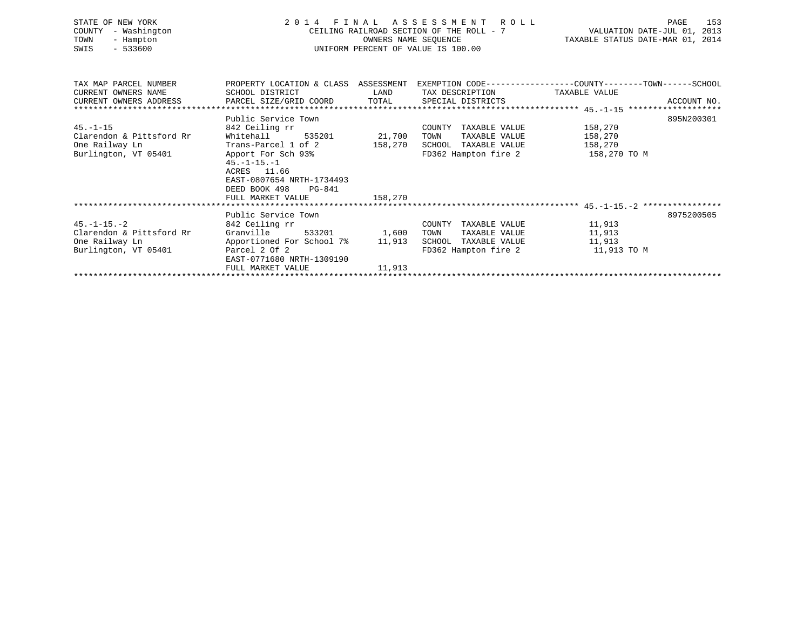| STATE OF NEW YORK<br>COUNTY<br>- Washington<br>TOWN<br>- Hampton<br>$-533600$<br>SWIS | FINAL ASSESSMENT ROLL<br>2 0 1 4<br>CEILING RAILROAD SECTION OF THE ROLL - 7<br>UNIFORM PERCENT OF VALUE IS 100.00 | 153<br>PAGE<br>VALUATION DATE-JUL 01, 2013<br>TAXABLE STATUS DATE-MAR 01, 2014 |                                               |                                                                                                |
|---------------------------------------------------------------------------------------|--------------------------------------------------------------------------------------------------------------------|--------------------------------------------------------------------------------|-----------------------------------------------|------------------------------------------------------------------------------------------------|
| TAX MAP PARCEL NUMBER                                                                 |                                                                                                                    |                                                                                |                                               | PROPERTY LOCATION & CLASS ASSESSMENT EXEMPTION CODE---------------COUNTY-------TOWN-----SCHOOL |
| CURRENT OWNERS NAME<br>CURRENT OWNERS ADDRESS                                         | SCHOOL DISTRICT                                                                                                    | LAND<br>TOTAL                                                                  | TAX DESCRIPTION<br>SPECIAL DISTRICTS          | TAXABLE VALUE<br>ACCOUNT NO.                                                                   |
|                                                                                       | PARCEL SIZE/GRID COORD                                                                                             |                                                                                |                                               |                                                                                                |
|                                                                                       | Public Service Town                                                                                                |                                                                                |                                               | 895N200301                                                                                     |
| $45. - 1 - 15$                                                                        | 842 Ceiling rr                                                                                                     |                                                                                | COUNTY TAXABLE VALUE                          | 158,270                                                                                        |
| Clarendon & Pittsford Rr                                                              | Whitehall<br>535201                                                                                                | 21,700                                                                         | TOWN<br>TAXABLE VALUE                         | 158,270                                                                                        |
| One Railway Ln                                                                        | Trans-Parcel 1 of 2                                                                                                | 158,270                                                                        | SCHOOL TAXABLE VALUE                          | 158,270                                                                                        |
| Burlington, VT 05401                                                                  | Apport For Sch 93%<br>$45. - 1 - 15. - 1$<br>ACRES 11.66<br>EAST-0807654 NRTH-1734493<br>DEED BOOK 498<br>PG-841   |                                                                                | FD362 Hampton fire 2                          | 158,270 TO M                                                                                   |
|                                                                                       | FULL MARKET VALUE                                                                                                  | 158,270                                                                        |                                               |                                                                                                |
|                                                                                       |                                                                                                                    |                                                                                |                                               |                                                                                                |
| $45. -1 - 15. -2$                                                                     | Public Service Town                                                                                                |                                                                                |                                               | 8975200505                                                                                     |
| Clarendon & Pittsford Rr                                                              | 842 Ceiling rr<br>Granville<br>533201                                                                              | 1,600                                                                          | COUNTY TAXABLE VALUE<br>TAXABLE VALUE<br>TOWN | 11,913<br>11,913                                                                               |
| One Railway Ln                                                                        | Apportioned For School 7%                                                                                          | 11,913                                                                         | SCHOOL TAXABLE VALUE                          | 11,913                                                                                         |
| Burlington, VT 05401                                                                  | Parcel 2 Of 2<br>EAST-0771680 NRTH-1309190                                                                         | FD362 Hampton fire 2                                                           |                                               | 11,913 TO M                                                                                    |
|                                                                                       | FULL MARKET VALUE                                                                                                  | 11,913                                                                         |                                               |                                                                                                |
|                                                                                       |                                                                                                                    |                                                                                |                                               |                                                                                                |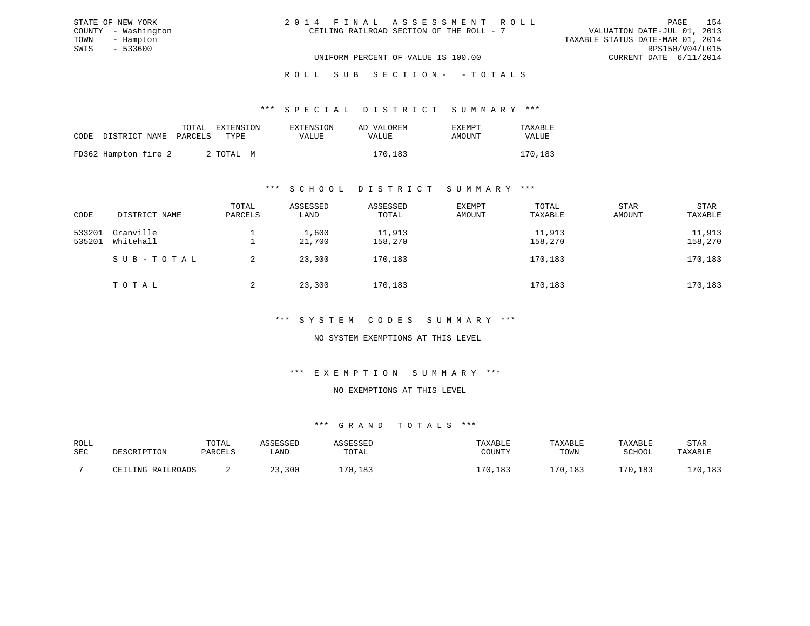| 2014 FINAL ASSESSMENT ROLL |                                          |                                  | PAGE                        | 154 |
|----------------------------|------------------------------------------|----------------------------------|-----------------------------|-----|
|                            | CEILING RAILROAD SECTION OF THE ROLL - 7 |                                  | VALUATION DATE-JUL 01, 2013 |     |
|                            |                                          | TAXABLE STATUS DATE-MAR 01, 2014 |                             |     |
|                            |                                          |                                  | RPS150/V04/L015             |     |
|                            | UNIFORM PERCENT OF VALUE IS 100.00       |                                  | CURRENT DATE 6/11/2014      |     |

|                            |  | TOTAL EXTENSION | EXTENSION | AD VALOREM | <b>EXEMPT</b> | TAXABLE      |
|----------------------------|--|-----------------|-----------|------------|---------------|--------------|
| CODE DISTRICT NAME PARCELS |  | TYPE.           | VALUE     | VALUE      | AMOUNT        | <b>VALUE</b> |
| FD362 Hampton fire 2       |  | 2 TOTAL M       |           | 170,183    |               | 170,183      |

STATE OF NEW YORK COUNTY - Washington TOWN - Hampton  $SWIS$  - 533600

#### \*\*\* S C H O O L D I S T R I C T S U M M A R Y \*\*\*

| CODE             | DISTRICT NAME          | TOTAL<br>PARCELS | ASSESSED<br>LAND | ASSESSED<br>TOTAL | EXEMPT<br>AMOUNT | TOTAL<br>TAXABLE  | STAR<br>AMOUNT | STAR<br>TAXABLE   |
|------------------|------------------------|------------------|------------------|-------------------|------------------|-------------------|----------------|-------------------|
| 533201<br>535201 | Granville<br>Whitehall |                  | 1,600<br>21,700  | 11,913<br>158,270 |                  | 11,913<br>158,270 |                | 11,913<br>158,270 |
|                  | SUB-TOTAL              | 2                | 23,300           | 170,183           |                  | 170,183           |                | 170,183           |
|                  | TOTAL                  | 2                | 23,300           | 170,183           |                  | 170,183           |                | 170,183           |

\*\*\* S Y S T E M C O D E S S U M M A R Y \*\*\*

NO SYSTEM EXEMPTIONS AT THIS LEVEL

\*\*\* E X E M P T I O N S U M M A R Y \*\*\*

#### NO EXEMPTIONS AT THIS LEVEL

| ROLL |                              | TOTAL   | CCFCCFD |       | TAXABLE      | TAXABLE    | TAXABLE   | STAR            |
|------|------------------------------|---------|---------|-------|--------------|------------|-----------|-----------------|
| SEC  | DESCRIPTION                  | PARCELS | LAND    | TOTAL | COUNTY       | TOWN       | SCHOOL    | TAXABLE         |
|      |                              |         |         |       |              |            |           |                 |
|      | RAILROADS<br>T.TNC<br>$\cap$ |         | 3,300   | 70.   | ,183<br>.70. | .70<br>183 | 70<br>183 | 170,183<br>دە⊥, |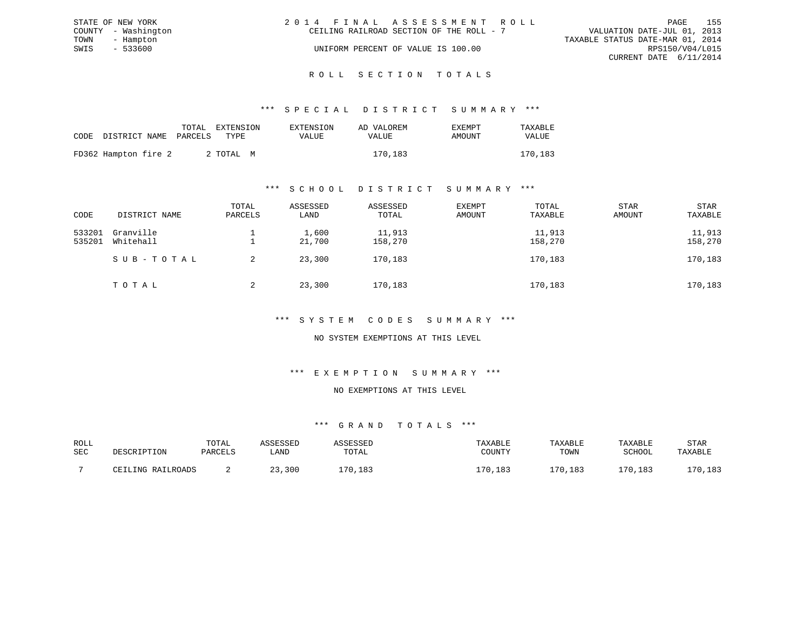|      | STATE OF NEW YORK   | 2014 FINAL ASSESSMENT ROLL               |                                  |                        | PAGE | - 155 |
|------|---------------------|------------------------------------------|----------------------------------|------------------------|------|-------|
|      | COUNTY - Washington | CEILING RAILROAD SECTION OF THE ROLL - 7 | VALUATION DATE-JUL 01, 2013      |                        |      |       |
| TOWN | - Hampton           |                                          | TAXABLE STATUS DATE-MAR 01, 2014 |                        |      |       |
| SWIS | $-533600$           | UNIFORM PERCENT OF VALUE IS 100.00       |                                  | RPS150/V04/L015        |      |       |
|      |                     |                                          |                                  | CURRENT DATE 6/11/2014 |      |       |
|      |                     |                                          |                                  |                        |      |       |

#### R O L L S E C T I O N T O T A L S

#### \*\*\* S P E C I A L D I S T R I C T S U M M A R Y \*\*\*

|                            |  | TOTAL EXTENSION | EXTENSION    | AD VALOREM | EXEMPT | TAXABLE |
|----------------------------|--|-----------------|--------------|------------|--------|---------|
| CODE DISTRICT NAME PARCELS |  | TYPE:           | <b>VALUE</b> | VALUE      | AMOUNT | VALUE   |
| FD362 Hampton fire 2       |  | 2 ТОТАЬ М       |              | 170,183    |        | 170,183 |

#### \*\*\* S C H O O L D I S T R I C T S U M M A R Y \*\*\*

| CODE             | DISTRICT NAME          | TOTAL<br>PARCELS | ASSESSED<br>LAND | ASSESSED<br>TOTAL | EXEMPT<br>AMOUNT | TOTAL<br>TAXABLE  | STAR<br>AMOUNT | STAR<br>TAXABLE   |
|------------------|------------------------|------------------|------------------|-------------------|------------------|-------------------|----------------|-------------------|
| 533201<br>535201 | Granville<br>Whitehall |                  | 1,600<br>21,700  | 11,913<br>158,270 |                  | 11,913<br>158,270 |                | 11,913<br>158,270 |
|                  | SUB-TOTAL              | 2                | 23,300           | 170,183           |                  | 170,183           |                | 170,183           |
|                  | TOTAL                  | 2                | 23,300           | 170,183           |                  | 170,183           |                | 170,183           |

#### \*\*\* S Y S T E M C O D E S S U M M A R Y \*\*\*

### NO SYSTEM EXEMPTIONS AT THIS LEVEL

## \*\*\* E X E M P T I O N S U M M A R Y \*\*\*

#### NO EXEMPTIONS AT THIS LEVEL

| ROLL |                   | TOTAL   | <i>COPOCP</i> |       | TAXABLE    | TAXABLE | TAXABLE       | STAR           |
|------|-------------------|---------|---------------|-------|------------|---------|---------------|----------------|
| SEC  | DESCRIPTION       | PARCELS | ∟AND          | TOTAL | COUNTY     | TOWN    | SCHOOL        | TAXABLE        |
|      |                   |         |               |       |            |         |               |                |
|      | CEILING RAILROADS |         | ,300          | .70.1 | ,183<br>70 | 170,183 | .70.<br>, 183 | 70 ا<br>/0,183 |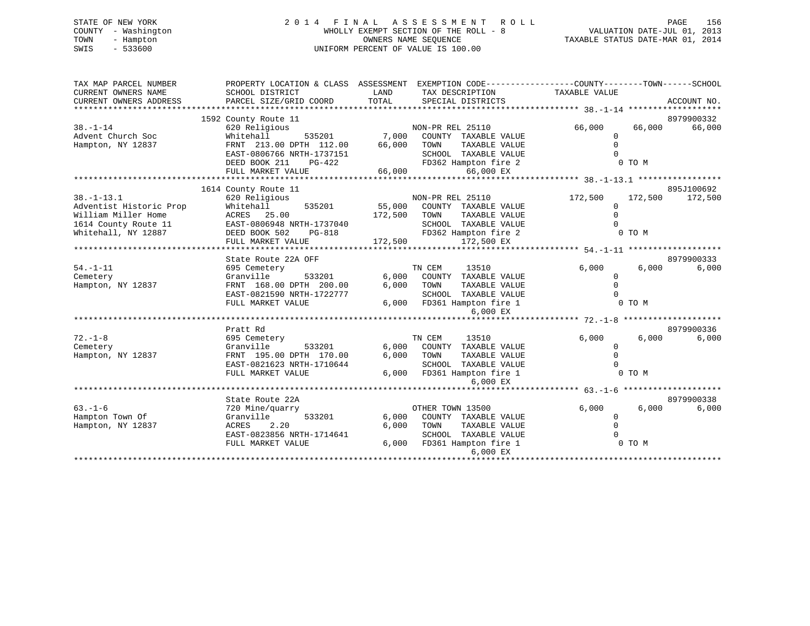### STATE OF NEW YORK 2 0 1 4 F I N A L A S S E S S M E N T R O L L PAGE 156COUNTY - Washington  $\begin{array}{ccc} \text{WHOLLY EXEMPT SECTION OF THE ROLL} - \text{8} \\ \text{TWN} - \text{Hampton} \end{array}$ TOWN - Hampton OWNERS NAME SEQUENCE TAXABLE STATUS DATE-MAR 01, 2014 SWIS - 533600 UNIFORM PERCENT OF VALUE IS 100.00

| TAX MAP PARCEL NUMBER<br>CURRENT OWNERS NAME<br>CURRENT OWNERS ADDRESS                                            | PROPERTY LOCATION & CLASS ASSESSMENT<br>SCHOOL DISTRICT<br>PARCEL SIZE/GRID COORD                                                | LAND<br>TAX DESCRIPTION<br>TOTAL<br>SPECIAL DISTRICTS                                                                                                           | EXEMPTION CODE-----------------COUNTY-------TOWN------SCHOOL<br>TAXABLE VALUE | ACCOUNT NO.          |
|-------------------------------------------------------------------------------------------------------------------|----------------------------------------------------------------------------------------------------------------------------------|-----------------------------------------------------------------------------------------------------------------------------------------------------------------|-------------------------------------------------------------------------------|----------------------|
| $38. - 1 - 14$                                                                                                    | 1592 County Route 11<br>620 Religious                                                                                            | NON-PR REL 25110                                                                                                                                                | 66,000<br>66,000                                                              | 8979900332<br>66,000 |
| Advent Church Soc<br>Hampton, NY 12837                                                                            | 535201<br>Whitehall<br>FRNT 213.00 DPTH 112.00<br>EAST-0806766 NRTH-1737151                                                      | 7,000<br>COUNTY TAXABLE VALUE<br>66,000<br>TOWN<br>TAXABLE VALUE<br>SCHOOL TAXABLE VALUE                                                                        | $\Omega$<br>$\Omega$<br>$\Omega$                                              |                      |
|                                                                                                                   | DEED BOOK 211<br>$PG-422$<br>FULL MARKET VALUE                                                                                   | FD362 Hampton fire 2<br>66,000<br>66,000 EX                                                                                                                     | 0 TO M                                                                        |                      |
|                                                                                                                   | 1614 County Route 11                                                                                                             |                                                                                                                                                                 |                                                                               | 895J100692           |
| $38. - 1 - 13.1$<br>Adventist Historic Prop<br>William Miller Home<br>1614 County Route 11<br>Whitehall, NY 12887 | 620 Religious<br>Whitehall<br>535201<br>ACRES 25.00<br>EAST-0806948 NRTH-1737040<br>DEED BOOK 502<br>PG-818<br>FULL MARKET VALUE | NON-PR REL 25110<br>55,000<br>COUNTY TAXABLE VALUE<br>TOWN<br>TAXABLE VALUE<br>172,500<br>SCHOOL TAXABLE VALUE<br>FD362 Hampton fire 2<br>172,500<br>172,500 EX | 172,500<br>172,500<br>$\Omega$<br>$\Omega$<br>$\Omega$<br>0 TO M              | 172,500              |
|                                                                                                                   | State Route 22A OFF                                                                                                              |                                                                                                                                                                 |                                                                               | 8979900333           |
| $54. - 1 - 11$<br>Cemetery<br>Hampton, NY 12837                                                                   | 695 Cemetery<br>Granville<br>533201<br>FRNT 168.00 DPTH 200.00<br>EAST-0821590 NRTH-1722777<br>FULL MARKET VALUE                 | TN CEM<br>13510<br>6,000<br>COUNTY TAXABLE VALUE<br>6,000<br>TOWN<br>TAXABLE VALUE<br>SCHOOL TAXABLE VALUE<br>6,000<br>FD361 Hampton fire 1<br>6,000 EX         | 6,000<br>6,000<br>0<br>$\Omega$<br>0 TO M                                     | 6,000                |
|                                                                                                                   |                                                                                                                                  |                                                                                                                                                                 |                                                                               |                      |
| $72. - 1 - 8$<br>Cemetery<br>Hampton, NY 12837                                                                    | Pratt Rd<br>695 Cemetery<br>Granville<br>533201<br>FRNT 195.00 DPTH 170.00<br>EAST-0821623 NRTH-1710644<br>FULL MARKET VALUE     | TN CEM<br>13510<br>6,000<br>COUNTY TAXABLE VALUE<br>6,000<br>TOWN<br>TAXABLE VALUE<br>SCHOOL TAXABLE VALUE<br>6.000<br>FD361 Hampton fire 1<br>6,000 EX         | 6,000<br>6.000<br>$\Omega$<br>$\Omega$<br>$\cap$<br>0 TO M                    | 8979900336<br>6,000  |
|                                                                                                                   |                                                                                                                                  |                                                                                                                                                                 |                                                                               |                      |
| $63. - 1 - 6$<br>Hampton Town Of<br>Hampton, NY 12837                                                             | State Route 22A<br>720 Mine/quarry<br>533201<br>Granville<br>2.20<br>ACRES<br>EAST-0823856 NRTH-1714641<br>FULL MARKET VALUE     | OTHER TOWN 13500<br>6,000<br>COUNTY TAXABLE VALUE<br>6,000<br>TOWN<br>TAXABLE VALUE<br>SCHOOL TAXABLE VALUE<br>6,000<br>FD361 Hampton fire 1<br>$6.000$ EX      | 6.000<br>6,000<br>0<br>$\Omega$<br>0 TO M                                     | 8979900338<br>6,000  |
|                                                                                                                   |                                                                                                                                  |                                                                                                                                                                 |                                                                               |                      |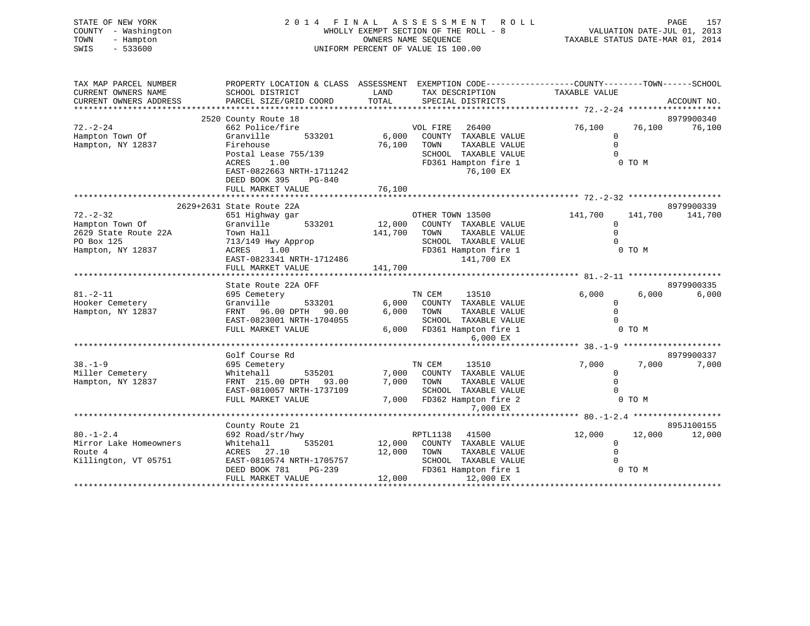| STATE OF NEW YORK<br>COUNTY - Washington<br>TOWN<br>- Hampton<br>SWIS<br>$-533600$ | 2 0 1 4                                                                                                             |         | FINAL ASSESSMENT<br>R O L L<br>WHOLLY EXEMPT SECTION OF THE ROLL - 8<br>OWNERS NAME SEOUENCE<br>UNIFORM PERCENT OF VALUE IS 100.00 | VALUATION DATE-JUL 01, 2013<br>TAXABLE STATUS DATE-MAR 01, 2014 | PAGE<br>157 |
|------------------------------------------------------------------------------------|---------------------------------------------------------------------------------------------------------------------|---------|------------------------------------------------------------------------------------------------------------------------------------|-----------------------------------------------------------------|-------------|
| TAX MAP PARCEL NUMBER<br>CURRENT OWNERS NAME                                       | PROPERTY LOCATION & CLASS ASSESSMENT EXEMPTION CODE----------------COUNTY-------TOWN------SCHOOL<br>SCHOOL DISTRICT | LAND    | TAX DESCRIPTION                                                                                                                    | TAXABLE VALUE                                                   |             |
| CURRENT OWNERS ADDRESS                                                             | PARCEL SIZE/GRID COORD                                                                                              | TOTAL   | SPECIAL DISTRICTS                                                                                                                  |                                                                 | ACCOUNT NO. |
| ********************                                                               | ************************                                                                                            |         |                                                                                                                                    |                                                                 |             |
|                                                                                    | 2520 County Route 18                                                                                                |         |                                                                                                                                    |                                                                 | 8979900340  |
| $72. - 2 - 24$                                                                     | 662 Police/fire                                                                                                     |         | VOL FIRE<br>26400                                                                                                                  | 76,100<br>76,100                                                | 76,100      |
| Hampton Town Of                                                                    | Granville<br>533201                                                                                                 | 6,000   | COUNTY TAXABLE VALUE                                                                                                               | $\mathbf{0}$                                                    |             |
| Hampton, NY 12837                                                                  | Firehouse                                                                                                           | 76,100  | TAXABLE VALUE<br>TOWN                                                                                                              | $\Omega$                                                        |             |
|                                                                                    | Postal Lease 755/139<br>1.00<br>ACRES                                                                               |         | SCHOOL TAXABLE VALUE                                                                                                               | $\Omega$<br>0 TO M                                              |             |
|                                                                                    | EAST-0822663 NRTH-1711242                                                                                           |         | FD361 Hampton fire 1<br>76,100 EX                                                                                                  |                                                                 |             |
|                                                                                    | DEED BOOK 395<br>PG-840                                                                                             |         |                                                                                                                                    |                                                                 |             |
|                                                                                    | FULL MARKET VALUE                                                                                                   | 76,100  |                                                                                                                                    |                                                                 |             |
|                                                                                    |                                                                                                                     |         |                                                                                                                                    |                                                                 |             |
|                                                                                    | 2629+2631 State Route 22A                                                                                           |         |                                                                                                                                    |                                                                 | 8979900339  |
| $72. - 2 - 32$                                                                     | 651 Highway gar                                                                                                     |         | OTHER TOWN 13500                                                                                                                   | 141,700<br>141,700                                              | 141,700     |
| Hampton Town Of                                                                    | Granville<br>533201                                                                                                 | 12,000  | COUNTY TAXABLE VALUE                                                                                                               | $\mathbf 0$                                                     |             |
| 2629 State Route 22A                                                               | Town Hall                                                                                                           | 141,700 | TAXABLE VALUE<br>TOWN                                                                                                              | $\Omega$                                                        |             |
| PO Box 125                                                                         | 713/149 Hwy Approp                                                                                                  |         | SCHOOL TAXABLE VALUE                                                                                                               | $\Omega$                                                        |             |
| Hampton, NY 12837                                                                  | 1.00<br>ACRES                                                                                                       |         | FD361 Hampton fire 1                                                                                                               | 0 TO M                                                          |             |
|                                                                                    | EAST-0823341 NRTH-1712486                                                                                           |         | 141,700 EX                                                                                                                         |                                                                 |             |
|                                                                                    | FULL MARKET VALUE                                                                                                   | 141,700 |                                                                                                                                    |                                                                 |             |
|                                                                                    | State Route 22A OFF                                                                                                 |         |                                                                                                                                    |                                                                 | 8979900335  |
| $81. - 2 - 11$                                                                     | 695 Cemetery                                                                                                        |         | TN CEM<br>13510                                                                                                                    | 6,000<br>6,000                                                  | 6,000       |
| Hooker Cemetery                                                                    | Granville<br>533201                                                                                                 | 6,000   | COUNTY TAXABLE VALUE                                                                                                               | $\mathbf 0$                                                     |             |
| Hampton, NY 12837                                                                  | FRNT 96.00 DPTH 90.00                                                                                               | 6,000   | TOWN<br>TAXABLE VALUE                                                                                                              | $\Omega$                                                        |             |
|                                                                                    | EAST-0823001 NRTH-1704055                                                                                           |         | SCHOOL TAXABLE VALUE                                                                                                               | $\Omega$                                                        |             |
|                                                                                    | FULL MARKET VALUE                                                                                                   | 6,000   | FD361 Hampton fire 1                                                                                                               | 0 TO M                                                          |             |
|                                                                                    |                                                                                                                     |         | 6,000 EX                                                                                                                           |                                                                 |             |
|                                                                                    |                                                                                                                     |         |                                                                                                                                    |                                                                 |             |
|                                                                                    | Golf Course Rd                                                                                                      |         |                                                                                                                                    |                                                                 | 8979900337  |
| $38. - 1 - 9$                                                                      | 695 Cemetery                                                                                                        |         | TN CEM<br>13510                                                                                                                    | 7,000<br>7,000                                                  | 7,000       |
| Miller Cemetery                                                                    | Whitehall<br>535201                                                                                                 | 7,000   | COUNTY TAXABLE VALUE                                                                                                               | $\mathbf 0$                                                     |             |
| Hampton, NY 12837                                                                  | FRNT 215.00 DPTH 93.00                                                                                              | 7,000   | TOWN<br>TAXABLE VALUE                                                                                                              | $\Omega$<br>$\Omega$                                            |             |
|                                                                                    | EAST-0810057 NRTH-1737109<br>FULL MARKET VALUE                                                                      | 7,000   | SCHOOL TAXABLE VALUE<br>FD362 Hampton fire 2                                                                                       | 0 TO M                                                          |             |
|                                                                                    |                                                                                                                     |         | 7,000 EX                                                                                                                           |                                                                 |             |
|                                                                                    |                                                                                                                     |         |                                                                                                                                    |                                                                 |             |
|                                                                                    | County Route 21                                                                                                     |         |                                                                                                                                    |                                                                 | 895J100155  |
| $80. - 1 - 2.4$                                                                    | 692 Road/str/hwy                                                                                                    |         | RPTL1138<br>41500                                                                                                                  | 12,000<br>12,000                                                | 12,000      |
| Mirror Lake Homeowners                                                             | Whitehall<br>535201                                                                                                 | 12,000  | COUNTY TAXABLE VALUE                                                                                                               | $\mathsf 0$                                                     |             |
| Route 4                                                                            | ACRES 27.10                                                                                                         | 12,000  | TAXABLE VALUE<br>TOWN                                                                                                              | $\mathbf 0$                                                     |             |
| Killington, VT 05751                                                               | EAST-0810574 NRTH-1705757                                                                                           |         | SCHOOL TAXABLE VALUE                                                                                                               | $\Omega$                                                        |             |
|                                                                                    | DEED BOOK 781<br>$PG-239$                                                                                           |         | FD361 Hampton fire 1                                                                                                               | 0 TO M                                                          |             |
|                                                                                    | FULL MARKET VALUE                                                                                                   | 12,000  | 12,000 EX                                                                                                                          |                                                                 |             |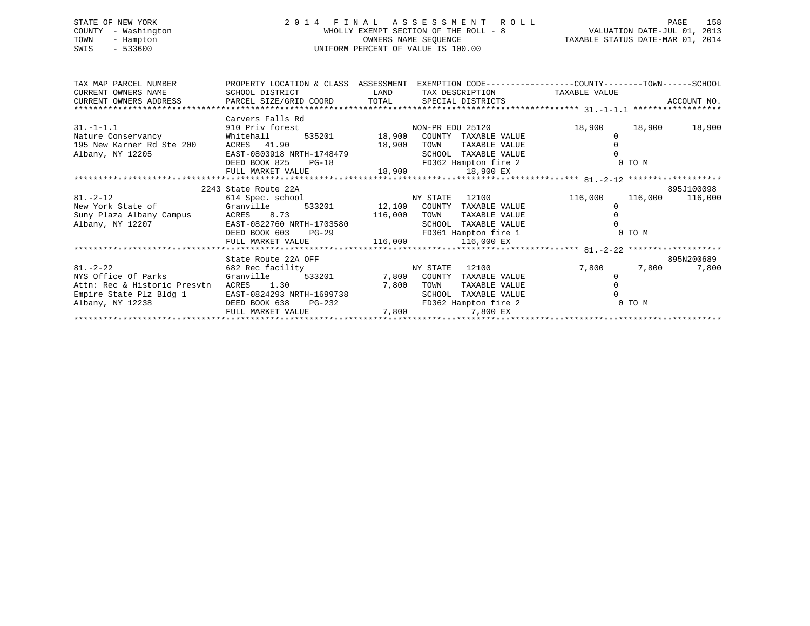### STATE OF NEW YORK 2014 FINAL ASSESSMENT ROLL PAGE 158 COUNTY - Washington COUNTY - Washington Summary Section OF THE ROLL - 8<br>TOWN - Hampton COUNTY - Mampton DATE-JUL 01, 2013 TOWN - Hampton OWNERS NAME SEQUENCE TAXABLE STATUS DATE-MAR 01, 2014 SWIS - 533600 UNIFORM PERCENT OF VALUE IS 100.00

| TAX MAP PARCEL NUMBER                                              | PROPERTY LOCATION & CLASS ASSESSMENT |             |                                   | EXEMPTION CODE-----------------COUNTY-------TOWN------SCHOOL |               |
|--------------------------------------------------------------------|--------------------------------------|-------------|-----------------------------------|--------------------------------------------------------------|---------------|
| CURRENT OWNERS NAME                                                | SCHOOL DISTRICT                      | <b>LAND</b> | TAX DESCRIPTION TAXABLE VALUE     |                                                              |               |
|                                                                    |                                      |             |                                   |                                                              |               |
|                                                                    |                                      |             |                                   |                                                              |               |
|                                                                    | Carvers Falls Rd                     |             |                                   |                                                              |               |
| $31.-1-1.1$                                                        | 910 Priv forest                      |             | NON-PR EDU 25120                  | 18,900                                                       | 18,900 18,900 |
| Nature Conservancy 61 Mhitehall 535201 18,900 COUNTY TAXABLE VALUE |                                      |             |                                   |                                                              |               |
| 195 New Karner Rd Ste 200 ACRES 41.90                              |                                      | 18,900      | TOWN<br>TAXABLE VALUE             |                                                              |               |
| Albany, NY 12205                                                   | EAST-0803918 NRTH-1748479            |             | SCHOOL TAXABLE VALUE              |                                                              |               |
|                                                                    | DEED BOOK 825<br>$PG-18$             |             | FD362 Hampton fire 2              | 0 TO M                                                       |               |
|                                                                    | FULL MARKET VALUE                    |             | 18,900 18,900 EX                  |                                                              |               |
|                                                                    |                                      |             |                                   |                                                              |               |
|                                                                    | 2243 State Route 22A                 |             |                                   |                                                              | 895J100098    |
| $81. - 2 - 12$                                                     | 614 Spec. school NY STATE            |             | 12100                             | 116,000<br>116,000                                           | 116,000       |
| New York State of Granville 533201 12,100 COUNTY TAXABLE VALUE     |                                      |             |                                   |                                                              |               |
|                                                                    |                                      |             | TOWN<br>TAXABLE VALUE             |                                                              |               |
| Albany, NY 12207                                                   | EAST-0822760 NRTH-1703580            |             | SCHOOL TAXABLE VALUE              |                                                              |               |
|                                                                    | DEED BOOK 603 PG-29                  |             | FD361 Hampton fire 1              | 0 TO M                                                       |               |
|                                                                    | FULL MARKET VALUE 116,000 116,000 EX |             |                                   |                                                              |               |
|                                                                    |                                      |             |                                   |                                                              |               |
|                                                                    | State Route 22A OFF                  |             |                                   |                                                              | 895N200689    |
| $81. - 2 - 22$                                                     | 682 Rec facility                     | NY STATE    | 12100                             | 7,800<br>7,800                                               | 7,800         |
| NYS Office Of Parks                                                | Granville                            |             | 533201 7,800 COUNTY TAXABLE VALUE |                                                              |               |
| Attn: Rec & Historic Presvtn                                       | ACRES 1.30                           | 7,800       | TOWN<br>TAXABLE VALUE             |                                                              |               |
| Empire State Plz Bldg 1                                            | EAST-0824293 NRTH-1699738            |             | TAXABLE VALUE<br>SCHOOL           |                                                              |               |
| Albany, NY 12238                                                   | DEED BOOK 638<br>PG-232              |             | FD362 Hampton fire 2              | 0 TO M                                                       |               |
|                                                                    | FULL MARKET VALUE                    |             | 7,800 7,800 EX                    |                                                              |               |
|                                                                    |                                      |             |                                   |                                                              |               |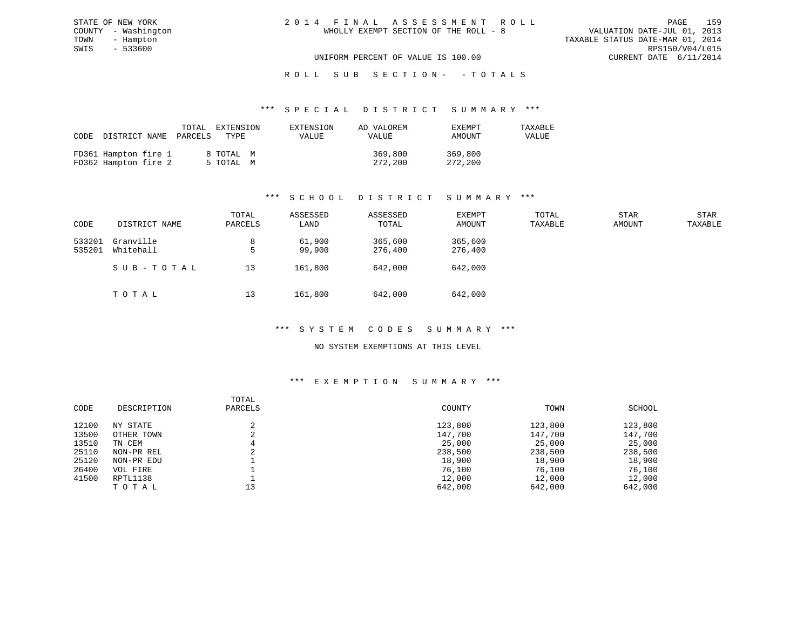| 2014 FINAL ASSESSMENT ROLL            | 159<br>PAGE                      |
|---------------------------------------|----------------------------------|
| WHOLLY EXEMPT SECTION OF THE ROLL - 8 | VALUATION DATE-JUL 01, 2013      |
|                                       | TAXABLE STATUS DATE-MAR 01, 2014 |
|                                       | RPS150/V04/L015                  |
| UNIFORM PERCENT OF VALUE IS 100.00    | CURRENT DATE 6/11/2014           |

| CODE |                                              | TOTAL<br>DISTRICT NAME PARCELS | EXTENSION<br>TYPE      | EXTENSION<br>VALUE | AD VALOREM<br>VALUE | <b>EXEMPT</b><br>AMOUNT | TAXABLE<br>VALUE |
|------|----------------------------------------------|--------------------------------|------------------------|--------------------|---------------------|-------------------------|------------------|
|      | FD361 Hampton fire 1<br>FD362 Hampton fire 2 |                                | 8 TOTAL M<br>5 TOTAL M |                    | 369,800<br>272,200  | 369,800<br>272,200      |                  |

STATE OF NEW YORK COUNTY - Washington TOWN - Hampton  $SWIS$  - 533600

### \*\*\* S C H O O L D I S T R I C T S U M M A R Y \*\*\*

| CODE             | DISTRICT NAME          | TOTAL<br>PARCELS | ASSESSED<br>LAND | ASSESSED<br>TOTAL  | EXEMPT<br>AMOUNT   | TOTAL<br>TAXABLE | <b>STAR</b><br>AMOUNT | STAR<br>TAXABLE |
|------------------|------------------------|------------------|------------------|--------------------|--------------------|------------------|-----------------------|-----------------|
| 533201<br>535201 | Granville<br>Whitehall | 8<br>5           | 61,900<br>99,900 | 365,600<br>276,400 | 365,600<br>276,400 |                  |                       |                 |
|                  | SUB-TOTAL              | 13               | 161,800          | 642,000            | 642,000            |                  |                       |                 |
|                  | тотаь                  | 13               | 161,800          | 642,000            | 642,000            |                  |                       |                 |

#### \*\*\* S Y S T E M C O D E S S U M M A R Y \*\*\*

#### NO SYSTEM EXEMPTIONS AT THIS LEVEL

#### \*\*\* E X E M P T I O N S U M M A R Y \*\*\*

|       |             | TOTAL   |         |         |         |
|-------|-------------|---------|---------|---------|---------|
| CODE  | DESCRIPTION | PARCELS | COUNTY  | TOWN    | SCHOOL  |
|       |             |         |         |         |         |
| 12100 | NY STATE    |         | 123,800 | 123,800 | 123,800 |
| 13500 | OTHER TOWN  |         | 147,700 | 147,700 | 147,700 |
| 13510 | TN CEM      | 4       | 25,000  | 25,000  | 25,000  |
| 25110 | NON-PR REL  |         | 238,500 | 238,500 | 238,500 |
| 25120 | NON-PR EDU  |         | 18,900  | 18,900  | 18,900  |
| 26400 | VOL FIRE    |         | 76,100  | 76,100  | 76,100  |
| 41500 | RPTL1138    |         | 12,000  | 12,000  | 12,000  |
|       | TOTAL       | 13      | 642,000 | 642,000 | 642,000 |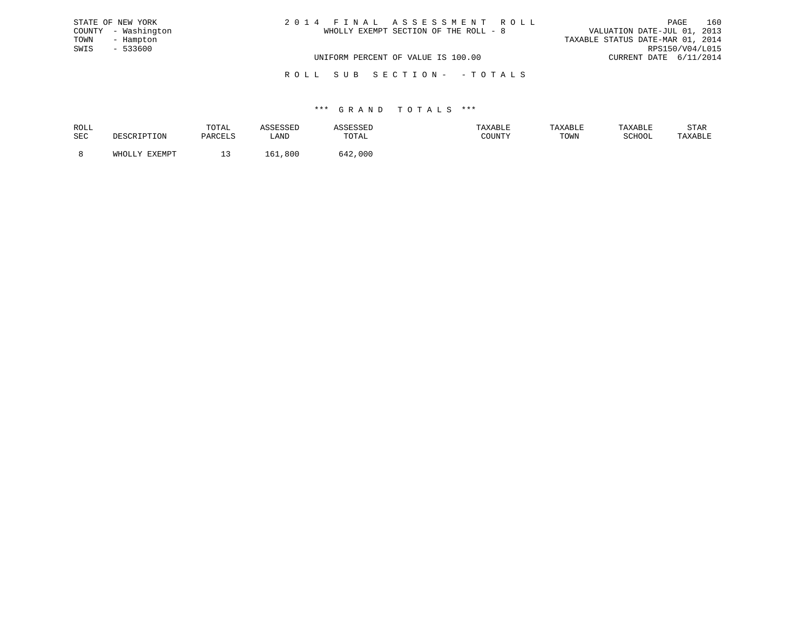| STATE OF NEW YORK   | 2014 FINAL ASSESSMENT ROLL            | 160<br>PAGE                      |
|---------------------|---------------------------------------|----------------------------------|
| COUNTY - Washington | WHOLLY EXEMPT SECTION OF THE ROLL - 8 | VALUATION DATE-JUL 01, 2013      |
| TOWN<br>- Hampton   |                                       | TAXABLE STATUS DATE-MAR 01, 2014 |
| SWIS<br>$-533600$   |                                       | RPS150/V04/L015                  |
|                     | UNIFORM PERCENT OF VALUE IS 100.00    | CURRENT DATE 6/11/2014           |
|                     |                                       |                                  |

R O L L S U B S E C T I O N - - T O T A L S

| ROLL |        | TOTAL   |              |              | .AXABLF | TAXABLE | TAXABLE | STAR    |
|------|--------|---------|--------------|--------------|---------|---------|---------|---------|
| SEC  |        | PARCELS | LAND         | TOTAL        | COUNTY  | TOWN    | SCHOOL  | TAXABLE |
|      | FYFMDT |         | . 61<br>,800 | - 42<br>.000 |         |         |         |         |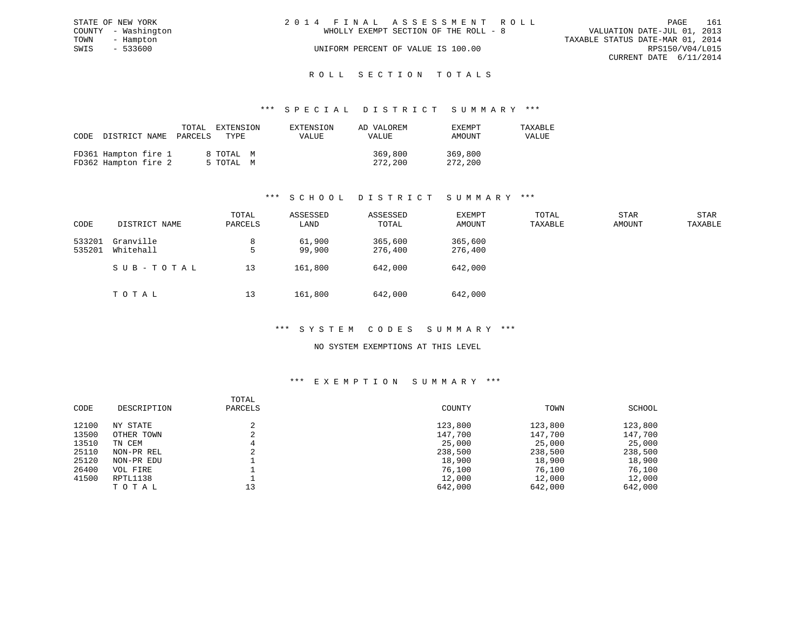|      | STATE OF NEW YORK   | 2014 FINAL ASSESSMENT ROLL |                                       |                                  |                        | PAGE | 161 |
|------|---------------------|----------------------------|---------------------------------------|----------------------------------|------------------------|------|-----|
|      | COUNTY - Washington |                            | WHOLLY EXEMPT SECTION OF THE ROLL - 8 | VALUATION DATE-JUL 01, 2013      |                        |      |     |
| TOWN | - Hampton           |                            |                                       | TAXABLE STATUS DATE-MAR 01, 2014 |                        |      |     |
| SWIS | $-533600$           |                            | UNIFORM PERCENT OF VALUE IS 100.00    |                                  | RPS150/V04/L015        |      |     |
|      |                     |                            |                                       |                                  | CURRENT DATE 6/11/2014 |      |     |
|      |                     |                            |                                       |                                  |                        |      |     |

# ROLL SECTION TOTALS

#### \*\*\* S P E C I A L D I S T R I C T S U M M A R Y \*\*\*

| CODE | DISTRICT NAME                                | TOTAL<br>PARCELS | EXTENSION<br>TYPE      | EXTENSION<br>VALUE | AD VALOREM<br>VALUE | EXEMPT<br>AMOUNT   | TAXABLE<br>VALUE |
|------|----------------------------------------------|------------------|------------------------|--------------------|---------------------|--------------------|------------------|
|      | FD361 Hampton fire 1<br>FD362 Hampton fire 2 |                  | 8 TOTAL M<br>5 TOTAL M |                    | 369,800<br>272,200  | 369,800<br>272,200 |                  |

### \*\*\* S C H O O L D I S T R I C T S U M M A R Y \*\*\*

| CODE             | DISTRICT NAME          | TOTAL<br>PARCELS | ASSESSED<br>LAND | ASSESSED<br>TOTAL  | EXEMPT<br>AMOUNT   | TOTAL<br>TAXABLE | <b>STAR</b><br>AMOUNT | STAR<br>TAXABLE |
|------------------|------------------------|------------------|------------------|--------------------|--------------------|------------------|-----------------------|-----------------|
| 533201<br>535201 | Granville<br>Whitehall | 8<br>5           | 61,900<br>99,900 | 365,600<br>276,400 | 365,600<br>276,400 |                  |                       |                 |
|                  | SUB-TOTAL              | 13               | 161,800          | 642,000            | 642,000            |                  |                       |                 |
|                  | TOTAL                  | 13               | 161,800          | 642,000            | 642,000            |                  |                       |                 |

#### \*\*\* S Y S T E M C O D E S S U M M A R Y \*\*\*

#### NO SYSTEM EXEMPTIONS AT THIS LEVEL

#### \*\*\* E X E M P T I O N S U M M A R Y \*\*\*

| CODE  | DESCRIPTION | TOTAL<br>PARCELS | COUNTY  | TOWN    | SCHOOL  |
|-------|-------------|------------------|---------|---------|---------|
| 12100 | NY STATE    |                  | 123,800 | 123,800 | 123,800 |
| 13500 | OTHER TOWN  |                  | 147,700 | 147,700 | 147,700 |
| 13510 | TN CEM      |                  | 25,000  | 25,000  | 25,000  |
| 25110 | NON-PR REL  |                  | 238,500 | 238,500 | 238,500 |
| 25120 | NON-PR EDU  |                  | 18,900  | 18,900  | 18,900  |
| 26400 | VOL FIRE    |                  | 76,100  | 76,100  | 76,100  |
| 41500 | RPTL1138    |                  | 12,000  | 12,000  | 12,000  |
|       | TOTAL       | 13               | 642,000 | 642,000 | 642,000 |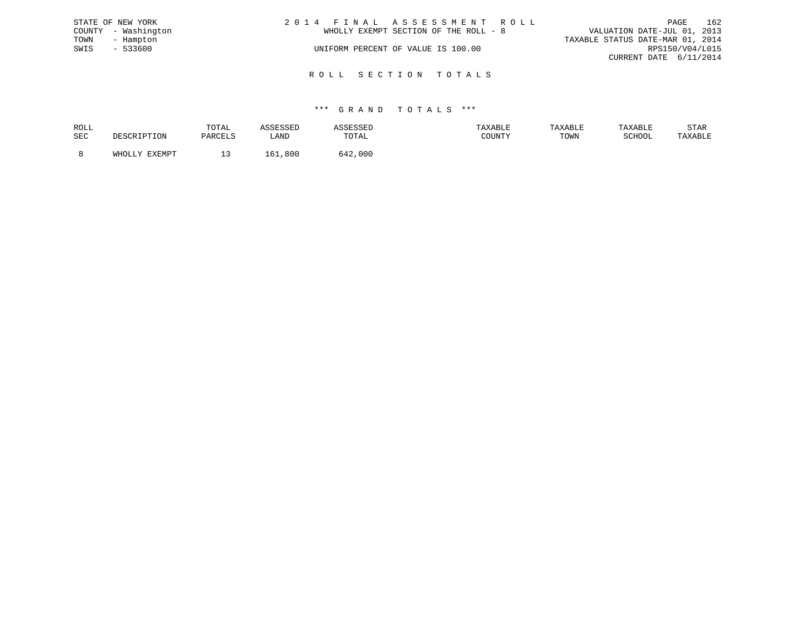|      | STATE OF NEW YORK   | 2014 FINAL ASSESSMENT ROLL            | PAGE                             | 162 |
|------|---------------------|---------------------------------------|----------------------------------|-----|
|      | COUNTY - Washington | WHOLLY EXEMPT SECTION OF THE ROLL - 8 | VALUATION DATE-JUL 01, 2013      |     |
| TOWN | - Hampton           |                                       | TAXABLE STATUS DATE-MAR 01, 2014 |     |
| SWIS | $-533600$           | UNIFORM PERCENT OF VALUE IS 100.00    | RPS150/V04/L015                  |     |
|      |                     |                                       | CURRENT DATE 6/11/2014           |     |
|      |                     |                                       |                                  |     |

R O L L S E C T I O N T O T A L S

| ROLL       |               | TOTAL                |                 |              | XABLF |      |        | STAR    |
|------------|---------------|----------------------|-----------------|--------------|-------|------|--------|---------|
| <b>SEC</b> |               | ס. זים <i>רו</i> ס ה | LANI            | ኮለጥአ`<br>◡⊥љ | CCT1  | TOWN | SCHOOL | 'AXABLE |
|            |               |                      |                 |              |       |      |        |         |
|            | <b>DVDMDL</b> | --                   | $\kappa$<br>800 | 000          |       |      |        |         |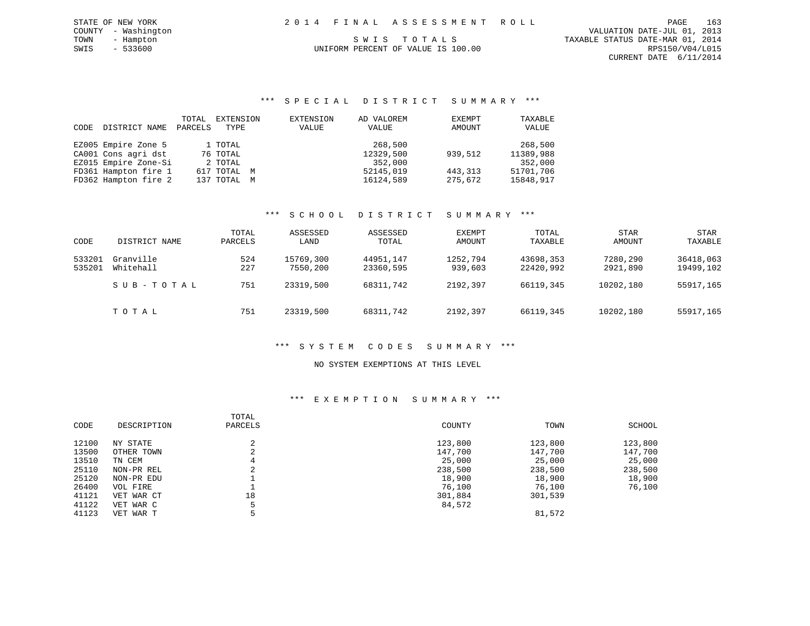| 2014 FINAL ASSESSMENT ROLL         |                                  | PAGE                        | 163 |
|------------------------------------|----------------------------------|-----------------------------|-----|
|                                    |                                  | VALUATION DATE-JUL 01, 2013 |     |
| SWIS TOTALS                        | TAXABLE STATUS DATE-MAR 01, 2014 |                             |     |
| UNIFORM PERCENT OF VALUE IS 100.00 |                                  | RPS150/V04/L015             |     |
|                                    |                                  | CURRENT DATE 6/11/2014      |     |
|                                    |                                  |                             |     |

| CODE | DISTRICT NAME        | TOTAL<br>PARCELS | EXTENSION<br>TYPE | EXTENSION<br>VALUE | AD VALOREM<br>VALUE | EXEMPT<br>AMOUNT | TAXABLE<br>VALUE |
|------|----------------------|------------------|-------------------|--------------------|---------------------|------------------|------------------|
|      | EZ005 Empire Zone 5  |                  | 1 TOTAL           |                    | 268,500             |                  | 268,500          |
|      | CA001 Cons agri dst  |                  | 76 TOTAL          |                    | 12329,500           | 939,512          | 11389,988        |
|      | EZ015 Empire Zone-Si |                  | 2 TOTAL           |                    | 352,000             |                  | 352,000          |
|      | FD361 Hampton fire 1 |                  | 617 TOTAL M       |                    | 52145,019           | 443, 313         | 51701,706        |
|      | FD362 Hampton fire 2 |                  | 137 TOTAL M       |                    | 16124,589           | 275,672          | 15848,917        |

STATE OF NEW YORK COUNTY - Washington TOWN - Hampton  $SWIS - 533600$ 

## \*\*\* S C H O O L D I S T R I C T S U M M A R Y \*\*\*

| CODE             | DISTRICT NAME          | TOTAL<br>PARCELS | ASSESSED<br>LAND      | ASSESSED<br>TOTAL      | EXEMPT<br>AMOUNT    | TOTAL<br>TAXABLE       | STAR<br>AMOUNT       | STAR<br>TAXABLE        |
|------------------|------------------------|------------------|-----------------------|------------------------|---------------------|------------------------|----------------------|------------------------|
| 533201<br>535201 | Granville<br>Whitehall | 524<br>227       | 15769,300<br>7550,200 | 44951,147<br>23360,595 | 1252,794<br>939,603 | 43698,353<br>22420,992 | 7280,290<br>2921,890 | 36418,063<br>19499,102 |
|                  | SUB-TOTAL              | 751              | 23319,500             | 68311,742              | 2192,397            | 66119,345              | 10202,180            | 55917,165              |
|                  | TOTAL                  | 751              | 23319,500             | 68311,742              | 2192,397            | 66119,345              | 10202,180            | 55917,165              |

#### \*\*\* S Y S T E M C O D E S S U M M A R Y \*\*\*

#### NO SYSTEM EXEMPTIONS AT THIS LEVEL

### \*\*\* E X E M P T I O N S U M M A R Y \*\*\*

| CODE  | DESCRIPTION | TOTAL<br>PARCELS | COUNTY  | TOWN    | SCHOOL  |
|-------|-------------|------------------|---------|---------|---------|
| 12100 | NY STATE    | $\sim$           | 123,800 | 123,800 | 123,800 |
| 13500 | OTHER TOWN  | $\sim$           | 147,700 | 147,700 | 147,700 |
| 13510 | TN CEM      | 4                | 25,000  | 25,000  | 25,000  |
| 25110 | NON-PR REL  | $\sim$           | 238,500 | 238,500 | 238,500 |
| 25120 | NON-PR EDU  |                  | 18,900  | 18,900  | 18,900  |
| 26400 | VOL FIRE    |                  | 76,100  | 76,100  | 76,100  |
| 41121 | VET WAR CT  | 18               | 301,884 | 301,539 |         |
| 41122 | VET WAR C   |                  | 84,572  |         |         |
| 41123 | VET WAR T   |                  |         | 81,572  |         |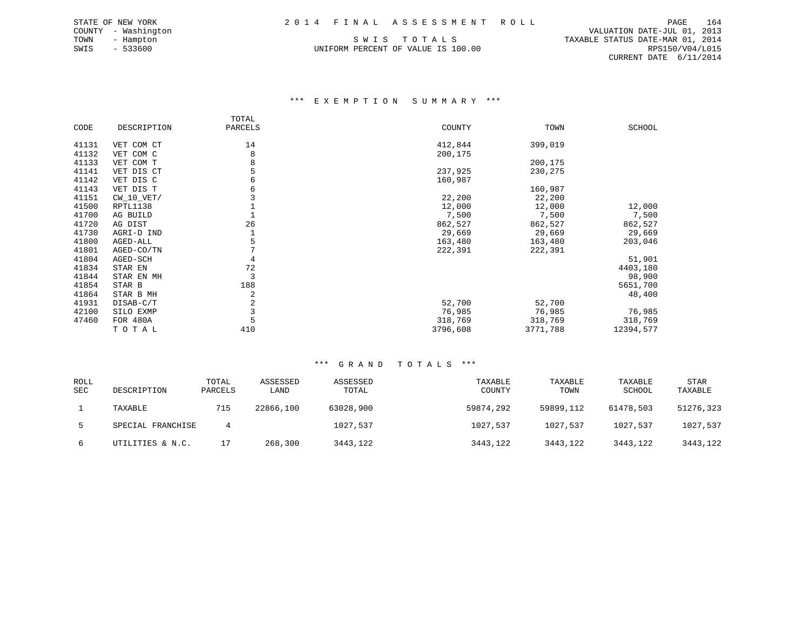TOWN - Hampton S W I S T O T A L S TAXABLE STATUS DATE-MAR 01, 2014 UNIFORM PERCENT OF VALUE IS 100.00

 COUNTY - Washington VALUATION DATE-JUL 01, 2013 CURRENT DATE 6/11/2014

#### \*\*\* E X E M P T I O N S U M M A R Y \*\*\*

|       |              | TOTAL   |          |          |           |
|-------|--------------|---------|----------|----------|-----------|
| CODE  | DESCRIPTION  | PARCELS | COUNTY   | TOWN     | SCHOOL    |
| 41131 | VET COM CT   | 14      | 412,844  | 399,019  |           |
| 41132 | VET COM C    | 8       | 200,175  |          |           |
| 41133 | VET COM T    | 8       |          | 200,175  |           |
| 41141 | VET DIS CT   | 5       | 237,925  | 230,275  |           |
| 41142 | VET DIS C    | 6       | 160,987  |          |           |
| 41143 | VET DIS T    | 6       |          | 160,987  |           |
| 41151 | $CW_10_VET/$ |         | 22,200   | 22,200   |           |
| 41500 | RPTL1138     |         | 12,000   | 12,000   | 12,000    |
| 41700 | AG BUILD     |         | 7,500    | 7,500    | 7,500     |
| 41720 | AG DIST      | 26      | 862,527  | 862,527  | 862,527   |
| 41730 | AGRI-D IND   |         | 29,669   | 29,669   | 29,669    |
| 41800 | AGED-ALL     | 5       | 163,480  | 163,480  | 203,046   |
| 41801 | AGED-CO/TN   |         | 222,391  | 222,391  |           |
| 41804 | AGED-SCH     | 4       |          |          | 51,901    |
| 41834 | STAR EN      | 72      |          |          | 4403,180  |
| 41844 | STAR EN MH   | 3       |          |          | 98,900    |
| 41854 | STAR B       | 188     |          |          | 5651,700  |
| 41864 | STAR B MH    | 2       |          |          | 48,400    |
| 41931 | DISAB-C/T    | 2       | 52,700   | 52,700   |           |
| 42100 | SILO EXMP    | 3       | 76,985   | 76,985   | 76,985    |
| 47460 | FOR 480A     | 5       | 318,769  | 318,769  | 318,769   |
|       | TOTAL        | 410     | 3796,608 | 3771,788 | 12394,577 |

| <b>ROLL</b> |                   | TOTAL   | ASSESSED  | ASSESSED  | TAXABLE   | TAXABLE   | TAXABLE   | <b>STAR</b> |
|-------------|-------------------|---------|-----------|-----------|-----------|-----------|-----------|-------------|
| <b>SEC</b>  | DESCRIPTION       | PARCELS | LAND      | TOTAL     | COUNTY    | TOWN      | SCHOOL    | TAXABLE     |
|             | TAXABLE           | 715     | 22866,100 | 63028,900 | 59874,292 | 59899,112 | 61478,503 | 51276,323   |
|             | SPECIAL FRANCHISE |         |           | 1027,537  | 1027,537  | 1027,537  | 1027,537  | 1027,537    |
| 6           | UTILITIES & N.C.  |         | 268,300   | 3443,122  | 3443,122  | 3443,122  | 3443,122  | 3443,122    |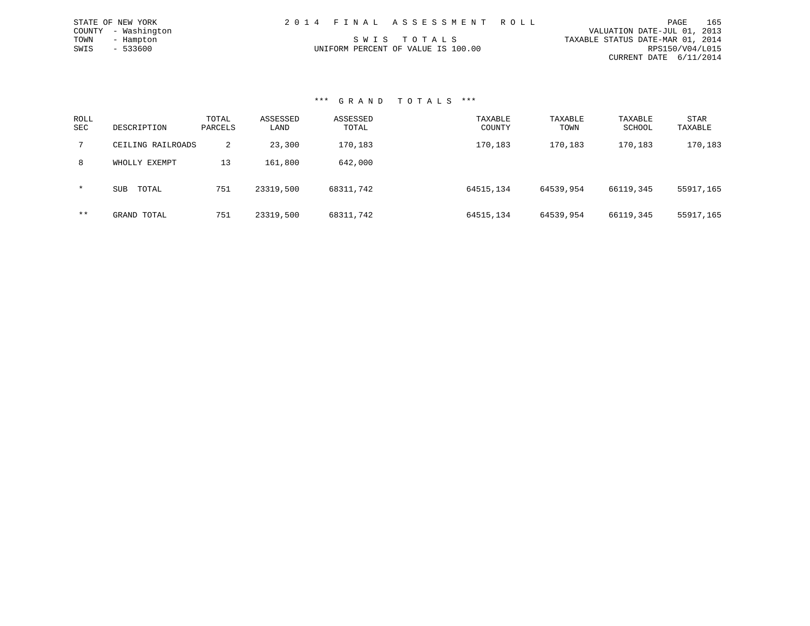|                                    | 165<br>PAGE                      |
|------------------------------------|----------------------------------|
|                                    | VALUATION DATE-JUL 01, 2013      |
| SWIS TOTALS                        | TAXABLE STATUS DATE-MAR 01, 2014 |
| UNIFORM PERCENT OF VALUE IS 100.00 | RPS150/V04/L015                  |
|                                    | CURRENT DATE 6/11/2014           |
|                                    | 2014 FINAL ASSESSMENT ROLL       |

#### \*\*\* G R A N D T O T A L S \*\*\*

| ROLL<br><b>SEC</b> | DESCRIPTION         | TOTAL<br>PARCELS | ASSESSED<br>LAND | ASSESSED<br>TOTAL | TAXABLE<br>COUNTY | TAXABLE<br>TOWN | TAXABLE<br>SCHOOL | STAR<br>TAXABLE |
|--------------------|---------------------|------------------|------------------|-------------------|-------------------|-----------------|-------------------|-----------------|
|                    | CEILING RAILROADS   | 2                | 23,300           | 170,183           | 170,183           | 170,183         | 170,183           | 170,183         |
| 8                  | WHOLLY EXEMPT       | 13               | 161,800          | 642,000           |                   |                 |                   |                 |
| $\star$            | TOTAL<br><b>SUB</b> | 751              | 23319,500        | 68311,742         | 64515,134         | 64539,954       | 66119,345         | 55917,165       |
| $***$              | GRAND TOTAL         | 751              | 23319,500        | 68311,742         | 64515,134         | 64539,954       | 66119,345         | 55917,165       |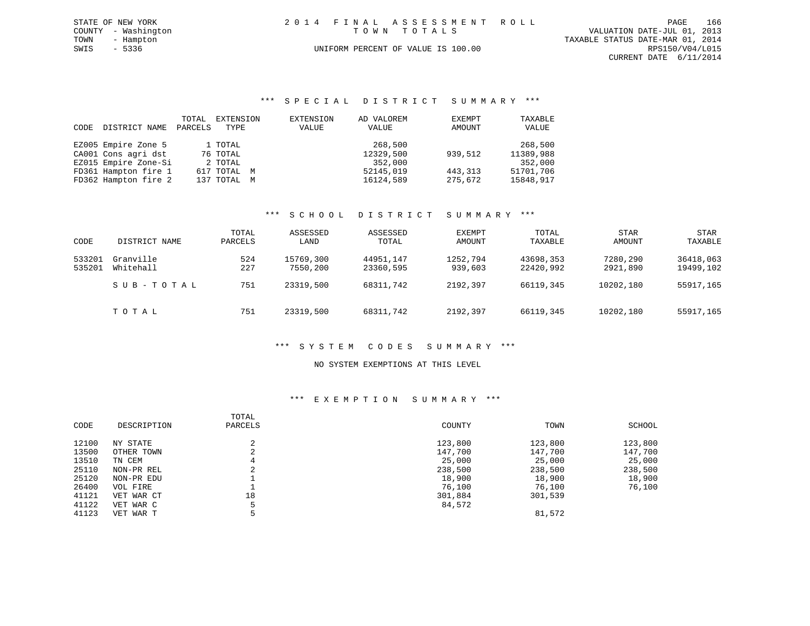| STATE OF NEW YORK   | 2014 FINAL ASSESSMENT ROLL         | 166<br>PAGE                      |
|---------------------|------------------------------------|----------------------------------|
| COUNTY - Washington | TOWN TOTALS                        | VALUATION DATE-JUL 01, 2013      |
| TOWN<br>- Hampton   |                                    | TAXABLE STATUS DATE-MAR 01, 2014 |
| SWIS<br>- 5336      | UNIFORM PERCENT OF VALUE IS 100.00 | RPS150/V04/L015                  |
|                     |                                    | CURRENT DATE 6/11/2014           |

|      |                      | TOTAL   | EXTENSION   | EXTENSION | AD VALOREM | EXEMPT  | TAXABLE   |
|------|----------------------|---------|-------------|-----------|------------|---------|-----------|
| CODE | DISTRICT NAME        | PARCELS | TYPE        | VALUE     | VALUE      | AMOUNT  | VALUE     |
|      |                      |         |             |           |            |         |           |
|      | EZ005 Empire Zone 5  |         | 1 TOTAL     |           | 268,500    |         | 268,500   |
|      | CA001 Cons agri dst  |         | 76 TOTAL    |           | 12329,500  | 939,512 | 11389,988 |
|      | EZ015 Empire Zone-Si |         | 2 TOTAL     |           | 352,000    |         | 352,000   |
|      | FD361 Hampton fire 1 |         | 617 TOTAL M |           | 52145,019  | 443,313 | 51701,706 |
|      | FD362 Hampton fire 2 |         | 137 TOTAL M |           | 16124,589  | 275,672 | 15848,917 |

### \*\*\* S C H O O L D I S T R I C T S U M M A R Y \*\*\*

| CODE             | DISTRICT NAME          | TOTAL<br>PARCELS | ASSESSED<br>LAND      | ASSESSED<br>TOTAL      | EXEMPT<br>AMOUNT    | TOTAL<br>TAXABLE       | STAR<br>AMOUNT       | STAR<br>TAXABLE        |
|------------------|------------------------|------------------|-----------------------|------------------------|---------------------|------------------------|----------------------|------------------------|
| 533201<br>535201 | Granville<br>Whitehall | 524<br>227       | 15769,300<br>7550,200 | 44951,147<br>23360,595 | 1252,794<br>939,603 | 43698,353<br>22420,992 | 7280,290<br>2921,890 | 36418,063<br>19499,102 |
|                  | SUB-TOTAL              | 751              | 23319,500             | 68311,742              | 2192,397            | 66119,345              | 10202,180            | 55917,165              |
|                  | TOTAL                  | 751              | 23319,500             | 68311,742              | 2192,397            | 66119,345              | 10202,180            | 55917,165              |

#### \*\*\* S Y S T E M C O D E S S U M M A R Y \*\*\*

#### NO SYSTEM EXEMPTIONS AT THIS LEVEL

#### \*\*\* E X E M P T I O N S U M M A R Y \*\*\*

| CODE  | DESCRIPTION | TOTAL<br>PARCELS                   | COUNTY  | TOWN    | SCHOOL  |
|-------|-------------|------------------------------------|---------|---------|---------|
| 12100 | NY STATE    | $\sim$<br>∠                        | 123,800 | 123,800 | 123,800 |
| 13500 | OTHER TOWN  | $\sim$<br>∠                        | 147,700 | 147,700 | 147,700 |
| 13510 | TN CEM      |                                    | 25,000  | 25,000  | 25,000  |
| 25110 | NON-PR REL  | $\sim$<br>$\overline{\phantom{a}}$ | 238,500 | 238,500 | 238,500 |
| 25120 | NON-PR EDU  |                                    | 18,900  | 18,900  | 18,900  |
| 26400 | VOL FIRE    |                                    | 76,100  | 76,100  | 76,100  |
| 41121 | VET WAR CT  | 18                                 | 301,884 | 301,539 |         |
| 41122 | VET WAR C   |                                    | 84,572  |         |         |
| 41123 | VET WAR T   |                                    |         | 81,572  |         |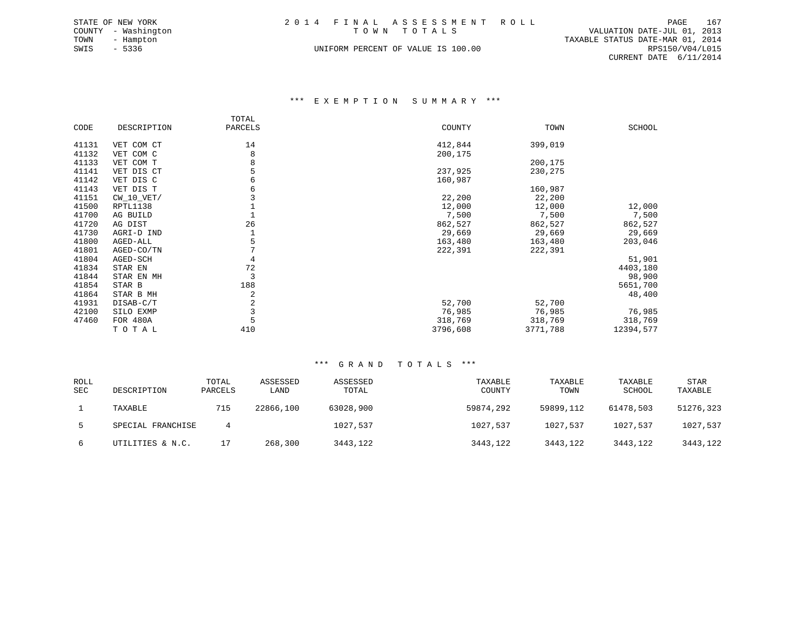|      | STATE OF NEW YORK   |  | 2014 FINAL ASSESSMENT ROLL         |                                  | PAGE            | 167 |
|------|---------------------|--|------------------------------------|----------------------------------|-----------------|-----|
|      | COUNTY - Washington |  | TOWN TOTALS                        | VALUATION DATE-JUL 01, 2013      |                 |     |
| TOWN | - Hampton           |  |                                    | TAXABLE STATUS DATE-MAR 01, 2014 |                 |     |
| SWIS | - 5336              |  | UNIFORM PERCENT OF VALUE IS 100.00 |                                  | RPS150/V04/L015 |     |
|      |                     |  |                                    | CURRENT DATE 6/11/2014           |                 |     |

#### \*\*\* E X E M P T I O N S U M M A R Y \*\*\*

|       |              | TOTAL   |          |          |           |
|-------|--------------|---------|----------|----------|-----------|
| CODE  | DESCRIPTION  | PARCELS | COUNTY   | TOWN     | SCHOOL    |
| 41131 | VET COM CT   | 14      | 412,844  | 399,019  |           |
| 41132 |              | 8       |          |          |           |
|       | VET COM C    |         | 200,175  |          |           |
| 41133 | VET COM T    | 8       |          | 200,175  |           |
| 41141 | VET DIS CT   | 5       | 237,925  | 230,275  |           |
| 41142 | VET DIS C    | 6       | 160,987  |          |           |
| 41143 | VET DIS T    | 6       |          | 160,987  |           |
| 41151 | $CW_10_VET/$ |         | 22,200   | 22,200   |           |
| 41500 | RPTL1138     |         | 12,000   | 12,000   | 12,000    |
| 41700 | AG BUILD     |         | 7,500    | 7,500    | 7,500     |
| 41720 | AG DIST      | 26      | 862,527  | 862,527  | 862,527   |
| 41730 | AGRI-D IND   |         | 29,669   | 29,669   | 29,669    |
| 41800 | AGED-ALL     | 5       | 163,480  | 163,480  | 203,046   |
|       |              |         |          |          |           |
| 41801 | AGED-CO/TN   |         | 222,391  | 222,391  |           |
| 41804 | AGED-SCH     | 4       |          |          | 51,901    |
| 41834 | STAR EN      | 72      |          |          | 4403,180  |
| 41844 | STAR EN MH   | 3       |          |          | 98,900    |
| 41854 | STAR B       | 188     |          |          | 5651,700  |
| 41864 | STAR B MH    | 2       |          |          | 48,400    |
| 41931 | DISAB-C/T    | 2       | 52,700   | 52,700   |           |
| 42100 | SILO EXMP    | 3       | 76,985   | 76,985   | 76,985    |
| 47460 | FOR 480A     | 5       | 318,769  | 318,769  | 318,769   |
|       | TOTAL        | 410     | 3796,608 | 3771,788 | 12394,577 |

| <b>ROLL</b><br><b>SEC</b> | DESCRIPTION       | TOTAL<br>PARCELS | ASSESSED<br>LAND | ASSESSED<br>TOTAL | TAXABLE<br>COUNTY | TAXABLE<br>TOWN | TAXABLE<br>SCHOOL | <b>STAR</b><br>TAXABLE |
|---------------------------|-------------------|------------------|------------------|-------------------|-------------------|-----------------|-------------------|------------------------|
|                           | TAXABLE           | 715              | 22866,100        | 63028,900         | 59874,292         | 59899,112       | 61478,503         | 51276,323              |
|                           | SPECIAL FRANCHISE | 4                |                  | 1027,537          | 1027,537          | 1027,537        | 1027,537          | 1027,537               |
| 6                         | UTILITIES & N.C.  |                  | 268,300          | 3443,122          | 3443,122          | 3443,122        | 3443,122          | 3443,122               |